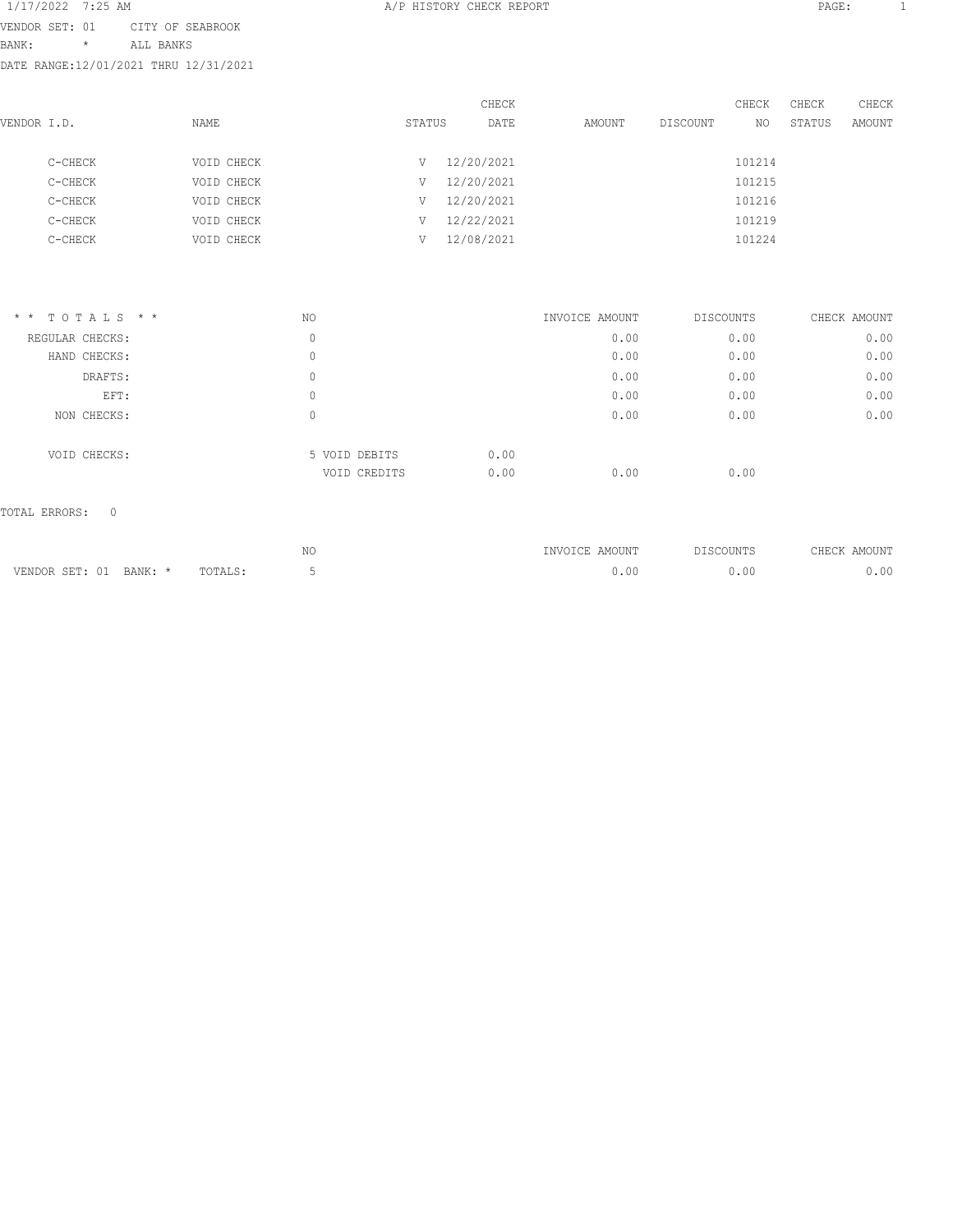1/17/2022 7:25 AM **A/P HISTORY CHECK REPORT PAGE:** 1 VENDOR SET: 01 CITY OF SEABROOK BANK: \* ALL BANKS DATE RANGE:12/01/2021 THRU 12/31/2021

| VENDOR I.D. |         | NAME       | STATUS |            | CHECK<br>DATE | AMOUNT | DISCOUNT | CHECK<br>NO | CHECK<br>STATUS | CHECK<br>AMOUNT |
|-------------|---------|------------|--------|------------|---------------|--------|----------|-------------|-----------------|-----------------|
|             | C-CHECK | VOID CHECK | V      | 12/20/2021 |               |        |          | 101214      |                 |                 |
|             | C-CHECK | VOID CHECK | V      | 12/20/2021 |               |        |          | 101215      |                 |                 |
|             | C-CHECK | VOID CHECK | V      | 12/20/2021 |               |        |          | 101216      |                 |                 |
|             | C-CHECK | VOID CHECK | V      | 12/22/2021 |               |        |          | 101219      |                 |                 |
|             | C-CHECK | VOID CHECK | V      | 12/08/2021 |               |        |          | 101224      |                 |                 |
|             |         |            |        |            |               |        |          |             |                 |                 |

| $*$ * TOTALS * * | NO                            | INVOICE AMOUNT       | DISCOUNTS | CHECK AMOUNT |
|------------------|-------------------------------|----------------------|-----------|--------------|
| REGULAR CHECKS:  | 0                             | 0.00                 | 0.00      | 0.00         |
| HAND CHECKS:     | 0                             | 0.00                 | 0.00      | 0.00         |
| DRAFTS:          | 0                             | 0.00                 | 0.00      | 0.00         |
| EFT:             | 0                             | 0.00                 | 0.00      | 0.00         |
| NON CHECKS:      | 0                             | 0.00                 | 0.00      | 0.00         |
| VOID CHECKS:     | 5 VOID DEBITS<br>VOID CREDITS | 0.00<br>0.00<br>0.00 | 0.00      |              |
|                  |                               |                      |           |              |

TOTAL ERRORS: 0

|                           |         | NΟ<br>$\sim$ | INVOICE AMOUNT | <b>DISCOUNTS</b> | AMOUNT<br>ヘHFへK |
|---------------------------|---------|--------------|----------------|------------------|-----------------|
| VENDOR SET: 01<br>BANK: * | TOTALS: |              |                | or               | 00              |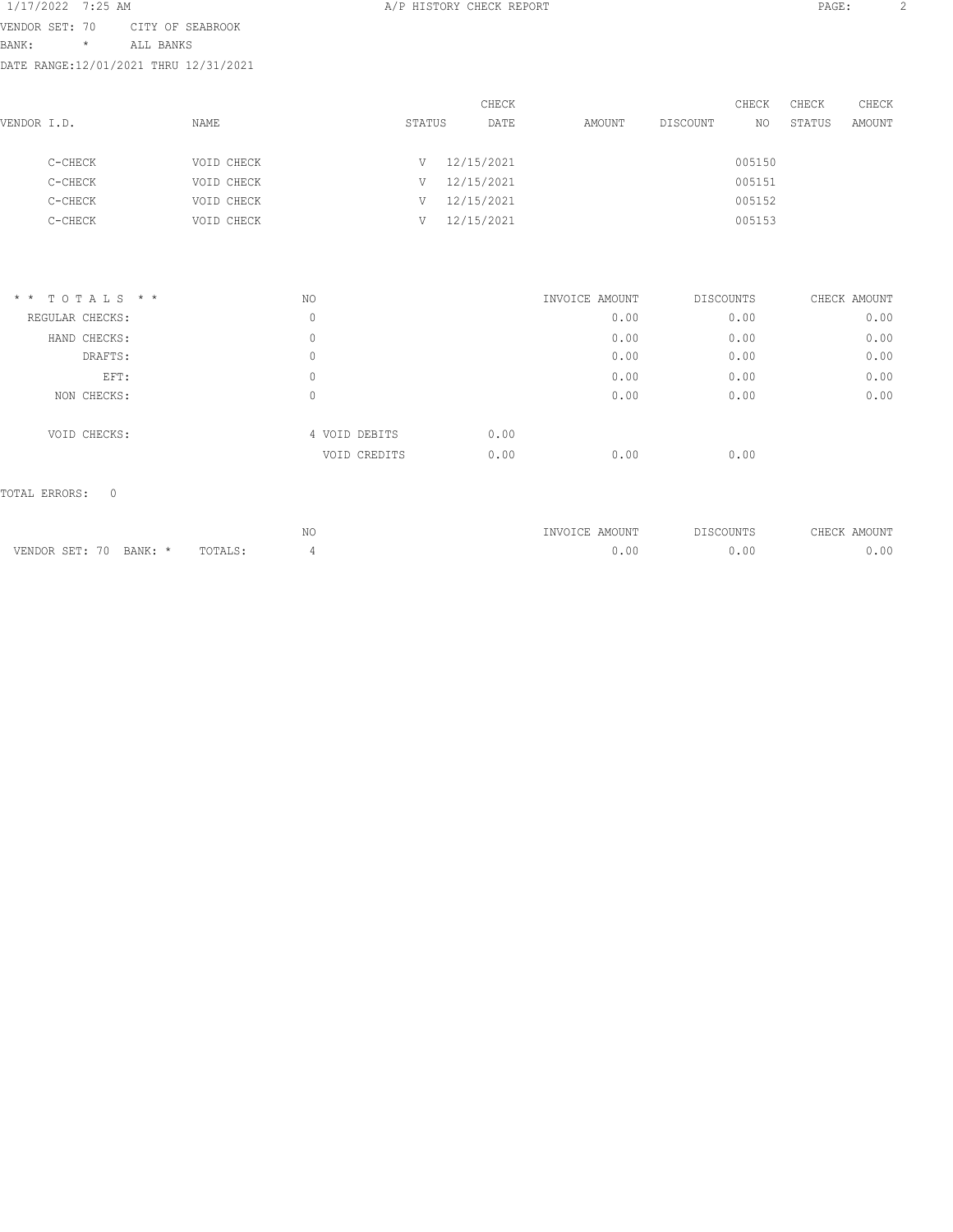1/17/2022 7:25 AM **A/P HISTORY CHECK REPORT PAGE:** 2 VENDOR SET: 70 CITY OF SEABROOK BANK: \* ALL BANKS DATE RANGE:12/01/2021 THRU 12/31/2021

| VENDOR I.D. |         | <b>NAME</b> | STATUS | CHECK<br>DATE | AMOUNT | DISCOUNT | CHECK<br>NO. | CHECK<br>STATUS | CHECK<br>AMOUNT |
|-------------|---------|-------------|--------|---------------|--------|----------|--------------|-----------------|-----------------|
|             | C-CHECK | VOID CHECK  | V      | 12/15/2021    |        |          | 005150       |                 |                 |
|             | C-CHECK | VOID CHECK  | V      | 12/15/2021    |        |          | 005151       |                 |                 |
|             | C-CHECK | VOID CHECK  | V      | 12/15/2021    |        |          | 005152       |                 |                 |
|             | C-CHECK | VOID CHECK  |        | 12/15/2021    |        |          | 005153       |                 |                 |
|             |         |             |        |               |        |          |              |                 |                 |

| $*$ * TOTALS * * | NO |               | INVOICE AMOUNT |      | DISCOUNTS | CHECK AMOUNT |
|------------------|----|---------------|----------------|------|-----------|--------------|
| REGULAR CHECKS:  | 0  |               |                | 0.00 | 0.00      | 0.00         |
| HAND CHECKS:     | 0  |               |                | 0.00 | 0.00      | 0.00         |
| DRAFTS:          | 0  |               |                | 0.00 | 0.00      | 0.00         |
| EFT:             | 0  |               |                | 0.00 | 0.00      | 0.00         |
| NON CHECKS:      | 0  |               |                | 0.00 | 0.00      | 0.00         |
| VOID CHECKS:     |    | 4 VOID DEBITS | 0.00           |      |           |              |
|                  |    | VOID CREDITS  | 0.00           | 0.00 | 0.00      |              |

TOTAL ERRORS: 0

|                                               |         | ΝC | INVOICE AMOUNT | <b>DISCOUNTS</b> | <b>AHEOK</b><br>AMOUNT |
|-----------------------------------------------|---------|----|----------------|------------------|------------------------|
| VENDOR SET: 70<br>RANK · *<br>4. 14. Y. L. L. | TOTALS: |    | ).OC           | ,.00             | n n                    |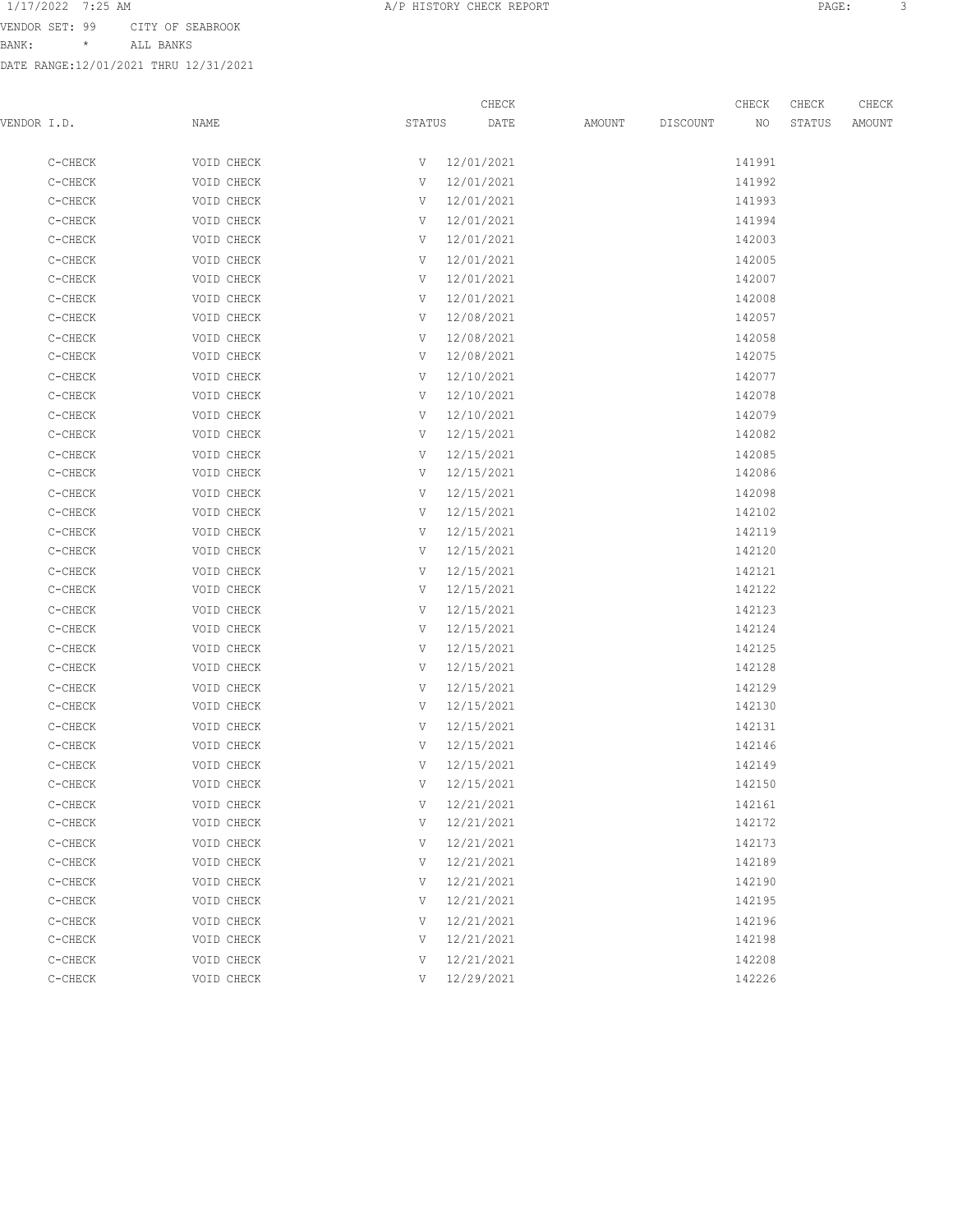BANK: \* ALL BANKS

|             |         |                          |        | CHECK      |        |          | CHECK  | CHECK  | CHECK         |
|-------------|---------|--------------------------|--------|------------|--------|----------|--------|--------|---------------|
| VENDOR I.D. |         | NAME                     | STATUS | DATE       | AMOUNT | DISCOUNT | NO     | STATUS | <b>AMOUNT</b> |
|             | C-CHECK | VOID CHECK               | V      | 12/01/2021 |        |          | 141991 |        |               |
|             | C-CHECK | VOID CHECK               | V      | 12/01/2021 |        |          | 141992 |        |               |
|             | C-CHECK | VOID CHECK               | V      | 12/01/2021 |        |          | 141993 |        |               |
|             | C-CHECK |                          | V      | 12/01/2021 |        |          | 141994 |        |               |
|             | C-CHECK | VOID CHECK<br>VOID CHECK | V      | 12/01/2021 |        |          | 142003 |        |               |
|             | C-CHECK | VOID CHECK               | V      | 12/01/2021 |        |          | 142005 |        |               |
|             | C-CHECK | VOID CHECK               | V      | 12/01/2021 |        |          | 142007 |        |               |
|             | C-CHECK | VOID CHECK               | V      | 12/01/2021 |        |          | 142008 |        |               |
|             | C-CHECK | VOID CHECK               | V      | 12/08/2021 |        |          | 142057 |        |               |
|             | C-CHECK | VOID CHECK               | V      | 12/08/2021 |        |          | 142058 |        |               |
|             | C-CHECK | VOID CHECK               | V      | 12/08/2021 |        |          | 142075 |        |               |
|             | C-CHECK | VOID CHECK               | V      | 12/10/2021 |        |          | 142077 |        |               |
|             | C-CHECK | VOID CHECK               | V      | 12/10/2021 |        |          | 142078 |        |               |
|             | C-CHECK | VOID CHECK               | V      | 12/10/2021 |        |          | 142079 |        |               |
|             | C-CHECK | VOID CHECK               | V      | 12/15/2021 |        |          | 142082 |        |               |
|             | C-CHECK | VOID CHECK               | V      | 12/15/2021 |        |          | 142085 |        |               |
|             | C-CHECK | VOID CHECK               | V      | 12/15/2021 |        |          | 142086 |        |               |
|             | C-CHECK | VOID CHECK               | V      | 12/15/2021 |        |          | 142098 |        |               |
|             | C-CHECK | VOID CHECK               | V      | 12/15/2021 |        |          | 142102 |        |               |
|             | C-CHECK | VOID CHECK               | V      | 12/15/2021 |        |          | 142119 |        |               |
|             | C-CHECK | VOID CHECK               | V      | 12/15/2021 |        |          | 142120 |        |               |
|             | C-CHECK | VOID CHECK               | V      | 12/15/2021 |        |          | 142121 |        |               |
|             | C-CHECK | VOID CHECK               | V      | 12/15/2021 |        |          | 142122 |        |               |
|             | C-CHECK | VOID CHECK               | V      | 12/15/2021 |        |          | 142123 |        |               |
|             | C-CHECK | VOID CHECK               | V      | 12/15/2021 |        |          | 142124 |        |               |
|             | C-CHECK | VOID CHECK               | V      | 12/15/2021 |        |          | 142125 |        |               |
|             | C-CHECK | VOID CHECK               | V      | 12/15/2021 |        |          | 142128 |        |               |
|             | C-CHECK | VOID CHECK               | V      | 12/15/2021 |        |          | 142129 |        |               |
|             | C-CHECK | VOID CHECK               | V      | 12/15/2021 |        |          | 142130 |        |               |
|             | C-CHECK | VOID CHECK               | V      | 12/15/2021 |        |          | 142131 |        |               |
|             | C-CHECK | VOID CHECK               | V      | 12/15/2021 |        |          | 142146 |        |               |
|             | C-CHECK | VOID CHECK               | V      | 12/15/2021 |        |          | 142149 |        |               |
|             | C-CHECK | VOID CHECK               | V      | 12/15/2021 |        |          | 142150 |        |               |
|             | C-CHECK | VOID CHECK               | V      | 12/21/2021 |        |          | 142161 |        |               |
|             | C-CHECK | VOID CHECK               | V      | 12/21/2021 |        |          | 142172 |        |               |
|             | C-CHECK | VOID CHECK               | V      | 12/21/2021 |        |          | 142173 |        |               |
|             | C-CHECK | VOID CHECK               | V      | 12/21/2021 |        |          | 142189 |        |               |
|             | C-CHECK | VOID CHECK               | V      | 12/21/2021 |        |          | 142190 |        |               |
|             | C-CHECK | VOID CHECK               | V      | 12/21/2021 |        |          | 142195 |        |               |
|             | C-CHECK | VOID CHECK               | V      | 12/21/2021 |        |          | 142196 |        |               |
|             | C-CHECK | VOID CHECK               | V      | 12/21/2021 |        |          | 142198 |        |               |
|             | C-CHECK | VOID CHECK               | V      | 12/21/2021 |        |          | 142208 |        |               |
|             | C-CHECK | VOID CHECK               | V      | 12/29/2021 |        |          | 142226 |        |               |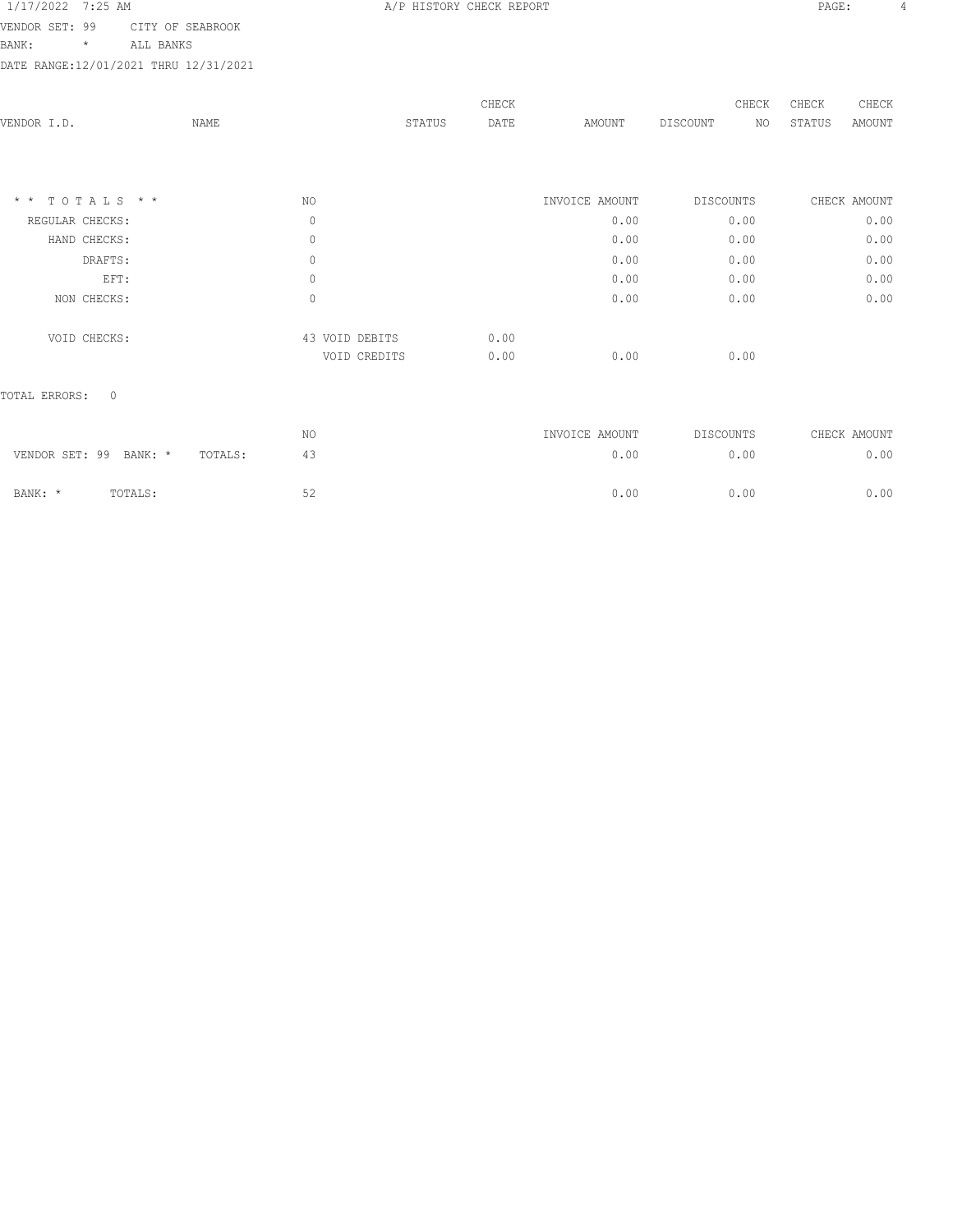VENDOR SET: 99 CITY OF SEABROOK

BANK: \* ALL BANKS

DATE RANGE:12/01/2021 THRU 12/31/2021

| VENDOR I.D.      | NAME |                | CHECK<br>DATE<br>STATUS | AMOUNT         | CHECK<br>DISCOUNT<br>NO | CHECK<br>CHECK<br>STATUS<br>AMOUNT |
|------------------|------|----------------|-------------------------|----------------|-------------------------|------------------------------------|
| $*$ * TOTALS * * |      | NO             |                         | INVOICE AMOUNT | <b>DISCOUNTS</b>        | CHECK AMOUNT                       |
| REGULAR CHECKS:  |      | 0              |                         | 0.00           | 0.00                    | 0.00                               |
| HAND CHECKS:     |      | 0              |                         | 0.00           | 0.00                    | 0.00                               |
| DRAFTS:          |      | 0              |                         | 0.00           | 0.00                    | 0.00                               |
| EFT:             |      | 0              |                         | 0.00           | 0.00                    | 0.00                               |
| NON CHECKS:      |      | 0              |                         | 0.00           | 0.00                    | 0.00                               |
| VOID CHECKS:     |      | 43 VOID DEBITS | 0.00                    |                |                         |                                    |
|                  |      | VOID CREDITS   | 0.00                    | 0.00           | 0.00                    |                                    |
|                  |      |                |                         |                |                         |                                    |

TOTAL ERRORS: 0

|                        |         |         | NO        | INVOICE AMOUNT | DISCOUNTS | CHECK AMOUNT |
|------------------------|---------|---------|-----------|----------------|-----------|--------------|
| VENDOR SET: 99 BANK: * |         | TOTALS: | 43        | 0.00           | 0.00      | 0.00         |
| BANK: *                | TOTALS: |         | 52<br>ے ب | 0.00           | 0.00      | 0.00         |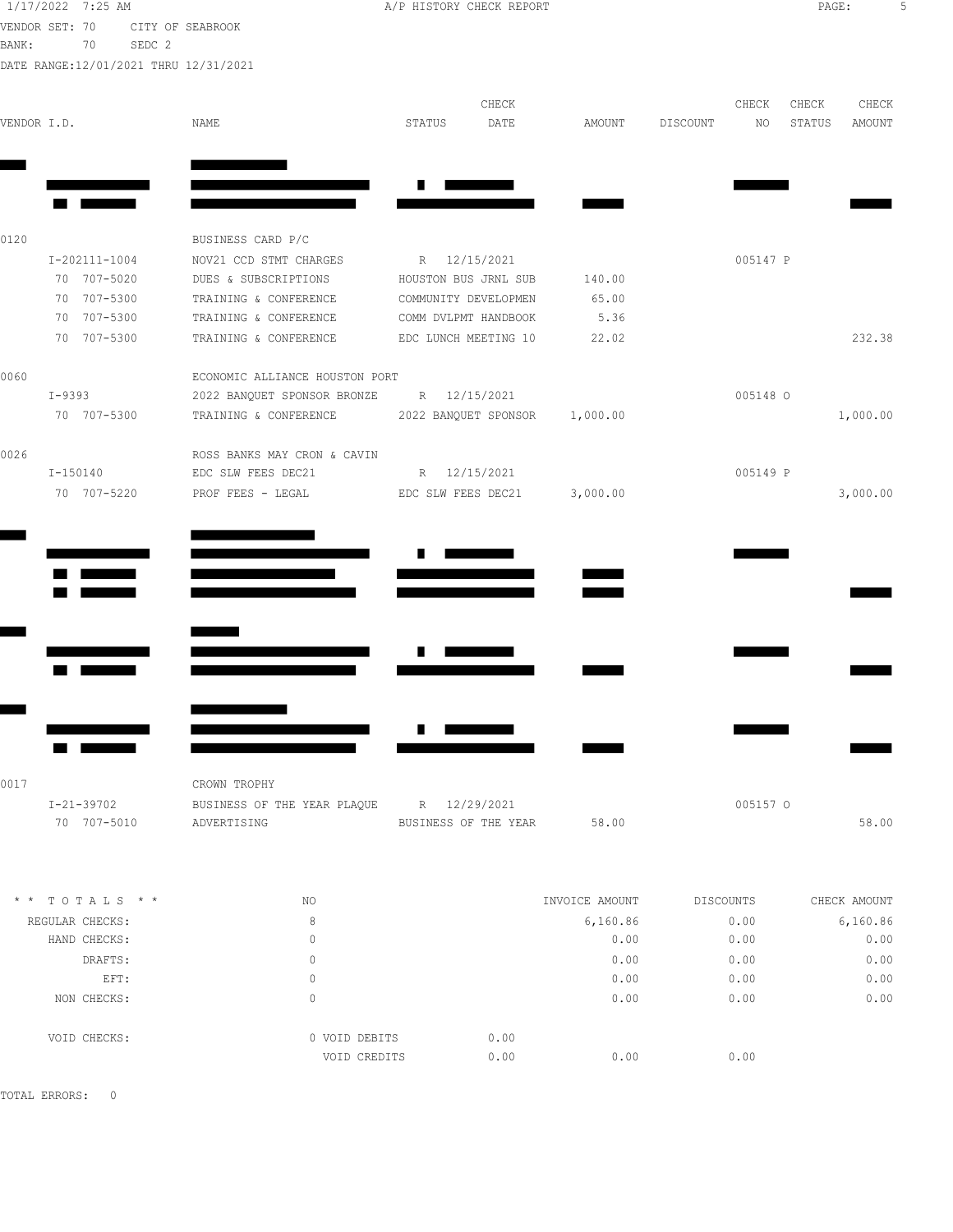1/17/2022 7:25 AM **A/P HISTORY CHECK REPORT PAGE:** 5 VENDOR SET: 70 CITY OF SEABROOK BANK: 70 SEDC 2

|  | A/P HISTORY CHECK REPORT |  |
|--|--------------------------|--|
|  |                          |  |

| BANK:       | SEDC 2<br>70<br>DATE RANGE: 12/01/2021 THRU 12/31/2021 |                                                     |                      |       |                |          |           |        |               |
|-------------|--------------------------------------------------------|-----------------------------------------------------|----------------------|-------|----------------|----------|-----------|--------|---------------|
|             |                                                        |                                                     |                      | CHECK |                |          | CHECK     | CHECK  | CHECK         |
| VENDOR I.D. |                                                        | NAME                                                | STATUS               | DATE  | AMOUNT         | DISCOUNT | NO        | STATUS | <b>AMOUNT</b> |
|             |                                                        |                                                     |                      |       |                |          |           |        |               |
|             |                                                        |                                                     |                      |       |                |          |           |        |               |
|             |                                                        |                                                     |                      |       |                |          |           |        |               |
| 0120        |                                                        | BUSINESS CARD P/C                                   |                      |       |                |          |           |        |               |
|             | I-202111-1004                                          | NOV21 CCD STMT CHARGES                              | R 12/15/2021         |       |                |          | 005147 P  |        |               |
|             | 70 707-5020                                            | DUES & SUBSCRIPTIONS                                | HOUSTON BUS JRNL SUB |       | 140.00         |          |           |        |               |
|             | 70 707-5300                                            | TRAINING & CONFERENCE                               | COMMUNITY DEVELOPMEN |       | 65.00          |          |           |        |               |
|             | 70 707-5300                                            | TRAINING & CONFERENCE                               | COMM DVLPMT HANDBOOK |       | 5.36           |          |           |        |               |
|             | 70 707-5300                                            | TRAINING & CONFERENCE EDC LUNCH MEETING 10          |                      |       | 22.02          |          |           |        | 232.38        |
| 0060        |                                                        | ECONOMIC ALLIANCE HOUSTON PORT                      |                      |       |                |          |           |        |               |
|             | I-9393                                                 | 2022 BANQUET SPONSOR BRONZE R 12/15/2021            |                      |       |                |          | 005148 O  |        |               |
|             | 70 707-5300                                            | TRAINING & CONFERENCE 2022 BANQUET SPONSOR 1,000.00 |                      |       |                |          |           |        | 1,000.00      |
| 0026        |                                                        | ROSS BANKS MAY CRON & CAVIN                         |                      |       |                |          |           |        |               |
|             | I-150140                                               | EDC SLW FEES DEC21                                  | R 12/15/2021         |       |                |          | 005149 P  |        |               |
|             | 70 707-5220                                            | PROF FEES - LEGAL                                   | EDC SLW FEES DEC21   |       | 3,000.00       |          |           |        | 3,000.00      |
|             |                                                        |                                                     |                      |       |                |          |           |        |               |
|             |                                                        |                                                     |                      |       |                |          |           |        |               |
|             |                                                        |                                                     |                      |       |                |          |           |        |               |
|             |                                                        |                                                     |                      |       |                |          |           |        |               |
|             |                                                        |                                                     |                      |       |                |          |           |        |               |
|             |                                                        |                                                     |                      |       |                |          |           |        |               |
|             |                                                        |                                                     |                      |       |                |          |           |        |               |
|             |                                                        |                                                     |                      |       |                |          |           |        |               |
|             |                                                        |                                                     |                      |       |                |          |           |        |               |
| 0017        |                                                        | CROWN TROPHY                                        |                      |       |                |          |           |        |               |
|             | $I - 21 - 39702$                                       | BUSINESS OF THE YEAR PLAQUE R 12/29/2021            |                      |       |                |          | 005157 O  |        |               |
|             | 70 707-5010                                            | ADVERTISING                                         | BUSINESS OF THE YEAR |       | 58.00          |          |           |        | 58.00         |
|             |                                                        |                                                     |                      |       |                |          |           |        |               |
|             | * * TOTALS * *                                         | NO                                                  |                      |       | INVOICE AMOUNT |          | DISCOUNTS |        | CHECK AMOUNT  |
|             | REGULAR CHECKS:                                        | 8                                                   |                      |       | 6,160.86       |          | 0.00      |        | 6,160.86      |

| REGULAR CHECKS: | 8             |      | 6,160.86 | 0.00 | 6,160.86 |
|-----------------|---------------|------|----------|------|----------|
| HAND CHECKS:    | 0             |      | 0.00     | 0.00 | 0.00     |
| DRAFTS:         | 0             |      | 0.00     | 0.00 | 0.00     |
| EFT:            | 0             |      | 0.00     | 0.00 | 0.00     |
| NON CHECKS:     | 0             |      | 0.00     | 0.00 | 0.00     |
| VOID CHECKS:    | 0 VOID DEBITS | 0.00 |          |      |          |
|                 | VOID CREDITS  | 0.00 | 0.00     | 0.00 |          |
|                 |               |      |          |      |          |

TOTAL ERRORS: 0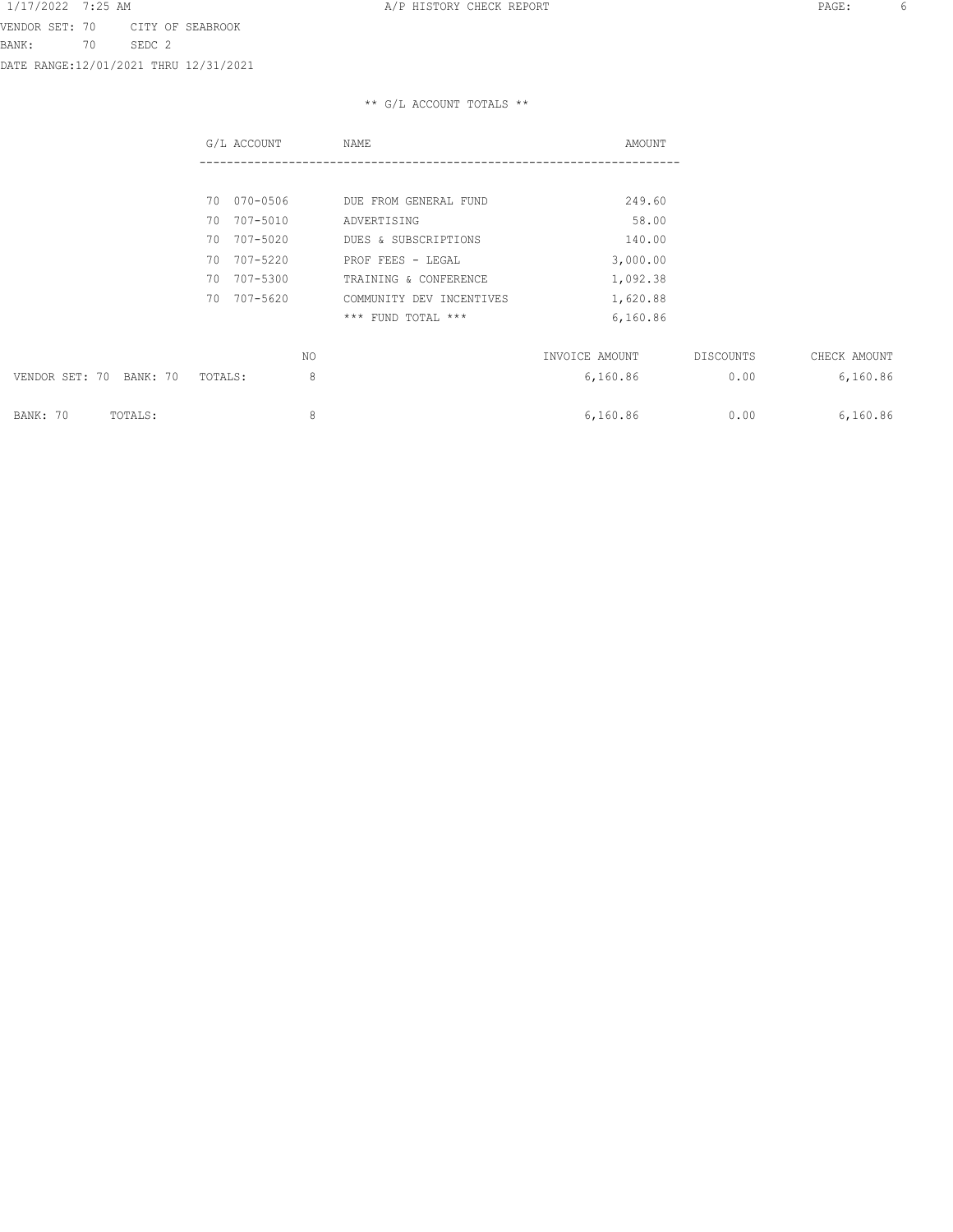## \*\* G/L ACCOUNT TOTALS \*\*

|                         | G/L ACCOUNT  | NAME                     | AMOUNT         |           |              |
|-------------------------|--------------|--------------------------|----------------|-----------|--------------|
|                         |              |                          |                |           |              |
|                         | 70 070-0506  | DUE FROM GENERAL FUND    | 249.60         |           |              |
|                         | 70 707-5010  | ADVERTISING              | 58.00          |           |              |
|                         | 70 707-5020  | DUES & SUBSCRIPTIONS     | 140.00         |           |              |
|                         | 70 707-5220  | PROF FEES - LEGAL        | 3,000.00       |           |              |
|                         | 70 707-5300  | TRAINING & CONFERENCE    | 1,092.38       |           |              |
|                         | 70 707-5620  | COMMUNITY DEV INCENTIVES | 1,620.88       |           |              |
|                         |              | *** FUND TOTAL ***       | 6,160.86       |           |              |
|                         | NO.          |                          | INVOICE AMOUNT | DISCOUNTS | CHECK AMOUNT |
| VENDOR SET: 70 BANK: 70 | 8<br>TOTALS: |                          | 6,160.86       | 0.00      | 6,160.86     |
| BANK: 70<br>TOTALS:     | 8            |                          | 6,160.86       | 0.00      | 6,160.86     |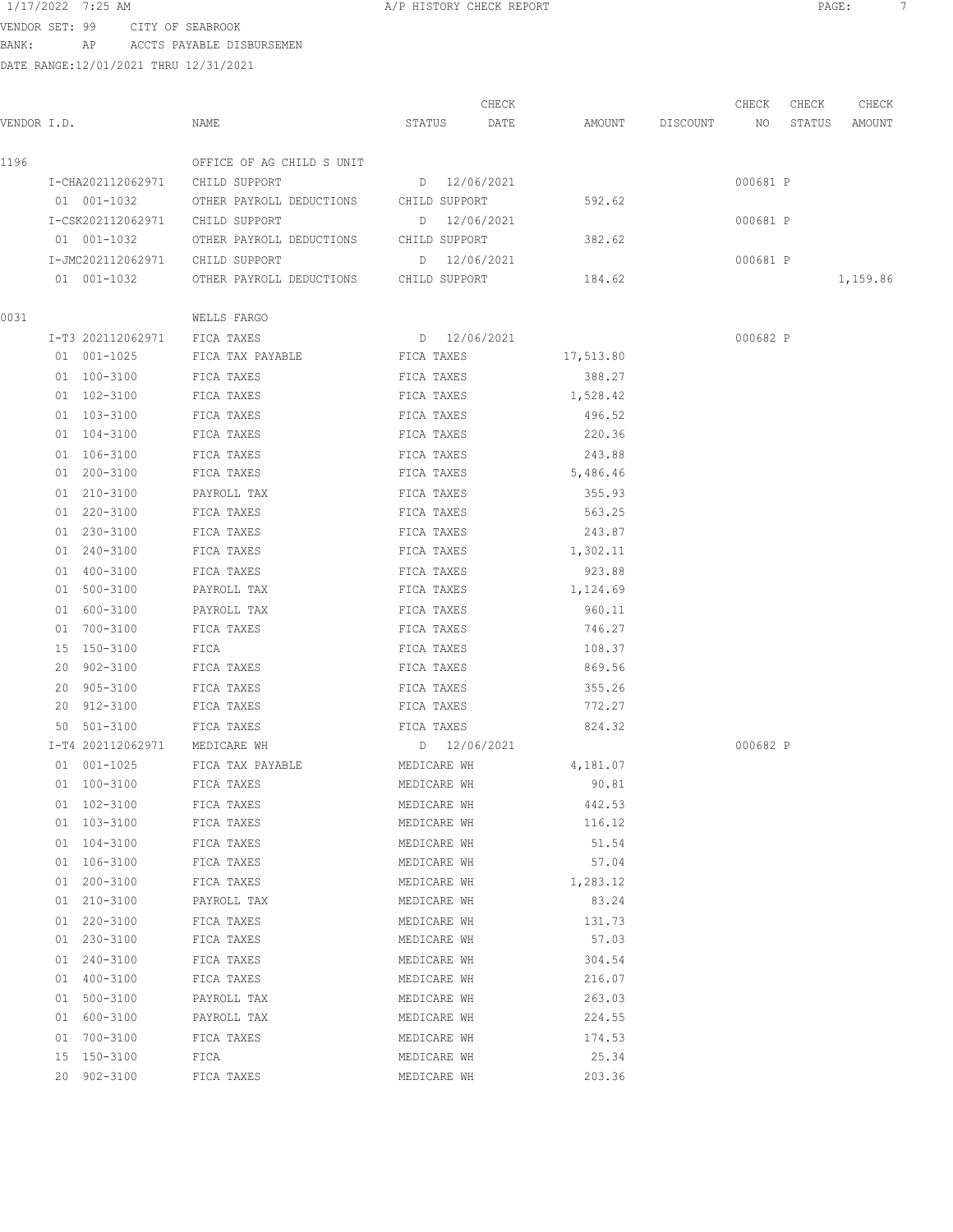VENDOR SET: 99 CITY OF SEABROOK BANK: AP ACCTS PAYABLE DISBURSEMEN

| VENDOR I.D. |                               | NAME                                               | STATUS       | CHECK<br>DATE |                  | AMOUNT DISCOUNT NO | CHECK    | CHECK<br>STATUS | CHECK<br>AMOUNT |
|-------------|-------------------------------|----------------------------------------------------|--------------|---------------|------------------|--------------------|----------|-----------------|-----------------|
| 1196        |                               | OFFICE OF AG CHILD S UNIT                          |              |               |                  |                    |          |                 |                 |
|             |                               | I-CHA202112062971 CHILD SUPPORT                    |              | D 12/06/2021  |                  |                    | 000681 P |                 |                 |
|             |                               | 01 001-1032 OTHER PAYROLL DEDUCTIONS CHILD SUPPORT |              |               | 592.62           |                    |          |                 |                 |
|             |                               | I-CSK202112062971 CHILD SUPPORT                    | D 12/06/2021 |               |                  |                    | 000681 P |                 |                 |
|             | 01 001-1032                   | OTHER PAYROLL DEDUCTIONS CHILD SUPPORT             |              |               | 382.62           |                    |          |                 |                 |
|             |                               | I-JMC202112062971 CHILD SUPPORT                    |              | D 12/06/2021  |                  |                    | 000681 P |                 |                 |
|             | 01  001-1032                  | OTHER PAYROLL DEDUCTIONS CHILD SUPPORT             |              |               | 184.62           |                    |          |                 | 1,159.86        |
| 0031        |                               | WELLS FARGO                                        |              |               |                  |                    |          |                 |                 |
|             | I-T3 202112062971             | FICA TAXES                                         |              | D 12/06/2021  |                  |                    | 000682 P |                 |                 |
|             | 01 001-1025                   | FICA TAX PAYABLE                                   | FICA TAXES   |               | 17,513.80        |                    |          |                 |                 |
|             | 01 100-3100                   | FICA TAXES                                         | FICA TAXES   |               | 388.27           |                    |          |                 |                 |
|             | 01 102-3100                   | FICA TAXES                                         | FICA TAXES   |               | 1,528.42         |                    |          |                 |                 |
|             | 01 103-3100                   | FICA TAXES                                         | FICA TAXES   |               | 496.52           |                    |          |                 |                 |
|             | 01 104-3100                   | FICA TAXES                                         | FICA TAXES   |               | 220.36           |                    |          |                 |                 |
|             | 01 106-3100                   | FICA TAXES                                         | FICA TAXES   |               | 243.88           |                    |          |                 |                 |
|             | 01 200-3100                   | FICA TAXES                                         | FICA TAXES   |               | 5,486.46         |                    |          |                 |                 |
|             | 01 210-3100                   | PAYROLL TAX                                        | FICA TAXES   |               | 355.93           |                    |          |                 |                 |
|             | 01 220-3100                   | FICA TAXES                                         | FICA TAXES   |               | 563.25           |                    |          |                 |                 |
|             | 01 230-3100                   | FICA TAXES                                         | FICA TAXES   |               | 243.87           |                    |          |                 |                 |
|             | 01 240-3100                   | FICA TAXES                                         | FICA TAXES   |               | 1,302.11         |                    |          |                 |                 |
|             | 01 400-3100                   | FICA TAXES                                         | FICA TAXES   |               | 923.88           |                    |          |                 |                 |
|             | 01 500-3100                   | PAYROLL TAX                                        | FICA TAXES   |               | 1,124.69         |                    |          |                 |                 |
|             | 01 600-3100                   | PAYROLL TAX                                        | FICA TAXES   |               | 960.11           |                    |          |                 |                 |
|             | 01 700-3100                   | FICA TAXES                                         | FICA TAXES   |               | 746.27           |                    |          |                 |                 |
|             | 15 150-3100                   | FICA                                               | FICA TAXES   |               | 108.37           |                    |          |                 |                 |
|             | 20 902-3100                   | FICA TAXES                                         | FICA TAXES   |               | 869.56           |                    |          |                 |                 |
|             | 20 905-3100                   | FICA TAXES                                         | FICA TAXES   |               | 355.26           |                    |          |                 |                 |
|             | 20 912-3100                   | FICA TAXES                                         | FICA TAXES   |               | 772.27           |                    |          |                 |                 |
|             | 50 501-3100                   | FICA TAXES                                         | FICA TAXES   |               | 824.32           |                    |          |                 |                 |
|             | I-T4 202112062971 MEDICARE WH |                                                    | D 12/06/2021 |               |                  |                    | 000682 P |                 |                 |
|             | 01 001-1025                   | FICA TAX PAYABLE                                   | MEDICARE WH  |               | 4,181.07         |                    |          |                 |                 |
|             | 01 100-3100                   |                                                    | MEDICARE WH  |               | 90.81            |                    |          |                 |                 |
|             | 01 102-3100                   | FICA TAXES                                         | MEDICARE WH  |               |                  |                    |          |                 |                 |
|             | 01 103-3100                   | FICA TAXES<br>FICA TAXES                           | MEDICARE WH  |               | 442.53<br>116.12 |                    |          |                 |                 |
|             |                               |                                                    |              |               |                  |                    |          |                 |                 |
|             | 01 104-3100<br>01 106-3100    | FICA TAXES                                         | MEDICARE WH  |               | 51.54<br>57.04   |                    |          |                 |                 |
|             |                               | FICA TAXES                                         | MEDICARE WH  |               |                  |                    |          |                 |                 |
|             | 01 200-3100                   | FICA TAXES                                         | MEDICARE WH  |               | 1,283.12         |                    |          |                 |                 |
|             | 01 210-3100                   | PAYROLL TAX                                        | MEDICARE WH  |               | 83.24            |                    |          |                 |                 |
|             | 01 220-3100                   | FICA TAXES                                         | MEDICARE WH  |               | 131.73           |                    |          |                 |                 |
|             | 01 230-3100                   | FICA TAXES                                         | MEDICARE WH  |               | 57.03            |                    |          |                 |                 |
|             | 01 240-3100                   | FICA TAXES                                         | MEDICARE WH  |               | 304.54           |                    |          |                 |                 |
|             | 01 400-3100                   | FICA TAXES                                         | MEDICARE WH  |               | 216.07           |                    |          |                 |                 |
|             | 01 500-3100                   | PAYROLL TAX                                        | MEDICARE WH  |               | 263.03           |                    |          |                 |                 |
|             | 01 600-3100                   | PAYROLL TAX                                        | MEDICARE WH  |               | 224.55           |                    |          |                 |                 |
|             | 01 700-3100                   | FICA TAXES                                         | MEDICARE WH  |               | 174.53           |                    |          |                 |                 |
|             | 15 150-3100                   | FICA                                               | MEDICARE WH  |               | 25.34            |                    |          |                 |                 |
|             | 20 902-3100                   | FICA TAXES                                         | MEDICARE WH  |               | 203.36           |                    |          |                 |                 |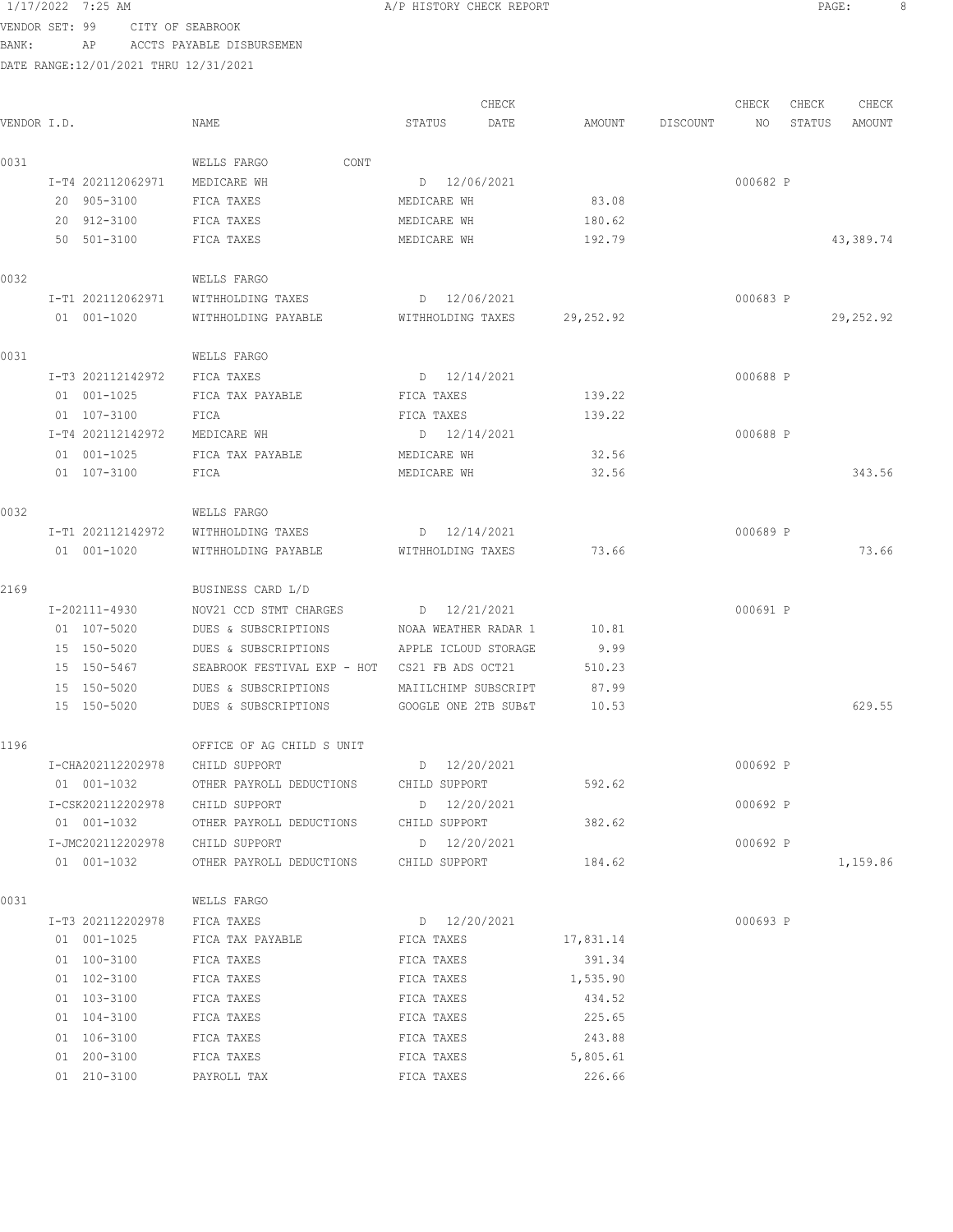### VENDOR SET: 99 CITY OF SEABROOK

BANK: AP ACCTS PAYABLE DISBURSEMEN

DATE RANGE:12/01/2021 THRU 12/31/2021

CHECK CHECK CHECK CHECK VENDOR I.D. NAME STATUS DATE AMOUNT DISCOUNT NO STATUS AMOUNT 0031 WELLS FARGO CONT I-T4 202112062971 MEDICARE WH D 12/06/2021 D 12/06/2021 20 905-3100 FICA TAXES MEDICARE WH 83.08 20 912-3100 FICA TAXES MEDICARE WH 180.62 50 501-3100 FICA TAXES MEDICARE WH 192.79 43,389.74 0032 WELLS FARGO I-T1 202112062971 WITHHOLDING TAXES D 12/06/2021 000683 P 01 001-1020 WITHHOLDING PAYABLE WITHHOLDING TAXES 29,252.92 29,252.92 0031 WELLS FARGO I-T3 202112142972 FICA TAXES D 12/14/2021 D 12/14/2021 01 001-1025 FICA TAX PAYABLE FICA TAXES 139.22 01 107-3100 FICA FICA TAXES 139.22 I-T4 202112142972 MEDICARE WH D 12/14/2021 000688 P 01 001-1025 FICA TAX PAYABLE MEDICARE WH 32.56 01 107-3100 FICA MEDICARE WH 32.56 343.56 0032 WELLS FARGO I-T1 202112142972 WITHHOLDING TAXES D 12/14/2021 000689 P 01 001-1020 WITHHOLDING PAYABLE WITHHOLDING TAXES 73.66 73.66 73.66 2169 BUSINESS CARD L/D I-202111-4930 NOV21 CCD STMT CHARGES D 12/21/2021 000691 P 01 107-5020 DUES & SUBSCRIPTIONS NOAA WEATHER RADAR 1 10.81 15 150-5020 DUES & SUBSCRIPTIONS APPLE ICLOUD STORAGE 9.99 15 150-5467 SEABROOK FESTIVAL EXP - HOT CS21 FB ADS OCT21 510.23 15 150-5020 DUES & SUBSCRIPTIONS MAIILCHIMP SUBSCRIPT 87.99 15 150-5020 DUES & SUBSCRIPTIONS GOOGLE ONE 2TB SUB&T 10.53 629.55 1196 OFFICE OF AG CHILD S UNIT I-CHA202112202978 CHILD SUPPORT D 12/20/2021 000692 P 01 001-1032 OTHER PAYROLL DEDUCTIONS CHILD SUPPORT 592.62 I-CSK202112202978 CHILD SUPPORT D 12/20/2021 000692 P 01 001-1032 OTHER PAYROLL DEDUCTIONS CHILD SUPPORT 382.62 I-JMC202112202978 CHILD SUPPORT D 12/20/2021 000692 P 01 001-1032 OTHER PAYROLL DEDUCTIONS CHILD SUPPORT 184.62 184.62 0031 WELLS FARGO I-T3 202112202978 FICA TAXES D 12/20/2021 000693 P 01 001-1025 FICA TAX PAYABLE FICA TAXES 17,831.14 01 100-3100 FICA TAXES FICA TAXES FICA TAXES 391.34 01 102-3100 FICA TAXES FICA TAXES FICA TAXES 1,535.90 01 103-3100 FICA TAXES FICA TAXES FICA TAXES 434.52 01 104-3100 FICA TAXES FICA TAXES **FICA TAXES** 225.65 01 106-3100 FICA TAXES FICA TAXES 243.88 01 200-3100 FICA TAXES FICA TAXES 5,805.61 01 210-3100 PAYROLL TAX FICA TAXES 226.66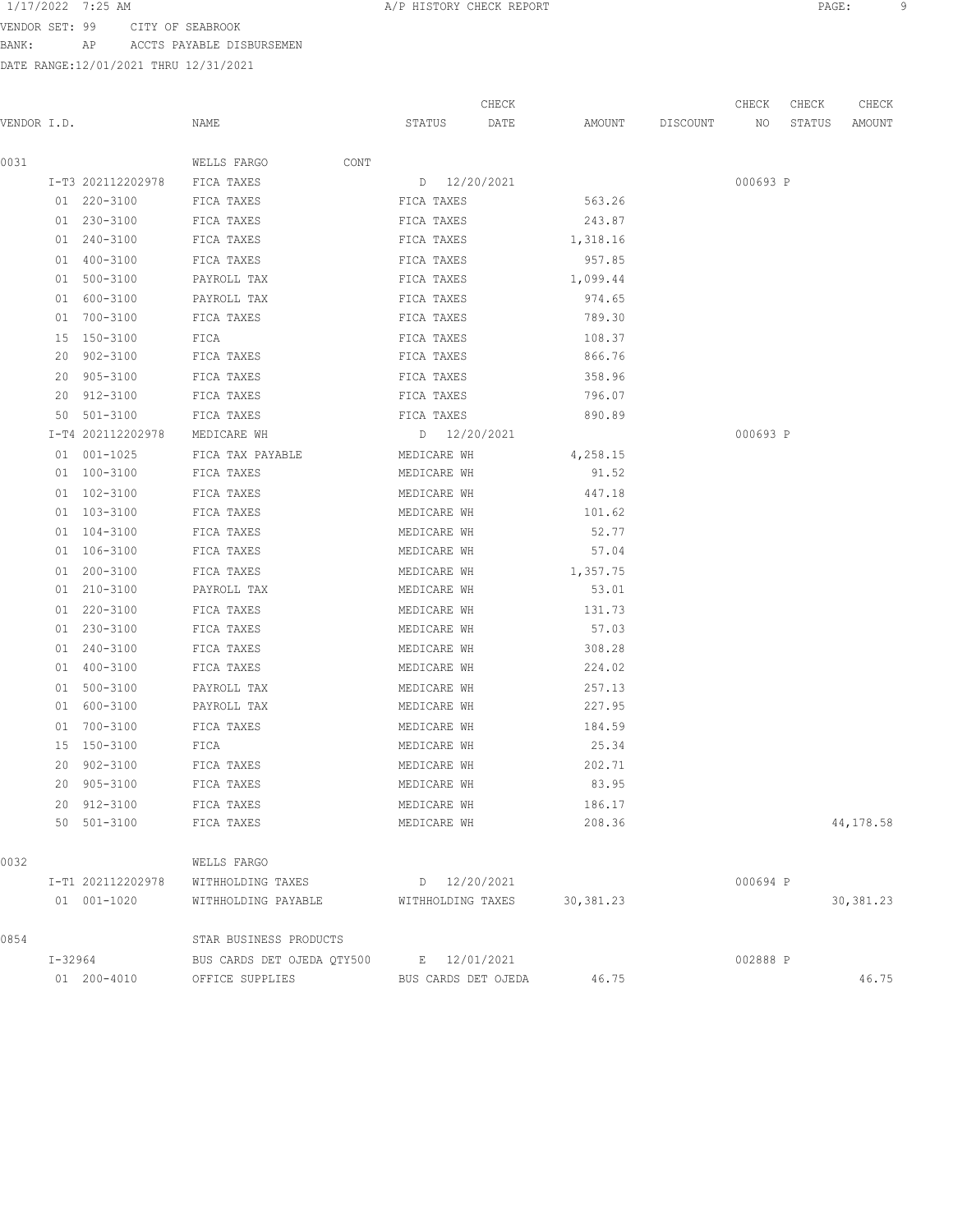VENDOR SET: 99 CITY OF SEABROOK BANK: AP ACCTS PAYABLE DISBURSEMEN

|             |         |                   |                            |                     | CHECK |            |                 | CHECK    | CHECK  | CHECK      |
|-------------|---------|-------------------|----------------------------|---------------------|-------|------------|-----------------|----------|--------|------------|
| VENDOR I.D. |         |                   | NAME                       | STATUS              | DATE  |            | AMOUNT DISCOUNT | NO       | STATUS | AMOUNT     |
| 0031        |         |                   | WELLS FARGO<br>CONT        |                     |       |            |                 |          |        |            |
|             |         | I-T3 202112202978 | FICA TAXES                 | D 12/20/2021        |       |            |                 | 000693 P |        |            |
|             |         | 01 220-3100       | FICA TAXES                 | FICA TAXES          |       | 563.26     |                 |          |        |            |
|             |         | 01 230-3100       | FICA TAXES                 | FICA TAXES          |       | 243.87     |                 |          |        |            |
|             |         | 01 240-3100       | FICA TAXES                 | FICA TAXES          |       | 1,318.16   |                 |          |        |            |
|             |         | 01 400-3100       | FICA TAXES                 | FICA TAXES          |       | 957.85     |                 |          |        |            |
|             |         | 01 500-3100       | PAYROLL TAX                | FICA TAXES          |       | 1,099.44   |                 |          |        |            |
|             |         | 01 600-3100       | PAYROLL TAX                | FICA TAXES          |       | 974.65     |                 |          |        |            |
|             |         | 01 700-3100       | FICA TAXES                 | FICA TAXES          |       | 789.30     |                 |          |        |            |
|             |         | 15 150-3100       | FICA                       | FICA TAXES          |       | 108.37     |                 |          |        |            |
|             |         | 20 902-3100       | FICA TAXES                 | FICA TAXES          |       | 866.76     |                 |          |        |            |
|             |         | 20 905-3100       | FICA TAXES                 | FICA TAXES          |       | 358.96     |                 |          |        |            |
|             |         | 20 912-3100       | FICA TAXES                 | FICA TAXES          |       | 796.07     |                 |          |        |            |
|             |         | 50 501-3100       | FICA TAXES                 | FICA TAXES          |       | 890.89     |                 |          |        |            |
|             |         | I-T4 202112202978 | MEDICARE WH                | D 12/20/2021        |       |            |                 | 000693 P |        |            |
|             |         | 01 001-1025       | FICA TAX PAYABLE           | MEDICARE WH         |       | 4,258.15   |                 |          |        |            |
|             |         | 01 100-3100       | FICA TAXES                 | MEDICARE WH         |       | 91.52      |                 |          |        |            |
|             |         | 01 102-3100       | FICA TAXES                 | MEDICARE WH         |       | 447.18     |                 |          |        |            |
|             |         | 01 103-3100       | FICA TAXES                 | MEDICARE WH         |       | 101.62     |                 |          |        |            |
|             |         | 01 104-3100       | FICA TAXES                 | MEDICARE WH         |       | 52.77      |                 |          |        |            |
|             |         | 01 106-3100       | FICA TAXES                 | MEDICARE WH         |       | 57.04      |                 |          |        |            |
|             |         | 01 200-3100       | FICA TAXES                 | MEDICARE WH         |       | 1,357.75   |                 |          |        |            |
|             |         | 01 210-3100       | PAYROLL TAX                | MEDICARE WH         |       | 53.01      |                 |          |        |            |
|             |         | 01 220-3100       | FICA TAXES                 | MEDICARE WH         |       | 131.73     |                 |          |        |            |
|             |         | 01 230-3100       | FICA TAXES                 | MEDICARE WH         |       | 57.03      |                 |          |        |            |
|             |         | 01 240-3100       | FICA TAXES                 | MEDICARE WH         |       | 308.28     |                 |          |        |            |
|             |         | 01 400-3100       | FICA TAXES                 | MEDICARE WH         |       | 224.02     |                 |          |        |            |
|             |         | 01 500-3100       | PAYROLL TAX                | MEDICARE WH         |       | 257.13     |                 |          |        |            |
|             |         | 01 600-3100       | PAYROLL TAX                | MEDICARE WH         |       | 227.95     |                 |          |        |            |
|             |         | 01 700-3100       | FICA TAXES                 | MEDICARE WH         |       | 184.59     |                 |          |        |            |
|             |         | 15 150-3100       | FICA                       | MEDICARE WH         |       | 25.34      |                 |          |        |            |
|             |         | 20 902-3100       | FICA TAXES                 | MEDICARE WH         |       | 202.71     |                 |          |        |            |
|             |         | 20 905-3100       | FICA TAXES                 | MEDICARE WH         |       | 83.95      |                 |          |        |            |
|             |         | 20 912-3100       | FICA TAXES                 | MEDICARE WH         |       | 186.17     |                 |          |        |            |
|             |         | 50 501-3100       | FICA TAXES                 | MEDICARE WH         |       | 208.36     |                 |          |        | 44, 178.58 |
| 0032        |         |                   | WELLS FARGO                |                     |       |            |                 |          |        |            |
|             |         | I-T1 202112202978 | WITHHOLDING TAXES          | D 12/20/2021        |       |            |                 | 000694 P |        |            |
|             |         | 01 001-1020       | WITHHOLDING PAYABLE        | WITHHOLDING TAXES   |       | 30, 381.23 |                 |          |        | 30,381.23  |
| 0854        |         |                   | STAR BUSINESS PRODUCTS     |                     |       |            |                 |          |        |            |
|             | I-32964 |                   | BUS CARDS DET OJEDA QTY500 | E 12/01/2021        |       |            |                 | 002888 P |        |            |
|             |         | 01 200-4010       | OFFICE SUPPLIES            | BUS CARDS DET OJEDA |       | 46.75      |                 |          |        | 46.75      |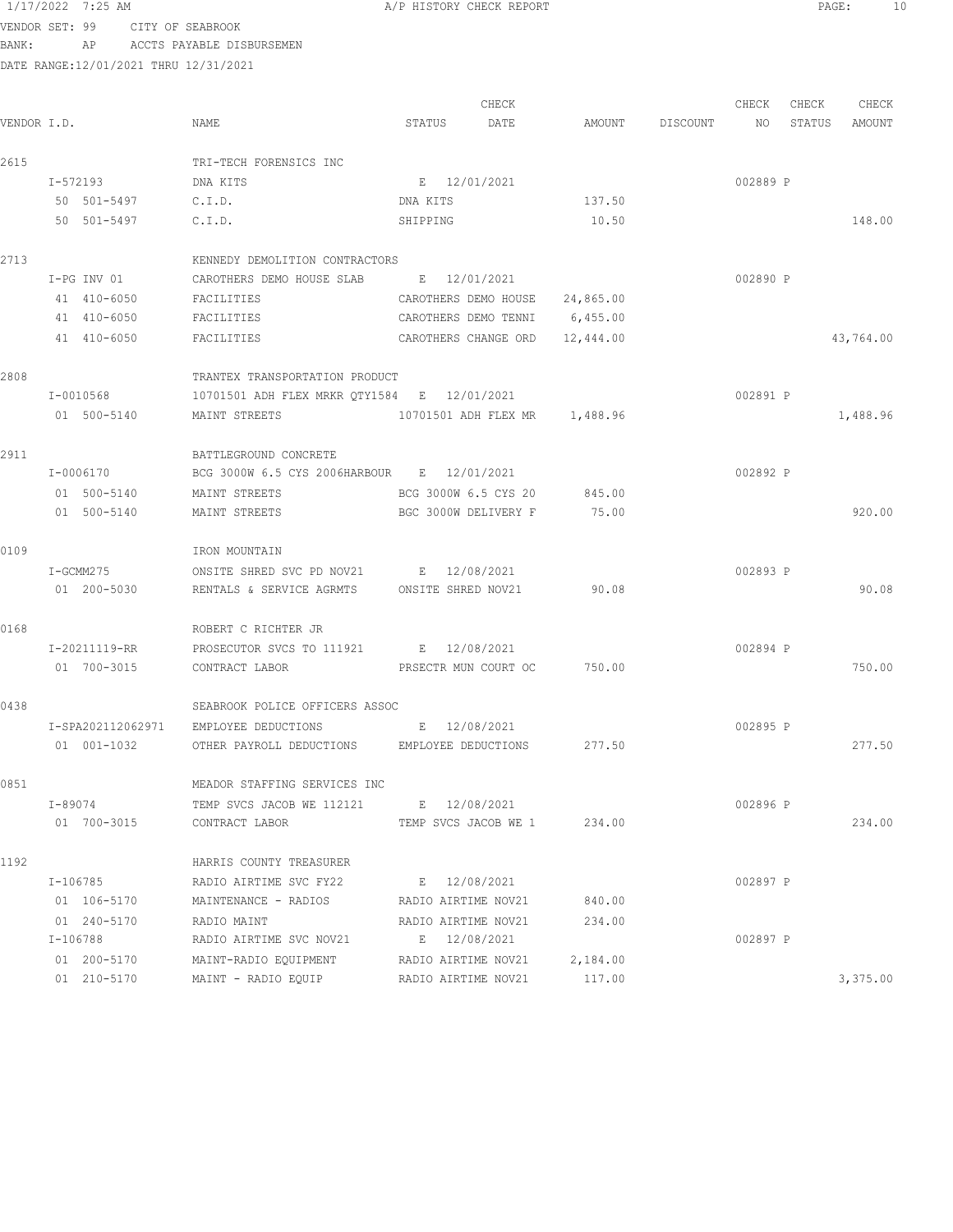VENDOR SET: 99 CITY OF SEABROOK

BANK: AP ACCTS PAYABLE DISBURSEMEN

| VENDOR I.D. |               | NAME                                         | STATUS   | CHECK<br>DATE                 |           | AMOUNT DISCOUNT NO | CHECK    | CHECK<br>STATUS | CHECK<br>AMOUNT |
|-------------|---------------|----------------------------------------------|----------|-------------------------------|-----------|--------------------|----------|-----------------|-----------------|
|             |               |                                              |          |                               |           |                    |          |                 |                 |
| 2615        |               | TRI-TECH FORENSICS INC                       |          |                               |           |                    |          |                 |                 |
|             | I-572193      | DNA KITS                                     | DNA KITS | E 12/01/2021                  |           |                    | 002889 P |                 |                 |
|             | 50 501-5497   | C.I.D.                                       |          |                               | 137.50    |                    |          |                 |                 |
|             | 50 501-5497   | C.I.D.                                       | SHIPPING |                               | 10.50     |                    |          |                 | 148.00          |
| 2713        |               | KENNEDY DEMOLITION CONTRACTORS               |          |                               |           |                    |          |                 |                 |
|             | I-PG INV 01   | CAROTHERS DEMO HOUSE SLAB E 12/01/2021       |          |                               |           |                    | 002890 P |                 |                 |
|             | 41 410-6050   | FACILITIES                                   |          | CAROTHERS DEMO HOUSE          | 24,865.00 |                    |          |                 |                 |
|             | 41 410-6050   | FACILITIES                                   |          | CAROTHERS DEMO TENNI          | 6,455.00  |                    |          |                 |                 |
|             | 41 410-6050   | FACILITIES                                   |          | CAROTHERS CHANGE ORD          | 12,444.00 |                    |          |                 | 43,764.00       |
| 2808        |               | TRANTEX TRANSPORTATION PRODUCT               |          |                               |           |                    |          |                 |                 |
|             | I-0010568     | 10701501 ADH FLEX MRKR QTY1584 E 12/01/2021  |          |                               |           |                    | 002891 P |                 |                 |
|             | 01 500-5140   | MAINT STREETS                                |          | 10701501 ADH FLEX MR 1,488.96 |           |                    |          |                 | 1,488.96        |
| 2911        |               | BATTLEGROUND CONCRETE                        |          |                               |           |                    |          |                 |                 |
|             | I-0006170     | BCG 3000W 6.5 CYS 2006HARBOUR E 12/01/2021   |          |                               |           |                    | 002892 P |                 |                 |
|             | 01 500-5140   | MAINT STREETS                                |          | BCG 3000W 6.5 CYS 20          | 845.00    |                    |          |                 |                 |
|             | 01 500-5140   | MAINT STREETS                                |          | BGC 3000W DELIVERY F          | 75.00     |                    |          |                 | 920.00          |
|             |               |                                              |          |                               |           |                    |          |                 |                 |
| 0109        |               | IRON MOUNTAIN                                |          |                               |           |                    |          |                 |                 |
|             | I-GCMM275     | ONSITE SHRED SVC PD NOV21 E 12/08/2021       |          |                               |           |                    | 002893 P |                 |                 |
|             | 01 200-5030   | RENTALS & SERVICE AGRMTS ONSITE SHRED NOV21  |          |                               | 90.08     |                    |          |                 | 90.08           |
| 0168        |               | ROBERT C RICHTER JR                          |          |                               |           |                    |          |                 |                 |
|             | I-20211119-RR | PROSECUTOR SVCS TO 111921 E 12/08/2021       |          |                               |           |                    | 002894 P |                 |                 |
|             | 01 700-3015   | CONTRACT LABOR                               |          | PRSECTR MUN COURT OC          | 750.00    |                    |          |                 | 750.00          |
| 0438        |               | SEABROOK POLICE OFFICERS ASSOC               |          |                               |           |                    |          |                 |                 |
|             |               | I-SPA202112062971 EMPLOYEE DEDUCTIONS        |          | E 12/08/2021                  |           |                    | 002895 P |                 |                 |
|             | 01 001-1032   | OTHER PAYROLL DEDUCTIONS EMPLOYEE DEDUCTIONS |          |                               | 277.50    |                    |          |                 | 277.50          |
| 0851        |               | MEADOR STAFFING SERVICES INC                 |          |                               |           |                    |          |                 |                 |
|             | I-89074       | TEMP SVCS JACOB WE 112121 E 12/08/2021       |          |                               |           |                    | 002896 P |                 |                 |
|             | 01 700-3015   | CONTRACT LABOR                               |          | TEMP SVCS JACOB WE 1 234.00   |           |                    |          |                 | 234.00          |
| 1192        |               | HARRIS COUNTY TREASURER                      |          |                               |           |                    |          |                 |                 |
|             | I-106785      | RADIO AIRTIME SVC FY22                       |          | E 12/08/2021                  |           |                    | 002897 P |                 |                 |
|             | 01 106-5170   | MAINTENANCE - RADIOS RADIO AIRTIME NOV21     |          |                               | 840.00    |                    |          |                 |                 |
|             | 01 240-5170   | RADIO MAINT                                  |          | RADIO AIRTIME NOV21           | 234.00    |                    |          |                 |                 |
|             | I-106788      | RADIO AIRTIME SVC NOV21                      |          | E 12/08/2021                  |           |                    | 002897 P |                 |                 |
|             | 01 200-5170   | MAINT-RADIO EQUIPMENT                        |          | RADIO AIRTIME NOV21           | 2,184.00  |                    |          |                 |                 |
|             | 01 210-5170   | MAINT - RADIO EQUIP                          |          | RADIO AIRTIME NOV21           | 117.00    |                    |          |                 | 3,375.00        |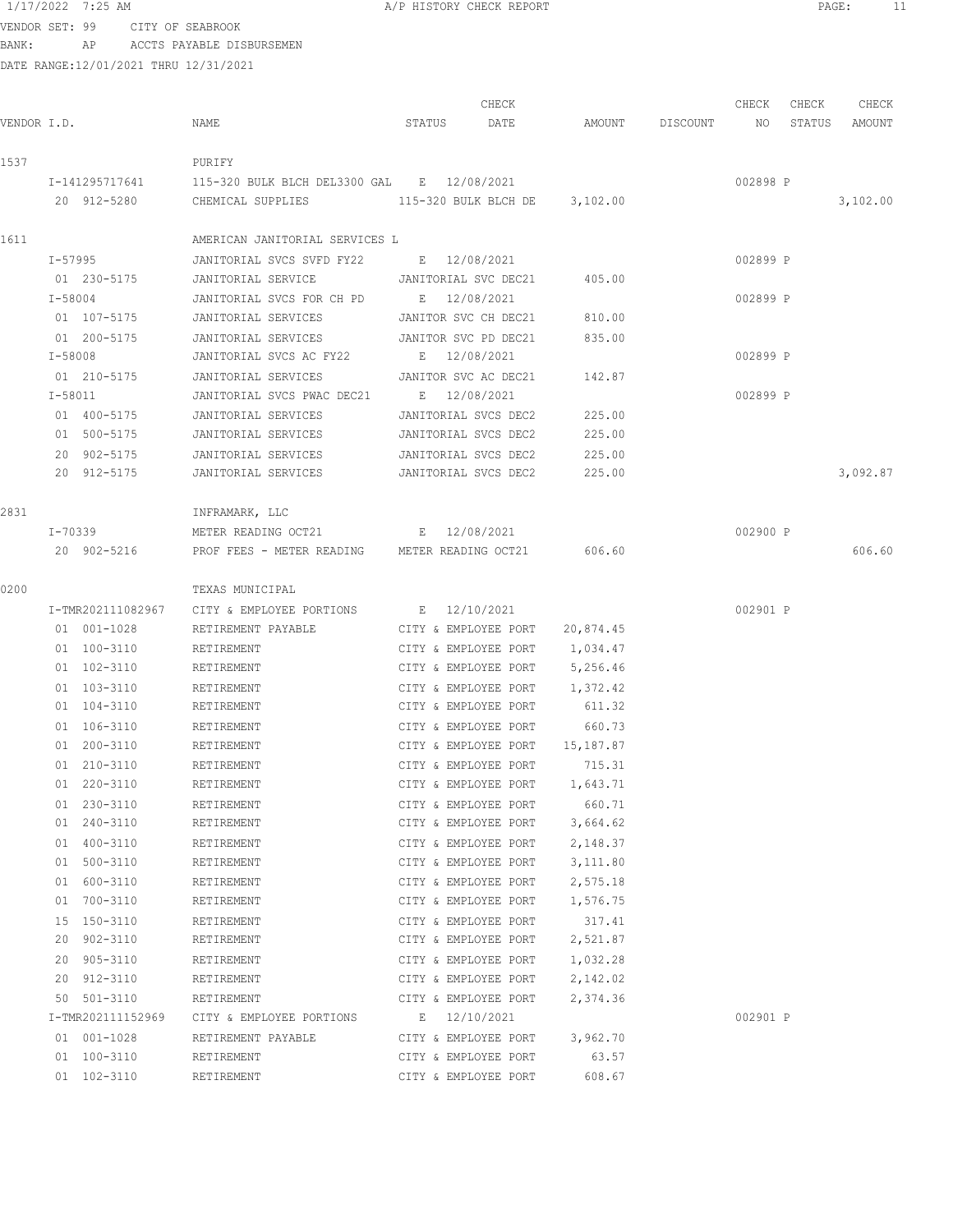VENDOR SET: 99 CITY OF SEABROOK BANK: AP ACCTS PAYABLE DISBURSEMEN

|             |         |                   |                                                      |        | CHECK                |           |                    | CHECK    | CHECK  | CHECK    |
|-------------|---------|-------------------|------------------------------------------------------|--------|----------------------|-----------|--------------------|----------|--------|----------|
| VENDOR I.D. |         |                   | NAME                                                 | STATUS | DATE                 |           | AMOUNT DISCOUNT NO |          | STATUS | AMOUNT   |
| 1537        |         |                   | PURIFY                                               |        |                      |           |                    |          |        |          |
|             |         | I-141295717641    | 115-320 BULK BLCH DEL3300 GAL B 12/08/2021           |        |                      |           |                    | 002898 P |        |          |
|             |         | 20 912-5280       | CHEMICAL SUPPLIES 115-320 BULK BLCH DE 3,102.00      |        |                      |           |                    |          |        | 3,102.00 |
| 1611        |         |                   | AMERICAN JANITORIAL SERVICES L                       |        |                      |           |                    |          |        |          |
|             |         | I-57995           | JANITORIAL SVCS SVFD FY22 E 12/08/2021               |        |                      |           |                    | 002899 P |        |          |
|             |         | 01 230-5175       |                                                      |        |                      | 405.00    |                    |          |        |          |
|             |         | $I - 58004$       | JANITORIAL SVCS FOR CH PD E 12/08/2021               |        |                      |           |                    | 002899 P |        |          |
|             |         | 01 107-5175       | JANITORIAL SERVICES JANITOR SVC CH DEC21             |        |                      | 810.00    |                    |          |        |          |
|             |         | 01 200-5175       | JANITORIAL SERVICES                                  |        | JANITOR SVC PD DEC21 | 835.00    |                    |          |        |          |
|             | I-58008 |                   | JANITORIAL SVCS AC FY22                              |        | E 12/08/2021         |           |                    | 002899 P |        |          |
|             |         | 01 210-5175       | JANITORIAL SERVICES                                  |        | JANITOR SVC AC DEC21 | 142.87    |                    |          |        |          |
|             | I-58011 |                   | JANITORIAL SVCS PWAC DEC21                           |        | E 12/08/2021         |           |                    | 002899 P |        |          |
|             |         | 01 400-5175       | JANITORIAL SERVICES                                  |        | JANITORIAL SVCS DEC2 | 225.00    |                    |          |        |          |
|             |         | 01 500-5175       | JANITORIAL SERVICES                                  |        | JANITORIAL SVCS DEC2 | 225.00    |                    |          |        |          |
|             |         | 20 902-5175       | JANITORIAL SERVICES                                  |        | JANITORIAL SVCS DEC2 | 225.00    |                    |          |        |          |
|             |         | 20 912-5175       | JANITORIAL SERVICES                                  |        | JANITORIAL SVCS DEC2 | 225.00    |                    |          |        | 3,092.87 |
| 2831        |         |                   | INFRAMARK, LLC                                       |        |                      |           |                    |          |        |          |
|             |         | I-70339           | METER READING OCT21 E 12/08/2021                     |        |                      |           |                    | 002900 P |        |          |
|             |         | 20 902-5216       | PROF FEES - METER READING METER READING OCT21 606.60 |        |                      |           |                    |          |        | 606.60   |
| 0200        |         |                   | TEXAS MUNICIPAL                                      |        |                      |           |                    |          |        |          |
|             |         | I-TMR202111082967 | CITY & EMPLOYEE PORTIONS                             |        | E 12/10/2021         |           |                    | 002901 P |        |          |
|             |         | 01 001-1028       | RETIREMENT PAYABLE                                   |        | CITY & EMPLOYEE PORT | 20,874.45 |                    |          |        |          |
|             |         | 01 100-3110       | RETIREMENT                                           |        | CITY & EMPLOYEE PORT | 1,034.47  |                    |          |        |          |
|             |         | 01 102-3110       | RETIREMENT                                           |        | CITY & EMPLOYEE PORT | 5,256.46  |                    |          |        |          |
|             |         | 01 103-3110       | RETIREMENT                                           |        | CITY & EMPLOYEE PORT | 1,372.42  |                    |          |        |          |
|             |         | 01 104-3110       | RETIREMENT                                           |        | CITY & EMPLOYEE PORT | 611.32    |                    |          |        |          |
|             |         | 01 106-3110       | RETIREMENT                                           |        | CITY & EMPLOYEE PORT | 660.73    |                    |          |        |          |
|             |         | 01 200-3110       | RETIREMENT                                           |        | CITY & EMPLOYEE PORT | 15,187.87 |                    |          |        |          |
|             |         | 01 210-3110       | RETIREMENT                                           |        | CITY & EMPLOYEE PORT | 715.31    |                    |          |        |          |
|             |         | 01 220-3110       | RETIREMENT                                           |        | CITY & EMPLOYEE PORT | 1,643.71  |                    |          |        |          |
|             |         | 01 230-3110       | RETIREMENT                                           |        | CITY & EMPLOYEE PORT | 660.71    |                    |          |        |          |
|             |         | 01 240-3110       | RETIREMENT                                           |        | CITY & EMPLOYEE PORT | 3,664.62  |                    |          |        |          |
|             |         | 01 400-3110       | RETIREMENT                                           |        | CITY & EMPLOYEE PORT | 2,148.37  |                    |          |        |          |
|             |         | 01 500-3110       | RETIREMENT                                           |        | CITY & EMPLOYEE PORT | 3,111.80  |                    |          |        |          |
|             |         | 01 600-3110       | RETIREMENT                                           |        | CITY & EMPLOYEE PORT | 2,575.18  |                    |          |        |          |
|             |         | 01 700-3110       | RETIREMENT                                           |        | CITY & EMPLOYEE PORT | 1,576.75  |                    |          |        |          |
|             |         | 15 150-3110       | RETIREMENT                                           |        | CITY & EMPLOYEE PORT | 317.41    |                    |          |        |          |
|             |         | 20 902-3110       | RETIREMENT                                           |        | CITY & EMPLOYEE PORT | 2,521.87  |                    |          |        |          |
|             |         | 20 905-3110       | RETIREMENT                                           |        | CITY & EMPLOYEE PORT | 1,032.28  |                    |          |        |          |
|             |         | 20 912-3110       | RETIREMENT                                           |        | CITY & EMPLOYEE PORT | 2,142.02  |                    |          |        |          |
|             |         | 50 501-3110       | RETIREMENT                                           |        | CITY & EMPLOYEE PORT | 2,374.36  |                    |          |        |          |
|             |         | I-TMR202111152969 | CITY & EMPLOYEE PORTIONS                             |        | E 12/10/2021         |           |                    | 002901 P |        |          |
|             |         | 01 001-1028       | RETIREMENT PAYABLE                                   |        | CITY & EMPLOYEE PORT | 3,962.70  |                    |          |        |          |
|             |         | 01 100-3110       | RETIREMENT                                           |        | CITY & EMPLOYEE PORT | 63.57     |                    |          |        |          |
|             |         | 01 102-3110       | RETIREMENT                                           |        | CITY & EMPLOYEE PORT | 608.67    |                    |          |        |          |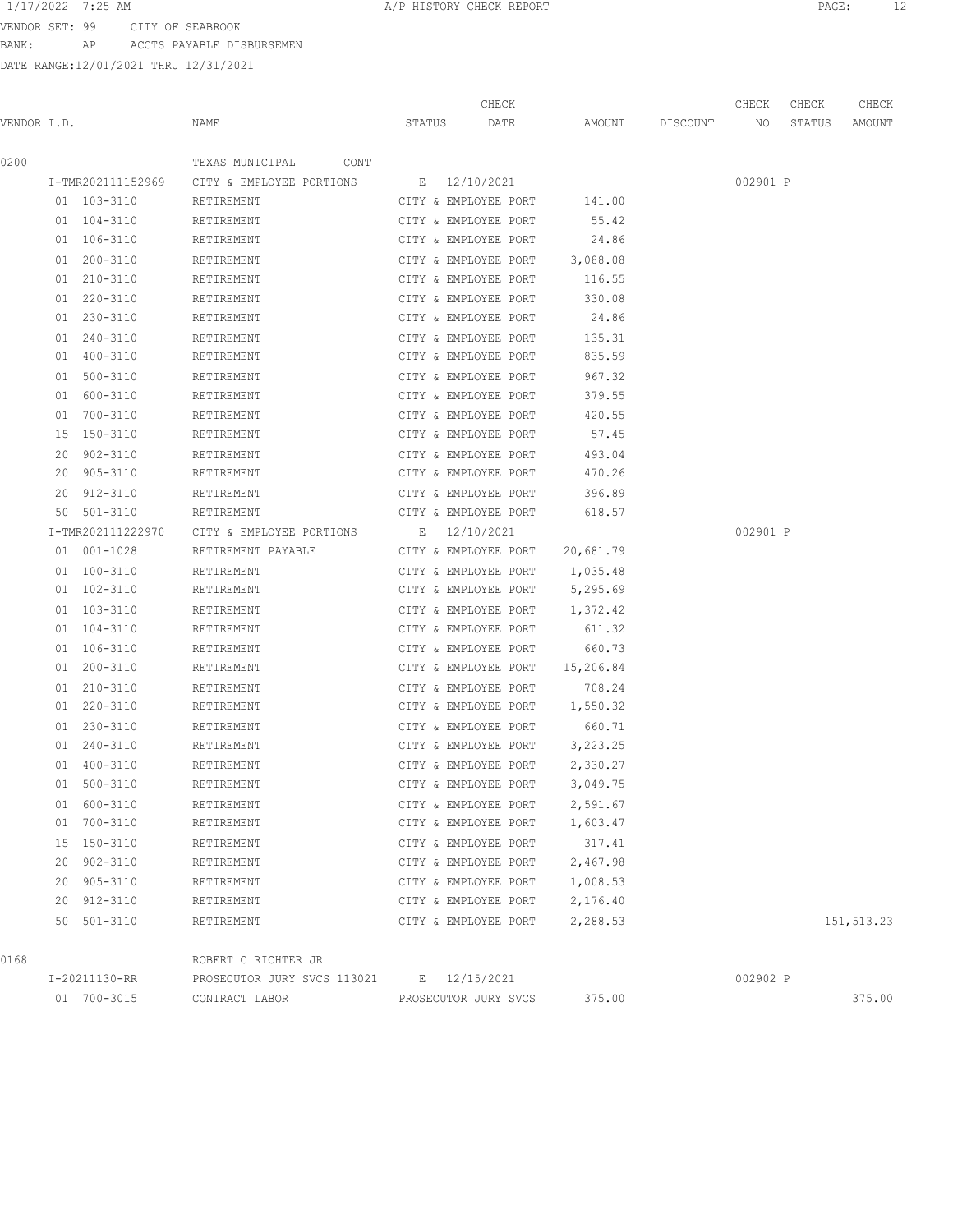VENDOR SET: 99 CITY OF SEABROOK

BANK: AP ACCTS PAYABLE DISBURSEMEN

| VENDOR I.D. |                            | NAME                        | STATUS       | CHECK<br>DATE                                | AMOUNT             | DISCOUNT | CHECK<br>NO | CHECK<br>STATUS | CHECK<br>AMOUNT |
|-------------|----------------------------|-----------------------------|--------------|----------------------------------------------|--------------------|----------|-------------|-----------------|-----------------|
| 0200        |                            | TEXAS MUNICIPAL<br>CONT     |              |                                              |                    |          |             |                 |                 |
|             | I-TMR202111152969          | CITY & EMPLOYEE PORTIONS    | E 12/10/2021 |                                              |                    |          | 002901 P    |                 |                 |
|             | 01 103-3110                | RETIREMENT                  |              | CITY & EMPLOYEE PORT                         | 141.00             |          |             |                 |                 |
|             | 01 104-3110                | RETIREMENT                  |              | CITY & EMPLOYEE PORT                         | 55.42              |          |             |                 |                 |
|             | 01 106-3110                | RETIREMENT                  |              | CITY & EMPLOYEE PORT                         | 24.86              |          |             |                 |                 |
|             | 01 200-3110                | RETIREMENT                  |              | CITY & EMPLOYEE PORT                         | 3,088.08           |          |             |                 |                 |
|             | 01 210-3110                | RETIREMENT                  |              | CITY & EMPLOYEE PORT                         | 116.55             |          |             |                 |                 |
|             | 01 220-3110                | RETIREMENT                  |              | CITY & EMPLOYEE PORT                         | 330.08             |          |             |                 |                 |
|             | 01 230-3110                | RETIREMENT                  |              | CITY & EMPLOYEE PORT                         | 24.86              |          |             |                 |                 |
|             | 01 240-3110                | RETIREMENT                  |              | CITY & EMPLOYEE PORT                         | 135.31             |          |             |                 |                 |
|             | 01 400-3110                | RETIREMENT                  |              | CITY & EMPLOYEE PORT                         | 835.59             |          |             |                 |                 |
|             | 01 500-3110                | RETIREMENT                  |              | CITY & EMPLOYEE PORT                         | 967.32             |          |             |                 |                 |
|             | 01 600-3110                | RETIREMENT                  |              | CITY & EMPLOYEE PORT                         | 379.55             |          |             |                 |                 |
|             | 01 700-3110                | RETIREMENT                  |              | CITY & EMPLOYEE PORT                         | 420.55             |          |             |                 |                 |
|             | 15 150-3110                | RETIREMENT                  |              | CITY & EMPLOYEE PORT                         | 57.45              |          |             |                 |                 |
|             | 20 902-3110                | RETIREMENT                  |              | CITY & EMPLOYEE PORT                         | 493.04             |          |             |                 |                 |
|             | 20 905-3110                | RETIREMENT                  |              | CITY & EMPLOYEE PORT                         | 470.26             |          |             |                 |                 |
|             | 20 912-3110                | RETIREMENT                  |              | CITY & EMPLOYEE PORT                         | 396.89             |          |             |                 |                 |
|             | 50 501-3110                | RETIREMENT                  |              | CITY & EMPLOYEE PORT                         | 618.57             |          |             |                 |                 |
|             | I-TMR202111222970          | CITY & EMPLOYEE PORTIONS    | E 12/10/2021 |                                              |                    |          | 002901 P    |                 |                 |
|             | 01 001-1028                | RETIREMENT PAYABLE          |              | CITY & EMPLOYEE PORT 20,681.79               |                    |          |             |                 |                 |
|             | 01 100-3110                | RETIREMENT                  |              | CITY & EMPLOYEE PORT                         | 1,035.48           |          |             |                 |                 |
|             | 01 102-3110                | RETIREMENT                  |              | CITY & EMPLOYEE PORT 5,295.69                |                    |          |             |                 |                 |
|             | 01 103-3110                | RETIREMENT                  |              | CITY & EMPLOYEE PORT                         | 1,372.42           |          |             |                 |                 |
|             | 01 104-3110                | RETIREMENT                  |              | CITY & EMPLOYEE PORT                         | 611.32             |          |             |                 |                 |
|             | 01 106-3110                | RETIREMENT                  |              | CITY & EMPLOYEE PORT                         | 660.73             |          |             |                 |                 |
|             | 01 200-3110                | RETIREMENT                  |              | CITY & EMPLOYEE PORT                         | 15,206.84          |          |             |                 |                 |
|             | 01 210-3110<br>01 220-3110 | RETIREMENT<br>RETIREMENT    |              | CITY & EMPLOYEE PORT<br>CITY & EMPLOYEE PORT | 708.24<br>1,550.32 |          |             |                 |                 |
|             | 01 230-3110                | RETIREMENT                  |              | CITY & EMPLOYEE PORT                         | 660.71             |          |             |                 |                 |
|             | 01 240-3110                | RETIREMENT                  |              | CITY & EMPLOYEE PORT                         | 3,223.25           |          |             |                 |                 |
|             | 01 400-3110                | RETIREMENT                  |              | CITY & EMPLOYEE PORT                         | 2,330.27           |          |             |                 |                 |
|             | 01 500-3110                | RETIREMENT                  |              | CITY & EMPLOYEE PORT                         | 3,049.75           |          |             |                 |                 |
|             | 01 600-3110                | RETIREMENT                  |              | CITY & EMPLOYEE PORT                         | 2,591.67           |          |             |                 |                 |
|             | 01 700-3110                | RETIREMENT                  |              | CITY & EMPLOYEE PORT                         | 1,603.47           |          |             |                 |                 |
|             | 15 150-3110                | RETIREMENT                  |              | CITY & EMPLOYEE PORT                         | 317.41             |          |             |                 |                 |
|             | 20 902-3110                | RETIREMENT                  |              | CITY & EMPLOYEE PORT                         | 2,467.98           |          |             |                 |                 |
|             | 20 905-3110                | RETIREMENT                  |              | CITY & EMPLOYEE PORT                         | 1,008.53           |          |             |                 |                 |
|             | 20 912-3110                | RETIREMENT                  |              | CITY & EMPLOYEE PORT                         | 2,176.40           |          |             |                 |                 |
|             | 50 501-3110                | RETIREMENT                  |              | CITY & EMPLOYEE PORT                         | 2,288.53           |          |             |                 | 151,513.23      |
| 0168        |                            | ROBERT C RICHTER JR         |              |                                              |                    |          |             |                 |                 |
|             | I-20211130-RR              | PROSECUTOR JURY SVCS 113021 |              | E 12/15/2021                                 |                    |          | 002902 P    |                 |                 |
|             | 01 700-3015                | CONTRACT LABOR              |              | PROSECUTOR JURY SVCS                         | 375.00             |          |             |                 | 375.00          |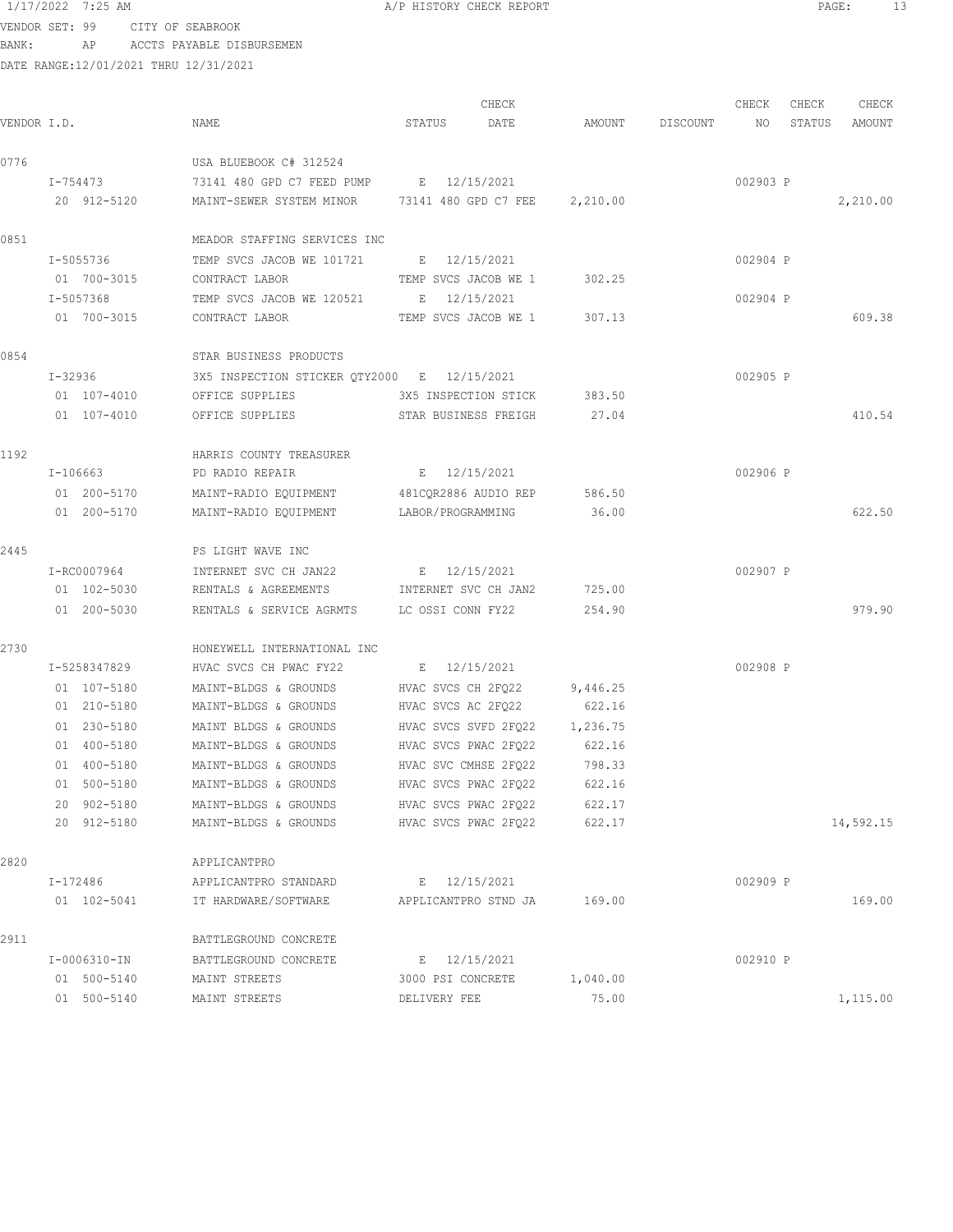VENDOR SET: 99 CITY OF SEABROOK BANK: AP ACCTS PAYABLE DISBURSEMEN

| VENDOR I.D. |                 | NAME                                          | CHECK<br>STATUS<br>DATE | AMOUNT   | DISCOUNT | CHECK<br>NO | CHECK<br>STATUS | CHECK<br>AMOUNT |
|-------------|-----------------|-----------------------------------------------|-------------------------|----------|----------|-------------|-----------------|-----------------|
| 0776        |                 | USA BLUEBOOK C# 312524                        |                         |          |          |             |                 |                 |
|             | I-754473        | 73141 480 GPD C7 FEED PUMP E 12/15/2021       |                         |          |          | 002903 P    |                 |                 |
|             | 20 912-5120     | MAINT-SEWER SYSTEM MINOR 73141 480 GPD C7 FEE |                         | 2,210.00 |          |             |                 | 2,210.00        |
| 0851        |                 | MEADOR STAFFING SERVICES INC                  |                         |          |          |             |                 |                 |
|             | I-5055736       | TEMP SVCS JACOB WE 101721 E 12/15/2021        |                         |          |          | 002904 P    |                 |                 |
|             | 01 700-3015     | CONTRACT LABOR                                | TEMP SVCS JACOB WE 1    | 302.25   |          |             |                 |                 |
|             | I-5057368       | TEMP SVCS JACOB WE 120521 E                   | 12/15/2021              |          |          | 002904 P    |                 |                 |
|             | 01 700-3015     | CONTRACT LABOR                                | TEMP SVCS JACOB WE 1    | 307.13   |          |             |                 | 609.38          |
| 0854        |                 | STAR BUSINESS PRODUCTS                        |                         |          |          |             |                 |                 |
|             | $I - 32936$     | 3X5 INSPECTION STICKER QTY2000 E 12/15/2021   |                         |          |          | 002905 P    |                 |                 |
|             | 01 107-4010     | OFFICE SUPPLIES                               | 3X5 INSPECTION STICK    | 383.50   |          |             |                 |                 |
|             | $01 107 - 4010$ | OFFICE SUPPLIES                               | STAR BUSINESS FREIGH    | 27.04    |          |             |                 | 410.54          |
| 1192        |                 | HARRIS COUNTY TREASURER                       |                         |          |          |             |                 |                 |
|             | $I-106663$      | PD RADIO REPAIR                               | E 12/15/2021            |          |          | 002906 P    |                 |                 |
|             | 01 200-5170     | MAINT-RADIO EQUIPMENT                         | 481CQR2886 AUDIO REP    | 586.50   |          |             |                 |                 |
|             | 01 200-5170     | MAINT-RADIO EQUIPMENT                         | LABOR/PROGRAMMING       | 36.00    |          |             |                 | 622.50          |
| 2445        |                 | PS LIGHT WAVE INC                             |                         |          |          |             |                 |                 |
|             | I-RC0007964     | INTERNET SVC CH JAN22                         | E 12/15/2021            |          |          | 002907 P    |                 |                 |
|             | 01 102-5030     | RENTALS & AGREEMENTS                          | INTERNET SVC CH JAN2    | 725.00   |          |             |                 |                 |
|             | 01 200-5030     | RENTALS & SERVICE AGRMTS LC OSSI CONN FY22    |                         | 254.90   |          |             |                 | 979.90          |
| 2730        |                 | HONEYWELL INTERNATIONAL INC                   |                         |          |          |             |                 |                 |
|             | I-5258347829    | HVAC SVCS CH PWAC FY22                        | E 12/15/2021            |          |          | 002908 P    |                 |                 |
|             | 01 107-5180     | MAINT-BLDGS & GROUNDS                         | HVAC SVCS CH 2FO22      | 9,446.25 |          |             |                 |                 |
|             | 01 210-5180     | MAINT-BLDGS & GROUNDS                         | HVAC SVCS AC 2FQ22      | 622.16   |          |             |                 |                 |
|             | 01 230-5180     | MAINT BLDGS & GROUNDS                         | HVAC SVCS SVFD 2FQ22    | 1,236.75 |          |             |                 |                 |
|             | 01 400-5180     | MAINT-BLDGS & GROUNDS                         | HVAC SVCS PWAC 2FQ22    | 622.16   |          |             |                 |                 |
|             | 01 400-5180     | MAINT-BLDGS & GROUNDS                         | HVAC SVC CMHSE 2FQ22    | 798.33   |          |             |                 |                 |
|             | 01 500-5180     | MAINT-BLDGS & GROUNDS                         | HVAC SVCS PWAC 2FQ22    | 622.16   |          |             |                 |                 |
|             | 20 902-5180     | MAINT-BLDGS & GROUNDS                         | HVAC SVCS PWAC 2FQ22    | 622.17   |          |             |                 |                 |
|             | 20 912-5180     | MAINT-BLDGS & GROUNDS                         | HVAC SVCS PWAC 2FQ22    | 622.17   |          |             |                 | 14,592.15       |
| 2820        |                 | APPLICANTPRO                                  |                         |          |          |             |                 |                 |
|             | I-172486        | APPLICANTPRO STANDARD                         | E 12/15/2021            |          |          | 002909 P    |                 |                 |
|             | 01 102-5041     | IT HARDWARE/SOFTWARE                          | APPLICANTPRO STND JA    | 169.00   |          |             |                 | 169.00          |
| 2911        |                 | BATTLEGROUND CONCRETE                         |                         |          |          |             |                 |                 |
|             | I-0006310-IN    | BATTLEGROUND CONCRETE                         | E 12/15/2021            |          |          | 002910 P    |                 |                 |
|             | 01 500-5140     | MAINT STREETS                                 | 3000 PSI CONCRETE       | 1,040.00 |          |             |                 |                 |
|             | 01 500-5140     | MAINT STREETS                                 | DELIVERY FEE            | 75.00    |          |             |                 | 1,115.00        |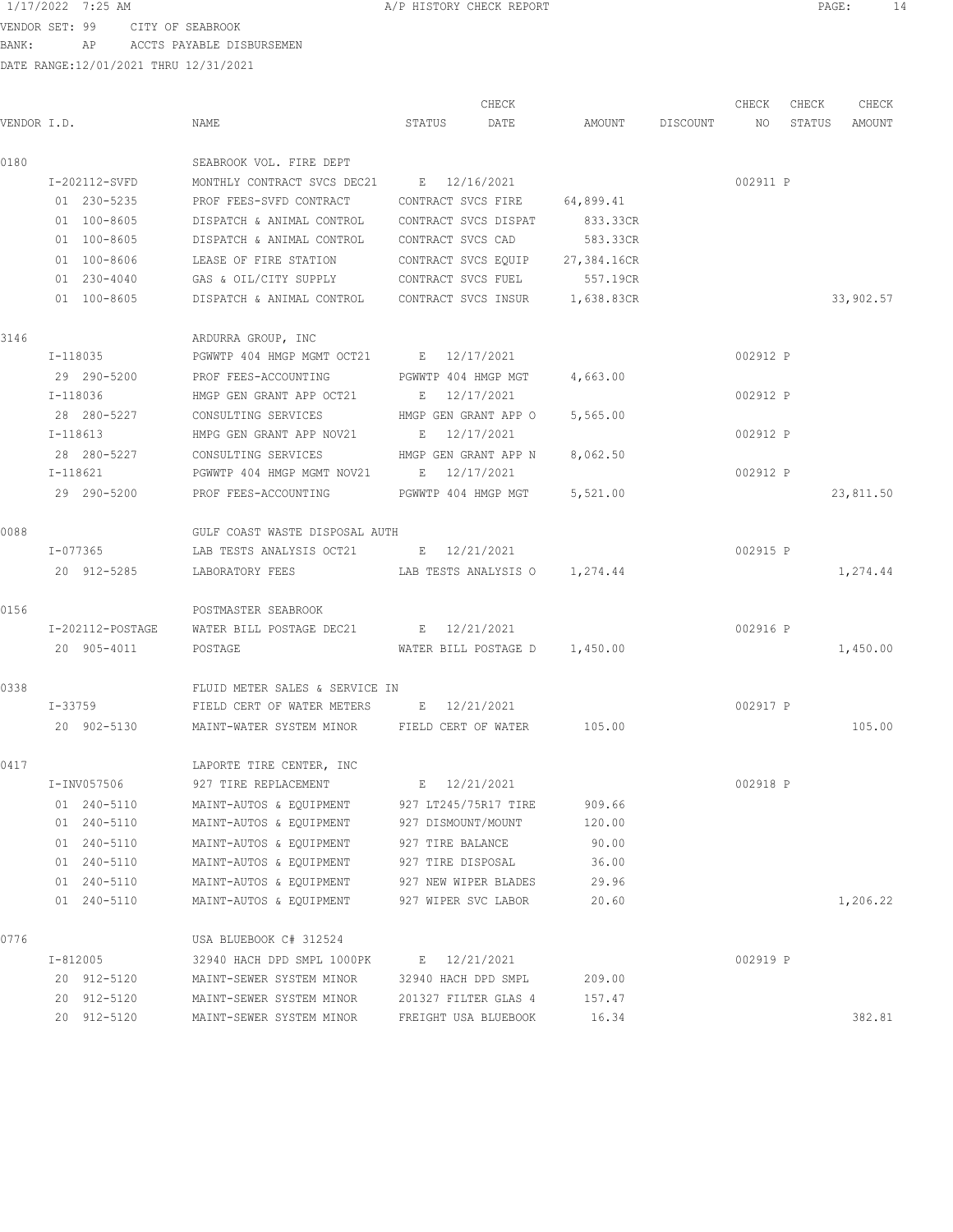VENDOR SET: 99 CITY OF SEABROOK BANK: AP ACCTS PAYABLE DISBURSEMEN

|             |               |                                                          | CHECK                           |                 | CHECK    | CHECK  | CHECK     |
|-------------|---------------|----------------------------------------------------------|---------------------------------|-----------------|----------|--------|-----------|
| VENDOR I.D. |               | NAME                                                     | STATUS<br>DATE                  | AMOUNT DISCOUNT | NO       | STATUS | AMOUNT    |
| 0180        |               | SEABROOK VOL. FIRE DEPT                                  |                                 |                 |          |        |           |
|             | I-202112-SVFD | MONTHLY CONTRACT SVCS DEC21 E 12/16/2021                 |                                 |                 | 002911 P |        |           |
|             | 01 230-5235   | PROF FEES-SVFD CONTRACT                                  | CONTRACT SVCS FIRE              | 64,899.41       |          |        |           |
|             | 01 100-8605   | DISPATCH & ANIMAL CONTROL                                | CONTRACT SVCS DISPAT            | 833.33CR        |          |        |           |
|             | 01 100-8605   | DISPATCH & ANIMAL CONTROL                                | CONTRACT SVCS CAD               | 583.33CR        |          |        |           |
|             | 01 100-8606   | LEASE OF FIRE STATION                                    | CONTRACT SVCS EQUIP 27,384.16CR |                 |          |        |           |
|             | 01 230-4040   | GAS & OIL/CITY SUPPLY CONTRACT SVCS FUEL                 |                                 | 557.19CR        |          |        |           |
|             | 01 100-8605   | DISPATCH & ANIMAL CONTROL CONTRACT SVCS INSUR 1,638.83CR |                                 |                 |          |        | 33,902.57 |
| 3146        |               | ARDURRA GROUP, INC                                       |                                 |                 |          |        |           |
|             | $I - 118035$  | PGWWTP 404 HMGP MGMT OCT21 E 12/17/2021                  |                                 |                 | 002912 P |        |           |
|             | 29 290-5200   | PROF FEES-ACCOUNTING FGWWTP 404 HMGP MGT                 |                                 | 4,663.00        |          |        |           |
|             | I-118036      | HMGP GEN GRANT APP OCT21                                 | E 12/17/2021                    |                 | 002912 P |        |           |
|             | 28 280-5227   | CONSULTING SERVICES                                      | HMGP GEN GRANT APP O            | 5,565.00        |          |        |           |
|             | I-118613      | HMPG GEN GRANT APP NOV21                                 | E 12/17/2021                    |                 | 002912 P |        |           |
|             | 28 280-5227   | CONSULTING SERVICES                                      | HMGP GEN GRANT APP N 8,062.50   |                 |          |        |           |
|             | $I-118621$    | PGWWTP 404 HMGP MGMT NOV21 E 12/17/2021                  |                                 |                 | 002912 P |        |           |
|             | 29 290-5200   | PROF FEES-ACCOUNTING                                     | PGWWTP 404 HMGP MGT             | 5,521.00        |          |        | 23,811.50 |
| 0088        |               | GULF COAST WASTE DISPOSAL AUTH                           |                                 |                 |          |        |           |
|             | $I - 077365$  | LAB TESTS ANALYSIS OCT21 B 12/21/2021                    |                                 |                 | 002915 P |        |           |
|             | 20 912-5285   | LABORATORY FEES                                          | LAB TESTS ANALYSIS 0 1,274.44   |                 |          |        | 1,274.44  |
| 0156        |               | POSTMASTER SEABROOK                                      |                                 |                 |          |        |           |
|             |               | I-202112-POSTAGE WATER BILL POSTAGE DEC21 E 12/21/2021   |                                 |                 | 002916 P |        |           |
|             | 20 905-4011   | POSTAGE                                                  | WATER BILL POSTAGE D 1,450.00   |                 |          |        | 1,450.00  |
| 0338        |               | FLUID METER SALES & SERVICE IN                           |                                 |                 |          |        |           |
|             | I-33759       | FIELD CERT OF WATER METERS B 12/21/2021                  |                                 |                 | 002917 P |        |           |
|             | 20 902-5130   | MAINT-WATER SYSTEM MINOR FIELD CERT OF WATER 105.00      |                                 |                 |          |        | 105.00    |
|             |               |                                                          |                                 |                 |          |        |           |
| 0417        |               | LAPORTE TIRE CENTER, INC                                 |                                 |                 |          |        |           |
|             | I-INV057506   | 927 TIRE REPLACEMENT                                     | E 12/21/2021                    |                 | 002918 P |        |           |
|             | 01 240-5110   | MAINT-AUTOS & EQUIPMENT                                  | 927 LT245/75R17 TIRE            | 909.66          |          |        |           |
|             | 01 240-5110   | MAINT-AUTOS & EQUIPMENT                                  | 927 DISMOUNT/MOUNT              | 120.00          |          |        |           |
|             | 01 240-5110   | MAINT-AUTOS & EQUIPMENT                                  | 927 TIRE BALANCE                | 90.00           |          |        |           |
|             | 01 240-5110   | MAINT-AUTOS & EQUIPMENT                                  | 927 TIRE DISPOSAL               | 36.00           |          |        |           |
|             | 01 240-5110   | MAINT-AUTOS & EQUIPMENT                                  | 927 NEW WIPER BLADES            | 29.96           |          |        |           |
|             | 01 240-5110   | MAINT-AUTOS & EQUIPMENT                                  | 927 WIPER SVC LABOR             | 20.60           |          |        | 1,206.22  |
| 0776        |               | USA BLUEBOOK C# 312524                                   |                                 |                 |          |        |           |
|             | I-812005      | 32940 HACH DPD SMPL 1000PK                               | E 12/21/2021                    |                 | 002919 P |        |           |
|             | 20 912-5120   | MAINT-SEWER SYSTEM MINOR                                 | 32940 HACH DPD SMPL             | 209.00          |          |        |           |
|             | 20 912-5120   | MAINT-SEWER SYSTEM MINOR                                 | 201327 FILTER GLAS 4            | 157.47          |          |        |           |
|             | 20 912-5120   | MAINT-SEWER SYSTEM MINOR                                 | FREIGHT USA BLUEBOOK            | 16.34           |          |        | 382.81    |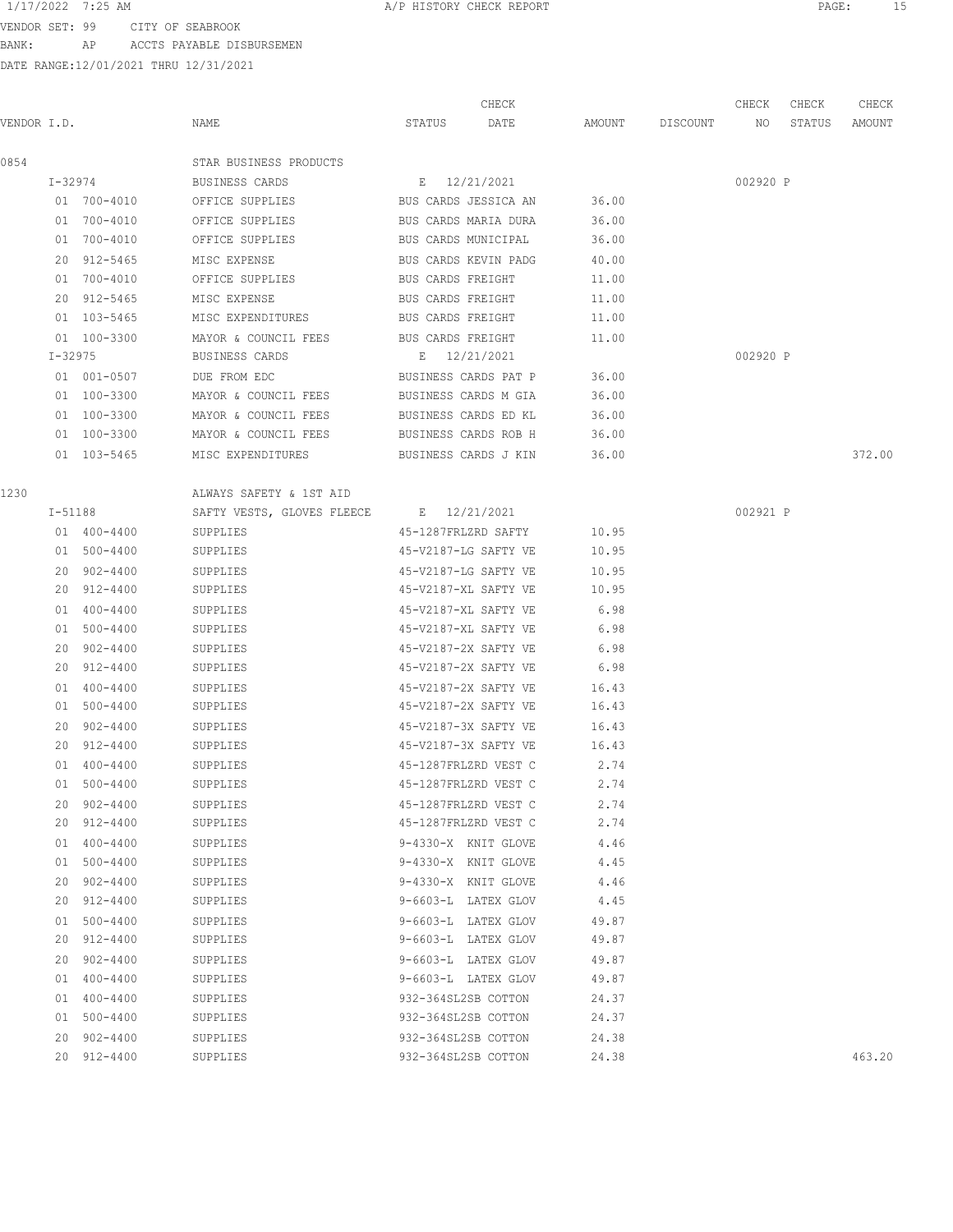VENDOR SET: 99 CITY OF SEABROOK

BANK: AP ACCTS PAYABLE DISBURSEMEN

DATE RANGE:12/01/2021 THRU 12/31/2021

| 1/17/2022 7:25 AM<br>A/P HISTORY CHECK REPORT<br>PAGE. |  |
|--------------------------------------------------------|--|
|--------------------------------------------------------|--|

CHECK CHECK CHECK CHECK .<br>In the other weapon of the Search Status of the Search Design and Discount and Status amount of the Mount of t 0854 STAR BUSINESS PRODUCTS I-32974 BUSINESS CARDS E 12/21/2021 002920 P 01 700-4010 OFFICE SUPPLIES BUS CARDS JESSICA AN 36.00 01 700-4010 OFFICE SUPPLIES BUS CARDS MARIA DURA 36.00 01 700-4010 OFFICE SUPPLIES BUS CARDS MUNICIPAL 36.00 20 912-5465 MISC EXPENSE BUS CARDS KEVIN PADG 40.00 01 700-4010 OFFICE SUPPLIES BUS CARDS FREIGHT 11.00 20 912-5465 MISC EXPENSE BUS CARDS FREIGHT 11.00 01 103-5465 MISC EXPENDITURES BUS CARDS FREIGHT 11.00 01 100-3300 MAYOR & COUNCIL FEES BUS CARDS FREIGHT 11.00 I-32975 BUSINESS CARDS E 12/21/2021 002920 P 01 001-0507 DUE FROM EDC BUSINESS CARDS PAT P 36.00 01 100-3300 MAYOR & COUNCIL FEES BUSINESS CARDS M GIA 36.00 01 100-3300 MAYOR & COUNCIL FEES BUSINESS CARDS ED KL 36.00 01 100-3300 MAYOR & COUNCIL FEES BUSINESS CARDS ROB H 36.00 01 103-5465 MISC EXPENDITURES BUSINESS CARDS J KIN 36.00 372.00 372.00 1230 ALWAYS SAFETY & 1ST AID I-51188 SAFTY VESTS, GLOVES FLEECE E 12/21/2021 002921 P 01 400-4400 SUPPLIES 45-1287FRLZRD SAFTY 10.95 01 500-4400 SUPPLIES 45-V2187-LG SAFTY VE 10.95 20 902-4400 SUPPLIES 45-V2187-LG SAFTY VE 10.95 20 912-4400 SUPPLIES 45-V2187-XL SAFTY VE 10.95 01 400-4400 SUPPLIES 45-V2187-XL SAFTY VE 6.98 01 500-4400 SUPPLIES 45-V2187-XL SAFTY VE 6.98 20 902-4400 SUPPLIES 45-V2187-2X SAFTY VE 6.98 20 912-4400 SUPPLIES 45-V2187-2X SAFTY VE 6.98 01 400-4400 SUPPLIES 45-V2187-2X SAFTY VE 16.43 01 500-4400 SUPPLIES 45-V2187-2X SAFTY VE 16.43 20 902-4400 SUPPLIES 45-V2187-3X SAFTY VE 16.43 20 912-4400 SUPPLIES 45-V2187-3X SAFTY VE 16.43 01 400-4400 SUPPLIES 45-1287FRLZRD VEST C 2.74 01 500-4400 SUPPLIES 45-1287FRLZRD VEST C 2.74 20 902-4400 SUPPLIES 45-1287FRLZRD VEST C 2.74 20 912-4400 SUPPLIES 45-1287FRLZRD VEST C 2.74 01 400-4400 SUPPLIES 9-4330-X KNIT GLOVE 4.46 01 500-4400 SUPPLIES 9-4330-X KNIT GLOVE 4.45 20 902-4400 SUPPLIES 9-4330-X KNIT GLOVE 4.46 20 912-4400 SUPPLIES 9-6603-L LATEX GLOV 4.45 01 500-4400 SUPPLIES 9-6603-L LATEX GLOV 49.87 20 912-4400 SUPPLIES 9-6603-L LATEX GLOV 49.87 20 902-4400 SUPPLIES 9-6603-L LATEX GLOV 49.87 01 400-4400 SUPPLIES 9-6603-L LATEX GLOV 49.87 01 400-4400 SUPPLIES 932-364SL2SB COTTON 24.37 01 500-4400 SUPPLIES 932-364SL2SB COTTON 24.37 20 902-4400 SUPPLIES 932-364SL2SB COTTON 24.38 20 912-4400 SUPPLIES 932-364SL2SB COTTON 24.38 463.20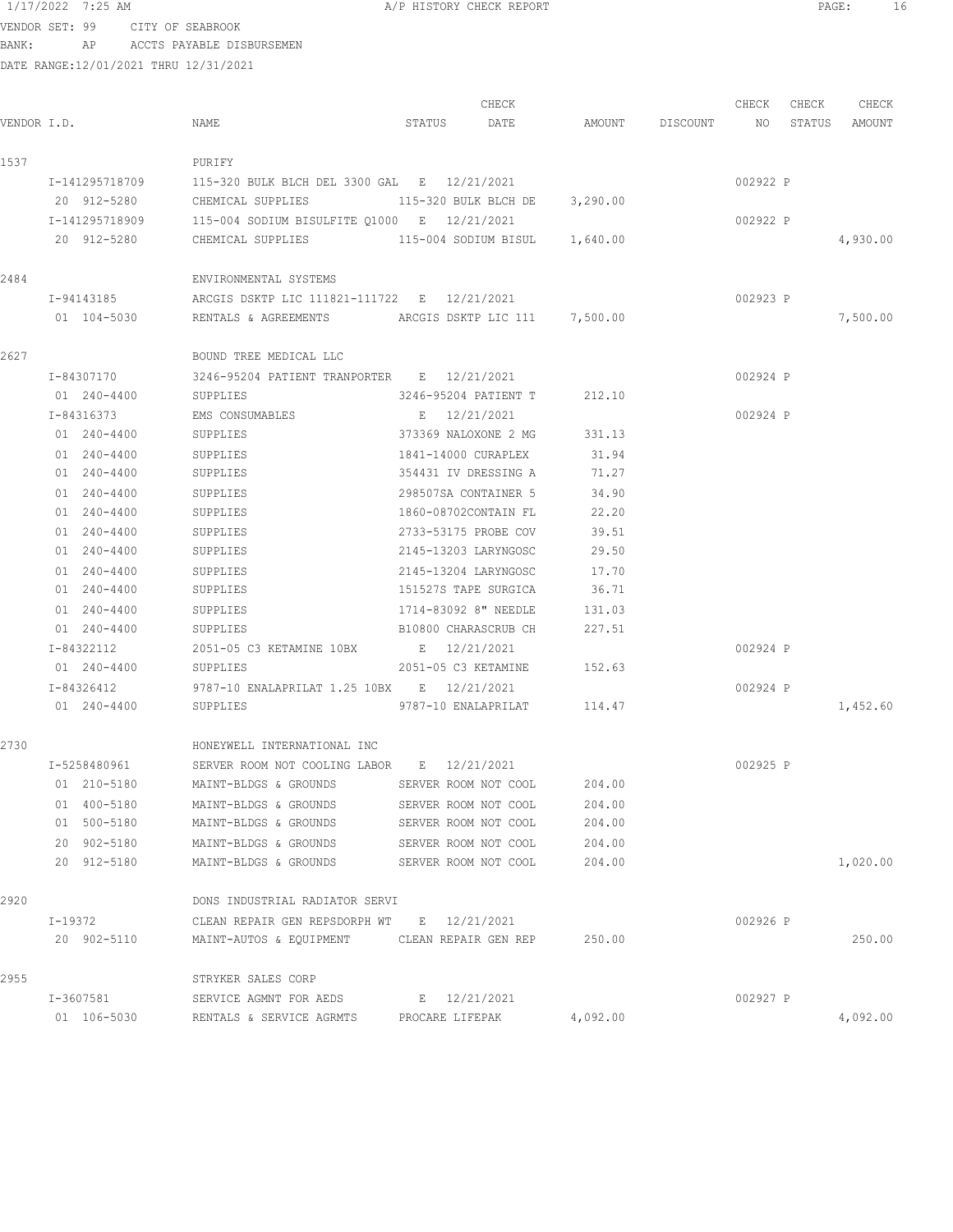VENDOR SET: 99 CITY OF SEABROOK

BANK: AP ACCTS PAYABLE DISBURSEMEN

DATE RANGE:12/01/2021 THRU 12/31/2021

CHECK CHECK CHECK CHECK CHECK CHECK CHECK CHECK CHECK CHECK CHECK CHECK CHECK CHECK CHECK CHECK CHECK CHECK CHECK CHECK CHECK CHECK CHECK CHECK CHECK CHECK CHECK CHECK CHECK CHECK CHECK CHECK CHECK CHECK CHECK CHECK CHECK VENDOR I.D. NAME STATUS DATE AMOUNT DISCOUNT NO STATUS AMOUNT 1537 PURIFY I-141295718709 115-320 BULK BLCH DEL 3300 GAL E 12/21/2021 002922 P 20 912-5280 CHEMICAL SUPPLIES 115-320 BULK BLCH DE 3,290.00 I-141295718909 115-004 SODIUM BISULFITE Q1000 E 12/21/2021 002922 P 20 912-5280 CHEMICAL SUPPLIES 115-004 SODIUM BISUL 1,640.00 4,930.00 2484 ENVIRONMENTAL SYSTEMS I-94143185 ARCGIS DSKTP LIC 111821-111722 E 12/21/2021 002923 P 01 104-5030 RENTALS & AGREEMENTS ARCGIS DSKTP LIC 111 7,500.00 7,500.00 7,500.00 2627 BOUND TREE MEDICAL LLC I-84307170 3246-95204 PATIENT TRANPORTER E 12/21/2021 002924 P 01 240-4400 SUPPLIES 3246-95204 PATIENT T 212.10 I-84316373 EMS CONSUMABLES E 12/21/2021 002924 P 01 240-4400 SUPPLIES 373369 NALOXONE 2 MG 331.13 01 240-4400 SUPPLIES 1841-14000 CURAPLEX 31.94 01 240-4400 SUPPLIES 354431 IV DRESSING A 71.27 01 240-4400 SUPPLIES 298507SA CONTAINER 5 34.90 01 240-4400 SUPPLIES 1860-08702CONTAIN FL 22.20 01 240-4400 SUPPLIES 2733-53175 PROBE COV 39.51 01 240-4400 SUPPLIES 2145-13203 LARYNGOSC 29.50 01 240-4400 SUPPLIES 2145-13204 LARYNGOSC 17.70 01 240-4400 SUPPLIES 151527S TAPE SURGICA 36.71 01 240-4400 SUPPLIES 1714-83092 8" NEEDLE 131.03 01 240-4400 SUPPLIES B10800 CHARASCRUB CH 227.51 I-84322112 2051-05 C3 KETAMINE 10BX E 12/21/2021 002924 P 01 240-4400 SUPPLIES 2051-05 C3 KETAMINE 152.63 I-84326412 9787-10 ENALAPRILAT 1.25 10BX E 12/21/2021 002924 P 01 240-4400 SUPPLIES 9787-10 ENALAPRILAT 114.47 1,452.60 2730 HONEYWELL INTERNATIONAL INC I-5258480961 SERVER ROOM NOT COOLING LABOR E 12/21/2021 002925 P 01 210-5180 MAINT-BLDGS & GROUNDS SERVER ROOM NOT COOL 204.00 01 400-5180 MAINT-BLDGS & GROUNDS SERVER ROOM NOT COOL 204.00 01 500-5180 MAINT-BLDGS & GROUNDS SERVER ROOM NOT COOL 204.00 20 902-5180 MAINT-BLDGS & GROUNDS SERVER ROOM NOT COOL 204.00 20 912-5180 MAINT-BLDGS & GROUNDS SERVER ROOM NOT COOL 204.00 1,020.00 2920 DONS INDUSTRIAL RADIATOR SERVI I-19372 CLEAN REPAIR GEN REPSDORPH WT E 12/21/2021 002926 P 20 902-5110 MAINT-AUTOS & EQUIPMENT CLEAN REPAIR GEN REP 250.00 250.00 2955 STRYKER SALES CORP I-3607581 SERVICE AGMNT FOR AEDS E 12/21/2021 002927 P 01 106-5030 RENTALS & SERVICE AGRMTS PROCARE LIFEPAK 4,092.00 4,092.00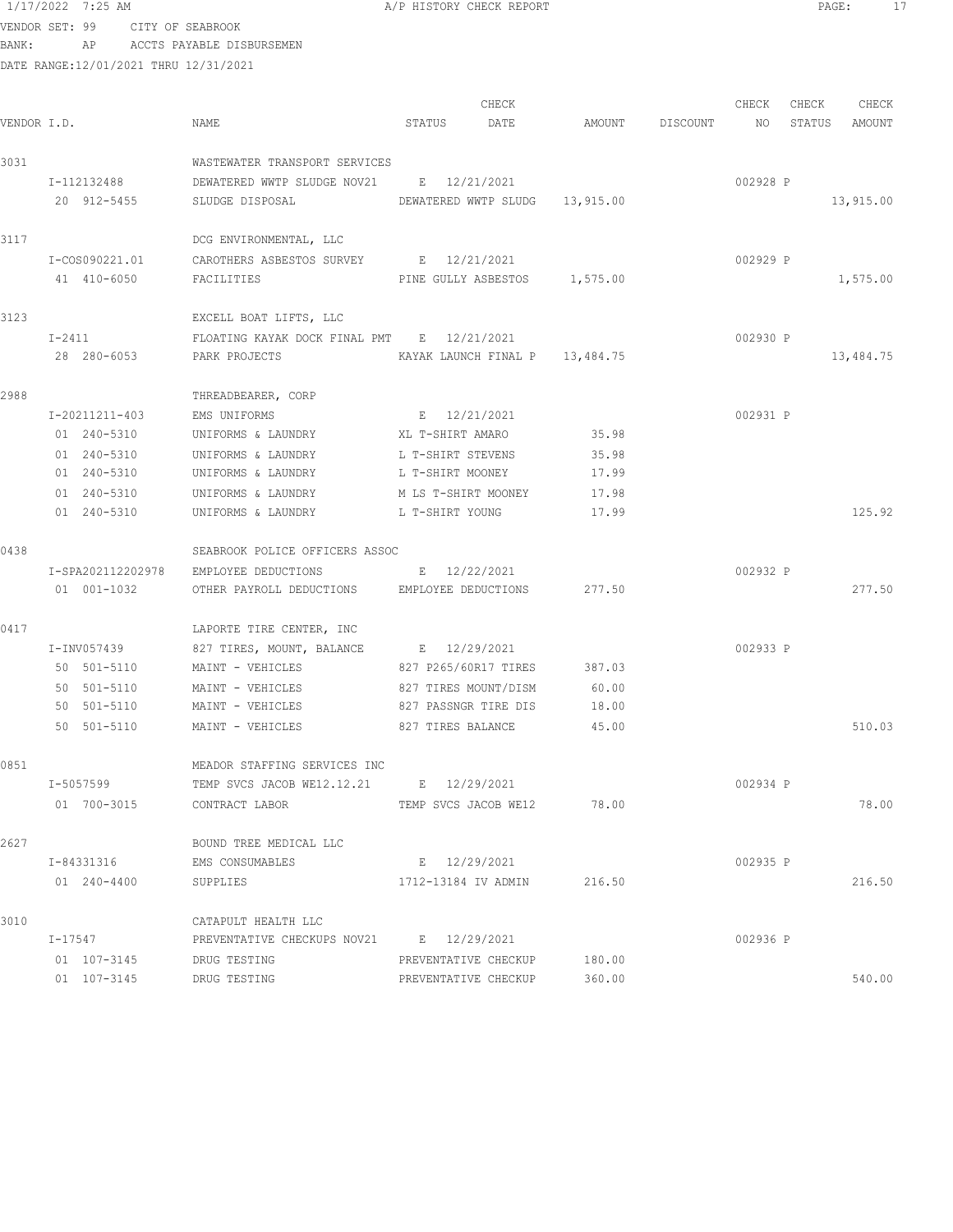VENDOR SET: 99 CITY OF SEABROOK BANK: AP ACCTS PAYABLE DISBURSEMEN

|             |                   |                                                     |                      | CHECK                       |                              | CHECK    | CHECK | CHECK         |
|-------------|-------------------|-----------------------------------------------------|----------------------|-----------------------------|------------------------------|----------|-------|---------------|
| VENDOR I.D. |                   | NAME                                                | STATUS               | DATE                        | AMOUNT DISCOUNT              | NO       |       | STATUS AMOUNT |
| 3031        |                   | WASTEWATER TRANSPORT SERVICES                       |                      |                             |                              |          |       |               |
|             | I-112132488       | DEWATERED WWTP SLUDGE NOV21 E 12/21/2021            |                      |                             |                              | 002928 P |       |               |
|             | 20 912-5455       | SLUDGE DISPOSAL<br>DEWATERED WWTP SLUDG 13,915.00   |                      |                             |                              |          |       | 13,915.00     |
| 3117        |                   | DCG ENVIRONMENTAL, LLC                              |                      |                             |                              |          |       |               |
|             | I-COS090221.01    | CAROTHERS ASBESTOS SURVEY E 12/21/2021              |                      |                             |                              | 002929 P |       |               |
|             | 41 410-6050       | FACILITIES                                          |                      |                             | PINE GULLY ASBESTOS 1,575.00 |          |       | 1,575.00      |
| 3123        |                   | EXCELL BOAT LIFTS, LLC                              |                      |                             |                              |          |       |               |
|             | $I-2411$          | FLOATING KAYAK DOCK FINAL PMT E 12/21/2021          |                      |                             |                              | 002930 P |       |               |
|             | 28 280-6053       | PARK PROJECTS THE KAYAK LAUNCH FINAL P 13,484.75    |                      |                             |                              |          |       | 13,484.75     |
| 2988        |                   | THREADBEARER, CORP                                  |                      |                             |                              |          |       |               |
|             | I-20211211-403    | EMS UNIFORMS                                        | E 12/21/2021         |                             |                              | 002931 P |       |               |
|             | 01 240-5310       | UNIFORMS & LAUNDRY XL T-SHIRT AMARO                 |                      |                             | 35.98                        |          |       |               |
|             | 01 240-5310       | UNIFORMS & LAUNDRY                                  | L T-SHIRT STEVENS    |                             | 35.98                        |          |       |               |
|             | 01 240-5310       | UNIFORMS & LAUNDRY                                  | L T-SHIRT MOONEY     |                             | 17.99                        |          |       |               |
|             | 01 240-5310       | UNIFORMS & LAUNDRY                                  | M LS T-SHIRT MOONEY  |                             | 17.98                        |          |       |               |
|             | 01 240-5310       | UNIFORMS & LAUNDRY                                  | L T-SHIRT YOUNG      |                             | 17.99                        |          |       | 125.92        |
| 0438        |                   | SEABROOK POLICE OFFICERS ASSOC                      |                      |                             |                              |          |       |               |
|             | I-SPA202112202978 | EMPLOYEE DEDUCTIONS                                 | $E = 12/22/2021$     |                             |                              | 002932 P |       |               |
|             | 01  001-1032      | OTHER PAYROLL DEDUCTIONS EMPLOYEE DEDUCTIONS 277.50 |                      |                             |                              |          |       | 277.50        |
| 0417        |                   | LAPORTE TIRE CENTER, INC                            |                      |                             |                              |          |       |               |
|             | I-INV057439       | 827 TIRES, MOUNT, BALANCE B 12/29/2021              |                      |                             |                              | 002933 P |       |               |
|             | 50 501-5110       | MAINT - VEHICLES                                    |                      | 827 P265/60R17 TIRES 387.03 |                              |          |       |               |
|             | 50 501-5110       | MAINT - VEHICLES                                    | 827 TIRES MOUNT/DISM |                             | 60.00                        |          |       |               |
|             | 50 501-5110       | MAINT - VEHICLES                                    | 827 PASSNGR TIRE DIS |                             | 18.00                        |          |       |               |
|             | 50 501-5110       | MAINT - VEHICLES                                    |                      | 827 TIRES BALANCE           | 45.00                        |          |       | 510.03        |
| 0851        |                   | MEADOR STAFFING SERVICES INC                        |                      |                             |                              |          |       |               |
|             | I-5057599         | TEMP SVCS JACOB WE12.12.21 E 12/29/2021             |                      |                             |                              | 002934 P |       |               |
|             | 01 700-3015       | CONTRACT LABOR                                      |                      | TEMP SVCS JACOB WE12        | 78.00                        |          |       | 78.00         |
| 2627        |                   | BOUND TREE MEDICAL LLC                              |                      |                             |                              |          |       |               |
|             | I-84331316        | EMS CONSUMABLES                                     | E 12/29/2021         |                             |                              | 002935 P |       |               |
|             | 01 240-4400       | SUPPLIES                                            | 1712-13184 IV ADMIN  |                             | 216.50                       |          |       | 216.50        |
| 3010        |                   | CATAPULT HEALTH LLC                                 |                      |                             |                              |          |       |               |
|             | I-17547           | PREVENTATIVE CHECKUPS NOV21 E 12/29/2021            |                      |                             |                              | 002936 P |       |               |
|             | 01 107-3145       | DRUG TESTING                                        |                      | PREVENTATIVE CHECKUP        | 180.00                       |          |       |               |
|             | 01 107-3145       | DRUG TESTING                                        | PREVENTATIVE CHECKUP |                             | 360.00                       |          |       | 540.00        |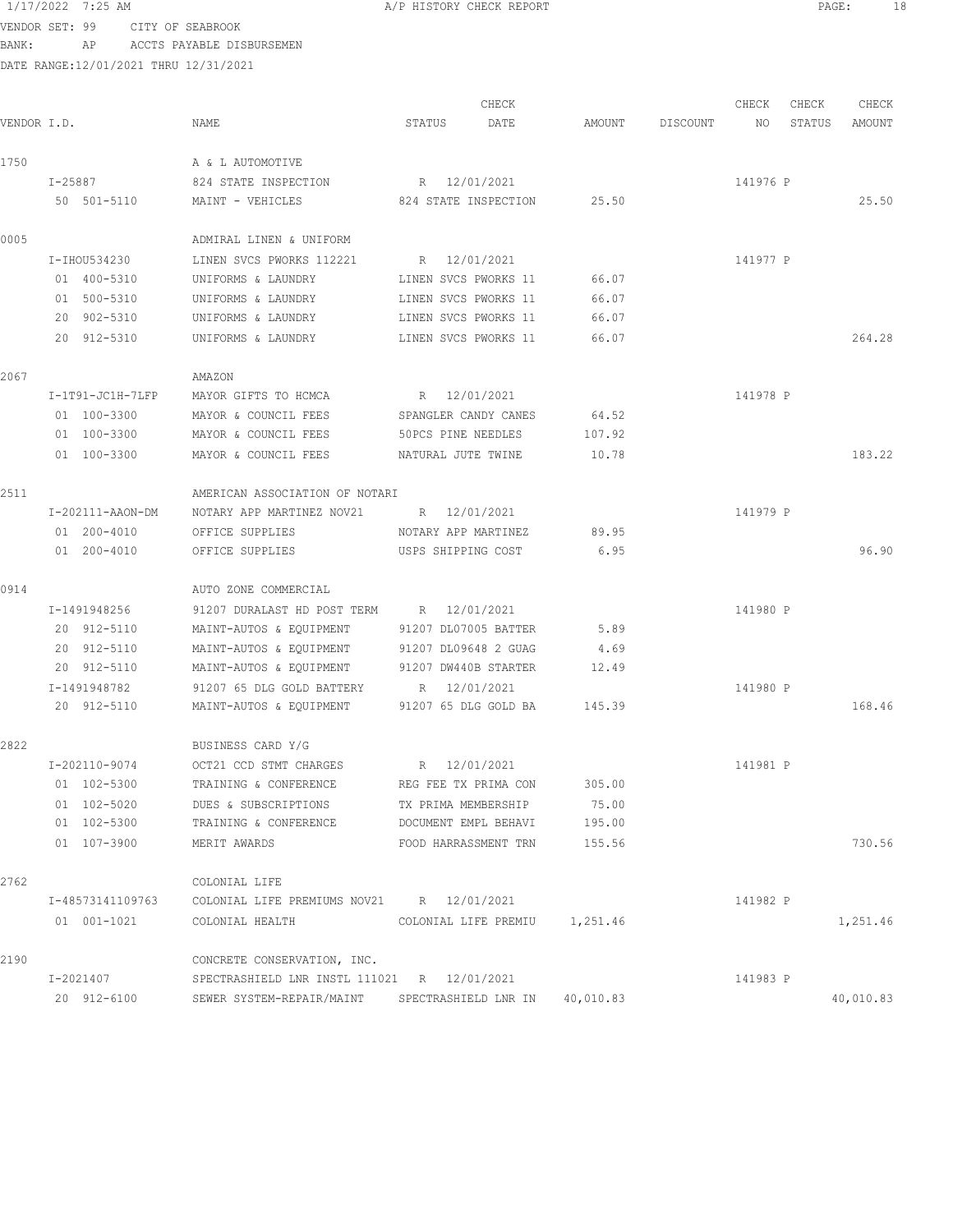VENDOR SET: 99 CITY OF SEABROOK

BANK: AP ACCTS PAYABLE DISBURSEMEN DATE RANGE:12/01/2021 THRU 12/31/2021

|             |                  |                                              | CHECK<br>STATUS               |        |          | CHECK    | CHECK  | CHECK<br>AMOUNT |
|-------------|------------------|----------------------------------------------|-------------------------------|--------|----------|----------|--------|-----------------|
| VENDOR I.D. |                  | NAME                                         | DATE                          | AMOUNT | DISCOUNT | NO       | STATUS |                 |
| 1750        |                  | A & L AUTOMOTIVE                             |                               |        |          |          |        |                 |
|             | I-25887          | 824 STATE INSPECTION                         | R 12/01/2021                  |        |          | 141976 P |        |                 |
|             | 50 501-5110      | MAINT - VEHICLES                             | 824 STATE INSPECTION          | 25.50  |          |          |        | 25.50           |
| 0005        |                  | ADMIRAL LINEN & UNIFORM                      |                               |        |          |          |        |                 |
|             | I-IHOU534230     | LINEN SVCS PWORKS 112221                     | R 12/01/2021                  |        |          | 141977 P |        |                 |
|             | 01 400-5310      | UNIFORMS & LAUNDRY                           | LINEN SVCS PWORKS 11          | 66.07  |          |          |        |                 |
|             | 01 500-5310      | UNIFORMS & LAUNDRY                           | LINEN SVCS PWORKS 11          | 66.07  |          |          |        |                 |
|             | 20 902-5310      | UNIFORMS & LAUNDRY                           | LINEN SVCS PWORKS 11          | 66.07  |          |          |        |                 |
|             | 20 912-5310      | UNIFORMS & LAUNDRY                           | LINEN SVCS PWORKS 11          | 66.07  |          |          |        | 264.28          |
| 2067        |                  | AMAZON                                       |                               |        |          |          |        |                 |
|             | I-1T91-JC1H-7LFP | MAYOR GIFTS TO HCMCA                         | R 12/01/2021                  |        |          | 141978 P |        |                 |
|             | 01 100-3300      | MAYOR & COUNCIL FEES                         | SPANGLER CANDY CANES          | 64.52  |          |          |        |                 |
|             | 01 100-3300      | MAYOR & COUNCIL FEES                         | 50PCS PINE NEEDLES            | 107.92 |          |          |        |                 |
|             | 01 100-3300      | MAYOR & COUNCIL FEES                         | NATURAL JUTE TWINE            | 10.78  |          |          |        | 183.22          |
| 2511        |                  | AMERICAN ASSOCIATION OF NOTARI               |                               |        |          |          |        |                 |
|             | I-202111-AAON-DM | NOTARY APP MARTINEZ NOV21 R 12/01/2021       |                               |        |          | 141979 P |        |                 |
|             | 01 200-4010      | OFFICE SUPPLIES                              | NOTARY APP MARTINEZ           | 89.95  |          |          |        |                 |
|             | 01 200-4010      | OFFICE SUPPLIES                              | USPS SHIPPING COST            | 6.95   |          |          |        | 96.90           |
| 0914        |                  | AUTO ZONE COMMERCIAL                         |                               |        |          |          |        |                 |
|             | I-1491948256     | 91207 DURALAST HD POST TERM R 12/01/2021     |                               |        |          | 141980 P |        |                 |
|             | 20 912-5110      | MAINT-AUTOS & EQUIPMENT                      | 91207 DL07005 BATTER          | 5.89   |          |          |        |                 |
|             | 20 912-5110      | MAINT-AUTOS & EQUIPMENT                      | 91207 DL09648 2 GUAG          | 4.69   |          |          |        |                 |
|             | 20 912-5110      | MAINT-AUTOS & EQUIPMENT                      | 91207 DW440B STARTER          | 12.49  |          |          |        |                 |
|             | I-1491948782     | 91207 65 DLG GOLD BATTERY                    | R 12/01/2021                  |        |          | 141980 P |        |                 |
|             | 20 912-5110      | MAINT-AUTOS & EQUIPMENT 91207 65 DLG GOLD BA |                               | 145.39 |          |          |        | 168.46          |
| 2822        |                  | BUSINESS CARD Y/G                            |                               |        |          |          |        |                 |
|             | I-202110-9074    | OCT21 CCD STMT CHARGES                       | R 12/01/2021                  |        |          | 141981 P |        |                 |
|             | 01 102-5300      | TRAINING & CONFERENCE                        | REG FEE TX PRIMA CON          | 305.00 |          |          |        |                 |
|             | 01 102-5020      | DUES & SUBSCRIPTIONS                         | TX PRIMA MEMBERSHIP           | 75.00  |          |          |        |                 |
|             | 01 102-5300      | TRAINING & CONFERENCE                        | DOCUMENT EMPL BEHAVI          | 195.00 |          |          |        |                 |
|             | 01 107-3900      | MERIT AWARDS                                 | FOOD HARRASSMENT TRN          | 155.56 |          |          |        | 730.56          |
| 2762        |                  | COLONIAL LIFE                                |                               |        |          |          |        |                 |
|             | I-48573141109763 | COLONIAL LIFE PREMIUMS NOV21 R 12/01/2021    |                               |        |          | 141982 P |        |                 |
|             | 01 001-1021      | COLONIAL HEALTH                              | COLONIAL LIFE PREMIU 1,251.46 |        |          |          |        | 1,251.46        |
| 2190        |                  | CONCRETE CONSERVATION, INC.                  |                               |        |          |          |        |                 |

I-2021407 SPECTRASHIELD LNR INSTL 111021 R 12/01/2021 141983 P

20 912-6100 SEWER SYSTEM-REPAIR/MAINT SPECTRASHIELD LNR IN 40,010.83 40,010.83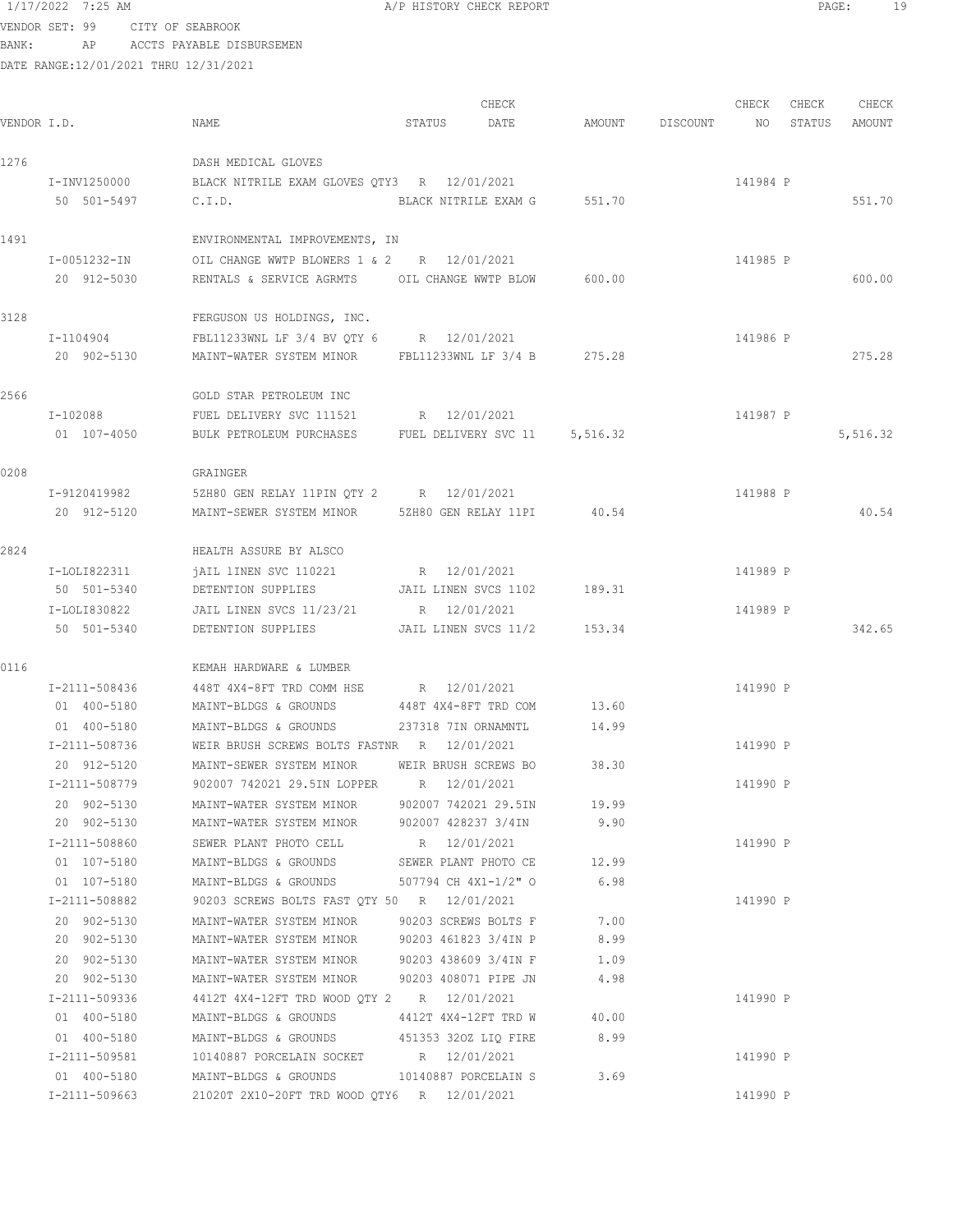VENDOR SET: 99 CITY OF SEABROOK BANK: AP ACCTS PAYABLE DISBURSEMEN

| VENDOR I.D. |                              | NAME                                                                                           | STATUS               | CHECK<br>DATE        | AMOUNT | DISCOUNT | CHECK<br>NO | CHECK<br>STATUS | CHECK<br>AMOUNT |
|-------------|------------------------------|------------------------------------------------------------------------------------------------|----------------------|----------------------|--------|----------|-------------|-----------------|-----------------|
| 1276        |                              | DASH MEDICAL GLOVES                                                                            |                      |                      |        |          |             |                 |                 |
|             | I-INV1250000                 | BLACK NITRILE EXAM GLOVES QTY3 R 12/01/2021                                                    |                      |                      |        |          | 141984 P    |                 |                 |
|             | 50 501-5497                  | C.I.D.                                                                                         |                      | BLACK NITRILE EXAM G | 551.70 |          |             |                 | 551.70          |
| 1491        |                              | ENVIRONMENTAL IMPROVEMENTS, IN                                                                 |                      |                      |        |          |             |                 |                 |
|             | I-0051232-IN                 | OIL CHANGE WWTP BLOWERS 1 & 2 R 12/01/2021                                                     |                      |                      |        |          | 141985 P    |                 |                 |
|             | 20 912-5030                  | RENTALS & SERVICE AGRMTS OIL CHANGE WWTP BLOW                                                  |                      |                      | 600.00 |          |             |                 | 600.00          |
| 3128        |                              | FERGUSON US HOLDINGS, INC.                                                                     |                      |                      |        |          |             |                 |                 |
|             | I-1104904                    | FBL11233WNL LF 3/4 BV QTY 6 R 12/01/2021                                                       |                      |                      |        |          | 141986 P    |                 |                 |
|             | 20 902-5130                  | MAINT-WATER SYSTEM MINOR FBL11233WNL LF 3/4 B 275.28                                           |                      |                      |        |          |             |                 | 275.28          |
| 2566        |                              | GOLD STAR PETROLEUM INC                                                                        |                      |                      |        |          |             |                 |                 |
|             | I-102088                     | FUEL DELIVERY SVC 111521 R 12/01/2021                                                          |                      |                      |        |          | 141987 P    |                 |                 |
|             | 01 107-4050                  | BULK PETROLEUM PURCHASES FUEL DELIVERY SVC 11 5,516.32                                         |                      |                      |        |          |             |                 | 5,516.32        |
| 0208        |                              | GRAINGER                                                                                       |                      |                      |        |          |             |                 |                 |
|             | I-9120419982                 | 5ZH80 GEN RELAY 11PIN QTY 2 R 12/01/2021                                                       |                      |                      |        |          | 141988 P    |                 |                 |
|             | 20 912-5120                  | MAINT-SEWER SYSTEM MINOR 52H80 GEN RELAY 11PI 40.54                                            |                      |                      |        |          |             |                 | 40.54           |
| 2824        |                              | HEALTH ASSURE BY ALSCO                                                                         |                      |                      |        |          |             |                 |                 |
|             | I-LOLI822311                 | jAIL lINEN SVC 110221                                                                          | R 12/01/2021         |                      |        |          | 141989 P    |                 |                 |
|             | 50 501-5340                  | DETENTION SUPPLIES JAIL LINEN SVCS 1102                                                        |                      |                      | 189.31 |          |             |                 |                 |
|             | I-LOLI830822                 | JAIL LINEN SVCS 11/23/21 R 12/01/2021                                                          |                      |                      |        |          | 141989 P    |                 |                 |
|             | 50 501-5340                  | DETENTION SUPPLIES JAIL LINEN SVCS 11/2                                                        |                      |                      | 153.34 |          |             |                 | 342.65          |
| 0116        |                              | KEMAH HARDWARE & LUMBER                                                                        |                      |                      |        |          |             |                 |                 |
|             | I-2111-508436                | 448T 4X4-8FT TRD COMM HSE R 12/01/2021                                                         |                      |                      |        |          | 141990 P    |                 |                 |
|             | 01 400-5180                  | MAINT-BLDGS & GROUNDS 448T 4X4-8FT TRD COM                                                     |                      |                      | 13.60  |          |             |                 |                 |
|             | 01 400-5180                  | MAINT-BLDGS & GROUNDS                                                                          | 237318 7IN ORNAMNTL  |                      | 14.99  |          |             |                 |                 |
|             | I-2111-508736                | WEIR BRUSH SCREWS BOLTS FASTNR R 12/01/2021                                                    |                      |                      |        |          | 141990 P    |                 |                 |
|             | 20 912-5120                  | MAINT-SEWER SYSTEM MINOR                                                                       |                      | WEIR BRUSH SCREWS BO | 38.30  |          |             |                 |                 |
|             | I-2111-508779                | 902007 742021 29.5IN LOPPER R 12/01/2021                                                       |                      |                      |        |          | 141990 P    |                 |                 |
|             | 20 902-5130                  | MAINT-WATER SYSTEM MINOR 902007 742021 29.5IN 19.99                                            |                      |                      |        |          |             |                 |                 |
|             | 20 902-5130                  | MAINT-WATER SYSTEM MINOR 902007 428237 3/4IN                                                   |                      |                      | 9.90   |          |             |                 |                 |
|             | I-2111-508860                | SEWER PLANT PHOTO CELL R 12/01/2021                                                            |                      |                      |        |          | 141990 P    |                 |                 |
|             | 01 107-5180                  | MAINT-BLDGS & GROUNDS SEWER PLANT PHOTO CE 12.99                                               |                      |                      |        |          |             |                 |                 |
|             | 01 107-5180                  | MAINT-BLDGS & GROUNDS 507794 CH 4X1-1/2" O                                                     |                      |                      | 6.98   |          |             |                 |                 |
|             | I-2111-508882<br>20 902-5130 | 90203 SCREWS BOLTS FAST QTY 50 R 12/01/2021                                                    |                      |                      | 7.00   |          | 141990 P    |                 |                 |
|             | 20 902-5130                  | MAINT-WATER SYSTEM MINOR 90203 SCREWS BOLTS F<br>MAINT-WATER SYSTEM MINOR 90203 461823 3/4IN P |                      |                      | 8.99   |          |             |                 |                 |
|             | 20 902-5130                  | MAINT-WATER SYSTEM MINOR                                                                       |                      | 90203 438609 3/4IN F | 1.09   |          |             |                 |                 |
|             | 20 902-5130                  | MAINT-WATER SYSTEM MINOR                                                                       | 90203 408071 PIPE JN |                      | 4.98   |          |             |                 |                 |
|             | I-2111-509336                | 4412T 4X4-12FT TRD WOOD QTY 2 R 12/01/2021                                                     |                      |                      |        |          | 141990 P    |                 |                 |
|             | 01 400-5180                  | MAINT-BLDGS & GROUNDS 4412T 4X4-12FT TRD W                                                     |                      |                      | 40.00  |          |             |                 |                 |
|             | 01 400-5180                  | MAINT-BLDGS & GROUNDS 451353 320Z LIQ FIRE                                                     |                      |                      | 8.99   |          |             |                 |                 |
|             | I-2111-509581                | 10140887 PORCELAIN SOCKET R 12/01/2021                                                         |                      |                      |        |          | 141990 P    |                 |                 |
|             | 01 400-5180                  | MAINT-BLDGS & GROUNDS 10140887 PORCELAIN S                                                     |                      |                      | 3.69   |          |             |                 |                 |
|             | I-2111-509663                | 21020T 2X10-20FT TRD WOOD QTY6 R 12/01/2021                                                    |                      |                      |        |          | 141990 P    |                 |                 |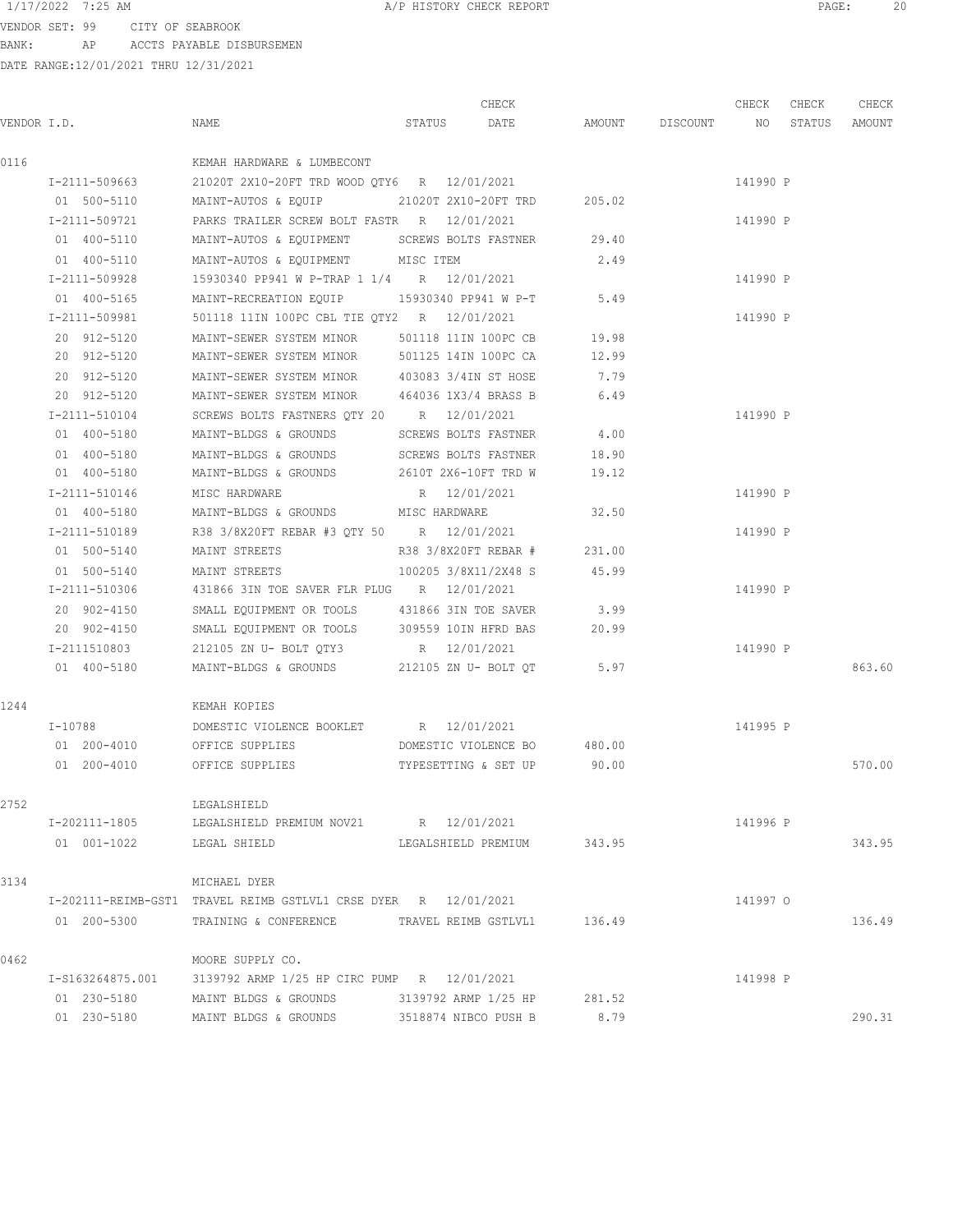VENDOR SET: 99 CITY OF SEABROOK BANK: AP ACCTS PAYABLE DISBURSEMEN

|             |                  |                                                                 |              | CHECK                       |        |                    | CHECK    | CHECK  | CHECK  |
|-------------|------------------|-----------------------------------------------------------------|--------------|-----------------------------|--------|--------------------|----------|--------|--------|
| VENDOR I.D. |                  | NAME                                                            | STATUS       | DATE                        |        | AMOUNT DISCOUNT NO |          | STATUS | AMOUNT |
| 0116        |                  | KEMAH HARDWARE & LUMBECONT                                      |              |                             |        |                    |          |        |        |
|             | I-2111-509663    | 21020T 2X10-20FT TRD WOOD QTY6 R 12/01/2021                     |              |                             |        |                    | 141990 P |        |        |
|             | 01 500-5110      | MAINT-AUTOS & EQUIP                                             |              | 21020T 2X10-20FT TRD        | 205.02 |                    |          |        |        |
|             | I-2111-509721    | PARKS TRAILER SCREW BOLT FASTR R 12/01/2021                     |              |                             |        |                    | 141990 P |        |        |
|             | 01 400-5110      | MAINT-AUTOS & EQUIPMENT                                         |              | SCREWS BOLTS FASTNER        | 29.40  |                    |          |        |        |
|             | 01 400-5110      | MAINT-AUTOS & EQUIPMENT MISC ITEM                               |              |                             | 2.49   |                    |          |        |        |
|             | I-2111-509928    | 15930340 PP941 W P-TRAP 1 1/4 R 12/01/2021                      |              |                             |        |                    | 141990 P |        |        |
|             | 01 400-5165      | MAINT-RECREATION EQUIP                                          |              | 15930340 PP941 W P-T        | 5.49   |                    |          |        |        |
|             | I-2111-509981    | 501118 11IN 100PC CBL TIE QTY2 R 12/01/2021                     |              |                             |        |                    | 141990 P |        |        |
|             | 20 912-5120      | MAINT-SEWER SYSTEM MINOR                                        |              | 501118 11IN 100PC CB        | 19.98  |                    |          |        |        |
|             | 20 912-5120      | MAINT-SEWER SYSTEM MINOR                                        |              | 501125 14IN 100PC CA        | 12.99  |                    |          |        |        |
|             | 20 912-5120      | MAINT-SEWER SYSTEM MINOR                                        |              | 403083 3/4IN ST HOSE        | 7.79   |                    |          |        |        |
|             | 20 912-5120      | MAINT-SEWER SYSTEM MINOR                                        |              | 464036 1X3/4 BRASS B        | 6.49   |                    |          |        |        |
|             | I-2111-510104    | SCREWS BOLTS FASTNERS QTY 20 R 12/01/2021                       |              |                             |        |                    | 141990 P |        |        |
|             | 01 400-5180      | MAINT-BLDGS & GROUNDS SCREWS BOLTS FASTNER                      |              |                             | 4.00   |                    |          |        |        |
|             | 01 400-5180      | MAINT-BLDGS & GROUNDS SCREWS BOLTS FASTNER 18.90                |              |                             |        |                    |          |        |        |
|             | 01 400-5180      | MAINT-BLDGS & GROUNDS 2610T 2X6-10FT TRD W                      |              |                             | 19.12  |                    |          |        |        |
|             | I-2111-510146    | MISC HARDWARE                                                   | R 12/01/2021 |                             |        |                    | 141990 P |        |        |
|             | 01 400-5180      | MAINT-BLDGS & GROUNDS MISC HARDWARE                             |              |                             | 32.50  |                    |          |        |        |
|             | I-2111-510189    | R38 3/8X20FT REBAR #3 QTY 50 R 12/01/2021                       |              |                             |        |                    | 141990 P |        |        |
|             | 01 500-5140      | MAINT STREETS                                                   |              | R38 3/8X20FT REBAR #        | 231.00 |                    |          |        |        |
|             | 01 500-5140      | MAINT STREETS                                                   |              | 100205 3/8X11/2X48 S        | 45.99  |                    |          |        |        |
|             | I-2111-510306    | 431866 3IN TOE SAVER FLR PLUG R 12/01/2021                      |              |                             |        |                    | 141990 P |        |        |
|             | 20 902-4150      | SMALL EQUIPMENT OR TOOLS                                        |              | 431866 3IN TOE SAVER        | 3.99   |                    |          |        |        |
|             | 20 902-4150      | SMALL EQUIPMENT OR TOOLS                                        |              | 309559 10IN HFRD BAS        | 20.99  |                    |          |        |        |
|             | I-2111510803     | 212105 ZN U- BOLT QTY3                                          | R 12/01/2021 |                             |        |                    | 141990 P |        |        |
|             | 01 400-5180      | MAINT-BLDGS & GROUNDS 212105 ZN U- BOLT QT                      |              |                             | 5.97   |                    |          |        | 863.60 |
| 1244        |                  | KEMAH KOPIES                                                    |              |                             |        |                    |          |        |        |
| I-10788     |                  | DOMESTIC VIOLENCE BOOKLET R 12/01/2021                          |              |                             |        |                    | 141995 P |        |        |
|             |                  | 01 200-4010 OFFICE SUPPLIES                                     |              | DOMESTIC VIOLENCE BO 480.00 |        |                    |          |        |        |
|             |                  | 01 200-4010 OFFICE SUPPLIES                                     |              | TYPESETTING & SET UP        | 90.00  |                    |          |        | 570.00 |
| 2752        |                  | LEGALSHIELD                                                     |              |                             |        |                    |          |        |        |
|             | I-202111-1805    | LEGALSHIELD PREMIUM NOV21                                       | R 12/01/2021 |                             |        |                    | 141996 P |        |        |
|             | 01 001-1022      | LEGAL SHIELD                                                    |              | LEGALSHIELD PREMIUM 343.95  |        |                    |          |        | 343.95 |
| 3134        |                  | MICHAEL DYER                                                    |              |                             |        |                    |          |        |        |
|             |                  | I-202111-REIMB-GST1 TRAVEL REIMB GSTLVL1 CRSE DYER R 12/01/2021 |              |                             |        |                    | 141997 0 |        |        |
|             | 01 200-5300      | TRAINING & CONFERENCE TRAVEL REIMB GSTLVL1 136.49               |              |                             |        |                    |          |        | 136.49 |
| 0462        |                  | MOORE SUPPLY CO.                                                |              |                             |        |                    |          |        |        |
|             | I-S163264875.001 | 3139792 ARMP 1/25 HP CIRC PUMP R 12/01/2021                     |              |                             |        |                    | 141998 P |        |        |
|             | 01 230-5180      | MAINT BLDGS & GROUNDS                                           |              | 3139792 ARMP 1/25 HP        | 281.52 |                    |          |        |        |
|             | 01 230-5180      | MAINT BLDGS & GROUNDS                                           |              | 3518874 NIBCO PUSH B        | 8.79   |                    |          |        | 290.31 |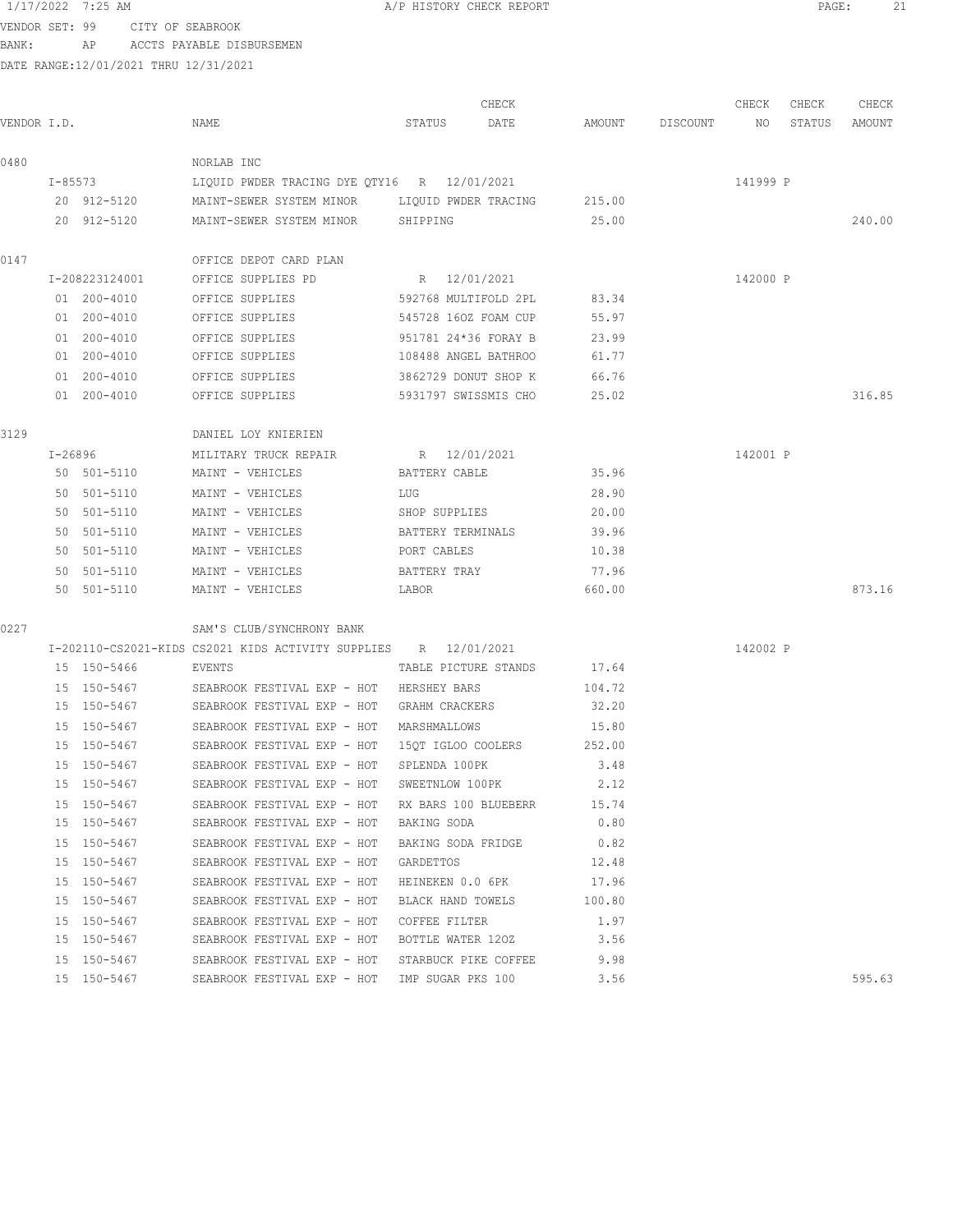VENDOR SET: 99 CITY OF SEABROOK BANK: AP ACCTS PAYABLE DISBURSEMEN

| VENDOR I.D. |         |                | NAME                                                            | STATUS               | CHECK<br>DATE              | AMOUNT | DISCOUNT | CHECK<br>NO | CHECK<br>STATUS | CHECK<br>AMOUNT |
|-------------|---------|----------------|-----------------------------------------------------------------|----------------------|----------------------------|--------|----------|-------------|-----------------|-----------------|
| 0480        |         |                | NORLAB INC                                                      |                      |                            |        |          |             |                 |                 |
|             |         | $I - 85573$    | LIQUID PWDER TRACING DYE QTY16 R 12/01/2021                     |                      |                            |        |          | 141999 P    |                 |                 |
|             |         | 20 912-5120    | MAINT-SEWER SYSTEM MINOR LIQUID PWDER TRACING                   |                      |                            | 215.00 |          |             |                 |                 |
|             |         | 20 912-5120    | MAINT-SEWER SYSTEM MINOR SHIPPING                               |                      |                            | 25.00  |          |             |                 | 240.00          |
| 0147        |         |                | OFFICE DEPOT CARD PLAN                                          |                      |                            |        |          |             |                 |                 |
|             |         | I-208223124001 | OFFICE SUPPLIES PD                                              | R 12/01/2021         |                            |        |          | 142000 P    |                 |                 |
|             |         | 01 200-4010    | OFFICE SUPPLIES                                                 | 592768 MULTIFOLD 2PL |                            | 83.34  |          |             |                 |                 |
|             |         | 01 200-4010    | OFFICE SUPPLIES                                                 | 545728 160Z FOAM CUP |                            | 55.97  |          |             |                 |                 |
|             |         | 01 200-4010    | OFFICE SUPPLIES                                                 | 951781 24*36 FORAY B |                            | 23.99  |          |             |                 |                 |
|             |         | 01 200-4010    | OFFICE SUPPLIES                                                 | 108488 ANGEL BATHROO |                            | 61.77  |          |             |                 |                 |
|             |         | 01 200-4010    | OFFICE SUPPLIES                                                 | 3862729 DONUT SHOP K |                            | 66.76  |          |             |                 |                 |
|             |         | 01 200-4010    | OFFICE SUPPLIES                                                 | 5931797 SWISSMIS CHO |                            | 25.02  |          |             |                 | 316.85          |
| 3129        |         |                | DANIEL LOY KNIERIEN                                             |                      |                            |        |          |             |                 |                 |
|             | I-26896 |                | MILITARY TRUCK REPAIR                                           | R 12/01/2021         |                            |        |          | 142001 P    |                 |                 |
|             |         | 50 501-5110    | MAINT - VEHICLES                                                | BATTERY CABLE        |                            | 35.96  |          |             |                 |                 |
|             |         | 50 501-5110    | MAINT - VEHICLES                                                | LUG                  |                            | 28.90  |          |             |                 |                 |
|             |         | 50 501-5110    | MAINT - VEHICLES                                                | SHOP SUPPLIES        |                            | 20.00  |          |             |                 |                 |
|             |         | 50 501-5110    | MAINT - VEHICLES                                                | BATTERY TERMINALS    |                            | 39.96  |          |             |                 |                 |
|             |         | 50 501-5110    | MAINT - VEHICLES                                                | PORT CABLES          |                            | 10.38  |          |             |                 |                 |
|             |         | 50 501-5110    | MAINT - VEHICLES                                                | BATTERY TRAY         |                            | 77.96  |          |             |                 |                 |
|             |         | 50 501-5110    | MAINT - VEHICLES                                                | LABOR                |                            | 660.00 |          |             |                 | 873.16          |
| 0227        |         |                | SAM'S CLUB/SYNCHRONY BANK                                       |                      |                            |        |          |             |                 |                 |
|             |         |                | I-202110-CS2021-KIDS CS2021 KIDS ACTIVITY SUPPLIES R 12/01/2021 |                      |                            |        |          | 142002 P    |                 |                 |
|             |         | 15 150-5466    | EVENTS                                                          | TABLE PICTURE STANDS |                            | 17.64  |          |             |                 |                 |
|             |         | 15 150-5467    | SEABROOK FESTIVAL EXP - HOT HERSHEY BARS                        |                      |                            | 104.72 |          |             |                 |                 |
|             |         | 15 150-5467    | SEABROOK FESTIVAL EXP - HOT                                     | GRAHM CRACKERS       |                            | 32.20  |          |             |                 |                 |
|             |         | 15 150-5467    | SEABROOK FESTIVAL EXP - HOT                                     | MARSHMALLOWS         |                            | 15.80  |          |             |                 |                 |
|             |         | 15 150-5467    | SEABROOK FESTIVAL EXP - HOT                                     | 15QT IGLOO COOLERS   |                            | 252.00 |          |             |                 |                 |
|             |         | 15 150-5467    | SEABROOK FESTIVAL EXP - HOT                                     | SPLENDA 100PK        |                            | 3.48   |          |             |                 |                 |
|             |         | 15 150-5467    | SEABROOK FESTIVAL EXP - HOT                                     | SWEETNLOW 100PK      |                            | 2.12   |          |             |                 |                 |
|             |         | 15 150-5467    | SEABROOK FESTIVAL EXP - HOT                                     |                      | RX BARS 100 BLUEBERR 15.74 |        |          |             |                 |                 |
|             |         | 15 150-5467    | SEABROOK FESTIVAL EXP - HOT BAKING SODA                         |                      |                            | 0.80   |          |             |                 |                 |
|             |         | 15 150-5467    | SEABROOK FESTIVAL EXP - HOT                                     |                      | BAKING SODA FRIDGE         | 0.82   |          |             |                 |                 |
|             |         | 15 150-5467    | SEABROOK FESTIVAL EXP - HOT                                     | GARDETTOS            |                            | 12.48  |          |             |                 |                 |
|             |         | 15 150-5467    | SEABROOK FESTIVAL EXP - HOT                                     |                      | HEINEKEN 0.0 6PK 17.96     |        |          |             |                 |                 |
|             |         | 15 150-5467    | SEABROOK FESTIVAL EXP - HOT                                     |                      | BLACK HAND TOWELS          | 100.80 |          |             |                 |                 |
|             |         | 15 150-5467    | SEABROOK FESTIVAL EXP - HOT                                     | COFFEE FILTER        |                            | 1.97   |          |             |                 |                 |
|             |         | 15 150-5467    | SEABROOK FESTIVAL EXP - HOT                                     | BOTTLE WATER 120Z    |                            | 3.56   |          |             |                 |                 |
|             |         | 15 150-5467    | SEABROOK FESTIVAL EXP - HOT                                     | STARBUCK PIKE COFFEE |                            | 9.98   |          |             |                 |                 |
|             |         | 15 150-5467    | SEABROOK FESTIVAL EXP - HOT                                     | IMP SUGAR PKS 100    |                            | 3.56   |          |             |                 | 595.63          |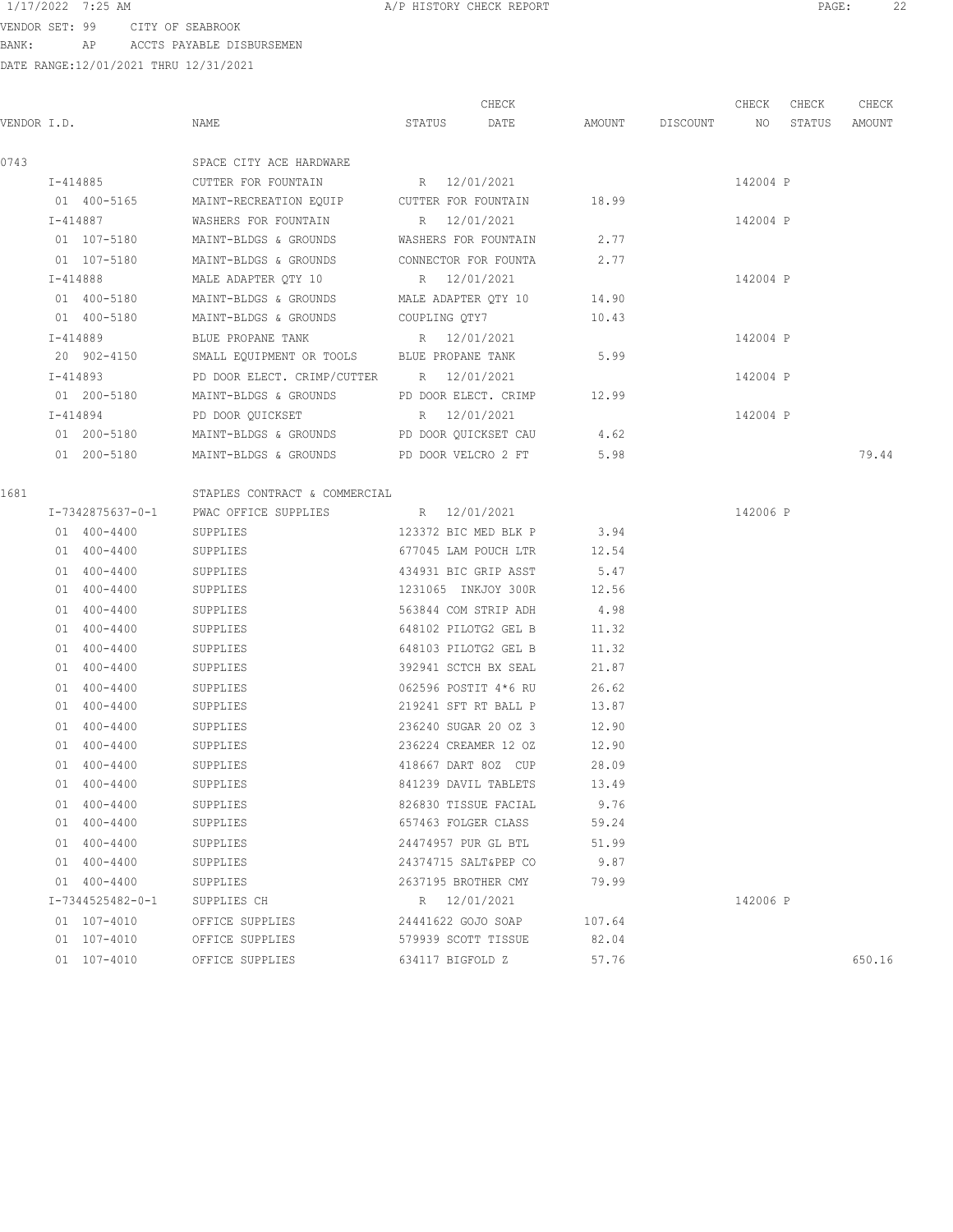VENDOR SET: 99 CITY OF SEABROOK BANK: AP ACCTS PAYABLE DISBURSEMEN

DATE RANGE:12/01/2021 THRU 12/31/2021

CHECK CHECK CHECK CHECK VENDOR I.D. NAME STATUS DATE AMOUNT DISCOUNT NO STATUS AMOUNT 0743 SPACE CITY ACE HARDWARE I-414885 CUTTER FOR FOUNTAIN R 12/01/2021 142004 P 01 400-5165 MAINT-RECREATION EQUIP CUTTER FOR FOUNTAIN 18.99 I-414887 WASHERS FOR FOUNTAIN R 12/01/2021 142004 P 01 107-5180 MAINT-BLDGS & GROUNDS WASHERS FOR FOUNTAIN 2.77 01 107-5180 MAINT-BLDGS & GROUNDS CONNECTOR FOR FOUNTA 2.77 I-414888 MALE ADAPTER QTY 10 R 12/01/2021 142004 P 01 400-5180 MAINT-BLDGS & GROUNDS MALE ADAPTER QTY 10 14.90 01 400-5180 MAINT-BLDGS & GROUNDS COUPLING QTY7 10.43 I-414889 BLUE PROPANE TANK R 12/01/2021 142004 P 20 902-4150 SMALL EQUIPMENT OR TOOLS BLUE PROPANE TANK 5.99 I-414893 PD DOOR ELECT. CRIMP/CUTTER R 12/01/2021 142004 P 01 200-5180 MAINT-BLDGS & GROUNDS PD DOOR ELECT. CRIMP 12.99 I-414894 PD DOOR OUICKSET R 12/01/2021 R 142004 P 01 200-5180 MAINT-BLDGS & GROUNDS PD DOOR QUICKSET CAU 4.62 01 200-5180 MAINT-BLDGS & GROUNDS PD DOOR VELCRO 2 FT 5.98 5.98 79.44 1681 STAPLES CONTRACT & COMMERCIAL I-7342875637-0-1 PWAC OFFICE SUPPLIES R 12/01/2021 142006 P 01 400-4400 SUPPLIES 123372 BIC MED BLK P 3.94 01 400-4400 SUPPLIES 677045 LAM POUCH LTR 12.54 01 400-4400 SUPPLIES 434931 BIC GRIP ASST 5.47 01 400-4400 SUPPLIES 1231065 INKJOY 300R 12.56 01 400-4400 SUPPLIES 563844 COM STRIP ADH 4.98 01 400-4400 SUPPLIES 648102 PILOTG2 GEL B 11.32 01 400-4400 SUPPLIES 648103 PILOTG2 GEL B 11.32 01 400-4400 SUPPLIES 392941 SCTCH BX SEAL 21.87 01 400-4400 SUPPLIES 062596 POSTIT 4\*6 RU 26.62 01 400-4400 SUPPLIES 219241 SFT RT BALL P 13.87 01 400-4400 SUPPLIES 236240 SUGAR 20 02 3 12.90 01 400-4400 SUPPLIES 236224 CREAMER 12 02 12.90 01 400-4400 SUPPLIES 418667 DART 8OZ CUP 28.09 01 400-4400 SUPPLIES 841239 DAVIL TABLETS 13.49 01 400-4400 SUPPLIES 826830 TISSUE FACIAL 9.76 01 400-4400 SUPPLIES 657463 FOLGER CLASS 59.24 01 400-4400 SUPPLIES 24474957 PUR GL BTL 51.99 01 400-4400 SUPPLIES 24374715 SALT&PEP CO 9.87 01 400-4400 SUPPLIES 2637195 BROTHER CMY 79.99 I-7344525482-0-1 SUPPLIES CH R 12/01/2021 R 12/01/2021 142006 P 01 107-4010 OFFICE SUPPLIES 24441622 GOJO SOAP 107.64 01 107-4010 OFFICE SUPPLIES 579939 SCOTT TISSUE 82.04 01 107-4010 OFFICE SUPPLIES 634117 BIGFOLD Z 57.76 650.16 650.16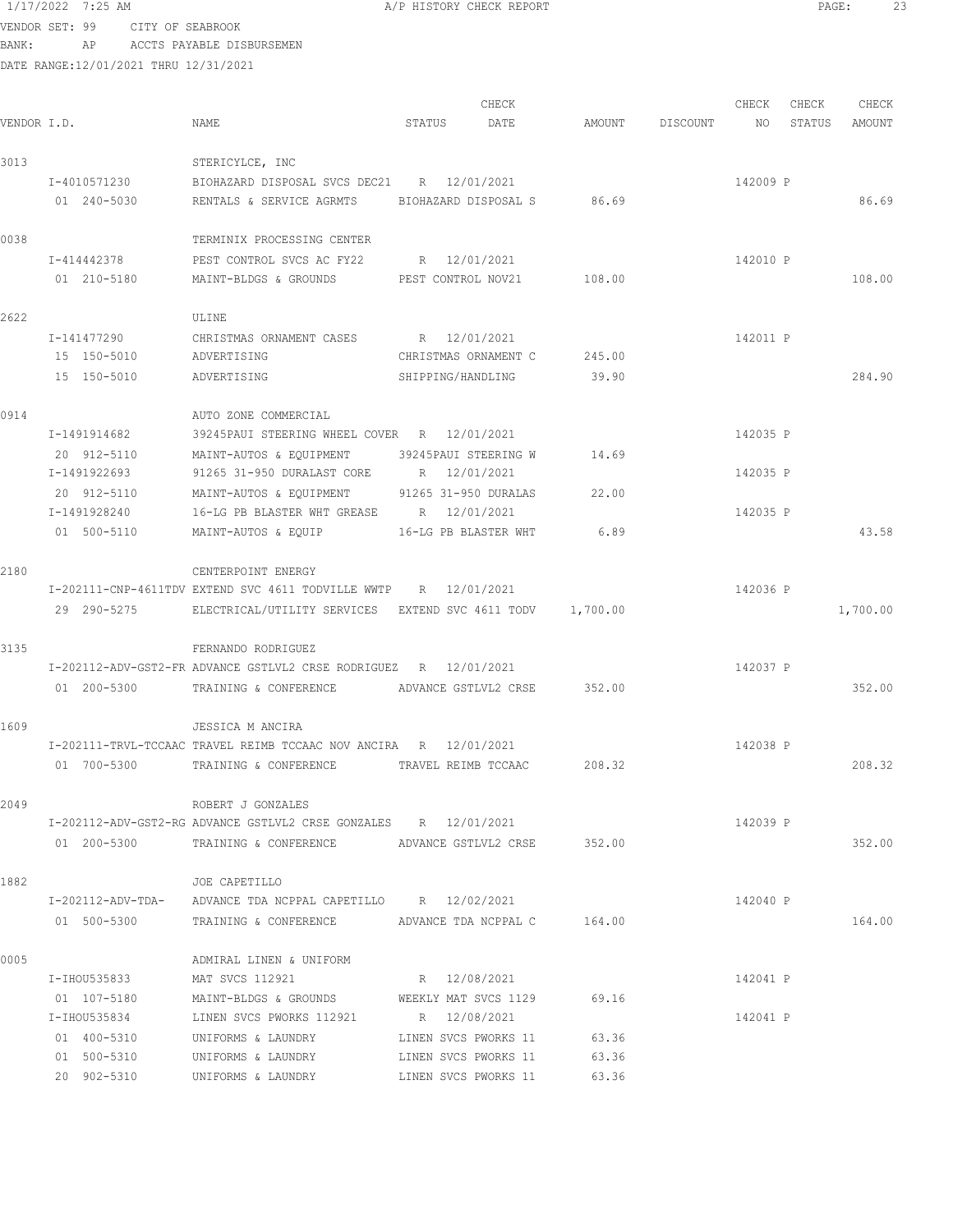VENDOR SET: 99 CITY OF SEABROOK BANK: AP ACCTS PAYABLE DISBURSEMEN

|             |              |                                                                       |                      | CHECK                |        |                    | CHECK    | CHECK  | CHECK    |
|-------------|--------------|-----------------------------------------------------------------------|----------------------|----------------------|--------|--------------------|----------|--------|----------|
| VENDOR I.D. |              | NAME                                                                  | STATUS               | DATE                 |        | AMOUNT DISCOUNT NO |          | STATUS | AMOUNT   |
| 3013        |              | STERICYLCE, INC                                                       |                      |                      |        |                    |          |        |          |
|             | I-4010571230 | BIOHAZARD DISPOSAL SVCS DEC21 R 12/01/2021                            |                      |                      |        |                    | 142009 P |        |          |
|             | 01 240-5030  | RENTALS & SERVICE AGRMTS BIOHAZARD DISPOSAL S 86.69                   |                      |                      |        |                    |          |        | 86.69    |
| 0038        |              | TERMINIX PROCESSING CENTER                                            |                      |                      |        |                    |          |        |          |
|             | I-414442378  | PEST CONTROL SVCS AC FY22 R 12/01/2021                                |                      |                      |        |                    | 142010 P |        |          |
|             | 01 210-5180  | MAINT-BLDGS & GROUNDS PEST CONTROL NOV21 108.00                       |                      |                      |        |                    |          |        | 108.00   |
| 2622        |              | ULINE                                                                 |                      |                      |        |                    |          |        |          |
|             | I-141477290  | CHRISTMAS ORNAMENT CASES R 12/01/2021                                 |                      |                      |        |                    | 142011 P |        |          |
|             | 15 150-5010  | ADVERTISING                                                           | CHRISTMAS ORNAMENT C |                      | 245.00 |                    |          |        |          |
|             | 15 150-5010  | ADVERTISING                                                           | SHIPPING/HANDLING    |                      | 39.90  |                    |          |        | 284.90   |
| 0914        |              | AUTO ZONE COMMERCIAL                                                  |                      |                      |        |                    |          |        |          |
|             | I-1491914682 | 39245PAUI STEERING WHEEL COVER R 12/01/2021                           |                      |                      |        |                    | 142035 P |        |          |
|             | 20 912-5110  | MAINT-AUTOS & EQUIPMENT                                               | 39245PAUI STEERING W |                      | 14.69  |                    |          |        |          |
|             | I-1491922693 | 91265 31-950 DURALAST CORE R 12/01/2021                               |                      |                      |        |                    | 142035 P |        |          |
|             | 20 912-5110  | MAINT-AUTOS & EOUIPMENT 91265 31-950 DURALAS                          |                      |                      | 22.00  |                    |          |        |          |
|             | I-1491928240 | 16-LG PB BLASTER WHT GREASE R 12/01/2021                              |                      |                      |        |                    | 142035 P |        |          |
|             | 01 500-5110  | MAINT-AUTOS & EQUIP                                                   | 16-LG PB BLASTER WHT |                      | 6.89   |                    |          |        | 43.58    |
| 2180        |              | CENTERPOINT ENERGY                                                    |                      |                      |        |                    |          |        |          |
|             |              | I-202111-CNP-4611TDV EXTEND SVC 4611 TODVILLE WWTP R 12/01/2021       |                      |                      |        |                    | 142036 P |        |          |
|             |              | 29 290-5275 ELECTRICAL/UTILITY SERVICES EXTEND SVC 4611 TODV 1,700.00 |                      |                      |        |                    |          |        | 1,700.00 |
| 3135        |              | FERNANDO RODRIGUEZ                                                    |                      |                      |        |                    |          |        |          |
|             |              | I-202112-ADV-GST2-FR ADVANCE GSTLVL2 CRSE RODRIGUEZ R 12/01/2021      |                      |                      |        |                    | 142037 P |        |          |
|             |              | 01  200-5300 TRAINING & CONFERENCE ADVANCE GSTLVL2 CRSE 352.00        |                      |                      |        |                    |          |        | 352.00   |
| 1609        |              | JESSICA M ANCIRA                                                      |                      |                      |        |                    |          |        |          |
|             |              | I-202111-TRVL-TCCAAC TRAVEL REIMB TCCAAC NOV ANCIRA R 12/01/2021      |                      |                      |        |                    | 142038 P |        |          |
|             |              | 01 700-5300 TRAINING & CONFERENCE                                     | TRAVEL REIMB TCCAAC  |                      | 208.32 |                    |          |        | 208.32   |
| 2049        |              | ROBERT J GONZALES                                                     |                      |                      |        |                    |          |        |          |
|             |              | I-202112-ADV-GST2-RG ADVANCE GSTLVL2 CRSE GONZALES R 12/01/2021       |                      |                      |        |                    | 142039 P |        |          |
|             |              | 01  200-5300  TRAINING & CONFERENCE  ADVANCE GSTLVL2 CRSE  352.00     |                      |                      |        |                    |          |        | 352.00   |
| 1882        |              | JOE CAPETILLO                                                         |                      |                      |        |                    |          |        |          |
|             |              | I-202112-ADV-TDA- ADVANCE TDA NCPPAL CAPETILLO R 12/02/2021           |                      |                      |        |                    | 142040 P |        |          |
|             |              | 01 500-5300 TRAINING & CONFERENCE ADVANCE TDA NCPPAL C 164.00         |                      |                      |        |                    |          |        | 164.00   |
| 0005        |              | ADMIRAL LINEN & UNIFORM                                               |                      |                      |        |                    |          |        |          |
|             | I-IHOU535833 | MAT SVCS 112921 R 12/08/2021                                          |                      |                      |        |                    | 142041 P |        |          |
|             | 01 107-5180  | MAINT-BLDGS & GROUNDS WEEKLY MAT SVCS 1129                            |                      |                      | 69.16  |                    |          |        |          |
|             | I-IHOU535834 | LINEN SVCS PWORKS 112921                                              | R 12/08/2021         |                      |        |                    | 142041 P |        |          |
|             | 01 400-5310  | UNIFORMS & LAUNDRY                                                    |                      | LINEN SVCS PWORKS 11 | 63.36  |                    |          |        |          |
|             | 01 500-5310  | UNIFORMS & LAUNDRY                                                    | LINEN SVCS PWORKS 11 |                      | 63.36  |                    |          |        |          |
|             | 20 902-5310  | UNIFORMS & LAUNDRY                                                    | LINEN SVCS PWORKS 11 |                      | 63.36  |                    |          |        |          |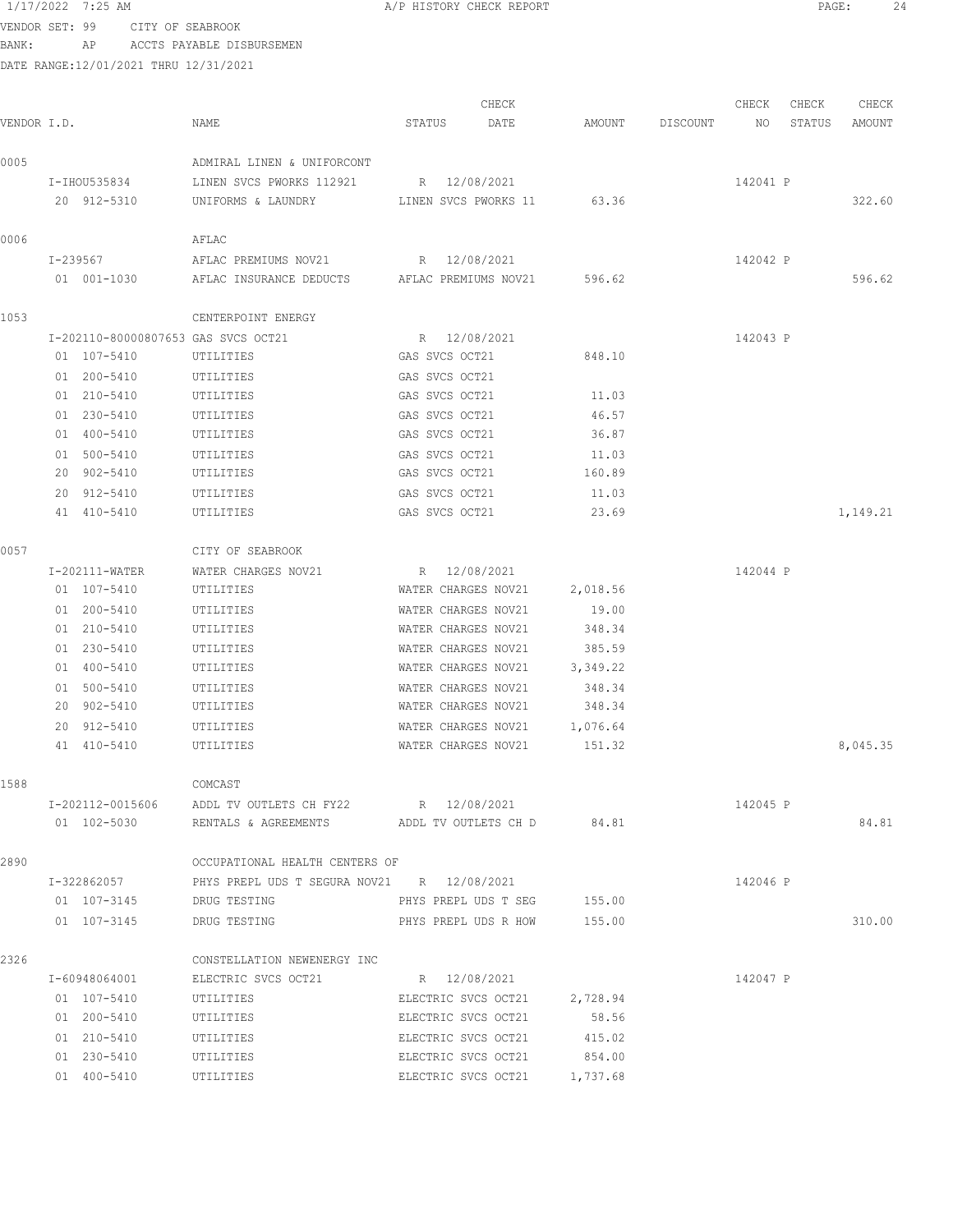|                | 1/17/2022 7:25 AM                     |                            | A/P HISTORY CHECK REPORT |       |          |          |          | PAGE:  |          | 24 |
|----------------|---------------------------------------|----------------------------|--------------------------|-------|----------|----------|----------|--------|----------|----|
| VENDOR SET: 99 | CITY OF SEABROOK                      |                            |                          |       |          |          |          |        |          |    |
| BANK:          | AP                                    | ACCTS PAYABLE DISBURSEMEN  |                          |       |          |          |          |        |          |    |
|                | DATE RANGE:12/01/2021 THRU 12/31/2021 |                            |                          |       |          |          |          |        |          |    |
|                |                                       |                            |                          |       |          |          |          |        |          |    |
|                |                                       |                            |                          | CHECK |          |          | CHECK    | CHECK  | CHECK    |    |
| VENDOR I.D.    |                                       | NAME                       | STATUS                   | DATE  | AMOUNT   | DISCOUNT | NO       | STATUS | AMOUNT   |    |
| 0005           |                                       | ADMIRAL LINEN & UNIFORCONT |                          |       |          |          |          |        |          |    |
|                | I-IHOU535834                          | LINEN SVCS PWORKS 112921   | R 12/08/2021             |       |          |          | 142041 P |        |          |    |
|                | 20 912-5310                           | UNIFORMS & LAUNDRY         | LINEN SVCS PWORKS 11     |       | 63.36    |          |          |        | 322.60   |    |
| 0006           |                                       | AFLAC                      |                          |       |          |          |          |        |          |    |
|                | I-239567                              | AFLAC PREMIUMS NOV21       | R 12/08/2021             |       |          |          | 142042 P |        |          |    |
|                | 01 001-1030                           | AFLAC INSURANCE DEDUCTS    | AFLAC PREMIUMS NOV21     |       | 596.62   |          |          |        | 596.62   |    |
| 1053           |                                       | CENTERPOINT ENERGY         |                          |       |          |          |          |        |          |    |
|                | I-202110-80000807653 GAS SVCS OCT21   |                            | R 12/08/2021             |       |          |          | 142043 P |        |          |    |
|                | 01 107-5410                           | UTILITIES                  | GAS SVCS OCT21           |       | 848.10   |          |          |        |          |    |
|                | 01 200-5410                           | UTILITIES                  | GAS SVCS OCT21           |       |          |          |          |        |          |    |
|                | 01 210-5410                           | UTILITIES                  | GAS SVCS OCT21           |       | 11.03    |          |          |        |          |    |
|                | 01 230-5410                           | UTILITIES                  | GAS SVCS OCT21           |       | 46.57    |          |          |        |          |    |
|                | 01 400-5410                           | UTILITIES                  | GAS SVCS OCT21           |       | 36.87    |          |          |        |          |    |
|                | 01 500-5410                           | UTILITIES                  | GAS SVCS OCT21           |       | 11.03    |          |          |        |          |    |
|                | 20 902-5410                           | UTILITIES                  | GAS SVCS OCT21           |       | 160.89   |          |          |        |          |    |
|                | 20 912-5410                           | UTILITIES                  | GAS SVCS OCT21           |       | 11.03    |          |          |        |          |    |
|                | 41 410-5410                           | UTILITIES                  | GAS SVCS OCT21           |       | 23.69    |          |          |        | 1,149.21 |    |
| 0057           |                                       | CITY OF SEABROOK           |                          |       |          |          |          |        |          |    |
|                | I-202111-WATER                        | WATER CHARGES NOV21        | R 12/08/2021             |       |          |          | 142044 P |        |          |    |
|                | 01 107-5410                           | UTILITIES                  | WATER CHARGES NOV21      |       | 2,018.56 |          |          |        |          |    |
|                | 01 200-5410                           | UTILITIES                  | WATER CHARGES NOV21      |       | 19.00    |          |          |        |          |    |
|                | 01 210-5410                           | UTILITIES                  | WATER CHARGES NOV21      |       | 348.34   |          |          |        |          |    |
|                | 01 230-5410                           | UTILITIES                  | WATER CHARGES NOV21      |       | 385.59   |          |          |        |          |    |
|                | 01 400-5410                           | UTILITIES                  | WATER CHARGES NOV21      |       | 3,349.22 |          |          |        |          |    |
|                | 01 500-5410                           | UTILITIES                  | WATER CHARGES NOV21      |       | 348.34   |          |          |        |          |    |
|                | 20.0025110                            | <b>HOTT TOTDO</b>          | MARRO CUADORO MONO1      |       | $310.31$ |          |          |        |          |    |

|      | 20 902-5410      | UTILITIES                                  | WATER CHARGES NOV21 348.34   |         |          |          |
|------|------------------|--------------------------------------------|------------------------------|---------|----------|----------|
|      | 20 912-5410      | UTILITIES                                  | WATER CHARGES NOV21 1,076.64 |         |          |          |
|      | 41 410-5410      | UTILITIES                                  | WATER CHARGES NOV21          | 151.32  |          | 8,045.35 |
| 1588 |                  | COMCAST                                    |                              |         |          |          |
|      | I-202112-0015606 | ADDL TV OUTLETS CH FY22 R 12/08/2021       |                              |         | 142045 P |          |
|      | 01 102-5030      | RENTALS & AGREEMENTS                       | ADDL TV OUTLETS CH D         | 84.81   |          | 84.81    |
| 2890 |                  | OCCUPATIONAL HEALTH CENTERS OF             |                              |         |          |          |
|      | I-322862057      | PHYS PREPL UDS T SEGURA NOV21 R 12/08/2021 |                              |         | 142046 P |          |
|      | 01 107-3145      | DRUG TESTING                               | PHYS PREPL UDS T SEG         | 155.00  |          |          |
|      | 01 107-3145      | DRUG TESTING                               | PHYS PREPL UDS R HOW         | 155.00  |          | 310.00   |
| 2326 |                  | CONSTELLATION NEWENERGY INC                |                              |         |          |          |
|      | I-60948064001    | ELECTRIC SVCS OCT21                        | R 12/08/2021                 |         | 142047 P |          |
|      | 01 107 5110      | TIMTT TMTMO                                | RIMMATA AUAA AAMA1           | 2 729 A |          |          |

| 1-00948064001         | ETECIKIC SACS OCIST | R 12/08/2021        |          | 142047 F |
|-----------------------|---------------------|---------------------|----------|----------|
| 01 107-5410           | UTILITIES           | ELECTRIC SVCS OCT21 | 2,728.94 |          |
| $01200 - 5410$        | UTILITIES           | ELECTRIC SVCS OCT21 | 58.56    |          |
| $01210 - 5410$        | UTILITIES           | ELECTRIC SVCS OCT21 | 415.02   |          |
| $01$ 2.30 - 5410      | UTILITIES           | ELECTRIC SVCS OCT21 | 854.00   |          |
| $01 \quad 400 - 5410$ | UTILITIES           | ELECTRIC SVCS OCT21 | 1,737.68 |          |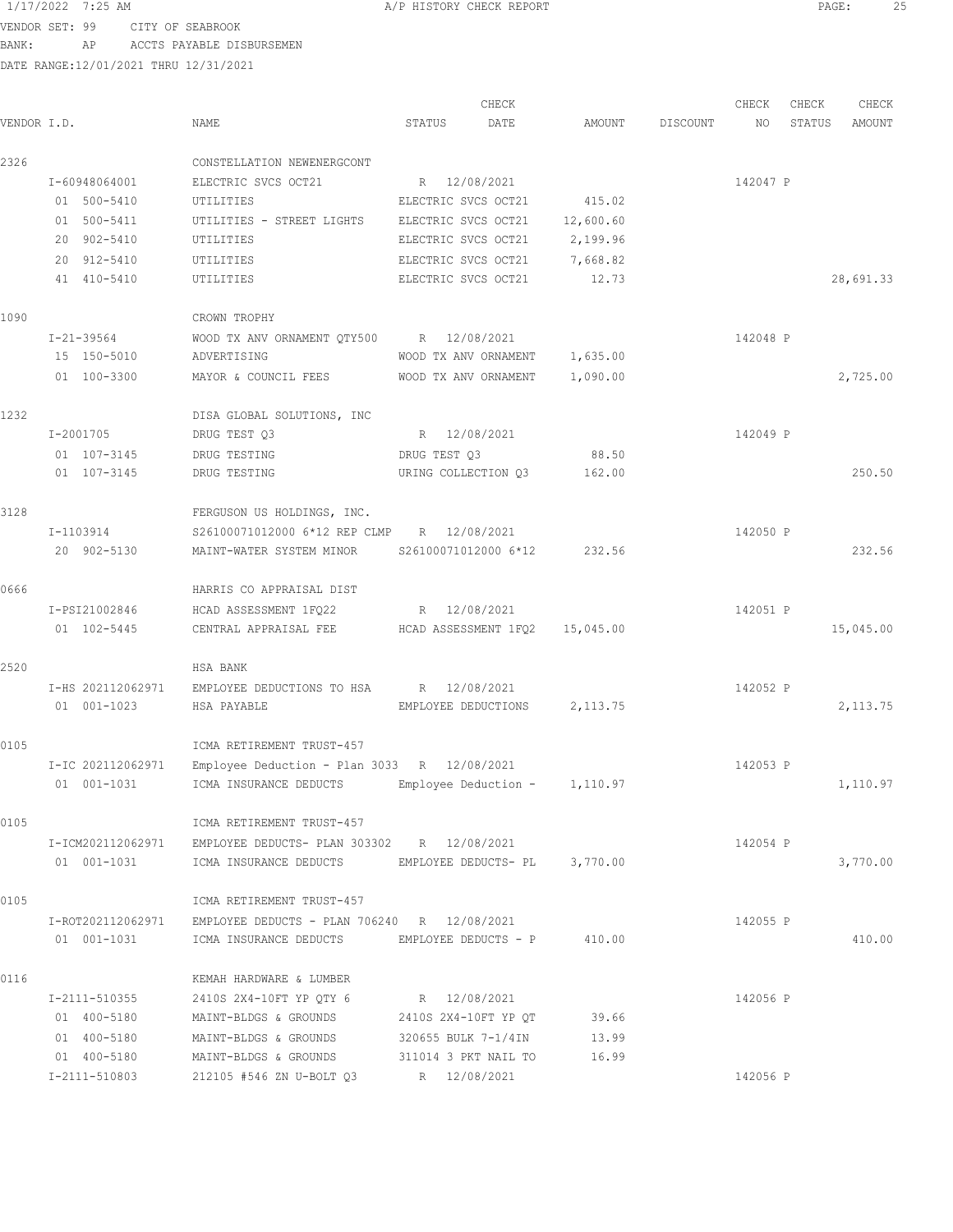VENDOR SET: 99 CITY OF SEABROOK BANK: AP ACCTS PAYABLE DISBURSEMEN

| VENDOR I.D. |                              | NAME                                                          | STATUS              | CHECK<br>DATE                 | AMOUNT    | DISCOUNT | CHECK<br>NO | CHECK<br>STATUS | CHECK<br>AMOUNT |
|-------------|------------------------------|---------------------------------------------------------------|---------------------|-------------------------------|-----------|----------|-------------|-----------------|-----------------|
|             |                              |                                                               |                     |                               |           |          |             |                 |                 |
| 2326        |                              | CONSTELLATION NEWENERGCONT                                    |                     |                               |           |          |             |                 |                 |
|             | I-60948064001                | ELECTRIC SVCS OCT21                                           | R 12/08/2021        |                               |           |          | 142047 P    |                 |                 |
|             | 01 500-5410                  | UTILITIES                                                     | ELECTRIC SVCS OCT21 |                               | 415.02    |          |             |                 |                 |
|             | 01 500-5411                  | UTILITIES - STREET LIGHTS ELECTRIC SVCS OCT21                 |                     |                               | 12,600.60 |          |             |                 |                 |
|             | 20 902-5410                  | UTILITIES                                                     | ELECTRIC SVCS OCT21 |                               | 2,199.96  |          |             |                 |                 |
|             | 20 912-5410                  | UTILITIES                                                     | ELECTRIC SVCS OCT21 |                               | 7,668.82  |          |             |                 |                 |
|             | 41 410-5410                  | UTILITIES                                                     | ELECTRIC SVCS OCT21 |                               | 12.73     |          |             |                 | 28,691.33       |
| 1090        |                              | CROWN TROPHY                                                  |                     |                               |           |          |             |                 |                 |
|             | I-21-39564                   | WOOD TX ANV ORNAMENT QTY500 R 12/08/2021                      |                     |                               |           |          | 142048 P    |                 |                 |
|             | 15 150-5010                  | ADVERTISING                                                   |                     | WOOD TX ANV ORNAMENT 1,635.00 |           |          |             |                 |                 |
|             | 01 100-3300                  | MAYOR & COUNCIL FEES                                          |                     | WOOD TX ANV ORNAMENT          | 1,090.00  |          |             |                 | 2,725.00        |
| 1232        |                              | DISA GLOBAL SOLUTIONS, INC                                    |                     |                               |           |          |             |                 |                 |
|             | I-2001705                    | DRUG TEST Q3                                                  | R 12/08/2021        |                               |           |          | 142049 P    |                 |                 |
|             | 01 107-3145                  | DRUG TESTING                                                  | DRUG TEST Q3        |                               | 88.50     |          |             |                 |                 |
|             | 01 107-3145                  | DRUG TESTING                                                  |                     | URING COLLECTION Q3 162.00    |           |          |             |                 | 250.50          |
| 3128        |                              | FERGUSON US HOLDINGS, INC.                                    |                     |                               |           |          |             |                 |                 |
|             | I-1103914                    | S26100071012000 6*12 REP CLMP R 12/08/2021                    |                     |                               |           |          | 142050 P    |                 |                 |
|             | 20 902-5130                  | MAINT-WATER SYSTEM MINOR                                      |                     | S26100071012000 6*12 232.56   |           |          |             |                 | 232.56          |
| 0666        |                              |                                                               |                     |                               |           |          |             |                 |                 |
|             |                              | HARRIS CO APPRAISAL DIST                                      |                     |                               |           |          |             |                 |                 |
|             | I-PSI21002846<br>01 102-5445 | HCAD ASSESSMENT 1FQ22                                         | R 12/08/2021        |                               |           |          | 142051 P    |                 |                 |
|             |                              | CENTRAL APPRAISAL FEE HCAD ASSESSMENT 1FQ2 15,045.00          |                     |                               |           |          |             |                 | 15,045.00       |
| 2520        |                              | HSA BANK                                                      |                     |                               |           |          |             |                 |                 |
|             |                              | I-HS 202112062971 EMPLOYEE DEDUCTIONS TO HSA R 12/08/2021     |                     |                               |           |          | 142052 P    |                 |                 |
|             | 01 001-1023                  | HSA PAYABLE                                                   |                     | EMPLOYEE DEDUCTIONS 2,113.75  |           |          |             |                 | 2, 113.75       |
| 0105        |                              | ICMA RETIREMENT TRUST-457                                     |                     |                               |           |          |             |                 |                 |
|             | I-IC 202112062971            | Employee Deduction - Plan 3033 R 12/08/2021                   |                     |                               |           |          | 142053 P    |                 |                 |
|             | 01 001-1031                  | ICMA INSURANCE DEDUCTS Employee Deduction - 1,110.97          |                     |                               |           |          |             |                 | 1,110.97        |
| 0105        |                              | ICMA RETIREMENT TRUST-457                                     |                     |                               |           |          |             |                 |                 |
|             |                              | I-ICM202112062971 EMPLOYEE DEDUCTS- PLAN 303302 R 12/08/2021  |                     |                               |           |          | 142054 P    |                 |                 |
|             | 01 001-1031                  | ICMA INSURANCE DEDUCTS EMPLOYEE DEDUCTS- PL 3,770.00          |                     |                               |           |          |             |                 | 3,770.00        |
| 0105        |                              | ICMA RETIREMENT TRUST-457                                     |                     |                               |           |          |             |                 |                 |
|             |                              | I-ROT202112062971 EMPLOYEE DEDUCTS - PLAN 706240 R 12/08/2021 |                     |                               |           |          | 142055 P    |                 |                 |
|             | 01 001-1031                  | ICMA INSURANCE DEDUCTS BMPLOYEE DEDUCTS - P 410.00            |                     |                               |           |          |             |                 | 410.00          |
| 0116        |                              | KEMAH HARDWARE & LUMBER                                       |                     |                               |           |          |             |                 |                 |
|             | I-2111-510355                | 2410S 2X4-10FT YP QTY 6 R 12/08/2021                          |                     |                               |           |          | 142056 P    |                 |                 |
|             | 01 400-5180                  | MAINT-BLDGS & GROUNDS 2410S 2X4-10FT YP QT 39.66              |                     |                               |           |          |             |                 |                 |
|             | 01 400-5180                  | MAINT-BLDGS & GROUNDS 320655 BULK 7-1/4IN                     |                     |                               | 13.99     |          |             |                 |                 |
|             | 01 400-5180                  | MAINT-BLDGS & GROUNDS 311014 3 PKT NAIL TO                    |                     |                               | 16.99     |          |             |                 |                 |
|             | I-2111-510803                | 212105 #546 ZN U-BOLT Q3 R 12/08/2021                         |                     |                               |           |          | 142056 P    |                 |                 |
|             |                              |                                                               |                     |                               |           |          |             |                 |                 |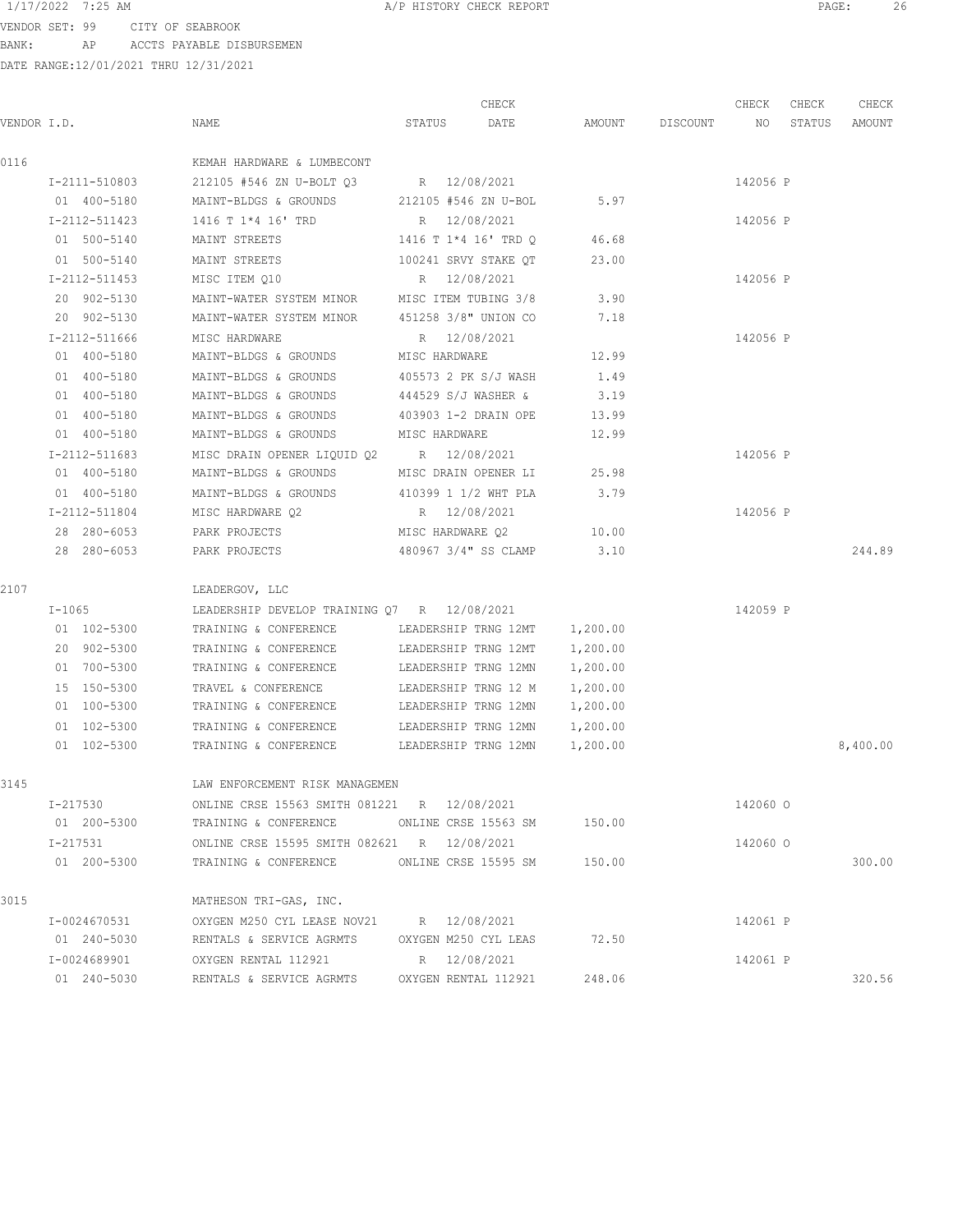VENDOR SET: 99 CITY OF SEABROOK BANK: AP ACCTS PAYABLE DISBURSEMEN

| VENDOR I.D.   | NAME                                          | CHECK<br>DATE<br>STATUS | AMOUNT   | DISCOUNT | CHECK<br>NO | CHECK<br>STATUS | CHECK<br>AMOUNT |
|---------------|-----------------------------------------------|-------------------------|----------|----------|-------------|-----------------|-----------------|
|               |                                               |                         |          |          |             |                 |                 |
| 0116          | KEMAH HARDWARE & LUMBECONT                    |                         |          |          |             |                 |                 |
| I-2111-510803 | 212105 #546 ZN U-BOLT 03                      | R 12/08/2021            |          |          | 142056 P    |                 |                 |
| 01 400-5180   | MAINT-BLDGS & GROUNDS                         | 212105 #546 ZN U-BOL    | 5.97     |          |             |                 |                 |
| I-2112-511423 | 1416 T 1*4 16' TRD                            | R 12/08/2021            |          |          | 142056 P    |                 |                 |
| 01 500-5140   | MAINT STREETS                                 | 1416 T 1*4 16' TRD O    | 46.68    |          |             |                 |                 |
| 01 500-5140   | MAINT STREETS                                 | 100241 SRVY STAKE QT    | 23.00    |          |             |                 |                 |
| I-2112-511453 | MISC ITEM Q10                                 | R 12/08/2021            |          |          | 142056 P    |                 |                 |
| 20 902-5130   | MAINT-WATER SYSTEM MINOR MISC ITEM TUBING 3/8 |                         | 3.90     |          |             |                 |                 |
| 20 902-5130   | MAINT-WATER SYSTEM MINOR 451258 3/8" UNION CO |                         | 7.18     |          |             |                 |                 |
| I-2112-511666 | MISC HARDWARE                                 | R 12/08/2021            |          |          | 142056 P    |                 |                 |
| 01 400-5180   | MAINT-BLDGS & GROUNDS                         | MISC HARDWARE           | 12.99    |          |             |                 |                 |
| 01 400-5180   | MAINT-BLDGS & GROUNDS                         | 405573 2 PK S/J WASH    | 1.49     |          |             |                 |                 |
| 01 400-5180   | MAINT-BLDGS & GROUNDS                         | 444529 S/J WASHER &     | 3.19     |          |             |                 |                 |
| 01 400-5180   | MAINT-BLDGS & GROUNDS                         | 403903 1-2 DRAIN OPE    | 13.99    |          |             |                 |                 |
| 01 400-5180   | MAINT-BLDGS & GROUNDS                         | MISC HARDWARE           | 12.99    |          |             |                 |                 |
| I-2112-511683 | MISC DRAIN OPENER LIQUID Q2 R 12/08/2021      |                         |          |          | 142056 P    |                 |                 |
| 01 400-5180   | MAINT-BLDGS & GROUNDS                         | MISC DRAIN OPENER LI    | 25.98    |          |             |                 |                 |
| 01 400-5180   | MAINT-BLDGS & GROUNDS                         | 410399 1 1/2 WHT PLA    | 3.79     |          |             |                 |                 |
| I-2112-511804 | MISC HARDWARE Q2                              | R 12/08/2021            |          |          | 142056 P    |                 |                 |
| 28 280-6053   | PARK PROJECTS                                 | MISC HARDWARE Q2        | 10.00    |          |             |                 |                 |
| 28 280-6053   | PARK PROJECTS                                 | 480967 3/4" SS CLAMP    | 3.10     |          |             |                 | 244.89          |
| 2107          | LEADERGOV, LLC                                |                         |          |          |             |                 |                 |
| $I-1065$      | LEADERSHIP DEVELOP TRAINING Q7 R 12/08/2021   |                         |          |          | 142059 P    |                 |                 |
| 01 102-5300   | TRAINING & CONFERENCE                         | LEADERSHIP TRNG 12MT    | 1,200.00 |          |             |                 |                 |
| 20 902-5300   | TRAINING & CONFERENCE                         | LEADERSHIP TRNG 12MT    | 1,200.00 |          |             |                 |                 |
| 01 700-5300   | TRAINING & CONFERENCE                         | LEADERSHIP TRNG 12MN    | 1,200.00 |          |             |                 |                 |
| 15 150-5300   | TRAVEL & CONFERENCE                           | LEADERSHIP TRNG 12 M    | 1,200.00 |          |             |                 |                 |
| 01 100-5300   | TRAINING & CONFERENCE                         | LEADERSHIP TRNG 12MN    | 1,200.00 |          |             |                 |                 |
| 01 102-5300   | TRAINING & CONFERENCE                         | LEADERSHIP TRNG 12MN    | 1,200.00 |          |             |                 |                 |
| 01 102-5300   | TRAINING & CONFERENCE                         | LEADERSHIP TRNG 12MN    | 1,200.00 |          |             |                 | 8,400.00        |
| 3145          | LAW ENFORCEMENT RISK MANAGEMEN                |                         |          |          |             |                 |                 |
| I-217530      | ONLINE CRSE 15563 SMITH 081221 R 12/08/2021   |                         |          |          | 142060 0    |                 |                 |
| 01 200-5300   | TRAINING & CONFERENCE ONLINE CRSE 15563 SM    |                         | 150.00   |          |             |                 |                 |
| I-217531      | ONLINE CRSE 15595 SMITH 082621 R 12/08/2021   |                         |          |          | 142060 0    |                 |                 |
| 01 200-5300   | TRAINING & CONFERENCE                         | ONLINE CRSE 15595 SM    | 150.00   |          |             |                 | 300.00          |
| 3015          | MATHESON TRI-GAS, INC.                        |                         |          |          |             |                 |                 |
| I-0024670531  | OXYGEN M250 CYL LEASE NOV21 R 12/08/2021      |                         |          |          | 142061 P    |                 |                 |
| 01 240-5030   | RENTALS & SERVICE AGRMTS                      | OXYGEN M250 CYL LEAS    | 72.50    |          |             |                 |                 |
| I-0024689901  | OXYGEN RENTAL 112921                          | R 12/08/2021            |          |          | 142061 P    |                 |                 |
| 01 240-5030   | RENTALS & SERVICE AGRMTS                      | OXYGEN RENTAL 112921    | 248.06   |          |             |                 | 320.56          |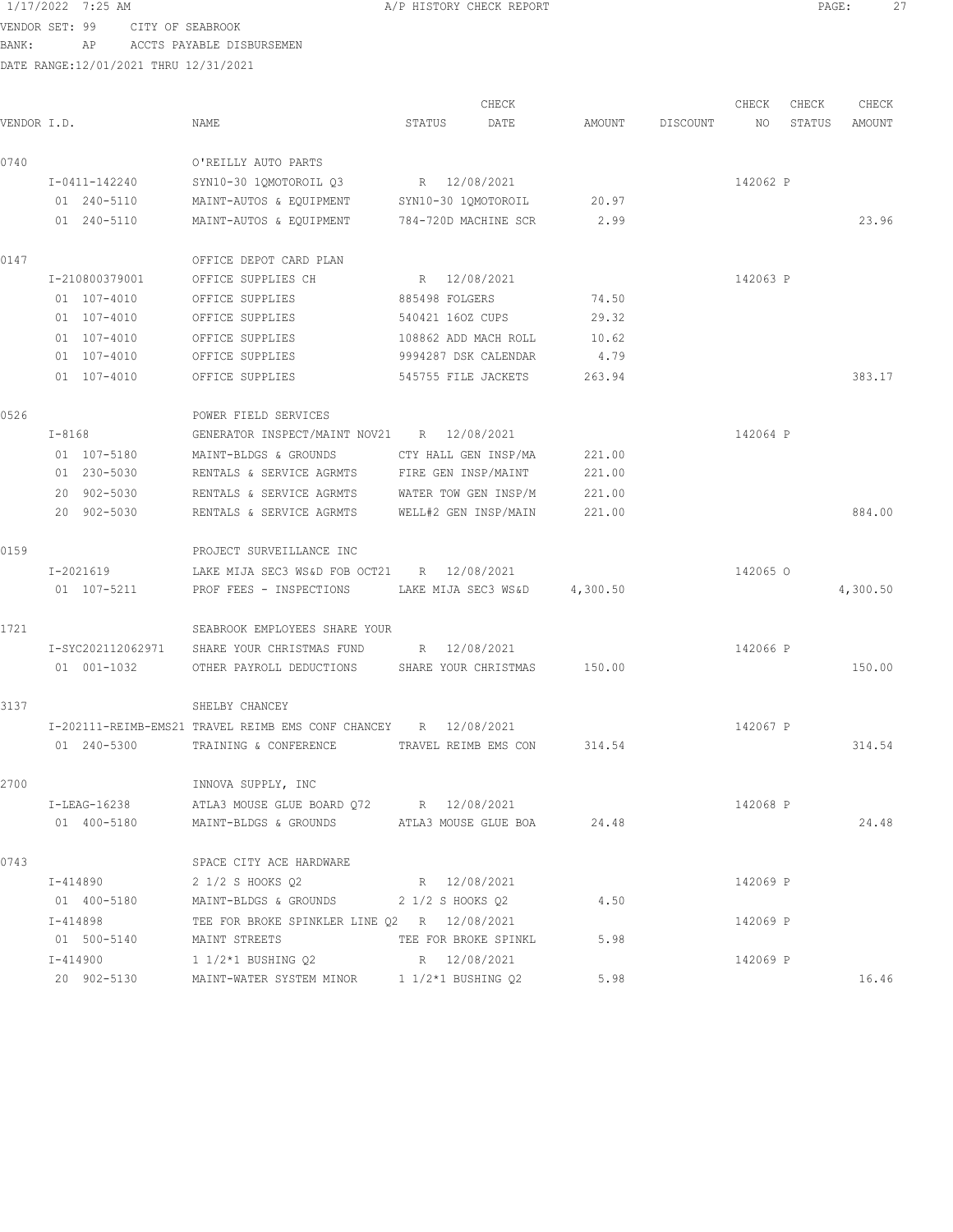VENDOR SET: 99 CITY OF SEABROOK BANK: AP ACCTS PAYABLE DISBURSEMEN

| VENDOR I.D. |                   | NAME                                                            | CHECK<br>STATUS<br>DATE | AMOUNT   | DISCOUNT | CHECK<br>NO | CHECK<br>CHECK<br>STATUS<br>AMOUNT |
|-------------|-------------------|-----------------------------------------------------------------|-------------------------|----------|----------|-------------|------------------------------------|
| 0740        |                   | O'REILLY AUTO PARTS                                             |                         |          |          |             |                                    |
|             | I-0411-142240     | SYN10-30 1QMOTOROIL Q3                                          | R 12/08/2021            |          |          | 142062 P    |                                    |
|             | 01 240-5110       | MAINT-AUTOS & EQUIPMENT                                         | SYN10-30 1QMOTOROIL     | 20.97    |          |             |                                    |
|             | 01 240-5110       | MAINT-AUTOS & EQUIPMENT                                         | 784-720D MACHINE SCR    | 2.99     |          |             | 23.96                              |
| 0147        |                   | OFFICE DEPOT CARD PLAN                                          |                         |          |          |             |                                    |
|             | I-210800379001    | OFFICE SUPPLIES CH                                              | R 12/08/2021            |          |          | 142063 P    |                                    |
|             | 01 107-4010       | OFFICE SUPPLIES                                                 | 885498 FOLGERS          | 74.50    |          |             |                                    |
|             | 01 107-4010       | OFFICE SUPPLIES                                                 | 540421 160Z CUPS        | 29.32    |          |             |                                    |
|             | $01 107 - 4010$   | OFFICE SUPPLIES                                                 | 108862 ADD MACH ROLL    | 10.62    |          |             |                                    |
|             | 01 107-4010       | OFFICE SUPPLIES                                                 | 9994287 DSK CALENDAR    | 4.79     |          |             |                                    |
|             | $01 107 - 4010$   | OFFICE SUPPLIES                                                 | 545755 FILE JACKETS     | 263.94   |          |             | 383.17                             |
| 0526        |                   | POWER FIELD SERVICES                                            |                         |          |          |             |                                    |
|             | $I - 8168$        | GENERATOR INSPECT/MAINT NOV21 R 12/08/2021                      |                         |          |          | 142064 P    |                                    |
|             | 01 107-5180       | MAINT-BLDGS & GROUNDS                                           | CTY HALL GEN INSP/MA    | 221.00   |          |             |                                    |
|             | 01 230-5030       | RENTALS & SERVICE AGRMTS                                        | FIRE GEN INSP/MAINT     | 221.00   |          |             |                                    |
|             | 20 902-5030       | RENTALS & SERVICE AGRMTS                                        | WATER TOW GEN INSP/M    | 221.00   |          |             |                                    |
|             | 20 902-5030       | RENTALS & SERVICE AGRMTS                                        | WELL#2 GEN INSP/MAIN    | 221.00   |          |             | 884.00                             |
| 0159        |                   | PROJECT SURVEILLANCE INC                                        |                         |          |          |             |                                    |
|             | I-2021619         | LAKE MIJA SEC3 WS&D FOB OCT21 R 12/08/2021                      |                         |          |          | 142065 0    |                                    |
|             | 01 107-5211       | PROF FEES - INSPECTIONS                                         | LAKE MIJA SEC3 WS&D     | 4,300.50 |          |             | 4,300.50                           |
| 1721        |                   | SEABROOK EMPLOYEES SHARE YOUR                                   |                         |          |          |             |                                    |
|             | I-SYC202112062971 | SHARE YOUR CHRISTMAS FUND                                       | R 12/08/2021            |          |          | 142066 P    |                                    |
|             | 01 001-1032       | OTHER PAYROLL DEDUCTIONS                                        | SHARE YOUR CHRISTMAS    | 150.00   |          |             | 150.00                             |
| 3137        |                   | SHELBY CHANCEY                                                  |                         |          |          |             |                                    |
|             |                   | I-202111-REIMB-EMS21 TRAVEL REIMB EMS CONF CHANCEY R 12/08/2021 |                         |          |          | 142067 P    |                                    |
|             | 01 240-5300       | TRAINING & CONFERENCE                                           | TRAVEL REIMB EMS CON    | 314.54   |          |             | 314.54                             |
| 2700        |                   | INNOVA SUPPLY, INC                                              |                         |          |          |             |                                    |
|             | I-LEAG-16238      | ATLA3 MOUSE GLUE BOARD Q72 R 12/08/2021                         |                         |          |          | 142068 P    |                                    |
|             | 01 400-5180       | MAINT-BLDGS & GROUNDS ATLA3 MOUSE GLUE BOA                      |                         | 24.48    |          |             | 24.48                              |
| 0743        |                   | SPACE CITY ACE HARDWARE                                         |                         |          |          |             |                                    |
|             | I-414890          | 2 1/2 S HOOKS Q2                                                | R 12/08/2021            |          |          | 142069 P    |                                    |
|             | 01 400-5180       | MAINT-BLDGS & GROUNDS 2 1/2 S HOOKS Q2                          |                         | 4.50     |          |             |                                    |
|             | I-414898          | TEE FOR BROKE SPINKLER LINE 02 R 12/08/2021                     |                         |          |          | 142069 P    |                                    |
|             | 01 500-5140       | MAINT STREETS                                                   | TEE FOR BROKE SPINKL    | 5.98     |          |             |                                    |
|             | I-414900          | 1 1/2*1 BUSHING Q2 R 12/08/2021                                 |                         |          |          | 142069 P    |                                    |
|             | 20 902-5130       | MAINT-WATER SYSTEM MINOR                                        | 1 1/2*1 BUSHING Q2      | 5.98     |          |             | 16.46                              |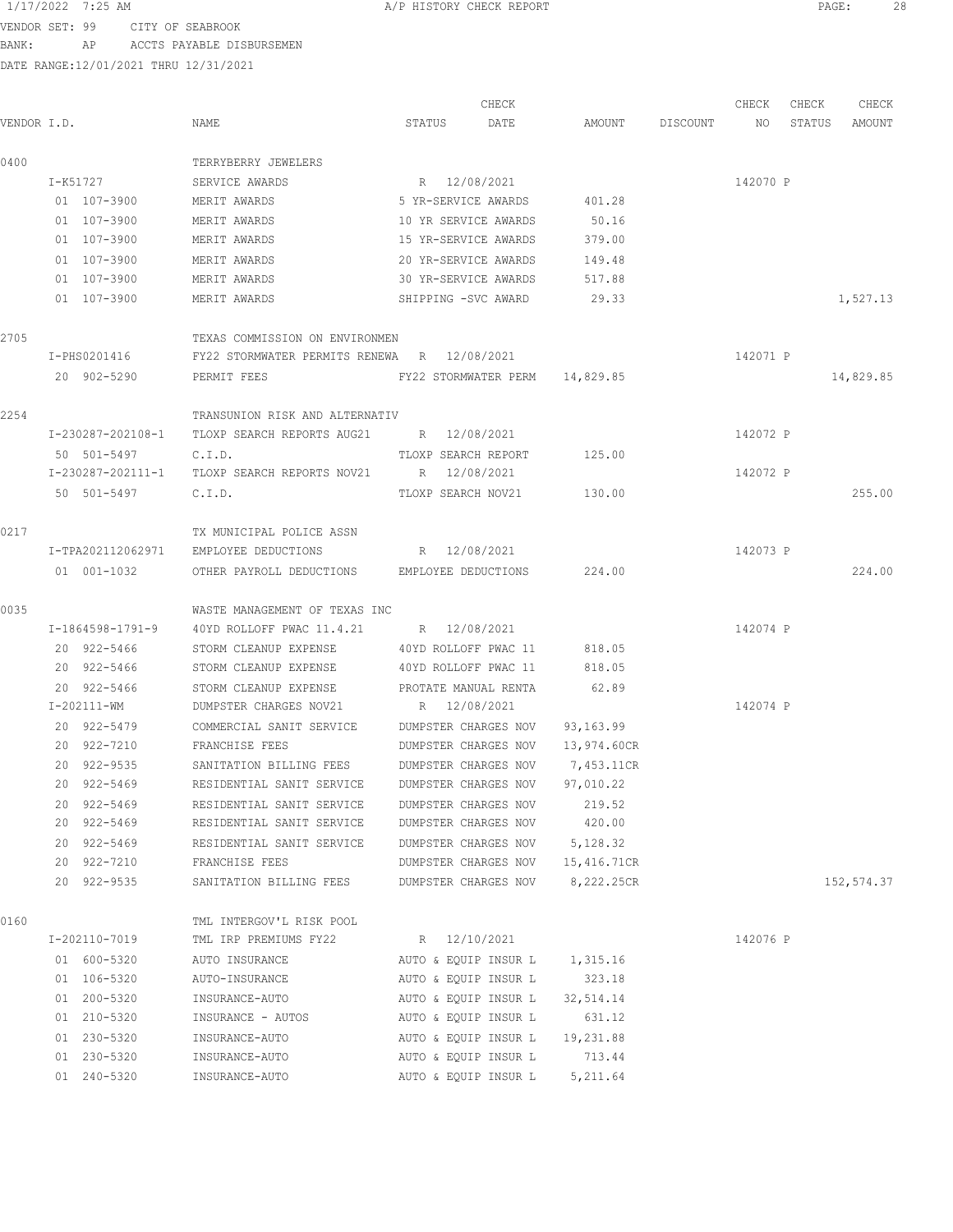VENDOR SET: 99 CITY OF SEABROOK

BANK: AP ACCTS PAYABLE DISBURSEMEN

|             |                   |                                |                                              | CHECK                            |             |          | CHECK    | CHECK  | CHECK      |
|-------------|-------------------|--------------------------------|----------------------------------------------|----------------------------------|-------------|----------|----------|--------|------------|
| VENDOR I.D. |                   | NAME                           | STATUS                                       | DATE                             | AMOUNT      | DISCOUNT | NO       | STATUS | AMOUNT     |
| 0400        |                   | TERRYBERRY JEWELERS            |                                              |                                  |             |          |          |        |            |
|             | I-K51727          | SERVICE AWARDS                 |                                              | R 12/08/2021                     |             |          | 142070 P |        |            |
|             | 01 107-3900       | MERIT AWARDS                   |                                              | 5 YR-SERVICE AWARDS              | 401.28      |          |          |        |            |
|             | 01 107-3900       | MERIT AWARDS                   |                                              | 10 YR SERVICE AWARDS             | 50.16       |          |          |        |            |
|             | 01 107-3900       | MERIT AWARDS                   |                                              | 15 YR-SERVICE AWARDS             | 379.00      |          |          |        |            |
|             | 01 107-3900       | MERIT AWARDS                   |                                              | 20 YR-SERVICE AWARDS             | 149.48      |          |          |        |            |
|             | 01 107-3900       | MERIT AWARDS                   |                                              | 30 YR-SERVICE AWARDS             | 517.88      |          |          |        |            |
|             | 01 107-3900       | MERIT AWARDS                   |                                              | SHIPPING -SVC AWARD              | 29.33       |          |          |        | 1,527.13   |
| 2705        |                   | TEXAS COMMISSION ON ENVIRONMEN |                                              |                                  |             |          |          |        |            |
|             | I-PHS0201416      |                                | FY22 STORMWATER PERMITS RENEWA R 12/08/2021  |                                  |             |          | 142071 P |        |            |
|             | 20 902-5290       | PERMIT FEES                    |                                              | FY22 STORMWATER PERM 14,829.85   |             |          |          |        | 14,829.85  |
| 2254        |                   | TRANSUNION RISK AND ALTERNATIV |                                              |                                  |             |          |          |        |            |
|             | I-230287-202108-1 | TLOXP SEARCH REPORTS AUG21     |                                              | R 12/08/2021                     |             |          | 142072 P |        |            |
|             | 50 501-5497       | C.I.D.                         |                                              | TLOXP SEARCH REPORT              | 125.00      |          |          |        |            |
|             | I-230287-202111-1 | TLOXP SEARCH REPORTS NOV21     |                                              | R 12/08/2021                     |             |          | 142072 P |        |            |
|             | 50 501-5497       | C.I.D.                         |                                              | TLOXP SEARCH NOV21               | 130.00      |          |          |        | 255.00     |
| 0217        |                   | TX MUNICIPAL POLICE ASSN       |                                              |                                  |             |          |          |        |            |
|             | I-TPA202112062971 | EMPLOYEE DEDUCTIONS            |                                              | R 12/08/2021                     |             |          | 142073 P |        |            |
|             | 01 001-1032       |                                | OTHER PAYROLL DEDUCTIONS EMPLOYEE DEDUCTIONS |                                  | 224.00      |          |          |        | 224.00     |
| 0035        |                   | WASTE MANAGEMENT OF TEXAS INC  |                                              |                                  |             |          |          |        |            |
|             | I-1864598-1791-9  |                                | 40YD ROLLOFF PWAC 11.4.21 R 12/08/2021       |                                  |             |          | 142074 P |        |            |
|             | 20 922-5466       | STORM CLEANUP EXPENSE          |                                              | 40YD ROLLOFF PWAC 11             | 818.05      |          |          |        |            |
|             | 20 922-5466       | STORM CLEANUP EXPENSE          |                                              | 40YD ROLLOFF PWAC 11             | 818.05      |          |          |        |            |
|             | 20 922-5466       | STORM CLEANUP EXPENSE          |                                              | PROTATE MANUAL RENTA             | 62.89       |          |          |        |            |
|             | $I - 202111 - WM$ | DUMPSTER CHARGES NOV21         |                                              | R 12/08/2021                     |             |          | 142074 P |        |            |
|             | 20 922-5479       | COMMERCIAL SANIT SERVICE       |                                              | DUMPSTER CHARGES NOV             | 93,163.99   |          |          |        |            |
|             | 20 922-7210       | FRANCHISE FEES                 |                                              | DUMPSTER CHARGES NOV             | 13,974.60CR |          |          |        |            |
|             | 20 922-9535       | SANITATION BILLING FEES        |                                              | DUMPSTER CHARGES NOV             | 7,453.11CR  |          |          |        |            |
|             | 20 922-5469       | RESIDENTIAL SANIT SERVICE      |                                              | DUMPSTER CHARGES NOV             | 97,010.22   |          |          |        |            |
|             | 20 922-5469       | RESIDENTIAL SANIT SERVICE      |                                              | DUMPSTER CHARGES NOV             | 219.52      |          |          |        |            |
|             | 20 922-5469       | RESIDENTIAL SANIT SERVICE      |                                              | DUMPSTER CHARGES NOV             | 420.00      |          |          |        |            |
|             | 20 922-5469       | RESIDENTIAL SANIT SERVICE      |                                              | DUMPSTER CHARGES NOV 5,128.32    |             |          |          |        |            |
|             | 20 922-7210       | FRANCHISE FEES                 |                                              | DUMPSTER CHARGES NOV 15,416.71CR |             |          |          |        |            |
|             | 20 922-9535       | SANITATION BILLING FEES        |                                              | DUMPSTER CHARGES NOV             | 8,222.25CR  |          |          |        | 152,574.37 |
| 0160        |                   | TML INTERGOV'L RISK POOL       |                                              |                                  |             |          |          |        |            |
|             | I-202110-7019     | TML IRP PREMIUMS FY22          |                                              | R 12/10/2021                     |             |          | 142076 P |        |            |
|             | 01 600-5320       | AUTO INSURANCE                 |                                              | AUTO & EQUIP INSUR L 1,315.16    |             |          |          |        |            |
|             | 01 106-5320       | AUTO-INSURANCE                 |                                              | AUTO & EQUIP INSUR L             | 323.18      |          |          |        |            |
|             | 01 200-5320       | INSURANCE-AUTO                 |                                              | AUTO & EQUIP INSUR L             | 32,514.14   |          |          |        |            |
|             | 01 210-5320       | INSURANCE - AUTOS              |                                              | AUTO & EQUIP INSUR L             | 631.12      |          |          |        |            |
|             | 01 230-5320       | INSURANCE-AUTO                 |                                              | AUTO & EQUIP INSUR L             | 19,231.88   |          |          |        |            |
|             | 01 230-5320       | INSURANCE-AUTO                 |                                              | AUTO & EQUIP INSUR L             | 713.44      |          |          |        |            |
|             | 01 240-5320       | INSURANCE-AUTO                 |                                              | AUTO & EQUIP INSUR L             | 5,211.64    |          |          |        |            |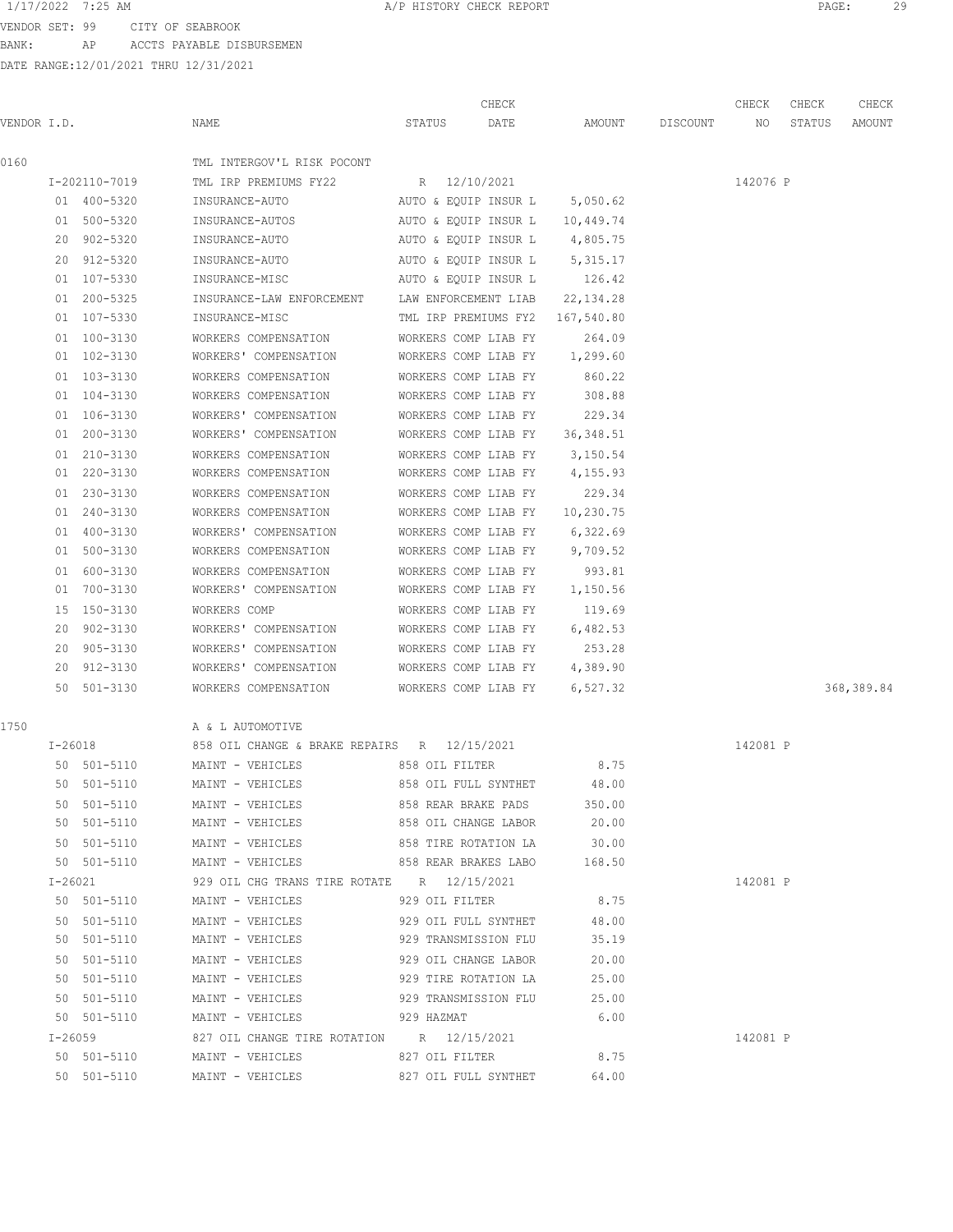VENDOR SET: 99 CITY OF SEABROOK BANK: AP ACCTS PAYABLE DISBURSEMEN

|             |    |               |      |                                                    | CHECK |                |                      |                               | CHECK    | CHECK    | CHECK  |            |
|-------------|----|---------------|------|----------------------------------------------------|-------|----------------|----------------------|-------------------------------|----------|----------|--------|------------|
| VENDOR I.D. |    |               | NAME |                                                    |       | STATUS         | DATE                 | AMOUNT                        | DISCOUNT | NO       | STATUS | AMOUNT     |
| 0160        |    |               |      | TML INTERGOV'L RISK POCONT                         |       |                |                      |                               |          |          |        |            |
|             |    | I-202110-7019 |      | TML IRP PREMIUMS FY22                              |       | R 12/10/2021   |                      |                               |          | 142076 P |        |            |
|             |    | 01 400-5320   |      | INSURANCE-AUTO                                     |       |                | AUTO & EQUIP INSUR L | 5,050.62                      |          |          |        |            |
|             |    | 01 500-5320   |      | INSURANCE-AUTOS                                    |       |                | AUTO & EQUIP INSUR L | 10,449.74                     |          |          |        |            |
|             |    | 20 902-5320   |      | INSURANCE-AUTO                                     |       |                |                      | AUTO & EQUIP INSUR L 4,805.75 |          |          |        |            |
|             |    | 20 912-5320   |      | INSURANCE-AUTO                                     |       |                | AUTO & EQUIP INSUR L | 5, 315.17                     |          |          |        |            |
|             |    | 01 107-5330   |      | INSURANCE-MISC                                     |       |                | AUTO & EQUIP INSUR L | 126.42                        |          |          |        |            |
|             | 01 | $200 - 5325$  |      | INSURANCE-LAW ENFORCEMENT                          |       |                | LAW ENFORCEMENT LIAB | 22, 134.28                    |          |          |        |            |
|             |    | 01 107-5330   |      | INSURANCE-MISC                                     |       |                | TML IRP PREMIUMS FY2 | 167,540.80                    |          |          |        |            |
|             |    | 01 100-3130   |      | WORKERS COMPENSATION                               |       |                | WORKERS COMP LIAB FY | 264.09                        |          |          |        |            |
|             |    | 01 102-3130   |      | WORKERS' COMPENSATION                              |       |                | WORKERS COMP LIAB FY | 1,299.60                      |          |          |        |            |
|             |    | 01 103-3130   |      | WORKERS COMPENSATION                               |       |                | WORKERS COMP LIAB FY | 860.22                        |          |          |        |            |
|             |    | 01 104-3130   |      | WORKERS COMPENSATION                               |       |                | WORKERS COMP LIAB FY | 308.88                        |          |          |        |            |
|             |    | 01 106-3130   |      | WORKERS' COMPENSATION                              |       |                | WORKERS COMP LIAB FY | 229.34                        |          |          |        |            |
|             |    | 01 200-3130   |      | WORKERS' COMPENSATION                              |       |                | WORKERS COMP LIAB FY | 36, 348.51                    |          |          |        |            |
|             |    | 01 210-3130   |      | WORKERS COMPENSATION                               |       |                | WORKERS COMP LIAB FY | 3,150.54                      |          |          |        |            |
|             |    | 01 220-3130   |      | WORKERS COMPENSATION                               |       |                | WORKERS COMP LIAB FY | 4,155.93                      |          |          |        |            |
|             |    | 01 230-3130   |      | WORKERS COMPENSATION                               |       |                | WORKERS COMP LIAB FY | 229.34                        |          |          |        |            |
|             |    | 01 240-3130   |      | WORKERS COMPENSATION                               |       |                | WORKERS COMP LIAB FY | 10,230.75                     |          |          |        |            |
|             | 01 | 400-3130      |      | WORKERS' COMPENSATION                              |       |                | WORKERS COMP LIAB FY | 6,322.69                      |          |          |        |            |
|             |    | 01 500-3130   |      | WORKERS COMPENSATION                               |       |                | WORKERS COMP LIAB FY | 9,709.52                      |          |          |        |            |
|             |    | 01 600-3130   |      | WORKERS COMPENSATION                               |       |                | WORKERS COMP LIAB FY | 993.81                        |          |          |        |            |
|             | 01 | 700-3130      |      | WORKERS' COMPENSATION                              |       |                | WORKERS COMP LIAB FY | 1,150.56                      |          |          |        |            |
|             | 15 | 150-3130      |      | WORKERS COMP                                       |       |                | WORKERS COMP LIAB FY | 119.69                        |          |          |        |            |
|             | 20 | 902-3130      |      | WORKERS' COMPENSATION                              |       |                | WORKERS COMP LIAB FY | 6,482.53                      |          |          |        |            |
|             | 20 | 905-3130      |      | WORKERS' COMPENSATION                              |       |                | WORKERS COMP LIAB FY | 253.28                        |          |          |        |            |
|             |    | 20 912-3130   |      | WORKERS' COMPENSATION                              |       |                | WORKERS COMP LIAB FY | 4,389.90                      |          |          |        |            |
|             |    | 50 501-3130   |      | WORKERS COMPENSATION                               |       |                | WORKERS COMP LIAB FY | 6,527.32                      |          |          |        | 368,389.84 |
| 1750        |    |               |      | A & L AUTOMOTIVE                                   |       |                |                      |                               |          |          |        |            |
|             |    | $I - 26018$   |      | 858 OIL CHANGE & BRAKE REPAIRS R 12/15/2021        |       |                |                      |                               |          | 142081 P |        |            |
|             |    | 50 501-5110   |      | MAINT - VEHICLES                                   |       | 858 OIL FILTER |                      | 8.75                          |          |          |        |            |
|             |    | 50 501-5110   |      | MAINT - VEHICLES                                   |       |                | 858 OIL FULL SYNTHET | 48.00                         |          |          |        |            |
|             |    | 50 501-5110   |      | MAINT - VEHICLES                                   |       |                | 858 REAR BRAKE PADS  | 350.00                        |          |          |        |            |
|             |    | 50 501-5110   |      | MAINT - VEHICLES                                   |       |                | 858 OIL CHANGE LABOR | 20.00                         |          |          |        |            |
|             |    | 50 501-5110   |      | MAINT - VEHICLES                                   |       |                | 858 TIRE ROTATION LA | 30.00                         |          |          |        |            |
|             |    | 50 501-5110   |      | MAINT - VEHICLES 658 REAR BRAKES LABO 168.50       |       |                |                      |                               |          |          |        |            |
|             |    |               |      | I-26021 929 OIL CHG TRANS TIRE ROTATE R 12/15/2021 |       |                |                      |                               |          | 142081 P |        |            |
|             |    |               |      | 50 501-5110 MAINT - VEHICLES 929 OIL FILTER 8.75   |       |                |                      |                               |          |          |        |            |
|             |    | 50 501-5110   |      | MAINT - VEHICLES 629 OIL FULL SYNTHET 48.00        |       |                |                      |                               |          |          |        |            |
|             |    | 50 501-5110   |      | MAINT - VEHICLES 629 TRANSMISSION FLU 35.19        |       |                |                      |                               |          |          |        |            |
|             |    | 50 501-5110   |      | MAINT - VEHICLES 929 OIL CHANGE LABOR              |       |                |                      | 20.00                         |          |          |        |            |
|             |    | 50 501-5110   |      | MAINT - VEHICLES 929 TIRE ROTATION LA              |       |                |                      | 25.00                         |          |          |        |            |
|             |    | 50 501-5110   |      | MAINT - VEHICLES 929 TRANSMISSION FLU              |       |                |                      | 25.00                         |          |          |        |            |
|             |    | 50 501-5110   |      | MAINT - VEHICLES                                   |       | 929 HAZMAT     |                      | 6.00                          |          |          |        |            |
|             |    | $I - 26059$   |      | 827 OIL CHANGE TIRE ROTATION R 12/15/2021          |       |                |                      |                               |          | 142081 P |        |            |
|             |    | 50 501-5110   |      | MAINT - VEHICLES                                   |       | 827 OIL FILTER |                      | 8.75                          |          |          |        |            |
|             |    | 50 501-5110   |      | MAINT - VEHICLES                                   |       |                | 827 OIL FULL SYNTHET | 64.00                         |          |          |        |            |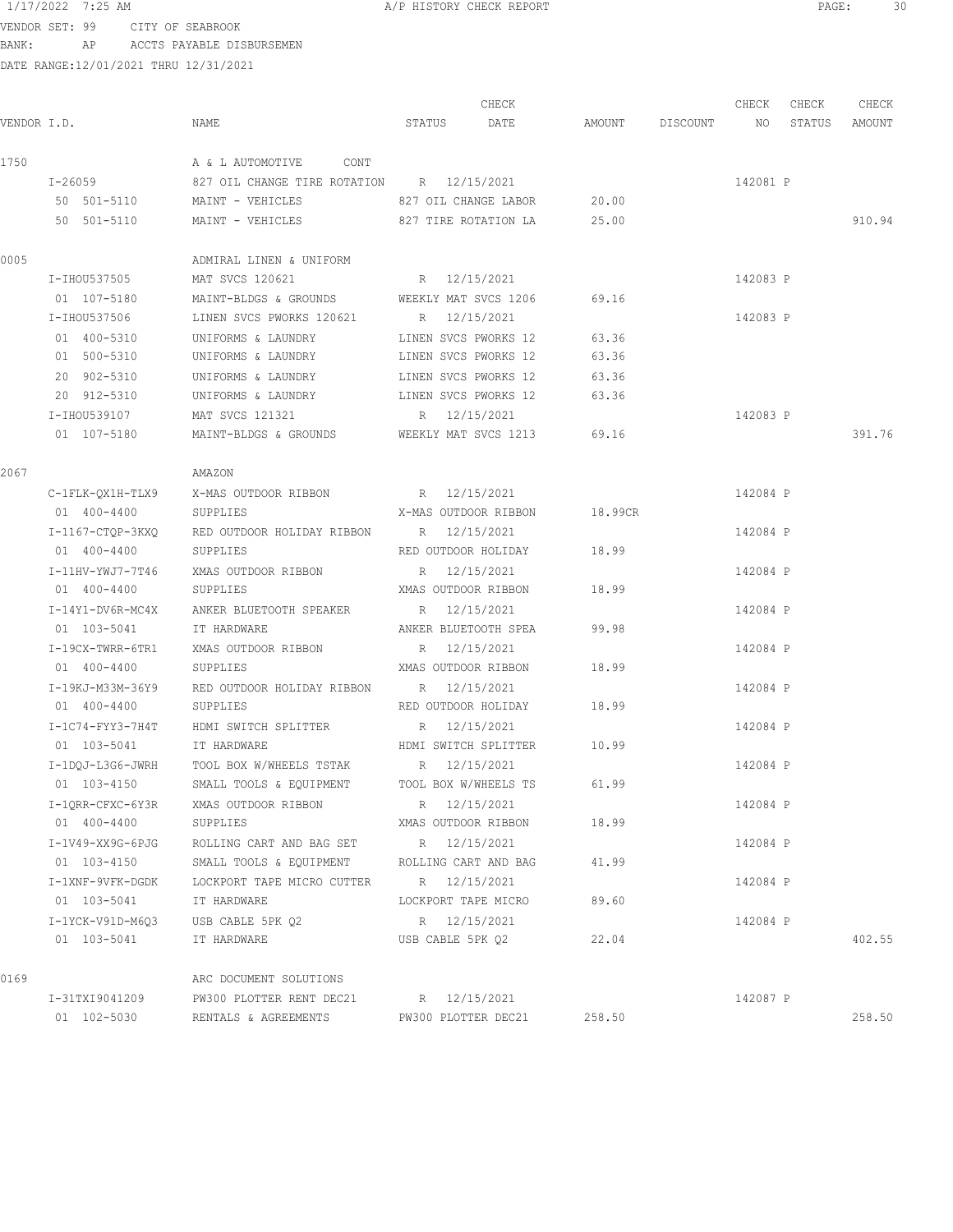VENDOR SET: 99 CITY OF SEABROOK BANK: AP ACCTS PAYABLE DISBURSEMEN

|             |                    |                                                         |                      | CHECK                      |                    | CHECK    | CHECK | CHECK         |
|-------------|--------------------|---------------------------------------------------------|----------------------|----------------------------|--------------------|----------|-------|---------------|
| VENDOR I.D. |                    | NAME                                                    | STATUS               | DATE                       | AMOUNT DISCOUNT NO |          |       | STATUS AMOUNT |
| 1750        |                    | A & L AUTOMOTIVE CONT                                   |                      |                            |                    |          |       |               |
|             | $I - 26059$        | 827 OIL CHANGE TIRE ROTATION B 12/15/2021               |                      |                            |                    | 142081 P |       |               |
|             |                    | 50 501-5110 MAINT - VEHICLES                            | 827 OIL CHANGE LABOR |                            | 20.00              |          |       |               |
|             |                    | 50 501-5110 MAINT - VEHICLES 827 TIRE ROTATION LA 25.00 |                      |                            |                    |          |       | 910.94        |
| 0005        |                    | ADMIRAL LINEN & UNIFORM                                 |                      |                            |                    |          |       |               |
|             | I-IHOU537505       | MAT SVCS 120621                                         | R 12/15/2021         |                            |                    | 142083 P |       |               |
|             | 01 107-5180        | MAINT-BLDGS & GROUNDS                                   | WEEKLY MAT SVCS 1206 |                            | 69.16              |          |       |               |
|             | I-IHOU537506       | LINEN SVCS PWORKS 120621                                | R 12/15/2021         |                            |                    | 142083 P |       |               |
|             | 01 400-5310        | UNIFORMS & LAUNDRY                                      | LINEN SVCS PWORKS 12 |                            | 63.36              |          |       |               |
|             | 01 500-5310        | UNIFORMS & LAUNDRY                                      | LINEN SVCS PWORKS 12 |                            | 63.36              |          |       |               |
|             | 20 902-5310        | UNIFORMS & LAUNDRY                                      | LINEN SVCS PWORKS 12 |                            | 63.36              |          |       |               |
|             | 20 912-5310        | UNIFORMS & LAUNDRY                                      | LINEN SVCS PWORKS 12 |                            | 63.36              |          |       |               |
|             | I-IHOU539107       | MAT SVCS 121321                                         | R 12/15/2021         |                            |                    | 142083 P |       |               |
|             | 01 107-5180        | MAINT-BLDGS & GROUNDS WEEKLY MAT SVCS 1213 69.16        |                      |                            |                    |          |       | 391.76        |
| 2067        |                    | AMAZON                                                  |                      |                            |                    |          |       |               |
|             | C-1FLK-QX1H-TLX9   | X-MAS OUTDOOR RIBBON                                    | R 12/15/2021         |                            |                    | 142084 P |       |               |
|             | 01 400-4400        | SUPPLIES                                                | X-MAS OUTDOOR RIBBON |                            | 18.99CR            |          |       |               |
|             | I-1167-CTQP-3KXQ   | RED OUTDOOR HOLIDAY RIBBON R 12/15/2021                 |                      |                            |                    | 142084 P |       |               |
|             | 01 400-4400        | SUPPLIES                                                | RED OUTDOOR HOLIDAY  |                            | 18.99              |          |       |               |
|             | I-11HV-YWJ7-7T46   | XMAS OUTDOOR RIBBON                                     | R 12/15/2021         |                            |                    | 142084 P |       |               |
|             | 01 400-4400        | SUPPLIES                                                | XMAS OUTDOOR RIBBON  |                            | 18.99              |          |       |               |
|             | I-14Y1-DV6R-MC4X   | ANKER BLUETOOTH SPEAKER                                 | R 12/15/2021         |                            |                    | 142084 P |       |               |
|             | 01 103-5041        | IT HARDWARE                                             | ANKER BLUETOOTH SPEA |                            | 99.98              |          |       |               |
|             | I-19CX-TWRR-6TR1   | XMAS OUTDOOR RIBBON                                     | R 12/15/2021         |                            |                    | 142084 P |       |               |
|             | 01 400-4400        | SUPPLIES                                                |                      | XMAS OUTDOOR RIBBON        | 18.99              |          |       |               |
|             | I-19KJ-M33M-36Y9   | RED OUTDOOR HOLIDAY RIBBON R 12/15/2021                 |                      |                            |                    | 142084 P |       |               |
|             | 01 400-4400        | SUPPLIES                                                |                      | RED OUTDOOR HOLIDAY        | 18.99              |          |       |               |
|             | $I-1C74-FYY3-7H4T$ | HDMI SWITCH SPLITTER                                    | R 12/15/2021         |                            |                    | 142084 P |       |               |
|             | 01 103-5041        | IT HARDWARE                                             |                      | HDMI SWITCH SPLITTER 10.99 |                    |          |       |               |
|             |                    | I-1DQJ-L3G6-JWRH TOOL BOX W/WHEELS TSTAK R 12/15/2021   |                      |                            |                    | 142084 P |       |               |
|             | 01 103-4150        | SMALL TOOLS & EQUIPMENT                                 |                      | TOOL BOX W/WHEELS TS 61.99 |                    |          |       |               |
|             | I-10RR-CFXC-6Y3R   | XMAS OUTDOOR RIBBON                                     | R 12/15/2021         |                            |                    | 142084 P |       |               |
|             | 01 400-4400        | SUPPLIES                                                | XMAS OUTDOOR RIBBON  |                            | 18.99              |          |       |               |
|             | I-1V49-XX9G-6PJG   | ROLLING CART AND BAG SET R 12/15/2021                   |                      |                            |                    | 142084 P |       |               |
|             | 01 103-4150        | SMALL TOOLS & EQUIPMENT ROLLING CART AND BAG            |                      |                            | 41.99              |          |       |               |
|             | I-1XNF-9VFK-DGDK   | LOCKPORT TAPE MICRO CUTTER B 12/15/2021                 |                      |                            |                    | 142084 P |       |               |
|             | 01 103-5041        | IT HARDWARE                                             | LOCKPORT TAPE MICRO  |                            | 89.60              |          |       |               |
|             |                    | I-1YCK-V91D-M6Q3 USB CABLE 5PK Q2                       | R 12/15/2021         |                            |                    | 142084 P |       |               |
|             | 01 103-5041        | IT HARDWARE                                             |                      | USB CABLE 5PK Q2           | 22.04              |          |       | 402.55        |
| 0169        |                    | ARC DOCUMENT SOLUTIONS                                  |                      |                            |                    |          |       |               |
|             | I-31TXI9041209     | PW300 PLOTTER RENT DEC21                                | R 12/15/2021         |                            |                    | 142087 P |       |               |
|             | 01 102-5030        | RENTALS & AGREEMENTS                                    | PW300 PLOTTER DEC21  |                            | 258.50             |          |       | 258.50        |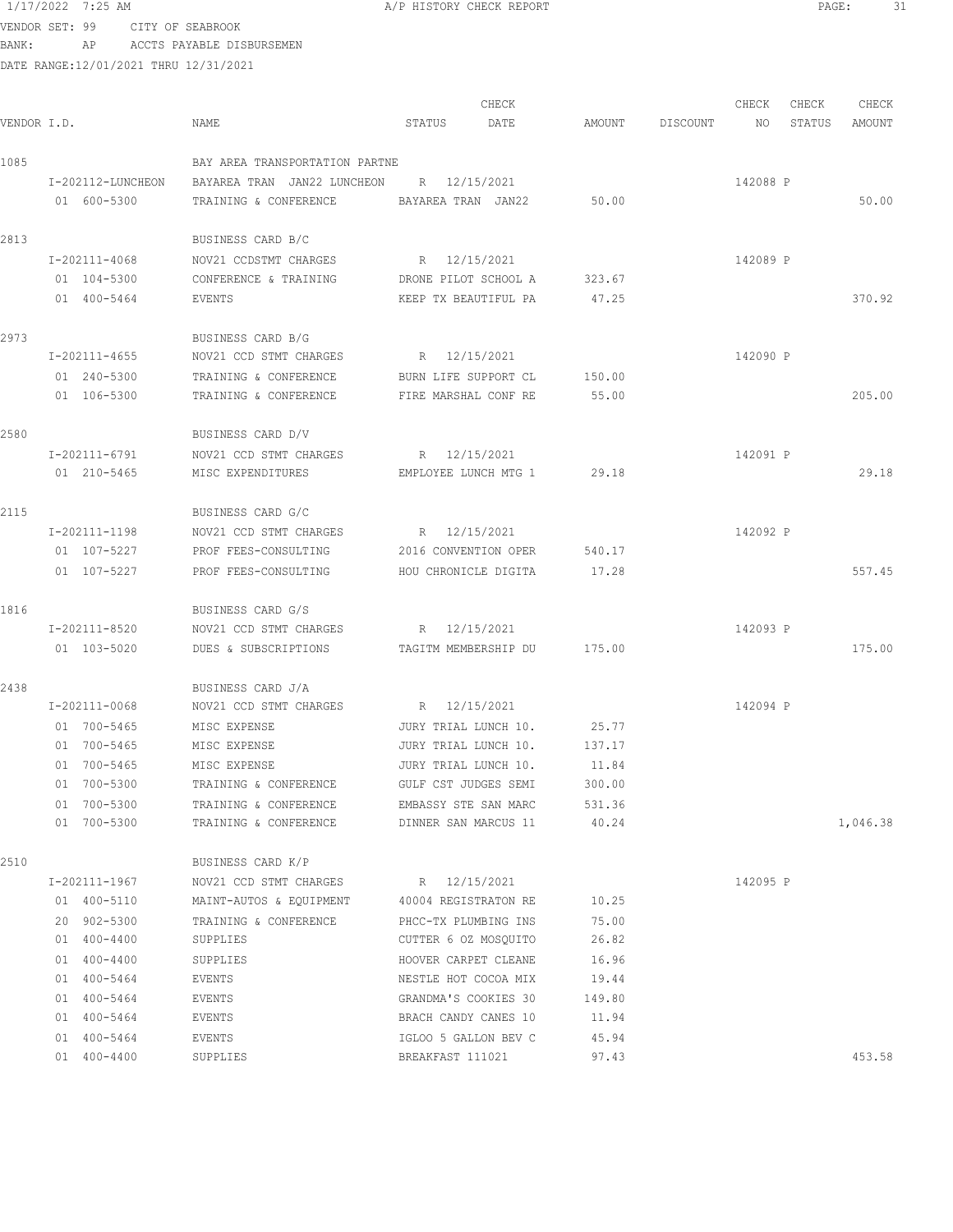VENDOR SET: 99 CITY OF SEABROOK BANK: AP ACCTS PAYABLE DISBURSEMEN

| VENDOR I.D. |                   | NAME                                         | CHECK<br>STATUS<br>DATE | AMOUNT | DISCOUNT | CHECK<br>NO | CHECK<br>STATUS | CHECK<br>AMOUNT |
|-------------|-------------------|----------------------------------------------|-------------------------|--------|----------|-------------|-----------------|-----------------|
|             |                   |                                              |                         |        |          |             |                 |                 |
| 1085        |                   | BAY AREA TRANSPORTATION PARTNE               |                         |        |          |             |                 |                 |
|             | I-202112-LUNCHEON | BAYAREA TRAN JAN22 LUNCHEON R 12/15/2021     |                         |        |          | 142088 P    |                 |                 |
|             | 01 600-5300       | TRAINING & CONFERENCE BAYAREA TRAN JAN22     |                         | 50.00  |          |             |                 | 50.00           |
| 2813        |                   | BUSINESS CARD B/C                            |                         |        |          |             |                 |                 |
|             | I-202111-4068     | NOV21 CCDSTMT CHARGES                        | R 12/15/2021            |        |          | 142089 P    |                 |                 |
|             | 01 104-5300       | CONFERENCE & TRAINING                        | DRONE PILOT SCHOOL A    | 323.67 |          |             |                 |                 |
|             | 01 400-5464       | EVENTS                                       | KEEP TX BEAUTIFUL PA    | 47.25  |          |             |                 | 370.92          |
| 2973        |                   | BUSINESS CARD B/G                            |                         |        |          |             |                 |                 |
|             | I-202111-4655     | NOV21 CCD STMT CHARGES                       | R 12/15/2021            |        |          | 142090 P    |                 |                 |
|             | 01 240-5300       | TRAINING & CONFERENCE                        | BURN LIFE SUPPORT CL    | 150.00 |          |             |                 |                 |
|             | 01 106-5300       | TRAINING & CONFERENCE                        | FIRE MARSHAL CONF RE    | 55.00  |          |             |                 | 205.00          |
| 2580        |                   | BUSINESS CARD D/V                            |                         |        |          |             |                 |                 |
|             | I-202111-6791     | NOV21 CCD STMT CHARGES                       | R 12/15/2021            |        |          | 142091 P    |                 |                 |
|             | 01 210-5465       | MISC EXPENDITURES                            | EMPLOYEE LUNCH MTG 1    | 29.18  |          |             |                 | 29.18           |
| 2115        |                   | BUSINESS CARD G/C                            |                         |        |          |             |                 |                 |
|             | I-202111-1198     | NOV21 CCD STMT CHARGES                       | R 12/15/2021            |        |          | 142092 P    |                 |                 |
|             | 01 107-5227       | PROF FEES-CONSULTING                         | 2016 CONVENTION OPER    | 540.17 |          |             |                 |                 |
|             | 01 107-5227       | PROF FEES-CONSULTING                         | HOU CHRONICLE DIGITA    | 17.28  |          |             |                 | 557.45          |
| 1816        |                   | BUSINESS CARD G/S                            |                         |        |          |             |                 |                 |
|             | I-202111-8520     | NOV21 CCD STMT CHARGES                       | R 12/15/2021            |        |          | 142093 P    |                 |                 |
|             | 01 103-5020       | DUES & SUBSCRIPTIONS TAGITM MEMBERSHIP DU    |                         | 175.00 |          |             |                 | 175.00          |
|             |                   |                                              |                         |        |          |             |                 |                 |
| 2438        |                   | BUSINESS CARD J/A                            |                         |        |          |             |                 |                 |
|             | I-202111-0068     | NOV21 CCD STMT CHARGES                       | R 12/15/2021            |        |          | 142094 P    |                 |                 |
|             | 01 700-5465       | MISC EXPENSE                                 | JURY TRIAL LUNCH 10.    | 25.77  |          |             |                 |                 |
|             | 01 700-5465       | MISC EXPENSE                                 | JURY TRIAL LUNCH 10.    | 137.17 |          |             |                 |                 |
|             | 01 700-5465       | MISC EXPENSE                                 | JURY TRIAL LUNCH 10.    | 11.84  |          |             |                 |                 |
|             | 01 700-5300       | TRAINING & CONFERENCE                        | GULF CST JUDGES SEMI    | 300.00 |          |             |                 |                 |
|             | 01 700-5300       | TRAINING & CONFERENCE                        | EMBASSY STE SAN MARC    | 531.36 |          |             |                 |                 |
|             | 01 700-5300       | TRAINING & CONFERENCE                        | DINNER SAN MARCUS 11    | 40.24  |          |             |                 | 1,046.38        |
| 2510        |                   | BUSINESS CARD K/P                            |                         |        |          |             |                 |                 |
|             | I-202111-1967     | NOV21 CCD STMT CHARGES                       | R 12/15/2021            |        |          | 142095 P    |                 |                 |
|             | 01 400-5110       | MAINT-AUTOS & EQUIPMENT 40004 REGISTRATON RE |                         | 10.25  |          |             |                 |                 |
|             | 20 902-5300       | TRAINING & CONFERENCE                        | PHCC-TX PLUMBING INS    | 75.00  |          |             |                 |                 |
|             | 01 400-4400       | SUPPLIES                                     | CUTTER 6 OZ MOSQUITO    | 26.82  |          |             |                 |                 |
|             | 01 400-4400       | SUPPLIES                                     | HOOVER CARPET CLEANE    | 16.96  |          |             |                 |                 |
|             | 01 400-5464       | EVENTS                                       | NESTLE HOT COCOA MIX    | 19.44  |          |             |                 |                 |
|             | 01 400-5464       | EVENTS                                       | GRANDMA'S COOKIES 30    | 149.80 |          |             |                 |                 |
|             | 01 400-5464       | EVENTS                                       | BRACH CANDY CANES 10    | 11.94  |          |             |                 |                 |
|             | 01 400-5464       | EVENTS                                       | IGLOO 5 GALLON BEV C    | 45.94  |          |             |                 |                 |
|             | 01 400-4400       | SUPPLIES                                     | BREAKFAST 111021        | 97.43  |          |             |                 | 453.58          |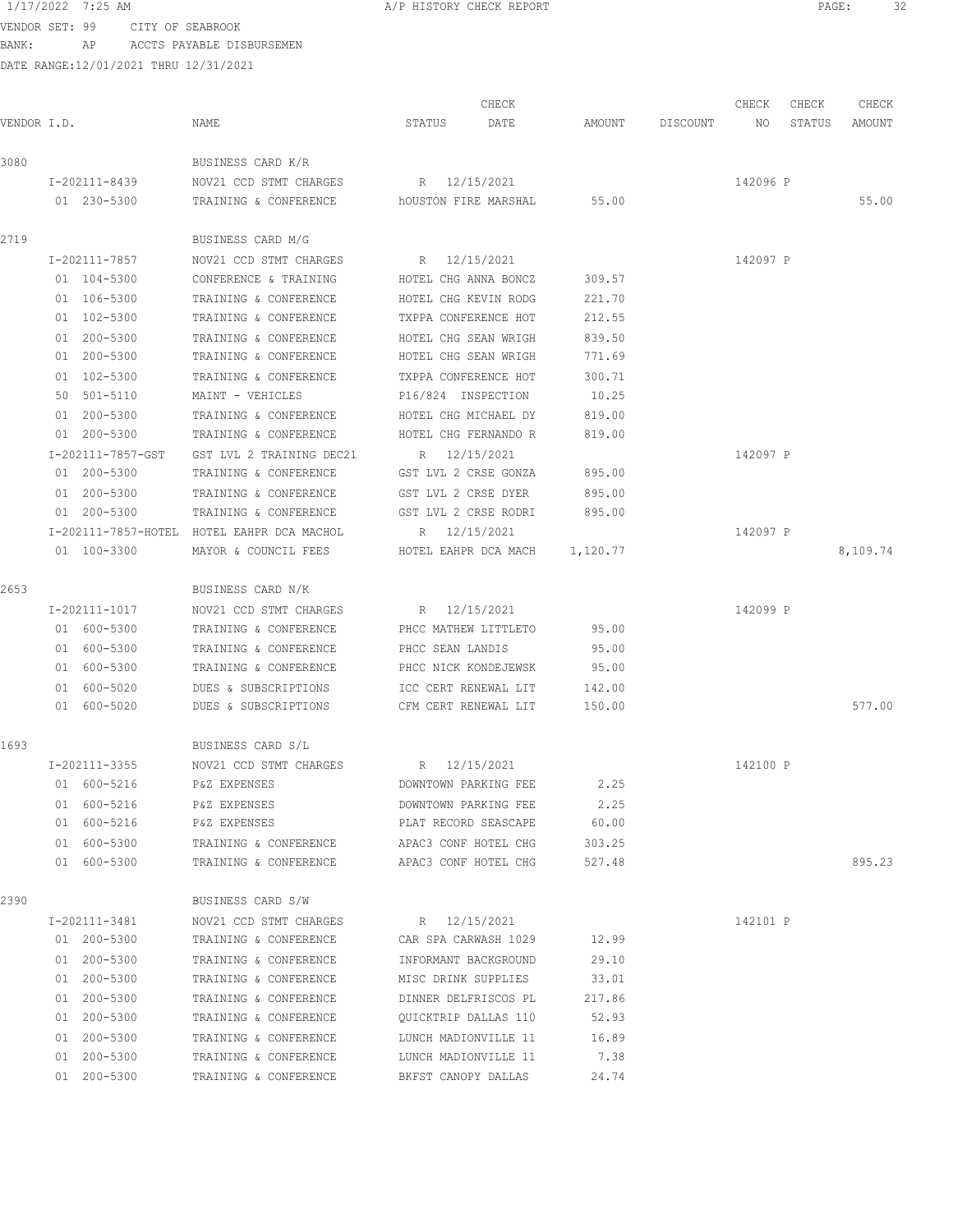VENDOR SET: 99 CITY OF SEABROOK BANK: AP ACCTS PAYABLE DISBURSEMEN

|             |                   |                                            |                      | CHECK                         |                           |                    | CHECK    | CHECK  | CHECK    |
|-------------|-------------------|--------------------------------------------|----------------------|-------------------------------|---------------------------|--------------------|----------|--------|----------|
| VENDOR I.D. |                   | NAME                                       | STATUS               | DATE                          |                           | AMOUNT DISCOUNT NO |          | STATUS | AMOUNT   |
| 3080        |                   | BUSINESS CARD K/R                          |                      |                               |                           |                    |          |        |          |
|             | I-202111-8439     | NOV21 CCD STMT CHARGES                     | R 12/15/2021         |                               |                           |                    | 142096 P |        |          |
|             | 01 230-5300       | TRAINING & CONFERENCE bOUSTON FIRE MARSHAL |                      |                               | 55.00                     |                    |          |        | 55.00    |
| 2719        |                   | BUSINESS CARD M/G                          |                      |                               |                           |                    |          |        |          |
|             | I-202111-7857     | NOV21 CCD STMT CHARGES                     | R 12/15/2021         |                               |                           |                    | 142097 P |        |          |
|             | 01 104-5300       | CONFERENCE & TRAINING                      |                      | HOTEL CHG ANNA BONCZ          | 309.57                    |                    |          |        |          |
|             | 01 106-5300       | TRAINING & CONFERENCE                      |                      | HOTEL CHG KEVIN RODG          | 221.70                    |                    |          |        |          |
|             | 01 102-5300       | TRAINING & CONFERENCE                      |                      | TXPPA CONFERENCE HOT          | 212.55                    |                    |          |        |          |
|             | 01 200-5300       | TRAINING & CONFERENCE                      |                      | HOTEL CHG SEAN WRIGH          | 839.50                    |                    |          |        |          |
|             | 01 200-5300       | TRAINING & CONFERENCE                      |                      | HOTEL CHG SEAN WRIGH          | 771.69                    |                    |          |        |          |
|             | 01 102-5300       | TRAINING & CONFERENCE                      |                      | TXPPA CONFERENCE HOT          | 300.71                    |                    |          |        |          |
|             | 50 501-5110       | MAINT - VEHICLES                           | P16/824 INSPECTION   |                               | 10.25                     |                    |          |        |          |
|             | 01 200-5300       | TRAINING & CONFERENCE                      |                      | HOTEL CHG MICHAEL DY          | 819.00                    |                    |          |        |          |
|             | 01 200-5300       | TRAINING & CONFERENCE                      |                      | HOTEL CHG FERNANDO R          | 819.00                    |                    |          |        |          |
|             | I-202111-7857-GST | GST LVL 2 TRAINING DEC21                   |                      | R 12/15/2021                  |                           |                    | 142097 P |        |          |
|             | 01 200-5300       | TRAINING & CONFERENCE                      |                      | GST LVL 2 CRSE GONZA          | 895.00                    |                    |          |        |          |
|             | 01 200-5300       | TRAINING & CONFERENCE                      | GST LVL 2 CRSE DYER  |                               | 895.00                    |                    |          |        |          |
|             | 01 200-5300       | TRAINING & CONFERENCE                      |                      | GST LVL 2 CRSE RODRI          | 895.00                    |                    |          |        |          |
|             |                   | I-202111-7857-HOTEL HOTEL EAHPR DCA MACHOL |                      | R 12/15/2021                  |                           |                    | 142097 P |        |          |
|             | 01 100-3300       | MAYOR & COUNCIL FEES                       |                      | HOTEL EAHPR DCA MACH 1,120.77 |                           |                    |          |        | 8,109.74 |
| 2653        |                   | BUSINESS CARD N/K                          |                      |                               |                           |                    |          |        |          |
|             | I-202111-1017     | NOV21 CCD STMT CHARGES                     | R 12/15/2021         |                               |                           |                    | 142099 P |        |          |
|             | 01 600-5300       | TRAINING & CONFERENCE                      | PHCC MATHEW LITTLETO |                               | 95.00                     |                    |          |        |          |
|             | 01 600-5300       | TRAINING & CONFERENCE                      | PHCC SEAN LANDIS     |                               | 95.00                     |                    |          |        |          |
|             | 01 600-5300       | TRAINING & CONFERENCE                      |                      | PHCC NICK KONDEJEWSK          | 95.00                     |                    |          |        |          |
|             | 01 600-5020       | DUES & SUBSCRIPTIONS                       |                      | ICC CERT RENEWAL LIT          | 142.00                    |                    |          |        |          |
|             | 01 600-5020       | DUES & SUBSCRIPTIONS                       |                      | CFM CERT RENEWAL LIT          | 150.00                    |                    |          |        | 577.00   |
| 1693        |                   | BUSINESS CARD S/L                          |                      |                               |                           |                    |          |        |          |
|             | I-202111-3355     | NOV21 CCD STMT CHARGES                     | R 12/15/2021         |                               |                           |                    | 142100 P |        |          |
|             | 01 600-5216       | P&Z EXPENSES                               |                      |                               | DOWNTOWN PARKING FEE 2.25 |                    |          |        |          |
|             | 01 600-5216       | P&Z EXPENSES                               |                      | DOWNTOWN PARKING FEE          | 2.25                      |                    |          |        |          |
|             | 01 600-5216       | P&Z EXPENSES                               | PLAT RECORD SEASCAPE |                               | 60.00                     |                    |          |        |          |
|             | 01 600-5300       | TRAINING & CONFERENCE APAC3 CONF HOTEL CHG |                      |                               | 303.25                    |                    |          |        |          |
|             | 01 600-5300       | TRAINING & CONFERENCE APAC3 CONF HOTEL CHG |                      |                               | 527.48                    |                    |          |        | 895.23   |
| 2390        |                   | BUSINESS CARD S/W                          |                      |                               |                           |                    |          |        |          |
|             | I-202111-3481     | NOV21 CCD STMT CHARGES                     | R 12/15/2021         |                               |                           |                    | 142101 P |        |          |
|             | 01 200-5300       | TRAINING & CONFERENCE                      |                      | CAR SPA CARWASH 1029          | 12.99                     |                    |          |        |          |
|             | 01 200-5300       | TRAINING & CONFERENCE                      |                      | INFORMANT BACKGROUND          | 29.10                     |                    |          |        |          |
|             | 01 200-5300       | TRAINING & CONFERENCE                      |                      | MISC DRINK SUPPLIES           | 33.01                     |                    |          |        |          |
|             | 01 200-5300       | TRAINING & CONFERENCE                      |                      | DINNER DELFRISCOS PL          | 217.86                    |                    |          |        |          |
|             | 01 200-5300       | TRAINING & CONFERENCE                      |                      | QUICKTRIP DALLAS 110          | 52.93                     |                    |          |        |          |
|             | 01 200-5300       | TRAINING & CONFERENCE                      |                      | LUNCH MADIONVILLE 11          | 16.89                     |                    |          |        |          |
|             | 01 200-5300       | TRAINING & CONFERENCE                      |                      | LUNCH MADIONVILLE 11          | 7.38                      |                    |          |        |          |
|             | 01 200-5300       | TRAINING & CONFERENCE                      |                      | BKFST CANOPY DALLAS           | 24.74                     |                    |          |        |          |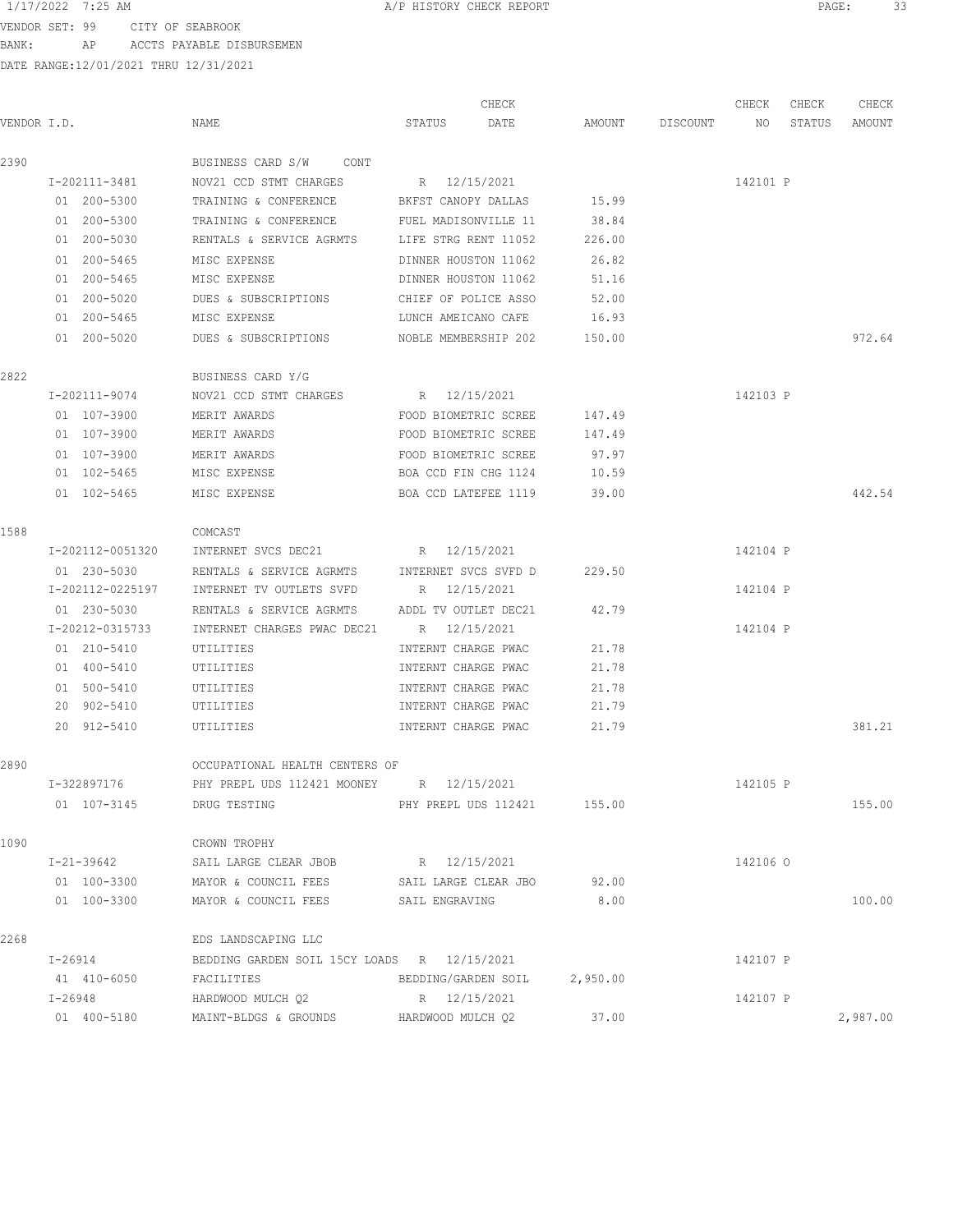VENDOR SET: 99 CITY OF SEABROOK BANK: AP ACCTS PAYABLE DISBURSEMEN

| VENDOR I.D. |                                         | NAME                                          | STATUS                      | CHECK<br>DATE |          | AMOUNT DISCOUNT NO | CHECK    | CHECK<br>STATUS | CHECK<br>AMOUNT |
|-------------|-----------------------------------------|-----------------------------------------------|-----------------------------|---------------|----------|--------------------|----------|-----------------|-----------------|
| 2390        |                                         | BUSINESS CARD S/W CONT                        |                             |               |          |                    |          |                 |                 |
|             | I-202111-3481<br>NOV21 CCD STMT CHARGES |                                               | R 12/15/2021                |               |          |                    | 142101 P |                 |                 |
|             | 01 200-5300                             | TRAINING & CONFERENCE                         | BKFST CANOPY DALLAS         |               | 15.99    |                    |          |                 |                 |
|             | 01 200-5300                             | TRAINING & CONFERENCE                         | FUEL MADISONVILLE 11        |               | 38.84    |                    |          |                 |                 |
|             | 01 200-5030                             | RENTALS & SERVICE AGRMTS LIFE STRG RENT 11052 |                             |               | 226.00   |                    |          |                 |                 |
|             | 01 200-5465                             | MISC EXPENSE                                  | DINNER HOUSTON 11062        |               | 26.82    |                    |          |                 |                 |
|             | 01 200-5465                             | MISC EXPENSE                                  | DINNER HOUSTON 11062        |               | 51.16    |                    |          |                 |                 |
|             | 01 200-5020                             | DUES & SUBSCRIPTIONS                          | CHIEF OF POLICE ASSO        |               | 52.00    |                    |          |                 |                 |
|             | 01 200-5465                             | MISC EXPENSE                                  | LUNCH AMEICANO CAFE         |               | 16.93    |                    |          |                 |                 |
|             | 01 200-5020                             | DUES & SUBSCRIPTIONS                          | NOBLE MEMBERSHIP 202 150.00 |               |          |                    |          |                 | 972.64          |
| 2822        |                                         | BUSINESS CARD Y/G                             |                             |               |          |                    |          |                 |                 |
|             | I-202111-9074                           | NOV21 CCD STMT CHARGES                        | R 12/15/2021                |               |          |                    | 142103 P |                 |                 |
|             | 01 107-3900                             | MERIT AWARDS                                  | FOOD BIOMETRIC SCREE        |               | 147.49   |                    |          |                 |                 |
|             | 01 107-3900                             | MERIT AWARDS                                  | FOOD BIOMETRIC SCREE        |               | 147.49   |                    |          |                 |                 |
| 1588        | 01 107-3900                             | MERIT AWARDS                                  | FOOD BIOMETRIC SCREE        |               | 97.97    |                    |          |                 |                 |
|             | 01 102-5465                             | MISC EXPENSE                                  | BOA CCD FIN CHG 1124        |               | 10.59    |                    |          |                 |                 |
|             | 01 102-5465                             | MISC EXPENSE                                  | BOA CCD LATEFEE 1119        |               | 39.00    |                    |          |                 | 442.54          |
|             |                                         | COMCAST                                       |                             |               |          |                    |          |                 |                 |
|             | I-202112-0051320                        | INTERNET SVCS DEC21                           | R 12/15/2021                |               |          |                    | 142104 P |                 |                 |
|             | 01 230-5030                             | RENTALS & SERVICE AGRMTS                      | INTERNET SVCS SVFD D        |               | 229.50   |                    |          |                 |                 |
|             | I-202112-0225197                        | INTERNET TV OUTLETS SVFD                      | R 12/15/2021                |               |          |                    | 142104 P |                 |                 |
|             | 01 230-5030                             | RENTALS & SERVICE AGRMTS                      | ADDL TV OUTLET DEC21        |               | 42.79    |                    |          |                 |                 |
|             | I-20212-0315733                         | INTERNET CHARGES PWAC DEC21                   | R 12/15/2021                |               |          |                    | 142104 P |                 |                 |
|             | 01 210-5410                             | UTILITIES                                     | INTERNT CHARGE PWAC         |               | 21.78    |                    |          |                 |                 |
|             | 01 400-5410                             | UTILITIES                                     | INTERNT CHARGE PWAC         |               | 21.78    |                    |          |                 |                 |
|             | 01 500-5410                             | UTILITIES                                     | INTERNT CHARGE PWAC         |               | 21.78    |                    |          |                 |                 |
|             | 20 902-5410                             | UTILITIES                                     | INTERNT CHARGE PWAC         |               | 21.79    |                    |          |                 |                 |
|             | 20 912-5410                             | UTILITIES                                     | INTERNT CHARGE PWAC         |               | 21.79    |                    |          |                 | 381.21          |
| 2890        |                                         | OCCUPATIONAL HEALTH CENTERS OF                |                             |               |          |                    |          |                 |                 |
|             | I-322897176                             | PHY PREPL UDS 112421 MOONEY R 12/15/2021      |                             |               |          |                    | 142105 P |                 |                 |
|             | 01 107-3145                             | DRUG TESTING                                  | PHY PREPL UDS 112421 155.00 |               |          |                    |          |                 | 155.00          |
| 1090        |                                         | CROWN TROPHY                                  |                             |               |          |                    |          |                 |                 |
|             | I-21-39642                              | SAIL LARGE CLEAR JBOB                         | R 12/15/2021                |               |          |                    | 142106 0 |                 |                 |
|             | 01 100-3300                             | MAYOR & COUNCIL FEES                          | SAIL LARGE CLEAR JBO        |               | 92.00    |                    |          |                 |                 |
|             | 01 100-3300                             | MAYOR & COUNCIL FEES                          | SAIL ENGRAVING              |               | 8.00     |                    |          |                 | 100.00          |
| 2268        |                                         | EDS LANDSCAPING LLC                           |                             |               |          |                    |          |                 |                 |
|             | I-26914                                 | BEDDING GARDEN SOIL 15CY LOADS R 12/15/2021   |                             |               |          |                    | 142107 P |                 |                 |
|             | 41 410-6050                             | FACILITIES                                    | BEDDING/GARDEN SOIL         |               | 2,950.00 |                    |          |                 |                 |
|             | I-26948                                 | HARDWOOD MULCH Q2                             | R 12/15/2021                |               |          |                    | 142107 P |                 |                 |
|             | 01 400-5180                             | MAINT-BLDGS & GROUNDS                         | HARDWOOD MULCH Q2           |               | 37.00    |                    |          |                 | 2,987.00        |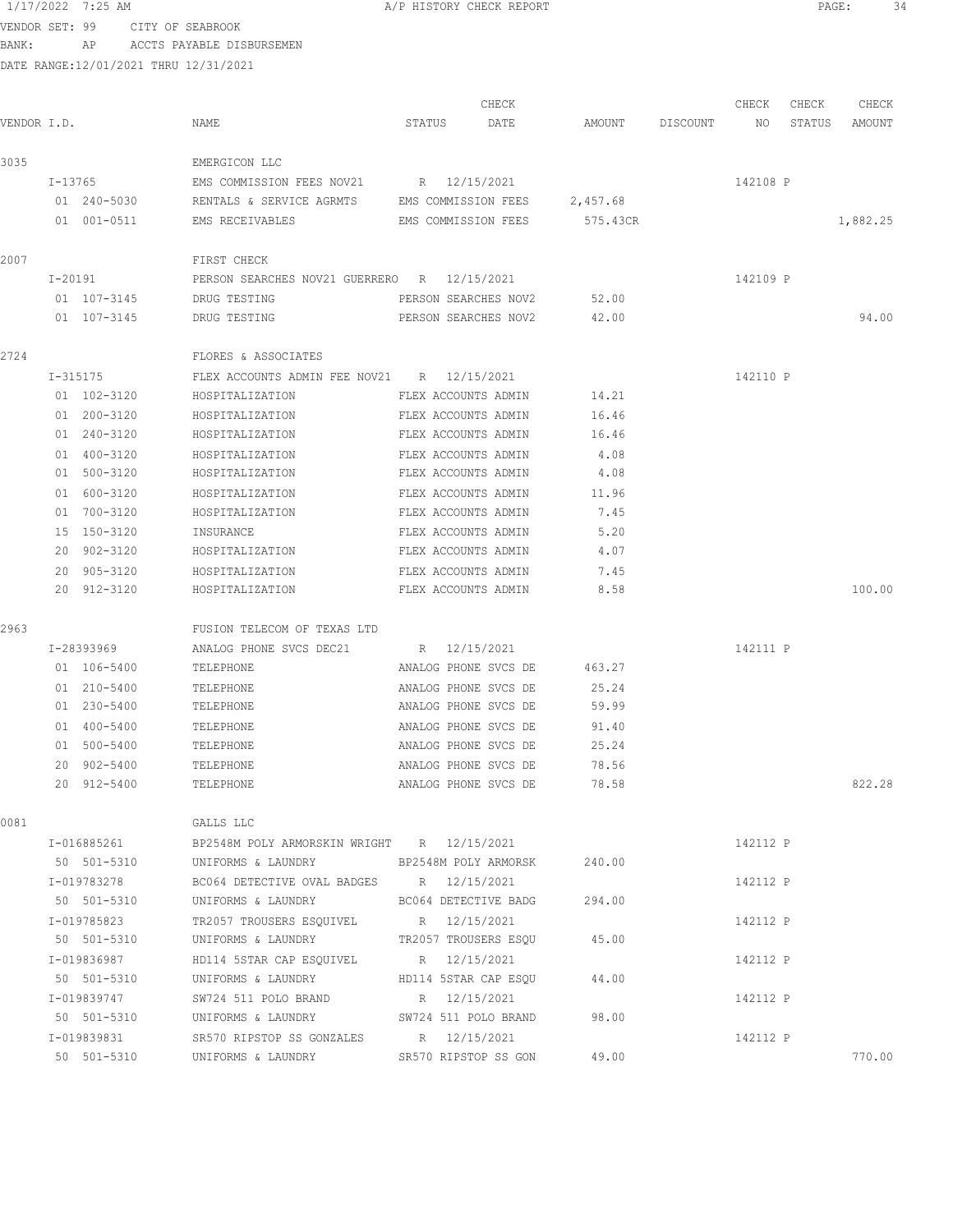VENDOR SET: 99 CITY OF SEABROOK BANK: AP ACCTS PAYABLE DISBURSEMEN

| VENDOR I.D. |                                                        | NAME                                                       | CHECK<br>DATE<br>STATUS | AMOUNT   | DISCOUNT | CHECK<br>NO | CHECK<br>STATUS | CHECK<br>AMOUNT |
|-------------|--------------------------------------------------------|------------------------------------------------------------|-------------------------|----------|----------|-------------|-----------------|-----------------|
| 3035        |                                                        | EMERGICON LLC                                              |                         |          |          |             |                 |                 |
|             | I-13765                                                | EMS COMMISSION FEES NOV21 R 12/15/2021                     |                         |          |          | 142108 P    |                 |                 |
|             | 01 240-5030                                            | RENTALS & SERVICE AGRMTS EMS COMMISSION FEES               |                         | 2,457.68 |          |             |                 |                 |
|             | 01 001-0511                                            | EMS RECEIVABLES                                            | EMS COMMISSION FEES     | 575.43CR |          |             |                 | 1,882.25        |
| 2007        |                                                        | FIRST CHECK                                                |                         |          |          |             |                 |                 |
|             | PERSON SEARCHES NOV21 GUERRERO R 12/15/2021<br>I-20191 |                                                            |                         |          |          | 142109 P    |                 |                 |
|             | 01 107-3145                                            | DRUG TESTING                                               | PERSON SEARCHES NOV2    | 52.00    |          |             |                 |                 |
|             | 01 107-3145                                            | DRUG TESTING                                               | PERSON SEARCHES NOV2    | 42.00    |          |             |                 | 94.00           |
| 2724        |                                                        | FLORES & ASSOCIATES                                        |                         |          |          |             |                 |                 |
|             | I-315175                                               | FLEX ACCOUNTS ADMIN FEE NOV21 R 12/15/2021                 |                         |          |          | 142110 P    |                 |                 |
|             | 01 102-3120                                            | HOSPITALIZATION                                            | FLEX ACCOUNTS ADMIN     | 14.21    |          |             |                 |                 |
|             | 01 200-3120                                            | HOSPITALIZATION                                            | FLEX ACCOUNTS ADMIN     | 16.46    |          |             |                 |                 |
|             | 01 240-3120                                            | HOSPITALIZATION                                            | FLEX ACCOUNTS ADMIN     | 16.46    |          |             |                 |                 |
|             | 01 400-3120                                            | HOSPITALIZATION                                            | FLEX ACCOUNTS ADMIN     | 4.08     |          |             |                 |                 |
|             | 01 500-3120                                            | HOSPITALIZATION                                            | FLEX ACCOUNTS ADMIN     | 4.08     |          |             |                 |                 |
|             | 01 600-3120                                            | HOSPITALIZATION                                            | FLEX ACCOUNTS ADMIN     | 11.96    |          |             |                 |                 |
|             | 01 700-3120                                            | HOSPITALIZATION                                            | FLEX ACCOUNTS ADMIN     | 7.45     |          |             |                 |                 |
|             | 15 150-3120                                            | INSURANCE                                                  | FLEX ACCOUNTS ADMIN     | 5.20     |          |             |                 |                 |
|             | 20 902-3120                                            | HOSPITALIZATION                                            | FLEX ACCOUNTS ADMIN     | 4.07     |          |             |                 |                 |
|             | 20 905-3120                                            | HOSPITALIZATION                                            | FLEX ACCOUNTS ADMIN     | 7.45     |          |             |                 |                 |
|             | 20 912-3120                                            | HOSPITALIZATION                                            | FLEX ACCOUNTS ADMIN     | 8.58     |          |             |                 | 100.00          |
| 2963        |                                                        | FUSION TELECOM OF TEXAS LTD                                |                         |          |          |             |                 |                 |
|             | I-28393969                                             | ANALOG PHONE SVCS DEC21                                    | R 12/15/2021            |          |          | 142111 P    |                 |                 |
|             | 01 106-5400                                            | TELEPHONE                                                  | ANALOG PHONE SVCS DE    | 463.27   |          |             |                 |                 |
|             | 01 210-5400                                            | TELEPHONE                                                  | ANALOG PHONE SVCS DE    | 25.24    |          |             |                 |                 |
|             | 01 230-5400                                            | TELEPHONE                                                  | ANALOG PHONE SVCS DE    | 59.99    |          |             |                 |                 |
|             | 01 400-5400                                            | TELEPHONE                                                  | ANALOG PHONE SVCS DE    | 91.40    |          |             |                 |                 |
|             | 01 500-5400                                            | TELEPHONE                                                  | ANALOG PHONE SVCS DE    | 25.24    |          |             |                 |                 |
|             | 20 902-5400                                            | TELEPHONE                                                  | ANALOG PHONE SVCS DE    | 78.56    |          |             |                 |                 |
|             | 20 912-5400                                            | TELEPHONE                                                  | ANALOG PHONE SVCS DE    | 78.58    |          |             |                 | 822.28          |
| 0081        |                                                        | GALLS LLC                                                  |                         |          |          |             |                 |                 |
|             |                                                        | I-016885261 BP2548M POLY ARMORSKIN WRIGHT R 12/15/2021     |                         |          |          | 142112 P    |                 |                 |
|             |                                                        | 50 501-5310 UNIFORMS & LAUNDRY BP2548M POLY ARMORSK 240.00 |                         |          |          |             |                 |                 |
|             | I-019783278                                            | BC064 DETECTIVE OVAL BADGES R 12/15/2021                   |                         |          |          | 142112 P    |                 |                 |
|             | 50 501-5310                                            | UNIFORMS & LAUNDRY BC064 DETECTIVE BADG                    |                         | 294.00   |          |             |                 |                 |
|             | I-019785823                                            | TR2057 TROUSERS ESQUIVEL R 12/15/2021                      |                         |          |          | 142112 P    |                 |                 |
|             | 50 501-5310                                            | UNIFORMS & LAUNDRY TR2057 TROUSERS ESQU 45.00              |                         |          |          |             |                 |                 |
|             | I-019836987                                            | HD114 5STAR CAP ESQUIVEL R 12/15/2021                      |                         |          |          | 142112 P    |                 |                 |
|             | 50 501-5310                                            | UNIFORMS & LAUNDRY                                         | HD114 5STAR CAP ESQU    | 44.00    |          |             |                 |                 |
|             | I-019839747                                            | SW724 511 POLO BRAND                                       | R 12/15/2021            |          |          | 142112 P    |                 |                 |
|             | 50 501-5310                                            | UNIFORMS & LAUNDRY SW724 511 POLO BRAND                    |                         | 98.00    |          |             |                 |                 |
|             | I-019839831                                            | SR570 RIPSTOP SS GONZALES R 12/15/2021                     |                         |          |          | 142112 P    |                 |                 |
|             | 50 501-5310                                            | UNIFORMS & LAUNDRY SR570 RIPSTOP SS GON                    |                         | 49.00    |          |             |                 | 770.00          |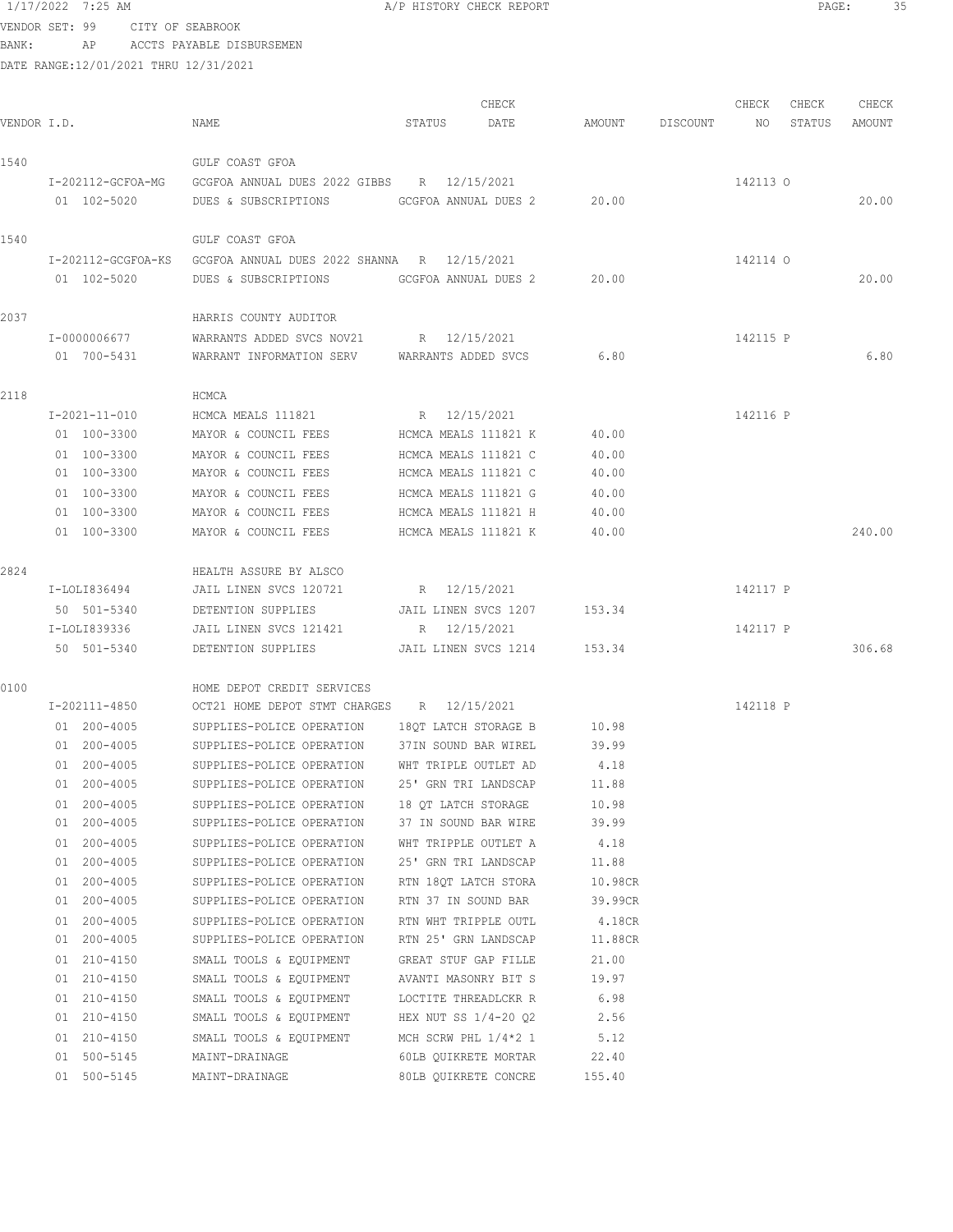VENDOR SET: 99 CITY OF SEABROOK BANK: AP ACCTS PAYABLE DISBURSEMEN

| VENDOR I.D. |                             | NAME                                                           | STATUS               | CHECK<br>DATE               |         | AMOUNT DISCOUNT | CHECK<br>NO <sub>1</sub> | CHECK<br>STATUS | CHECK<br>AMOUNT |
|-------------|-----------------------------|----------------------------------------------------------------|----------------------|-----------------------------|---------|-----------------|--------------------------|-----------------|-----------------|
|             |                             |                                                                |                      |                             |         |                 |                          |                 |                 |
| 1540        |                             | GULF COAST GFOA                                                |                      |                             |         |                 |                          |                 |                 |
|             | I-202112-GCFOA-MG           | GCGFOA ANNUAL DUES 2022 GIBBS R 12/15/2021                     |                      |                             |         |                 | 142113 0                 |                 |                 |
|             | 01 102-5020                 | DUES & SUBSCRIPTIONS GCGFOA ANNUAL DUES 2                      |                      |                             | 20.00   |                 |                          |                 | 20.00           |
| 1540        |                             | GULF COAST GFOA                                                |                      |                             |         |                 |                          |                 |                 |
|             |                             | I-202112-GCGFOA-KS GCGFOA ANNUAL DUES 2022 SHANNA R 12/15/2021 |                      |                             |         |                 | 142114 0                 |                 |                 |
|             | 01 102-5020                 | DUES & SUBSCRIPTIONS GCGFOA ANNUAL DUES 2                      |                      |                             | 20.00   |                 |                          |                 | 20.00           |
| 2037        |                             | HARRIS COUNTY AUDITOR                                          |                      |                             |         |                 |                          |                 |                 |
|             | I-0000006677                | WARRANTS ADDED SVCS NOV21                                      | R 12/15/2021         |                             |         |                 | 142115 P                 |                 |                 |
|             | 01 700-5431                 | WARRANT INFORMATION SERV WARRANTS ADDED SVCS                   |                      |                             | 6.80    |                 |                          |                 | 6.80            |
| 2118        |                             | HCMCA                                                          |                      |                             |         |                 |                          |                 |                 |
|             | I-2021-11-010               | HCMCA MEALS 111821                                             | R 12/15/2021         |                             |         |                 | 142116 P                 |                 |                 |
|             | 01 100-3300                 | MAYOR & COUNCIL FEES                                           | HCMCA MEALS 111821 K |                             | 40.00   |                 |                          |                 |                 |
|             | 01 100-3300                 | MAYOR & COUNCIL FEES                                           | HCMCA MEALS 111821 C |                             | 40.00   |                 |                          |                 |                 |
|             | 01 100-3300                 | MAYOR & COUNCIL FEES                                           | HCMCA MEALS 111821 C |                             | 40.00   |                 |                          |                 |                 |
|             | 01 100-3300                 | MAYOR & COUNCIL FEES                                           | HCMCA MEALS 111821 G |                             | 40.00   |                 |                          |                 |                 |
|             | 01 100-3300                 | MAYOR & COUNCIL FEES                                           | HCMCA MEALS 111821 H |                             | 40.00   |                 |                          |                 |                 |
|             | 01 100-3300                 | MAYOR & COUNCIL FEES                                           | HCMCA MEALS 111821 K |                             | 40.00   |                 |                          |                 | 240.00          |
|             |                             |                                                                |                      |                             |         |                 |                          |                 |                 |
| 2824        |                             | HEALTH ASSURE BY ALSCO                                         |                      |                             |         |                 |                          |                 |                 |
|             | I-LOLI836494                | JAIL LINEN SVCS 120721                                         | R 12/15/2021         |                             |         |                 | 142117 P                 |                 |                 |
|             | 50 501-5340<br>I-LOLI839336 | DETENTION SUPPLIES<br>JAIL LINEN SVCS 121421                   |                      | JAIL LINEN SVCS 1207        | 153.34  |                 | 142117 P                 |                 |                 |
|             | 50 501-5340                 | DETENTION SUPPLIES                                             | R 12/15/2021         | JAIL LINEN SVCS 1214 153.34 |         |                 |                          |                 | 306.68          |
|             |                             |                                                                |                      |                             |         |                 |                          |                 |                 |
| 0100        |                             | HOME DEPOT CREDIT SERVICES                                     |                      |                             |         |                 |                          |                 |                 |
|             | I-202111-4850               | OCT21 HOME DEPOT STMT CHARGES R 12/15/2021                     |                      |                             |         |                 | 142118 P                 |                 |                 |
|             | 01 200-4005                 | SUPPLIES-POLICE OPERATION                                      | 18QT LATCH STORAGE B |                             | 10.98   |                 |                          |                 |                 |
|             | 01 200-4005                 | SUPPLIES-POLICE OPERATION                                      | 37IN SOUND BAR WIREL |                             | 39.99   |                 |                          |                 |                 |
|             | 01 200-4005                 | SUPPLIES-POLICE OPERATION                                      | WHT TRIPLE OUTLET AD |                             | 4.18    |                 |                          |                 |                 |
|             | 01 200-4005                 | SUPPLIES-POLICE OPERATION                                      | 25' GRN TRI LANDSCAP |                             | 11.88   |                 |                          |                 |                 |
|             | 01 200-4005                 | SUPPLIES-POLICE OPERATION                                      | 18 QT LATCH STORAGE  |                             | 10.98   |                 |                          |                 |                 |
|             | 01 200-4005                 | SUPPLIES-POLICE OPERATION 37 IN SOUND BAR WIRE                 |                      |                             | 39.99   |                 |                          |                 |                 |
|             | 01 200-4005                 | SUPPLIES-POLICE OPERATION                                      | WHT TRIPPLE OUTLET A |                             | 4.18    |                 |                          |                 |                 |
|             | 01 200-4005                 | SUPPLIES-POLICE OPERATION                                      | 25' GRN TRI LANDSCAP |                             | 11.88   |                 |                          |                 |                 |
|             | 01 200-4005                 | SUPPLIES-POLICE OPERATION                                      |                      | RTN 18QT LATCH STORA        | 10.98CR |                 |                          |                 |                 |
|             | 01 200-4005                 | SUPPLIES-POLICE OPERATION                                      | RTN 37 IN SOUND BAR  |                             | 39.99CR |                 |                          |                 |                 |
|             | 01 200-4005                 | SUPPLIES-POLICE OPERATION                                      | RTN WHT TRIPPLE OUTL |                             | 4.18CR  |                 |                          |                 |                 |
|             | 01 200-4005                 | SUPPLIES-POLICE OPERATION                                      | RTN 25' GRN LANDSCAP |                             | 11.88CR |                 |                          |                 |                 |
|             | 01 210-4150                 | SMALL TOOLS & EQUIPMENT                                        | GREAT STUF GAP FILLE |                             | 21.00   |                 |                          |                 |                 |
|             | 01 210-4150                 | SMALL TOOLS & EQUIPMENT                                        |                      | AVANTI MASONRY BIT S        | 19.97   |                 |                          |                 |                 |
|             | 01 210-4150                 | SMALL TOOLS & EQUIPMENT                                        |                      | LOCTITE THREADLCKR R        | 6.98    |                 |                          |                 |                 |
|             | 01 210-4150                 | SMALL TOOLS & EQUIPMENT                                        |                      | HEX NUT SS $1/4-20$ Q2      | 2.56    |                 |                          |                 |                 |
|             | 01 210-4150                 | SMALL TOOLS & EQUIPMENT                                        |                      | MCH SCRW PHL $1/4*2$ 1      | 5.12    |                 |                          |                 |                 |
|             | 01 500-5145                 | MAINT-DRAINAGE                                                 |                      | 60LB QUIKRETE MORTAR        | 22.40   |                 |                          |                 |                 |
|             | 01 500-5145                 | MAINT-DRAINAGE                                                 |                      | 80LB QUIKRETE CONCRE        | 155.40  |                 |                          |                 |                 |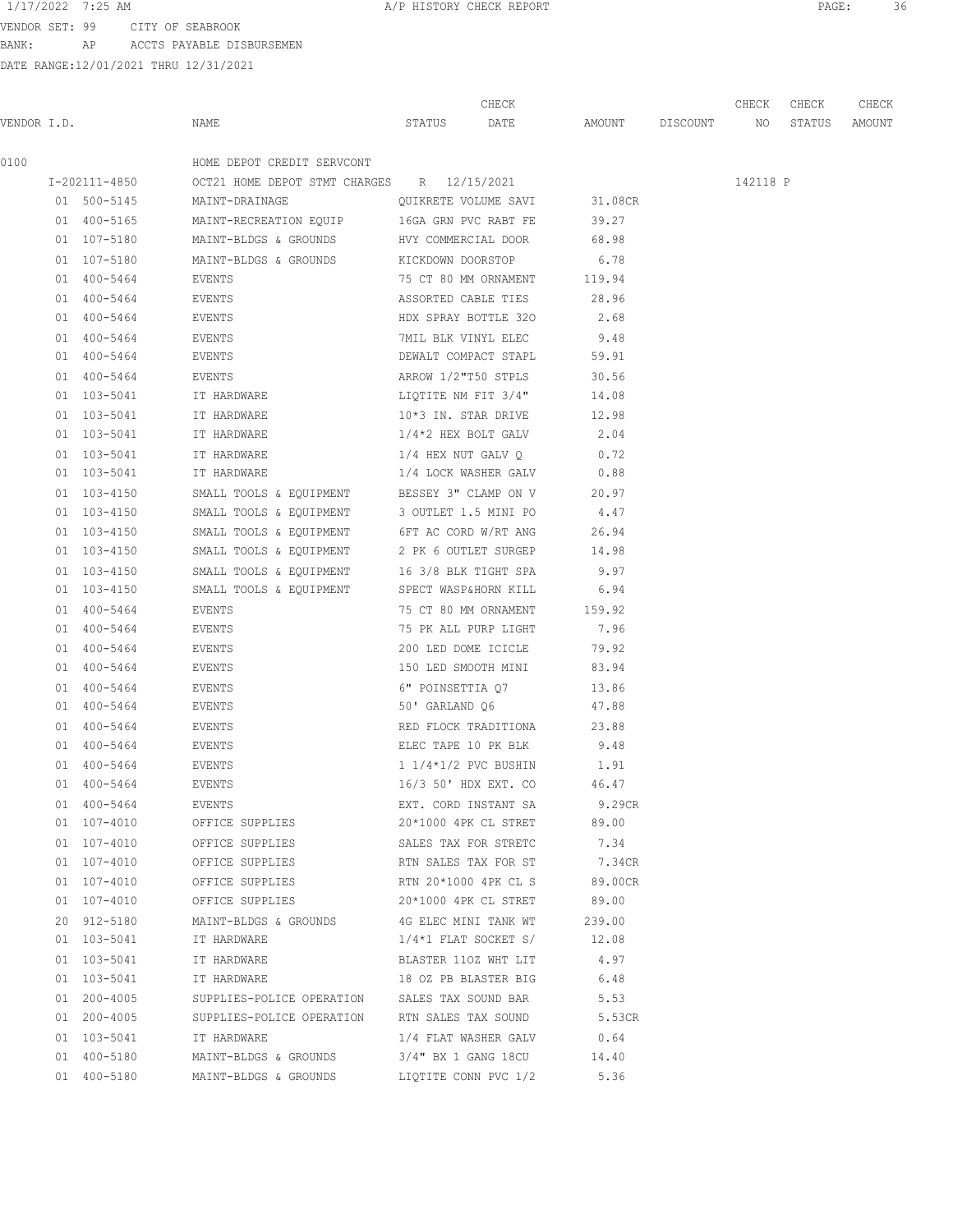VENDOR SET: 99 CITY OF SEABROOK BANK: AP ACCTS PAYABLE DISBURSEMEN

|             |               |                                               | CHECK                                 |      |         |          | CHECK    | CHECK  | CHECK  |
|-------------|---------------|-----------------------------------------------|---------------------------------------|------|---------|----------|----------|--------|--------|
| VENDOR I.D. |               | NAME                                          | STATUS                                | DATE | AMOUNT  | DISCOUNT | NO       | STATUS | AMOUNT |
| 0100        |               | HOME DEPOT CREDIT SERVCONT                    |                                       |      |         |          |          |        |        |
|             | I-202111-4850 | OCT21 HOME DEPOT STMT CHARGES R 12/15/2021    |                                       |      |         |          | 142118 P |        |        |
|             | 01 500-5145   | MAINT-DRAINAGE                                | QUIKRETE VOLUME SAVI                  |      | 31.08CR |          |          |        |        |
|             | 01 400-5165   | MAINT-RECREATION EQUIP                        | 16GA GRN PVC RABT FE                  |      | 39.27   |          |          |        |        |
|             | 01 107-5180   | MAINT-BLDGS & GROUNDS                         | HVY COMMERCIAL DOOR                   |      | 68.98   |          |          |        |        |
|             | 01 107-5180   | MAINT-BLDGS & GROUNDS                         | KICKDOWN DOORSTOP                     |      | 6.78    |          |          |        |        |
|             | 01 400-5464   | EVENTS                                        | 75 CT 80 MM ORNAMENT                  |      | 119.94  |          |          |        |        |
|             | 01 400-5464   | EVENTS                                        | ASSORTED CABLE TIES                   |      | 28.96   |          |          |        |        |
|             | 01 400-5464   | EVENTS                                        | HDX SPRAY BOTTLE 320                  |      | 2.68    |          |          |        |        |
|             | 01 400-5464   | EVENTS                                        | 7MIL BLK VINYL ELEC                   |      | 9.48    |          |          |        |        |
|             | 01 400-5464   | EVENTS                                        | DEWALT COMPACT STAPL                  |      | 59.91   |          |          |        |        |
|             | 01 400-5464   | EVENTS                                        | ARROW 1/2"T50 STPLS                   |      | 30.56   |          |          |        |        |
|             | 01 103-5041   | IT HARDWARE                                   | LIQTITE NM FIT 3/4"                   |      | 14.08   |          |          |        |        |
|             | 01 103-5041   | IT HARDWARE                                   | 10*3 IN. STAR DRIVE                   |      | 12.98   |          |          |        |        |
|             | 01 103-5041   | IT HARDWARE                                   | $1/4*2$ HEX BOLT GALV                 |      | 2.04    |          |          |        |        |
|             | 01 103-5041   | IT HARDWARE                                   | 1/4 HEX NUT GALV O                    |      | 0.72    |          |          |        |        |
|             | 01 103-5041   | IT HARDWARE                                   | 1/4 LOCK WASHER GALV                  |      | 0.88    |          |          |        |        |
|             | 01 103-4150   | SMALL TOOLS & EQUIPMENT BESSEY 3" CLAMP ON V  |                                       |      | 20.97   |          |          |        |        |
|             | 01 103-4150   | SMALL TOOLS & EQUIPMENT                       | 3 OUTLET 1.5 MINI PO                  |      | 4.47    |          |          |        |        |
|             | 01 103-4150   | SMALL TOOLS & EQUIPMENT 6FT AC CORD W/RT ANG  |                                       |      | 26.94   |          |          |        |        |
|             | 01 103-4150   | SMALL TOOLS & EQUIPMENT                       | 2 PK 6 OUTLET SURGEP                  |      | 14.98   |          |          |        |        |
|             | 01 103-4150   | SMALL TOOLS & EQUIPMENT                       | 16 3/8 BLK TIGHT SPA                  |      | 9.97    |          |          |        |        |
|             | 01 103-4150   | SMALL TOOLS & EQUIPMENT                       | SPECT WASP&HORN KILL                  |      | 6.94    |          |          |        |        |
|             | 01 400-5464   | EVENTS                                        | 75 CT 80 MM ORNAMENT                  |      | 159.92  |          |          |        |        |
|             | 01 400-5464   | EVENTS                                        | 75 PK ALL PURP LIGHT                  |      | 7.96    |          |          |        |        |
|             | 01 400-5464   | EVENTS                                        | 200 LED DOME ICICLE                   |      | 79.92   |          |          |        |        |
|             | 01 400-5464   | EVENTS                                        | 150 LED SMOOTH MINI                   |      | 83.94   |          |          |        |        |
|             | 01 400-5464   | EVENTS                                        | 6" POINSETTIA Q7                      |      | 13.86   |          |          |        |        |
|             | 01 400-5464   | EVENTS                                        | 50' GARLAND Q6                        |      | 47.88   |          |          |        |        |
|             | 01 400-5464   | EVENTS                                        | RED FLOCK TRADITIONA                  |      | 23.88   |          |          |        |        |
|             | 01 400-5464   | EVENTS                                        | ELEC TAPE 10 PK BLK                   |      | 9.48    |          |          |        |        |
|             | 01 400-5464   | EVENTS                                        | $1 \frac{1}{4 \times 1}$ 2 PVC BUSHIN |      | 1.91    |          |          |        |        |
|             | 01 400-5464   | EVENTS                                        | 16/3 50' HDX EXT. CO                  |      | 46.47   |          |          |        |        |
|             | 01 400-5464   | EVENTS                                        | EXT. CORD INSTANT SA                  |      | 9.29CR  |          |          |        |        |
|             | 01 107-4010   | OFFICE SUPPLIES                               | 20*1000 4PK CL STRET                  |      | 89.00   |          |          |        |        |
|             | 01 107-4010   | OFFICE SUPPLIES                               | SALES TAX FOR STRETC                  |      | 7.34    |          |          |        |        |
|             | 01 107-4010   | OFFICE SUPPLIES                               | RTN SALES TAX FOR ST                  |      | 7.34CR  |          |          |        |        |
|             | 01 107-4010   | OFFICE SUPPLIES                               | RTN 20*1000 4PK CL S                  |      | 89.00CR |          |          |        |        |
|             | 01 107-4010   | OFFICE SUPPLIES                               | 20*1000 4PK CL STRET                  |      | 89.00   |          |          |        |        |
|             | 20 912-5180   | MAINT-BLDGS & GROUNDS                         | 4G ELEC MINI TANK WT                  |      | 239.00  |          |          |        |        |
|             | 01 103-5041   | IT HARDWARE                                   | $1/4*1$ FLAT SOCKET S/                |      | 12.08   |          |          |        |        |
|             | 01 103-5041   | IT HARDWARE                                   | BLASTER 110Z WHT LIT                  |      | 4.97    |          |          |        |        |
|             | 01 103-5041   | IT HARDWARE                                   | 18 OZ PB BLASTER BIG                  |      | 6.48    |          |          |        |        |
|             | 01 200-4005   | SUPPLIES-POLICE OPERATION SALES TAX SOUND BAR |                                       |      | 5.53    |          |          |        |        |
|             | 01 200-4005   | SUPPLIES-POLICE OPERATION                     | RTN SALES TAX SOUND                   |      | 5.53CR  |          |          |        |        |
|             | 01 103-5041   | IT HARDWARE                                   | 1/4 FLAT WASHER GALV                  |      | 0.64    |          |          |        |        |
|             | 01 400-5180   | MAINT-BLDGS & GROUNDS                         | 3/4" BX 1 GANG 18CU                   |      | 14.40   |          |          |        |        |
|             | 01 400-5180   | MAINT-BLDGS & GROUNDS                         | LIQTITE CONN PVC 1/2                  |      | 5.36    |          |          |        |        |
|             |               |                                               |                                       |      |         |          |          |        |        |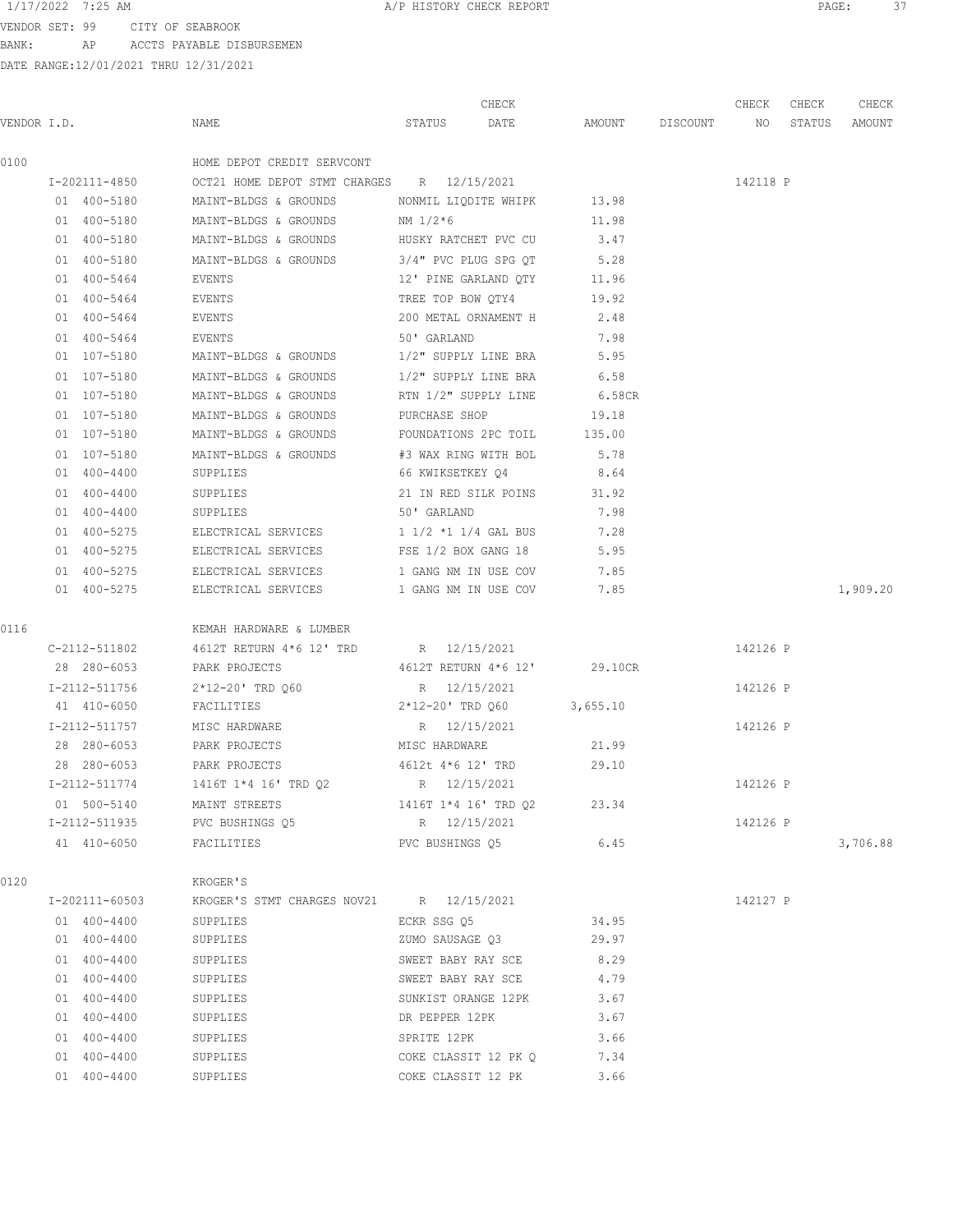VENDOR SET: 99 CITY OF SEABROOK BANK: AP ACCTS PAYABLE DISBURSEMEN

|             |                 |                                            | CHECK                      |                 | CHECK    | CHECK  | CHECK    |
|-------------|-----------------|--------------------------------------------|----------------------------|-----------------|----------|--------|----------|
| VENDOR I.D. |                 | NAME                                       | STATUS<br>DATE             | AMOUNT DISCOUNT | NO       | STATUS | AMOUNT   |
| 0100        |                 | HOME DEPOT CREDIT SERVCONT                 |                            |                 |          |        |          |
|             | I-202111-4850   | OCT21 HOME DEPOT STMT CHARGES R 12/15/2021 |                            |                 | 142118 P |        |          |
|             | 01 400-5180     | MAINT-BLDGS & GROUNDS                      | NONMIL LIQDITE WHIPK 13.98 |                 |          |        |          |
|             | 01 400-5180     | MAINT-BLDGS & GROUNDS                      | NM 1/2*6                   | 11.98           |          |        |          |
|             | 01 400-5180     | MAINT-BLDGS & GROUNDS                      | HUSKY RATCHET PVC CU       | 3.47            |          |        |          |
|             | 01 400-5180     | MAINT-BLDGS & GROUNDS                      | 3/4" PVC PLUG SPG OT       | 5.28            |          |        |          |
|             | 01 400-5464     | EVENTS                                     | 12' PINE GARLAND QTY       | 11.96           |          |        |          |
|             | 01 400-5464     | EVENTS                                     | TREE TOP BOW QTY4          | 19.92           |          |        |          |
|             | 01 400-5464     | EVENTS                                     | 200 METAL ORNAMENT H       | 2.48            |          |        |          |
|             | 01 400-5464     | EVENTS                                     | 50' GARLAND                | 7.98            |          |        |          |
|             | 01 107-5180     | MAINT-BLDGS & GROUNDS                      | 1/2" SUPPLY LINE BRA       | 5.95            |          |        |          |
|             | 01 107-5180     | MAINT-BLDGS & GROUNDS                      | 1/2" SUPPLY LINE BRA       | 6.58            |          |        |          |
|             | 01 107-5180     | MAINT-BLDGS & GROUNDS                      | RTN 1/2" SUPPLY LINE       | 6.58CR          |          |        |          |
|             | 01 107-5180     | MAINT-BLDGS & GROUNDS                      | PURCHASE SHOP              | 19.18           |          |        |          |
|             | 01 107-5180     | MAINT-BLDGS & GROUNDS                      | FOUNDATIONS 2PC TOIL       | 135.00          |          |        |          |
|             | 01 107-5180     | MAINT-BLDGS & GROUNDS                      | #3 WAX RING WITH BOL       | 5.78            |          |        |          |
|             | $01 400 - 4400$ | SUPPLIES                                   | 66 KWIKSETKEY Q4           | 8.64            |          |        |          |
|             | $01 400 - 4400$ | SUPPLIES                                   | 21 IN RED SILK POINS       | 31.92           |          |        |          |
|             | 01 400-4400     | SUPPLIES                                   | 50' GARLAND                | 7.98            |          |        |          |
|             | 01 400-5275     | ELECTRICAL SERVICES                        | 1 1/2 *1 1/4 GAL BUS       | 7.28            |          |        |          |
|             | 01 400-5275     | ELECTRICAL SERVICES                        | FSE 1/2 BOX GANG 18        | 5.95            |          |        |          |
|             | 01 400-5275     | ELECTRICAL SERVICES                        | 1 GANG NM IN USE COV       | 7.85            |          |        |          |
|             | 01 400-5275     | ELECTRICAL SERVICES                        | 1 GANG NM IN USE COV       | 7.85            |          |        | 1,909.20 |
|             |                 |                                            |                            |                 |          |        |          |
| 0116        |                 | KEMAH HARDWARE & LUMBER                    |                            |                 |          |        |          |
|             | C-2112-511802   | 4612T RETURN 4*6 12' TRD R 12/15/2021      |                            |                 | 142126 P |        |          |
|             | 28 280-6053     | PARK PROJECTS                              | 4612T RETURN 4*6 12'       | 29.10CR         |          |        |          |
|             | I-2112-511756   | 2*12-20' TRD Q60                           | R 12/15/2021               |                 | 142126 P |        |          |
|             | 41 410-6050     | FACILITIES                                 | 2*12-20' TRD Q60           | 3,655.10        |          |        |          |
|             | I-2112-511757   | MISC HARDWARE                              | R 12/15/2021               |                 | 142126 P |        |          |
|             | 28 280-6053     | PARK PROJECTS                              | MISC HARDWARE              | 21.99           |          |        |          |
|             | 28 280-6053     | PARK PROJECTS                              | 4612t 4*6 12' TRD          | 29.10           |          |        |          |
|             | I-2112-511774   | 1416T 1*4 16' TRD Q2                       | R 12/15/2021               |                 | 142126 P |        |          |
|             | 01 500-5140     | MAINT STREETS                              | 1416T 1*4 16' TRD Q2       | 23.34           |          |        |          |
|             | I-2112-511935   | PVC BUSHINGS Q5                            | R 12/15/2021               |                 | 142126 P |        |          |
|             | 41 410-6050     | FACILITIES                                 | PVC BUSHINGS 05            | 6.45            |          |        | 3,706.88 |
| 0120        |                 | KROGER'S                                   |                            |                 |          |        |          |
|             | I-202111-60503  | KROGER'S STMT CHARGES NOV21 R 12/15/2021   |                            |                 | 142127 P |        |          |
|             | $01 400 - 4400$ | SUPPLIES                                   | ECKR SSG Q5                | 34.95           |          |        |          |
|             | 01 400-4400     | SUPPLIES                                   | ZUMO SAUSAGE Q3            | 29.97           |          |        |          |
|             | 01 400-4400     | SUPPLIES                                   | SWEET BABY RAY SCE         | 8.29            |          |        |          |
|             | 01 400-4400     | SUPPLIES                                   | SWEET BABY RAY SCE         | 4.79            |          |        |          |
|             | 01 400-4400     | SUPPLIES                                   | SUNKIST ORANGE 12PK        | 3.67            |          |        |          |
|             | 01 400-4400     | SUPPLIES                                   | DR PEPPER 12PK             | 3.67            |          |        |          |
|             | 01 400-4400     | SUPPLIES                                   | SPRITE 12PK                | 3.66            |          |        |          |
|             | 01 400-4400     | SUPPLIES                                   | COKE CLASSIT 12 PK Q       | 7.34            |          |        |          |
|             | 01 400-4400     | SUPPLIES                                   | COKE CLASSIT 12 PK         | 3.66            |          |        |          |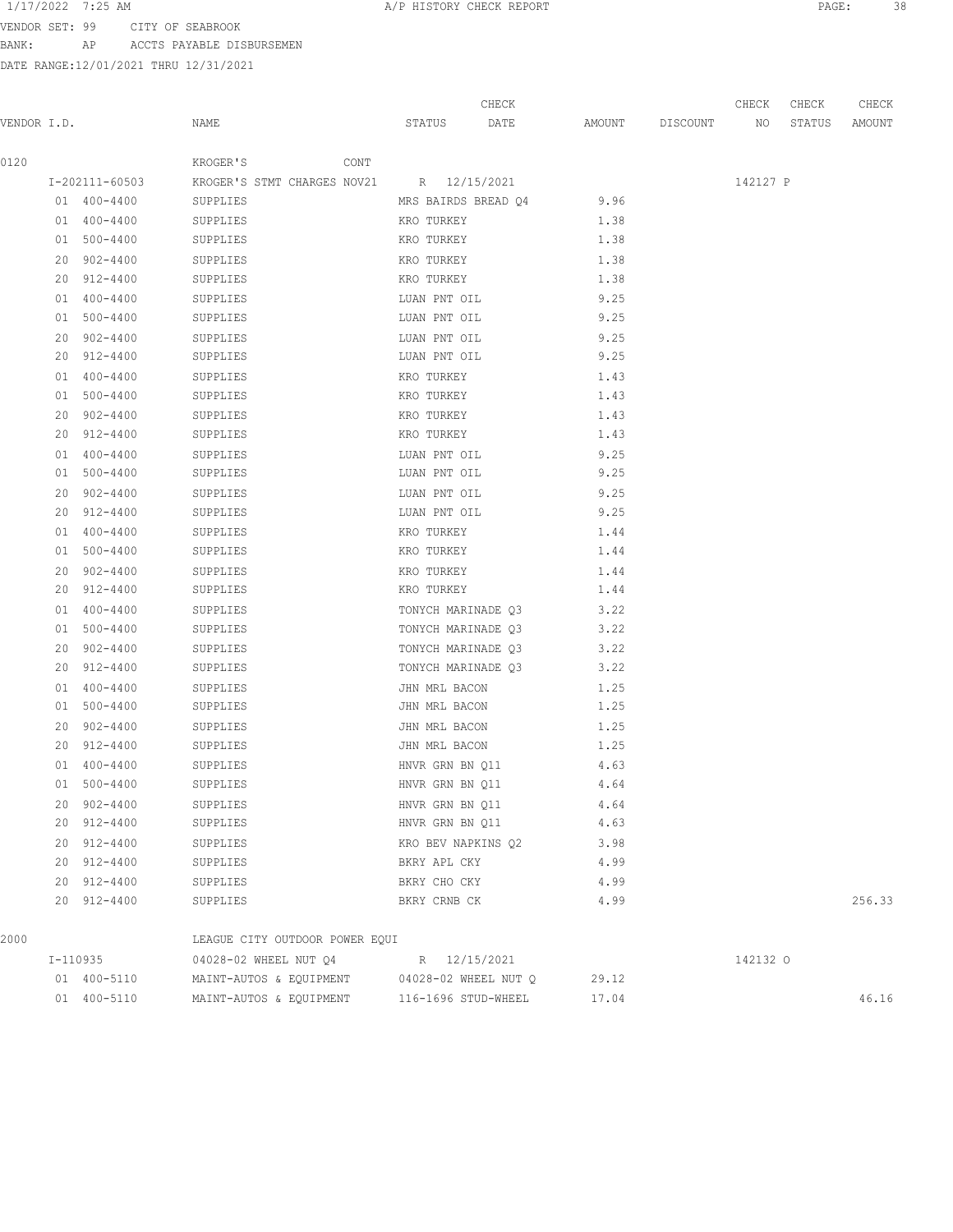VENDOR SET: 99 CITY OF SEABROOK BANK: AP ACCTS PAYABLE DISBURSEMEN

| VENDOR I.D. |                 | NAME                                     | STATUS             | CHECK<br>DATE        | AMOUNT DISCOUNT | CHECK<br>NO | CHECK<br>STATUS | CHECK<br>AMOUNT |
|-------------|-----------------|------------------------------------------|--------------------|----------------------|-----------------|-------------|-----------------|-----------------|
| 0120        |                 | CONT<br>KROGER'S                         |                    |                      |                 |             |                 |                 |
|             | I-202111-60503  | KROGER'S STMT CHARGES NOV21 R 12/15/2021 |                    |                      |                 | 142127 P    |                 |                 |
|             | 01 400-4400     | SUPPLIES                                 |                    | MRS BAIRDS BREAD Q4  | 9.96            |             |                 |                 |
|             | 01 400-4400     | SUPPLIES                                 | KRO TURKEY         |                      | 1.38            |             |                 |                 |
|             | 01 500-4400     | SUPPLIES                                 | KRO TURKEY         |                      | 1.38            |             |                 |                 |
|             | 20 902-4400     | SUPPLIES                                 | KRO TURKEY         |                      | 1.38            |             |                 |                 |
|             | 20 912-4400     | SUPPLIES                                 | KRO TURKEY         |                      | 1.38            |             |                 |                 |
|             | 01 400-4400     | SUPPLIES                                 | LUAN PNT OIL       |                      | 9.25            |             |                 |                 |
|             | 01 500-4400     | SUPPLIES                                 | LUAN PNT OIL       |                      | 9.25            |             |                 |                 |
|             | 20 902-4400     | SUPPLIES                                 | LUAN PNT OIL       |                      | 9.25            |             |                 |                 |
|             | 20 912-4400     | SUPPLIES                                 | LUAN PNT OIL       |                      | 9.25            |             |                 |                 |
|             | 01 400-4400     | SUPPLIES                                 | KRO TURKEY         |                      | 1.43            |             |                 |                 |
|             | 01 500-4400     | SUPPLIES                                 | KRO TURKEY         |                      | 1.43            |             |                 |                 |
|             | 20 902-4400     | SUPPLIES                                 | KRO TURKEY         |                      | 1.43            |             |                 |                 |
|             | 20 912-4400     | SUPPLIES                                 | KRO TURKEY         |                      | 1.43            |             |                 |                 |
|             | 01 400-4400     | SUPPLIES                                 | LUAN PNT OIL       |                      | 9.25            |             |                 |                 |
|             | 01 500-4400     | SUPPLIES                                 | LUAN PNT OIL       |                      | 9.25            |             |                 |                 |
|             | 20 902-4400     | SUPPLIES                                 | LUAN PNT OIL       |                      | 9.25            |             |                 |                 |
|             | 20 912-4400     | SUPPLIES                                 | LUAN PNT OIL       |                      | 9.25            |             |                 |                 |
|             | 01 400-4400     | SUPPLIES                                 | KRO TURKEY         |                      | 1.44            |             |                 |                 |
|             | 01 500-4400     | SUPPLIES                                 | KRO TURKEY         |                      | 1.44            |             |                 |                 |
|             | 20 902-4400     | SUPPLIES                                 | KRO TURKEY         |                      | 1.44            |             |                 |                 |
|             | 20 912-4400     | SUPPLIES                                 | KRO TURKEY         |                      | 1.44            |             |                 |                 |
|             | 01 400-4400     | SUPPLIES                                 |                    | TONYCH MARINADE Q3   | 3.22            |             |                 |                 |
|             | 01 500-4400     | SUPPLIES                                 |                    | TONYCH MARINADE Q3   | 3.22            |             |                 |                 |
|             | 20 902-4400     | SUPPLIES                                 |                    | TONYCH MARINADE Q3   | 3.22            |             |                 |                 |
|             | 20 912-4400     | SUPPLIES                                 | TONYCH MARINADE Q3 |                      | 3.22            |             |                 |                 |
|             | $01 400 - 4400$ | SUPPLIES                                 | JHN MRL BACON      |                      | 1.25            |             |                 |                 |
|             | 01 500-4400     | SUPPLIES                                 | JHN MRL BACON      |                      | 1.25            |             |                 |                 |
|             | 20 902-4400     | SUPPLIES                                 | JHN MRL BACON      |                      | 1.25            |             |                 |                 |
|             | 20 912-4400     | SUPPLIES                                 | JHN MRL BACON      |                      | 1.25            |             |                 |                 |
|             | 01 400-4400     | SUPPLIES                                 | HNVR GRN BN Q11    |                      | 4.63            |             |                 |                 |
|             | $01 500 - 4400$ | SUPPLIES                                 | HNVR GRN BN Q11    |                      | 4.64            |             |                 |                 |
|             | 20 902-4400     | SUPPLIES                                 | HNVR GRN BN Q11    |                      | 4.64            |             |                 |                 |
|             | 20 912-4400     | SUPPLIES                                 | HNVR GRN BN Q11    |                      | 4.63            |             |                 |                 |
|             | 20 912-4400     | SUPPLIES                                 | KRO BEV NAPKINS Q2 |                      | 3.98            |             |                 |                 |
|             | 20 912-4400     | SUPPLIES                                 | BKRY APL CKY       |                      | 4.99            |             |                 |                 |
|             | 20 912-4400     | SUPPLIES                                 | BKRY CHO CKY       |                      | 4.99            |             |                 |                 |
|             | 20 912-4400     | SUPPLIES                                 | BKRY CRNB CK       |                      | 4.99            |             |                 | 256.33          |
| 2000        |                 | LEAGUE CITY OUTDOOR POWER EQUI           |                    |                      |                 |             |                 |                 |
|             | I-110935        | 04028-02 WHEEL NUT Q4                    |                    | R 12/15/2021         |                 | 142132 0    |                 |                 |
|             | 01 400-5110     | MAINT-AUTOS & EQUIPMENT                  |                    | 04028-02 WHEEL NUT O | 29.12           |             |                 |                 |
|             | 01 400-5110     | MAINT-AUTOS & EQUIPMENT                  |                    | 116-1696 STUD-WHEEL  | 17.04           |             |                 | 46.16           |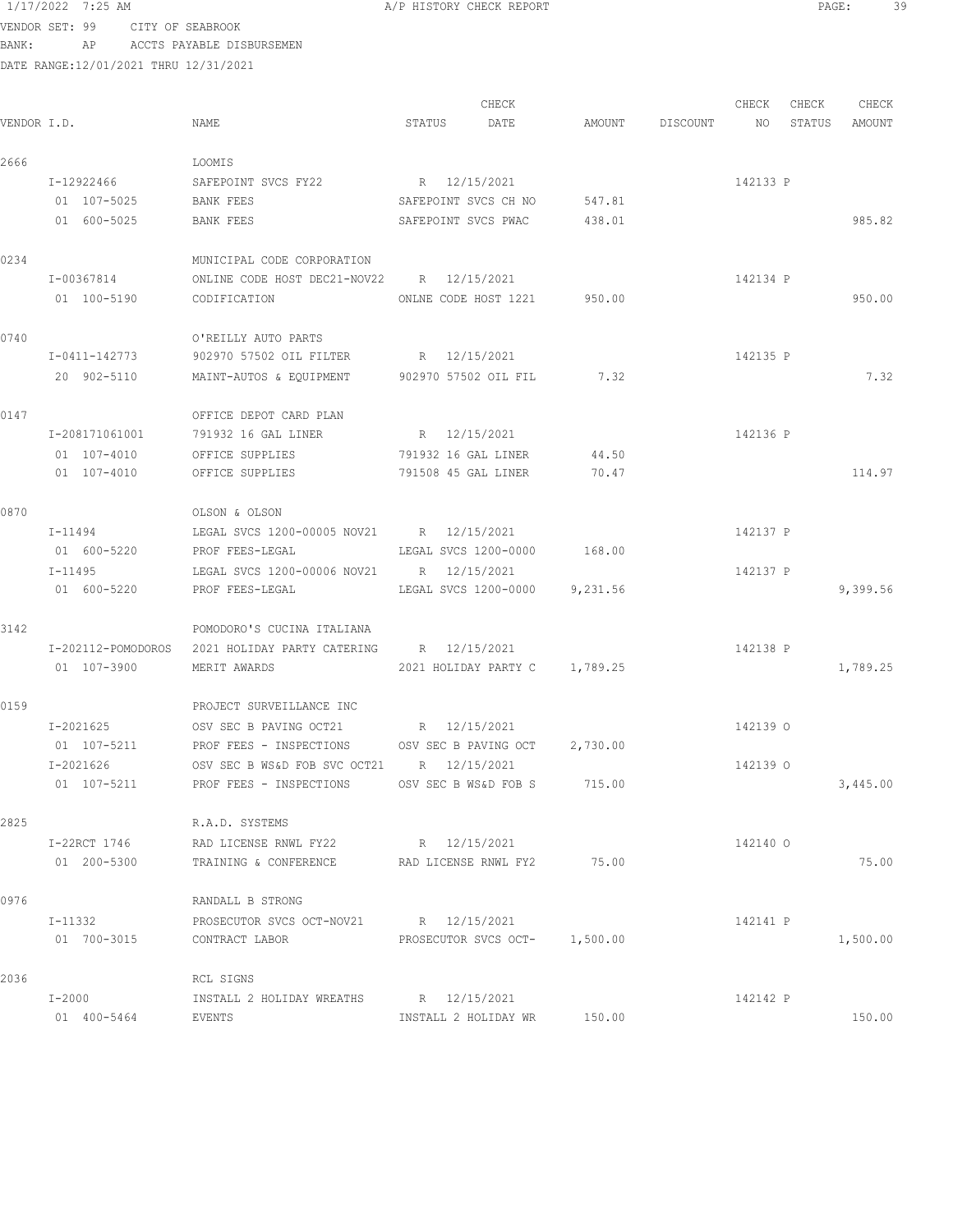VENDOR SET: 99 CITY OF SEABROOK BANK: AP ACCTS PAYABLE DISBURSEMEN

|             |                |                                                             |                      | CHECK                         |        |          | CHECK    | CHECK  | CHECK    |
|-------------|----------------|-------------------------------------------------------------|----------------------|-------------------------------|--------|----------|----------|--------|----------|
| VENDOR I.D. |                | NAME                                                        | STATUS               | DATE                          | AMOUNT | DISCOUNT | NO       | STATUS | AMOUNT   |
| 2666        |                | LOOMIS                                                      |                      |                               |        |          |          |        |          |
|             | I-12922466     | SAFEPOINT SVCS FY22                                         | R 12/15/2021         |                               |        |          | 142133 P |        |          |
|             | 01 107-5025    | BANK FEES                                                   | SAFEPOINT SVCS CH NO |                               | 547.81 |          |          |        |          |
|             | 01 600-5025    | BANK FEES                                                   | SAFEPOINT SVCS PWAC  |                               | 438.01 |          |          |        | 985.82   |
| 0234        |                | MUNICIPAL CODE CORPORATION                                  |                      |                               |        |          |          |        |          |
|             | I-00367814     | ONLINE CODE HOST DEC21-NOV22 R 12/15/2021                   |                      |                               |        |          | 142134 P |        |          |
|             | 01 100-5190    | ONLNE CODE HOST 1221 950.00<br>CODIFICATION                 |                      |                               |        |          |          |        | 950.00   |
| 0740        |                | O'REILLY AUTO PARTS                                         |                      |                               |        |          |          |        |          |
|             | I-0411-142773  | 902970 57502 OIL FILTER R 12/15/2021                        |                      |                               |        |          | 142135 P |        |          |
|             | 20 902-5110    | MAINT-AUTOS & EQUIPMENT 902970 57502 OIL FIL                |                      |                               | 7.32   |          |          |        | 7.32     |
| 0147        |                | OFFICE DEPOT CARD PLAN                                      |                      |                               |        |          |          |        |          |
|             | I-208171061001 | 791932 16 GAL LINER                                         | R 12/15/2021         |                               |        |          | 142136 P |        |          |
|             | 01 107-4010    | OFFICE SUPPLIES                                             | 791932 16 GAL LINER  |                               | 44.50  |          |          |        |          |
|             | 01 107-4010    | OFFICE SUPPLIES                                             | 791508 45 GAL LINER  |                               | 70.47  |          |          |        | 114.97   |
| 0870        |                | OLSON & OLSON                                               |                      |                               |        |          |          |        |          |
|             | I-11494        | LEGAL SVCS 1200-00005 NOV21 R 12/15/2021                    |                      |                               |        |          | 142137 P |        |          |
|             | 01 600-5220    | PROF FEES-LEGAL                                             | LEGAL SVCS 1200-0000 |                               | 168.00 |          |          |        |          |
|             | I-11495        | LEGAL SVCS 1200-00006 NOV21 R 12/15/2021                    |                      |                               |        |          | 142137 P |        |          |
|             | 01 600-5220    | PROF FEES-LEGAL                                             |                      | LEGAL SVCS 1200-0000 9,231.56 |        |          |          |        | 9,399.56 |
| 3142        |                | POMODORO'S CUCINA ITALIANA                                  |                      |                               |        |          |          |        |          |
|             |                | I-202112-POMODOROS 2021 HOLIDAY PARTY CATERING R 12/15/2021 |                      |                               |        |          | 142138 P |        |          |
|             | 01 107-3900    | MERIT AWARDS                                                |                      | 2021 HOLIDAY PARTY C 1,789.25 |        |          |          |        | 1,789.25 |
| 0159        |                | PROJECT SURVEILLANCE INC                                    |                      |                               |        |          |          |        |          |
|             | I-2021625      | OSV SEC B PAVING OCT21 R 12/15/2021                         |                      |                               |        |          | 142139 0 |        |          |
|             | 01 107-5211    | PROF FEES - INSPECTIONS OSV SEC B PAVING OCT 2,730.00       |                      |                               |        |          |          |        |          |
|             | $I - 2021626$  | OSV SEC B WS&D FOB SVC OCT21 R 12/15/2021                   |                      |                               |        |          | 142139 0 |        |          |
|             | 01 107-5211    | PROF FEES - INSPECTIONS OSV SEC B WS&D FOB S                |                      |                               | 715.00 |          |          |        | 3,445.00 |
| 2825        |                | R.A.D. SYSTEMS                                              |                      |                               |        |          |          |        |          |
|             | I-22RCT 1746   | RAD LICENSE RNWL FY22                                       | R 12/15/2021         |                               |        |          | 142140 0 |        |          |
|             | 01 200-5300    | TRAINING & CONFERENCE                                       | RAD LICENSE RNWL FY2 |                               | 75.00  |          |          |        | 75.00    |
| 0976        |                | RANDALL B STRONG                                            |                      |                               |        |          |          |        |          |
|             | I-11332        | PROSECUTOR SVCS OCT-NOV21 R 12/15/2021                      |                      |                               |        |          | 142141 P |        |          |
|             | 01 700-3015    | CONTRACT LABOR                                              |                      | PROSECUTOR SVCS OCT- 1,500.00 |        |          |          |        | 1,500.00 |
| 2036        |                | RCL SIGNS                                                   |                      |                               |        |          |          |        |          |
|             | $I-2000$       | INSTALL 2 HOLIDAY WREATHS                                   | R 12/15/2021         |                               |        |          | 142142 P |        |          |
|             | 01 400-5464    | EVENTS                                                      | INSTALL 2 HOLIDAY WR |                               | 150.00 |          |          |        | 150.00   |
|             |                |                                                             |                      |                               |        |          |          |        |          |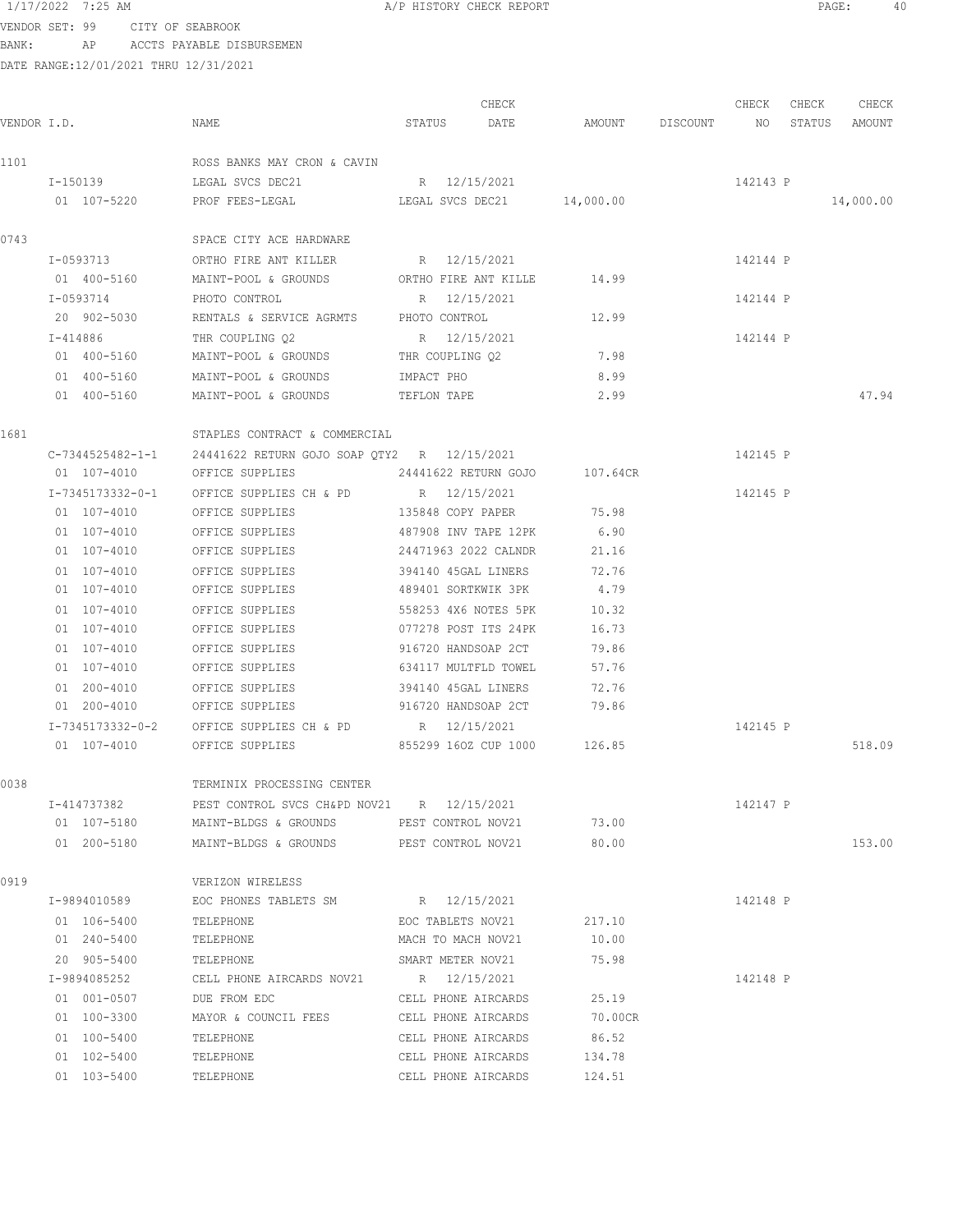VENDOR SET: 99 CITY OF SEABROOK BANK: AP ACCTS PAYABLE DISBURSEMEN

| VENDOR I.D. |                  | NAME                                                         | STATUS                      | CHECK<br>DATE |          | AMOUNT DISCOUNT NO | CHECK    | CHECK<br>STATUS | CHECK<br>AMOUNT |
|-------------|------------------|--------------------------------------------------------------|-----------------------------|---------------|----------|--------------------|----------|-----------------|-----------------|
| 1101        |                  | ROSS BANKS MAY CRON & CAVIN                                  |                             |               |          |                    |          |                 |                 |
|             |                  | I-150139 LEGAL SVCS DEC21                                    | R 12/15/2021                |               |          |                    | 142143 P |                 |                 |
|             | 01 107-5220      | PROF FEES-LEGAL CECAL LEGAL SVCS DEC21 14,000.00             |                             |               |          |                    |          |                 | 14,000.00       |
| 0743        |                  | SPACE CITY ACE HARDWARE                                      |                             |               |          |                    |          |                 |                 |
|             | I-0593713        | ORTHO FIRE ANT KILLER R 12/15/2021                           |                             |               |          |                    | 142144 P |                 |                 |
|             | 01 400-5160      | MAINT-POOL & GROUNDS ORTHO FIRE ANT KILLE                    |                             |               | 14.99    |                    |          |                 |                 |
|             | I-0593714        | PHOTO CONTROL                                                | R 12/15/2021                |               |          |                    | 142144 P |                 |                 |
|             | 20 902-5030      | RENTALS & SERVICE AGRMTS                                     | PHOTO CONTROL               |               | 12.99    |                    |          |                 |                 |
|             | I-414886         | THR COUPLING Q2                                              | R 12/15/2021                |               |          |                    | 142144 P |                 |                 |
|             | 01 400-5160      | MAINT-POOL & GROUNDS                                         | THR COUPLING Q2             |               | 7.98     |                    |          |                 |                 |
|             | 01 400-5160      | MAINT-POOL & GROUNDS                                         | IMPACT PHO                  |               | 8.99     |                    |          |                 |                 |
|             | 01 400-5160      | MAINT-POOL & GROUNDS                                         | TEFLON TAPE                 |               | 2.99     |                    |          |                 | 47.94           |
| 1681        |                  | STAPLES CONTRACT & COMMERCIAL                                |                             |               |          |                    |          |                 |                 |
|             |                  | C-7344525482-1-1 24441622 RETURN GOJO SOAP OTY2 R 12/15/2021 |                             |               |          |                    | 142145 P |                 |                 |
|             | 01 107-4010      | OFFICE SUPPLIES                                              | 24441622 RETURN GOJO        |               | 107.64CR |                    |          |                 |                 |
|             | I-7345173332-0-1 | OFFICE SUPPLIES CH & PD                                      | R 12/15/2021                |               |          |                    | 142145 P |                 |                 |
|             | 01 107-4010      | OFFICE SUPPLIES                                              | 135848 COPY PAPER           |               | 75.98    |                    |          |                 |                 |
|             | 01 107-4010      | OFFICE SUPPLIES                                              | 487908 INV TAPE 12PK        |               | 6.90     |                    |          |                 |                 |
|             | $01 107 - 4010$  | OFFICE SUPPLIES                                              | 24471963 2022 CALNDR        |               | 21.16    |                    |          |                 |                 |
|             | 01 107-4010      | OFFICE SUPPLIES                                              | 394140 45GAL LINERS         |               | 72.76    |                    |          |                 |                 |
|             | 01 107-4010      | OFFICE SUPPLIES                                              | 489401 SORTKWIK 3PK         |               | 4.79     |                    |          |                 |                 |
|             | 01 107-4010      | OFFICE SUPPLIES                                              | 558253 4X6 NOTES 5PK        |               | 10.32    |                    |          |                 |                 |
|             | 01 107-4010      | OFFICE SUPPLIES                                              | 077278 POST ITS 24PK        |               | 16.73    |                    |          |                 |                 |
|             | 01 107-4010      | OFFICE SUPPLIES                                              | 916720 HANDSOAP 2CT         |               | 79.86    |                    |          |                 |                 |
|             | 01 107-4010      | OFFICE SUPPLIES                                              | 634117 MULTFLD TOWEL        |               | 57.76    |                    |          |                 |                 |
|             | 01 200-4010      | OFFICE SUPPLIES                                              | 394140 45GAL LINERS         |               | 72.76    |                    |          |                 |                 |
|             | 01 200-4010      | OFFICE SUPPLIES                                              | 916720 HANDSOAP 2CT         |               | 79.86    |                    |          |                 |                 |
|             | I-7345173332-0-2 | OFFICE SUPPLIES CH & PD                                      | R 12/15/2021                |               |          |                    | 142145 P |                 |                 |
|             | 01 107-4010      | OFFICE SUPPLIES                                              | 855299 160Z CUP 1000 126.85 |               |          |                    |          |                 | 518.09          |
| 0038        |                  | TERMINIX PROCESSING CENTER                                   |                             |               |          |                    |          |                 |                 |
|             | I-414737382      | PEST CONTROL SVCS CH&PD NOV21 R 12/15/2021                   |                             |               |          |                    | 142147 P |                 |                 |
|             | 01 107-5180      | MAINT-BLDGS & GROUNDS PEST CONTROL NOV21 73.00               |                             |               |          |                    |          |                 |                 |
|             | 01 200-5180      | MAINT-BLDGS & GROUNDS PEST CONTROL NOV21                     |                             |               | 80.00    |                    |          |                 | 153.00          |
| 0919        |                  | VERIZON WIRELESS                                             |                             |               |          |                    |          |                 |                 |
|             | I-9894010589     | EOC PHONES TABLETS SM                                        | R 12/15/2021                |               |          |                    | 142148 P |                 |                 |
|             | 01 106-5400      | TELEPHONE                                                    | EOC TABLETS NOV21           |               | 217.10   |                    |          |                 |                 |
|             | 01 240-5400      | TELEPHONE                                                    | MACH TO MACH NOV21          |               | 10.00    |                    |          |                 |                 |
|             | 20 905-5400      | TELEPHONE                                                    | SMART METER NOV21           |               | 75.98    |                    |          |                 |                 |
|             | I-9894085252     | CELL PHONE AIRCARDS NOV21                                    | R 12/15/2021                |               |          |                    | 142148 P |                 |                 |
|             | 01 001-0507      | DUE FROM EDC                                                 | CELL PHONE AIRCARDS         |               | 25.19    |                    |          |                 |                 |
|             | 01 100-3300      | MAYOR & COUNCIL FEES                                         | CELL PHONE AIRCARDS         |               | 70.00CR  |                    |          |                 |                 |
|             | 01 100-5400      | TELEPHONE                                                    | CELL PHONE AIRCARDS         |               | 86.52    |                    |          |                 |                 |
|             | 01 102-5400      | TELEPHONE                                                    | CELL PHONE AIRCARDS         |               | 134.78   |                    |          |                 |                 |
|             | 01 103-5400      | TELEPHONE                                                    | CELL PHONE AIRCARDS         |               | 124.51   |                    |          |                 |                 |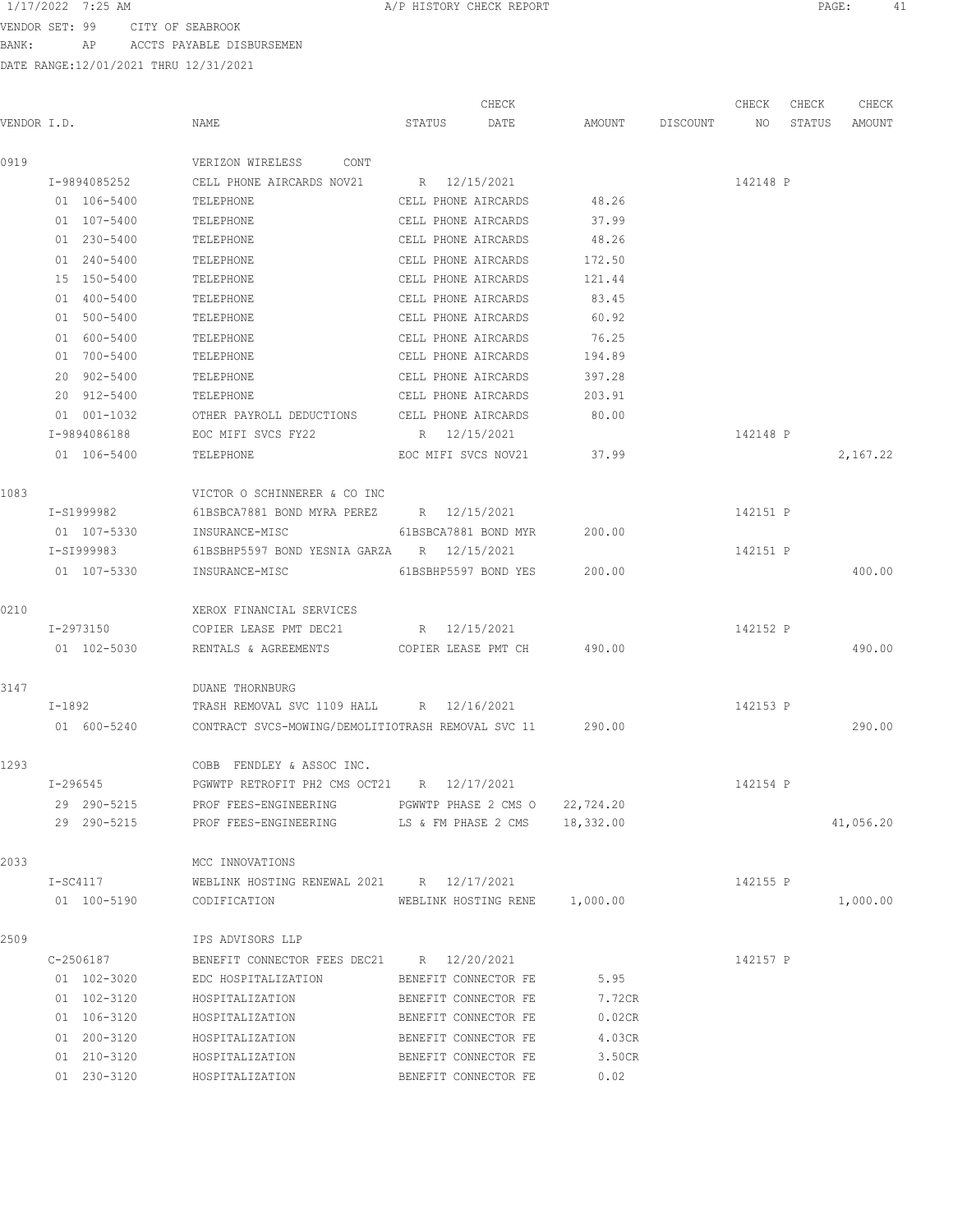VENDOR SET: 99 CITY OF SEABROOK BANK: AP ACCTS PAYABLE DISBURSEMEN

|             |            |              |                                                           |        | CHECK                |                               |          | CHECK    | CHECK  | CHECK     |
|-------------|------------|--------------|-----------------------------------------------------------|--------|----------------------|-------------------------------|----------|----------|--------|-----------|
| VENDOR I.D. |            |              | NAME                                                      | STATUS | DATE                 | AMOUNT                        | DISCOUNT | NO       | STATUS | AMOUNT    |
| 0919        |            |              | VERIZON WIRELESS CONT                                     |        |                      |                               |          |          |        |           |
|             |            | I-9894085252 | CELL PHONE AIRCARDS NOV21                                 |        | R 12/15/2021         |                               |          | 142148 P |        |           |
|             |            | 01 106-5400  | TELEPHONE                                                 |        | CELL PHONE AIRCARDS  | 48.26                         |          |          |        |           |
|             |            | 01 107-5400  | TELEPHONE                                                 |        | CELL PHONE AIRCARDS  | 37.99                         |          |          |        |           |
|             |            | 01 230-5400  | TELEPHONE                                                 |        | CELL PHONE AIRCARDS  | 48.26                         |          |          |        |           |
|             |            | 01 240-5400  | TELEPHONE                                                 |        | CELL PHONE AIRCARDS  | 172.50                        |          |          |        |           |
|             |            | 15 150-5400  | TELEPHONE                                                 |        | CELL PHONE AIRCARDS  | 121.44                        |          |          |        |           |
|             |            | 01 400-5400  | TELEPHONE                                                 |        | CELL PHONE AIRCARDS  | 83.45                         |          |          |        |           |
|             |            | 01 500-5400  | TELEPHONE                                                 |        | CELL PHONE AIRCARDS  | 60.92                         |          |          |        |           |
|             |            | 01 600-5400  | TELEPHONE                                                 |        | CELL PHONE AIRCARDS  | 76.25                         |          |          |        |           |
|             |            | 01 700-5400  | TELEPHONE                                                 |        | CELL PHONE AIRCARDS  | 194.89                        |          |          |        |           |
|             |            | 20 902-5400  | TELEPHONE                                                 |        | CELL PHONE AIRCARDS  | 397.28                        |          |          |        |           |
|             |            | 20 912-5400  | TELEPHONE                                                 |        | CELL PHONE AIRCARDS  | 203.91                        |          |          |        |           |
|             |            | 01 001-1032  | OTHER PAYROLL DEDUCTIONS CELL PHONE AIRCARDS              |        |                      | 80.00                         |          |          |        |           |
|             |            | I-9894086188 | EOC MIFI SVCS FY22                                        |        | R 12/15/2021         |                               |          | 142148 P |        |           |
|             |            | 01 106-5400  | TELEPHONE                                                 |        | EOC MIFI SVCS NOV21  | 37.99                         |          |          |        | 2,167.22  |
| 1083        |            |              | VICTOR O SCHINNERER & CO INC                              |        |                      |                               |          |          |        |           |
|             |            | I-S1999982   | 61BSBCA7881 BOND MYRA PEREZ R 12/15/2021                  |        |                      |                               |          | 142151 P |        |           |
|             |            | 01 107-5330  | INSURANCE-MISC                                            |        | 61BSBCA7881 BOND MYR | 200.00                        |          |          |        |           |
|             |            | I-SI999983   | 61BSBHP5597 BOND YESNIA GARZA R 12/15/2021                |        |                      |                               |          | 142151 P |        |           |
|             |            | 01 107-5330  | INSURANCE-MISC                                            |        | 61BSBHP5597 BOND YES | 200.00                        |          |          |        | 400.00    |
| 0210        |            |              | XEROX FINANCIAL SERVICES                                  |        |                      |                               |          |          |        |           |
|             | I-2973150  |              | COPIER LEASE PMT DEC21 $R = 12/15/2021$                   |        |                      |                               |          | 142152 P |        |           |
|             |            | 01 102-5030  | RENTALS & AGREEMENTS COPIER LEASE PMT CH 490.00           |        |                      |                               |          |          |        | 490.00    |
| 3147        |            |              | <b>DUANE THORNBURG</b>                                    |        |                      |                               |          |          |        |           |
|             |            | I-1892       | TRASH REMOVAL SVC 1109 HALL R 12/16/2021                  |        |                      |                               |          | 142153 P |        |           |
|             |            | 01 600-5240  | CONTRACT SVCS-MOWING/DEMOLITIOTRASH REMOVAL SVC 11 290.00 |        |                      |                               |          |          |        | 290.00    |
| 1293        |            |              | COBB<br>FENDLEY & ASSOC INC.                              |        |                      |                               |          |          |        |           |
|             |            | I-296545     | PGWWTP RETROFIT PH2 CMS OCT21 R 12/17/2021                |        |                      |                               |          | 142154 P |        |           |
|             |            | 29 290-5215  | PROF FEES-ENGINEERING                                     |        | PGWWTP PHASE 2 CMS O | 22,724.20                     |          |          |        |           |
|             |            | 29 290-5215  | PROF FEES-ENGINEERING                                     |        |                      | LS & FM PHASE 2 CMS 18,332.00 |          |          |        | 41,056.20 |
| 2033        |            |              | MCC INNOVATIONS                                           |        |                      |                               |          |          |        |           |
|             | $I-SC4117$ |              | WEBLINK HOSTING RENEWAL 2021 R 12/17/2021                 |        |                      |                               |          | 142155 P |        |           |
|             |            | 01 100-5190  | CODIFICATION                                              |        |                      | WEBLINK HOSTING RENE 1,000.00 |          |          |        | 1,000.00  |
| 2509        |            |              | IPS ADVISORS LLP                                          |        |                      |                               |          |          |        |           |
|             |            | C-2506187    | BENEFIT CONNECTOR FEES DEC21 R 12/20/2021                 |        |                      |                               |          | 142157 P |        |           |
|             |            | 01 102-3020  | EDC HOSPITALIZATION                                       |        | BENEFIT CONNECTOR FE | 5.95                          |          |          |        |           |
|             |            | 01 102-3120  | HOSPITALIZATION                                           |        | BENEFIT CONNECTOR FE | 7.72CR                        |          |          |        |           |
|             |            | 01 106-3120  | HOSPITALIZATION                                           |        | BENEFIT CONNECTOR FE | 0.02CR                        |          |          |        |           |
|             |            | 01 200-3120  | HOSPITALIZATION                                           |        | BENEFIT CONNECTOR FE | 4.03CR                        |          |          |        |           |
|             |            | 01 210-3120  | HOSPITALIZATION                                           |        | BENEFIT CONNECTOR FE | 3.50CR                        |          |          |        |           |
|             |            | 01 230-3120  | HOSPITALIZATION                                           |        | BENEFIT CONNECTOR FE | 0.02                          |          |          |        |           |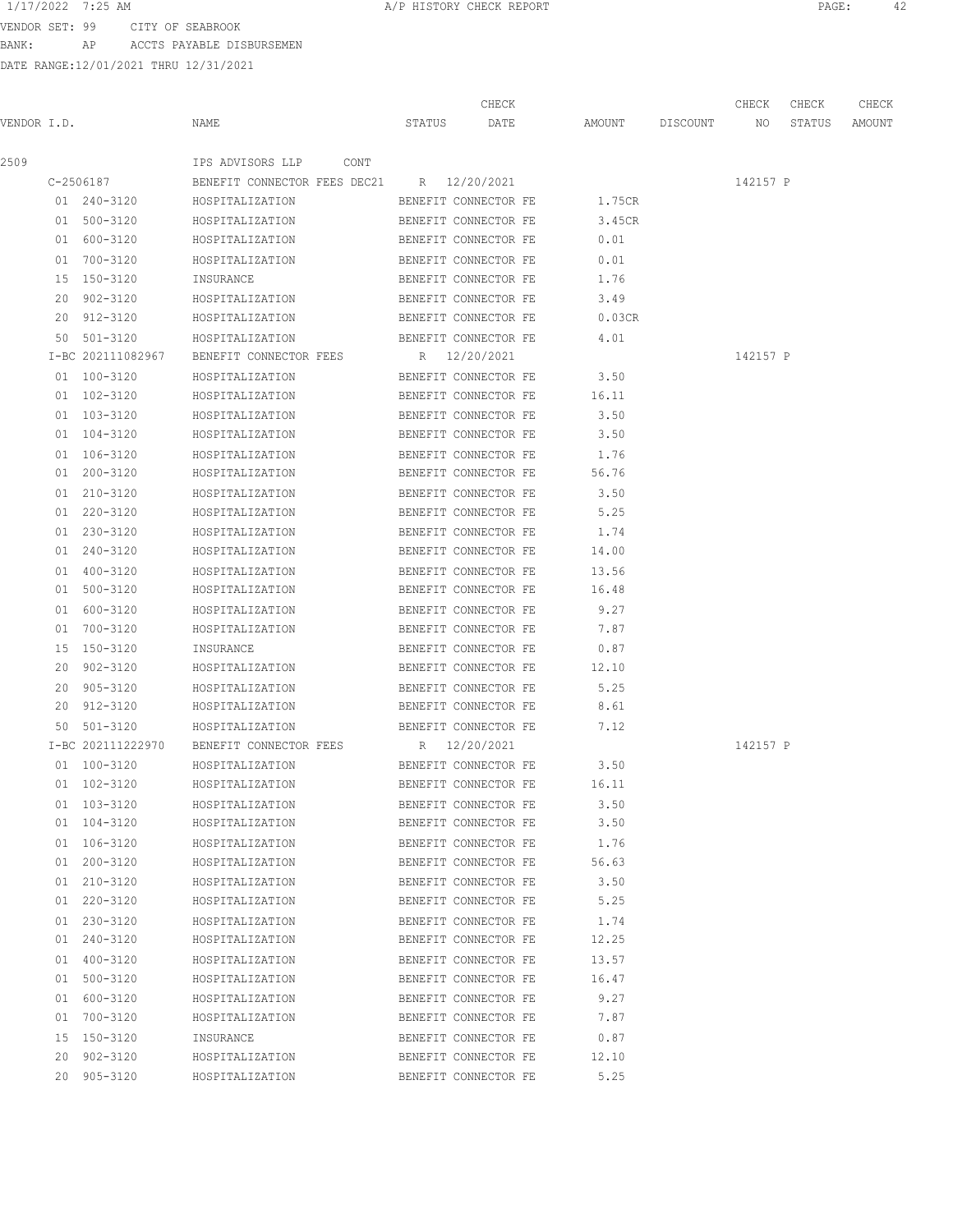VENDOR SET: 99 CITY OF SEABROOK BANK: AP ACCTS PAYABLE DISBURSEMEN

|             |                   |                                           |        | CHECK                |                    | CHECK    | CHECK  | CHECK  |
|-------------|-------------------|-------------------------------------------|--------|----------------------|--------------------|----------|--------|--------|
| VENDOR I.D. |                   | NAME                                      | STATUS | DATE                 | AMOUNT DISCOUNT NO |          | STATUS | AMOUNT |
| 2509        |                   | IPS ADVISORS LLP<br>CONT                  |        |                      |                    |          |        |        |
|             | C-2506187         | BENEFIT CONNECTOR FEES DEC21 R 12/20/2021 |        |                      |                    | 142157 P |        |        |
|             | 01 240-3120       | HOSPITALIZATION                           |        | BENEFIT CONNECTOR FE | 1.75CR             |          |        |        |
|             | 01 500-3120       | HOSPITALIZATION                           |        | BENEFIT CONNECTOR FE | 3.45CR             |          |        |        |
|             | 01 600-3120       | HOSPITALIZATION                           |        | BENEFIT CONNECTOR FE | 0.01               |          |        |        |
|             | 01 700-3120       | HOSPITALIZATION                           |        | BENEFIT CONNECTOR FE | 0.01               |          |        |        |
|             | 15 150-3120       | INSURANCE                                 |        | BENEFIT CONNECTOR FE | 1.76               |          |        |        |
|             | 20 902-3120       | HOSPITALIZATION                           |        | BENEFIT CONNECTOR FE | 3.49               |          |        |        |
|             | 20 912-3120       | HOSPITALIZATION                           |        | BENEFIT CONNECTOR FE | 0.03CR             |          |        |        |
|             | 50 501-3120       | HOSPITALIZATION                           |        | BENEFIT CONNECTOR FE | 4.01               |          |        |        |
|             | I-BC 202111082967 | BENEFIT CONNECTOR FEES                    |        | R 12/20/2021         |                    | 142157 P |        |        |
|             | 01 100-3120       | HOSPITALIZATION                           |        | BENEFIT CONNECTOR FE | 3.50               |          |        |        |
|             | 01 102-3120       | HOSPITALIZATION                           |        | BENEFIT CONNECTOR FE | 16.11              |          |        |        |
|             | 01 103-3120       | HOSPITALIZATION                           |        | BENEFIT CONNECTOR FE | 3.50               |          |        |        |
|             | 01 104-3120       | HOSPITALIZATION                           |        | BENEFIT CONNECTOR FE | 3.50               |          |        |        |
|             | 01 106-3120       | HOSPITALIZATION                           |        | BENEFIT CONNECTOR FE | 1.76               |          |        |        |
|             | 01 200-3120       | HOSPITALIZATION                           |        | BENEFIT CONNECTOR FE | 56.76              |          |        |        |
|             | 01 210-3120       | HOSPITALIZATION                           |        | BENEFIT CONNECTOR FE | 3.50               |          |        |        |
|             | 01 220-3120       | HOSPITALIZATION                           |        | BENEFIT CONNECTOR FE | 5.25               |          |        |        |
|             | 01 230-3120       | HOSPITALIZATION                           |        | BENEFIT CONNECTOR FE | 1.74               |          |        |        |
|             | 01 240-3120       | HOSPITALIZATION                           |        | BENEFIT CONNECTOR FE | 14.00              |          |        |        |
|             | 01 400-3120       | HOSPITALIZATION                           |        | BENEFIT CONNECTOR FE | 13.56              |          |        |        |
|             | 01 500-3120       | HOSPITALIZATION                           |        | BENEFIT CONNECTOR FE | 16.48              |          |        |        |
|             | 01 600-3120       | HOSPITALIZATION                           |        | BENEFIT CONNECTOR FE | 9.27               |          |        |        |
|             | 01 700-3120       | HOSPITALIZATION                           |        | BENEFIT CONNECTOR FE | 7.87               |          |        |        |
|             | 15 150-3120       | INSURANCE                                 |        | BENEFIT CONNECTOR FE | 0.87               |          |        |        |
|             | 20 902-3120       | HOSPITALIZATION                           |        | BENEFIT CONNECTOR FE | 12.10              |          |        |        |
|             | 20 905-3120       | HOSPITALIZATION                           |        | BENEFIT CONNECTOR FE | 5.25               |          |        |        |
|             | 20 912-3120       | HOSPITALIZATION                           |        | BENEFIT CONNECTOR FE | 8.61               |          |        |        |
|             | 50 501-3120       | HOSPITALIZATION                           |        | BENEFIT CONNECTOR FE | 7.12               |          |        |        |
|             | I-BC 202111222970 | BENEFIT CONNECTOR FEES                    |        | R 12/20/2021         |                    | 142157 P |        |        |
|             | 01 100-3120       | HOSPITALIZATION                           |        | BENEFIT CONNECTOR FE | 3.50               |          |        |        |
|             | 01 102-3120       | HOSPITALIZATION                           |        | BENEFIT CONNECTOR FE | 16.11              |          |        |        |
|             | 01 103-3120       | HOSPITALIZATION                           |        | BENEFIT CONNECTOR FE | 3.50               |          |        |        |
|             | 01 104-3120       | HOSPITALIZATION                           |        | BENEFIT CONNECTOR FE | 3.50               |          |        |        |
|             | 01 106-3120       | HOSPITALIZATION                           |        | BENEFIT CONNECTOR FE | 1.76               |          |        |        |
|             | 01 200-3120       | HOSPITALIZATION                           |        | BENEFIT CONNECTOR FE | 56.63              |          |        |        |
|             | 01 210-3120       | HOSPITALIZATION                           |        | BENEFIT CONNECTOR FE | 3.50               |          |        |        |
|             | 01 220-3120       | HOSPITALIZATION                           |        | BENEFIT CONNECTOR FE | 5.25               |          |        |        |
|             | 01 230-3120       | HOSPITALIZATION                           |        | BENEFIT CONNECTOR FE | 1.74               |          |        |        |
|             | 01 240-3120       | HOSPITALIZATION                           |        | BENEFIT CONNECTOR FE | 12.25              |          |        |        |
|             | 01 400-3120       | HOSPITALIZATION                           |        | BENEFIT CONNECTOR FE | 13.57              |          |        |        |
|             | 01 500-3120       | HOSPITALIZATION                           |        | BENEFIT CONNECTOR FE | 16.47              |          |        |        |
|             | 01 600-3120       | HOSPITALIZATION                           |        | BENEFIT CONNECTOR FE | 9.27               |          |        |        |
|             | 01 700-3120       | HOSPITALIZATION                           |        | BENEFIT CONNECTOR FE | 7.87               |          |        |        |
|             | 15 150-3120       | INSURANCE                                 |        | BENEFIT CONNECTOR FE | 0.87               |          |        |        |
|             | 20 902-3120       | HOSPITALIZATION                           |        | BENEFIT CONNECTOR FE | 12.10              |          |        |        |
|             | 20 905-3120       | HOSPITALIZATION                           |        | BENEFIT CONNECTOR FE | 5.25               |          |        |        |
|             |                   |                                           |        |                      |                    |          |        |        |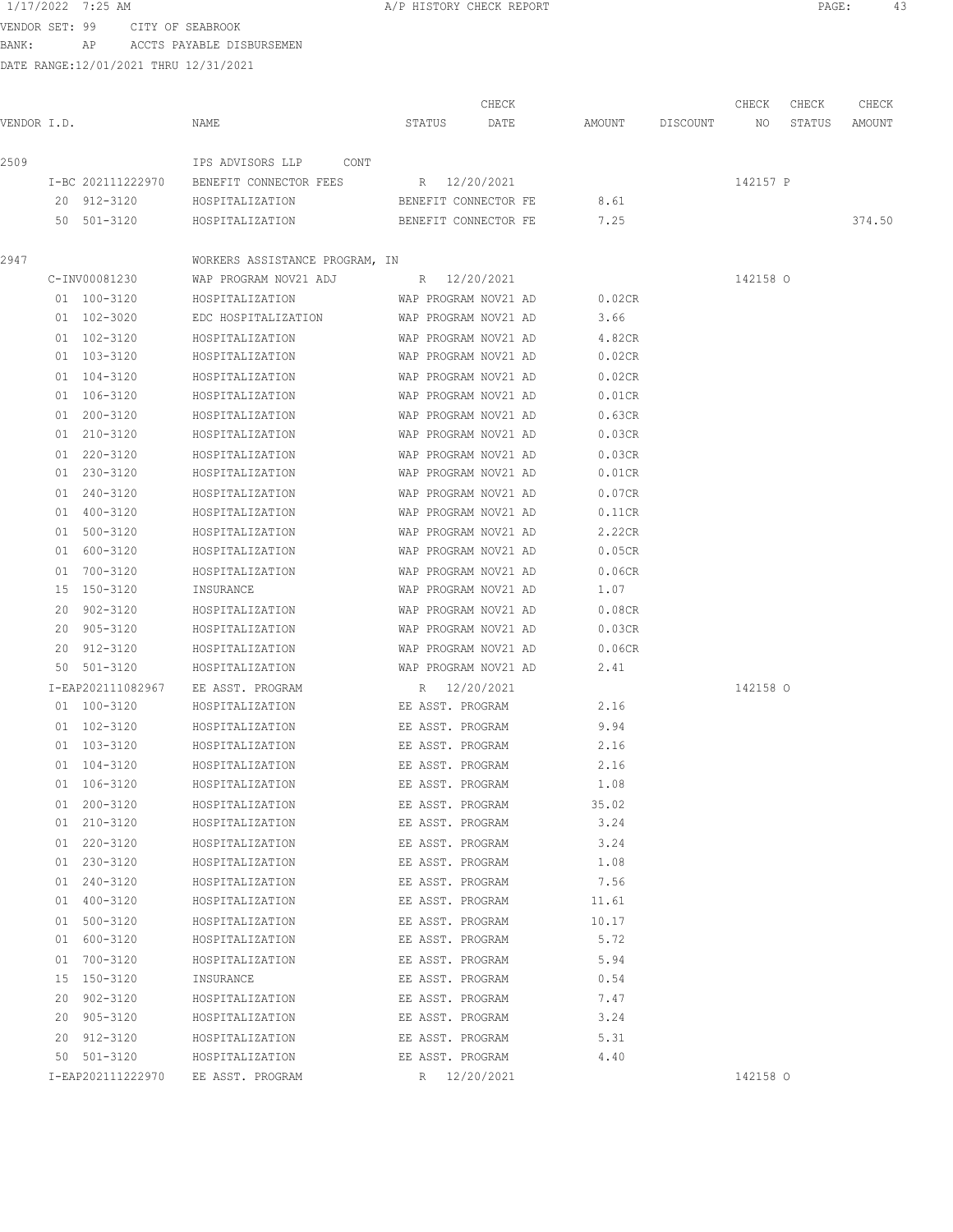VENDOR SET: 99 CITY OF SEABROOK BANK: AP ACCTS PAYABLE DISBURSEMEN

|             |                   |                                                       |                      | CHECK |                           | CHECK    | CHECK  | CHECK  |
|-------------|-------------------|-------------------------------------------------------|----------------------|-------|---------------------------|----------|--------|--------|
| VENDOR I.D. |                   | NAME                                                  | STATUS DATE          |       | AMOUNT DISCOUNT NO        |          | STATUS | AMOUNT |
| 2509        |                   | IPS ADVISORS LLP CONT                                 |                      |       |                           |          |        |        |
|             |                   | I-BC 202111222970 BENEFIT CONNECTOR FEES R 12/20/2021 |                      |       |                           | 142157 P |        |        |
|             | 20 912-3120       | HOSPITALIZATION                                       |                      |       | BENEFIT CONNECTOR FE 8.61 |          |        |        |
|             | 50 501-3120       | HOSPITALIZATION BENEFIT CONNECTOR FE 7.25             |                      |       |                           |          |        | 374.50 |
| 2947        |                   | WORKERS ASSISTANCE PROGRAM, IN                        |                      |       |                           |          |        |        |
|             | C-INV00081230     |                                                       |                      |       |                           | 142158 O |        |        |
|             | 01 100-3120       | HOSPITALIZATION WAP PROGRAM NOV21 AD                  |                      |       | 0.02CR                    |          |        |        |
|             | 01 102-3020       | EDC HOSPITALIZATION WAP PROGRAM NOV21 AD              |                      |       | 3.66                      |          |        |        |
|             | 01 102-3120       | HOSPITALIZATION                                       | WAP PROGRAM NOV21 AD |       | 4.82CR                    |          |        |        |
|             | 01 103-3120       | HOSPITALIZATION                                       | WAP PROGRAM NOV21 AD |       | 0.02CR                    |          |        |        |
|             | 01 104-3120       | HOSPITALIZATION                                       | WAP PROGRAM NOV21 AD |       | 0.02CR                    |          |        |        |
|             | 01 106-3120       | HOSPITALIZATION                                       | WAP PROGRAM NOV21 AD |       | 0.01CR                    |          |        |        |
|             | 01 200-3120       | HOSPITALIZATION                                       | WAP PROGRAM NOV21 AD |       | 0.63CR                    |          |        |        |
|             | 01 210-3120       | HOSPITALIZATION                                       | WAP PROGRAM NOV21 AD |       | 0.03CR                    |          |        |        |
|             | 01 220-3120       | HOSPITALIZATION                                       | WAP PROGRAM NOV21 AD |       | 0.03CR                    |          |        |        |
|             | 01 230-3120       | HOSPITALIZATION                                       | WAP PROGRAM NOV21 AD |       | $0.01$ CR                 |          |        |        |
|             | 01 240-3120       | HOSPITALIZATION                                       | WAP PROGRAM NOV21 AD |       | 0.07CR                    |          |        |        |
|             | 01 400-3120       | HOSPITALIZATION                                       | WAP PROGRAM NOV21 AD |       | 0.11CR                    |          |        |        |
|             | 01 500-3120       | HOSPITALIZATION                                       | WAP PROGRAM NOV21 AD |       | 2.22CR                    |          |        |        |
|             | 01 600-3120       | HOSPITALIZATION                                       | WAP PROGRAM NOV21 AD |       | 0.05CR                    |          |        |        |
|             | 01 700-3120       | HOSPITALIZATION                                       | WAP PROGRAM NOV21 AD |       | 0.06CR                    |          |        |        |
|             | 15 150-3120       | INSURANCE                                             | WAP PROGRAM NOV21 AD |       | 1.07                      |          |        |        |
|             | 20 902-3120       | HOSPITALIZATION                                       | WAP PROGRAM NOV21 AD |       | 0.08CR                    |          |        |        |
|             | 20 905-3120       | HOSPITALIZATION                                       | WAP PROGRAM NOV21 AD |       | 0.03CR                    |          |        |        |
|             | 20 912-3120       | HOSPITALIZATION                                       | WAP PROGRAM NOV21 AD |       | 0.06CR                    |          |        |        |
|             | 50 501-3120       | HOSPITALIZATION                                       | WAP PROGRAM NOV21 AD |       | 2.41                      |          |        |        |
|             | I-EAP202111082967 | EE ASST. PROGRAM                                      | R 12/20/2021         |       |                           | 142158 0 |        |        |
|             | 01 100-3120       | HOSPITALIZATION                                       | EE ASST. PROGRAM     |       | 2.16                      |          |        |        |
|             | 01 102-3120       | HOSPITALIZATION                                       | EE ASST. PROGRAM     |       | 9.94                      |          |        |        |
|             | 01 103-3120       | HOSPITALIZATION                                       | EE ASST. PROGRAM     |       | 2.16                      |          |        |        |
|             | 01 104-3120       | HOSPITALIZATION                                       | EE ASST. PROGRAM     |       | 2.16                      |          |        |        |
|             | 01 106-3120       | HOSPITALIZATION                                       | EE ASST. PROGRAM     |       | 1.08                      |          |        |        |
|             | 01 200-3120       | HOSPITALIZATION                                       | EE ASST. PROGRAM     |       | 35.02                     |          |        |        |
|             | 01 210-3120       | HOSPITALIZATION                                       | EE ASST. PROGRAM     |       | 3.24                      |          |        |        |
|             | 01 220-3120       | HOSPITALIZATION                                       | EE ASST. PROGRAM     |       | 3.24                      |          |        |        |
|             | 01 230-3120       | HOSPITALIZATION                                       | EE ASST. PROGRAM     |       | 1.08                      |          |        |        |
|             | 01 240-3120       | HOSPITALIZATION                                       | EE ASST. PROGRAM     |       | 7.56                      |          |        |        |
|             | 01 400-3120       | HOSPITALIZATION                                       | EE ASST. PROGRAM     |       | 11.61                     |          |        |        |
|             | 01 500-3120       | HOSPITALIZATION                                       | EE ASST. PROGRAM     |       | 10.17                     |          |        |        |
|             | 01 600-3120       | HOSPITALIZATION                                       | EE ASST. PROGRAM     |       | 5.72                      |          |        |        |
|             | 01 700-3120       | HOSPITALIZATION                                       | EE ASST. PROGRAM     |       | 5.94                      |          |        |        |
|             | 15 150-3120       | INSURANCE                                             | EE ASST. PROGRAM     |       | 0.54                      |          |        |        |
|             | 20 902-3120       | HOSPITALIZATION                                       | EE ASST. PROGRAM     |       | 7.47                      |          |        |        |
|             | 20 905-3120       | HOSPITALIZATION                                       | EE ASST. PROGRAM     |       | 3.24                      |          |        |        |
|             | 20 912-3120       | HOSPITALIZATION                                       | EE ASST. PROGRAM     |       | 5.31                      |          |        |        |
|             | 50 501-3120       | HOSPITALIZATION                                       | EE ASST. PROGRAM     |       | 4.40                      |          |        |        |
|             | I-EAP202111222970 | EE ASST. PROGRAM                                      | R 12/20/2021         |       |                           | 142158 O |        |        |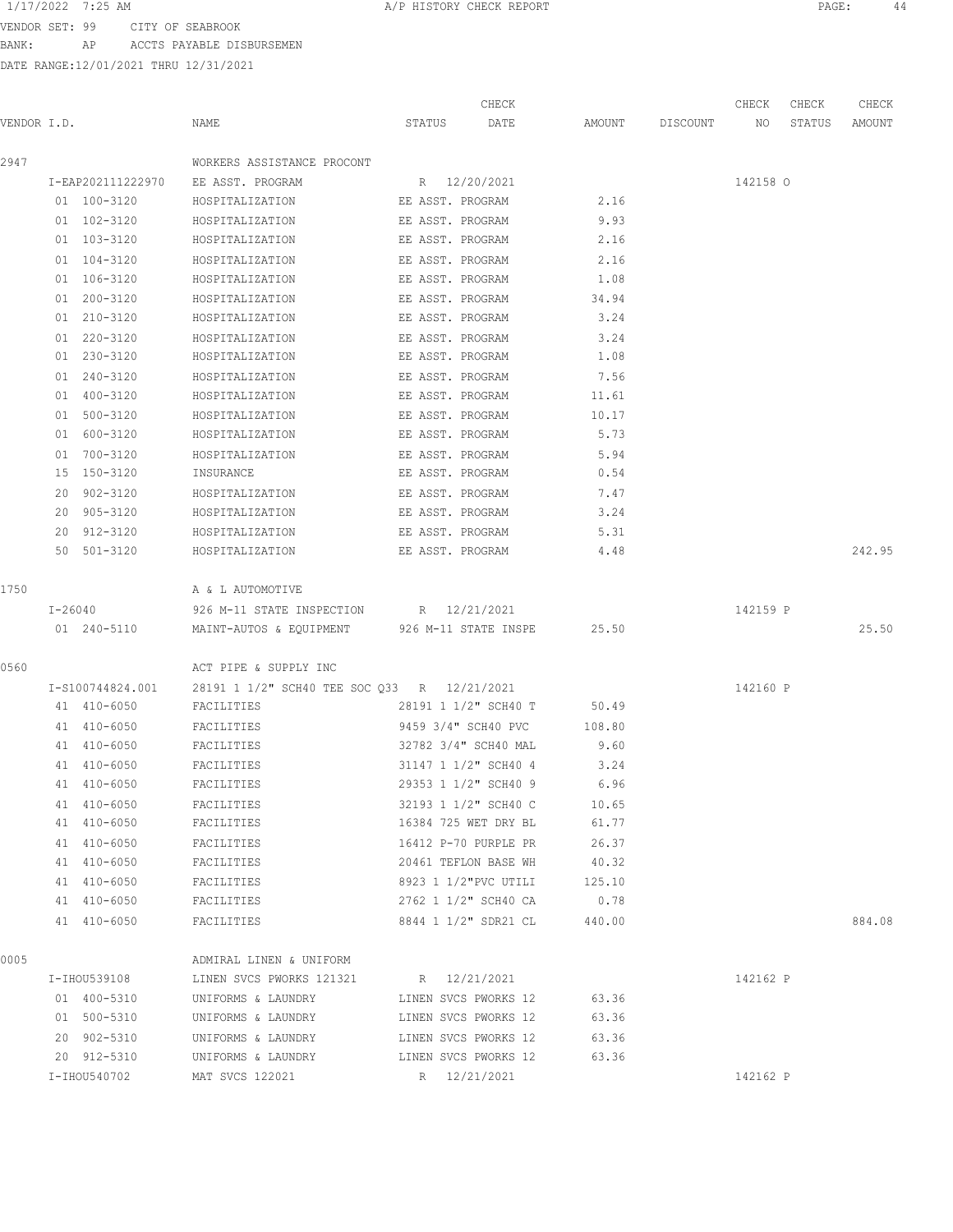VENDOR SET: 99 CITY OF SEABROOK BANK: AP ACCTS PAYABLE DISBURSEMEN

| VENDOR I.D. |                   | NAME                                         | CHECK<br>STATUS<br>DATE | AMOUNT | DISCOUNT | CHECK<br>NO | CHECK<br>STATUS | CHECK<br>AMOUNT |
|-------------|-------------------|----------------------------------------------|-------------------------|--------|----------|-------------|-----------------|-----------------|
| 2947        |                   | WORKERS ASSISTANCE PROCONT                   |                         |        |          |             |                 |                 |
|             | I-EAP202111222970 | EE ASST. PROGRAM                             | R 12/20/2021            |        |          | 142158 O    |                 |                 |
|             | 01 100-3120       | HOSPITALIZATION                              | EE ASST. PROGRAM        | 2.16   |          |             |                 |                 |
|             | 01 102-3120       | HOSPITALIZATION                              | EE ASST. PROGRAM        | 9.93   |          |             |                 |                 |
|             | 01 103-3120       | HOSPITALIZATION                              | EE ASST. PROGRAM        | 2.16   |          |             |                 |                 |
|             | 01 104-3120       | HOSPITALIZATION                              | EE ASST. PROGRAM        | 2.16   |          |             |                 |                 |
|             | 01 106-3120       | HOSPITALIZATION                              | EE ASST. PROGRAM        | 1.08   |          |             |                 |                 |
|             | 01 200-3120       | HOSPITALIZATION                              | EE ASST. PROGRAM        | 34.94  |          |             |                 |                 |
|             | 01 210-3120       | HOSPITALIZATION                              | EE ASST. PROGRAM        | 3.24   |          |             |                 |                 |
|             | 01 220-3120       | HOSPITALIZATION                              | EE ASST. PROGRAM        | 3.24   |          |             |                 |                 |
|             | 01 230-3120       | HOSPITALIZATION                              | EE ASST. PROGRAM        | 1.08   |          |             |                 |                 |
|             | 01 240-3120       | HOSPITALIZATION                              | EE ASST. PROGRAM        | 7.56   |          |             |                 |                 |
|             | 01 400-3120       | HOSPITALIZATION                              | EE ASST. PROGRAM        | 11.61  |          |             |                 |                 |
|             | 01 500-3120       | HOSPITALIZATION                              | EE ASST. PROGRAM        | 10.17  |          |             |                 |                 |
|             | 01 600-3120       | HOSPITALIZATION                              | EE ASST. PROGRAM        | 5.73   |          |             |                 |                 |
|             | 01<br>700-3120    | HOSPITALIZATION                              | EE ASST. PROGRAM        | 5.94   |          |             |                 |                 |
|             | 15 150-3120       | INSURANCE                                    | EE ASST. PROGRAM        | 0.54   |          |             |                 |                 |
|             | 902-3120<br>20    | HOSPITALIZATION                              | EE ASST. PROGRAM        | 7.47   |          |             |                 |                 |
|             | 20 905-3120       | HOSPITALIZATION                              | EE ASST. PROGRAM        | 3.24   |          |             |                 |                 |
|             | 912-3120<br>20    | HOSPITALIZATION                              | EE ASST. PROGRAM        | 5.31   |          |             |                 |                 |
|             | 50 501-3120       | HOSPITALIZATION                              | EE ASST. PROGRAM        | 4.48   |          |             |                 | 242.95          |
| 1750        |                   | A & L AUTOMOTIVE                             |                         |        |          |             |                 |                 |
|             | I-26040           | 926 M-11 STATE INSPECTION R 12/21/2021       |                         |        |          | 142159 P    |                 |                 |
|             | 01 240-5110       | MAINT-AUTOS & EQUIPMENT 926 M-11 STATE INSPE |                         | 25.50  |          |             |                 | 25.50           |
| 0560        |                   | ACT PIPE & SUPPLY INC                        |                         |        |          |             |                 |                 |
|             | I-S100744824.001  | 28191 1 1/2" SCH40 TEE SOC Q33 R 12/21/2021  |                         |        |          | 142160 P    |                 |                 |
|             | 41 410-6050       | FACILITIES                                   | 28191 1 1/2" SCH40 T    | 50.49  |          |             |                 |                 |
|             | 41 410-6050       | FACILITIES                                   | 9459 3/4" SCH40 PVC     | 108.80 |          |             |                 |                 |
|             | 41 410-6050       | FACILITIES                                   | 32782 3/4" SCH40 MAL    | 9.60   |          |             |                 |                 |
|             | 41 410-6050       | FACILITIES                                   | 31147 1 1/2" SCH40 4    | 3.24   |          |             |                 |                 |
|             | 41<br>410-6050    | FACILITIES                                   | 29353 1 1/2" SCH40 9    | 6.96   |          |             |                 |                 |
|             | 41 410-6050       | FACILITIES                                   | 32193 1 1/2" SCH40 C    | 10.65  |          |             |                 |                 |
|             | 41 410-6050       | FACILITIES                                   | 16384 725 WET DRY BL    | 61.77  |          |             |                 |                 |
|             | 41 410-6050       | FACILITIES                                   | 16412 P-70 PURPLE PR    | 26.37  |          |             |                 |                 |
|             | 41 410-6050       | FACILITIES                                   | 20461 TEFLON BASE WH    | 40.32  |          |             |                 |                 |
|             | 41 410-6050       | FACILITIES                                   | 8923 1 1/2"PVC UTILI    | 125.10 |          |             |                 |                 |
|             | 41 410-6050       | FACILITIES                                   | 2762 1 1/2" SCH40 CA    | 0.78   |          |             |                 |                 |
|             | 41 410-6050       | FACILITIES                                   | 8844 1 1/2" SDR21 CL    | 440.00 |          |             |                 | 884.08          |
| 0005        |                   | ADMIRAL LINEN & UNIFORM                      |                         |        |          |             |                 |                 |
|             | I-IHOU539108      | LINEN SVCS PWORKS 121321                     | R 12/21/2021            |        |          | 142162 P    |                 |                 |
|             | 01 400-5310       | UNIFORMS & LAUNDRY                           | LINEN SVCS PWORKS 12    | 63.36  |          |             |                 |                 |
|             | 01 500-5310       | UNIFORMS & LAUNDRY                           | LINEN SVCS PWORKS 12    | 63.36  |          |             |                 |                 |
|             | 20 902-5310       | UNIFORMS & LAUNDRY                           | LINEN SVCS PWORKS 12    | 63.36  |          |             |                 |                 |
|             | 20 912-5310       | UNIFORMS & LAUNDRY                           | LINEN SVCS PWORKS 12    | 63.36  |          |             |                 |                 |
|             | I-IHOU540702      | MAT SVCS 122021                              | R 12/21/2021            |        |          | 142162 P    |                 |                 |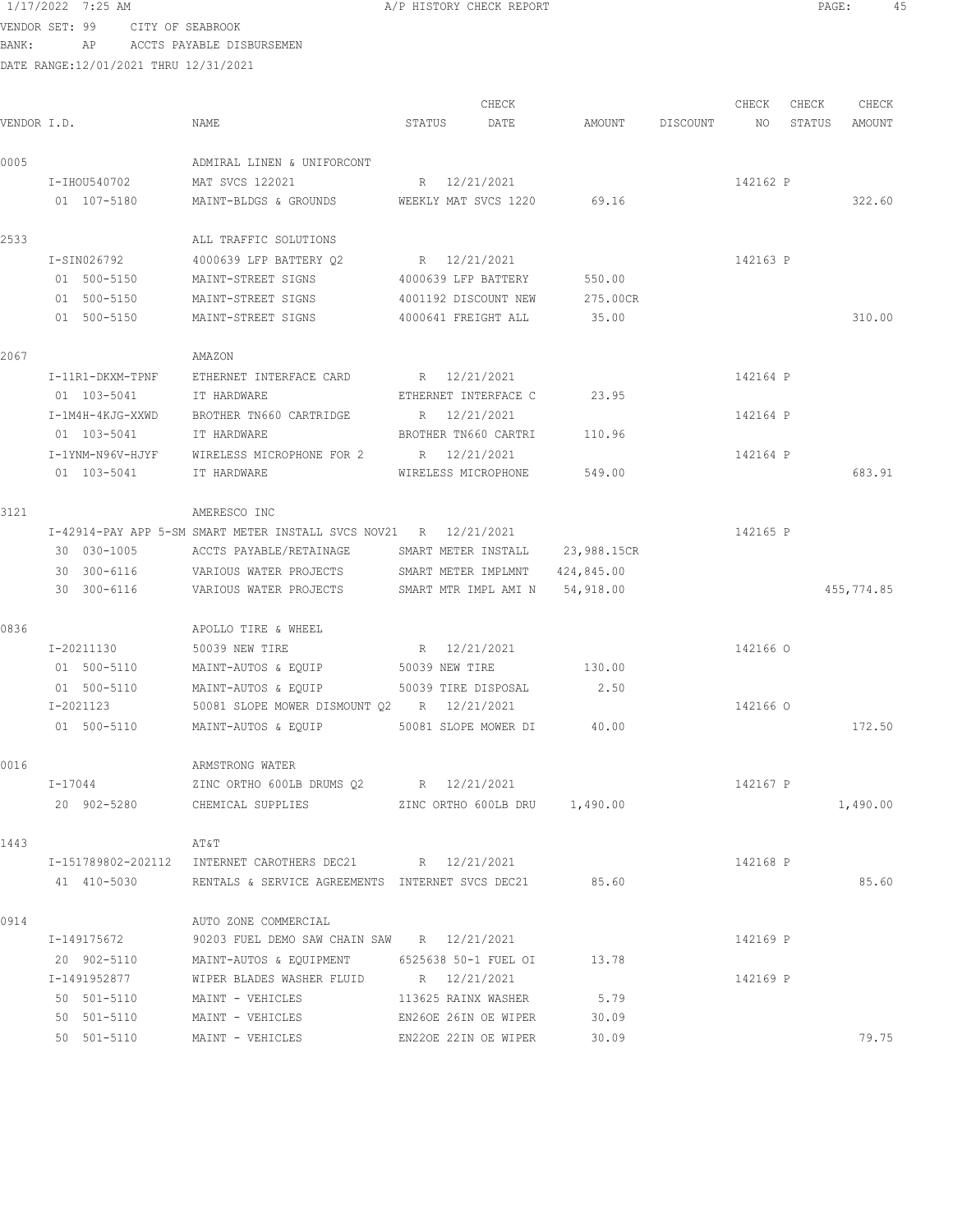VENDOR SET: 99 CITY OF SEABROOK BANK: AP ACCTS PAYABLE DISBURSEMEN

| VENDOR I.D. |                  | NAME                                                               | STATUS              | CHECK<br>DATE                  |             | AMOUNT DISCOUNT NO | CHECK    | CHECK<br>STATUS | CHECK<br>AMOUNT |
|-------------|------------------|--------------------------------------------------------------------|---------------------|--------------------------------|-------------|--------------------|----------|-----------------|-----------------|
| 0005        |                  | ADMIRAL LINEN & UNIFORCONT                                         |                     |                                |             |                    |          |                 |                 |
|             | I-IHOU540702     | MAT SVCS 122021                                                    | R 12/21/2021        |                                |             |                    | 142162 P |                 |                 |
|             | 01 107-5180      | MAINT-BLDGS & GROUNDS WEEKLY MAT SVCS 1220 69.16                   |                     |                                |             |                    |          |                 | 322.60          |
| 2533        |                  | ALL TRAFFIC SOLUTIONS                                              |                     |                                |             |                    |          |                 |                 |
|             | I-SIN026792      | 4000639 LFP BATTERY 02                                             | R 12/21/2021        |                                |             |                    | 142163 P |                 |                 |
|             | 01 500-5150      | MAINT-STREET SIGNS                                                 |                     | 4000639 LFP BATTERY            | 550.00      |                    |          |                 |                 |
|             | 01 500-5150      | MAINT-STREET SIGNS                                                 |                     | 4001192 DISCOUNT NEW           | 275.00CR    |                    |          |                 |                 |
|             | 01 500-5150      | MAINT-STREET SIGNS                                                 | 4000641 FREIGHT ALL |                                | 35.00       |                    |          |                 | 310.00          |
| 2067        |                  | AMAZON                                                             |                     |                                |             |                    |          |                 |                 |
|             | I-11R1-DKXM-TPNF | ETHERNET INTERFACE CARD                                            | R 12/21/2021        |                                |             |                    | 142164 P |                 |                 |
|             | 01 103-5041      | IT HARDWARE                                                        |                     | ETHERNET INTERFACE C           | 23.95       |                    |          |                 |                 |
|             | I-1M4H-4KJG-XXWD | BROTHER TN660 CARTRIDGE                                            | R 12/21/2021        |                                |             |                    | 142164 P |                 |                 |
|             | 01 103-5041      | IT HARDWARE                                                        |                     | BROTHER TN660 CARTRI           | 110.96      |                    |          |                 |                 |
|             | I-1YNM-N96V-HJYF | WIRELESS MICROPHONE FOR 2                                          | R 12/21/2021        |                                |             |                    | 142164 P |                 |                 |
|             | 01 103-5041      | IT HARDWARE                                                        | WIRELESS MICROPHONE |                                | 549.00      |                    |          |                 | 683.91          |
| 3121        |                  | AMERESCO INC                                                       |                     |                                |             |                    |          |                 |                 |
|             |                  | I-42914-PAY APP 5-SM SMART METER INSTALL SVCS NOV21 R 12/21/2021   |                     |                                |             |                    | 142165 P |                 |                 |
|             | 30 030-1005      | ACCTS PAYABLE/RETAINAGE                                            | SMART METER INSTALL |                                | 23,988.15CR |                    |          |                 |                 |
|             | 30 300-6116      | VARIOUS WATER PROJECTS                                             |                     | SMART METER IMPLMNT 424,845.00 |             |                    |          |                 |                 |
|             | 30 300-6116      | VARIOUS WATER PROJECTS                                             |                     | SMART MTR IMPL AMI N 54,918.00 |             |                    |          |                 | 455,774.85      |
| 0836        |                  | APOLLO TIRE & WHEEL                                                |                     |                                |             |                    |          |                 |                 |
|             | I-20211130       | 50039 NEW TIRE                                                     | R 12/21/2021        |                                |             |                    | 142166 0 |                 |                 |
|             | 01 500-5110      | MAINT-AUTOS & EQUIP                                                | 50039 NEW TIRE      |                                | 130.00      |                    |          |                 |                 |
|             | 01 500-5110      | MAINT-AUTOS & EQUIP                                                | 50039 TIRE DISPOSAL |                                | 2.50        |                    |          |                 |                 |
|             | I-2021123        | 50081 SLOPE MOWER DISMOUNT Q2 R 12/21/2021                         |                     |                                |             |                    | 142166 0 |                 |                 |
|             | 01 500-5110      | MAINT-AUTOS & EQUIP                                                |                     | 50081 SLOPE MOWER DI           | 40.00       |                    |          |                 | 172.50          |
| 0016        |                  | ARMSTRONG WATER                                                    |                     |                                |             |                    |          |                 |                 |
|             | I-17044          | ZINC ORTHO 600LB DRUMS Q2 R 12/21/2021                             |                     |                                |             |                    | 142167 P |                 |                 |
|             |                  | 20 902-5280 CHEMICAL SUPPLIES 2INC ORTHO 600LB DRU 1,490.00        |                     |                                |             |                    |          |                 | 1,490.00        |
| 1443        |                  | AT&T                                                               |                     |                                |             |                    |          |                 |                 |
|             |                  | I-151789802-202112 INTERNET CAROTHERS DEC21 R 12/21/2021           |                     |                                |             |                    | 142168 P |                 |                 |
|             |                  | 41 410-5030 RENTALS & SERVICE AGREEMENTS INTERNET SVCS DEC21 85.60 |                     |                                |             |                    |          |                 | 85.60           |
| 0914        |                  | AUTO ZONE COMMERCIAL                                               |                     |                                |             |                    |          |                 |                 |
|             | I-149175672      | 90203 FUEL DEMO SAW CHAIN SAW R 12/21/2021                         |                     |                                |             |                    | 142169 P |                 |                 |
|             | 20 902-5110      | MAINT-AUTOS & EQUIPMENT 6525638 50-1 FUEL OI                       |                     |                                | 13.78       |                    |          |                 |                 |
|             | I-1491952877     | WIPER BLADES WASHER FLUID R 12/21/2021                             |                     |                                |             |                    | 142169 P |                 |                 |
|             | 50 501-5110      | MAINT - VEHICLES 113625 RAINX WASHER 5.79                          |                     |                                |             |                    |          |                 |                 |
|             | 50 501-5110      | MAINT - VEHICLES                                                   |                     | EN26OE 26IN OE WIPER           | 30.09       |                    |          |                 |                 |
|             | 50 501-5110      | MAINT - VEHICLES                                                   |                     | EN22OE 22IN OE WIPER           | 30.09       |                    |          |                 | 79.75           |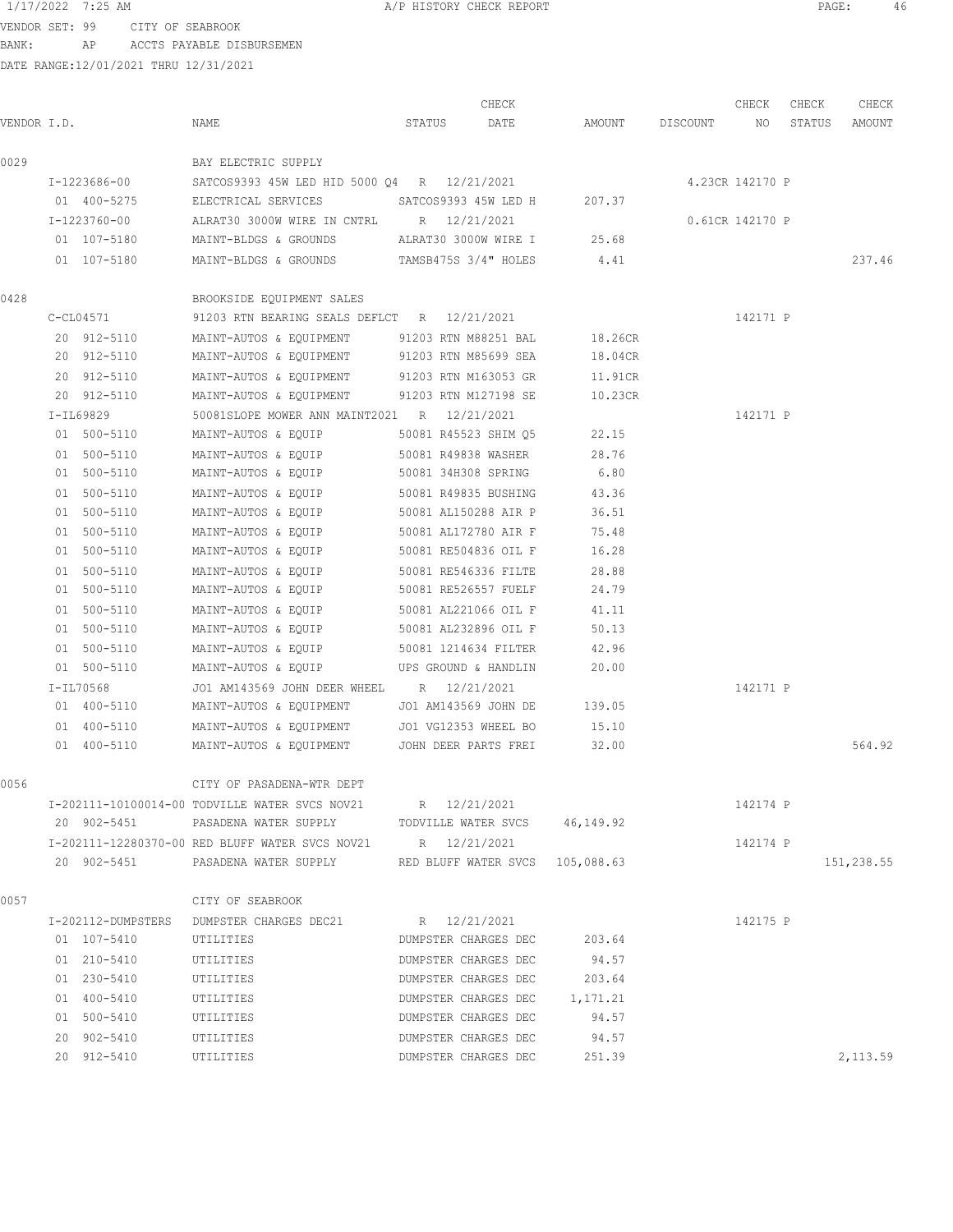VENDOR SET: 99 CITY OF SEABROOK BANK: AP ACCTS PAYABLE DISBURSEMEN

|             |              |                                                                   |              | CHECK                       |                    | CHECK           | CHECK  | CHECK      |
|-------------|--------------|-------------------------------------------------------------------|--------------|-----------------------------|--------------------|-----------------|--------|------------|
| VENDOR I.D. |              | NAME                                                              | STATUS       | DATE                        | AMOUNT DISCOUNT NO |                 | STATUS | AMOUNT     |
| 0029        |              | BAY ELECTRIC SUPPLY                                               |              |                             |                    |                 |        |            |
|             | I-1223686-00 | SATCOS9393 45W LED HID 5000 Q4 R 12/21/2021                       |              |                             |                    | 4.23CR 142170 P |        |            |
|             | 01 400-5275  | ELECTRICAL SERVICES SATCOS9393 45W LED H 207.37                   |              |                             |                    |                 |        |            |
|             | I-1223760-00 | ALRAT30 3000W WIRE IN CNTRL R 12/21/2021                          |              |                             |                    | 0.61CR 142170 P |        |            |
|             | 01 107-5180  | MAINT-BLDGS & GROUNDS ALRAT30 3000W WIRE I 25.68                  |              |                             |                    |                 |        |            |
|             | 01 107-5180  | MAINT-BLDGS & GROUNDS TAMSB475S 3/4" HOLES 4.41                   |              |                             |                    |                 |        | 237.46     |
| 0428        |              | BROOKSIDE EQUIPMENT SALES                                         |              |                             |                    |                 |        |            |
|             | $C-CL04571$  | 91203 RTN BEARING SEALS DEFLCT R 12/21/2021                       |              |                             |                    | 142171 P        |        |            |
|             | 20 912-5110  | MAINT-AUTOS & EQUIPMENT 91203 RTN M88251 BAL                      |              |                             | 18.26CR            |                 |        |            |
|             | 20 912-5110  | MAINT-AUTOS & EQUIPMENT 91203 RTN M85699 SEA                      |              |                             | 18.04CR            |                 |        |            |
|             | 20 912-5110  | MAINT-AUTOS & EQUIPMENT 91203 RTN M163053 GR                      |              |                             | 11.91CR            |                 |        |            |
|             | 20 912-5110  | MAINT-AUTOS & EQUIPMENT 91203 RTN M127198 SE                      |              |                             | 10.23CR            |                 |        |            |
|             | I-IL69829    | 50081SLOPE MOWER ANN MAINT2021 R 12/21/2021                       |              |                             |                    | 142171 P        |        |            |
|             | 01 500-5110  | MAINT-AUTOS & EQUIP                                               |              | 50081 R45523 SHIM Q5        | 22.15              |                 |        |            |
|             | 01 500-5110  | MAINT-AUTOS & EQUIP                                               |              | 50081 R49838 WASHER         | 28.76              |                 |        |            |
|             | 01 500-5110  | MAINT-AUTOS & EQUIP 50081 34H308 SPRING                           |              |                             | 6.80               |                 |        |            |
|             | 01 500-5110  | MAINT-AUTOS & EQUIP 50081 R49835 BUSHING                          |              |                             | 43.36              |                 |        |            |
|             | 01 500-5110  | MAINT-AUTOS & EQUIP 50081 AL150288 AIR P                          |              |                             | 36.51              |                 |        |            |
|             | 01 500-5110  | MAINT-AUTOS & EQUIP                                               |              | 50081 AL172780 AIR F        | 75.48              |                 |        |            |
|             | 01 500-5110  | MAINT-AUTOS & EQUIP                                               |              | 50081 RE504836 OIL F        | 16.28              |                 |        |            |
|             | 01 500-5110  | MAINT-AUTOS & EQUIP                                               |              | 50081 RE546336 FILTE        | 28.88              |                 |        |            |
|             | 01 500-5110  | MAINT-AUTOS & EQUIP                                               |              | 50081 RE526557 FUELF        | 24.79              |                 |        |            |
|             | 01 500-5110  | MAINT-AUTOS & EQUIP                                               |              | 50081 AL221066 OIL F        | 41.11              |                 |        |            |
|             | 01 500-5110  | MAINT-AUTOS & EQUIP                                               |              | 50081 AL232896 OIL F        | 50.13              |                 |        |            |
|             | 01 500-5110  | MAINT-AUTOS & EQUIP                                               |              | 50081 1214634 FILTER        | 42.96              |                 |        |            |
|             | 01 500-5110  | MAINT-AUTOS & EQUIP                                               |              | UPS GROUND & HANDLIN        | 20.00              |                 |        |            |
|             | I-IL70568    | JO1 AM143569 JOHN DEER WHEEL R 12/21/2021                         |              |                             |                    | 142171 P        |        |            |
|             | 01 400-5110  | MAINT-AUTOS & EQUIPMENT JO1 AM143569 JOHN DE                      |              |                             | 139.05             |                 |        |            |
|             | 01 400-5110  | MAINT-AUTOS & EQUIPMENT JO1 VG12353 WHEEL BO                      |              |                             | 15.10              |                 |        |            |
|             | 01 400-5110  | MAINT-AUTOS & EQUIPMENT JOHN DEER PARTS FREI                      |              |                             | 32.00              |                 |        | 564.92     |
|             |              |                                                                   |              |                             |                    |                 |        |            |
| 0056        |              | CITY OF PASADENA-WTR DEPT                                         |              |                             |                    |                 |        |            |
|             |              | I-202111-10100014-00 TODVILLE WATER SVCS NOV21 R 12/21/2021       |              |                             |                    | 142174 P        |        |            |
|             |              | 20 902-5451 PASADENA WATER SUPPLY TODVILLE WATER SVCS 46,149.92   |              |                             |                    |                 |        |            |
|             |              | I-202111-12280370-00 RED BLUFF WATER SVCS NOV21 R 12/21/2021      |              |                             |                    | 142174 P        |        |            |
|             |              | 20 902-5451 PASADENA WATER SUPPLY RED BLUFF WATER SVCS 105,088.63 |              |                             |                    |                 |        | 151,238.55 |
| 0057        |              | CITY OF SEABROOK                                                  |              |                             |                    |                 |        |            |
|             |              | I-202112-DUMPSTERS DUMPSTER CHARGES DEC21                         | R 12/21/2021 |                             |                    | 142175 P        |        |            |
|             | 01 107-5410  | UTILITIES                                                         |              | DUMPSTER CHARGES DEC 203.64 |                    |                 |        |            |
|             | 01 210-5410  | UTILITIES                                                         |              | DUMPSTER CHARGES DEC        | 94.57              |                 |        |            |
|             | 01 230-5410  | UTILITIES                                                         |              | DUMPSTER CHARGES DEC        | 203.64             |                 |        |            |
|             | 01 400-5410  | UTILITIES                                                         |              | DUMPSTER CHARGES DEC        | 1,171.21           |                 |        |            |
|             | 01 500-5410  | UTILITIES                                                         |              | DUMPSTER CHARGES DEC        | 94.57              |                 |        |            |
|             | 20 902-5410  | UTILITIES                                                         |              | DUMPSTER CHARGES DEC        | 94.57              |                 |        |            |
|             | 20 912-5410  | UTILITIES                                                         |              | DUMPSTER CHARGES DEC        | 251.39             |                 |        | 2,113.59   |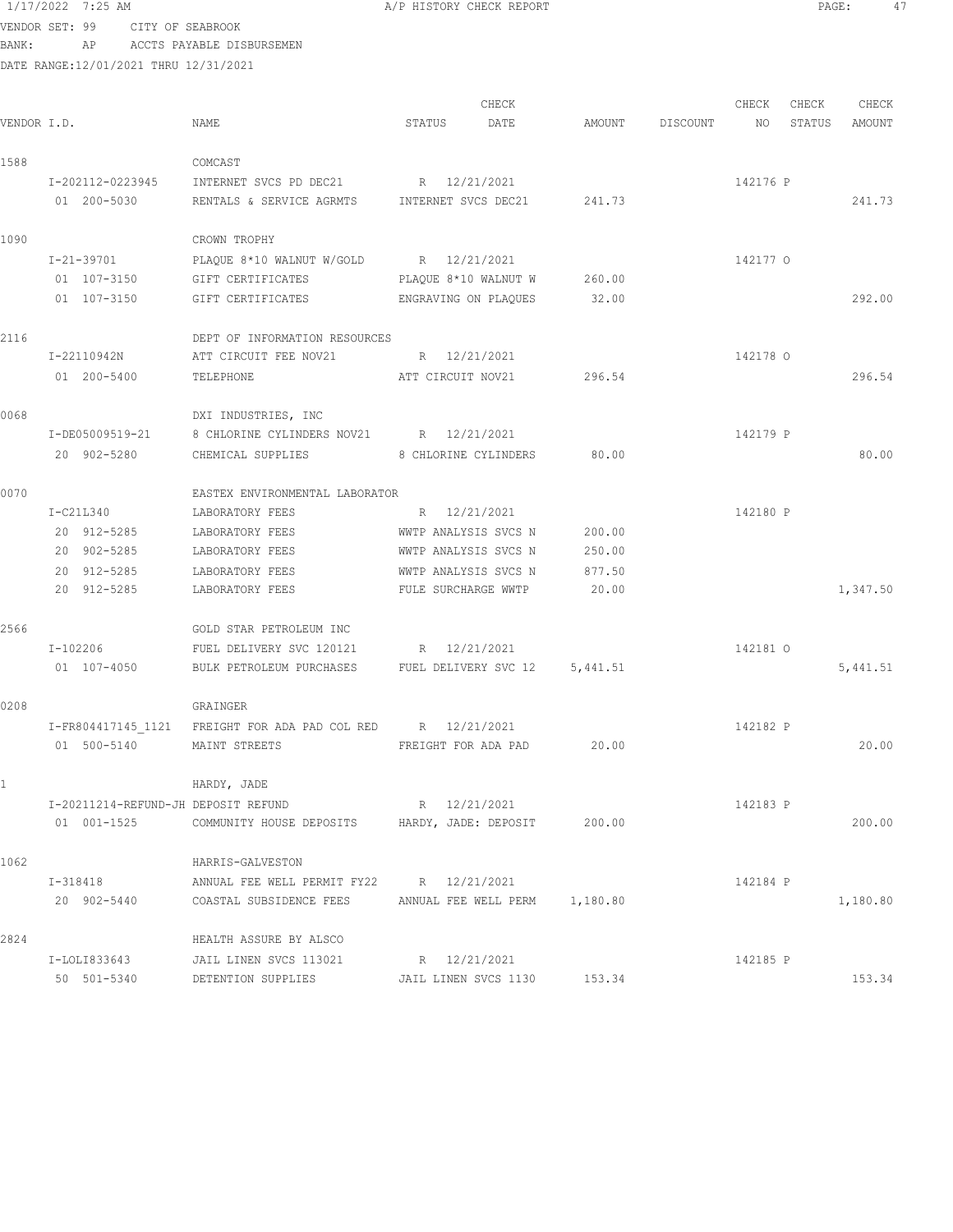1/17/2022 7:25 AM **A/P HISTORY CHECK REPORT** PAGE: 47 VENDOR SET: 99 CITY OF SEABROOK

BANK: AP ACCTS PAYABLE DISBURSEMEN

| VENDOR I.D.  |                                     | NAME                                                        | STATUS               | CHECK<br>DATE                 | AMOUNT | DISCOUNT | CHECK<br>NO | CHECK<br>STATUS | CHECK<br>AMOUNT |
|--------------|-------------------------------------|-------------------------------------------------------------|----------------------|-------------------------------|--------|----------|-------------|-----------------|-----------------|
|              |                                     |                                                             |                      |                               |        |          |             |                 |                 |
| 1588         |                                     | COMCAST                                                     |                      |                               |        |          |             |                 |                 |
|              | I-202112-0223945                    | INTERNET SVCS PD DEC21                                      | R 12/21/2021         |                               |        |          | 142176 P    |                 |                 |
|              | 01 200-5030                         | RENTALS & SERVICE AGRMTS                                    | INTERNET SVCS DEC21  |                               | 241.73 |          |             |                 | 241.73          |
| 1090         |                                     | CROWN TROPHY                                                |                      |                               |        |          |             |                 |                 |
|              | I-21-39701                          | PLAQUE 8*10 WALNUT W/GOLD R 12/21/2021                      |                      |                               |        |          | 142177 0    |                 |                 |
|              | 01 107-3150                         | GIFT CERTIFICATES                                           | PLAQUE 8*10 WALNUT W |                               | 260.00 |          |             |                 |                 |
|              | 01 107-3150                         | GIFT CERTIFICATES ENGRAVING ON PLAQUES                      |                      |                               | 32.00  |          |             |                 | 292.00          |
| 2116         |                                     | DEPT OF INFORMATION RESOURCES                               |                      |                               |        |          |             |                 |                 |
|              | I-22110942N                         | ATT CIRCUIT FEE NOV21                                       | R 12/21/2021         |                               |        |          | 142178 0    |                 |                 |
|              | 01 200-5400                         | TELEPHONE                                                   | ATT CIRCUIT NOV21    |                               | 296.54 |          |             |                 | 296.54          |
| 0068         |                                     | DXI INDUSTRIES, INC                                         |                      |                               |        |          |             |                 |                 |
|              | I-DE05009519-21                     | 8 CHLORINE CYLINDERS NOV21 R 12/21/2021                     |                      |                               |        |          | 142179 P    |                 |                 |
|              | 20 902-5280                         | CHEMICAL SUPPLIES                                           | 8 CHLORINE CYLINDERS |                               | 80.00  |          |             |                 | 80.00           |
| 0070         |                                     | EASTEX ENVIRONMENTAL LABORATOR                              |                      |                               |        |          |             |                 |                 |
|              | $I-C21L340$                         | LABORATORY FEES                                             | R 12/21/2021         |                               |        |          | 142180 P    |                 |                 |
|              | 20 912-5285                         | LABORATORY FEES                                             | WWTP ANALYSIS SVCS N |                               | 200.00 |          |             |                 |                 |
|              | 20 902-5285                         | LABORATORY FEES                                             | WWTP ANALYSIS SVCS N |                               | 250.00 |          |             |                 |                 |
|              | 20 912-5285                         | LABORATORY FEES                                             | WWTP ANALYSIS SVCS N |                               | 877.50 |          |             |                 |                 |
|              | 20 912-5285                         | LABORATORY FEES                                             | FULE SURCHARGE WWTP  |                               | 20.00  |          |             |                 | 1,347.50        |
| 2566         |                                     | GOLD STAR PETROLEUM INC                                     |                      |                               |        |          |             |                 |                 |
|              | I-102206                            | FUEL DELIVERY SVC 120121                                    | R 12/21/2021         |                               |        |          | 142181 0    |                 |                 |
|              | 01 107-4050                         | BULK PETROLEUM PURCHASES FUEL DELIVERY SVC 12 5,441.51      |                      |                               |        |          |             |                 | 5,441.51        |
| 0208         |                                     | GRAINGER                                                    |                      |                               |        |          |             |                 |                 |
|              |                                     | I-FR804417145 1121 FREIGHT FOR ADA PAD COL RED R 12/21/2021 |                      |                               |        |          | 142182 P    |                 |                 |
|              | 01 500-5140                         | MAINT STREETS                                               | FREIGHT FOR ADA PAD  |                               | 20.00  |          |             |                 | 20.00           |
| $\mathbf{1}$ |                                     | HARDY, JADE                                                 |                      |                               |        |          |             |                 |                 |
|              | I-20211214-REFUND-JH DEPOSIT REFUND |                                                             | R 12/21/2021         |                               |        |          | 142183 P    |                 |                 |
|              | 01 001-1525                         | COMMUNITY HOUSE DEPOSITS HARDY, JADE: DEPOSIT               |                      |                               | 200.00 |          |             |                 | 200.00          |
| 1062         |                                     | HARRIS-GALVESTON                                            |                      |                               |        |          |             |                 |                 |
|              | I-318418                            | ANNUAL FEE WELL PERMIT FY22                                 | R 12/21/2021         |                               |        |          | 142184 P    |                 |                 |
|              | 20 902-5440                         | COASTAL SUBSIDENCE FEES                                     |                      | ANNUAL FEE WELL PERM 1,180.80 |        |          |             |                 | 1,180.80        |
| 2824         |                                     | HEALTH ASSURE BY ALSCO                                      |                      |                               |        |          |             |                 |                 |
|              | I-LOLI833643                        | JAIL LINEN SVCS 113021                                      | R 12/21/2021         |                               |        |          | 142185 P    |                 |                 |
|              | 50 501-5340                         | DETENTION SUPPLIES                                          | JAIL LINEN SVCS 1130 |                               | 153.34 |          |             |                 | 153.34          |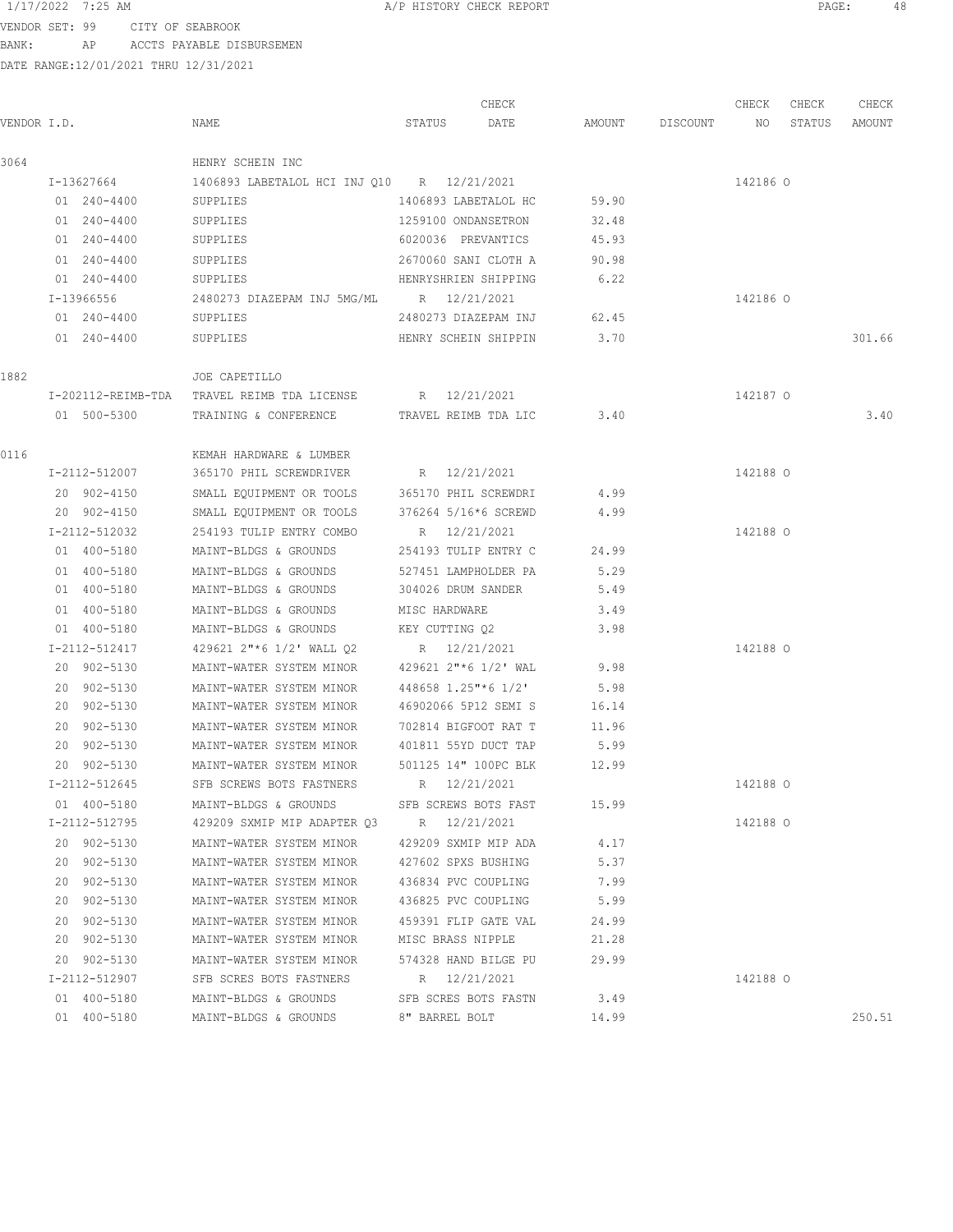VENDOR SET: 99 CITY OF SEABROOK BANK: AP ACCTS PAYABLE DISBURSEMEN

|             |               |                                                          |                      | CHECK                |       |                 | CHECK    | CHECK  | CHECK  |
|-------------|---------------|----------------------------------------------------------|----------------------|----------------------|-------|-----------------|----------|--------|--------|
| VENDOR I.D. |               | NAME                                                     | STATUS               | DATE                 |       | AMOUNT DISCOUNT | NO       | STATUS | AMOUNT |
| 3064        |               | HENRY SCHEIN INC                                         |                      |                      |       |                 |          |        |        |
|             | I-13627664    | 1406893 LABETALOL HCI INJ Q10 R 12/21/2021               |                      |                      |       |                 | 142186 0 |        |        |
|             | 01 240-4400   | SUPPLIES                                                 | 1406893 LABETALOL HC |                      | 59.90 |                 |          |        |        |
|             | 01 240-4400   | SUPPLIES                                                 | 1259100 ONDANSETRON  |                      | 32.48 |                 |          |        |        |
|             | 01 240-4400   | SUPPLIES                                                 | 6020036 PREVANTICS   |                      | 45.93 |                 |          |        |        |
|             | 01 240-4400   | SUPPLIES                                                 | 2670060 SANI CLOTH A |                      | 90.98 |                 |          |        |        |
|             | 01 240-4400   | SUPPLIES                                                 | HENRYSHRIEN SHIPPING |                      | 6.22  |                 |          |        |        |
|             | I-13966556    | 2480273 DIAZEPAM INJ 5MG/ML R 12/21/2021                 |                      |                      |       |                 | 142186 0 |        |        |
|             | 01 240-4400   | SUPPLIES                                                 | 2480273 DIAZEPAM INJ |                      | 62.45 |                 |          |        |        |
|             | 01 240-4400   | SUPPLIES                                                 |                      | HENRY SCHEIN SHIPPIN | 3.70  |                 |          |        | 301.66 |
|             |               |                                                          |                      |                      |       |                 |          |        |        |
| 1882        |               | JOE CAPETILLO                                            |                      |                      |       |                 |          |        |        |
|             |               | I-202112-REIMB-TDA TRAVEL REIMB TDA LICENSE R 12/21/2021 |                      |                      |       |                 | 142187 0 |        |        |
|             | 01 500-5300   | TRAINING & CONFERENCE TRAVEL REIMB TDA LIC               |                      |                      | 3.40  |                 |          |        | 3.40   |
| 0116        |               | KEMAH HARDWARE & LUMBER                                  |                      |                      |       |                 |          |        |        |
|             | I-2112-512007 | 365170 PHIL SCREWDRIVER                                  | R 12/21/2021         |                      |       |                 | 142188 0 |        |        |
|             | 20 902-4150   | SMALL EQUIPMENT OR TOOLS                                 | 365170 PHIL SCREWDRI |                      | 4.99  |                 |          |        |        |
|             | 20 902-4150   | SMALL EQUIPMENT OR TOOLS                                 | 376264 5/16*6 SCREWD |                      | 4.99  |                 |          |        |        |
|             | I-2112-512032 | 254193 TULIP ENTRY COMBO                                 | R 12/21/2021         |                      |       |                 | 142188 0 |        |        |
|             | 01 400-5180   | MAINT-BLDGS & GROUNDS                                    |                      | 254193 TULIP ENTRY C | 24.99 |                 |          |        |        |
|             | 01 400-5180   | MAINT-BLDGS & GROUNDS                                    | 527451 LAMPHOLDER PA |                      | 5.29  |                 |          |        |        |
|             | 01 400-5180   | MAINT-BLDGS & GROUNDS                                    | 304026 DRUM SANDER   |                      | 5.49  |                 |          |        |        |
|             | 01 400-5180   | MAINT-BLDGS & GROUNDS                                    | MISC HARDWARE        |                      | 3.49  |                 |          |        |        |
|             | 01 400-5180   | MAINT-BLDGS & GROUNDS KEY CUTTING Q2                     |                      |                      | 3.98  |                 |          |        |        |
|             |               |                                                          |                      |                      |       |                 |          |        |        |
|             | I-2112-512417 | 429621 2"*6 $1/2$ ' WALL Q2                              | R 12/21/2021         |                      | 9.98  |                 | 142188 O |        |        |
|             | 20 902-5130   | MAINT-WATER SYSTEM MINOR                                 | 429621 2"*6 1/2' WAL |                      |       |                 |          |        |        |
|             | 20 902-5130   | MAINT-WATER SYSTEM MINOR                                 | 448658 1.25"*6 1/2'  |                      | 5.98  |                 |          |        |        |
|             | 20 902-5130   | MAINT-WATER SYSTEM MINOR                                 | 46902066 5P12 SEMI S |                      | 16.14 |                 |          |        |        |
|             | 20 902-5130   | MAINT-WATER SYSTEM MINOR                                 | 702814 BIGFOOT RAT T |                      | 11.96 |                 |          |        |        |
|             | 20 902-5130   | MAINT-WATER SYSTEM MINOR                                 | 401811 55YD DUCT TAP |                      | 5.99  |                 |          |        |        |
|             | 20 902-5130   | MAINT-WATER SYSTEM MINOR                                 | 501125 14" 100PC BLK |                      | 12.99 |                 |          |        |        |
|             | I-2112-512645 | SFB SCREWS BOTS FASTNERS                                 | R 12/21/2021         |                      |       |                 | 142188 0 |        |        |
|             | 01 400-5180   | MAINT-BLDGS & GROUNDS                                    | SFB SCREWS BOTS FAST |                      | 15.99 |                 |          |        |        |
|             | I-2112-512795 | 429209 SXMIP MIP ADAPTER Q3                              | R 12/21/2021         |                      |       |                 | 142188 0 |        |        |
|             | 20 902-5130   | MAINT-WATER SYSTEM MINOR                                 | 429209 SXMIP MIP ADA |                      | 4.17  |                 |          |        |        |
|             | 20 902-5130   | MAINT-WATER SYSTEM MINOR                                 | 427602 SPXS BUSHING  |                      | 5.37  |                 |          |        |        |
|             | 20 902-5130   | MAINT-WATER SYSTEM MINOR                                 | 436834 PVC COUPLING  |                      | 7.99  |                 |          |        |        |
|             | 20 902-5130   | MAINT-WATER SYSTEM MINOR                                 | 436825 PVC COUPLING  |                      | 5.99  |                 |          |        |        |
|             | 20 902-5130   | MAINT-WATER SYSTEM MINOR                                 | 459391 FLIP GATE VAL |                      | 24.99 |                 |          |        |        |
|             | 20 902-5130   | MAINT-WATER SYSTEM MINOR                                 | MISC BRASS NIPPLE    |                      | 21.28 |                 |          |        |        |
|             | 20 902-5130   | MAINT-WATER SYSTEM MINOR                                 | 574328 HAND BILGE PU |                      | 29.99 |                 |          |        |        |
|             | I-2112-512907 | SFB SCRES BOTS FASTNERS                                  | R 12/21/2021         |                      |       |                 | 142188 0 |        |        |
|             | 01 400-5180   | MAINT-BLDGS & GROUNDS                                    | SFB SCRES BOTS FASTN |                      | 3.49  |                 |          |        |        |
|             | 01 400-5180   | MAINT-BLDGS & GROUNDS                                    | 8" BARREL BOLT       |                      | 14.99 |                 |          |        | 250.51 |
|             |               |                                                          |                      |                      |       |                 |          |        |        |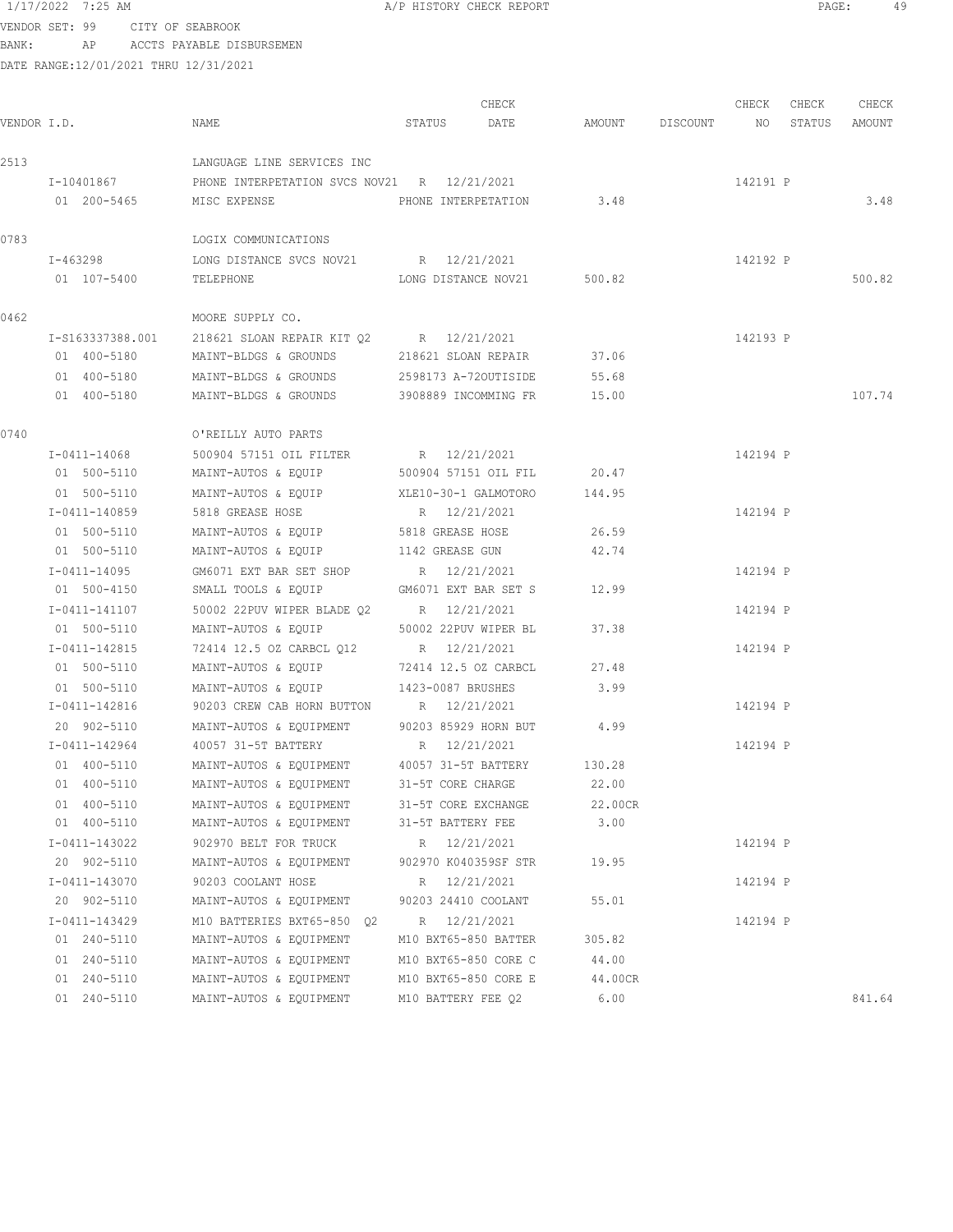1/17/2022 7:25 AM A/P HISTORY CHECK REPORT PAGE: 49

BANK: AP ACCTS PAYABLE DISBURSEMEN

|             |                  |                                |        |              | CHECK               |        |          | CHECK    | CHECK  | CHECK  |
|-------------|------------------|--------------------------------|--------|--------------|---------------------|--------|----------|----------|--------|--------|
| VENDOR I.D. |                  | NAME                           | STATUS |              | DATE                | AMOUNT | DISCOUNT | NO.      | STATUS | AMOUNT |
| 2513        |                  | LANGUAGE LINE SERVICES INC     |        |              |                     |        |          |          |        |        |
|             | I-10401867       | PHONE INTERPETATION SVCS NOV21 |        | R 12/21/2021 |                     |        |          | 142191 P |        |        |
|             | 01 200-5465      | MISC EXPENSE                   |        |              | PHONE INTERPETATION | 3.48   |          |          |        | 3.48   |
| 0783        |                  | LOGIX COMMUNICATIONS           |        |              |                     |        |          |          |        |        |
|             | I-463298         | LONG DISTANCE SVCS NOV21       |        | R 12/21/2021 |                     |        |          | 142192 P |        |        |
|             | 01 107-5400      | TELEPHONE                      |        |              | LONG DISTANCE NOV21 | 500.82 |          |          |        | 500.82 |
| 0462        |                  | MOORE SUPPLY CO.               |        |              |                     |        |          |          |        |        |
|             | I-S163337388.001 | 218621 SLOAN REPAIR KIT 02     | R      |              | 12/21/2021          |        |          | 142193 P |        |        |

|      | I-S163337388.001    | 218621 SLOAN REPAIR KIT 02 | 12/21/2021<br>R      |        | 142193 P |        |
|------|---------------------|----------------------------|----------------------|--------|----------|--------|
|      | 400-5180<br>01      | MAINT-BLDGS & GROUNDS      | 218621 SLOAN REPAIR  | 37.06  |          |        |
|      | 400-5180<br>01.     | MAINT-BLDGS & GROUNDS      | 2598173 A-720UTISIDE | 55.68  |          |        |
|      | 01 400-5180         | MAINT-BLDGS & GROUNDS      | 3908889 INCOMMING FR | 15.00  |          | 107.74 |
|      |                     |                            |                      |        |          |        |
| 0740 |                     | O'REILLY AUTO PARTS        |                      |        |          |        |
|      | $T - 0411 - 14068$  | 500904 57151 OIL FILTER    | R 12/21/2021         |        | 142194 P |        |
|      | 01 500-5110         | MAINT-AUTOS & EOUIP        | 500904 57151 OTL FTL | 20.47  |          |        |
|      | 01 500-5110         | MAINT-AUTOS & EQUIP        | XLE10-30-1 GALMOTORO | 144.95 |          |        |
|      | $T - 0411 - 140859$ | 5818 GREASE HOSE           | 12/21/2021<br>R      |        | 142194 P |        |
|      |                     |                            |                      |        |          |        |

| 01 500-5110     | MAINT-AUTOS & EOUIP 5818 GREASE HOSE                 | 26.59 |          |        |
|-----------------|------------------------------------------------------|-------|----------|--------|
| 01 500-5110     | MAINT-AUTOS & EQUIP 1142 GREASE GUN 42.74            |       |          |        |
| I-0411-14095    | GM6071 EXT BAR SET SHOP R 12/21/2021                 |       | 142194 P |        |
| 01 500-4150     | SMALL TOOLS & EQUIP GM6071 EXT BAR SET S 12.99       |       |          |        |
| I-0411-141107   | 50002 22PUV WIPER BLADE Q2 R 12/21/2021              |       | 142194 P |        |
| 01 500-5110     | MAINT-AUTOS & EQUIP 50002 22PUV WIPER BL 37.38       |       |          |        |
| I-0411-142815   | 72414 12.5 OZ CARBCL Q12 R 12/21/2021                |       | 142194 P |        |
| 01 500-5110     | MAINT-AUTOS & EQUIP 72414 12.5 OZ CARBCL             | 27.48 |          |        |
| 01 500-5110     | MAINT-AUTOS & EQUIP 1423-0087 BRUSHES 3.99           |       |          |        |
| I-0411-142816   | 90203 CREW CAB HORN BUTTON R 12/21/2021              |       | 142194 P |        |
| 20 902-5110     | MAINT-AUTOS & EQUIPMENT 90203 85929 HORN BUT 4.99    |       |          |        |
| I-0411-142964   | 40057 31-5T BATTERY R 12/21/2021                     |       | 142194 P |        |
| 01 400-5110     | MAINT-AUTOS & EQUIPMENT 40057 31-5T BATTERY 130.28   |       |          |        |
| 01 400-5110     | MAINT-AUTOS & EQUIPMENT 31-5T CORE CHARGE 22.00      |       |          |        |
| 01 400-5110     | MAINT-AUTOS & EQUIPMENT 31-5T CORE EXCHANGE 22.00CR  |       |          |        |
| 01 400-5110     | MAINT-AUTOS & EQUIPMENT 31-5T BATTERY FEE 3.00       |       |          |        |
| I-0411-143022   | 902970 BELT FOR TRUCK R 12/21/2021                   |       | 142194 P |        |
| 20 902-5110     | MAINT-AUTOS & EQUIPMENT 902970 K040359SF STR 19.95   |       |          |        |
| I-0411-143070   | 90203 COOLANT HOSE R 12/21/2021                      |       | 142194 P |        |
| 20 902-5110     | MAINT-AUTOS & EQUIPMENT 90203 24410 COOLANT          | 55.01 |          |        |
| $I-0411-143429$ | M10 BATTERIES BXT65-850 02 R 12/21/2021              |       | 142194 P |        |
| 01 240-5110     | MAINT-AUTOS & EQUIPMENT M10 BXT65-850 BATTER 305.82  |       |          |        |
| 01 240-5110     | MAINT-AUTOS & EOUIPMENT M10 BXT65-850 CORE C 44.00   |       |          |        |
| 01 240-5110     | MAINT-AUTOS & EQUIPMENT M10 BXT65-850 CORE E 44.00CR |       |          |        |
| 01 240-5110     | MAINT-AUTOS & EQUIPMENT M10 BATTERY FEE 02 6.00      |       |          | 841.64 |
|                 |                                                      |       |          |        |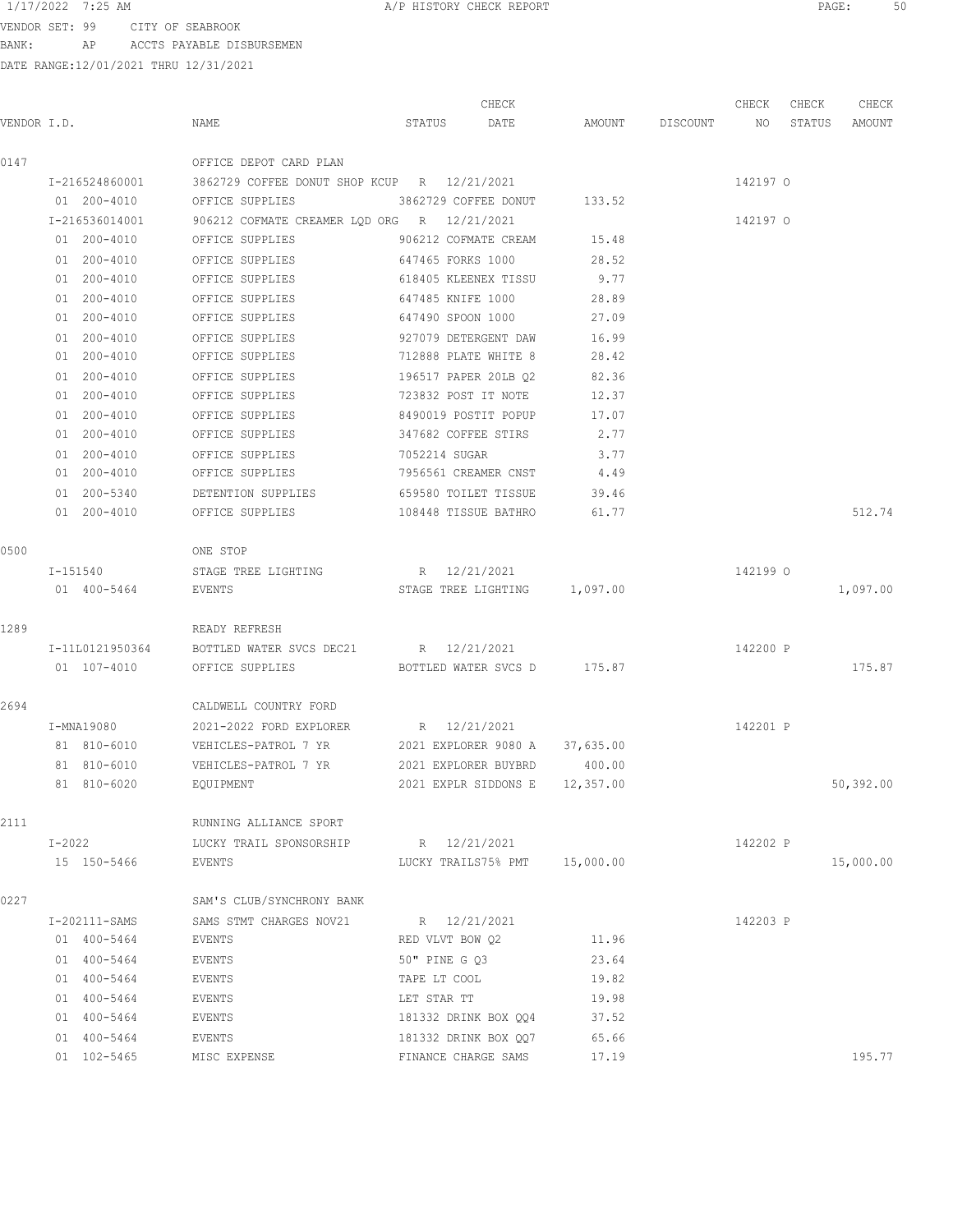VENDOR SET: 99 CITY OF SEABROOK BANK: AP ACCTS PAYABLE DISBURSEMEN

|             |                 |                                             | CHECK                          |        |                    | CHECK    | CHECK  | CHECK     |
|-------------|-----------------|---------------------------------------------|--------------------------------|--------|--------------------|----------|--------|-----------|
| VENDOR I.D. |                 | NAME                                        | STATUS<br>DATE                 |        | AMOUNT DISCOUNT NO |          | STATUS | AMOUNT    |
| 0147        |                 | OFFICE DEPOT CARD PLAN                      |                                |        |                    |          |        |           |
|             | I-216524860001  | 3862729 COFFEE DONUT SHOP KCUP R 12/21/2021 |                                |        |                    | 142197 0 |        |           |
|             | 01 200-4010     | OFFICE SUPPLIES 3862729 COFFEE DONUT 133.52 |                                |        |                    |          |        |           |
|             | I-216536014001  | 906212 COFMATE CREAMER LQD ORG R 12/21/2021 |                                |        |                    | 142197 0 |        |           |
|             | 01 200-4010     | OFFICE SUPPLIES                             | 906212 COFMATE CREAM           | 15.48  |                    |          |        |           |
|             | 01 200-4010     | OFFICE SUPPLIES                             | 647465 FORKS 1000              | 28.52  |                    |          |        |           |
|             | 01 200-4010     | OFFICE SUPPLIES                             | 618405 KLEENEX TISSU           | 9.77   |                    |          |        |           |
|             | 01 200-4010     | OFFICE SUPPLIES                             | 647485 KNIFE 1000              | 28.89  |                    |          |        |           |
|             | 01 200-4010     | OFFICE SUPPLIES                             | 647490 SPOON 1000              | 27.09  |                    |          |        |           |
|             | 01 200-4010     | OFFICE SUPPLIES                             | 927079 DETERGENT DAW           | 16.99  |                    |          |        |           |
|             | 01 200-4010     | OFFICE SUPPLIES                             | 712888 PLATE WHITE 8           | 28.42  |                    |          |        |           |
|             | 01 200-4010     | OFFICE SUPPLIES                             | 196517 PAPER 20LB Q2           | 82.36  |                    |          |        |           |
|             | 01 200-4010     | OFFICE SUPPLIES                             | 723832 POST IT NOTE            | 12.37  |                    |          |        |           |
|             | 01 200-4010     | OFFICE SUPPLIES                             | 8490019 POSTIT POPUP           | 17.07  |                    |          |        |           |
|             | 01 200-4010     | OFFICE SUPPLIES                             | 347682 COFFEE STIRS            | 2.77   |                    |          |        |           |
|             | 01 200-4010     | OFFICE SUPPLIES                             | 7052214 SUGAR                  | 3.77   |                    |          |        |           |
|             | 01 200-4010     | OFFICE SUPPLIES                             | 7956561 CREAMER CNST           | 4.49   |                    |          |        |           |
|             | 01 200-5340     | DETENTION SUPPLIES                          | 659580 TOILET TISSUE           | 39.46  |                    |          |        |           |
|             | 01 200-4010     | OFFICE SUPPLIES                             | 108448 TISSUE BATHRO           | 61.77  |                    |          |        | 512.74    |
| 0500        |                 | ONE STOP                                    |                                |        |                    |          |        |           |
|             | I-151540        | STAGE TREE LIGHTING                         | R 12/21/2021                   |        |                    | 142199 0 |        |           |
|             | 01 400-5464     | EVENTS                                      | STAGE TREE LIGHTING 1,097.00   |        |                    |          |        | 1,097.00  |
| 1289        |                 | READY REFRESH                               |                                |        |                    |          |        |           |
|             | I-11L0121950364 | BOTTLED WATER SVCS DEC21 R 12/21/2021       |                                |        |                    | 142200 P |        |           |
|             | 01 107-4010     | OFFICE SUPPLIES BOTTLED WATER SVCS D 175.87 |                                |        |                    |          |        | 175.87    |
| 2694        |                 | CALDWELL COUNTRY FORD                       |                                |        |                    |          |        |           |
|             | I-MNA19080      | 2021-2022 FORD EXPLORER                     | R 12/21/2021                   |        |                    | 142201 P |        |           |
|             | 81 810-6010     | VEHICLES-PATROL 7 YR                        | 2021 EXPLORER 9080 A 37,635.00 |        |                    |          |        |           |
|             | 81 810-6010     | VEHICLES-PATROL 7 YR                        | 2021 EXPLORER BUYBRD           | 400.00 |                    |          |        |           |
|             | 81 810-6020     | EQUIPMENT                                   | 2021 EXPLR SIDDONS E 12,357.00 |        |                    |          |        | 50,392.00 |
| 2111        |                 | RUNNING ALLIANCE SPORT                      |                                |        |                    |          |        |           |
|             | $I-2022$        | LUCKY TRAIL SPONSORSHIP B 12/21/2021        |                                |        |                    | 142202 P |        |           |
|             | 15 150-5466     | EVENTS                                      | LUCKY TRAILS75% PMT 15,000.00  |        |                    |          |        | 15,000.00 |
| 0227        |                 | SAM'S CLUB/SYNCHRONY BANK                   |                                |        |                    |          |        |           |
|             | I-202111-SAMS   | SAMS STMT CHARGES NOV21                     | R 12/21/2021                   |        |                    | 142203 P |        |           |
|             | 01 400-5464     | EVENTS                                      | RED VLVT BOW 02                | 11.96  |                    |          |        |           |
|             | 01 400-5464     | EVENTS                                      | 50" PINE G 03                  | 23.64  |                    |          |        |           |
|             | 01 400-5464     | EVENTS                                      | TAPE LT COOL                   | 19.82  |                    |          |        |           |
|             | 01 400-5464     | EVENTS                                      | LET STAR TT                    | 19.98  |                    |          |        |           |
|             | 01 400-5464     | EVENTS                                      | 181332 DRINK BOX QQ4           | 37.52  |                    |          |        |           |
|             | 01 400-5464     | EVENTS                                      | 181332 DRINK BOX QQ7           | 65.66  |                    |          |        |           |
|             | 01 102-5465     | MISC EXPENSE                                | FINANCE CHARGE SAMS            | 17.19  |                    |          |        | 195.77    |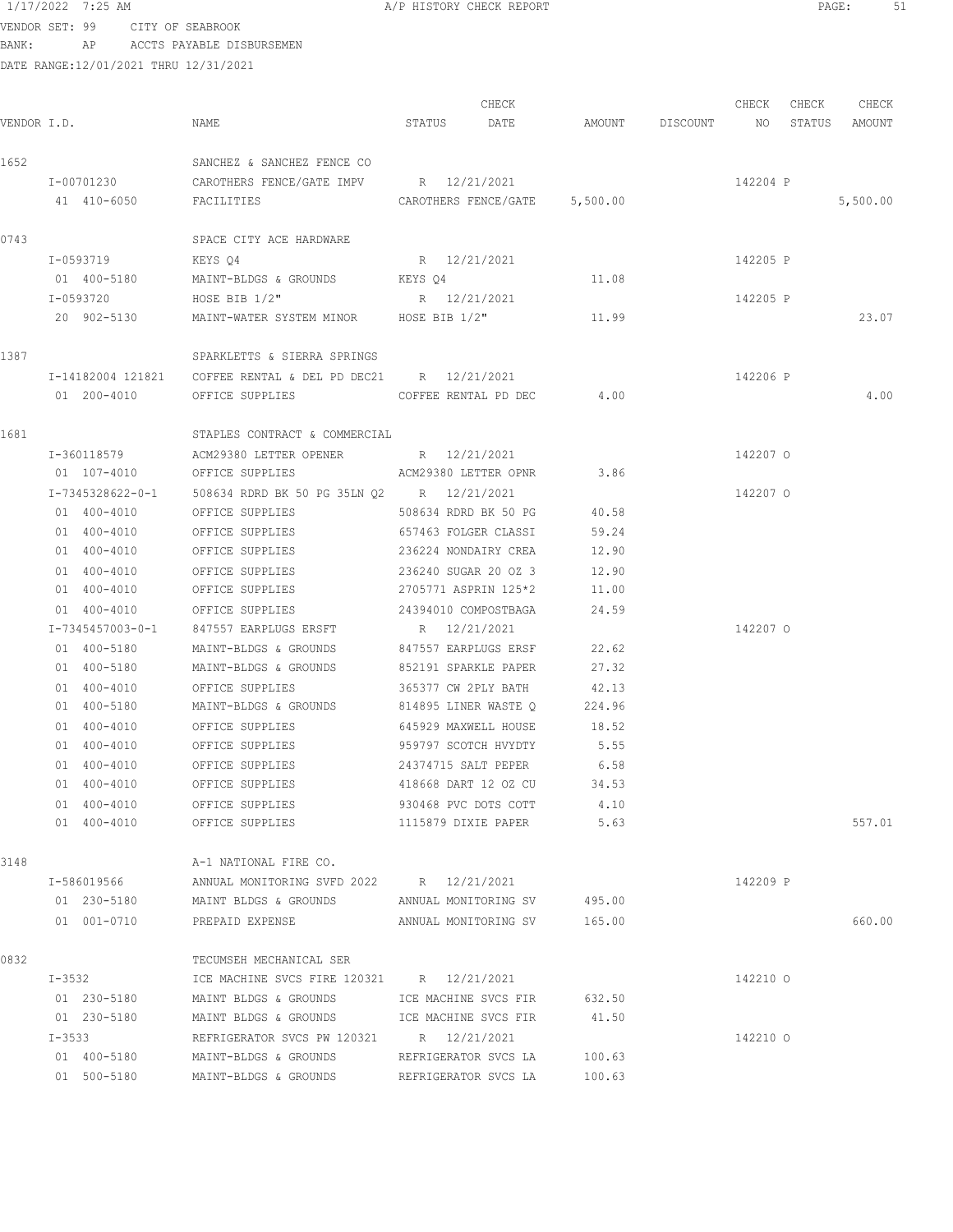VENDOR SET: 99 CITY OF SEABROOK BANK: AP ACCTS PAYABLE DISBURSEMEN

|             |                  |                                                             | CHECK                         |        |                    | CHECK    | CHECK | CHECK         |
|-------------|------------------|-------------------------------------------------------------|-------------------------------|--------|--------------------|----------|-------|---------------|
| VENDOR I.D. |                  | NAME                                                        | STATUS DATE                   |        | AMOUNT DISCOUNT NO |          |       | STATUS AMOUNT |
| 1652        |                  | SANCHEZ & SANCHEZ FENCE CO                                  |                               |        |                    |          |       |               |
|             | I-00701230       | CAROTHERS FENCE/GATE IMPV R 12/21/2021                      |                               |        |                    | 142204 P |       |               |
|             | 41 410-6050      | FACILITIES                                                  | CAROTHERS FENCE/GATE 5,500.00 |        |                    |          |       | 5,500.00      |
| 0743        |                  | SPACE CITY ACE HARDWARE                                     |                               |        |                    |          |       |               |
|             | I-0593719        | KEYS 04                                                     | R 12/21/2021                  |        |                    | 142205 P |       |               |
|             | 01 400-5180      | MAINT-BLDGS & GROUNDS KEYS Q4                               |                               | 11.08  |                    |          |       |               |
|             | I-0593720        | HOSE BIB 1/2"                                               | R 12/21/2021                  |        |                    | 142205 P |       |               |
|             | 20 902-5130      | MAINT-WATER SYSTEM MINOR HOSE BIB 1/2"                      |                               | 11.99  |                    |          |       | 23.07         |
| 1387        |                  | SPARKLETTS & SIERRA SPRINGS                                 |                               |        |                    |          |       |               |
|             |                  | I-14182004 121821 COFFEE RENTAL & DEL PD DEC21 R 12/21/2021 |                               |        |                    | 142206 P |       |               |
|             | 01 200-4010      | OFFICE SUPPLIES                                             | COFFEE RENTAL PD DEC          | 4.00   |                    |          |       | 4.00          |
| 1681        |                  | STAPLES CONTRACT & COMMERCIAL                               |                               |        |                    |          |       |               |
|             | I-360118579      | ACM29380 LETTER OPENER R 12/21/2021                         |                               |        |                    | 142207 0 |       |               |
|             | 01 107-4010      | OFFICE SUPPLIES                                             | ACM29380 LETTER OPNR          | 3.86   |                    |          |       |               |
|             | I-7345328622-0-1 | 508634 RDRD BK 50 PG 35LN Q2 R 12/21/2021                   |                               |        |                    | 142207 0 |       |               |
|             | 01 400-4010      | OFFICE SUPPLIES                                             | 508634 RDRD BK 50 PG          | 40.58  |                    |          |       |               |
|             | 01 400-4010      | OFFICE SUPPLIES                                             | 657463 FOLGER CLASSI          | 59.24  |                    |          |       |               |
|             | 01 400-4010      | OFFICE SUPPLIES                                             | 236224 NONDAIRY CREA          | 12.90  |                    |          |       |               |
|             | 01 400-4010      | OFFICE SUPPLIES                                             | 236240 SUGAR 20 OZ 3          | 12.90  |                    |          |       |               |
|             | 01 400-4010      | OFFICE SUPPLIES                                             | 2705771 ASPRIN 125*2          | 11.00  |                    |          |       |               |
|             | 01 400-4010      | OFFICE SUPPLIES                                             | 24394010 COMPOSTBAGA          | 24.59  |                    |          |       |               |
|             | I-7345457003-0-1 | 847557 EARPLUGS ERSFT                                       | R 12/21/2021                  |        |                    | 142207 0 |       |               |
|             | 01 400-5180      | MAINT-BLDGS & GROUNDS                                       | 847557 EARPLUGS ERSF          | 22.62  |                    |          |       |               |
|             | 01 400-5180      | MAINT-BLDGS & GROUNDS                                       | 852191 SPARKLE PAPER          | 27.32  |                    |          |       |               |
|             | 01 400-4010      | OFFICE SUPPLIES                                             | 365377 CW 2PLY BATH           | 42.13  |                    |          |       |               |
|             | 01 400-5180      | MAINT-BLDGS & GROUNDS 814895 LINER WASTE O                  |                               | 224.96 |                    |          |       |               |
|             | 01 400-4010      | OFFICE SUPPLIES                                             | 645929 MAXWELL HOUSE          | 18.52  |                    |          |       |               |
|             | 01 400-4010      | OFFICE SUPPLIES                                             | 959797 SCOTCH HVYDTY          | 5.55   |                    |          |       |               |
|             | 01 400-4010      | OFFICE SUPPLIES                                             | 24374715 SALT PEPER           | 6.58   |                    |          |       |               |
|             | 01 400-4010      | OFFICE SUPPLIES                                             | 418668 DART 12 OZ CU          | 34.53  |                    |          |       |               |
|             | 01 400-4010      | OFFICE SUPPLIES                                             | 930468 PVC DOTS COTT          | 4.10   |                    |          |       |               |
|             | 01 400-4010      | OFFICE SUPPLIES                                             | 1115879 DIXIE PAPER           | 5.63   |                    |          |       | 557.01        |
| 3148        |                  | A-1 NATIONAL FIRE CO.                                       |                               |        |                    |          |       |               |
|             | I-586019566      | ANNUAL MONITORING SVFD 2022 R 12/21/2021                    |                               |        |                    | 142209 P |       |               |
|             | 01 230-5180      | MAINT BLDGS & GROUNDS ANNUAL MONITORING SV 495.00           |                               |        |                    |          |       |               |
|             | 01 001-0710      | PREPAID EXPENSE ANNUAL MONITORING SV 165.00                 |                               |        |                    |          |       | 660.00        |
| 0832        |                  | TECUMSEH MECHANICAL SER                                     |                               |        |                    |          |       |               |
|             | $I-3532$         | ICE MACHINE SVCS FIRE 120321 R 12/21/2021                   |                               |        |                    | 142210 0 |       |               |
|             | 01 230-5180      | MAINT BLDGS & GROUNDS ICE MACHINE SVCS FIR 632.50           |                               |        |                    |          |       |               |
|             | 01 230-5180      | MAINT BLDGS & GROUNDS ICE MACHINE SVCS FIR 41.50            |                               |        |                    |          |       |               |
|             | $I - 3533$       | REFRIGERATOR SVCS PW 120321 R 12/21/2021                    |                               |        |                    | 142210 0 |       |               |
|             | 01 400-5180      | MAINT-BLDGS & GROUNDS REFRIGERATOR SVCS LA 100.63           |                               |        |                    |          |       |               |
|             | 01 500-5180      | MAINT-BLDGS & GROUNDS                                       | REFRIGERATOR SVCS LA          | 100.63 |                    |          |       |               |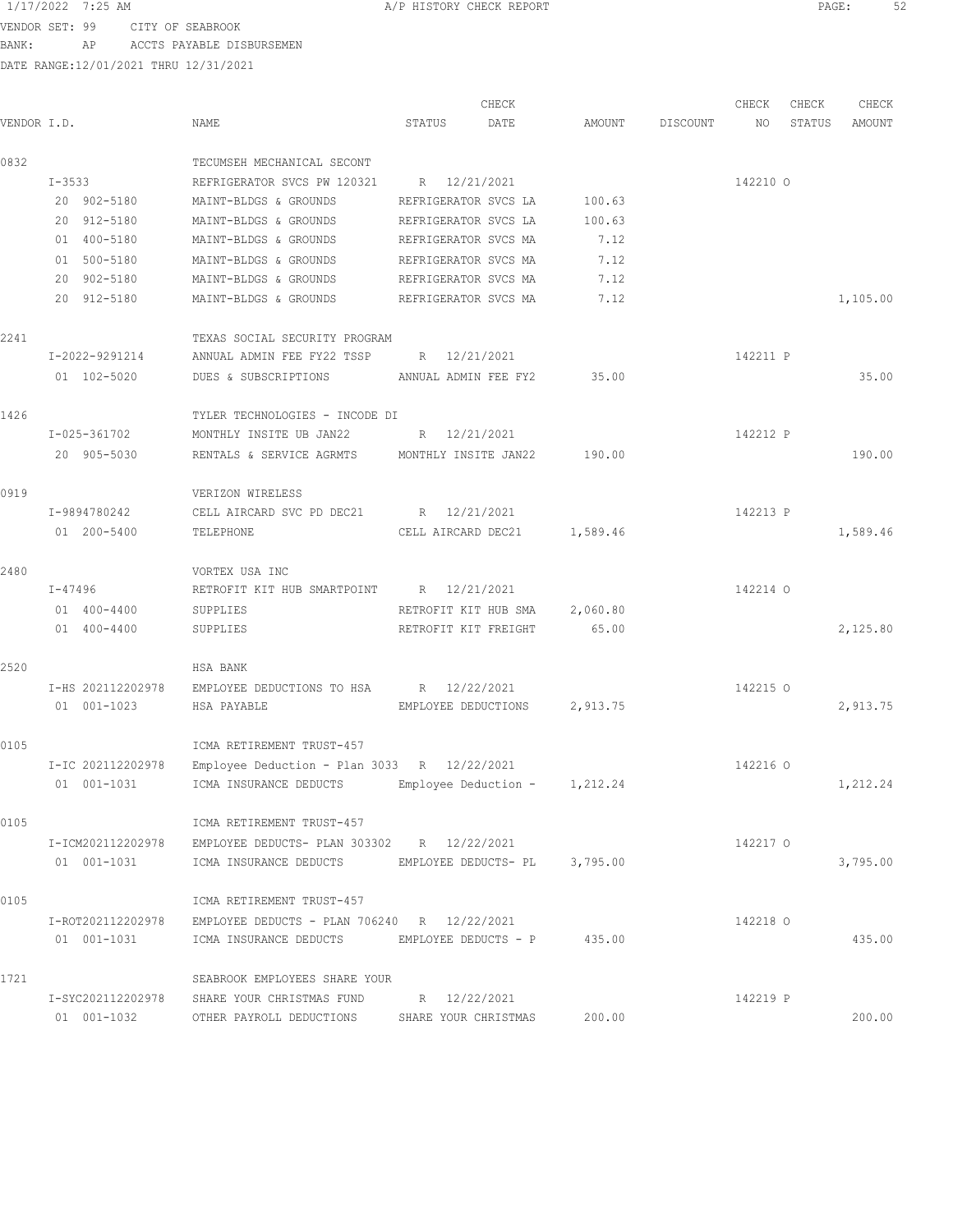VENDOR SET: 99 CITY OF SEABROOK BANK: AP ACCTS PAYABLE DISBURSEMEN

|             |                   |                                                               |                      | CHECK                        |          |          | CHECK    | CHECK  | CHECK    |
|-------------|-------------------|---------------------------------------------------------------|----------------------|------------------------------|----------|----------|----------|--------|----------|
| VENDOR I.D. |                   | NAME                                                          | STATUS               | DATE                         | AMOUNT   | DISCOUNT | NO       | STATUS | AMOUNT   |
| 0832        |                   | TECUMSEH MECHANICAL SECONT                                    |                      |                              |          |          |          |        |          |
|             | $I - 3533$        | REFRIGERATOR SVCS PW 120321                                   | R 12/21/2021         |                              |          |          | 142210 0 |        |          |
|             | 20 902-5180       | MAINT-BLDGS & GROUNDS                                         | REFRIGERATOR SVCS LA |                              | 100.63   |          |          |        |          |
|             | 20 912-5180       | MAINT-BLDGS & GROUNDS                                         | REFRIGERATOR SVCS LA |                              | 100.63   |          |          |        |          |
|             | 01 400-5180       | MAINT-BLDGS & GROUNDS                                         | REFRIGERATOR SVCS MA |                              | 7.12     |          |          |        |          |
|             | 01 500-5180       | MAINT-BLDGS & GROUNDS                                         | REFRIGERATOR SVCS MA |                              | 7.12     |          |          |        |          |
|             | 20 902-5180       | MAINT-BLDGS & GROUNDS                                         | REFRIGERATOR SVCS MA |                              | 7.12     |          |          |        |          |
|             | 20 912-5180       | MAINT-BLDGS & GROUNDS                                         | REFRIGERATOR SVCS MA |                              | 7.12     |          |          |        | 1,105.00 |
| 2241        |                   | TEXAS SOCIAL SECURITY PROGRAM                                 |                      |                              |          |          |          |        |          |
|             | I-2022-9291214    | ANNUAL ADMIN FEE FY22 TSSP                                    | R 12/21/2021         |                              |          |          | 142211 P |        |          |
|             | 01 102-5020       | DUES & SUBSCRIPTIONS ANNUAL ADMIN FEE FY2                     |                      |                              | 35.00    |          |          |        | 35.00    |
| 1426        |                   | TYLER TECHNOLOGIES - INCODE DI                                |                      |                              |          |          |          |        |          |
|             | I-025-361702      | MONTHLY INSITE UB JAN22 R 12/21/2021                          |                      |                              |          |          | 142212 P |        |          |
|             | 20 905-5030       | RENTALS & SERVICE AGRMTS MONTHLY INSITE JAN22 190.00          |                      |                              |          |          |          |        | 190.00   |
| 0919        |                   | VERIZON WIRELESS                                              |                      |                              |          |          |          |        |          |
|             | I-9894780242      | CELL AIRCARD SVC PD DEC21 R 12/21/2021                        |                      |                              |          |          | 142213 P |        |          |
|             | 01 200-5400       | TELEPHONE                                                     |                      | CELL AIRCARD DEC21 1,589.46  |          |          |          |        | 1,589.46 |
| 2480        |                   | VORTEX USA INC                                                |                      |                              |          |          |          |        |          |
|             | I-47496           | RETROFIT KIT HUB SMARTPOINT R 12/21/2021                      |                      |                              |          |          | 142214 0 |        |          |
|             | 01 400-4400       | SUPPLIES                                                      | RETROFIT KIT HUB SMA |                              | 2,060.80 |          |          |        |          |
|             | 01 400-4400       | SUPPLIES                                                      | RETROFIT KIT FREIGHT |                              | 65.00    |          |          |        | 2,125.80 |
| 2520        |                   | HSA BANK                                                      |                      |                              |          |          |          |        |          |
|             | I-HS 202112202978 | EMPLOYEE DEDUCTIONS TO HSA R 12/22/2021                       |                      |                              |          |          | 142215 0 |        |          |
|             | 01 001-1023       | HSA PAYABLE                                                   |                      | EMPLOYEE DEDUCTIONS 2,913.75 |          |          |          |        | 2,913.75 |
| 0105        |                   | ICMA RETIREMENT TRUST-457                                     |                      |                              |          |          |          |        |          |
|             | I-IC 202112202978 | Employee Deduction - Plan 3033 R $12/22/2021$                 |                      |                              |          |          | 142216 0 |        |          |
|             | 01 001-1031       | ICMA INSURANCE DEDUCTS Employee Deduction - 1,212.24          |                      |                              |          |          |          |        | 1,212.24 |
| 0105        |                   | ICMA RETIREMENT TRUST-457                                     |                      |                              |          |          |          |        |          |
|             |                   | I-ICM202112202978 EMPLOYEE DEDUCTS- PLAN 303302 R 12/22/2021  |                      |                              |          |          | 142217 0 |        |          |
|             | 01 001-1031       | ICMA INSURANCE DEDUCTS EMPLOYEE DEDUCTS- PL 3,795.00          |                      |                              |          |          |          |        | 3,795.00 |
| 0105        |                   | ICMA RETIREMENT TRUST-457                                     |                      |                              |          |          |          |        |          |
|             |                   | I-ROT202112202978 EMPLOYEE DEDUCTS - PLAN 706240 R 12/22/2021 |                      |                              |          |          | 142218 0 |        |          |
|             | 01 001-1031       | ICMA INSURANCE DEDUCTS EMPLOYEE DEDUCTS - P 435.00            |                      |                              |          |          |          |        | 435.00   |
| 1721        |                   | SEABROOK EMPLOYEES SHARE YOUR                                 |                      |                              |          |          |          |        |          |
|             |                   | I-SYC202112202978 SHARE YOUR CHRISTMAS FUND R 12/22/2021      |                      |                              |          |          | 142219 P |        |          |
|             | 01 001-1032       | OTHER PAYROLL DEDUCTIONS SHARE YOUR CHRISTMAS                 |                      |                              | 200.00   |          |          |        | 200.00   |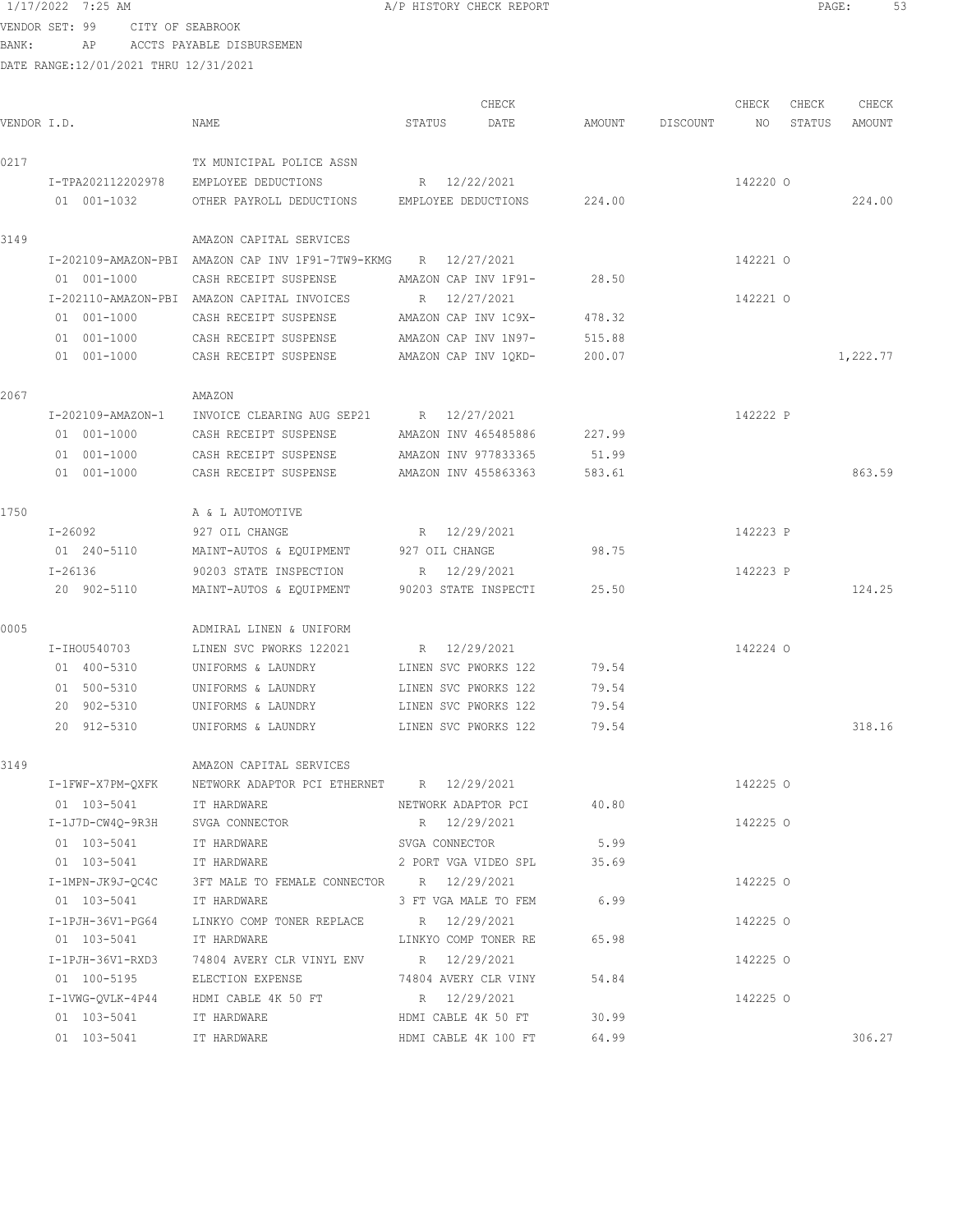VENDOR SET: 99 CITY OF SEABROOK BANK: AP ACCTS PAYABLE DISBURSEMEN

| VENDOR I.D. |                                                                          | NAME                                                                                                                                                                               | CHECK<br>STATUS<br>DATE                                                                                      | AMOUNT                           | DISCOUNT | CHECK<br>NO          | CHECK<br>STATUS | CHECK<br>AMOUNT |
|-------------|--------------------------------------------------------------------------|------------------------------------------------------------------------------------------------------------------------------------------------------------------------------------|--------------------------------------------------------------------------------------------------------------|----------------------------------|----------|----------------------|-----------------|-----------------|
| 0217        | I-TPA202112202978<br>01 001-1032                                         | TX MUNICIPAL POLICE ASSN<br>EMPLOYEE DEDUCTIONS<br>OTHER PAYROLL DEDUCTIONS EMPLOYEE DEDUCTIONS                                                                                    | R 12/22/2021                                                                                                 | 224.00                           |          | 142220 0             |                 | 224.00          |
| 3149        |                                                                          | AMAZON CAPITAL SERVICES                                                                                                                                                            |                                                                                                              |                                  |          |                      |                 |                 |
|             | 01 001-1000                                                              | I-202109-AMAZON-PBI AMAZON CAP INV 1F91-7TW9-KKMG R 12/27/2021<br>CASH RECEIPT SUSPENSE                                                                                            | AMAZON CAP INV 1F91-                                                                                         | 28.50                            |          | 142221 0             |                 |                 |
|             | 01 001-1000                                                              | I-202110-AMAZON-PBI AMAZON CAPITAL INVOICES<br>CASH RECEIPT SUSPENSE                                                                                                               | R 12/27/2021<br>AMAZON CAP INV 1C9X-                                                                         | 478.32                           |          | 142221 0             |                 |                 |
|             | 01 001-1000<br>01 001-1000                                               | CASH RECEIPT SUSPENSE<br>CASH RECEIPT SUSPENSE                                                                                                                                     | AMAZON CAP INV 1N97-<br>AMAZON CAP INV 1QKD-                                                                 | 515.88<br>200.07                 |          |                      |                 | 1,222.77        |
| 2067        |                                                                          | AMAZON                                                                                                                                                                             |                                                                                                              |                                  |          |                      |                 |                 |
|             | I-202109-AMAZON-1<br>01 001-1000<br>01 001-1000                          | INVOICE CLEARING AUG SEP21 R 12/27/2021<br>CASH RECEIPT SUSPENSE<br>CASH RECEIPT SUSPENSE                                                                                          | AMAZON INV 465485886<br>AMAZON INV 977833365                                                                 | 227.99<br>51.99                  |          | 142222 P             |                 |                 |
|             | 01 001-1000                                                              | CASH RECEIPT SUSPENSE                                                                                                                                                              | AMAZON INV 455863363                                                                                         | 583.61                           |          |                      |                 | 863.59          |
| 1750        | I-26092                                                                  | A & L AUTOMOTIVE<br>927 OIL CHANGE                                                                                                                                                 | R 12/29/2021                                                                                                 |                                  |          | 142223 P             |                 |                 |
|             | 01 240-5110<br>I-26136<br>20 902-5110                                    | MAINT-AUTOS & EQUIPMENT<br>90203 STATE INSPECTION<br>MAINT-AUTOS & EQUIPMENT                                                                                                       | 927 OIL CHANGE<br>R 12/29/2021<br>90203 STATE INSPECTI                                                       | 98.75<br>25.50                   |          | 142223 P             |                 | 124.25          |
| 0005        |                                                                          | ADMIRAL LINEN & UNIFORM                                                                                                                                                            |                                                                                                              |                                  |          |                      |                 |                 |
|             | I-IHOU540703<br>01 400-5310<br>01 500-5310<br>20 902-5310<br>20 912-5310 | LINEN SVC PWORKS 122021<br>UNIFORMS & LAUNDRY<br>UNIFORMS & LAUNDRY<br>UNIFORMS & LAUNDRY<br>UNIFORMS & LAUNDRY                                                                    | R 12/29/2021<br>LINEN SVC PWORKS 122<br>LINEN SVC PWORKS 122<br>LINEN SVC PWORKS 122<br>LINEN SVC PWORKS 122 | 79.54<br>79.54<br>79.54<br>79.54 |          | 142224 0             |                 | 318.16          |
|             |                                                                          |                                                                                                                                                                                    |                                                                                                              |                                  |          |                      |                 |                 |
| 3149        | 01 103-5041                                                              | AMAZON CAPITAL SERVICES<br>I-1FWF-X7PM-QXFK NETWORK ADAPTOR PCI ETHERNET R 12/29/2021<br>IT HARDWARE                                                                               | NETWORK ADAPTOR PCI 40.80                                                                                    |                                  |          | 142225 O             |                 |                 |
|             | 01  103-5041  IT HARDWARE                                                | I-1J7D-CW4Q-9R3H SVGA CONNECTOR<br>01 103-5041 IT HARDWARE 2 PORT VGA VIDEO SPL 35.69                                                                                              | R 12/29/2021<br>SVGA CONNECTOR                                                                               | 5.99                             |          | 142225 0             |                 |                 |
|             |                                                                          | I-1MPN-JK9J-QC4C 3FT MALE TO FEMALE CONNECTOR R 12/29/2021<br>01 103-5041 IT HARDWARE 3 FT VGA MALE TO FEM 6.99                                                                    |                                                                                                              |                                  |          | 142225 0             |                 |                 |
|             |                                                                          | I-1PJH-36V1-PG64 LINKYO COMP TONER REPLACE R 12/29/2021<br>01 103-5041 IT HARDWARE <b>IT LINKYO COMP</b> TONER RE 65.98<br>I-1PJH-36V1-RXD3 74804 AVERY CLR VINYL ENV R 12/29/2021 |                                                                                                              |                                  |          | 142225 0<br>142225 0 |                 |                 |
|             |                                                                          | 01  100-5195  ELECTION EXPENSE  74804 AVERY CLR VINY  54.84<br>I-1VWG-QVLK-4P44 HDMI CABLE 4K 50 FT R 12/29/2021                                                                   |                                                                                                              |                                  |          | 142225 0             |                 |                 |
|             | 01  103-5041  IT HARDWARE<br>01  103-5041  IT HARDWARE                   |                                                                                                                                                                                    | HDMI CABLE 4K 50 FT<br>HDMI CABLE 4K 100 FT 64.99                                                            | 30.99                            |          |                      |                 | 306.27          |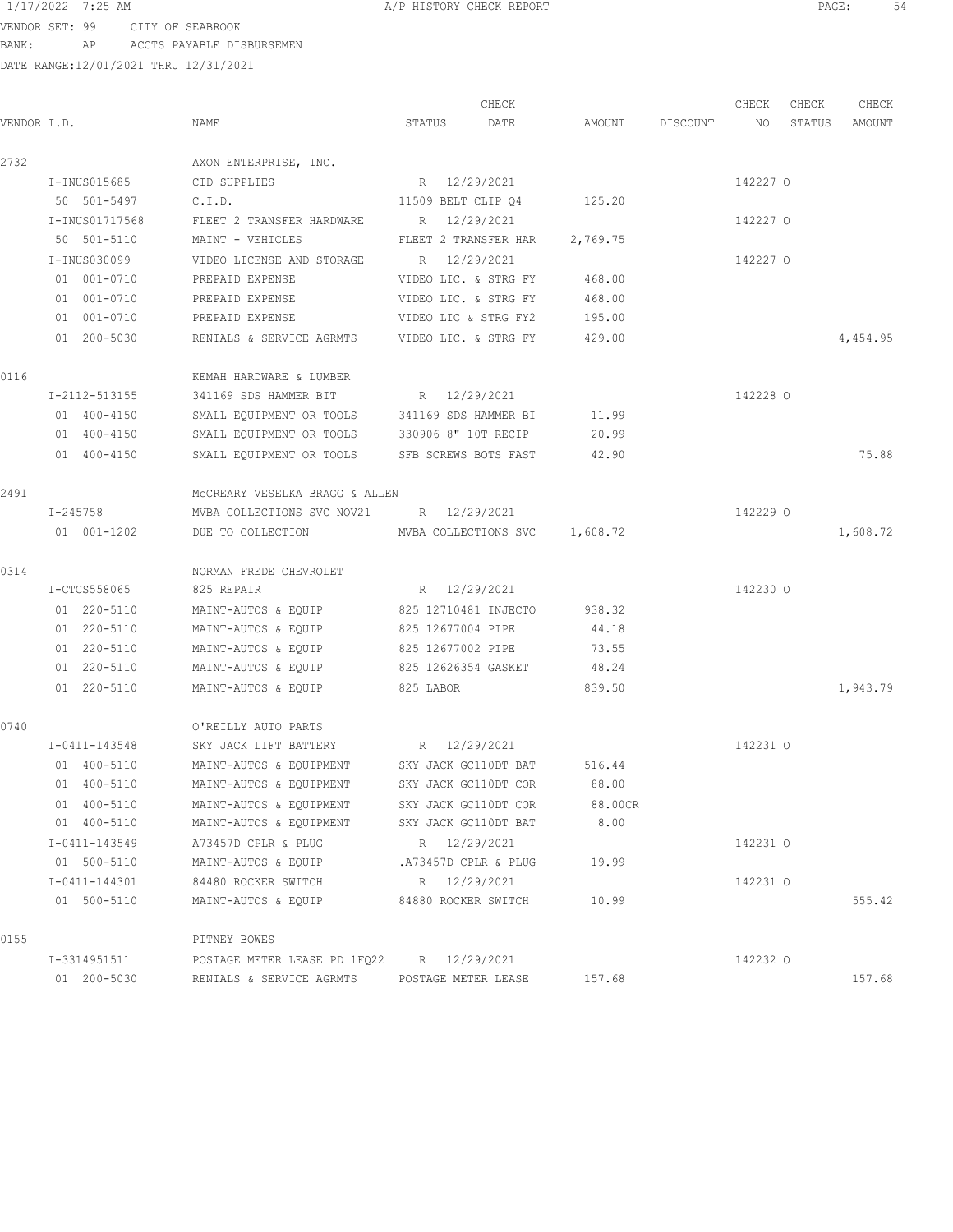VENDOR SET: 99 CITY OF SEABROOK BANK: AP ACCTS PAYABLE DISBURSEMEN

|             |                |                                                 |                      | CHECK |          |          | CHECK    | CHECK  | CHECK    |
|-------------|----------------|-------------------------------------------------|----------------------|-------|----------|----------|----------|--------|----------|
| VENDOR I.D. |                | NAME                                            | STATUS               | DATE  | AMOUNT   | DISCOUNT | NO       | STATUS | AMOUNT   |
| 2732        |                | AXON ENTERPRISE, INC.                           |                      |       |          |          |          |        |          |
|             | I-INUS015685   | CID SUPPLIES                                    | R 12/29/2021         |       |          |          | 142227 0 |        |          |
|             | 50 501-5497    | C.I.D.                                          | 11509 BELT CLIP Q4   |       | 125.20   |          |          |        |          |
|             | I-INUS01717568 | FLEET 2 TRANSFER HARDWARE                       | R 12/29/2021         |       |          |          | 142227 0 |        |          |
|             | 50 501-5110    | MAINT - VEHICLES                                | FLEET 2 TRANSFER HAR |       | 2,769.75 |          |          |        |          |
|             | I-INUS030099   | VIDEO LICENSE AND STORAGE                       | R 12/29/2021         |       |          |          | 142227 0 |        |          |
|             | 01 001-0710    | PREPAID EXPENSE                                 | VIDEO LIC. & STRG FY |       | 468.00   |          |          |        |          |
|             | 01 001-0710    | PREPAID EXPENSE                                 | VIDEO LIC. & STRG FY |       | 468.00   |          |          |        |          |
|             | 01 001-0710    | PREPAID EXPENSE                                 | VIDEO LIC & STRG FY2 |       | 195.00   |          |          |        |          |
|             | 01 200-5030    | RENTALS & SERVICE AGRMTS VIDEO LIC. & STRG FY   |                      |       | 429.00   |          |          |        | 4,454.95 |
| 0116        |                | KEMAH HARDWARE & LUMBER                         |                      |       |          |          |          |        |          |
|             | I-2112-513155  | 341169 SDS HAMMER BIT                           | R 12/29/2021         |       |          |          | 142228 0 |        |          |
|             | 01 400-4150    | SMALL EQUIPMENT OR TOOLS                        | 341169 SDS HAMMER BI |       | 11.99    |          |          |        |          |
|             | 01 400-4150    | SMALL EQUIPMENT OR TOOLS                        | 330906 8" 10T RECIP  |       | 20.99    |          |          |        |          |
|             | 01 400-4150    | SMALL EQUIPMENT OR TOOLS                        | SFB SCREWS BOTS FAST |       | 42.90    |          |          |        | 75.88    |
| 2491        |                | MCCREARY VESELKA BRAGG & ALLEN                  |                      |       |          |          |          |        |          |
|             | I-245758       | MVBA COLLECTIONS SVC NOV21 R 12/29/2021         |                      |       |          |          | 142229 0 |        |          |
|             | 01 001-1202    | DUE TO COLLECTION MVBA COLLECTIONS SVC 1,608.72 |                      |       |          |          |          |        | 1,608.72 |
| 0314        |                | NORMAN FREDE CHEVROLET                          |                      |       |          |          |          |        |          |
|             | I-CTCS558065   | 825 REPAIR                                      | R 12/29/2021         |       |          |          | 142230 0 |        |          |
|             | 01 220-5110    | MAINT-AUTOS & EQUIP                             | 825 12710481 INJECTO |       | 938.32   |          |          |        |          |
|             | 01 220-5110    | MAINT-AUTOS & EQUIP                             | 825 12677004 PIPE    |       | 44.18    |          |          |        |          |
|             | 01 220-5110    | MAINT-AUTOS & EQUIP                             | 825 12677002 PIPE    |       | 73.55    |          |          |        |          |
|             | 01 220-5110    | MAINT-AUTOS & EQUIP                             | 825 12626354 GASKET  |       | 48.24    |          |          |        |          |
|             | 01 220-5110    | MAINT-AUTOS & EQUIP                             | 825 LABOR            |       | 839.50   |          |          |        | 1,943.79 |
| 0740        |                | O'REILLY AUTO PARTS                             |                      |       |          |          |          |        |          |
|             | I-0411-143548  | SKY JACK LIFT BATTERY R 12/29/2021              |                      |       |          |          | 142231 0 |        |          |
|             | 01 400-5110    | MAINT-AUTOS & EQUIPMENT SKY JACK GC110DT BAT    |                      |       | 516.44   |          |          |        |          |
|             | 01 400-5110    | MAINT-AUTOS & EQUIPMENT                         | SKY JACK GC110DT COR |       | 88.00    |          |          |        |          |
|             | 01 400-5110    | MAINT-AUTOS & EQUIPMENT                         | SKY JACK GC110DT COR |       | 88.00CR  |          |          |        |          |
|             | 01 400-5110    | MAINT-AUTOS & EQUIPMENT                         | SKY JACK GC110DT BAT |       | 8.00     |          |          |        |          |
|             | I-0411-143549  | A73457D CPLR & PLUG                             | R 12/29/2021         |       |          |          | 142231 0 |        |          |
|             | 01 500-5110    | MAINT-AUTOS & EQUIP                             | .A73457D CPLR & PLUG |       | 19.99    |          |          |        |          |
|             | I-0411-144301  | 84480 ROCKER SWITCH                             | R 12/29/2021         |       |          |          | 142231 0 |        |          |
|             | 01 500-5110    | MAINT-AUTOS & EQUIP                             | 84880 ROCKER SWITCH  |       | 10.99    |          |          |        | 555.42   |
| 0155        |                | PITNEY BOWES                                    |                      |       |          |          |          |        |          |
|             | I-3314951511   | POSTAGE METER LEASE PD 1FQ22                    | R 12/29/2021         |       |          |          | 142232 0 |        |          |
|             | 01 200-5030    | RENTALS & SERVICE AGRMTS                        | POSTAGE METER LEASE  |       | 157.68   |          |          |        | 157.68   |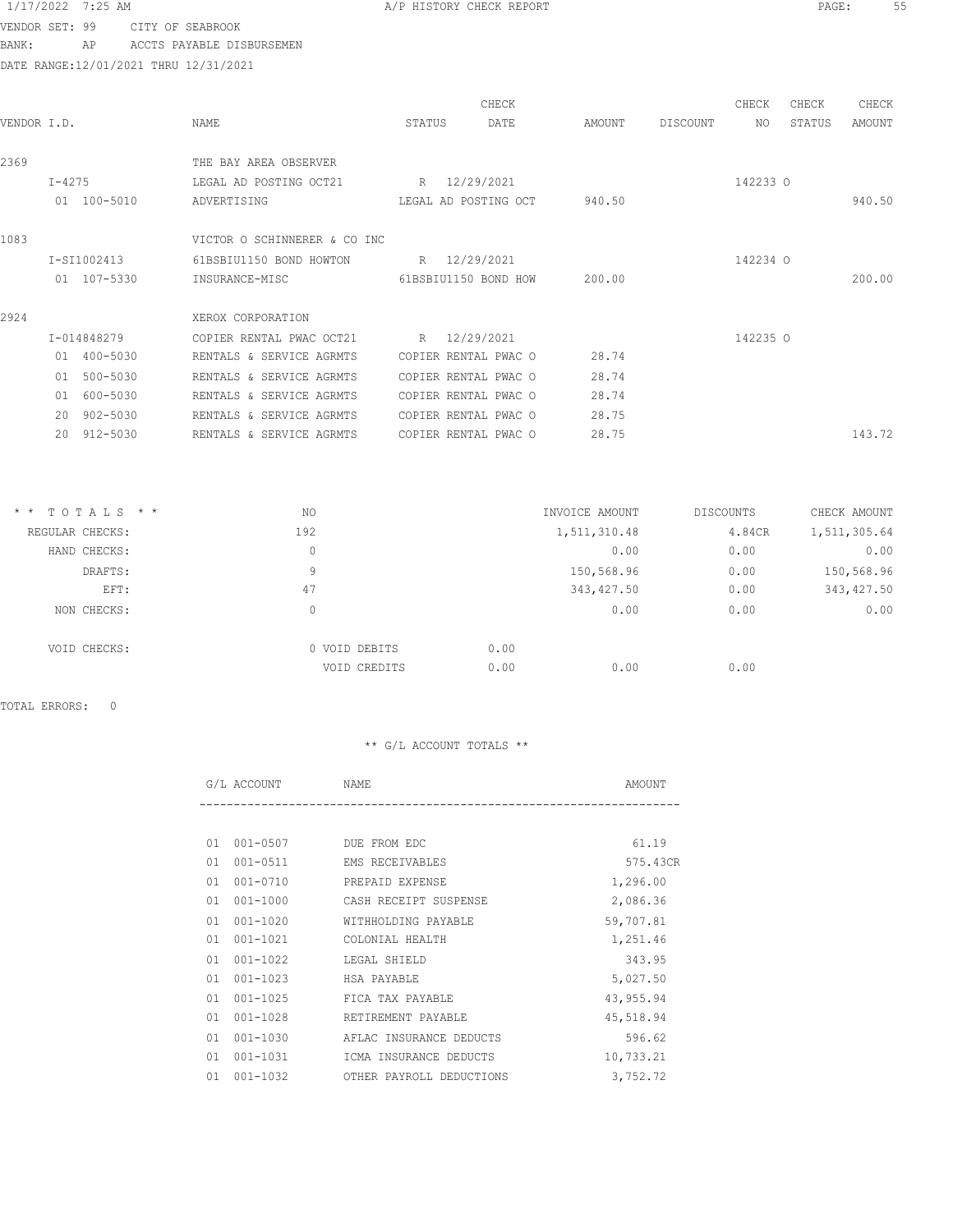VENDOR SET: 99 CITY OF SEABROOK BANK: AP ACCTS PAYABLE DISBURSEMEN

DATE RANGE:12/01/2021 THRU 12/31/2021

| VENDOR I.D.  |              | NAME                                  | STATUS       | CHECK<br>DATE        | AMOUNT | DISCOUNT | CHECK<br>NO | CHECK<br>STATUS | CHECK<br>AMOUNT |
|--------------|--------------|---------------------------------------|--------------|----------------------|--------|----------|-------------|-----------------|-----------------|
| 2369         |              | THE BAY AREA OBSERVER                 |              |                      |        |          |             |                 |                 |
| $I - 4275$   | 01 100-5010  | LEGAL AD POSTING OCT21<br>ADVERTISING | R 12/29/2021 | LEGAL AD POSTING OCT | 940.50 |          | 142233 0    |                 | 940.50          |
| 1083         |              | VICTOR O SCHINNERER & CO INC          |              |                      |        |          |             |                 |                 |
|              | I-SI1002413  | 61BSBIU1150 BOND HOWTON               | R 12/29/2021 |                      |        |          | 142234 0    |                 |                 |
|              | 01 107-5330  | INSURANCE-MISC 61BSBIU1150 BOND HOW   |              |                      | 200.00 |          |             |                 | 200.00          |
| 2924         |              | XEROX CORPORATION                     |              |                      |        |          |             |                 |                 |
|              | I-014848279  | COPIER RENTAL PWAC OCT21              | R 12/29/2021 |                      |        |          | 142235 0    |                 |                 |
|              | 01 400-5030  | RENTALS & SERVICE AGRMTS              |              | COPIER RENTAL PWAC O | 28.74  |          |             |                 |                 |
| 01           | 500-5030     | RENTALS & SERVICE AGRMTS              |              | COPIER RENTAL PWAC O | 28.74  |          |             |                 |                 |
| 01           | 600-5030     | RENTALS & SERVICE AGRMTS              |              | COPIER RENTAL PWAC O | 28.74  |          |             |                 |                 |
| $20^{\circ}$ | $902 - 5030$ | RENTALS & SERVICE AGRMTS              |              | COPIER RENTAL PWAC O | 28.75  |          |             |                 |                 |
| 2.0          | 912-5030     | RENTALS & SERVICE AGRMTS              |              | COPIER RENTAL PWAC O | 28.75  |          |             |                 | 143.72          |

| $*$ * TOTALS * * | NO            | INVOICE AMOUNT | DISCOUNTS | CHECK AMOUNT |
|------------------|---------------|----------------|-----------|--------------|
| REGULAR CHECKS:  | 192           | 1,511,310.48   | 4.84CR    | 1,511,305.64 |
| HAND CHECKS:     | 0             | 0.00           | 0.00      | 0.00         |
| DRAFTS:          | 9             | 150,568.96     | 0.00      | 150,568.96   |
| EFT:             | 47            | 343,427.50     | 0.00      | 343, 427.50  |
| NON CHECKS:      | 0             | 0.00           | 0.00      | 0.00         |
| VOID CHECKS:     | 0 VOID DEBITS | 0.00           |           |              |
|                  | VOID CREDITS  | 0.00<br>0.00   | 0.00      |              |

TOTAL ERRORS: 0

| G/L ACCOUNT | NAME | AMOUNT |
|-------------|------|--------|
| $- - -$     |      |        |

| 01  | 001-0507       | DUE FROM EDC             | 61.19     |
|-----|----------------|--------------------------|-----------|
|     | 01 001-0511    | EMS RECEIVABLES          | 575.43CR  |
| 01  | $001 - 0710$   | PREPAID EXPENSE          | 1,296.00  |
| 01  | 001-1000       | CASH RECEIPT SUSPENSE    | 2,086.36  |
|     | $01001 - 1020$ | WITHHOLDING PAYABLE      | 59,707.81 |
| 01. | 001-1021       | COLONIAL HEALTH          | 1,251.46  |
|     | 01 001-1022    | LEGAL SHIELD             | 343.95    |
|     | 01 001-1023    | HSA PAYABLE              | 5,027.50  |
|     | $01001 - 1025$ | FICA TAX PAYABLE         | 43,955.94 |
|     | $01001 - 1028$ | RETIREMENT PAYABLE       | 45,518.94 |
| 01  | 001-1030       | AFLAC INSURANCE DEDUCTS  | 596.62    |
| 01  | 001-1031       | ICMA INSURANCE DEDUCTS   | 10,733.21 |
|     | 01 001-1032    | OTHER PAYROLL DEDUCTIONS | 3,752.72  |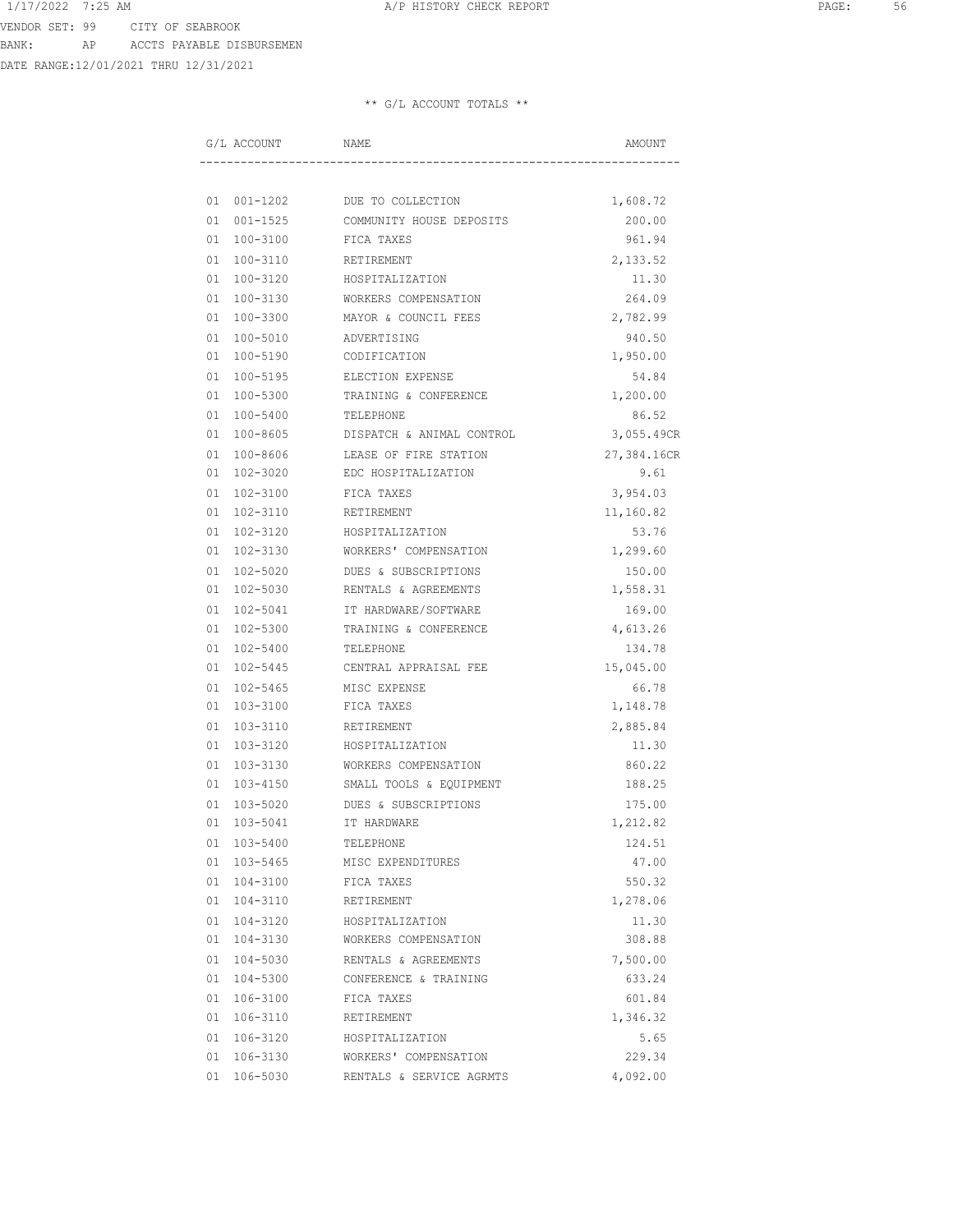DATE RANGE:12/01/2021 THRU 12/31/2021

| G/L ACCOUNT    | NAME                      | AMOUNT      |
|----------------|---------------------------|-------------|
|                |                           |             |
| 01 001-1202    | DUE TO COLLECTION         | 1,608.72    |
| $01001 - 1525$ | COMMUNITY HOUSE DEPOSITS  | 200.00      |
| 01 100-3100    | FICA TAXES                | 961.94      |
| 01 100-3110    | RETIREMENT                | 2,133.52    |
| 01 100-3120    | HOSPITALIZATION           | 11.30       |
| 01 100-3130    | WORKERS COMPENSATION      | 264.09      |
| 01 100-3300    | MAYOR & COUNCIL FEES      | 2,782.99    |
| 01 100-5010    | ADVERTISING               | 940.50      |
| 01 100-5190    | CODIFICATION              | 1,950.00    |
| 01 100-5195    | ELECTION EXPENSE          | 54.84       |
| 01 100-5300    | TRAINING & CONFERENCE     | 1,200.00    |
| 01 100-5400    | TELEPHONE                 | 86.52       |
| 01 100-8605    | DISPATCH & ANIMAL CONTROL | 3,055.49CR  |
| 01 100-8606    | LEASE OF FIRE STATION     | 27,384.16CR |
| 01 102-3020    | EDC HOSPITALIZATION       | 9.61        |
| 01 102-3100    | FICA TAXES                | 3,954.03    |
| 01 102-3110    | RETIREMENT                | 11,160.82   |
| 01 102-3120    | HOSPITALIZATION           | 53.76       |
| 01 102-3130    | WORKERS' COMPENSATION     | 1,299.60    |
| 01 102-5020    | DUES & SUBSCRIPTIONS      | 150.00      |
| 01 102-5030    | RENTALS & AGREEMENTS      | 1,558.31    |
| 01 102-5041    | IT HARDWARE/SOFTWARE      | 169.00      |
| 01 102-5300    | TRAINING & CONFERENCE     | 4,613.26    |
| 01 102-5400    | TELEPHONE                 | 134.78      |
| 01 102-5445    | CENTRAL APPRAISAL FEE     | 15,045.00   |
| 01 102-5465    | MISC EXPENSE              | 66.78       |
| 01 103-3100    | FICA TAXES                | 1,148.78    |
| 01 103-3110    | RETIREMENT                | 2,885.84    |
| 01 103-3120    | HOSPITALIZATION           | 11.30       |
| 01 103-3130    | WORKERS COMPENSATION      | 860.22      |
| 01 103-4150    | SMALL TOOLS & EQUIPMENT   | 188.25      |
| 103-5020<br>01 | DUES & SUBSCRIPTIONS      | 175.00      |
| 01 103-5041    | IT HARDWARE               | 1,212.82    |
| 01 103-5400    | TELEPHONE                 | 124.51      |
| 01 103-5465    | MISC EXPENDITURES         | 47.00       |
| 01 104-3100    | FICA TAXES                | 550.32      |
| 01 104-3110    | RETIREMENT                | 1,278.06    |
| 01 104-3120    | HOSPITALIZATION           | 11.30       |
| 01 104-3130    | WORKERS COMPENSATION      | 308.88      |
| 01 104-5030    | RENTALS & AGREEMENTS      | 7,500.00    |
| 01 104-5300    | CONFERENCE & TRAINING     | 633.24      |
| 01 106-3100    | FICA TAXES                | 601.84      |
| 01 106-3110    | RETIREMENT                | 1,346.32    |
| 01 106-3120    | HOSPITALIZATION           | 5.65        |
| 01 106-3130    | WORKERS' COMPENSATION     | 229.34      |
| 01 106-5030    | RENTALS & SERVICE AGRMTS  | 4,092.00    |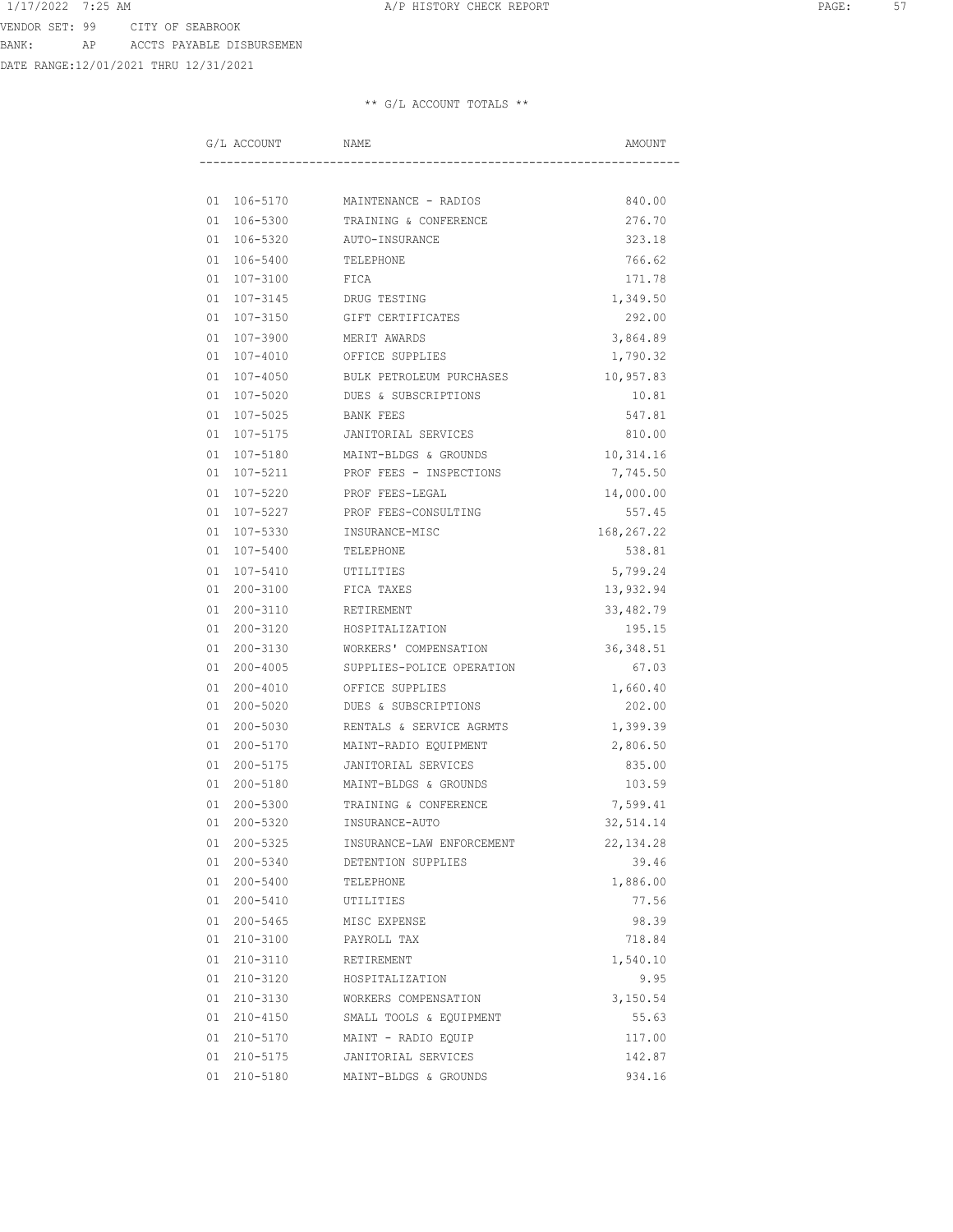DATE RANGE:12/01/2021 THRU 12/31/2021

| G/L ACCOUNT     | NAME                             | AMOUNT     |
|-----------------|----------------------------------|------------|
|                 |                                  |            |
|                 | 01 106-5170 MAINTENANCE - RADIOS | 840.00     |
| 01 106-5300     | TRAINING & CONFERENCE            | 276.70     |
| 01 106-5320     | AUTO-INSURANCE                   | 323.18     |
| 01 106-5400     | TELEPHONE                        | 766.62     |
| 01 107-3100     | FICA                             | 171.78     |
| 01 107-3145     | DRUG TESTING                     | 1,349.50   |
| 01 107-3150     | GIFT CERTIFICATES                | 292.00     |
| 01 107-3900     | MERIT AWARDS                     | 3,864.89   |
| $01 107 - 4010$ | OFFICE SUPPLIES                  | 1,790.32   |
| 01 107-4050     | BULK PETROLEUM PURCHASES         | 10,957.83  |
| 01 107-5020     | DUES & SUBSCRIPTIONS             | 10.81      |
| 01 107-5025     | BANK FEES                        | 547.81     |
| 01 107-5175     | JANITORIAL SERVICES              | 810.00     |
| 01 107-5180     | MAINT-BLDGS & GROUNDS            | 10,314.16  |
| 01 107-5211     | PROF FEES - INSPECTIONS          | 7,745.50   |
| 01 107-5220     | PROF FEES-LEGAL                  | 14,000.00  |
| 01 107-5227     | PROF FEES-CONSULTING             | 557.45     |
| 01 107-5330     | INSURANCE-MISC                   | 168,267.22 |
| 01 107-5400     | TELEPHONE                        | 538.81     |
| 01 107-5410     | UTILITIES                        | 5,799.24   |
| 01 200-3100     | FICA TAXES                       | 13,932.94  |
| 01 200-3110     | RETIREMENT                       | 33,482.79  |
| 01 200-3120     | HOSPITALIZATION                  | 195.15     |
| 01 200-3130     | WORKERS' COMPENSATION            | 36, 348.51 |
| 01 200-4005     | SUPPLIES-POLICE OPERATION        | 67.03      |
| 01 200-4010     | OFFICE SUPPLIES                  | 1,660.40   |
| 01 200-5020     | DUES & SUBSCRIPTIONS             | 202.00     |
| 01 200-5030     | RENTALS & SERVICE AGRMTS         | 1,399.39   |
| 01 200-5170     | MAINT-RADIO EQUIPMENT            | 2,806.50   |
| 01 200-5175     | JANITORIAL SERVICES              | 835.00     |
| 01 200-5180     | MAINT-BLDGS & GROUNDS            | 103.59     |
| 01 200-5300     | TRAINING & CONFERENCE            | 7,599.41   |
| $01200 - 5320$  | INSURANCE-AUTO                   | 32,514.14  |
| 01 200-5325     | INSURANCE-LAW ENFORCEMENT        | 22, 134.28 |
| 01 200-5340     | DETENTION SUPPLIES               | 39.46      |
| 01 200-5400     | TELEPHONE                        | 1,886.00   |
| 01 200-5410     | UTILITIES                        | 77.56      |
| 01 200-5465     | MISC EXPENSE                     | 98.39      |
| 01 210-3100     | PAYROLL TAX                      | 718.84     |
| 01 210-3110     | RETIREMENT                       | 1,540.10   |
| 01 210-3120     | HOSPITALIZATION                  | 9.95       |
| 01 210-3130     | WORKERS COMPENSATION             | 3,150.54   |
| 01 210-4150     | SMALL TOOLS & EQUIPMENT          | 55.63      |
| 01 210-5170     | MAINT - RADIO EQUIP              | 117.00     |
| 01 210-5175     | JANITORIAL SERVICES              | 142.87     |
| 01 210-5180     | MAINT-BLDGS & GROUNDS            | 934.16     |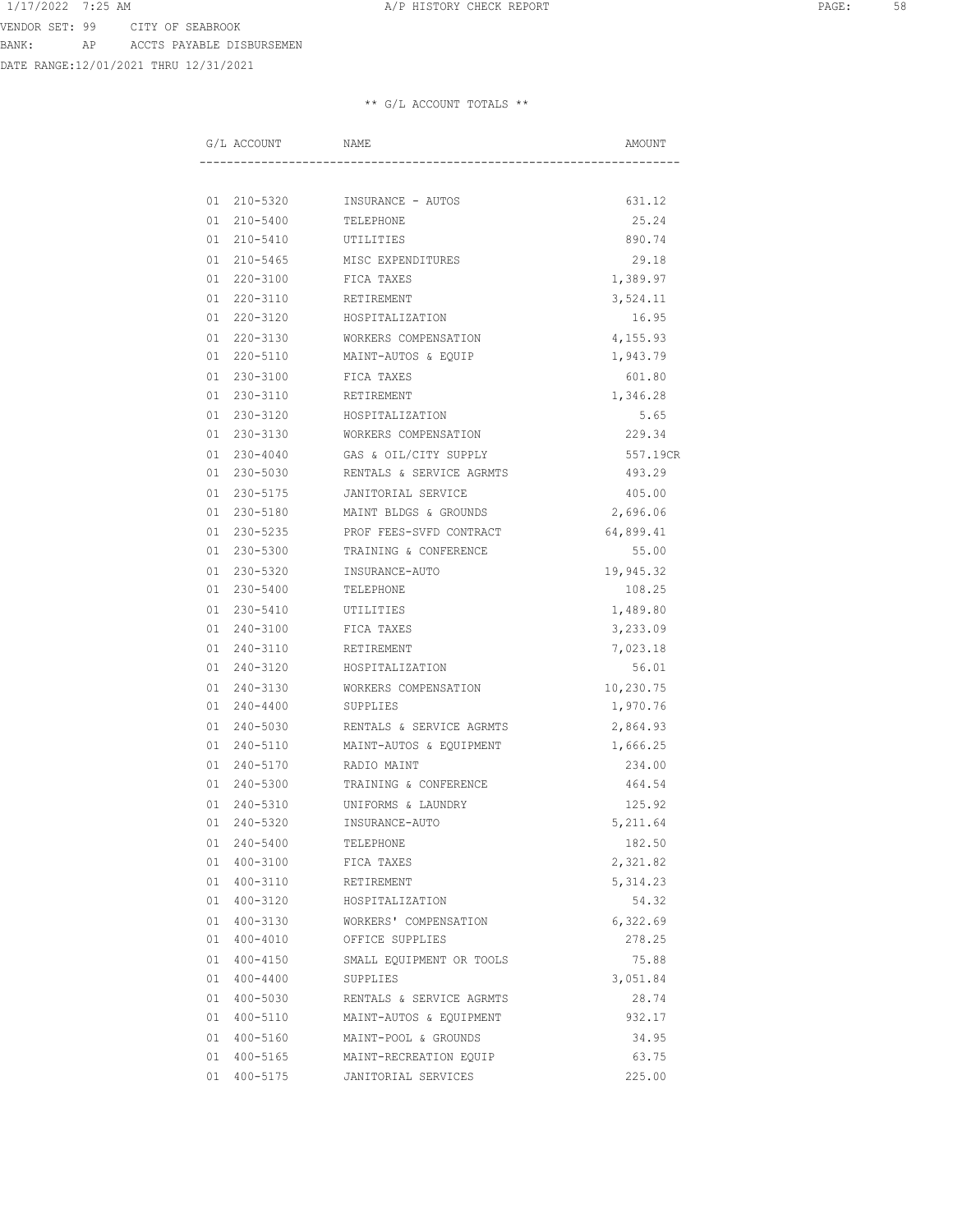DATE RANGE:12/01/2021 THRU 12/31/2021

|  | G/L ACCOUNT | NAME                     | AMOUNT    |
|--|-------------|--------------------------|-----------|
|  |             |                          |           |
|  | 01 210-5320 | INSURANCE - AUTOS        | 631.12    |
|  | 01 210-5400 | TELEPHONE                | 25.24     |
|  | 01 210-5410 | UTILITIES                | 890.74    |
|  | 01 210-5465 | MISC EXPENDITURES        | 29.18     |
|  | 01 220-3100 | FICA TAXES               | 1,389.97  |
|  | 01 220-3110 | RETIREMENT               | 3,524.11  |
|  | 01 220-3120 | HOSPITALIZATION          | 16.95     |
|  | 01 220-3130 | WORKERS COMPENSATION     | 4,155.93  |
|  | 01 220-5110 | MAINT-AUTOS & EQUIP      | 1,943.79  |
|  | 01 230-3100 | FICA TAXES               | 601.80    |
|  | 01 230-3110 | RETIREMENT               | 1,346.28  |
|  | 01 230-3120 | HOSPITALIZATION          | 5.65      |
|  | 01 230-3130 | WORKERS COMPENSATION     | 229.34    |
|  | 01 230-4040 | GAS & OIL/CITY SUPPLY    | 557.19CR  |
|  | 01 230-5030 | RENTALS & SERVICE AGRMTS | 493.29    |
|  | 01 230-5175 | JANITORIAL SERVICE       | 405.00    |
|  | 01 230-5180 | MAINT BLDGS & GROUNDS    | 2,696.06  |
|  | 01 230-5235 | PROF FEES-SVFD CONTRACT  | 64,899.41 |
|  | 01 230-5300 | TRAINING & CONFERENCE    | 55.00     |
|  | 01 230-5320 | INSURANCE-AUTO           | 19,945.32 |
|  | 01 230-5400 | TELEPHONE                | 108.25    |
|  | 01 230-5410 | UTILITIES                | 1,489.80  |
|  | 01 240-3100 | FICA TAXES               | 3,233.09  |
|  | 01 240-3110 | RETIREMENT               | 7,023.18  |
|  | 01 240-3120 | HOSPITALIZATION          | 56.01     |
|  | 01 240-3130 | WORKERS COMPENSATION     | 10,230.75 |
|  | 01 240-4400 | SUPPLIES                 | 1,970.76  |
|  | 01 240-5030 | RENTALS & SERVICE AGRMTS | 2,864.93  |
|  | 01 240-5110 | MAINT-AUTOS & EQUIPMENT  | 1,666.25  |
|  | 01 240-5170 | RADIO MAINT              | 234.00    |
|  | 01 240-5300 | TRAINING & CONFERENCE    | 464.54    |
|  | 01 240-5310 | UNIFORMS & LAUNDRY       | 125.92    |
|  | 01 240-5320 | INSURANCE-AUTO           | 5,211.64  |
|  | 01 240-5400 | TELEPHONE                | 182.50    |
|  | 01 400-3100 | FICA TAXES               | 2,321.82  |
|  | 01 400-3110 | RETIREMENT               | 5, 314.23 |
|  | 01 400-3120 | HOSPITALIZATION          | 54.32     |
|  | 01 400-3130 | WORKERS' COMPENSATION    | 6,322.69  |
|  | 01 400-4010 | OFFICE SUPPLIES          | 278.25    |
|  | 01 400-4150 | SMALL EQUIPMENT OR TOOLS | 75.88     |
|  | 01 400-4400 | SUPPLIES                 | 3,051.84  |
|  | 01 400-5030 | RENTALS & SERVICE AGRMTS | 28.74     |
|  | 01 400-5110 | MAINT-AUTOS & EQUIPMENT  | 932.17    |
|  | 01 400-5160 | MAINT-POOL & GROUNDS     | 34.95     |
|  | 01 400-5165 | MAINT-RECREATION EQUIP   | 63.75     |
|  | 01 400-5175 | JANITORIAL SERVICES      | 225.00    |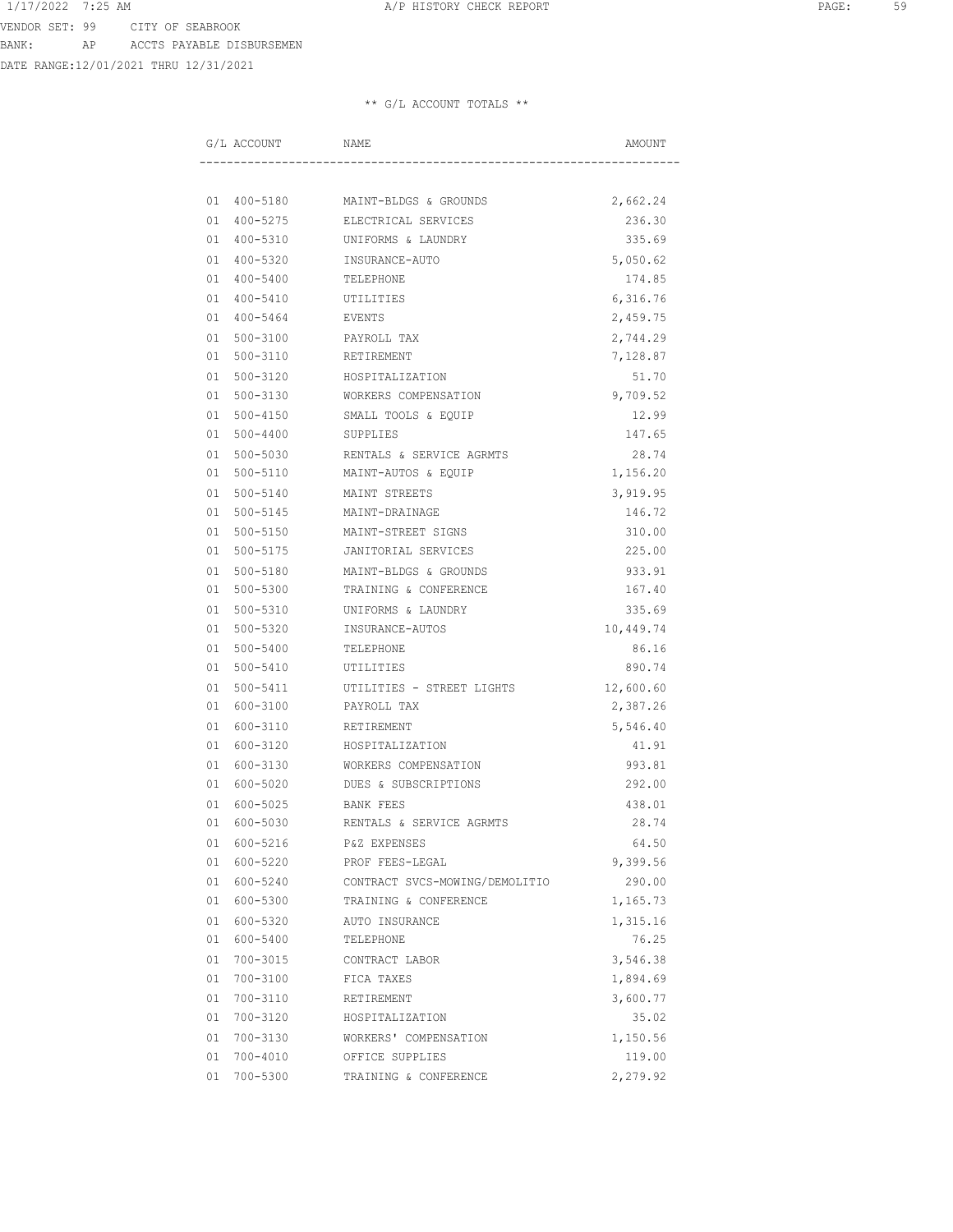DATE RANGE:12/01/2021 THRU 12/31/2021

| G/L ACCOUNT    | NAME                              | AMOUNT    |
|----------------|-----------------------------------|-----------|
|                |                                   |           |
|                | 01 400-5180 MAINT-BLDGS & GROUNDS | 2,662.24  |
|                | 01 400-5275 ELECTRICAL SERVICES   | 236.30    |
| 01 400-5310    | UNIFORMS & LAUNDRY                | 335.69    |
| 01 400-5320    | INSURANCE-AUTO                    | 5,050.62  |
| 01 400-5400    | TELEPHONE                         | 174.85    |
| 01 400-5410    | UTILITIES                         | 6,316.76  |
| 01 400-5464    | EVENTS                            | 2,459.75  |
| 01 500-3100    | PAYROLL TAX                       | 2,744.29  |
| 01 500-3110    | RETIREMENT                        | 7,128.87  |
| 01 500-3120    | HOSPITALIZATION                   | 51.70     |
| 01 500-3130    | WORKERS COMPENSATION              | 9,709.52  |
| 01 500-4150    | SMALL TOOLS & EQUIP               | 12.99     |
| 01 500-4400    | SUPPLIES                          | 147.65    |
| 01 500-5030    | RENTALS & SERVICE AGRMTS          | 28.74     |
| 01 500-5110    | MAINT-AUTOS & EQUIP               | 1,156.20  |
| 01 500-5140    | MAINT STREETS                     | 3,919.95  |
| 01 500-5145    | MAINT-DRAINAGE                    | 146.72    |
| 01 500-5150    | MAINT-STREET SIGNS                | 310.00    |
| 01 500-5175    | JANITORIAL SERVICES               | 225.00    |
| 01 500-5180    | MAINT-BLDGS & GROUNDS             | 933.91    |
| 01 500-5300    | TRAINING & CONFERENCE             | 167.40    |
| 01 500-5310    | UNIFORMS & LAUNDRY                | 335.69    |
| 01 500-5320    | INSURANCE-AUTOS                   | 10,449.74 |
| 01 500-5400    | TELEPHONE                         | 86.16     |
| 01 500-5410    | UTILITIES                         | 890.74    |
| 01 500-5411    | UTILITIES - STREET LIGHTS         | 12,600.60 |
| 01 600-3100    | PAYROLL TAX                       | 2,387.26  |
| 01 600-3110    | RETIREMENT                        | 5,546.40  |
| 01 600-3120    | HOSPITALIZATION                   | 41.91     |
| 01 600-3130    | WORKERS COMPENSATION              | 993.81    |
| 01 600-5020    | DUES & SUBSCRIPTIONS              | 292.00    |
| 600-5025<br>01 | BANK FEES                         | 438.01    |
| 01<br>600-5030 | RENTALS & SERVICE AGRMTS          | 28.74     |
| 01 600-5216    | P&Z EXPENSES                      | 64.50     |
| 01 600-5220    | PROF FEES-LEGAL                   | 9,399.56  |
| 01 600-5240    | CONTRACT SVCS-MOWING/DEMOLITIO    | 290.00    |
| 01 600-5300    | TRAINING & CONFERENCE             | 1,165.73  |
| 01 600-5320    | AUTO INSURANCE                    | 1,315.16  |
| 01 600-5400    | TELEPHONE                         | 76.25     |
| 01 700-3015    | CONTRACT LABOR                    | 3,546.38  |
| 01 700-3100    | FICA TAXES                        | 1,894.69  |
| 01 700-3110    | RETIREMENT                        | 3,600.77  |
| 01 700-3120    | HOSPITALIZATION                   | 35.02     |
| 01 700-3130    | WORKERS' COMPENSATION             | 1,150.56  |
| 01 700-4010    | OFFICE SUPPLIES                   | 119.00    |
| 01 700-5300    | TRAINING & CONFERENCE             | 2,279.92  |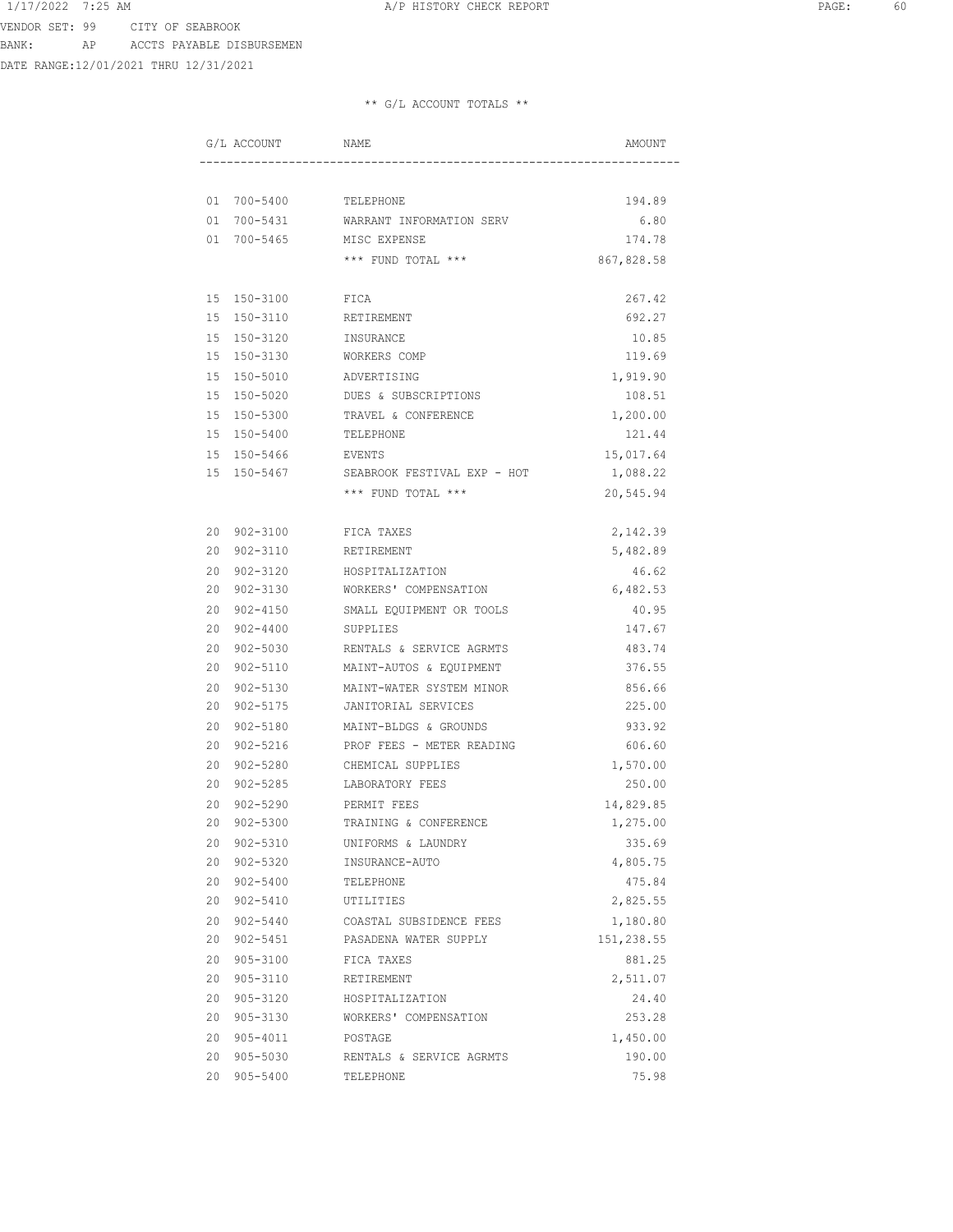VENDOR SET: 99 CITY OF SEABROOK BANK: AP ACCTS PAYABLE DISBURSEMEN

DATE RANGE:12/01/2021 THRU 12/31/2021

| G/L ACCOUNT    | NAME                        | AMOUNT     |
|----------------|-----------------------------|------------|
|                |                             |            |
|                | 01 700-5400 TELEPHONE       | 194.89     |
| 01 700-5431    | WARRANT INFORMATION SERV    | 6.80       |
| 01 700-5465    | MISC EXPENSE                | 174.78     |
|                | *** FUND TOTAL ***          | 867,828.58 |
| 15 150-3100    | FICA                        | 267.42     |
| 15 150-3110    | RETIREMENT                  | 692.27     |
| 15 150-3120    | INSURANCE                   | 10.85      |
| 15 150-3130    | WORKERS COMP                | 119.69     |
| 15 150-5010    | ADVERTISING                 | 1,919.90   |
| 15 150-5020    | DUES & SUBSCRIPTIONS        | 108.51     |
| 15 150-5300    | TRAVEL & CONFERENCE         | 1,200.00   |
| 15 150-5400    | TELEPHONE                   | 121.44     |
| 15 150-5466    | EVENTS                      | 15,017.64  |
| 15 150-5467    | SEABROOK FESTIVAL EXP - HOT | 1,088.22   |
|                | *** FUND TOTAL ***          | 20,545.94  |
| 20 902-3100    | FICA TAXES                  | 2,142.39   |
| 20 902-3110    | RETIREMENT                  | 5,482.89   |
| 20 902-3120    | HOSPITALIZATION             | 46.62      |
| 20 902-3130    | WORKERS' COMPENSATION       | 6,482.53   |
| 20 902-4150    | SMALL EQUIPMENT OR TOOLS    | 40.95      |
| 20 902-4400    | SUPPLIES                    | 147.67     |
| 20 902-5030    | RENTALS & SERVICE AGRMTS    | 483.74     |
| 20 902-5110    | MAINT-AUTOS & EQUIPMENT     | 376.55     |
| 20 902-5130    | MAINT-WATER SYSTEM MINOR    | 856.66     |
| 20<br>902-5175 | JANITORIAL SERVICES         | 225.00     |
| 20<br>902-5180 | MAINT-BLDGS & GROUNDS       | 933.92     |
| 20<br>902-5216 | PROF FEES - METER READING   | 606.60     |
| 902-5280<br>20 | CHEMICAL SUPPLIES           | 1,570.00   |
| 902-5285<br>20 | LABORATORY FEES             | 250.00     |
| 902-5290<br>20 | PERMIT FEES                 | 14,829.85  |
| 20<br>902-5300 | TRAINING & CONFERENCE       | 1,275.00   |
| 20 902-5310    | UNIFORMS & LAUNDRY          | 335.69     |
| 20 902-5320    | INSURANCE-AUTO              | 4,805.75   |
| 20 902-5400    | TELEPHONE                   | 475.84     |
| 20 902-5410    | UTILITIES                   | 2,825.55   |
| 20 902-5440    | COASTAL SUBSIDENCE FEES     | 1,180.80   |
| 20 902-5451    | PASADENA WATER SUPPLY       | 151,238.55 |
| 20 905-3100    | FICA TAXES                  | 881.25     |
| 20 905-3110    | RETIREMENT                  | 2,511.07   |
| 20 905-3120    | HOSPITALIZATION             | 24.40      |
| 20 905-3130    | WORKERS' COMPENSATION       | 253.28     |
| 20 905-4011    | POSTAGE                     | 1,450.00   |
| 20 905-5030    | RENTALS & SERVICE AGRMTS    | 190.00     |
| 20 905-5400    | TELEPHONE                   | 75.98      |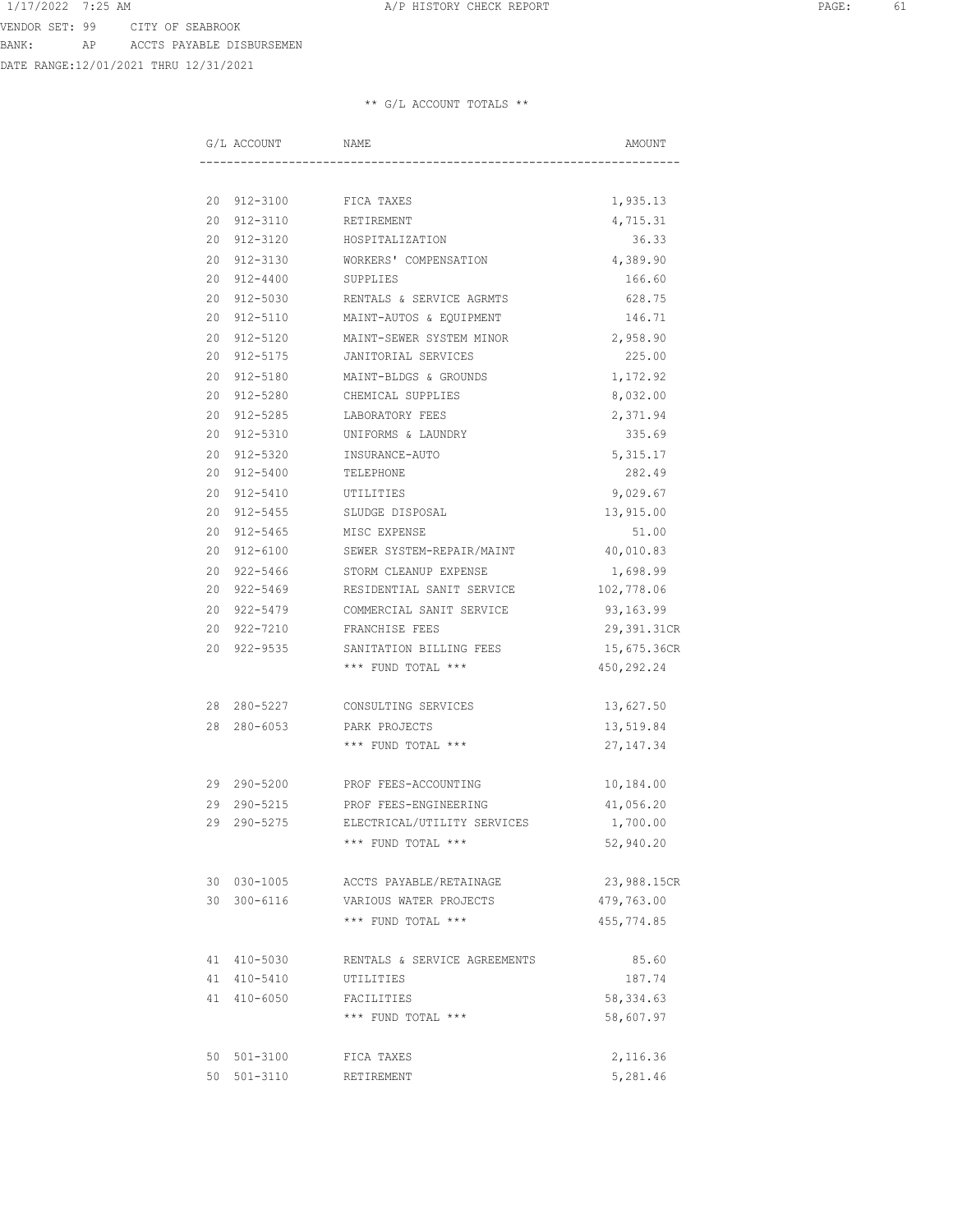DATE RANGE:12/01/2021 THRU 12/31/2021

| G/L ACCOUNT |             | NAME                         | AMOUNT      |
|-------------|-------------|------------------------------|-------------|
|             |             |                              |             |
|             |             | 20 912-3100 FICA TAXES       | 1,935.13    |
|             | 20 912-3110 | RETIREMENT                   | 4,715.31    |
| 20 912-3120 |             | HOSPITALIZATION              | 36.33       |
| 20 912-3130 |             | WORKERS' COMPENSATION        | 4,389.90    |
| 20 912-4400 |             | SUPPLIES                     | 166.60      |
| 20 912-5030 |             | RENTALS & SERVICE AGRMTS     | 628.75      |
|             | 20 912-5110 | MAINT-AUTOS & EQUIPMENT      | 146.71      |
| 20 912-5120 |             | MAINT-SEWER SYSTEM MINOR     | 2,958.90    |
| 20 912-5175 |             | JANITORIAL SERVICES          | 225.00      |
| 20 912-5180 |             | MAINT-BLDGS & GROUNDS        | 1,172.92    |
| 20 912-5280 |             | CHEMICAL SUPPLIES            | 8,032.00    |
| 20 912-5285 |             | LABORATORY FEES              | 2,371.94    |
| 20 912-5310 |             | UNIFORMS & LAUNDRY           | 335.69      |
| 20 912-5320 |             | INSURANCE-AUTO               | 5, 315.17   |
| 20 912-5400 |             | TELEPHONE                    | 282.49      |
| 20 912-5410 |             | UTILITIES                    | 9,029.67    |
| 20 912-5455 |             | SLUDGE DISPOSAL              | 13,915.00   |
| 20 912-5465 |             | MISC EXPENSE                 | 51.00       |
| 20 912-6100 |             | SEWER SYSTEM-REPAIR/MAINT    | 40,010.83   |
| 20 922-5466 |             | STORM CLEANUP EXPENSE        | 1,698.99    |
| 20 922-5469 |             | RESIDENTIAL SANIT SERVICE    | 102,778.06  |
| 20 922-5479 |             | COMMERCIAL SANIT SERVICE     | 93,163.99   |
| 20 922-7210 |             | FRANCHISE FEES               | 29,391.31CR |
| 20 922-9535 |             | SANITATION BILLING FEES      | 15,675.36CR |
|             |             | *** FUND TOTAL ***           | 450,292.24  |
|             |             |                              |             |
|             | 28 280-5227 | CONSULTING SERVICES          | 13,627.50   |
| 28 280-6053 |             | PARK PROJECTS                | 13,519.84   |
|             |             | *** FUND TOTAL ***           | 27, 147.34  |
|             |             |                              |             |
|             | 29 290-5200 | PROF FEES-ACCOUNTING         | 10,184.00   |
|             | 29 290-5215 | PROF FEES-ENGINEERING        | 41,056.20   |
| 29 290-5275 |             | ELECTRICAL/UTILITY SERVICES  | 1,700.00    |
|             |             | *** FUND TOTAL ***           | 52,940.20   |
|             | 30 030-1005 | ACCTS PAYABLE/RETAINAGE      | 23,988.15CR |
| 30 300-6116 |             | VARIOUS WATER PROJECTS       | 479,763.00  |
|             |             | *** FUND TOTAL ***           | 455,774.85  |
|             |             |                              |             |
| 41 410-5030 |             | RENTALS & SERVICE AGREEMENTS | 85.60       |
| 41 410-5410 |             | UTILITIES                    | 187.74      |
| 41 410-6050 |             | FACILITIES                   | 58, 334.63  |
|             |             | *** FUND TOTAL ***           | 58,607.97   |
| 50 501-3100 |             | FICA TAXES                   | 2,116.36    |
| 50 501-3110 |             | RETIREMENT                   | 5,281.46    |
|             |             |                              |             |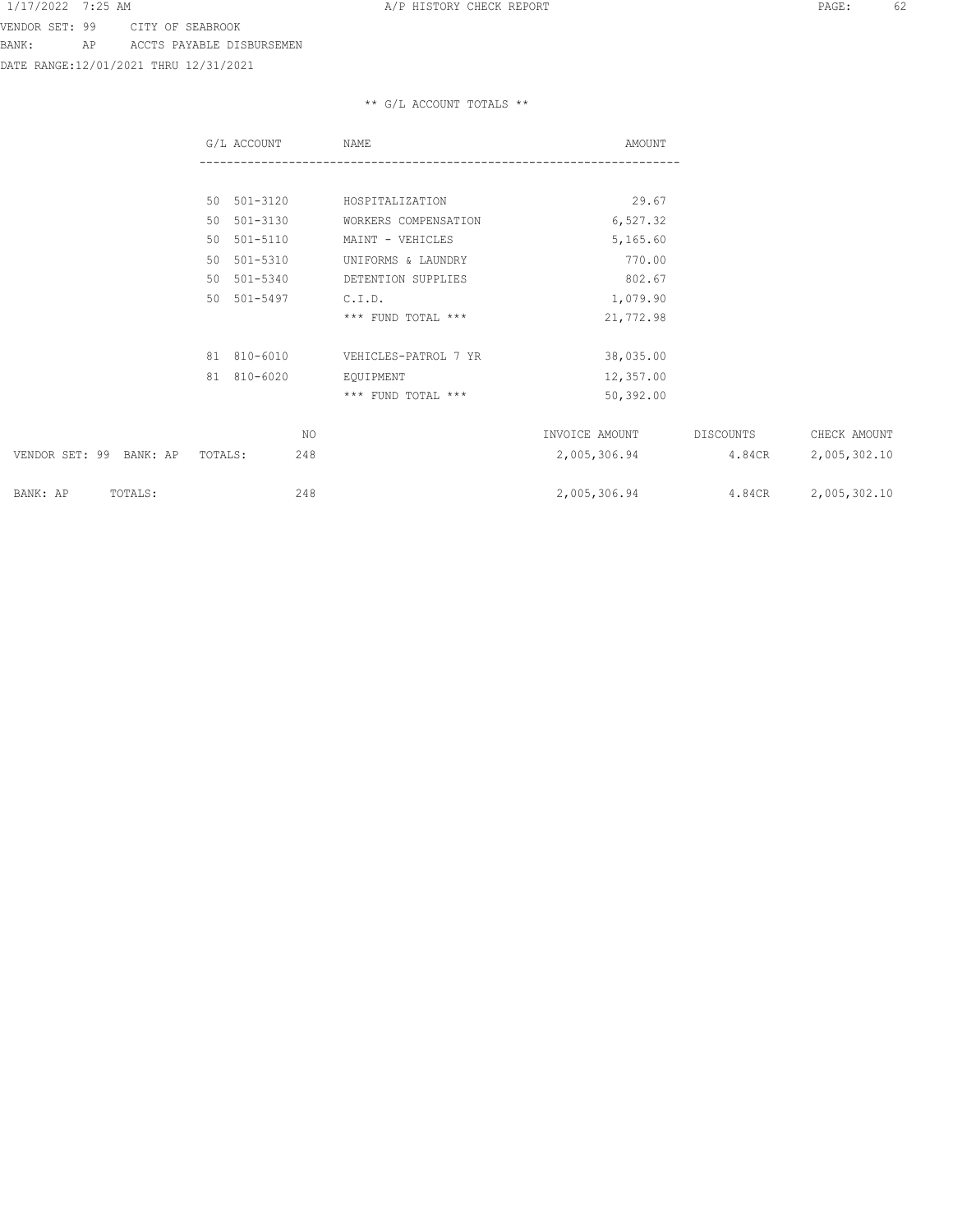DATE RANGE:12/01/2021 THRU 12/31/2021

|                         | G/L ACCOUNT    | NAME                   | AMOUNT         |           |              |
|-------------------------|----------------|------------------------|----------------|-----------|--------------|
|                         |                |                        |                |           |              |
|                         | 50 501-3120    | HOSPITALIZATION        | 29.67          |           |              |
|                         | 50 501-3130    | WORKERS COMPENSATION   | 6,527.32       |           |              |
|                         | 50 501-5110    | MAINT - VEHICLES       | 5,165.60       |           |              |
|                         | 50 501-5310    | UNIFORMS & LAUNDRY     | 770.00         |           |              |
|                         | 50 501-5340    | DETENTION SUPPLIES     | 802.67         |           |              |
|                         | 50 501-5497    | C.I.D.                 | 1,079.90       |           |              |
|                         |                | $***$ FUND TOTAL $***$ | 21,772.98      |           |              |
|                         | 81 810-6010    | VEHICLES-PATROL 7 YR   | 38,035.00      |           |              |
|                         | 81 810-6020    | EQUIPMENT              | 12,357.00      |           |              |
|                         |                | *** FUND TOTAL ***     | 50,392.00      |           |              |
|                         | NO.            |                        | INVOICE AMOUNT | DISCOUNTS | CHECK AMOUNT |
| VENDOR SET: 99 BANK: AP | 248<br>TOTALS: |                        | 2,005,306.94   | 4.84CR    | 2,005,302.10 |
| BANK: AP<br>TOTALS:     | 248            |                        | 2,005,306.94   | 4.84CR    | 2,005,302.10 |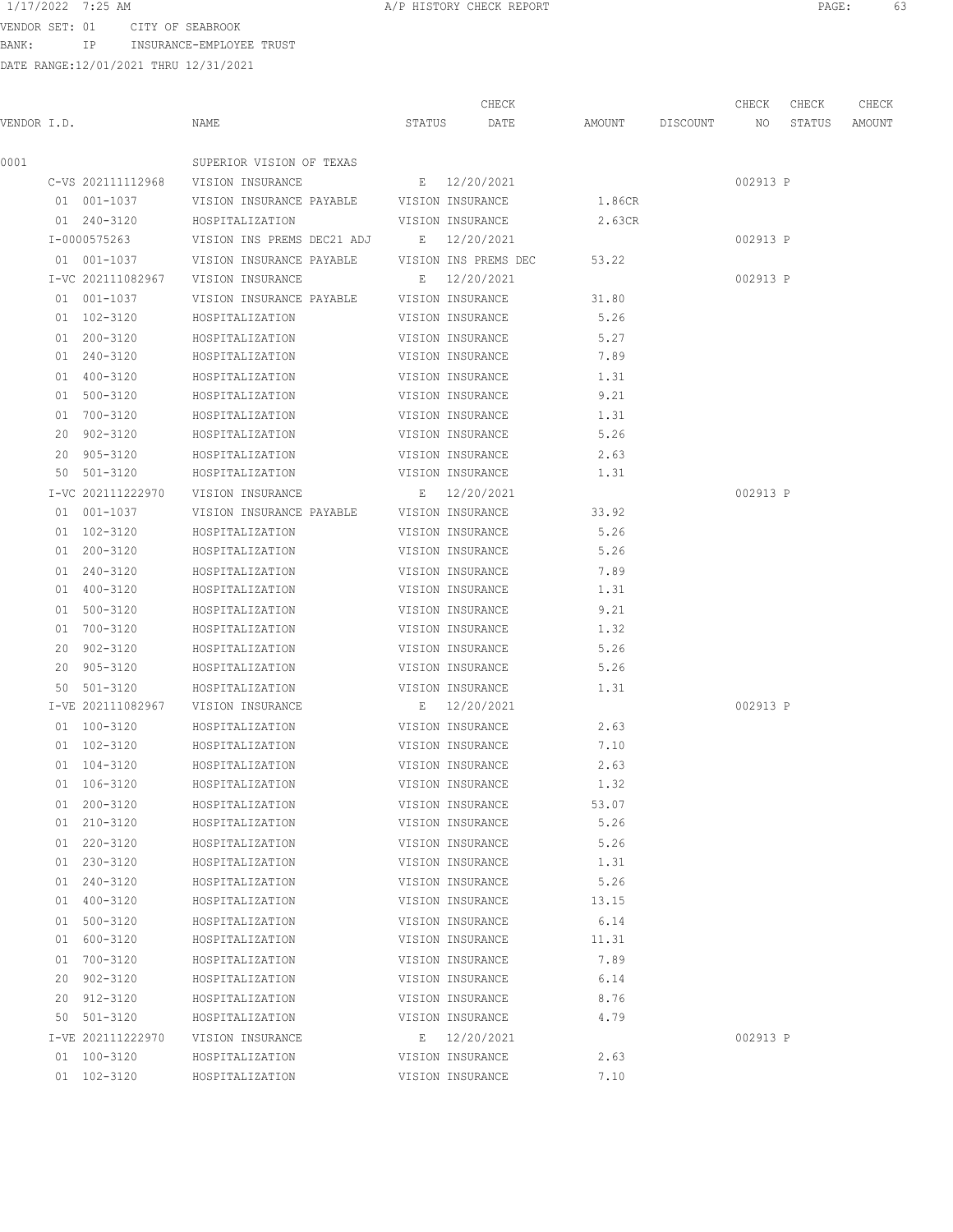VENDOR SET: 01 CITY OF SEABROOK BANK: IP INSURANCE-EMPLOYEE TRUST

|             |                   |                                           |        | CHECK                |                 | CHECK    | CHECK  | CHECK  |
|-------------|-------------------|-------------------------------------------|--------|----------------------|-----------------|----------|--------|--------|
| VENDOR I.D. |                   | NAME                                      | STATUS | DATE                 | AMOUNT DISCOUNT | NO       | STATUS | AMOUNT |
| 0001        |                   | SUPERIOR VISION OF TEXAS                  |        |                      |                 |          |        |        |
|             | C-VS 202111112968 | VISION INSURANCE                          |        | E 12/20/2021         |                 | 002913 P |        |        |
|             | 01 001-1037       | VISION INSURANCE PAYABLE VISION INSURANCE |        |                      | 1.86CR          |          |        |        |
|             | 01 240-3120       | HOSPITALIZATION                           |        | VISION INSURANCE     | 2.63CR          |          |        |        |
|             | I-0000575263      | VISION INS PREMS DEC21 ADJ                |        | E 12/20/2021         |                 | 002913 P |        |        |
|             | 01 001-1037       | VISION INSURANCE PAYABLE                  |        | VISION INS PREMS DEC | 53.22           |          |        |        |
|             | I-VC 202111082967 | VISION INSURANCE                          |        | E 12/20/2021         |                 | 002913 P |        |        |
|             | 01 001-1037       | VISION INSURANCE PAYABLE                  |        | VISION INSURANCE     | 31.80           |          |        |        |
|             | 01 102-3120       | HOSPITALIZATION                           |        | VISION INSURANCE     | 5.26            |          |        |        |
|             | 01 200-3120       | HOSPITALIZATION                           |        | VISION INSURANCE     | 5.27            |          |        |        |
|             | 01 240-3120       | HOSPITALIZATION                           |        | VISION INSURANCE     | 7.89            |          |        |        |
|             | 01 400-3120       | HOSPITALIZATION                           |        | VISION INSURANCE     | 1.31            |          |        |        |
|             | 01 500-3120       | HOSPITALIZATION                           |        | VISION INSURANCE     | 9.21            |          |        |        |
|             | 01 700-3120       | HOSPITALIZATION                           |        | VISION INSURANCE     | 1.31            |          |        |        |
|             | 20 902-3120       | HOSPITALIZATION                           |        | VISION INSURANCE     | 5.26            |          |        |        |
|             | 20 905-3120       | HOSPITALIZATION                           |        | VISION INSURANCE     | 2.63            |          |        |        |
|             | 50 501-3120       | HOSPITALIZATION                           |        | VISION INSURANCE     | 1.31            |          |        |        |
|             | I-VC 202111222970 | VISION INSURANCE                          |        | E 12/20/2021         |                 | 002913 P |        |        |
|             | 01 001-1037       | VISION INSURANCE PAYABLE                  |        | VISION INSURANCE     | 33.92           |          |        |        |
|             | 01 102-3120       | HOSPITALIZATION                           |        | VISION INSURANCE     | 5.26            |          |        |        |
|             | 01 200-3120       | HOSPITALIZATION                           |        | VISION INSURANCE     | 5.26            |          |        |        |
|             | 01 240-3120       | HOSPITALIZATION                           |        | VISION INSURANCE     | 7.89            |          |        |        |
|             | 01 400-3120       | HOSPITALIZATION                           |        | VISION INSURANCE     | 1.31            |          |        |        |
|             | 01 500-3120       | HOSPITALIZATION                           |        | VISION INSURANCE     | 9.21            |          |        |        |
|             | 01 700-3120       | HOSPITALIZATION                           |        | VISION INSURANCE     | 1.32            |          |        |        |
|             | 20 902-3120       | HOSPITALIZATION                           |        | VISION INSURANCE     | 5.26            |          |        |        |
|             | 20 905-3120       | HOSPITALIZATION                           |        | VISION INSURANCE     | 5.26            |          |        |        |
|             | 50 501-3120       | HOSPITALIZATION                           |        | VISION INSURANCE     | 1.31            |          |        |        |
|             | I-VE 202111082967 | VISION INSURANCE                          |        | E 12/20/2021         |                 | 002913 P |        |        |
|             | 01 100-3120       | HOSPITALIZATION                           |        | VISION INSURANCE     | 2.63            |          |        |        |
|             | 01 102-3120       | HOSPITALIZATION                           |        | VISION INSURANCE     | 7.10            |          |        |        |
|             | 01 104-3120       | HOSPITALIZATION                           |        | VISION INSURANCE     | 2.63            |          |        |        |
|             | 01 106-3120       | HOSPITALIZATION                           |        | VISION INSURANCE     | 1.32            |          |        |        |
|             | 01 200-3120       | HOSPITALIZATION                           |        | VISION INSURANCE     | 53.07           |          |        |        |
|             | 01 210-3120       | HOSPITALIZATION                           |        | VISION INSURANCE     | 5.26            |          |        |        |
|             | 01 220-3120       | HOSPITALIZATION                           |        | VISION INSURANCE     | 5.26            |          |        |        |
|             | 01 230-3120       | HOSPITALIZATION                           |        | VISION INSURANCE     | 1.31            |          |        |        |
|             | 01 240-3120       | HOSPITALIZATION                           |        | VISION INSURANCE     | 5.26            |          |        |        |
|             | 01 400-3120       | HOSPITALIZATION                           |        | VISION INSURANCE     | 13.15           |          |        |        |
|             | 01 500-3120       | HOSPITALIZATION                           |        | VISION INSURANCE     | 6.14            |          |        |        |
|             | 01 600-3120       | HOSPITALIZATION                           |        | VISION INSURANCE     | 11.31           |          |        |        |
|             | 01 700-3120       | HOSPITALIZATION                           |        | VISION INSURANCE     | 7.89            |          |        |        |
|             | 20 902-3120       | HOSPITALIZATION                           |        | VISION INSURANCE     | 6.14            |          |        |        |
|             | 20 912-3120       | HOSPITALIZATION                           |        | VISION INSURANCE     | 8.76            |          |        |        |
|             | 50 501-3120       | HOSPITALIZATION                           |        | VISION INSURANCE     | 4.79            |          |        |        |
|             | I-VE 202111222970 | VISION INSURANCE                          |        | E 12/20/2021         |                 | 002913 P |        |        |
|             | 01 100-3120       | HOSPITALIZATION                           |        | VISION INSURANCE     | 2.63            |          |        |        |
|             | 01 102-3120       | HOSPITALIZATION                           |        | VISION INSURANCE     | 7.10            |          |        |        |
|             |                   |                                           |        |                      |                 |          |        |        |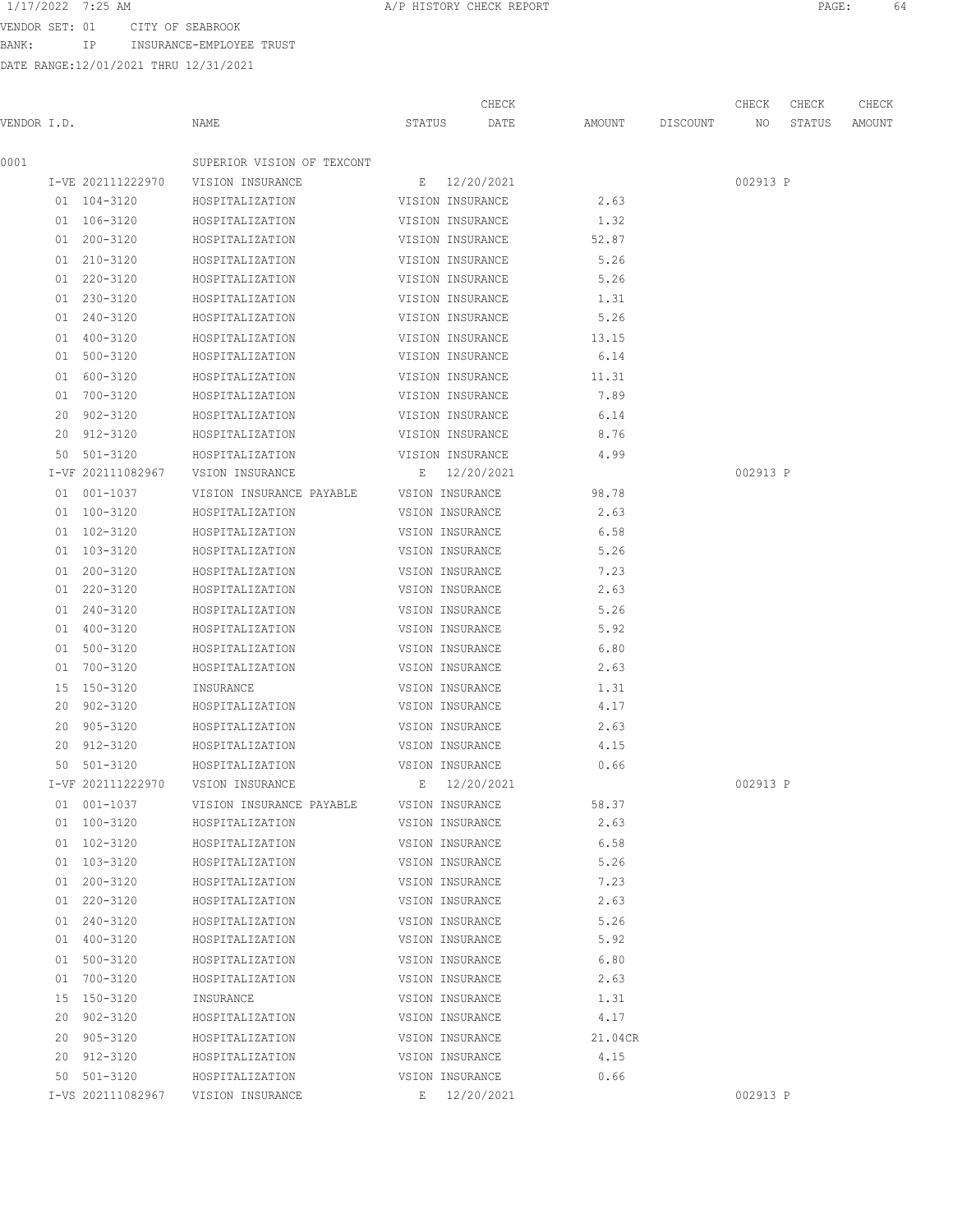BANK: IP INSURANCE-EMPLOYEE TRUST

|             |                   |                            |                  | CHECK        |         |          | CHECK    | CHECK  | CHECK  |
|-------------|-------------------|----------------------------|------------------|--------------|---------|----------|----------|--------|--------|
| VENDOR I.D. |                   | NAME                       | STATUS           | DATE         | AMOUNT  | DISCOUNT | NO       | STATUS | AMOUNT |
| 0001        |                   | SUPERIOR VISION OF TEXCONT |                  |              |         |          |          |        |        |
|             | I-VE 202111222970 | VISION INSURANCE           |                  | E 12/20/2021 |         |          | 002913 P |        |        |
|             | 01 104-3120       | HOSPITALIZATION            | VISION INSURANCE |              | 2.63    |          |          |        |        |
|             | 01 106-3120       | HOSPITALIZATION            | VISION INSURANCE |              | 1.32    |          |          |        |        |
|             | 01 200-3120       | HOSPITALIZATION            | VISION INSURANCE |              | 52.87   |          |          |        |        |
|             | 01 210-3120       | HOSPITALIZATION            | VISION INSURANCE |              | 5.26    |          |          |        |        |
|             | 01 220-3120       | HOSPITALIZATION            | VISION INSURANCE |              | 5.26    |          |          |        |        |
|             | 01 230-3120       | HOSPITALIZATION            | VISION INSURANCE |              | 1.31    |          |          |        |        |
|             | 01 240-3120       | HOSPITALIZATION            | VISION INSURANCE |              | 5.26    |          |          |        |        |
|             | 01 400-3120       | HOSPITALIZATION            | VISION INSURANCE |              | 13.15   |          |          |        |        |
|             | 01 500-3120       | HOSPITALIZATION            | VISION INSURANCE |              | 6.14    |          |          |        |        |
|             | 01 600-3120       | HOSPITALIZATION            | VISION INSURANCE |              | 11.31   |          |          |        |        |
|             | 01 700-3120       | HOSPITALIZATION            | VISION INSURANCE |              | 7.89    |          |          |        |        |
|             | 20 902-3120       | HOSPITALIZATION            | VISION INSURANCE |              | 6.14    |          |          |        |        |
|             | 20 912-3120       | HOSPITALIZATION            | VISION INSURANCE |              | 8.76    |          |          |        |        |
|             | 50 501-3120       | HOSPITALIZATION            | VISION INSURANCE |              | 4.99    |          |          |        |        |
|             | I-VF 202111082967 | VSION INSURANCE            |                  | E 12/20/2021 |         |          | 002913 P |        |        |
|             | 01 001-1037       | VISION INSURANCE PAYABLE   | VSION INSURANCE  |              | 98.78   |          |          |        |        |
|             | 01 100-3120       | HOSPITALIZATION            | VSION INSURANCE  |              | 2.63    |          |          |        |        |
|             | 01 102-3120       | HOSPITALIZATION            | VSION INSURANCE  |              | 6.58    |          |          |        |        |
|             | 01 103-3120       | HOSPITALIZATION            | VSION INSURANCE  |              | 5.26    |          |          |        |        |
|             | 01 200-3120       | HOSPITALIZATION            | VSION INSURANCE  |              | 7.23    |          |          |        |        |
|             | 01 220-3120       | HOSPITALIZATION            | VSION INSURANCE  |              | 2.63    |          |          |        |        |
|             | 01 240-3120       | HOSPITALIZATION            | VSION INSURANCE  |              | 5.26    |          |          |        |        |
|             | 01 400-3120       | HOSPITALIZATION            | VSION INSURANCE  |              | 5.92    |          |          |        |        |
|             | 01 500-3120       | HOSPITALIZATION            | VSION INSURANCE  |              | 6.80    |          |          |        |        |
|             | 01 700-3120       | HOSPITALIZATION            | VSION INSURANCE  |              | 2.63    |          |          |        |        |
|             | 15 150-3120       | INSURANCE                  | VSION INSURANCE  |              | 1.31    |          |          |        |        |
|             | 20 902-3120       | HOSPITALIZATION            | VSION INSURANCE  |              | 4.17    |          |          |        |        |
|             | 20 905-3120       | HOSPITALIZATION            | VSION INSURANCE  |              | 2.63    |          |          |        |        |
|             | 20 912-3120       | HOSPITALIZATION            | VSION INSURANCE  |              | 4.15    |          |          |        |        |
|             | 50 501-3120       | HOSPITALIZATION            | VSION INSURANCE  |              | 0.66    |          |          |        |        |
|             | I-VF 202111222970 | VSION INSURANCE            |                  | E 12/20/2021 |         |          | 002913 P |        |        |
|             | 01 001-1037       | VISION INSURANCE PAYABLE   | VSION INSURANCE  |              | 58.37   |          |          |        |        |
|             | 01 100-3120       | HOSPITALIZATION            | VSION INSURANCE  |              | 2.63    |          |          |        |        |
|             | 01 102-3120       | HOSPITALIZATION            | VSION INSURANCE  |              | 6.58    |          |          |        |        |
|             | 01 103-3120       | HOSPITALIZATION            | VSION INSURANCE  |              | 5.26    |          |          |        |        |
|             | 01 200-3120       | HOSPITALIZATION            | VSION INSURANCE  |              | 7.23    |          |          |        |        |
|             | 01 220-3120       | HOSPITALIZATION            | VSION INSURANCE  |              | 2.63    |          |          |        |        |
|             | 01 240-3120       | HOSPITALIZATION            | VSION INSURANCE  |              | 5.26    |          |          |        |        |
|             | 01 400-3120       | HOSPITALIZATION            | VSION INSURANCE  |              | 5.92    |          |          |        |        |
|             | 01 500-3120       | HOSPITALIZATION            | VSION INSURANCE  |              | 6.80    |          |          |        |        |
|             | 01 700-3120       | HOSPITALIZATION            | VSION INSURANCE  |              | 2.63    |          |          |        |        |
|             | 15 150-3120       | INSURANCE                  | VSION INSURANCE  |              | 1.31    |          |          |        |        |
|             | 20 902-3120       | HOSPITALIZATION            | VSION INSURANCE  |              | 4.17    |          |          |        |        |
|             | 20 905-3120       | HOSPITALIZATION            | VSION INSURANCE  |              | 21.04CR |          |          |        |        |
|             | 20 912-3120       | HOSPITALIZATION            | VSION INSURANCE  |              | 4.15    |          |          |        |        |
|             | 50 501-3120       | HOSPITALIZATION            | VSION INSURANCE  |              | 0.66    |          |          |        |        |
|             | I-VS 202111082967 | VISION INSURANCE           |                  | E 12/20/2021 |         |          | 002913 P |        |        |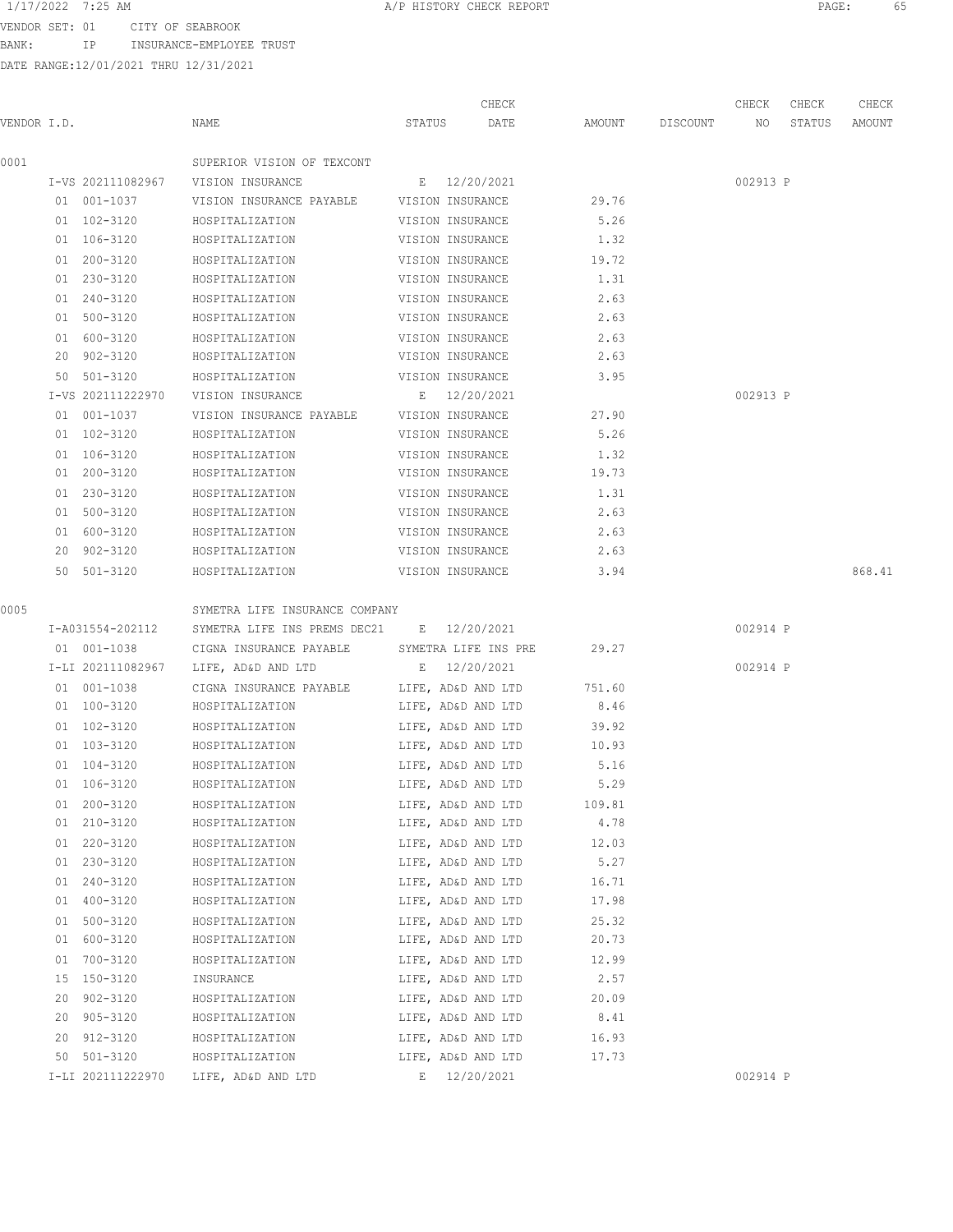BANK: IP INSURANCE-EMPLOYEE TRUST

0001 SUPERIOR VISION OF TEXCONT

DATE RANGE:12/01/2021 THRU 12/31/2021

 1/17/2022 7:25 AM A/P HISTORY CHECK REPORT PAGE: 65 CHECK CHECK CHECK CHECK VENDOR I.D. NAME STATUS DATE AMOUNT DISCOUNT NO STATUS AMOUNT I-VS 202111082967 VISION INSURANCE E 12/20/2021 002913 P 01 001-1037 VISION INSURANCE PAYABLE VISION INSURANCE 29.76 01 102-3120 HOSPITALIZATION VISION INSURANCE 5.26 01 106-3120 HOSPITALIZATION VISION INSURANCE 1.32 01 200-3120 HOSPITALIZATION VISION INSURANCE 19.72 01 230-3120 HOSPITALIZATION VISION INSURANCE 1.31 01 240-3120 HOSPITALIZATION VISION INSURANCE 2.63 01 500-3120 HOSPITALIZATION VISION INSURANCE 2.63 01 600-3120 HOSPITALIZATION VISION INSURANCE 2.63 20 902-3120 HOSPITALIZATION VISION INSURANCE 2.63 50 501-3120 HOSPITALIZATION VISION INSURANCE 3.95 I-VS 202111222970 VISION INSURANCE E 12/20/2021 002913 P 01 001-1037 VISION INSURANCE PAYABLE VISION INSURANCE 27.90 01 102-3120 HOSPITALIZATION VISION INSURANCE 5.26

0005 SYMETRA LIFE INSURANCE COMPANY I-A031554-202112 SYMETRA LIFE INS PREMS DEC21 E 12/20/2021 002914 P 01 001-1038 CIGNA INSURANCE PAYABLE SYMETRA LIFE INS PRE 29.27 I-LI 202111082967 LIFE, AD&D AND LTD E 12/20/2021 002914 P 01 001-1038 CIGNA INSURANCE PAYABLE LIFE, AD&D AND LTD 751.60 01 100-3120 HOSPITALIZATION LIFE, AD&D AND LTD 8.46 01 102-3120 HOSPITALIZATION LIFE, AD&D AND LTD 39.92 01 103-3120 HOSPITALIZATION LIFE, AD&D AND LTD 10.93 01 104-3120 HOSPITALIZATION LIFE, AD&D AND LTD 5.16 01 106-3120 HOSPITALIZATION LIFE, AD&D AND LTD 5.29 01 200-3120 HOSPITALIZATION LIFE, AD&D AND LTD 109.81 01 210-3120 HOSPITALIZATION LIFE, AD&D AND LTD 4.78 01 220-3120 HOSPITALIZATION LIFE, AD&D AND LTD 12.03 01 230-3120 HOSPITALIZATION LIFE, AD&D AND LTD 5.27 01 240-3120 HOSPITALIZATION LIFE, AD&D AND LTD 16.71 01 400-3120 HOSPITALIZATION LIFE, AD&D AND LTD 17.98 01 500-3120 HOSPITALIZATION LIFE, AD&D AND LTD 25.32 01 600-3120 HOSPITALIZATION LIFE, AD&D AND LTD 20.73 01 700-3120 HOSPITALIZATION LIFE, AD&D AND LTD 12.99 15 150-3120 INSURANCE LIFE, AD&D AND LTD 2.57 20 902-3120 HOSPITALIZATION LIFE, AD&D AND LTD 20.09 20 905-3120 HOSPITALIZATION LIFE, AD&D AND LTD 8.41 20 912-3120 HOSPITALIZATION LIFE, AD&D AND LTD 16.93 50 501-3120 HOSPITALIZATION LIFE, AD&D AND LTD 17.73 I-LI 202111222970 LIFE, AD&D AND LTD E 12/20/2021 002914 P

50 501-3120 HOSPITALIZATION VISION INSURANCE 3.94 868.41

01 106-3120 HOSPITALIZATION VISION INSURANCE 1.32 01 200-3120 HOSPITALIZATION VISION INSURANCE 19.73 01 230-3120 HOSPITALIZATION VISION INSURANCE 1.31 01 500-3120 HOSPITALIZATION VISION INSURANCE 2.63 01 600-3120 HOSPITALIZATION VISION INSURANCE 2.63 20 902-3120 HOSPITALIZATION VISION INSURANCE 2.63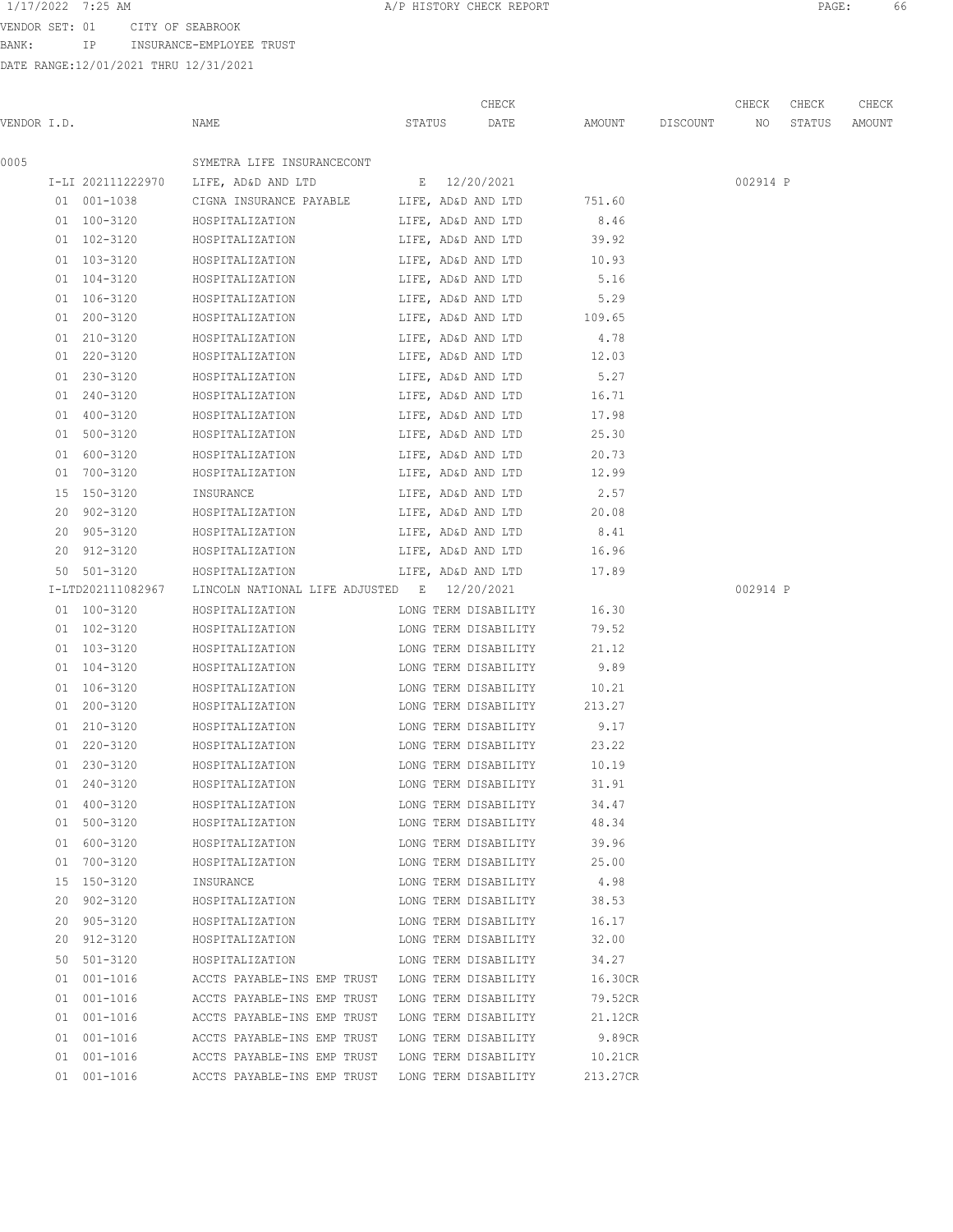BANK: IP INSURANCE-EMPLOYEE TRUST

DATE RANGE:12/01/2021 THRU 12/31/2021

| 0005<br>SYMETRA LIFE INSURANCECONT<br>I-LI 202111222970 LIFE, AD&D AND LTD E 12/20/2021<br>LIFE, AD&D AND LTD<br>751.60<br>01 001-1038<br>CIGNA INSURANCE PAYABLE<br>01 100-3120<br>8.46<br>HOSPITALIZATION<br>LIFE, AD&D AND LTD<br>01 102-3120<br>HOSPITALIZATION<br>LIFE, AD&D AND LTD<br>39.92<br>01 103-3120<br>LIFE, AD&D AND LTD 10.93<br>HOSPITALIZATION<br>5.16<br>01 104-3120<br>LIFE, AD&D AND LTD<br>HOSPITALIZATION<br>01 106-3120<br>HOSPITALIZATION LIFE, AD&D AND LTD 5.29<br>01 200-3120<br>HOSPITALIZATION LIFE, AD&D AND LTD 109.65<br>01 210-3120<br>HOSPITALIZATION LIFE, AD&D AND LTD 4.78<br>HOSPITALIZATION LIFE, AD&D AND LTD 12.03<br>01 220-3120<br>01 230-3120<br>5.27<br>HOSPITALIZATION<br>LIFE, AD&D AND LTD<br>LIFE, AD&D AND LTD 16.71<br>01 240-3120<br>HOSPITALIZATION<br>01 400-3120<br>LIFE, AD&D AND LTD<br>17.98<br>HOSPITALIZATION<br>LIFE, AD&D AND LTD<br>25.30<br>01 500-3120<br>HOSPITALIZATION<br>LIFE, AD&D AND LTD<br>01 600-3120<br>HOSPITALIZATION<br>20.73<br>01 700-3120<br>HOSPITALIZATION<br>LIFE, AD&D AND LTD<br>12.99 | 002914 P |
|-------------------------------------------------------------------------------------------------------------------------------------------------------------------------------------------------------------------------------------------------------------------------------------------------------------------------------------------------------------------------------------------------------------------------------------------------------------------------------------------------------------------------------------------------------------------------------------------------------------------------------------------------------------------------------------------------------------------------------------------------------------------------------------------------------------------------------------------------------------------------------------------------------------------------------------------------------------------------------------------------------------------------------------------------------------------------------|----------|
|                                                                                                                                                                                                                                                                                                                                                                                                                                                                                                                                                                                                                                                                                                                                                                                                                                                                                                                                                                                                                                                                               |          |
|                                                                                                                                                                                                                                                                                                                                                                                                                                                                                                                                                                                                                                                                                                                                                                                                                                                                                                                                                                                                                                                                               |          |
|                                                                                                                                                                                                                                                                                                                                                                                                                                                                                                                                                                                                                                                                                                                                                                                                                                                                                                                                                                                                                                                                               |          |
|                                                                                                                                                                                                                                                                                                                                                                                                                                                                                                                                                                                                                                                                                                                                                                                                                                                                                                                                                                                                                                                                               |          |
|                                                                                                                                                                                                                                                                                                                                                                                                                                                                                                                                                                                                                                                                                                                                                                                                                                                                                                                                                                                                                                                                               |          |
|                                                                                                                                                                                                                                                                                                                                                                                                                                                                                                                                                                                                                                                                                                                                                                                                                                                                                                                                                                                                                                                                               |          |
|                                                                                                                                                                                                                                                                                                                                                                                                                                                                                                                                                                                                                                                                                                                                                                                                                                                                                                                                                                                                                                                                               |          |
|                                                                                                                                                                                                                                                                                                                                                                                                                                                                                                                                                                                                                                                                                                                                                                                                                                                                                                                                                                                                                                                                               |          |
|                                                                                                                                                                                                                                                                                                                                                                                                                                                                                                                                                                                                                                                                                                                                                                                                                                                                                                                                                                                                                                                                               |          |
|                                                                                                                                                                                                                                                                                                                                                                                                                                                                                                                                                                                                                                                                                                                                                                                                                                                                                                                                                                                                                                                                               |          |
|                                                                                                                                                                                                                                                                                                                                                                                                                                                                                                                                                                                                                                                                                                                                                                                                                                                                                                                                                                                                                                                                               |          |
|                                                                                                                                                                                                                                                                                                                                                                                                                                                                                                                                                                                                                                                                                                                                                                                                                                                                                                                                                                                                                                                                               |          |
|                                                                                                                                                                                                                                                                                                                                                                                                                                                                                                                                                                                                                                                                                                                                                                                                                                                                                                                                                                                                                                                                               |          |
|                                                                                                                                                                                                                                                                                                                                                                                                                                                                                                                                                                                                                                                                                                                                                                                                                                                                                                                                                                                                                                                                               |          |
|                                                                                                                                                                                                                                                                                                                                                                                                                                                                                                                                                                                                                                                                                                                                                                                                                                                                                                                                                                                                                                                                               |          |
|                                                                                                                                                                                                                                                                                                                                                                                                                                                                                                                                                                                                                                                                                                                                                                                                                                                                                                                                                                                                                                                                               |          |
|                                                                                                                                                                                                                                                                                                                                                                                                                                                                                                                                                                                                                                                                                                                                                                                                                                                                                                                                                                                                                                                                               |          |
| 2.57<br>15 150-3120<br>INSURANCE<br>LIFE, AD&D AND LTD                                                                                                                                                                                                                                                                                                                                                                                                                                                                                                                                                                                                                                                                                                                                                                                                                                                                                                                                                                                                                        |          |
| LIFE, AD&D AND LTD 20.08<br>20 902-3120<br>HOSPITALIZATION                                                                                                                                                                                                                                                                                                                                                                                                                                                                                                                                                                                                                                                                                                                                                                                                                                                                                                                                                                                                                    |          |
| 20 905-3120<br>8.41<br>HOSPITALIZATION<br>LIFE, AD&D AND LTD                                                                                                                                                                                                                                                                                                                                                                                                                                                                                                                                                                                                                                                                                                                                                                                                                                                                                                                                                                                                                  |          |
| 20 912-3120<br>HOSPITALIZATION LIFE, AD&D AND LTD 16.96                                                                                                                                                                                                                                                                                                                                                                                                                                                                                                                                                                                                                                                                                                                                                                                                                                                                                                                                                                                                                       |          |
| 50 501-3120<br>HOSPITALIZATION LIFE, AD&D AND LTD 17.89                                                                                                                                                                                                                                                                                                                                                                                                                                                                                                                                                                                                                                                                                                                                                                                                                                                                                                                                                                                                                       |          |
| I-LTD202111082967<br>LINCOLN NATIONAL LIFE ADJUSTED E 12/20/2021                                                                                                                                                                                                                                                                                                                                                                                                                                                                                                                                                                                                                                                                                                                                                                                                                                                                                                                                                                                                              | 002914 P |
| HOSPITALIZATION LONG TERM DISABILITY 16.30<br>01 100-3120                                                                                                                                                                                                                                                                                                                                                                                                                                                                                                                                                                                                                                                                                                                                                                                                                                                                                                                                                                                                                     |          |
| HOSPITALIZATION LONG TERM DISABILITY<br>01 102-3120<br>79.52                                                                                                                                                                                                                                                                                                                                                                                                                                                                                                                                                                                                                                                                                                                                                                                                                                                                                                                                                                                                                  |          |
| LONG TERM DISABILITY<br>01 103-3120<br>21.12<br>HOSPITALIZATION                                                                                                                                                                                                                                                                                                                                                                                                                                                                                                                                                                                                                                                                                                                                                                                                                                                                                                                                                                                                               |          |
| LONG TERM DISABILITY<br>9.89<br>01 104-3120<br>HOSPITALIZATION                                                                                                                                                                                                                                                                                                                                                                                                                                                                                                                                                                                                                                                                                                                                                                                                                                                                                                                                                                                                                |          |
| LONG TERM DISABILITY<br>10.21<br>01 106-3120<br>HOSPITALIZATION                                                                                                                                                                                                                                                                                                                                                                                                                                                                                                                                                                                                                                                                                                                                                                                                                                                                                                                                                                                                               |          |
| LONG TERM DISABILITY<br>01 200-3120<br>HOSPITALIZATION<br>213.27                                                                                                                                                                                                                                                                                                                                                                                                                                                                                                                                                                                                                                                                                                                                                                                                                                                                                                                                                                                                              |          |
| 01 210-3120<br>LONG TERM DISABILITY<br>9.17<br>HOSPITALIZATION                                                                                                                                                                                                                                                                                                                                                                                                                                                                                                                                                                                                                                                                                                                                                                                                                                                                                                                                                                                                                |          |
| 01 220-3120<br>LONG TERM DISABILITY<br>23.22<br>HOSPITALIZATION                                                                                                                                                                                                                                                                                                                                                                                                                                                                                                                                                                                                                                                                                                                                                                                                                                                                                                                                                                                                               |          |
| 01 230-3120<br>10.19<br>HOSPITALIZATION<br>LONG TERM DISABILITY                                                                                                                                                                                                                                                                                                                                                                                                                                                                                                                                                                                                                                                                                                                                                                                                                                                                                                                                                                                                               |          |
| 240-3120<br>HOSPITALIZATION<br>LONG TERM DISABILITY<br>31.91<br>01                                                                                                                                                                                                                                                                                                                                                                                                                                                                                                                                                                                                                                                                                                                                                                                                                                                                                                                                                                                                            |          |
| 01 400-3120<br>HOSPITALIZATION<br>LONG TERM DISABILITY<br>34.47                                                                                                                                                                                                                                                                                                                                                                                                                                                                                                                                                                                                                                                                                                                                                                                                                                                                                                                                                                                                               |          |
| 01 500-3120<br>48.34<br>HOSPITALIZATION<br>LONG TERM DISABILITY                                                                                                                                                                                                                                                                                                                                                                                                                                                                                                                                                                                                                                                                                                                                                                                                                                                                                                                                                                                                               |          |
| 01 600-3120<br>LONG TERM DISABILITY<br>39.96<br>HOSPITALIZATION                                                                                                                                                                                                                                                                                                                                                                                                                                                                                                                                                                                                                                                                                                                                                                                                                                                                                                                                                                                                               |          |
| 25.00<br>01 700-3120<br>HOSPITALIZATION<br>LONG TERM DISABILITY                                                                                                                                                                                                                                                                                                                                                                                                                                                                                                                                                                                                                                                                                                                                                                                                                                                                                                                                                                                                               |          |
| 15 150-3120<br>4.98<br>INSURANCE<br>LONG TERM DISABILITY                                                                                                                                                                                                                                                                                                                                                                                                                                                                                                                                                                                                                                                                                                                                                                                                                                                                                                                                                                                                                      |          |
| 20 902-3120<br>HOSPITALIZATION<br>LONG TERM DISABILITY<br>38.53                                                                                                                                                                                                                                                                                                                                                                                                                                                                                                                                                                                                                                                                                                                                                                                                                                                                                                                                                                                                               |          |
| 16.17<br>20 905-3120<br>HOSPITALIZATION<br>LONG TERM DISABILITY                                                                                                                                                                                                                                                                                                                                                                                                                                                                                                                                                                                                                                                                                                                                                                                                                                                                                                                                                                                                               |          |
| 20 912-3120<br>LONG TERM DISABILITY<br>32.00<br>HOSPITALIZATION                                                                                                                                                                                                                                                                                                                                                                                                                                                                                                                                                                                                                                                                                                                                                                                                                                                                                                                                                                                                               |          |
| 50 501-3120<br>34.27<br>LONG TERM DISABILITY<br>HOSPITALIZATION                                                                                                                                                                                                                                                                                                                                                                                                                                                                                                                                                                                                                                                                                                                                                                                                                                                                                                                                                                                                               |          |
| 01 001-1016<br>16.30CR<br>ACCTS PAYABLE-INS EMP TRUST LONG TERM DISABILITY                                                                                                                                                                                                                                                                                                                                                                                                                                                                                                                                                                                                                                                                                                                                                                                                                                                                                                                                                                                                    |          |
| 01 001-1016<br>79.52CR<br>ACCTS PAYABLE-INS EMP TRUST<br>LONG TERM DISABILITY                                                                                                                                                                                                                                                                                                                                                                                                                                                                                                                                                                                                                                                                                                                                                                                                                                                                                                                                                                                                 |          |
| 01 001-1016<br>ACCTS PAYABLE-INS EMP TRUST<br>LONG TERM DISABILITY<br>21.12CR                                                                                                                                                                                                                                                                                                                                                                                                                                                                                                                                                                                                                                                                                                                                                                                                                                                                                                                                                                                                 |          |
| 9.89CR<br>01 001-1016<br>ACCTS PAYABLE-INS EMP TRUST<br>LONG TERM DISABILITY                                                                                                                                                                                                                                                                                                                                                                                                                                                                                                                                                                                                                                                                                                                                                                                                                                                                                                                                                                                                  |          |
| 01 001-1016<br>ACCTS PAYABLE-INS EMP TRUST<br>LONG TERM DISABILITY<br>10.21CR                                                                                                                                                                                                                                                                                                                                                                                                                                                                                                                                                                                                                                                                                                                                                                                                                                                                                                                                                                                                 |          |
| 01 001-1016<br>ACCTS PAYABLE-INS EMP TRUST<br>LONG TERM DISABILITY<br>213.27CR                                                                                                                                                                                                                                                                                                                                                                                                                                                                                                                                                                                                                                                                                                                                                                                                                                                                                                                                                                                                |          |

1/17/2022 7:25 AM **A/P HISTORY CHECK REPORT PAGE:** 66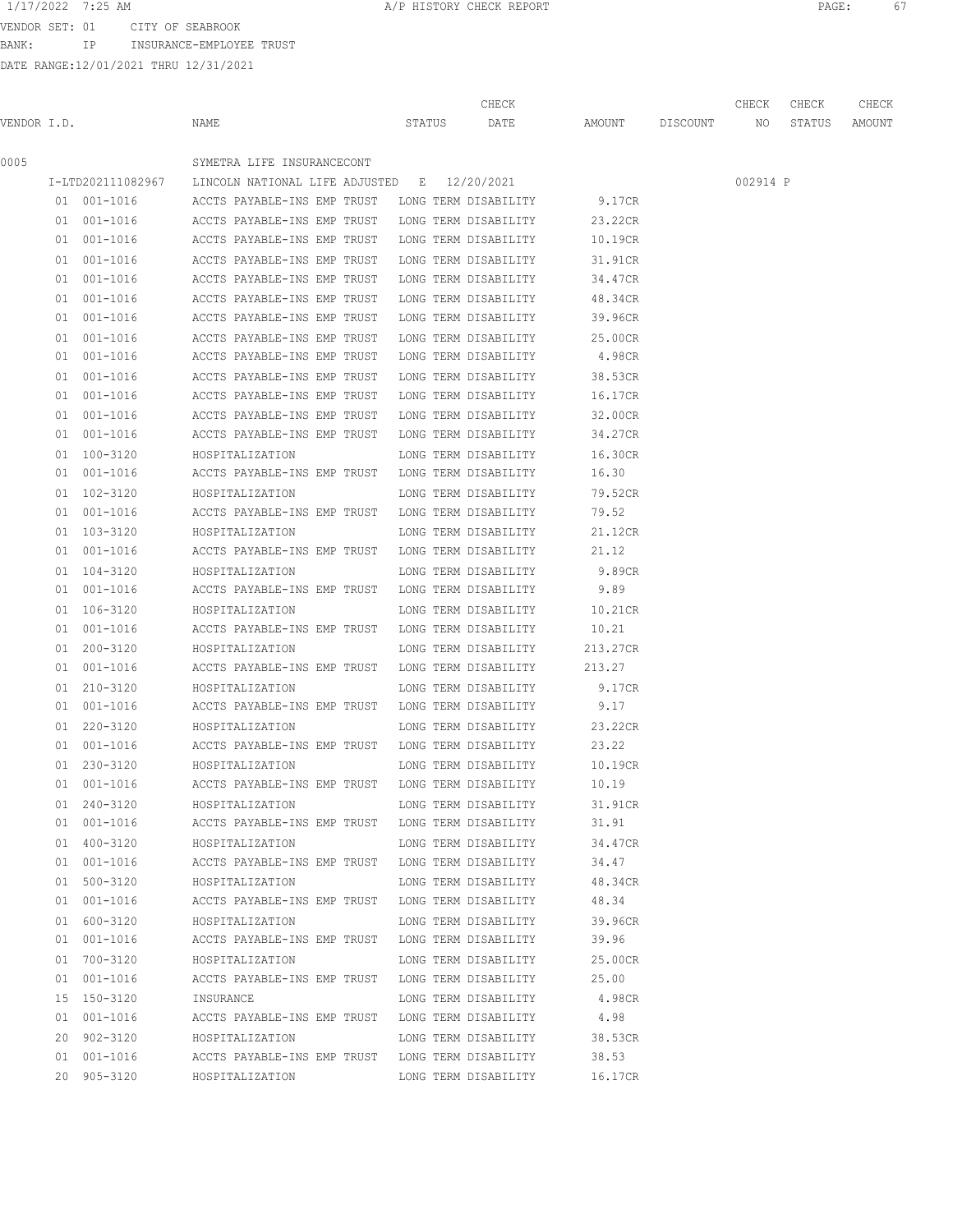VENDOR SET: 01 CITY OF SEABROOK

BANK: IP INSURANCE-EMPLOYEE TRUST

|             |             |                                                                      | CHECK                |                                              | CHECK    | CHECK | CHECK |
|-------------|-------------|----------------------------------------------------------------------|----------------------|----------------------------------------------|----------|-------|-------|
| VENDOR I.D. |             | NAME                                                                 |                      | STATUS DATE AMOUNT DISCOUNT NO STATUS AMOUNT |          |       |       |
| 0005        |             | SYMETRA LIFE INSURANCECONT                                           |                      |                                              |          |       |       |
|             |             | I-LTD202111082967 LINCOLN NATIONAL LIFE ADJUSTED E 12/20/2021        |                      |                                              | 002914 P |       |       |
|             | 01 001-1016 | ACCTS PAYABLE-INS EMP TRUST LONG TERM DISABILITY 9.17CR              |                      |                                              |          |       |       |
|             |             | 01 001-1016 ACCTS PAYABLE-INS EMP TRUST LONG TERM DISABILITY         |                      | 23.22CR                                      |          |       |       |
|             |             | 01 001-1016 ACCTS PAYABLE-INS EMP TRUST LONG TERM DISABILITY 10.19CR |                      |                                              |          |       |       |
|             | 01 001-1016 | ACCTS PAYABLE-INS EMP TRUST LONG TERM DISABILITY                     |                      | 31.91CR                                      |          |       |       |
|             | 01 001-1016 | ACCTS PAYABLE-INS EMP TRUST LONG TERM DISABILITY                     |                      | 34.47CR                                      |          |       |       |
|             | 01 001-1016 | ACCTS PAYABLE-INS EMP TRUST                                          | LONG TERM DISABILITY | 48.34CR                                      |          |       |       |
|             | 01 001-1016 | ACCTS PAYABLE-INS EMP TRUST                                          | LONG TERM DISABILITY | 39.96CR                                      |          |       |       |
|             | 01 001-1016 | ACCTS PAYABLE-INS EMP TRUST                                          | LONG TERM DISABILITY | 25.00CR                                      |          |       |       |
|             |             | 01 001-1016 ACCTS PAYABLE-INS EMP TRUST                              | LONG TERM DISABILITY | 4.98CR                                       |          |       |       |
|             | 01 001-1016 | ACCTS PAYABLE-INS EMP TRUST                                          | LONG TERM DISABILITY | 38.53CR                                      |          |       |       |
|             | 01 001-1016 | ACCTS PAYABLE-INS EMP TRUST                                          | LONG TERM DISABILITY | 16.17CR                                      |          |       |       |
|             | 01 001-1016 | ACCTS PAYABLE-INS EMP TRUST                                          | LONG TERM DISABILITY | 32.00CR                                      |          |       |       |
|             | 01 001-1016 | ACCTS PAYABLE-INS EMP TRUST LONG TERM DISABILITY                     |                      | 34.27CR                                      |          |       |       |
|             | 01 100-3120 | HOSPITALIZATION                                                      | LONG TERM DISABILITY | 16.30CR                                      |          |       |       |
|             | 01 001-1016 | ACCTS PAYABLE-INS EMP TRUST LONG TERM DISABILITY                     |                      | 16.30                                        |          |       |       |
|             | 01 102-3120 | HOSPITALIZATION                                                      | LONG TERM DISABILITY | 79.52CR                                      |          |       |       |
|             | 01 001-1016 | ACCTS PAYABLE-INS EMP TRUST LONG TERM DISABILITY                     |                      | 79.52                                        |          |       |       |
|             | 01 103-3120 | HOSPITALIZATION                                                      | LONG TERM DISABILITY | 21.12CR                                      |          |       |       |
|             | 01 001-1016 | ACCTS PAYABLE-INS EMP TRUST LONG TERM DISABILITY                     |                      | 21.12                                        |          |       |       |
|             | 01 104-3120 | HOSPITALIZATION                                                      | LONG TERM DISABILITY | 9.89CR                                       |          |       |       |
|             | 01 001-1016 | ACCTS PAYABLE-INS EMP TRUST LONG TERM DISABILITY                     |                      | 9.89                                         |          |       |       |
|             | 01 106-3120 | HOSPITALIZATION                                                      | LONG TERM DISABILITY | 10.21CR                                      |          |       |       |
|             | 01 001-1016 | ACCTS PAYABLE-INS EMP TRUST LONG TERM DISABILITY                     |                      | 10.21                                        |          |       |       |
|             | 01 200-3120 | HOSPITALIZATION                                                      | LONG TERM DISABILITY | 213.27CR                                     |          |       |       |
|             | 01 001-1016 | ACCTS PAYABLE-INS EMP TRUST LONG TERM DISABILITY                     |                      | 213.27                                       |          |       |       |
|             | 01 210-3120 | HOSPITALIZATION                                                      | LONG TERM DISABILITY | 9.17CR                                       |          |       |       |
|             | 01 001-1016 | ACCTS PAYABLE-INS EMP TRUST LONG TERM DISABILITY                     |                      | 9.17                                         |          |       |       |
|             | 01 220-3120 | HOSPITALIZATION                                                      | LONG TERM DISABILITY | 23.22CR                                      |          |       |       |
|             | 01 001-1016 | ACCTS PAYABLE-INS EMP TRUST LONG TERM DISABILITY                     |                      | 23.22                                        |          |       |       |
|             | 01 230-3120 | HOSPITALIZATION                                                      | LONG TERM DISABILITY | 10.19CR                                      |          |       |       |
|             | 01 001-1016 | ACCTS PAYABLE-INS EMP TRUST LONG TERM DISABILITY 10.19               |                      |                                              |          |       |       |
|             | 01 240-3120 | HOSPITALIZATION                                                      | LONG TERM DISABILITY | 31.91CR                                      |          |       |       |
|             | 01 001-1016 | ACCTS PAYABLE-INS EMP TRUST LONG TERM DISABILITY                     |                      | 31.91                                        |          |       |       |
|             | 01 400-3120 | HOSPITALIZATION                                                      | LONG TERM DISABILITY | 34.47CR                                      |          |       |       |
|             | 01 001-1016 | ACCTS PAYABLE-INS EMP TRUST LONG TERM DISABILITY                     |                      | 34.47                                        |          |       |       |
|             | 01 500-3120 | HOSPITALIZATION                                                      | LONG TERM DISABILITY | 48.34CR                                      |          |       |       |
|             | 01 001-1016 | ACCTS PAYABLE-INS EMP TRUST LONG TERM DISABILITY                     |                      | 48.34                                        |          |       |       |
|             | 01 600-3120 | HOSPITALIZATION                                                      | LONG TERM DISABILITY | 39.96CR                                      |          |       |       |
|             | 01 001-1016 | ACCTS PAYABLE-INS EMP TRUST LONG TERM DISABILITY 39.96               |                      |                                              |          |       |       |
|             | 01 700-3120 | HOSPITALIZATION LONG TERM DISABILITY                                 |                      | 25.00CR                                      |          |       |       |
|             | 01 001-1016 | ACCTS PAYABLE-INS EMP TRUST LONG TERM DISABILITY                     |                      | 25.00                                        |          |       |       |
|             | 15 150-3120 | INSURANCE                                                            |                      | LONG TERM DISABILITY 4.98CR                  |          |       |       |
|             | 01 001-1016 | ACCTS PAYABLE-INS EMP TRUST LONG TERM DISABILITY 4.98                |                      |                                              |          |       |       |
|             | 20 902-3120 | HOSPITALIZATION                                                      | LONG TERM DISABILITY | 38.53CR                                      |          |       |       |
|             | 01 001-1016 | ACCTS PAYABLE-INS EMP TRUST LONG TERM DISABILITY                     |                      | 38.53                                        |          |       |       |
|             | 20 905-3120 | HOSPITALIZATION                                                      | LONG TERM DISABILITY | 16.17CR                                      |          |       |       |
|             |             |                                                                      |                      |                                              |          |       |       |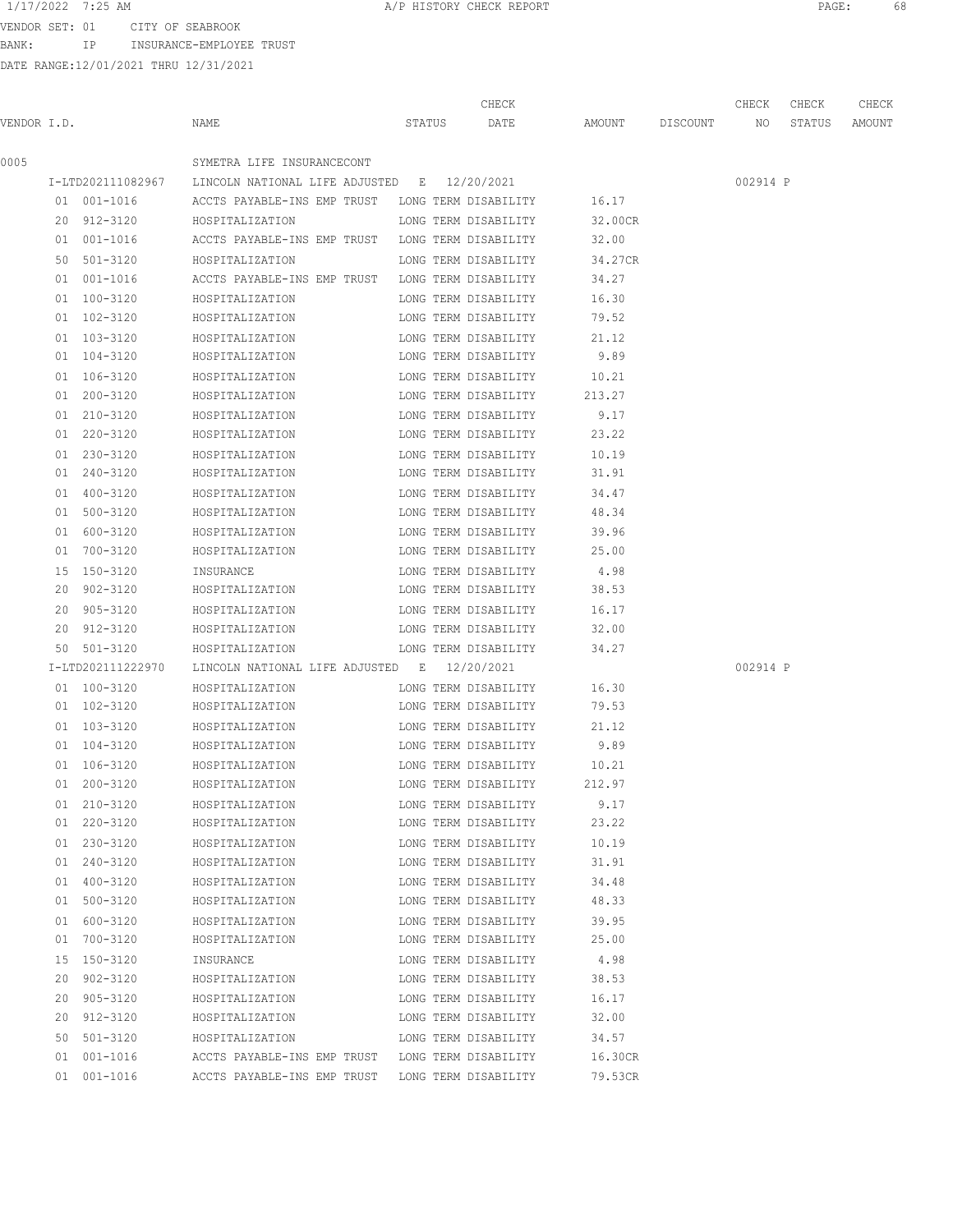VENDOR SET: 01 CITY OF SEABROOK

BANK: IP INSURANCE-EMPLOYEE TRUST

|             |                            |                                                               |  |        | CHECK                |                    | CHECK    | CHECK  | CHECK  |
|-------------|----------------------------|---------------------------------------------------------------|--|--------|----------------------|--------------------|----------|--------|--------|
| VENDOR I.D. |                            | NAME                                                          |  | STATUS | DATE                 | AMOUNT DISCOUNT NO |          | STATUS | AMOUNT |
| 0005        |                            | SYMETRA LIFE INSURANCECONT                                    |  |        |                      |                    |          |        |        |
|             |                            | I-LTD202111082967 LINCOLN NATIONAL LIFE ADJUSTED E 12/20/2021 |  |        |                      |                    | 002914 P |        |        |
|             | 01 001-1016                | ACCTS PAYABLE-INS EMP TRUST LONG TERM DISABILITY 16.17        |  |        |                      |                    |          |        |        |
|             | 20 912-3120                | HOSPITALIZATION                                               |  |        | LONG TERM DISABILITY | 32.00CR            |          |        |        |
|             | 01 001-1016                | ACCTS PAYABLE-INS EMP TRUST LONG TERM DISABILITY              |  |        |                      | 32.00              |          |        |        |
|             | 50 501-3120                | HOSPITALIZATION                                               |  |        | LONG TERM DISABILITY | 34.27CR            |          |        |        |
|             | 01 001-1016                | ACCTS PAYABLE-INS EMP TRUST LONG TERM DISABILITY              |  |        |                      | 34.27              |          |        |        |
|             | 01 100-3120                | HOSPITALIZATION                                               |  |        | LONG TERM DISABILITY | 16.30              |          |        |        |
|             | 01 102-3120                | HOSPITALIZATION                                               |  |        | LONG TERM DISABILITY | 79.52              |          |        |        |
|             | 01 103-3120                | HOSPITALIZATION                                               |  |        | LONG TERM DISABILITY | 21.12              |          |        |        |
|             | 01 104-3120                | HOSPITALIZATION                                               |  |        | LONG TERM DISABILITY | 9.89               |          |        |        |
|             | 01 106-3120                | HOSPITALIZATION                                               |  |        | LONG TERM DISABILITY | 10.21              |          |        |        |
|             | 01 200-3120                | HOSPITALIZATION                                               |  |        | LONG TERM DISABILITY | 213.27             |          |        |        |
|             | 01 210-3120                | HOSPITALIZATION                                               |  |        | LONG TERM DISABILITY | 9.17               |          |        |        |
|             | 01 220-3120                | HOSPITALIZATION                                               |  |        | LONG TERM DISABILITY | 23.22              |          |        |        |
|             | 01 230-3120                | HOSPITALIZATION                                               |  |        | LONG TERM DISABILITY | 10.19              |          |        |        |
|             | 01 240-3120                | HOSPITALIZATION                                               |  |        | LONG TERM DISABILITY | 31.91              |          |        |        |
|             | 01 400-3120                | HOSPITALIZATION                                               |  |        | LONG TERM DISABILITY | 34.47              |          |        |        |
|             | 01 500-3120                | HOSPITALIZATION                                               |  |        | LONG TERM DISABILITY | 48.34              |          |        |        |
|             | 01 600-3120                | HOSPITALIZATION                                               |  |        | LONG TERM DISABILITY | 39.96              |          |        |        |
|             | 01 700-3120                | HOSPITALIZATION                                               |  |        | LONG TERM DISABILITY | 25.00              |          |        |        |
|             | 15 150-3120                | INSURANCE                                                     |  |        | LONG TERM DISABILITY | 4.98               |          |        |        |
|             | 20 902-3120                | HOSPITALIZATION                                               |  |        | LONG TERM DISABILITY | 38.53              |          |        |        |
|             | 20 905-3120                | HOSPITALIZATION                                               |  |        | LONG TERM DISABILITY | 16.17              |          |        |        |
|             | 20 912-3120                | HOSPITALIZATION                                               |  |        | LONG TERM DISABILITY | 32.00              |          |        |        |
|             | 50 501-3120                | HOSPITALIZATION                                               |  |        | LONG TERM DISABILITY | 34.27              |          |        |        |
|             | I-LTD202111222970          | LINCOLN NATIONAL LIFE ADJUSTED E 12/20/2021                   |  |        |                      |                    | 002914 P |        |        |
|             | 01 100-3120                | HOSPITALIZATION                                               |  |        | LONG TERM DISABILITY | 16.30              |          |        |        |
|             | 01 102-3120                | HOSPITALIZATION                                               |  |        | LONG TERM DISABILITY | 79.53              |          |        |        |
|             | 01 103-3120                | HOSPITALIZATION                                               |  |        | LONG TERM DISABILITY | 21.12              |          |        |        |
|             | 01 104-3120                | HOSPITALIZATION                                               |  |        | LONG TERM DISABILITY | 9.89               |          |        |        |
|             | 01 106-3120                | HOSPITALIZATION                                               |  |        | LONG TERM DISABILITY | 10.21              |          |        |        |
|             | 01 200-3120                | HOSPITALIZATION                                               |  |        | LONG TERM DISABILITY | 212.97             |          |        |        |
|             | 01 210-3120                | HOSPITALIZATION                                               |  |        | LONG TERM DISABILITY | 9.17               |          |        |        |
|             | 01 220-3120                | HOSPITALIZATION                                               |  |        | LONG TERM DISABILITY | 23.22              |          |        |        |
|             | 01 230-3120                | HOSPITALIZATION                                               |  |        | LONG TERM DISABILITY | 10.19              |          |        |        |
|             | 01 240-3120                | HOSPITALIZATION                                               |  |        | LONG TERM DISABILITY | 31.91              |          |        |        |
|             |                            | HOSPITALIZATION LONG TERM DISABILITY                          |  |        |                      | 34.48              |          |        |        |
|             | 01 400-3120<br>01 500-3120 | HOSPITALIZATION LONG TERM DISABILITY 48.33                    |  |        |                      |                    |          |        |        |
|             |                            |                                                               |  |        |                      |                    |          |        |        |
|             | 01 600-3120                | HOSPITALIZATION LONG TERM DISABILITY                          |  |        |                      | 39.95              |          |        |        |
|             | 01 700-3120                | HOSPITALIZATION                                               |  |        | LONG TERM DISABILITY | 25.00              |          |        |        |
|             | 15 150-3120                | INSURANCE                                                     |  |        | LONG TERM DISABILITY | 4.98               |          |        |        |
|             | 20 902-3120                | HOSPITALIZATION                                               |  |        | LONG TERM DISABILITY | 38.53              |          |        |        |
|             | 20 905-3120                | HOSPITALIZATION                                               |  |        | LONG TERM DISABILITY | 16.17              |          |        |        |
|             | 20 912-3120                | HOSPITALIZATION                                               |  |        | LONG TERM DISABILITY | 32.00              |          |        |        |
|             | 50 501-3120                | HOSPITALIZATION                                               |  |        | LONG TERM DISABILITY | 34.57              |          |        |        |
|             | 01 001-1016                | ACCTS PAYABLE-INS EMP TRUST LONG TERM DISABILITY              |  |        |                      | 16.30CR            |          |        |        |
|             | 01 001-1016                | ACCTS PAYABLE-INS EMP TRUST LONG TERM DISABILITY              |  |        |                      | 79.53CR            |          |        |        |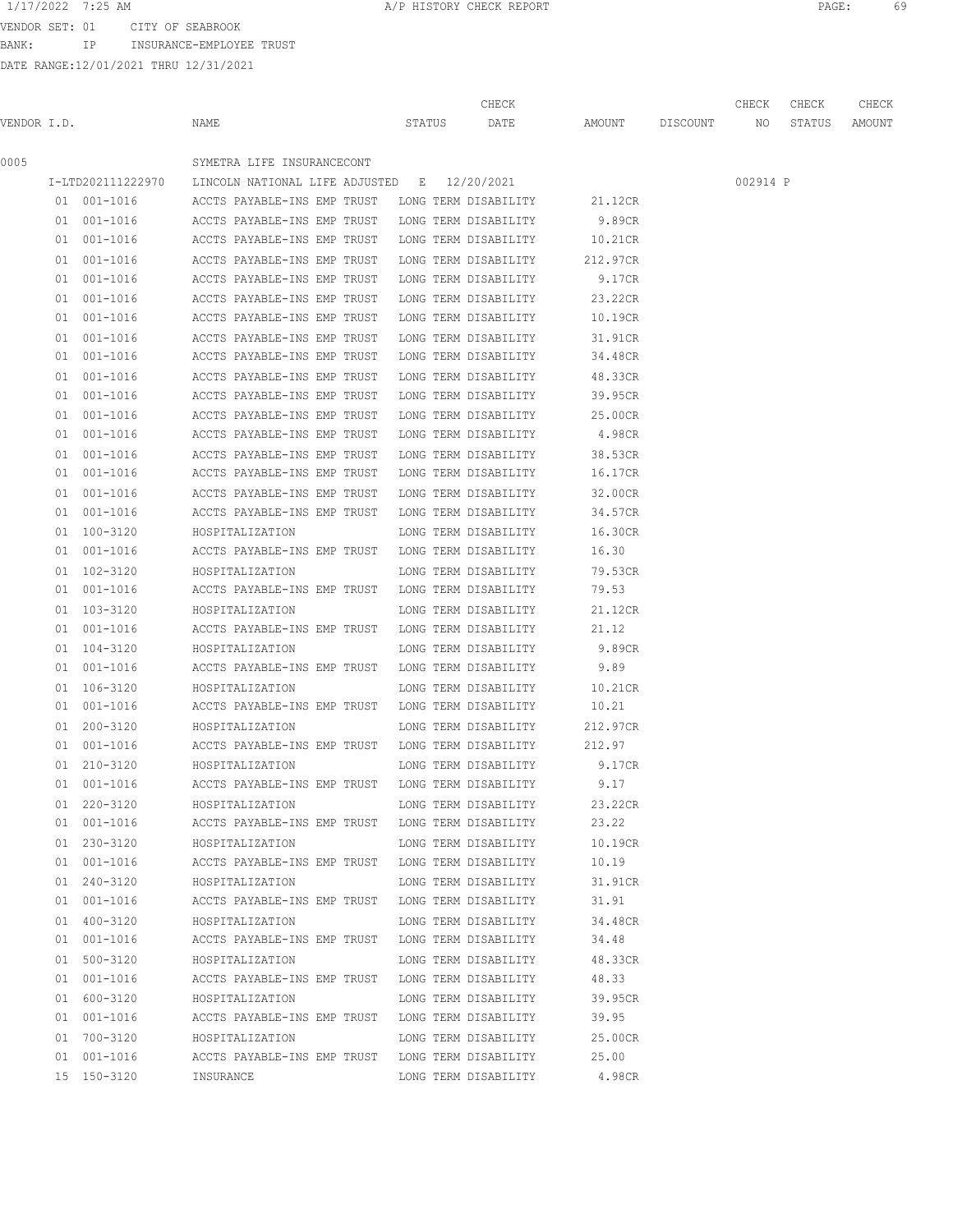VENDOR SET: 01 CITY OF SEABROOK BANK: IP INSURANCE-EMPLOYEE TRUST

|             |    |                   |                                                  |        | CHECK                                        |          |          | CHECK    | CHECK  | CHECK  |
|-------------|----|-------------------|--------------------------------------------------|--------|----------------------------------------------|----------|----------|----------|--------|--------|
| VENDOR I.D. |    |                   | NAME                                             | STATUS | DATE                                         | AMOUNT   | DISCOUNT | NO       | STATUS | AMOUNT |
| 0005        |    |                   | SYMETRA LIFE INSURANCECONT                       |        |                                              |          |          |          |        |        |
|             |    | I-LTD202111222970 | LINCOLN NATIONAL LIFE ADJUSTED B 12/20/2021      |        |                                              |          |          | 002914 P |        |        |
|             |    | 01 001-1016       | ACCTS PAYABLE-INS EMP TRUST                      |        | LONG TERM DISABILITY                         | 21.12CR  |          |          |        |        |
|             |    | 01 001-1016       | ACCTS PAYABLE-INS EMP TRUST                      |        | LONG TERM DISABILITY                         | 9.89CR   |          |          |        |        |
|             |    | 01 001-1016       | ACCTS PAYABLE-INS EMP TRUST                      |        | LONG TERM DISABILITY                         | 10.21CR  |          |          |        |        |
|             |    | 01 001-1016       | ACCTS PAYABLE-INS EMP TRUST                      |        | LONG TERM DISABILITY                         | 212.97CR |          |          |        |        |
|             |    | 01 001-1016       | ACCTS PAYABLE-INS EMP TRUST                      |        | LONG TERM DISABILITY                         | 9.17CR   |          |          |        |        |
|             | 01 | 001-1016          | ACCTS PAYABLE-INS EMP TRUST                      |        | LONG TERM DISABILITY                         | 23.22CR  |          |          |        |        |
|             | 01 | 001-1016          | ACCTS PAYABLE-INS EMP TRUST                      |        | LONG TERM DISABILITY                         | 10.19CR  |          |          |        |        |
|             | 01 | 001-1016          | ACCTS PAYABLE-INS EMP TRUST                      |        | LONG TERM DISABILITY                         | 31.91CR  |          |          |        |        |
|             | 01 | 001-1016          | ACCTS PAYABLE-INS EMP TRUST                      |        | LONG TERM DISABILITY                         | 34.48CR  |          |          |        |        |
|             |    | 01 001-1016       | ACCTS PAYABLE-INS EMP TRUST                      |        | LONG TERM DISABILITY                         | 48.33CR  |          |          |        |        |
|             |    | 01 001-1016       | ACCTS PAYABLE-INS EMP TRUST                      |        | LONG TERM DISABILITY                         | 39.95CR  |          |          |        |        |
|             |    | 01 001-1016       | ACCTS PAYABLE-INS EMP TRUST                      |        | LONG TERM DISABILITY                         | 25.00CR  |          |          |        |        |
|             |    | 01 001-1016       | ACCTS PAYABLE-INS EMP TRUST                      |        | LONG TERM DISABILITY                         | 4.98CR   |          |          |        |        |
|             |    | 01 001-1016       | ACCTS PAYABLE-INS EMP TRUST                      |        | LONG TERM DISABILITY                         | 38.53CR  |          |          |        |        |
|             |    | 01 001-1016       | ACCTS PAYABLE-INS EMP TRUST                      |        | LONG TERM DISABILITY                         | 16.17CR  |          |          |        |        |
|             |    |                   | ACCTS PAYABLE-INS EMP TRUST                      |        |                                              |          |          |          |        |        |
|             |    | 01 001-1016       |                                                  |        | LONG TERM DISABILITY<br>LONG TERM DISABILITY | 32.00CR  |          |          |        |        |
|             |    | 01 001-1016       | ACCTS PAYABLE-INS EMP TRUST                      |        |                                              | 34.57CR  |          |          |        |        |
|             |    | 01 100-3120       | HOSPITALIZATION                                  |        | LONG TERM DISABILITY                         | 16.30CR  |          |          |        |        |
|             |    | 01 001-1016       | ACCTS PAYABLE-INS EMP TRUST                      |        | LONG TERM DISABILITY                         | 16.30    |          |          |        |        |
|             |    | 01 102-3120       | HOSPITALIZATION                                  |        | LONG TERM DISABILITY                         | 79.53CR  |          |          |        |        |
|             |    | 01 001-1016       | ACCTS PAYABLE-INS EMP TRUST                      |        | LONG TERM DISABILITY                         | 79.53    |          |          |        |        |
|             |    | 01 103-3120       | HOSPITALIZATION                                  |        | LONG TERM DISABILITY                         | 21.12CR  |          |          |        |        |
|             |    | 01 001-1016       | ACCTS PAYABLE-INS EMP TRUST                      |        | LONG TERM DISABILITY                         | 21.12    |          |          |        |        |
|             |    | 01 104-3120       | HOSPITALIZATION                                  |        | LONG TERM DISABILITY                         | 9.89CR   |          |          |        |        |
|             |    | 01 001-1016       | ACCTS PAYABLE-INS EMP TRUST                      |        | LONG TERM DISABILITY                         | 9.89     |          |          |        |        |
|             |    | 01 106-3120       | HOSPITALIZATION                                  |        | LONG TERM DISABILITY                         | 10.21CR  |          |          |        |        |
|             |    | 01 001-1016       | ACCTS PAYABLE-INS EMP TRUST                      |        | LONG TERM DISABILITY                         | 10.21    |          |          |        |        |
|             |    | 01 200-3120       | HOSPITALIZATION                                  |        | LONG TERM DISABILITY                         | 212.97CR |          |          |        |        |
|             |    | 01 001-1016       | ACCTS PAYABLE-INS EMP TRUST LONG TERM DISABILITY |        |                                              | 212.97   |          |          |        |        |
|             |    | 01 210-3120       | HOSPITALIZATION                                  |        | LONG TERM DISABILITY                         | 9.17CR   |          |          |        |        |
|             |    | 01 001-1016       | ACCTS PAYABLE-INS EMP TRUST                      |        | LONG TERM DISABILITY                         | 9.17     |          |          |        |        |
|             |    | 01 220-3120       | HOSPITALIZATION                                  |        | LONG TERM DISABILITY                         | 23.22CR  |          |          |        |        |
|             |    | 01 001-1016       | ACCTS PAYABLE-INS EMP TRUST LONG TERM DISABILITY |        |                                              | 23.22    |          |          |        |        |
|             |    | 01 230-3120       | HOSPITALIZATION                                  |        | LONG TERM DISABILITY                         | 10.19CR  |          |          |        |        |
|             |    | 01 001-1016       | ACCTS PAYABLE-INS EMP TRUST LONG TERM DISABILITY |        |                                              | 10.19    |          |          |        |        |
|             |    | 01 240-3120       | HOSPITALIZATION                                  |        | LONG TERM DISABILITY                         | 31.91CR  |          |          |        |        |
|             |    | 01 001-1016       | ACCTS PAYABLE-INS EMP TRUST LONG TERM DISABILITY |        |                                              | 31.91    |          |          |        |        |
|             |    | 01 400-3120       | HOSPITALIZATION                                  |        | LONG TERM DISABILITY                         | 34.48CR  |          |          |        |        |
|             |    | 01 001-1016       | ACCTS PAYABLE-INS EMP TRUST LONG TERM DISABILITY |        |                                              | 34.48    |          |          |        |        |
|             |    | 01 500-3120       | HOSPITALIZATION                                  |        | LONG TERM DISABILITY                         | 48.33CR  |          |          |        |        |
|             |    | 01 001-1016       | ACCTS PAYABLE-INS EMP TRUST LONG TERM DISABILITY |        |                                              | 48.33    |          |          |        |        |
|             |    | 01 600-3120       | HOSPITALIZATION                                  |        | LONG TERM DISABILITY                         | 39.95CR  |          |          |        |        |
|             |    | 01 001-1016       | ACCTS PAYABLE-INS EMP TRUST LONG TERM DISABILITY |        |                                              | 39.95    |          |          |        |        |
|             |    | 01 700-3120       | HOSPITALIZATION                                  |        | LONG TERM DISABILITY                         | 25.00CR  |          |          |        |        |
|             |    | 01 001-1016       | ACCTS PAYABLE-INS EMP TRUST LONG TERM DISABILITY |        |                                              | 25.00    |          |          |        |        |
|             |    | 15 150-3120       | INSURANCE                                        |        | LONG TERM DISABILITY                         | 4.98CR   |          |          |        |        |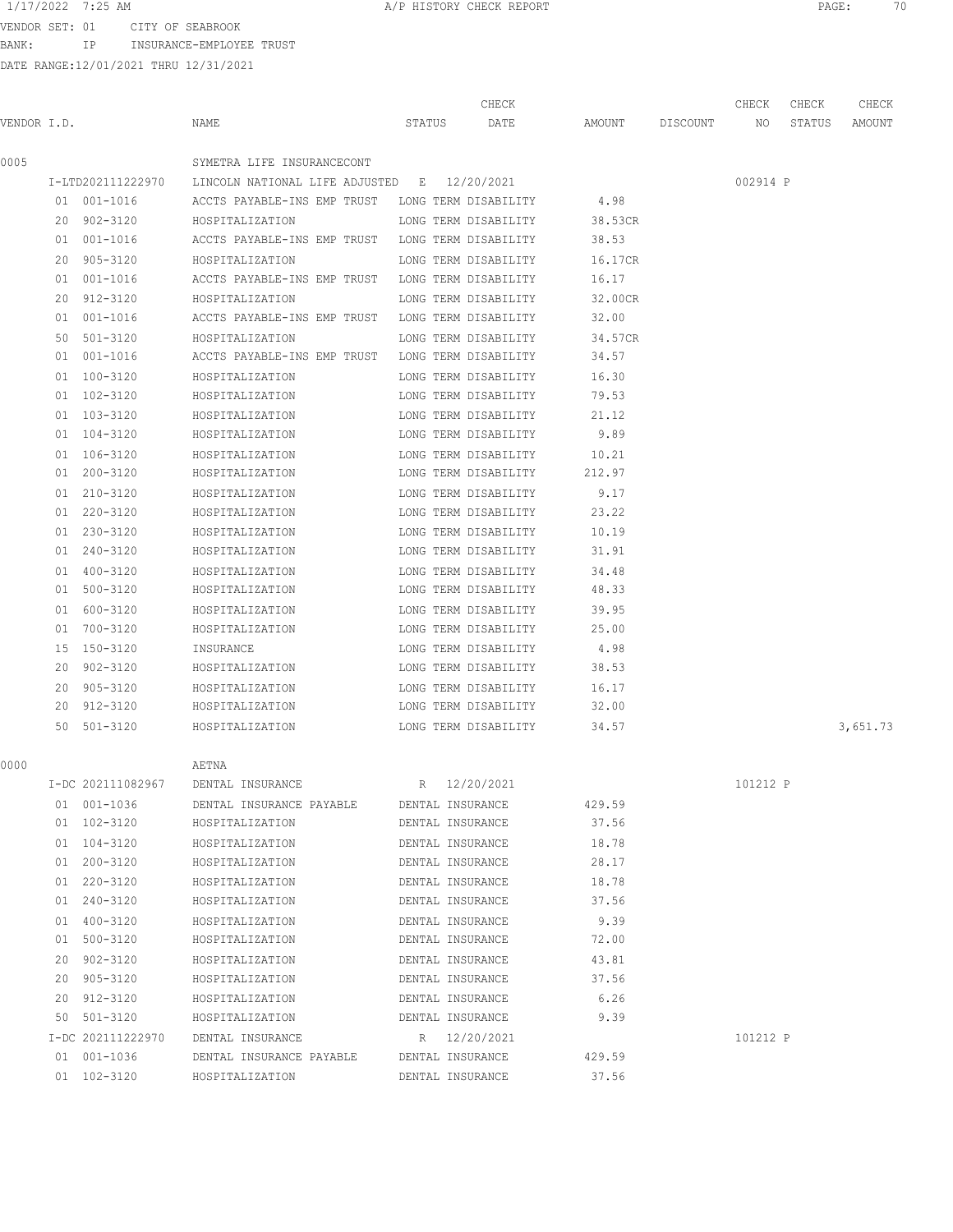VENDOR SET: 01 CITY OF SEABROOK

BANK: IP INSURANCE-EMPLOYEE TRUST

|             |                   |                                                               |                  |                  | CHECK                |                    | CHECK    | CHECK  | CHECK    |
|-------------|-------------------|---------------------------------------------------------------|------------------|------------------|----------------------|--------------------|----------|--------|----------|
| VENDOR I.D. |                   | NAME                                                          | STATUS           |                  | DATE                 | AMOUNT DISCOUNT NO |          | STATUS | AMOUNT   |
| 0005        |                   | SYMETRA LIFE INSURANCECONT                                    |                  |                  |                      |                    |          |        |          |
|             |                   | I-LTD202111222970 LINCOLN NATIONAL LIFE ADJUSTED E 12/20/2021 |                  |                  |                      |                    | 002914 P |        |          |
|             | 01 001-1016       | ACCTS PAYABLE-INS EMP TRUST LONG TERM DISABILITY 4.98         |                  |                  |                      |                    |          |        |          |
|             | 20 902-3120       | HOSPITALIZATION                                               |                  |                  | LONG TERM DISABILITY | 38.53CR            |          |        |          |
|             | 01 001-1016       | ACCTS PAYABLE-INS EMP TRUST LONG TERM DISABILITY              |                  |                  |                      | 38.53              |          |        |          |
|             | 20 905-3120       | HOSPITALIZATION                                               |                  |                  | LONG TERM DISABILITY | 16.17CR            |          |        |          |
|             | 01 001-1016       | ACCTS PAYABLE-INS EMP TRUST LONG TERM DISABILITY              |                  |                  |                      | 16.17              |          |        |          |
|             | 20 912-3120       | HOSPITALIZATION                                               |                  |                  | LONG TERM DISABILITY | 32.00CR            |          |        |          |
|             | 01 001-1016       | ACCTS PAYABLE-INS EMP TRUST LONG TERM DISABILITY              |                  |                  |                      | 32.00              |          |        |          |
|             | 50 501-3120       | HOSPITALIZATION                                               |                  |                  | LONG TERM DISABILITY | 34.57CR            |          |        |          |
|             | 01 001-1016       | ACCTS PAYABLE-INS EMP TRUST LONG TERM DISABILITY              |                  |                  |                      | 34.57              |          |        |          |
|             | 01 100-3120       | HOSPITALIZATION                                               |                  |                  | LONG TERM DISABILITY | 16.30              |          |        |          |
|             | 01 102-3120       | HOSPITALIZATION                                               |                  |                  | LONG TERM DISABILITY | 79.53              |          |        |          |
|             | 01 103-3120       | HOSPITALIZATION                                               |                  |                  | LONG TERM DISABILITY | 21.12              |          |        |          |
|             | 01 104-3120       | HOSPITALIZATION                                               |                  |                  | LONG TERM DISABILITY | 9.89               |          |        |          |
|             | 01 106-3120       | HOSPITALIZATION                                               |                  |                  | LONG TERM DISABILITY | 10.21              |          |        |          |
|             | 01 200-3120       | HOSPITALIZATION                                               |                  |                  | LONG TERM DISABILITY | 212.97             |          |        |          |
|             | 01 210-3120       | HOSPITALIZATION                                               |                  |                  | LONG TERM DISABILITY | 9.17               |          |        |          |
|             | 01 220-3120       | HOSPITALIZATION                                               |                  |                  | LONG TERM DISABILITY | 23.22              |          |        |          |
|             | 01 230-3120       | HOSPITALIZATION                                               |                  |                  | LONG TERM DISABILITY | 10.19              |          |        |          |
|             | 01 240-3120       | HOSPITALIZATION                                               |                  |                  | LONG TERM DISABILITY | 31.91              |          |        |          |
|             | 01 400-3120       | HOSPITALIZATION                                               |                  |                  | LONG TERM DISABILITY | 34.48              |          |        |          |
|             | 01 500-3120       | HOSPITALIZATION                                               |                  |                  | LONG TERM DISABILITY | 48.33              |          |        |          |
|             | 01 600-3120       | HOSPITALIZATION                                               |                  |                  | LONG TERM DISABILITY | 39.95              |          |        |          |
|             | 01 700-3120       | HOSPITALIZATION                                               |                  |                  | LONG TERM DISABILITY | 25.00              |          |        |          |
|             | 15 150-3120       | INSURANCE                                                     |                  |                  | LONG TERM DISABILITY | 4.98               |          |        |          |
|             | 20 902-3120       | HOSPITALIZATION                                               |                  |                  | LONG TERM DISABILITY | 38.53              |          |        |          |
|             | 20 905-3120       | HOSPITALIZATION                                               |                  |                  | LONG TERM DISABILITY | 16.17              |          |        |          |
|             | 20 912-3120       | HOSPITALIZATION                                               |                  |                  | LONG TERM DISABILITY | 32.00              |          |        |          |
|             | 50 501-3120       | HOSPITALIZATION                                               |                  |                  | LONG TERM DISABILITY | 34.57              |          |        | 3,651.73 |
| 0000        |                   | AETNA                                                         |                  |                  |                      |                    |          |        |          |
|             |                   | I-DC 202111082967 DENTAL INSURANCE                            | R 12/20/2021     |                  |                      |                    | 101212 P |        |          |
|             | 01 001-1036       | DENTAL INSURANCE PAYABLE DENTAL INSURANCE                     |                  |                  |                      | 429.59             |          |        |          |
|             | 01 102-3120       | HOSPITALIZATION                                               |                  |                  | DENTAL INSURANCE     | 37.56              |          |        |          |
|             | 01 104-3120       | HOSPITALIZATION                                               |                  |                  | DENTAL INSURANCE     | 18.78              |          |        |          |
|             | 01 200-3120       | HOSPITALIZATION                                               |                  |                  | DENTAL INSURANCE     | 28.17              |          |        |          |
|             | 01 220-3120       | HOSPITALIZATION                                               | DENTAL INSURANCE |                  |                      | 18.78              |          |        |          |
|             | 01 240-3120       | HOSPITALIZATION                                               | DENTAL INSURANCE |                  |                      | 37.56              |          |        |          |
|             | 01 400-3120       | HOSPITALIZATION DENTAL INSURANCE                              |                  |                  |                      | 9.39               |          |        |          |
|             | 01 500-3120       | HOSPITALIZATION DENTAL INSURANCE 72.00                        |                  |                  |                      |                    |          |        |          |
|             | 20 902-3120       | HOSPITALIZATION DENTAL INSURANCE                              |                  |                  |                      | 43.81              |          |        |          |
|             | 20 905-3120       | HOSPITALIZATION                                               | DENTAL INSURANCE |                  |                      | 37.56              |          |        |          |
|             | 20 912-3120       | HOSPITALIZATION                                               | DENTAL INSURANCE |                  |                      | 6.26               |          |        |          |
|             | 50 501-3120       | HOSPITALIZATION                                               |                  | DENTAL INSURANCE |                      | 9.39               |          |        |          |
|             | I-DC 202111222970 | DENTAL INSURANCE                                              |                  | R 12/20/2021     |                      |                    | 101212 P |        |          |
|             | 01 001-1036       | DENTAL INSURANCE PAYABLE DENTAL INSURANCE                     |                  |                  |                      | 429.59             |          |        |          |
|             | 01 102-3120       | HOSPITALIZATION                                               |                  | DENTAL INSURANCE |                      | 37.56              |          |        |          |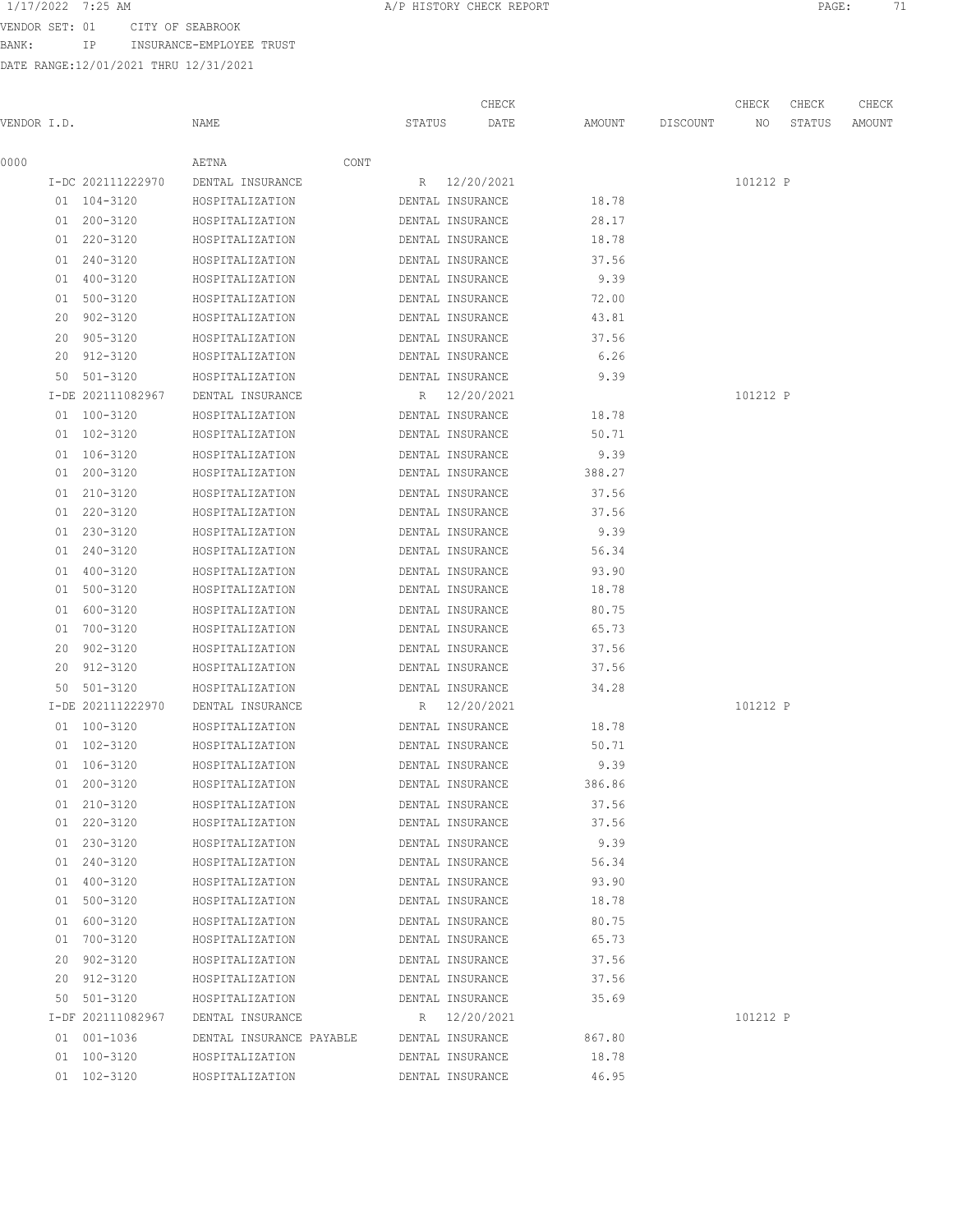BANK: IP INSURANCE-EMPLOYEE TRUST

| 1/17/2022 7:25 AM |                  | A/P HISTORY CHECK REPORT | PAGE |  |
|-------------------|------------------|--------------------------|------|--|
| VENDOR SET: 01    | CITY OF SEARROOK |                          |      |  |

|             |    |                   |                          |        | CHECK            |        |          | CHECK    | CHECK  | CHECK  |
|-------------|----|-------------------|--------------------------|--------|------------------|--------|----------|----------|--------|--------|
| VENDOR I.D. |    |                   | NAME                     | STATUS | DATE             | AMOUNT | DISCOUNT | NO       | STATUS | AMOUNT |
| 0000        |    |                   | AETNA                    | CONT   |                  |        |          |          |        |        |
|             |    | I-DC 202111222970 | DENTAL INSURANCE         |        | R 12/20/2021     |        |          | 101212 P |        |        |
|             |    | 01 104-3120       | HOSPITALIZATION          |        | DENTAL INSURANCE | 18.78  |          |          |        |        |
|             |    | 01 200-3120       | HOSPITALIZATION          |        | DENTAL INSURANCE | 28.17  |          |          |        |        |
|             |    | 01 220-3120       | HOSPITALIZATION          |        | DENTAL INSURANCE | 18.78  |          |          |        |        |
|             |    | 01 240-3120       | HOSPITALIZATION          |        | DENTAL INSURANCE | 37.56  |          |          |        |        |
|             |    | 01 400-3120       | HOSPITALIZATION          |        | DENTAL INSURANCE | 9.39   |          |          |        |        |
|             |    | 01 500-3120       | HOSPITALIZATION          |        | DENTAL INSURANCE | 72.00  |          |          |        |        |
|             |    | 20 902-3120       | HOSPITALIZATION          |        | DENTAL INSURANCE | 43.81  |          |          |        |        |
|             | 20 | 905-3120          | HOSPITALIZATION          |        | DENTAL INSURANCE | 37.56  |          |          |        |        |
|             | 20 | 912-3120          | HOSPITALIZATION          |        | DENTAL INSURANCE | 6.26   |          |          |        |        |
|             |    | 50 501-3120       | HOSPITALIZATION          |        | DENTAL INSURANCE | 9.39   |          |          |        |        |
|             |    | I-DE 202111082967 | DENTAL INSURANCE         |        | R 12/20/2021     |        |          | 101212 P |        |        |
|             |    | 01 100-3120       | HOSPITALIZATION          |        | DENTAL INSURANCE | 18.78  |          |          |        |        |
|             |    | 01 102-3120       | HOSPITALIZATION          |        | DENTAL INSURANCE | 50.71  |          |          |        |        |
|             |    | 01 106-3120       | HOSPITALIZATION          |        | DENTAL INSURANCE | 9.39   |          |          |        |        |
|             |    | 01 200-3120       | HOSPITALIZATION          |        | DENTAL INSURANCE | 388.27 |          |          |        |        |
|             |    | 01 210-3120       | HOSPITALIZATION          |        | DENTAL INSURANCE | 37.56  |          |          |        |        |
|             |    | 01 220-3120       | HOSPITALIZATION          |        | DENTAL INSURANCE | 37.56  |          |          |        |        |
|             |    | 01 230-3120       | HOSPITALIZATION          |        | DENTAL INSURANCE | 9.39   |          |          |        |        |
|             |    | 01 240-3120       | HOSPITALIZATION          |        | DENTAL INSURANCE | 56.34  |          |          |        |        |
|             |    | 01 400-3120       | HOSPITALIZATION          |        | DENTAL INSURANCE | 93.90  |          |          |        |        |
|             |    | 01 500-3120       | HOSPITALIZATION          |        | DENTAL INSURANCE | 18.78  |          |          |        |        |
|             |    | 01 600-3120       | HOSPITALIZATION          |        | DENTAL INSURANCE | 80.75  |          |          |        |        |
|             |    | 01 700-3120       | HOSPITALIZATION          |        | DENTAL INSURANCE | 65.73  |          |          |        |        |
|             | 20 | 902-3120          | HOSPITALIZATION          |        | DENTAL INSURANCE | 37.56  |          |          |        |        |
|             |    | 20 912-3120       | HOSPITALIZATION          |        | DENTAL INSURANCE | 37.56  |          |          |        |        |
|             | 50 | 501-3120          | HOSPITALIZATION          |        | DENTAL INSURANCE | 34.28  |          |          |        |        |
|             |    | I-DE 202111222970 | DENTAL INSURANCE         |        | R 12/20/2021     |        |          | 101212 P |        |        |
|             |    | 01 100-3120       | HOSPITALIZATION          |        | DENTAL INSURANCE | 18.78  |          |          |        |        |
|             |    | 01 102-3120       | HOSPITALIZATION          |        | DENTAL INSURANCE | 50.71  |          |          |        |        |
|             |    | 01 106-3120       | HOSPITALIZATION          |        | DENTAL INSURANCE | 9.39   |          |          |        |        |
|             |    | 01 200-3120       | HOSPITALIZATION          |        | DENTAL INSURANCE | 386.86 |          |          |        |        |
|             |    | 01 210-3120       | HOSPITALIZATION          |        | DENTAL INSURANCE | 37.56  |          |          |        |        |
|             |    | 01 220-3120       | HOSPITALIZATION          |        | DENTAL INSURANCE | 37.56  |          |          |        |        |
|             |    | 01 230-3120       | HOSPITALIZATION          |        | DENTAL INSURANCE | 9.39   |          |          |        |        |
|             |    | 01 240-3120       | HOSPITALIZATION          |        | DENTAL INSURANCE | 56.34  |          |          |        |        |
|             |    | 01 400-3120       | HOSPITALIZATION          |        | DENTAL INSURANCE | 93.90  |          |          |        |        |
|             |    | 01 500-3120       | HOSPITALIZATION          |        | DENTAL INSURANCE | 18.78  |          |          |        |        |
|             |    | 01 600-3120       | HOSPITALIZATION          |        | DENTAL INSURANCE | 80.75  |          |          |        |        |
|             |    | 01 700-3120       | HOSPITALIZATION          |        | DENTAL INSURANCE | 65.73  |          |          |        |        |
|             |    | 20 902-3120       | HOSPITALIZATION          |        | DENTAL INSURANCE | 37.56  |          |          |        |        |
|             |    | 20 912-3120       | HOSPITALIZATION          |        | DENTAL INSURANCE | 37.56  |          |          |        |        |
|             |    | 50 501-3120       | HOSPITALIZATION          |        | DENTAL INSURANCE | 35.69  |          |          |        |        |
|             |    | I-DF 202111082967 | DENTAL INSURANCE         |        | R 12/20/2021     |        |          | 101212 P |        |        |
|             |    | 01 001-1036       | DENTAL INSURANCE PAYABLE |        | DENTAL INSURANCE | 867.80 |          |          |        |        |
|             |    | 01 100-3120       | HOSPITALIZATION          |        | DENTAL INSURANCE | 18.78  |          |          |        |        |
|             |    | 01 102-3120       | HOSPITALIZATION          |        | DENTAL INSURANCE | 46.95  |          |          |        |        |
|             |    |                   |                          |        |                  |        |          |          |        |        |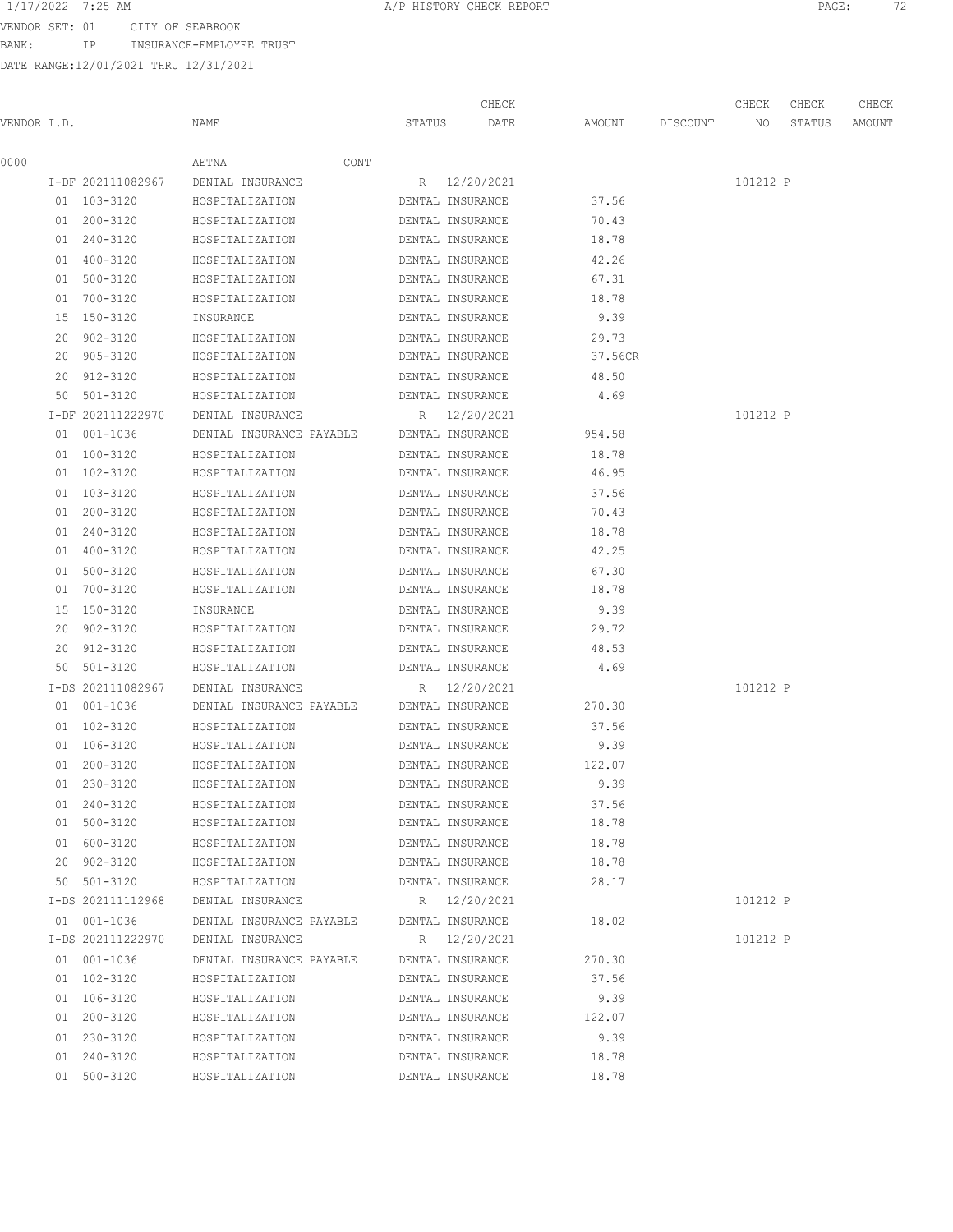BANK: IP INSURANCE-EMPLOYEE TRUST

DATE RANGE:12/01/2021 THRU 12/31/2021

CHECK CHECK CHECK CHECK

| VENDOR I.D. |                                  | NAME                                      | STATUS | DATE                             | AMOUNT  | DISCOUNT | NO       | STATUS | AMOUNT |
|-------------|----------------------------------|-------------------------------------------|--------|----------------------------------|---------|----------|----------|--------|--------|
| 0000        |                                  | AETNA<br>CONT                             |        |                                  |         |          |          |        |        |
|             | I-DF 202111082967                | DENTAL INSURANCE                          |        | R 12/20/2021                     |         |          | 101212 P |        |        |
|             | 01 103-3120                      | HOSPITALIZATION                           |        | DENTAL INSURANCE                 | 37.56   |          |          |        |        |
|             | 01 200-3120                      | HOSPITALIZATION                           |        | DENTAL INSURANCE                 | 70.43   |          |          |        |        |
|             | 01 240-3120                      | HOSPITALIZATION                           |        | DENTAL INSURANCE                 | 18.78   |          |          |        |        |
|             | 01 400-3120                      | HOSPITALIZATION                           |        | DENTAL INSURANCE                 | 42.26   |          |          |        |        |
|             | 01 500-3120                      | HOSPITALIZATION                           |        | DENTAL INSURANCE                 | 67.31   |          |          |        |        |
|             | 01 700-3120                      | HOSPITALIZATION                           |        | DENTAL INSURANCE                 | 18.78   |          |          |        |        |
|             | 15 150-3120                      | INSURANCE                                 |        | DENTAL INSURANCE                 | 9.39    |          |          |        |        |
|             | 20 902-3120                      | HOSPITALIZATION                           |        | DENTAL INSURANCE                 | 29.73   |          |          |        |        |
|             | 20 905-3120                      | HOSPITALIZATION                           |        | DENTAL INSURANCE                 | 37.56CR |          |          |        |        |
|             | 20 912-3120                      | HOSPITALIZATION                           |        | DENTAL INSURANCE                 | 48.50   |          |          |        |        |
|             | 50 501-3120                      | HOSPITALIZATION                           |        | DENTAL INSURANCE                 | 4.69    |          |          |        |        |
|             | I-DF 202111222970                | DENTAL INSURANCE                          |        | R 12/20/2021                     |         |          | 101212 P |        |        |
|             | 01 001-1036                      | DENTAL INSURANCE PAYABLE DENTAL INSURANCE |        |                                  | 954.58  |          |          |        |        |
|             | 01 100-3120                      | HOSPITALIZATION                           |        | DENTAL INSURANCE                 | 18.78   |          |          |        |        |
|             | 01 102-3120                      | HOSPITALIZATION                           |        | DENTAL INSURANCE                 | 46.95   |          |          |        |        |
|             | 01 103-3120                      | HOSPITALIZATION                           |        | DENTAL INSURANCE                 | 37.56   |          |          |        |        |
|             | 01 200-3120                      | HOSPITALIZATION                           |        | DENTAL INSURANCE                 | 70.43   |          |          |        |        |
|             | 01 240-3120                      | HOSPITALIZATION                           |        | DENTAL INSURANCE                 | 18.78   |          |          |        |        |
|             | 01 400-3120                      | HOSPITALIZATION                           |        | DENTAL INSURANCE                 | 42.25   |          |          |        |        |
|             | 01 500-3120                      | HOSPITALIZATION                           |        | DENTAL INSURANCE                 | 67.30   |          |          |        |        |
|             | 01 700-3120                      | HOSPITALIZATION                           |        | DENTAL INSURANCE                 | 18.78   |          |          |        |        |
|             | 15 150-3120                      | INSURANCE                                 |        | DENTAL INSURANCE                 | 9.39    |          |          |        |        |
|             | 20 902-3120                      | HOSPITALIZATION                           |        | DENTAL INSURANCE                 | 29.72   |          |          |        |        |
|             | 20 912-3120                      | HOSPITALIZATION                           |        | DENTAL INSURANCE                 | 48.53   |          |          |        |        |
|             | 50 501-3120                      | HOSPITALIZATION                           |        | DENTAL INSURANCE                 | 4.69    |          |          |        |        |
|             | I-DS 202111082967                | DENTAL INSURANCE                          |        | R 12/20/2021                     |         |          | 101212 P |        |        |
|             | 01 001-1036                      | DENTAL INSURANCE PAYABLE                  |        | DENTAL INSURANCE                 | 270.30  |          |          |        |        |
|             | 01 102-3120                      | HOSPITALIZATION                           |        | DENTAL INSURANCE                 | 37.56   |          |          |        |        |
|             | 01 106-3120                      | HOSPITALIZATION                           |        | DENTAL INSURANCE                 | 9.39    |          |          |        |        |
|             | 01 200-3120                      | HOSPITALIZATION                           |        | DENTAL INSURANCE                 | 122.07  |          |          |        |        |
|             | 01 230-3120                      | HOSPITALIZATION                           |        | DENTAL INSURANCE                 | 9.39    |          |          |        |        |
|             | 01 240-3120                      | HOSPITALIZATION                           |        | DENTAL INSURANCE                 | 37.56   |          |          |        |        |
|             | 01 500-3120                      | HOSPITALIZATION                           |        | DENTAL INSURANCE                 | 18.78   |          |          |        |        |
|             | 01 600-3120                      | HOSPITALIZATION                           |        | DENTAL INSURANCE                 | 18.78   |          |          |        |        |
|             | 20 902-3120                      | HOSPITALIZATION                           |        | DENTAL INSURANCE                 | 18.78   |          |          |        |        |
|             | 50 501-3120                      | HOSPITALIZATION                           |        | DENTAL INSURANCE                 | 28.17   |          |          |        |        |
|             | I-DS 202111112968                | DENTAL INSURANCE                          |        | R 12/20/2021                     |         |          | 101212 P |        |        |
|             |                                  | DENTAL INSURANCE PAYABLE                  |        |                                  |         |          |          |        |        |
|             | 01 001-1036<br>I-DS 202111222970 | DENTAL INSURANCE                          |        | DENTAL INSURANCE<br>R 12/20/2021 | 18.02   |          | 101212 P |        |        |
|             |                                  |                                           |        |                                  |         |          |          |        |        |
|             | 01 001-1036                      | DENTAL INSURANCE PAYABLE                  |        | DENTAL INSURANCE                 | 270.30  |          |          |        |        |
|             | 01 102-3120                      | HOSPITALIZATION                           |        | DENTAL INSURANCE                 | 37.56   |          |          |        |        |
|             | 01 106-3120                      | HOSPITALIZATION                           |        | DENTAL INSURANCE                 | 9.39    |          |          |        |        |
|             | 01 200-3120                      | HOSPITALIZATION                           |        | DENTAL INSURANCE                 | 122.07  |          |          |        |        |
|             | 01 230-3120                      | HOSPITALIZATION                           |        | DENTAL INSURANCE                 | 9.39    |          |          |        |        |
|             | 01 240-3120                      | HOSPITALIZATION                           |        | DENTAL INSURANCE                 | 18.78   |          |          |        |        |
|             | 01 500-3120                      | HOSPITALIZATION                           |        | DENTAL INSURANCE                 | 18.78   |          |          |        |        |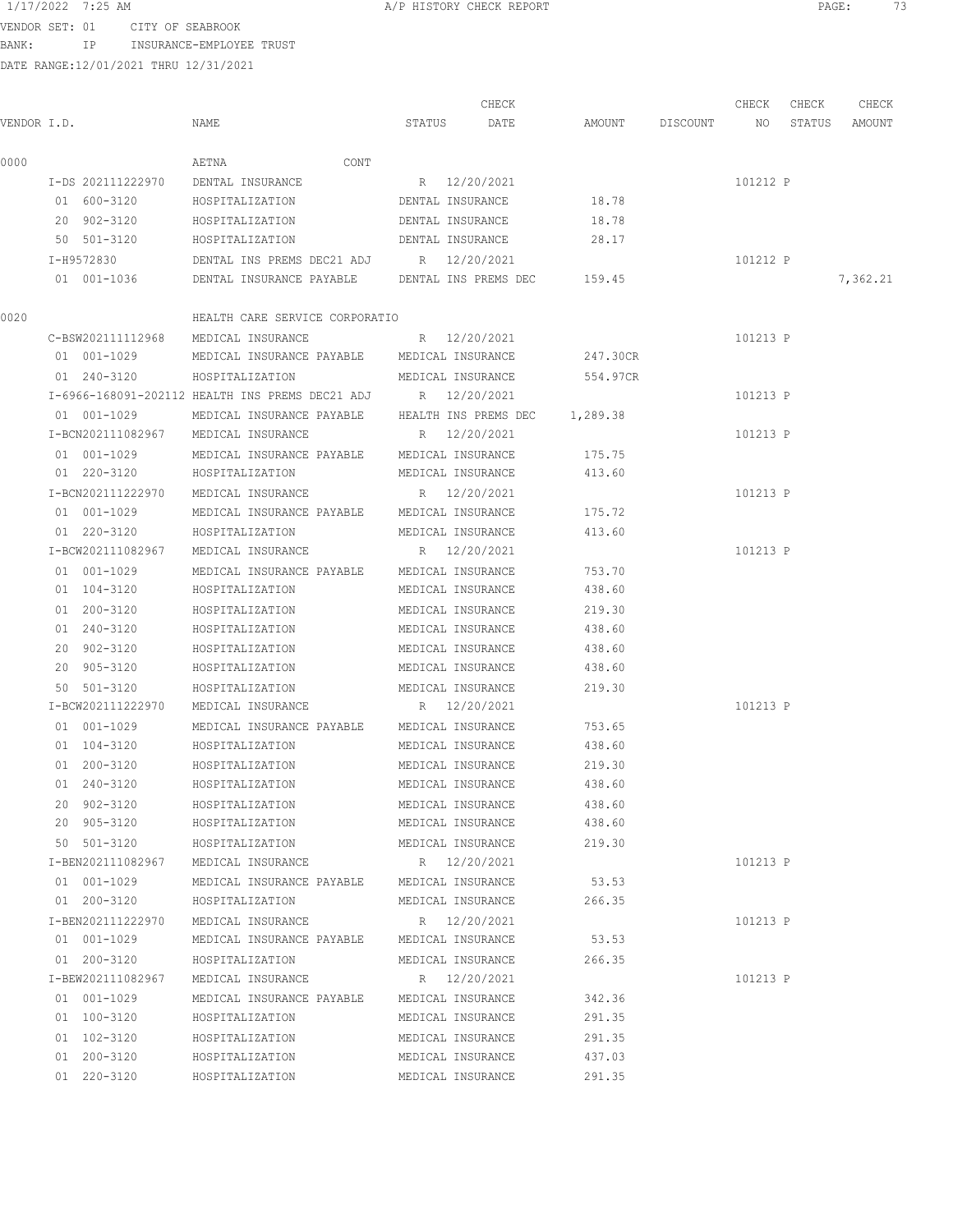BANK: IP INSURANCE-EMPLOYEE TRUST

| 1/17/2022 7:25 AM                                                                                               |                          |      |
|-----------------------------------------------------------------------------------------------------------------|--------------------------|------|
|                                                                                                                 | A/P HISTORY CHECK REPORT | PAGE |
| the contract of the contract of the contract of the contract of the contract of the contract of the contract of |                          |      |

| VENDOR I.D. |                   | NAME                                                         | CHECK<br>STATUS DATE          | AMOUNT DISCOUNT NO | CHECK    | CHECK<br>STATUS | CHECK<br>AMOUNT |
|-------------|-------------------|--------------------------------------------------------------|-------------------------------|--------------------|----------|-----------------|-----------------|
|             |                   |                                                              |                               |                    |          |                 |                 |
| 0000        |                   | AETNA<br>CONT                                                |                               |                    |          |                 |                 |
|             | I-DS 202111222970 | DENTAL INSURANCE                                             | R 12/20/2021                  |                    | 101212 P |                 |                 |
|             | 01 600-3120       | HOSPITALIZATION                                              | DENTAL INSURANCE              | 18.78              |          |                 |                 |
|             | 20 902-3120       | HOSPITALIZATION                                              | DENTAL INSURANCE              | 18.78              |          |                 |                 |
|             | 50 501-3120       | HOSPITALIZATION                                              | DENTAL INSURANCE              | 28.17              |          |                 |                 |
|             | I-H9572830        | DENTAL INS PREMS DEC21 ADJ R 12/20/2021                      |                               |                    | 101212 P |                 |                 |
|             | 01 001-1036       | DENTAL INSURANCE PAYABLE                                     | DENTAL INS PREMS DEC 159.45   |                    |          |                 | 7,362.21        |
| 0020        |                   | HEALTH CARE SERVICE CORPORATIO                               |                               |                    |          |                 |                 |
|             | C-BSW202111112968 | MEDICAL INSURANCE                                            | R 12/20/2021                  |                    | 101213 P |                 |                 |
|             | 01 001-1029       | MEDICAL INSURANCE PAYABLE MEDICAL INSURANCE                  |                               | 247.30CR           |          |                 |                 |
|             | 01 240-3120       | HOSPITALIZATION                                              | MEDICAL INSURANCE             | 554.97CR           |          |                 |                 |
|             |                   | I-6966-168091-202112 HEALTH INS PREMS DEC21 ADJ R 12/20/2021 |                               |                    | 101213 P |                 |                 |
|             | 01 001-1029       | MEDICAL INSURANCE PAYABLE                                    | HEALTH INS PREMS DEC 1,289.38 |                    |          |                 |                 |
|             | I-BCN202111082967 | MEDICAL INSURANCE                                            | R 12/20/2021                  |                    | 101213 P |                 |                 |
|             | 01 001-1029       | MEDICAL INSURANCE PAYABLE                                    | MEDICAL INSURANCE             | 175.75             |          |                 |                 |
|             | 01 220-3120       | HOSPITALIZATION                                              | MEDICAL INSURANCE             | 413.60             |          |                 |                 |
|             | I-BCN202111222970 | MEDICAL INSURANCE                                            | R 12/20/2021                  |                    | 101213 P |                 |                 |
|             | 01 001-1029       | MEDICAL INSURANCE PAYABLE MEDICAL INSURANCE                  |                               | 175.72             |          |                 |                 |
|             | 01 220-3120       | HOSPITALIZATION                                              | MEDICAL INSURANCE             | 413.60             |          |                 |                 |
|             | I-BCW202111082967 | MEDICAL INSURANCE                                            | R 12/20/2021                  |                    | 101213 P |                 |                 |
|             | 01 001-1029       | MEDICAL INSURANCE PAYABLE MEDICAL INSURANCE                  |                               | 753.70             |          |                 |                 |
|             | 01 104-3120       | HOSPITALIZATION                                              | MEDICAL INSURANCE             | 438.60             |          |                 |                 |
|             | 01 200-3120       | HOSPITALIZATION                                              | MEDICAL INSURANCE             | 219.30             |          |                 |                 |
|             | 01 240-3120       | HOSPITALIZATION                                              | MEDICAL INSURANCE             | 438.60             |          |                 |                 |
|             | 20 902-3120       | HOSPITALIZATION                                              | MEDICAL INSURANCE             | 438.60             |          |                 |                 |
|             | 20 905-3120       | HOSPITALIZATION                                              | MEDICAL INSURANCE             | 438.60             |          |                 |                 |
|             | 50 501-3120       | HOSPITALIZATION                                              | MEDICAL INSURANCE             | 219.30             |          |                 |                 |
|             | I-BCW202111222970 | MEDICAL INSURANCE                                            | R 12/20/2021                  |                    | 101213 P |                 |                 |
|             | 01 001-1029       | MEDICAL INSURANCE PAYABLE                                    | MEDICAL INSURANCE             | 753.65             |          |                 |                 |
|             | 01 104-3120       | HOSPITALIZATION                                              | MEDICAL INSURANCE             | 438.60             |          |                 |                 |
|             | 01 200-3120       | HOSPITALIZATION                                              | MEDICAL INSURANCE             | 219.30             |          |                 |                 |
|             | 01 240-3120       | HOSPITALIZATION                                              | MEDICAL INSURANCE             | 438.60             |          |                 |                 |
|             | 20 902-3120       | HOSPITALIZATION                                              | MEDICAL INSURANCE             | 438.60             |          |                 |                 |
|             | 20 905-3120       | HOSPITALIZATION                                              | MEDICAL INSURANCE             | 438.60             |          |                 |                 |
|             | 50 501-3120       | HOSPITALIZATION                                              | MEDICAL INSURANCE             | 219.30             |          |                 |                 |
|             | I-BEN202111082967 | MEDICAL INSURANCE                                            | R 12/20/2021                  |                    | 101213 P |                 |                 |
|             | 01 001-1029       | MEDICAL INSURANCE PAYABLE MEDICAL INSURANCE                  |                               | 53.53              |          |                 |                 |
|             | 01 200-3120       | HOSPITALIZATION                                              | MEDICAL INSURANCE             | 266.35             |          |                 |                 |
|             | I-BEN202111222970 | MEDICAL INSURANCE                                            | R 12/20/2021                  |                    | 101213 P |                 |                 |
|             | 01 001-1029       | MEDICAL INSURANCE PAYABLE                                    | MEDICAL INSURANCE             | 53.53              |          |                 |                 |
|             | 01 200-3120       | HOSPITALIZATION                                              | MEDICAL INSURANCE             | 266.35             |          |                 |                 |
|             | I-BEW202111082967 | MEDICAL INSURANCE                                            | R 12/20/2021                  |                    | 101213 P |                 |                 |
|             | 01 001-1029       | MEDICAL INSURANCE PAYABLE                                    | MEDICAL INSURANCE             | 342.36             |          |                 |                 |
|             | 01 100-3120       | HOSPITALIZATION                                              | MEDICAL INSURANCE             | 291.35             |          |                 |                 |
|             | 01 102-3120       | HOSPITALIZATION                                              | MEDICAL INSURANCE             | 291.35             |          |                 |                 |
|             | 01 200-3120       | HOSPITALIZATION                                              | MEDICAL INSURANCE             | 437.03             |          |                 |                 |
|             | 01 220-3120       | HOSPITALIZATION                                              | MEDICAL INSURANCE             | 291.35             |          |                 |                 |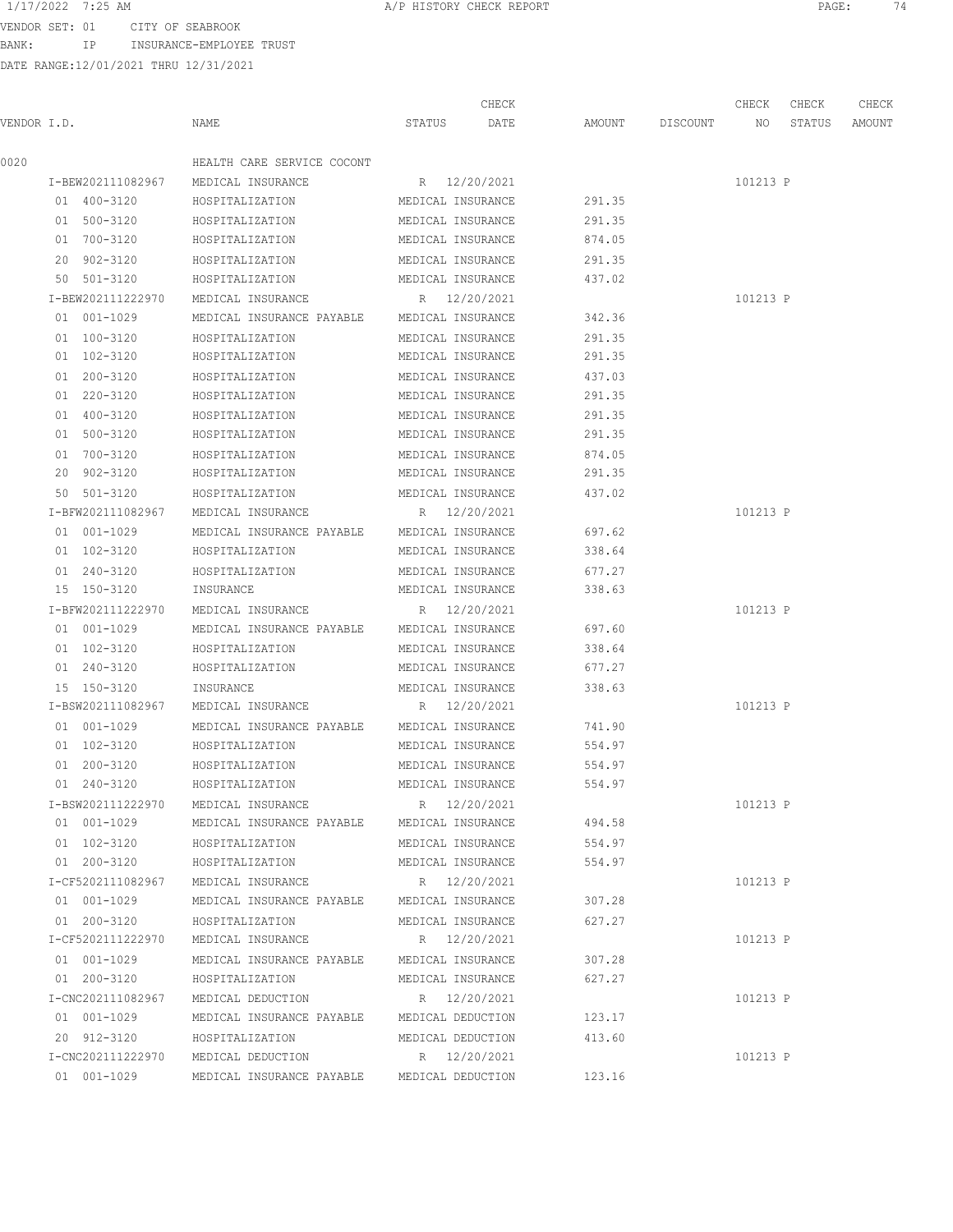### 1/17/2022 7:25 AM **A/P HISTORY CHECK REPORT PAGE:** 74

VENDOR SET: 01 CITY OF SEABROOK

BANK: IP INSURANCE-EMPLOYEE TRUST

|             |                   |                                             |                   | CHECK        |        |                 | CHECK    | CHECK  | CHECK  |
|-------------|-------------------|---------------------------------------------|-------------------|--------------|--------|-----------------|----------|--------|--------|
| VENDOR I.D. |                   | NAME                                        | STATUS            | DATE         |        | AMOUNT DISCOUNT | NO       | STATUS | AMOUNT |
| 0020        |                   | HEALTH CARE SERVICE COCONT                  |                   |              |        |                 |          |        |        |
|             | I-BEW202111082967 | MEDICAL INSURANCE                           | R 12/20/2021      |              |        |                 | 101213 P |        |        |
|             | 01 400-3120       | HOSPITALIZATION                             | MEDICAL INSURANCE |              | 291.35 |                 |          |        |        |
|             | 01 500-3120       | HOSPITALIZATION                             | MEDICAL INSURANCE |              | 291.35 |                 |          |        |        |
|             | 01 700-3120       | HOSPITALIZATION                             | MEDICAL INSURANCE |              | 874.05 |                 |          |        |        |
|             | 20 902-3120       | HOSPITALIZATION                             | MEDICAL INSURANCE |              | 291.35 |                 |          |        |        |
|             | 50 501-3120       | HOSPITALIZATION                             | MEDICAL INSURANCE |              | 437.02 |                 |          |        |        |
|             | I-BEW202111222970 | MEDICAL INSURANCE                           | R 12/20/2021      |              |        |                 | 101213 P |        |        |
|             | 01 001-1029       | MEDICAL INSURANCE PAYABLE                   | MEDICAL INSURANCE |              | 342.36 |                 |          |        |        |
|             | 01 100-3120       | HOSPITALIZATION                             | MEDICAL INSURANCE |              | 291.35 |                 |          |        |        |
|             | 01 102-3120       | HOSPITALIZATION                             | MEDICAL INSURANCE |              | 291.35 |                 |          |        |        |
|             | 01 200-3120       | HOSPITALIZATION                             | MEDICAL INSURANCE |              | 437.03 |                 |          |        |        |
|             | 01 220-3120       | HOSPITALIZATION                             | MEDICAL INSURANCE |              | 291.35 |                 |          |        |        |
|             | 01 400-3120       | HOSPITALIZATION                             | MEDICAL INSURANCE |              | 291.35 |                 |          |        |        |
|             | 01 500-3120       | HOSPITALIZATION                             | MEDICAL INSURANCE |              | 291.35 |                 |          |        |        |
|             | 01 700-3120       | HOSPITALIZATION                             | MEDICAL INSURANCE |              | 874.05 |                 |          |        |        |
|             | 20 902-3120       | HOSPITALIZATION                             | MEDICAL INSURANCE |              | 291.35 |                 |          |        |        |
|             | 50 501-3120       | HOSPITALIZATION                             | MEDICAL INSURANCE |              | 437.02 |                 |          |        |        |
|             | I-BFW202111082967 | MEDICAL INSURANCE                           | R 12/20/2021      |              |        |                 | 101213 P |        |        |
|             | 01 001-1029       | MEDICAL INSURANCE PAYABLE                   | MEDICAL INSURANCE |              | 697.62 |                 |          |        |        |
|             | 01 102-3120       | HOSPITALIZATION                             | MEDICAL INSURANCE |              | 338.64 |                 |          |        |        |
|             | 01 240-3120       | HOSPITALIZATION                             | MEDICAL INSURANCE |              | 677.27 |                 |          |        |        |
|             | 15 150-3120       | INSURANCE                                   | MEDICAL INSURANCE |              | 338.63 |                 |          |        |        |
|             | I-BFW202111222970 | MEDICAL INSURANCE                           |                   | R 12/20/2021 |        |                 | 101213 P |        |        |
|             | 01 001-1029       | MEDICAL INSURANCE PAYABLE                   | MEDICAL INSURANCE |              | 697.60 |                 |          |        |        |
|             | 01 102-3120       | HOSPITALIZATION                             | MEDICAL INSURANCE |              | 338.64 |                 |          |        |        |
|             | 01 240-3120       | HOSPITALIZATION                             | MEDICAL INSURANCE |              | 677.27 |                 |          |        |        |
|             | 15 150-3120       | INSURANCE                                   | MEDICAL INSURANCE |              | 338.63 |                 |          |        |        |
|             | I-BSW202111082967 | MEDICAL INSURANCE                           | R 12/20/2021      |              |        |                 | 101213 P |        |        |
|             | 01 001-1029       | MEDICAL INSURANCE PAYABLE                   | MEDICAL INSURANCE |              | 741.90 |                 |          |        |        |
|             | 01 102-3120       | HOSPITALIZATION                             | MEDICAL INSURANCE |              | 554.97 |                 |          |        |        |
|             | 01 200-3120       | HOSPITALIZATION                             | MEDICAL INSURANCE |              | 554.97 |                 |          |        |        |
|             | 01 240-3120       | HOSPITALIZATION                             | MEDICAL INSURANCE |              | 554.97 |                 |          |        |        |
|             | I-BSW202111222970 | MEDICAL INSURANCE                           |                   | R 12/20/2021 |        |                 | 101213 P |        |        |
|             | 01 001-1029       | MEDICAL INSURANCE PAYABLE MEDICAL INSURANCE |                   |              | 494.58 |                 |          |        |        |
|             | 01 102-3120       | HOSPITALIZATION                             | MEDICAL INSURANCE |              | 554.97 |                 |          |        |        |
|             | 01 200-3120       | HOSPITALIZATION                             | MEDICAL INSURANCE |              | 554.97 |                 |          |        |        |
|             | I-CF5202111082967 | MEDICAL INSURANCE                           |                   | R 12/20/2021 |        |                 | 101213 P |        |        |
|             | 01 001-1029       | MEDICAL INSURANCE PAYABLE MEDICAL INSURANCE |                   |              | 307.28 |                 |          |        |        |
|             | 01 200-3120       | HOSPITALIZATION                             | MEDICAL INSURANCE |              | 627.27 |                 |          |        |        |
|             | I-CF5202111222970 | MEDICAL INSURANCE                           | R 12/20/2021      |              |        |                 | 101213 P |        |        |
|             | 01 001-1029       | MEDICAL INSURANCE PAYABLE                   | MEDICAL INSURANCE |              | 307.28 |                 |          |        |        |
|             | 01 200-3120       | HOSPITALIZATION                             | MEDICAL INSURANCE |              | 627.27 |                 |          |        |        |
|             | I-CNC202111082967 | MEDICAL DEDUCTION                           |                   | R 12/20/2021 |        |                 | 101213 P |        |        |
|             | 01 001-1029       | MEDICAL INSURANCE PAYABLE MEDICAL DEDUCTION |                   |              | 123.17 |                 |          |        |        |
|             | 20 912-3120       | HOSPITALIZATION                             | MEDICAL DEDUCTION |              | 413.60 |                 |          |        |        |
|             | I-CNC202111222970 | MEDICAL DEDUCTION                           |                   | R 12/20/2021 |        |                 | 101213 P |        |        |
|             | 01 001-1029       | MEDICAL INSURANCE PAYABLE                   | MEDICAL DEDUCTION |              | 123.16 |                 |          |        |        |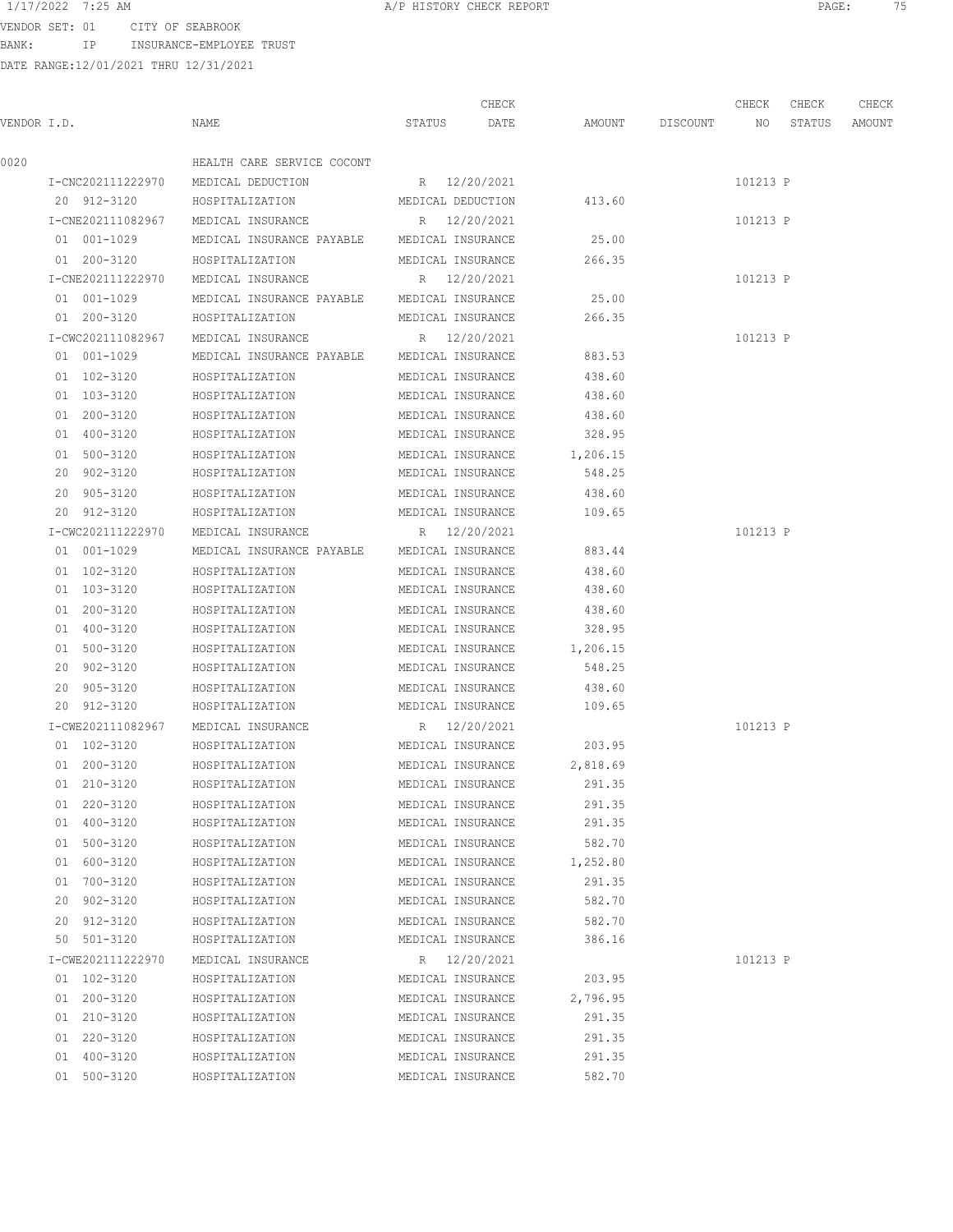1/17/2022 7:25 AM **A/P HISTORY CHECK REPORT PAGE:** 75

VENDOR SET: 01 CITY OF SEABROOK BANK: IP INSURANCE-EMPLOYEE TRUST

|             |    |                   |                                             |                   | CHECK        |          |                 | CHECK    | CHECK  | CHECK  |
|-------------|----|-------------------|---------------------------------------------|-------------------|--------------|----------|-----------------|----------|--------|--------|
| VENDOR I.D. |    |                   | NAME                                        | STATUS            | DATE         |          | AMOUNT DISCOUNT | NO       | STATUS | AMOUNT |
| 0020        |    |                   | HEALTH CARE SERVICE COCONT                  |                   |              |          |                 |          |        |        |
|             |    | I-CNC202111222970 | MEDICAL DEDUCTION                           | R 12/20/2021      |              |          |                 | 101213 P |        |        |
|             |    | 20 912-3120       | HOSPITALIZATION                             | MEDICAL DEDUCTION |              | 413.60   |                 |          |        |        |
|             |    | I-CNE202111082967 | MEDICAL INSURANCE                           |                   | R 12/20/2021 |          |                 | 101213 P |        |        |
|             |    | 01 001-1029       | MEDICAL INSURANCE PAYABLE MEDICAL INSURANCE |                   |              | 25.00    |                 |          |        |        |
|             |    | 01 200-3120       | HOSPITALIZATION                             | MEDICAL INSURANCE |              | 266.35   |                 |          |        |        |
|             |    | I-CNE202111222970 | MEDICAL INSURANCE                           | R 12/20/2021      |              |          |                 | 101213 P |        |        |
|             |    | 01 001-1029       | MEDICAL INSURANCE PAYABLE MEDICAL INSURANCE |                   |              | 25.00    |                 |          |        |        |
|             |    | 01 200-3120       | HOSPITALIZATION                             | MEDICAL INSURANCE |              | 266.35   |                 |          |        |        |
|             |    | I-CWC202111082967 | MEDICAL INSURANCE                           | R 12/20/2021      |              |          |                 | 101213 P |        |        |
|             |    | 01 001-1029       | MEDICAL INSURANCE PAYABLE MEDICAL INSURANCE |                   |              | 883.53   |                 |          |        |        |
|             |    | 01 102-3120       | HOSPITALIZATION                             | MEDICAL INSURANCE |              | 438.60   |                 |          |        |        |
|             |    | 01 103-3120       | HOSPITALIZATION                             | MEDICAL INSURANCE |              | 438.60   |                 |          |        |        |
|             |    | 01 200-3120       | HOSPITALIZATION                             | MEDICAL INSURANCE |              | 438.60   |                 |          |        |        |
|             |    | 01 400-3120       | HOSPITALIZATION                             | MEDICAL INSURANCE |              | 328.95   |                 |          |        |        |
|             |    | 01 500-3120       | HOSPITALIZATION                             | MEDICAL INSURANCE |              | 1,206.15 |                 |          |        |        |
|             |    | 20 902-3120       | HOSPITALIZATION                             | MEDICAL INSURANCE |              | 548.25   |                 |          |        |        |
|             |    | 20 905-3120       | HOSPITALIZATION                             | MEDICAL INSURANCE |              | 438.60   |                 |          |        |        |
|             |    | 20 912-3120       | HOSPITALIZATION                             | MEDICAL INSURANCE |              | 109.65   |                 |          |        |        |
|             |    | I-CWC202111222970 | MEDICAL INSURANCE                           | R 12/20/2021      |              |          |                 | 101213 P |        |        |
|             |    | 01 001-1029       | MEDICAL INSURANCE PAYABLE                   | MEDICAL INSURANCE |              | 883.44   |                 |          |        |        |
|             |    | 01 102-3120       | HOSPITALIZATION                             | MEDICAL INSURANCE |              | 438.60   |                 |          |        |        |
|             |    | 01 103-3120       | HOSPITALIZATION                             | MEDICAL INSURANCE |              | 438.60   |                 |          |        |        |
|             |    | 01 200-3120       | HOSPITALIZATION                             | MEDICAL INSURANCE |              | 438.60   |                 |          |        |        |
|             |    | 01 400-3120       | HOSPITALIZATION                             | MEDICAL INSURANCE |              | 328.95   |                 |          |        |        |
|             |    | 01 500-3120       | HOSPITALIZATION                             | MEDICAL INSURANCE |              | 1,206.15 |                 |          |        |        |
|             |    | 20 902-3120       | HOSPITALIZATION                             | MEDICAL INSURANCE |              | 548.25   |                 |          |        |        |
|             |    | 20 905-3120       | HOSPITALIZATION                             | MEDICAL INSURANCE |              | 438.60   |                 |          |        |        |
|             |    | 20 912-3120       | HOSPITALIZATION                             | MEDICAL INSURANCE |              | 109.65   |                 |          |        |        |
|             |    | I-CWE202111082967 | MEDICAL INSURANCE                           | R 12/20/2021      |              |          |                 | 101213 P |        |        |
|             |    | 01 102-3120       | HOSPITALIZATION                             | MEDICAL INSURANCE |              | 203.95   |                 |          |        |        |
|             |    | 01 200-3120       | HOSPITALIZATION                             | MEDICAL INSURANCE |              | 2,818.69 |                 |          |        |        |
|             |    | 01 210-3120       | HOSPITALIZATION                             | MEDICAL INSURANCE |              | 291.35   |                 |          |        |        |
|             |    | 01 220-3120       | HOSPITALIZATION                             | MEDICAL INSURANCE |              | 291.35   |                 |          |        |        |
|             |    | 01 400-3120       | HOSPITALIZATION                             | MEDICAL INSURANCE |              | 291.35   |                 |          |        |        |
|             |    | 01 500-3120       | HOSPITALIZATION                             | MEDICAL INSURANCE |              | 582.70   |                 |          |        |        |
|             |    | 01 600-3120       | HOSPITALIZATION                             | MEDICAL INSURANCE |              | 1,252.80 |                 |          |        |        |
|             | 01 | 700-3120          | HOSPITALIZATION                             | MEDICAL INSURANCE |              | 291.35   |                 |          |        |        |
|             |    | 20 902-3120       | HOSPITALIZATION                             | MEDICAL INSURANCE |              | 582.70   |                 |          |        |        |
|             |    | 20 912-3120       | HOSPITALIZATION                             | MEDICAL INSURANCE |              | 582.70   |                 |          |        |        |
|             |    | 50 501-3120       | HOSPITALIZATION                             | MEDICAL INSURANCE |              | 386.16   |                 |          |        |        |
|             |    | I-CWE202111222970 | MEDICAL INSURANCE                           |                   | R 12/20/2021 |          |                 | 101213 P |        |        |
|             |    | 01 102-3120       | HOSPITALIZATION                             | MEDICAL INSURANCE |              | 203.95   |                 |          |        |        |
|             |    | 01 200-3120       | HOSPITALIZATION                             | MEDICAL INSURANCE |              | 2,796.95 |                 |          |        |        |
|             |    | 01 210-3120       | HOSPITALIZATION                             | MEDICAL INSURANCE |              | 291.35   |                 |          |        |        |
|             |    | 01 220-3120       | HOSPITALIZATION                             | MEDICAL INSURANCE |              | 291.35   |                 |          |        |        |
|             |    | 01 400-3120       | HOSPITALIZATION                             | MEDICAL INSURANCE |              | 291.35   |                 |          |        |        |
|             |    | 01 500-3120       | HOSPITALIZATION                             | MEDICAL INSURANCE |              | 582.70   |                 |          |        |        |
|             |    |                   |                                             |                   |              |          |                 |          |        |        |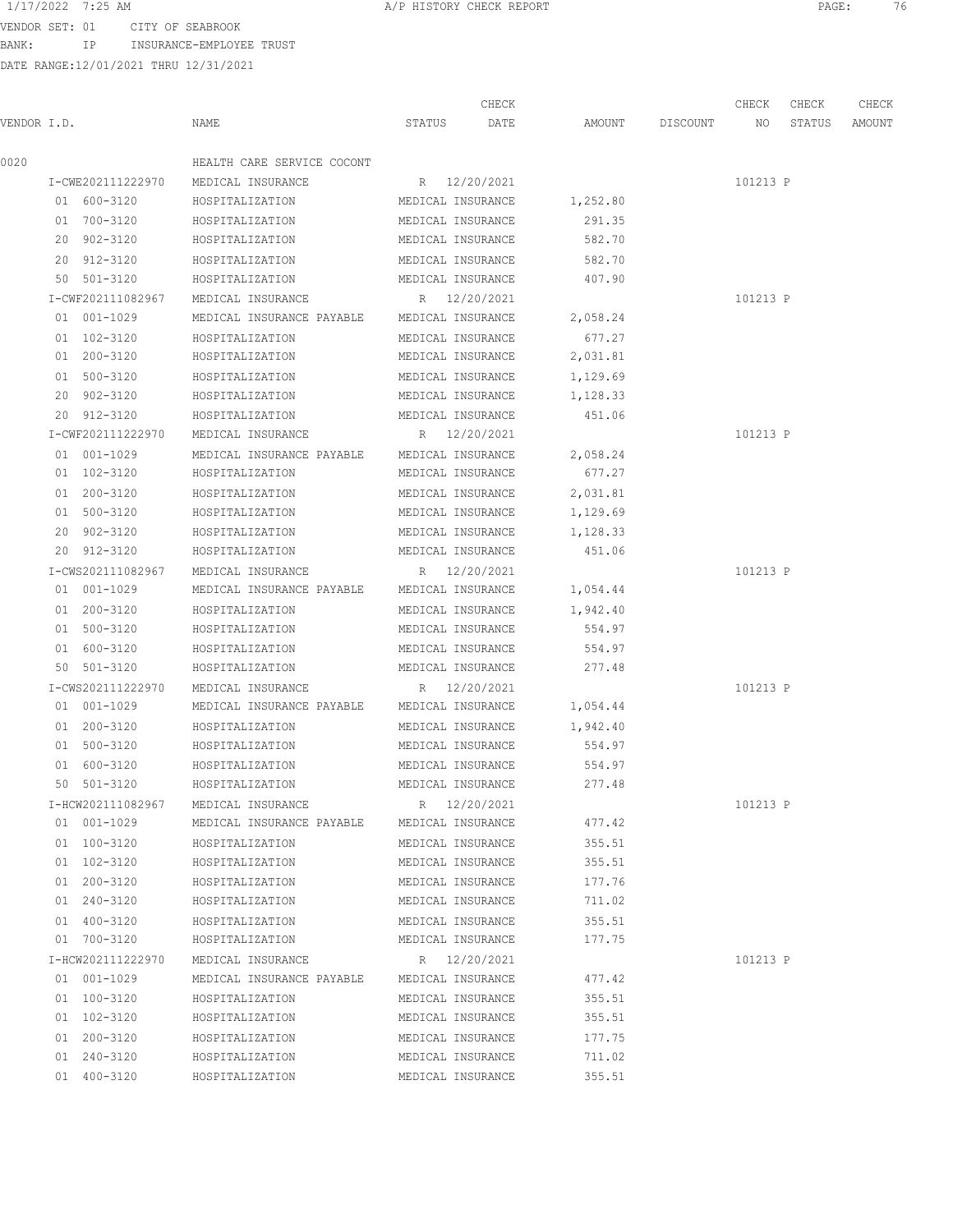BANK: IP INSURANCE-EMPLOYEE TRUST

DATE RANGE:12/01/2021 THRU 12/31/2021

CHECK CHECK CHECK CHECK

VENDOR I.D. NAME STATUS DATE AMOUNT DISCOUNT NO STATUS AMOUNT 0020 HEALTH CARE SERVICE COCONT I-CWE202111222970 MEDICAL INSURANCE R 12/20/2021 101213 P 01 600-3120 HOSPITALIZATION MEDICAL INSURANCE 1,252.80 01 700-3120 HOSPITALIZATION MEDICAL INSURANCE 291.35 20 902-3120 HOSPITALIZATION MEDICAL INSURANCE 582.70 20 912-3120 HOSPITALIZATION MEDICAL INSURANCE 582.70 50 501-3120 HOSPITALIZATION MEDICAL INSURANCE 407.90 I-CWF202111082967 MEDICAL INSURANCE R 12/20/2021 101213 P 01 001-1029 MEDICAL INSURANCE PAYABLE MEDICAL INSURANCE 2,058.24 01 102-3120 HOSPITALIZATION MEDICAL INSURANCE 677.27 01 200-3120 HOSPITALIZATION MEDICAL INSURANCE 2,031.81 01 500-3120 HOSPITALIZATION MEDICAL INSURANCE 1,129.69 20 902-3120 HOSPITALIZATION MEDICAL INSURANCE 1,128.33 20 912-3120 HOSPITALIZATION MEDICAL INSURANCE 451.06 I-CWF202111222970 MEDICAL INSURANCE R 12/20/2021 101213 P 01 001-1029 MEDICAL INSURANCE PAYABLE MEDICAL INSURANCE 2,058.24 01 102-3120 HOSPITALIZATION MEDICAL INSURANCE 677.27 01 200-3120 HOSPITALIZATION MEDICAL INSURANCE 2,031.81 01 500-3120 HOSPITALIZATION MEDICAL INSURANCE 1,129.69 20 902-3120 HOSPITALIZATION MEDICAL INSURANCE 1,128.33 20 912-3120 HOSPITALIZATION MEDICAL INSURANCE 451.06 I-CWS202111082967 MEDICAL INSURANCE R 12/20/2021 101213 P 01 001-1029 MEDICAL INSURANCE PAYABLE MEDICAL INSURANCE 1,054.44 01 200-3120 HOSPITALIZATION MEDICAL INSURANCE 1,942.40 01 500-3120 HOSPITALIZATION MEDICAL INSURANCE 554.97 01 600-3120 HOSPITALIZATION MEDICAL INSURANCE 554.97 50 501-3120 HOSPITALIZATION MEDICAL INSURANCE 277.48 I-CWS202111222970 MEDICAL INSURANCE R 12/20/2021 101213 P 01 001-1029 MEDICAL INSURANCE PAYABLE MEDICAL INSURANCE 1,054.44 01 200-3120 HOSPITALIZATION MEDICAL INSURANCE 1,942.40 01 500-3120 HOSPITALIZATION MEDICAL INSURANCE 554.97 01 600-3120 HOSPITALIZATION MEDICAL INSURANCE 554.97 50 501-3120 HOSPITALIZATION MEDICAL INSURANCE 277.48 I-HCW202111082967 MEDICAL INSURANCE R 12/20/2021 101213 P 01 001-1029 MEDICAL INSURANCE PAYABLE MEDICAL INSURANCE 477.42 01 100-3120 HOSPITALIZATION MEDICAL INSURANCE 355.51 01 102-3120 HOSPITALIZATION MEDICAL INSURANCE 355.51 01 200-3120 HOSPITALIZATION MEDICAL INSURANCE 177.76 01 240-3120 HOSPITALIZATION MEDICAL INSURANCE 711.02 01 400-3120 HOSPITALIZATION MEDICAL INSURANCE 355.51 01 700-3120 HOSPITALIZATION MEDICAL INSURANCE 177.75 I-HCW202111222970 MEDICAL INSURANCE R 12/20/2021 101213 P 01 001-1029 MEDICAL INSURANCE PAYABLE MEDICAL INSURANCE 477.42 01 100-3120 HOSPITALIZATION MEDICAL INSURANCE 355.51 01 102-3120 HOSPITALIZATION MEDICAL INSURANCE 355.51 01 200-3120 HOSPITALIZATION MEDICAL INSURANCE 177.75 01 240-3120 HOSPITALIZATION MEDICAL INSURANCE 711.02 01 400-3120 HOSPITALIZATION MEDICAL INSURANCE 355.51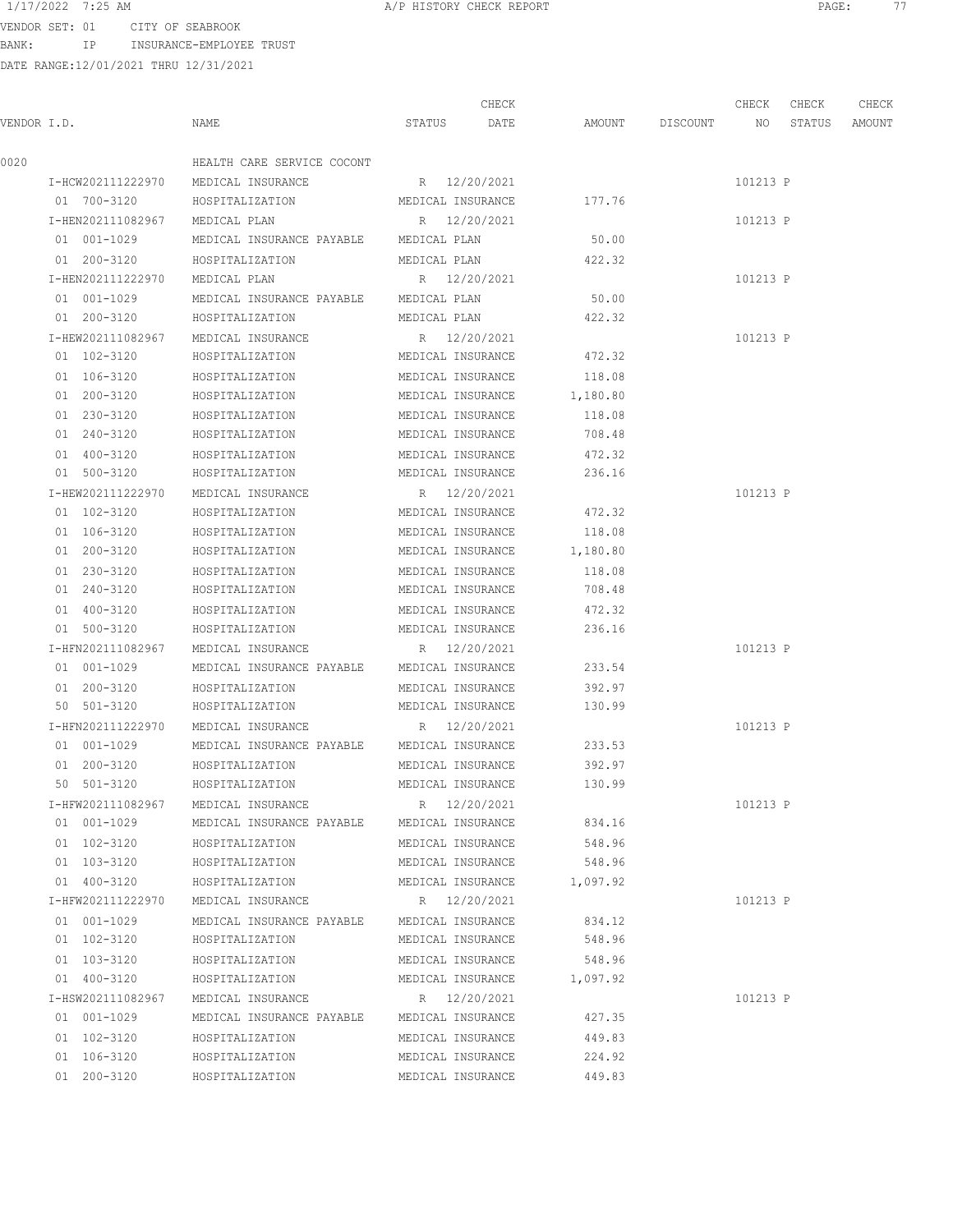### 1/17/2022 7:25 AM **A/P HISTORY CHECK REPORT PAGE:** 77

VENDOR SET: 01 CITY OF SEABROOK BANK: IP INSURANCE-EMPLOYEE TRUST

|             |                   |                                        |                   | CHECK        |          |          | CHECK    | CHECK  | CHECK  |
|-------------|-------------------|----------------------------------------|-------------------|--------------|----------|----------|----------|--------|--------|
| VENDOR I.D. |                   | NAME                                   | STATUS            | DATE         | AMOUNT   | DISCOUNT | NO.      | STATUS | AMOUNT |
| 0020        |                   | HEALTH CARE SERVICE COCONT             |                   |              |          |          |          |        |        |
|             | I-HCW202111222970 | MEDICAL INSURANCE                      | R 12/20/2021      |              |          |          | 101213 P |        |        |
|             | 01 700-3120       | HOSPITALIZATION                        | MEDICAL INSURANCE |              | 177.76   |          |          |        |        |
|             | I-HEN202111082967 | MEDICAL PLAN                           |                   | R 12/20/2021 |          |          | 101213 P |        |        |
|             | 01 001-1029       | MEDICAL INSURANCE PAYABLE MEDICAL PLAN |                   |              | 50.00    |          |          |        |        |
|             | 01 200-3120       | HOSPITALIZATION                        | MEDICAL PLAN      |              | 422.32   |          |          |        |        |
|             | I-HEN202111222970 | MEDICAL PLAN                           | R 12/20/2021      |              |          |          | 101213 P |        |        |
|             | 01 001-1029       | MEDICAL INSURANCE PAYABLE              | MEDICAL PLAN      |              | 50.00    |          |          |        |        |
|             | 01 200-3120       | HOSPITALIZATION                        | MEDICAL PLAN      |              | 422.32   |          |          |        |        |
|             | I-HEW202111082967 | MEDICAL INSURANCE                      | R 12/20/2021      |              |          |          | 101213 P |        |        |
|             | 01 102-3120       | HOSPITALIZATION                        | MEDICAL INSURANCE |              | 472.32   |          |          |        |        |
|             | 01 106-3120       | HOSPITALIZATION                        | MEDICAL INSURANCE |              | 118.08   |          |          |        |        |
|             | 01 200-3120       | HOSPITALIZATION                        | MEDICAL INSURANCE |              | 1,180.80 |          |          |        |        |
|             | 01 230-3120       | HOSPITALIZATION                        | MEDICAL INSURANCE |              | 118.08   |          |          |        |        |
|             | 01 240-3120       | HOSPITALIZATION                        | MEDICAL INSURANCE |              | 708.48   |          |          |        |        |
|             | 01 400-3120       | HOSPITALIZATION                        | MEDICAL INSURANCE |              | 472.32   |          |          |        |        |
|             | 01 500-3120       | HOSPITALIZATION                        | MEDICAL INSURANCE |              | 236.16   |          |          |        |        |
|             | I-HEW202111222970 | MEDICAL INSURANCE                      | R 12/20/2021      |              |          |          | 101213 P |        |        |
|             | 01 102-3120       | HOSPITALIZATION                        | MEDICAL INSURANCE |              | 472.32   |          |          |        |        |
|             | 01 106-3120       | HOSPITALIZATION                        | MEDICAL INSURANCE |              | 118.08   |          |          |        |        |
|             | 01 200-3120       | HOSPITALIZATION                        | MEDICAL INSURANCE |              | 1,180.80 |          |          |        |        |
|             | 01 230-3120       | HOSPITALIZATION                        | MEDICAL INSURANCE |              | 118.08   |          |          |        |        |
|             | 01 240-3120       | HOSPITALIZATION                        | MEDICAL INSURANCE |              | 708.48   |          |          |        |        |
|             | 01 400-3120       | HOSPITALIZATION                        | MEDICAL INSURANCE |              | 472.32   |          |          |        |        |
|             | 01 500-3120       | HOSPITALIZATION                        | MEDICAL INSURANCE |              | 236.16   |          |          |        |        |
|             | I-HFN202111082967 | MEDICAL INSURANCE                      | R 12/20/2021      |              |          |          | 101213 P |        |        |
|             | 01 001-1029       | MEDICAL INSURANCE PAYABLE              | MEDICAL INSURANCE |              | 233.54   |          |          |        |        |
|             | 01 200-3120       | HOSPITALIZATION                        | MEDICAL INSURANCE |              | 392.97   |          |          |        |        |
|             | 50 501-3120       | HOSPITALIZATION                        | MEDICAL INSURANCE |              | 130.99   |          |          |        |        |
|             | I-HFN202111222970 | MEDICAL INSURANCE                      | R 12/20/2021      |              |          |          | 101213 P |        |        |
|             | 01 001-1029       | MEDICAL INSURANCE PAYABLE              | MEDICAL INSURANCE |              | 233.53   |          |          |        |        |
|             | 01 200-3120       | HOSPITALIZATION                        | MEDICAL INSURANCE |              | 392.97   |          |          |        |        |
|             | 50 501-3120       | HOSPITALIZATION                        | MEDICAL INSURANCE |              | 130.99   |          |          |        |        |
|             | I-HFW202111082967 | MEDICAL INSURANCE                      | R 12/20/2021      |              |          |          | 101213 P |        |        |
|             | 01 001-1029       | MEDICAL INSURANCE PAYABLE              | MEDICAL INSURANCE |              | 834.16   |          |          |        |        |
|             | 01 102-3120       | HOSPITALIZATION                        | MEDICAL INSURANCE |              | 548.96   |          |          |        |        |
|             | 01 103-3120       | HOSPITALIZATION                        | MEDICAL INSURANCE |              | 548.96   |          |          |        |        |
|             | 01 400-3120       | HOSPITALIZATION                        | MEDICAL INSURANCE |              | 1,097.92 |          |          |        |        |
|             | I-HFW202111222970 | MEDICAL INSURANCE                      | R 12/20/2021      |              |          |          | 101213 P |        |        |
|             | 01 001-1029       | MEDICAL INSURANCE PAYABLE              | MEDICAL INSURANCE |              | 834.12   |          |          |        |        |
|             | 01 102-3120       | HOSPITALIZATION                        | MEDICAL INSURANCE |              | 548.96   |          |          |        |        |
|             | 01 103-3120       | HOSPITALIZATION                        | MEDICAL INSURANCE |              | 548.96   |          |          |        |        |
|             | 01 400-3120       | HOSPITALIZATION                        | MEDICAL INSURANCE |              | 1,097.92 |          |          |        |        |
|             | I-HSW202111082967 | MEDICAL INSURANCE                      | R 12/20/2021      |              |          |          | 101213 P |        |        |
|             | 01 001-1029       | MEDICAL INSURANCE PAYABLE              | MEDICAL INSURANCE |              | 427.35   |          |          |        |        |
|             | 01 102-3120       | HOSPITALIZATION                        | MEDICAL INSURANCE |              | 449.83   |          |          |        |        |
|             | 01 106-3120       | HOSPITALIZATION                        | MEDICAL INSURANCE |              | 224.92   |          |          |        |        |
|             | 01 200-3120       | HOSPITALIZATION                        | MEDICAL INSURANCE |              | 449.83   |          |          |        |        |
|             |                   |                                        |                   |              |          |          |          |        |        |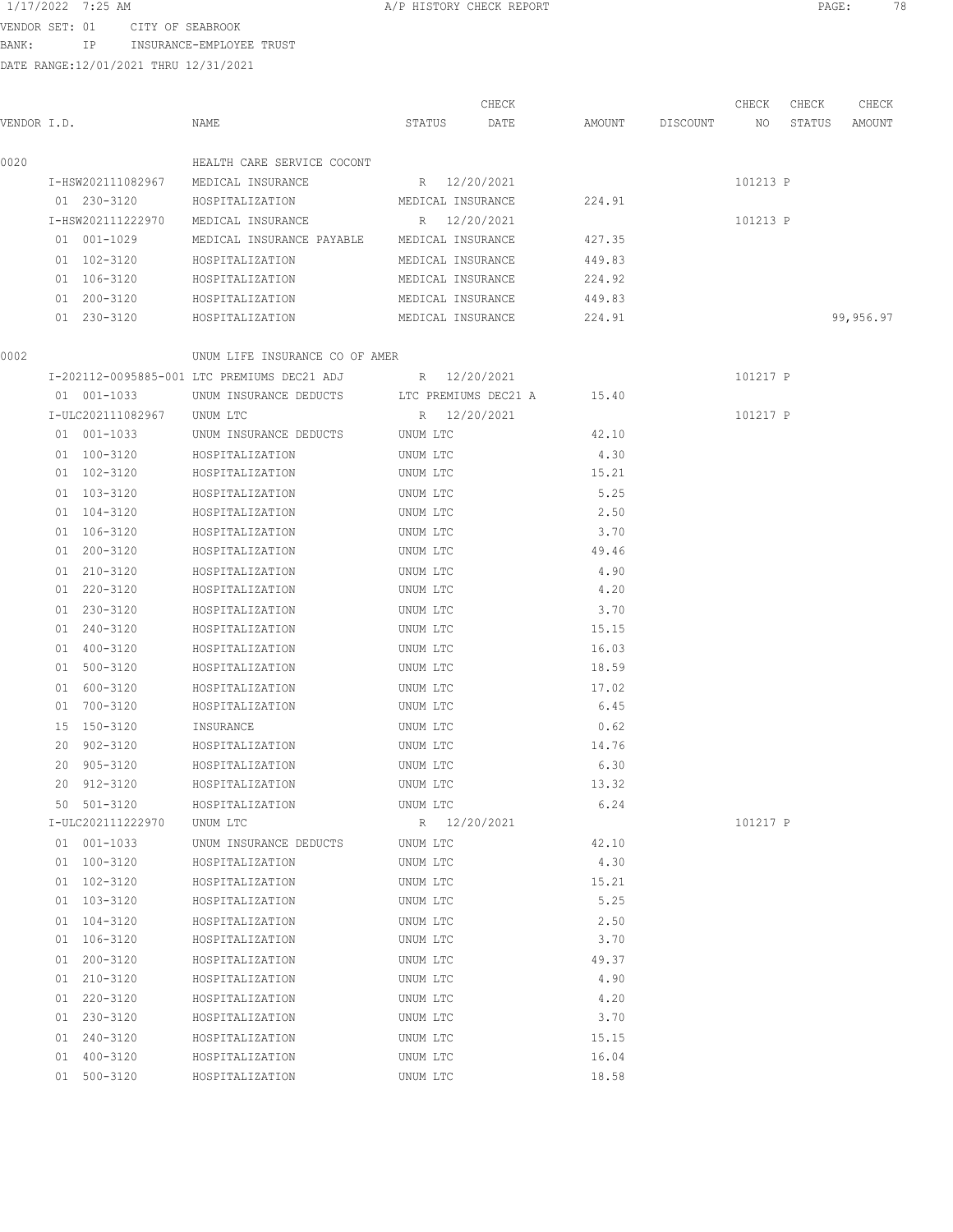BANK: IP INSURANCE-EMPLOYEE TRUST

|             |                   |                                                          |                      |              | CHECK |        |          | CHECK    | CHECK  | CHECK     |
|-------------|-------------------|----------------------------------------------------------|----------------------|--------------|-------|--------|----------|----------|--------|-----------|
| VENDOR I.D. |                   | NAME                                                     | STATUS               |              | DATE  | AMOUNT | DISCOUNT | NO       | STATUS | AMOUNT    |
| 0020        |                   | HEALTH CARE SERVICE COCONT                               |                      |              |       |        |          |          |        |           |
|             | I-HSW202111082967 | MEDICAL INSURANCE                                        |                      | R 12/20/2021 |       |        |          | 101213 P |        |           |
|             | 01 230-3120       | HOSPITALIZATION                                          | MEDICAL INSURANCE    |              |       | 224.91 |          |          |        |           |
|             | I-HSW202111222970 | MEDICAL INSURANCE                                        |                      | R 12/20/2021 |       |        |          | 101213 P |        |           |
|             | 01 001-1029       | MEDICAL INSURANCE PAYABLE MEDICAL INSURANCE              |                      |              |       | 427.35 |          |          |        |           |
|             | 01 102-3120       | HOSPITALIZATION                                          | MEDICAL INSURANCE    |              |       | 449.83 |          |          |        |           |
|             | 01 106-3120       | HOSPITALIZATION                                          | MEDICAL INSURANCE    |              |       | 224.92 |          |          |        |           |
|             | 01 200-3120       | HOSPITALIZATION                                          | MEDICAL INSURANCE    |              |       | 449.83 |          |          |        |           |
|             | 01 230-3120       | HOSPITALIZATION                                          | MEDICAL INSURANCE    |              |       | 224.91 |          |          |        | 99,956.97 |
| 0002        |                   | UNUM LIFE INSURANCE CO OF AMER                           |                      |              |       |        |          |          |        |           |
|             |                   | I-202112-0095885-001 LTC PREMIUMS DEC21 ADJ R 12/20/2021 |                      |              |       |        |          | 101217 P |        |           |
|             | 01 001-1033       | UNUM INSURANCE DEDUCTS                                   | LTC PREMIUMS DEC21 A |              |       | 15.40  |          |          |        |           |
|             | I-ULC202111082967 | UNUM LTC                                                 |                      | R 12/20/2021 |       |        |          | 101217 P |        |           |
|             | 01 001-1033       | UNUM INSURANCE DEDUCTS                                   | UNUM LTC             |              |       | 42.10  |          |          |        |           |
|             | 01 100-3120       | HOSPITALIZATION                                          | UNUM LTC             |              |       | 4.30   |          |          |        |           |
|             | 01 102-3120       | HOSPITALIZATION                                          | UNUM LTC             |              |       | 15.21  |          |          |        |           |
|             | 01 103-3120       | HOSPITALIZATION                                          | UNUM LTC             |              |       | 5.25   |          |          |        |           |
|             | 01 104-3120       | HOSPITALIZATION                                          | UNUM LTC             |              |       | 2.50   |          |          |        |           |
|             | 01 106-3120       | HOSPITALIZATION                                          | UNUM LTC             |              |       | 3.70   |          |          |        |           |
|             | 01 200-3120       | HOSPITALIZATION                                          | UNUM LTC             |              |       | 49.46  |          |          |        |           |
|             | 01 210-3120       | HOSPITALIZATION                                          | UNUM LTC             |              |       | 4.90   |          |          |        |           |
|             | 01 220-3120       | HOSPITALIZATION                                          | UNUM LTC             |              |       | 4.20   |          |          |        |           |
|             | 01 230-3120       | HOSPITALIZATION                                          | UNUM LTC             |              |       | 3.70   |          |          |        |           |
|             | 01 240-3120       | HOSPITALIZATION                                          | UNUM LTC             |              |       | 15.15  |          |          |        |           |
|             | 01 400-3120       | HOSPITALIZATION                                          | UNUM LTC             |              |       | 16.03  |          |          |        |           |
|             | 01 500-3120       | HOSPITALIZATION                                          | UNUM LTC             |              |       | 18.59  |          |          |        |           |
|             | 01 600-3120       | HOSPITALIZATION                                          | UNUM LTC             |              |       | 17.02  |          |          |        |           |
|             | 01 700-3120       | HOSPITALIZATION                                          | UNUM LTC             |              |       | 6.45   |          |          |        |           |
|             | 15 150-3120       | INSURANCE                                                | UNUM LTC             |              |       | 0.62   |          |          |        |           |
|             | 20 902-3120       | HOSPITALIZATION                                          | UNUM LTC             |              |       | 14.76  |          |          |        |           |
|             | 20 905-3120       | HOSPITALIZATION                                          | UNUM LTC             |              |       | 6.30   |          |          |        |           |
|             | 20 912-3120       | HOSPITALIZATION                                          | UNUM LTC             |              |       | 13.32  |          |          |        |           |
|             | 50 501-3120       | HOSPITALIZATION                                          | UNUM LTC             |              |       | 6.24   |          |          |        |           |
|             | I-ULC202111222970 | UNUM LTC                                                 |                      | R 12/20/2021 |       |        |          | 101217 P |        |           |
|             | 01 001-1033       | UNUM INSURANCE DEDUCTS                                   | UNUM LTC             |              |       | 42.10  |          |          |        |           |
|             | 01 100-3120       | HOSPITALIZATION                                          | UNUM LTC             |              |       | 4.30   |          |          |        |           |
|             | 01 102-3120       | HOSPITALIZATION                                          | UNUM LTC             |              |       | 15.21  |          |          |        |           |
|             | 01 103-3120       | HOSPITALIZATION                                          | UNUM LTC             |              |       | 5.25   |          |          |        |           |
|             | 01 104-3120       | HOSPITALIZATION                                          | UNUM LTC             |              |       | 2.50   |          |          |        |           |
|             | 01 106-3120       | HOSPITALIZATION                                          | UNUM LTC             |              |       | 3.70   |          |          |        |           |
|             | 01 200-3120       | HOSPITALIZATION                                          | UNUM LTC             |              |       | 49.37  |          |          |        |           |
|             | 01 210-3120       | HOSPITALIZATION                                          | UNUM LTC             |              |       | 4.90   |          |          |        |           |
|             | 01 220-3120       | HOSPITALIZATION                                          | UNUM LTC             |              |       | 4.20   |          |          |        |           |
|             | 01 230-3120       | HOSPITALIZATION                                          | UNUM LTC             |              |       | 3.70   |          |          |        |           |
|             | 01 240-3120       | HOSPITALIZATION                                          | UNUM LTC             |              |       | 15.15  |          |          |        |           |
|             | 01 400-3120       | HOSPITALIZATION                                          | UNUM LTC             |              |       | 16.04  |          |          |        |           |
|             | 01 500-3120       | HOSPITALIZATION                                          | UNUM LTC             |              |       | 18.58  |          |          |        |           |
|             |                   |                                                          |                      |              |       |        |          |          |        |           |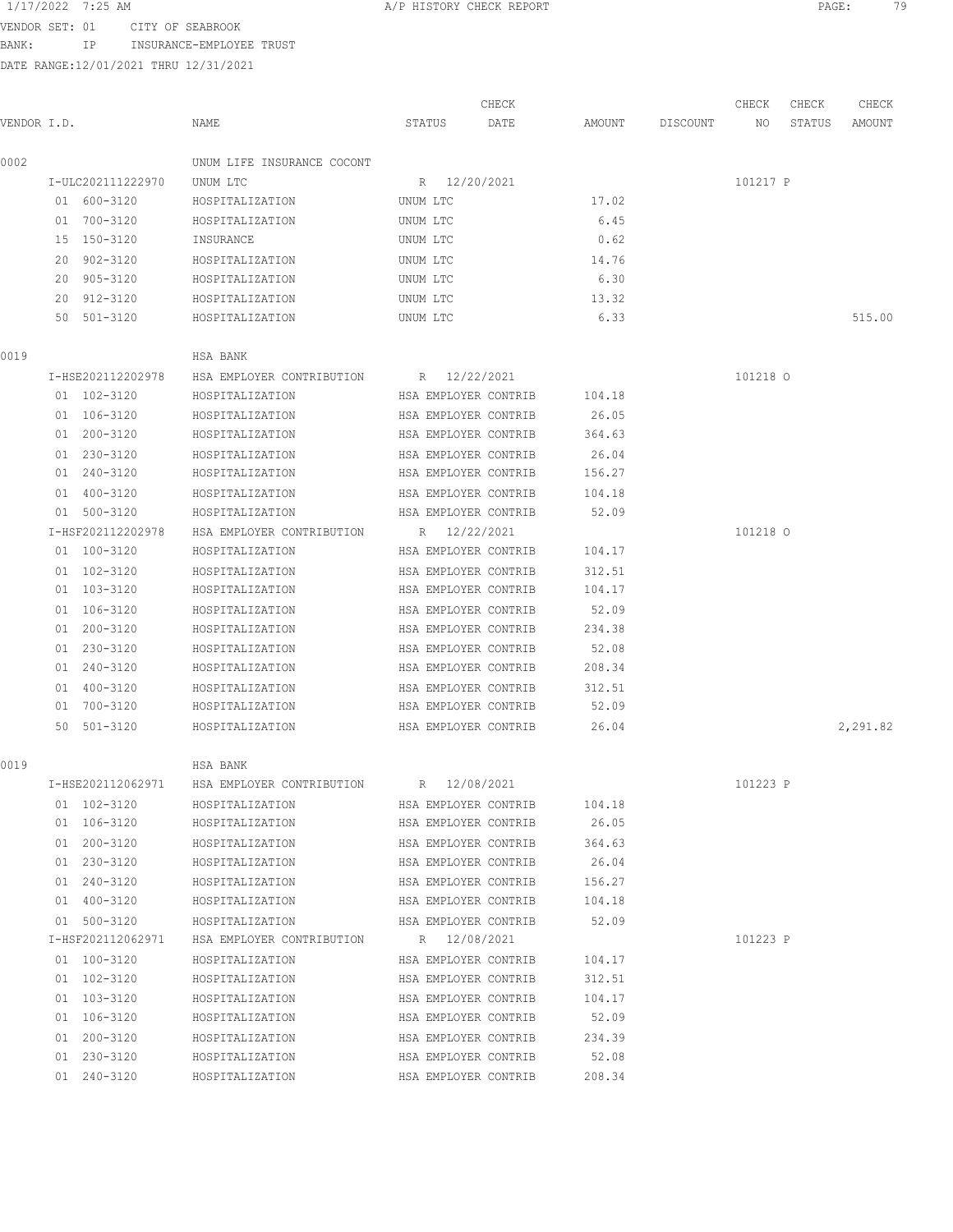BANK: IP INSURANCE-EMPLOYEE TRUST

| VENDOR SET:      | . .                     | SEARROOK<br>∩⊤mv<br>ヘドー |                            |              |        |  |       |      |
|------------------|-------------------------|-------------------------|----------------------------|--------------|--------|--|-------|------|
| 1/17/202<br>とりとと | ΔM<br>$\cdot$ .<br>-211 |                         | NORY.<br>11 11 U 1 U 1 V 1 | <b>CHECK</b> | REPORT |  | PAGE. | $ -$ |

|             |                   |                                        |                      | CHECK |        |          | CHECK    | CHECK  | CHECK    |
|-------------|-------------------|----------------------------------------|----------------------|-------|--------|----------|----------|--------|----------|
| VENDOR I.D. |                   | NAME                                   | STATUS               | DATE  | AMOUNT | DISCOUNT | NO       | STATUS | AMOUNT   |
| 0002        |                   | UNUM LIFE INSURANCE COCONT             |                      |       |        |          |          |        |          |
|             | I-ULC202111222970 | UNUM LTC                               | R 12/20/2021         |       |        |          | 101217 P |        |          |
|             | 01 600-3120       | HOSPITALIZATION                        | UNUM LTC             |       | 17.02  |          |          |        |          |
|             | 01 700-3120       | HOSPITALIZATION                        | UNUM LTC             |       | 6.45   |          |          |        |          |
|             | 15 150-3120       | INSURANCE                              | UNUM LTC             |       | 0.62   |          |          |        |          |
|             | 20 902-3120       | HOSPITALIZATION                        | UNUM LTC             |       | 14.76  |          |          |        |          |
|             | 20 905-3120       | HOSPITALIZATION                        | UNUM LTC             |       | 6.30   |          |          |        |          |
|             | 20 912-3120       | HOSPITALIZATION                        | UNUM LTC             |       | 13.32  |          |          |        |          |
|             | 50 501-3120       | HOSPITALIZATION                        | UNUM LTC             |       | 6.33   |          |          |        | 515.00   |
| 0019        |                   | HSA BANK                               |                      |       |        |          |          |        |          |
|             | I-HSE202112202978 | HSA EMPLOYER CONTRIBUTION R 12/22/2021 |                      |       |        |          | 101218 0 |        |          |
|             | 01 102-3120       | HOSPITALIZATION                        | HSA EMPLOYER CONTRIB |       | 104.18 |          |          |        |          |
|             | 01 106-3120       | HOSPITALIZATION                        | HSA EMPLOYER CONTRIB |       | 26.05  |          |          |        |          |
|             | 01 200-3120       | HOSPITALIZATION                        | HSA EMPLOYER CONTRIB |       | 364.63 |          |          |        |          |
|             | 01 230-3120       | HOSPITALIZATION                        | HSA EMPLOYER CONTRIB |       | 26.04  |          |          |        |          |
|             | 01 240-3120       | HOSPITALIZATION                        | HSA EMPLOYER CONTRIB |       | 156.27 |          |          |        |          |
|             | 01 400-3120       | HOSPITALIZATION                        | HSA EMPLOYER CONTRIB |       | 104.18 |          |          |        |          |
|             | 01 500-3120       | HOSPITALIZATION                        | HSA EMPLOYER CONTRIB |       | 52.09  |          |          |        |          |
|             | I-HSF202112202978 | HSA EMPLOYER CONTRIBUTION              | R 12/22/2021         |       |        |          | 101218 0 |        |          |
|             | 01 100-3120       | HOSPITALIZATION                        | HSA EMPLOYER CONTRIB |       | 104.17 |          |          |        |          |
|             | 01 102-3120       | HOSPITALIZATION                        | HSA EMPLOYER CONTRIB |       | 312.51 |          |          |        |          |
|             | 01 103-3120       | HOSPITALIZATION                        | HSA EMPLOYER CONTRIB |       | 104.17 |          |          |        |          |
|             | 01 106-3120       | HOSPITALIZATION                        | HSA EMPLOYER CONTRIB |       | 52.09  |          |          |        |          |
|             | 01 200-3120       | HOSPITALIZATION                        | HSA EMPLOYER CONTRIB |       | 234.38 |          |          |        |          |
|             | 01 230-3120       | HOSPITALIZATION                        | HSA EMPLOYER CONTRIB |       | 52.08  |          |          |        |          |
|             | 01 240-3120       | HOSPITALIZATION                        | HSA EMPLOYER CONTRIB |       | 208.34 |          |          |        |          |
|             | 01 400-3120       | HOSPITALIZATION                        | HSA EMPLOYER CONTRIB |       | 312.51 |          |          |        |          |
|             | 01 700-3120       | HOSPITALIZATION                        | HSA EMPLOYER CONTRIB |       | 52.09  |          |          |        |          |
|             | 50 501-3120       | HOSPITALIZATION                        | HSA EMPLOYER CONTRIB |       | 26.04  |          |          |        | 2,291.82 |
| 0019        |                   | HSA BANK                               |                      |       |        |          |          |        |          |
|             | I-HSE202112062971 | HSA EMPLOYER CONTRIBUTION              | R 12/08/2021         |       |        |          | 101223 P |        |          |
|             | 01 102-3120       | HOSPITALIZATION                        | HSA EMPLOYER CONTRIB |       | 104.18 |          |          |        |          |
|             | 01 106-3120       | HOSPITALIZATION                        | HSA EMPLOYER CONTRIB |       | 26.05  |          |          |        |          |
|             | 01 200-3120       | HOSPITALIZATION                        | HSA EMPLOYER CONTRIB |       | 364.63 |          |          |        |          |
|             | 01 230-3120       | HOSPITALIZATION                        | HSA EMPLOYER CONTRIB |       | 26.04  |          |          |        |          |
|             | 01 240-3120       | HOSPITALIZATION                        | HSA EMPLOYER CONTRIB |       | 156.27 |          |          |        |          |
|             | 01 400-3120       | HOSPITALIZATION                        | HSA EMPLOYER CONTRIB |       | 104.18 |          |          |        |          |
|             | 01 500-3120       | HOSPITALIZATION                        | HSA EMPLOYER CONTRIB |       | 52.09  |          |          |        |          |
|             | I-HSF202112062971 | HSA EMPLOYER CONTRIBUTION              | R 12/08/2021         |       |        |          | 101223 P |        |          |
|             | 01 100-3120       | HOSPITALIZATION                        | HSA EMPLOYER CONTRIB |       | 104.17 |          |          |        |          |
|             | 01 102-3120       | HOSPITALIZATION                        | HSA EMPLOYER CONTRIB |       | 312.51 |          |          |        |          |
|             | 01 103-3120       | HOSPITALIZATION                        | HSA EMPLOYER CONTRIB |       | 104.17 |          |          |        |          |
|             | 01 106-3120       | HOSPITALIZATION                        | HSA EMPLOYER CONTRIB |       | 52.09  |          |          |        |          |
|             | 01 200-3120       | HOSPITALIZATION                        | HSA EMPLOYER CONTRIB |       | 234.39 |          |          |        |          |
|             | 01 230-3120       | HOSPITALIZATION                        | HSA EMPLOYER CONTRIB |       | 52.08  |          |          |        |          |
|             | 01 240-3120       | HOSPITALIZATION                        | HSA EMPLOYER CONTRIB |       | 208.34 |          |          |        |          |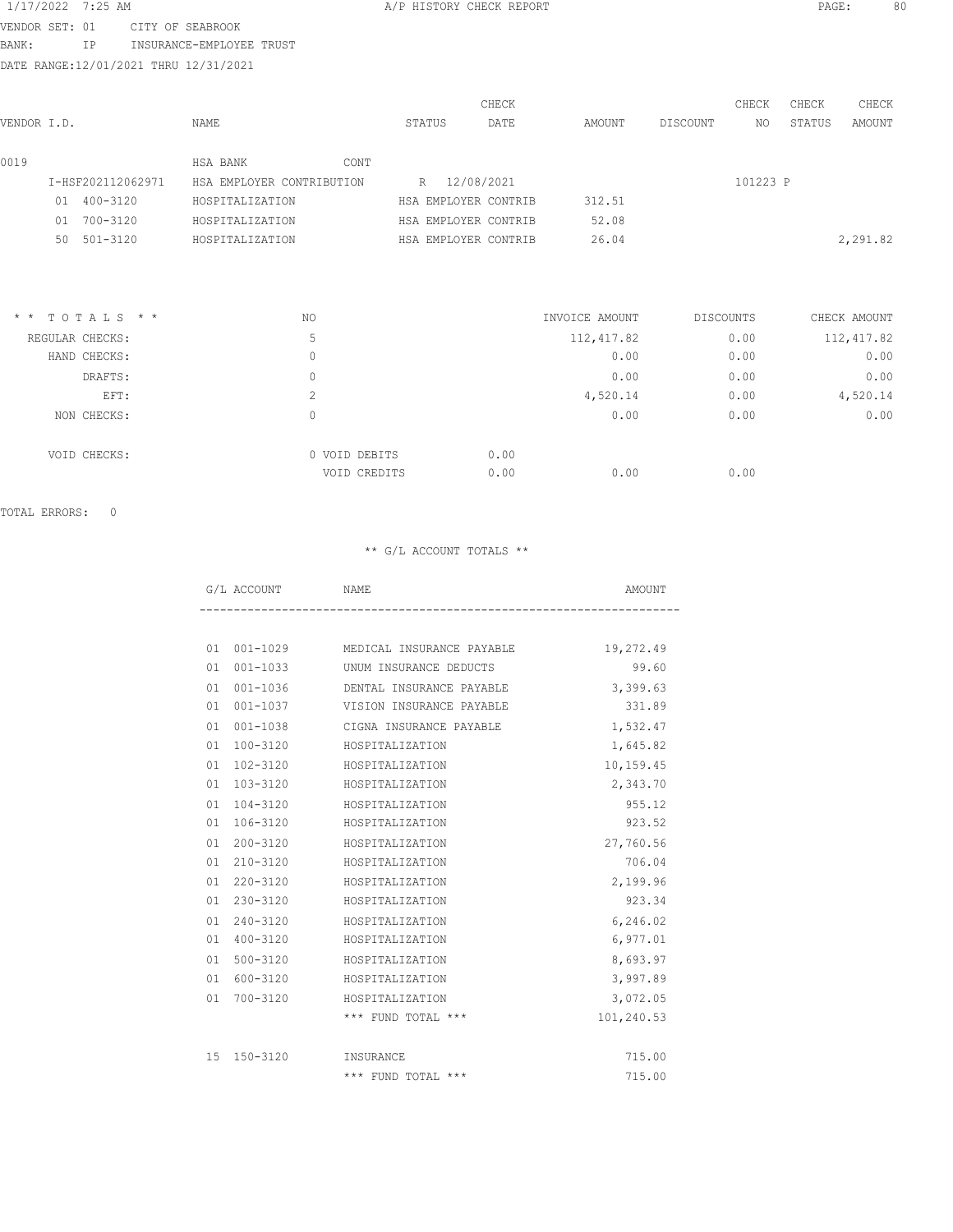# 1/17/2022 7:25 AM A/P HISTORY CHECK REPORT PAGE: 80 VENDOR SET: 01 CITY OF SEABROOK

BANK: IP INSURANCE-EMPLOYEE TRUST

DATE RANGE:12/01/2021 THRU 12/31/2021

| VENDOR I.D. |    |                   | NAME                      |      | STATUS |            | CHECK<br>DATE        | AMOUNT | DISCOUNT | CHECK<br>NO. | CHECK<br>STATUS | CHECK<br>AMOUNT |
|-------------|----|-------------------|---------------------------|------|--------|------------|----------------------|--------|----------|--------------|-----------------|-----------------|
| 0019        |    |                   | HSA BANK                  | CONT |        |            |                      |        |          |              |                 |                 |
|             |    | I-HSF202112062971 | HSA EMPLOYER CONTRIBUTION |      | R      | 12/08/2021 |                      |        |          | 101223 P     |                 |                 |
|             | 01 | 400-3120          | HOSPITALIZATION           |      |        |            | HSA EMPLOYER CONTRIB | 312.51 |          |              |                 |                 |
|             | 01 | 700-3120          | HOSPITALIZATION           |      |        |            | HSA EMPLOYER CONTRIB | 52.08  |          |              |                 |                 |
|             | 50 | $501 - 3120$      | HOSPITALIZATION           |      |        |            | HSA EMPLOYER CONTRIB | 26.04  |          |              |                 | 2,291.82        |
|             |    |                   |                           |      |        |            |                      |        |          |              |                 |                 |

| $*$ * TOTALS * * | NO                            | INVOICE AMOUNT       | <b>DISCOUNTS</b> | CHECK AMOUNT |
|------------------|-------------------------------|----------------------|------------------|--------------|
| REGULAR CHECKS:  | 5                             | 112, 417.82          | 0.00             | 112, 417.82  |
| HAND CHECKS:     | 0                             | 0.00                 | 0.00             | 0.00         |
| DRAFTS:          | 0                             | 0.00                 | 0.00             | 0.00         |
| EFT:             | $\sim$<br>∠                   | 4,520.14             | 0.00             | 4,520.14     |
| NON CHECKS:      | 0                             | 0.00                 | 0.00             | 0.00         |
| VOID CHECKS:     | 0 VOID DEBITS<br>VOID CREDITS | 0.00<br>0.00<br>0.00 | 0.00             |              |

TOTAL ERRORS: 0

## \*\* G/L ACCOUNT TOTALS \*\*

|  | ------<br>$\cdots$<br>. <u>. .</u> |       |
|--|------------------------------------|-------|
|  |                                    | $  -$ |

| 01 | 001-1029     | MEDICAL INSURANCE PAYABLE | 19,272.49  |
|----|--------------|---------------------------|------------|
| 01 | 001-1033     | UNUM INSURANCE DEDUCTS    | 99.60      |
| 01 | $001 - 1036$ | DENTAL INSURANCE PAYABLE  | 3,399.63   |
| 01 | 001-1037     | VISION INSURANCE PAYABLE  | 331.89     |
| 01 | 001-1038     | CIGNA INSURANCE PAYABLE   | 1,532.47   |
| 01 | 100-3120     | HOSPITALIZATION           | 1,645.82   |
| 01 | 102-3120     | HOSPITALIZATION           | 10,159.45  |
| 01 | 103-3120     | HOSPITALIZATION           | 2,343.70   |
| 01 | 104-3120     | HOSPITALIZATION           | 955.12     |
| 01 | 106-3120     | HOSPITALIZATION           | 923.52     |
| 01 | 200-3120     | HOSPITALIZATION           | 27,760.56  |
| 01 | 210-3120     | HOSPITALIZATION           | 706.04     |
| 01 | 220-3120     | HOSPITALIZATION           | 2,199.96   |
| 01 | 230-3120     | HOSPITALIZATION           | 923.34     |
| 01 | 240-3120     | HOSPITALIZATION           | 6,246.02   |
| 01 | 400-3120     | HOSPITALIZATION           | 6,977.01   |
| 01 | 500-3120     | HOSPITALIZATION           | 8,693.97   |
| 01 | 600-3120     | HOSPITALIZATION           | 3,997.89   |
| 01 | 700-3120     | HOSPITALIZATION           | 3,072.05   |
|    |              | *** FUND TOTAL ***        | 101,240.53 |
|    |              |                           |            |
|    | 15 150-3120  | INSURANCE                 | 715.00     |
|    |              | *** FUND TOTAL ***        | 715.00     |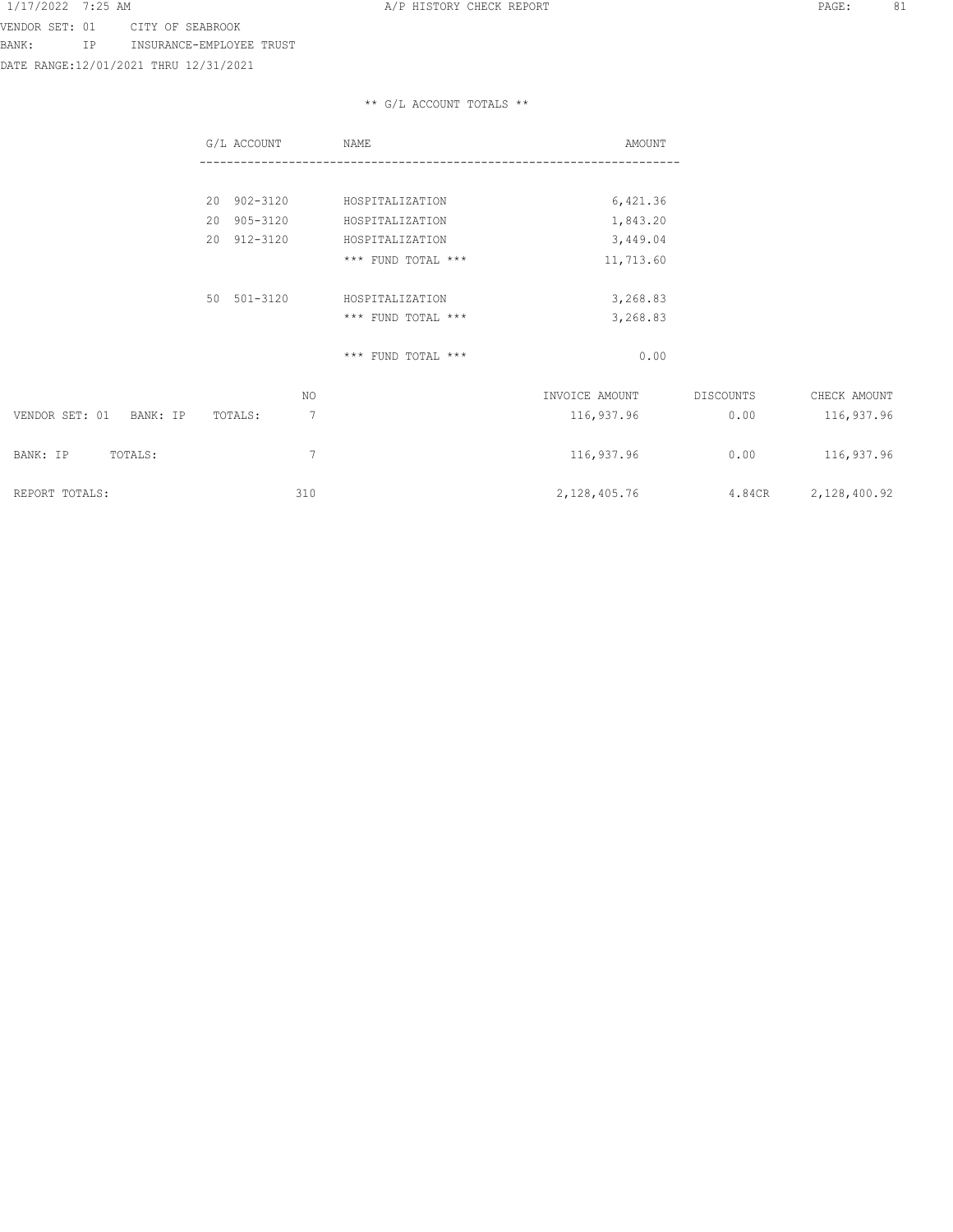VENDOR SET: 01 CITY OF SEABROOK BANK: IP INSURANCE-EMPLOYEE TRUST

DATE RANGE:12/01/2021 THRU 12/31/2021

# \*\* G/L ACCOUNT TOTALS \*\*

|                            | G/L ACCOUNT  | NAME               | AMOUNT         |           |              |
|----------------------------|--------------|--------------------|----------------|-----------|--------------|
|                            |              |                    |                |           |              |
|                            | 20 902-3120  | HOSPITALIZATION    | 6,421.36       |           |              |
|                            | 20 905-3120  | HOSPITALIZATION    | 1,843.20       |           |              |
|                            | 20 912-3120  | HOSPITALIZATION    | 3,449.04       |           |              |
|                            |              | *** FUND TOTAL *** | 11,713.60      |           |              |
|                            |              |                    |                |           |              |
|                            | 50 501-3120  | HOSPITALIZATION    | 3,268.83       |           |              |
|                            |              | *** FUND TOTAL *** | 3,268.83       |           |              |
|                            |              |                    |                |           |              |
|                            |              | *** FUND TOTAL *** | 0.00           |           |              |
|                            |              |                    |                |           |              |
|                            | NO.          |                    | INVOICE AMOUNT | DISCOUNTS | CHECK AMOUNT |
| VENDOR SET: 01<br>BANK: IP | 7<br>TOTALS: |                    | 116,937.96     | 0.00      | 116,937.96   |
|                            |              |                    |                |           |              |
| BANK: IP<br>TOTALS:        | 7            |                    | 116,937.96     | 0.00      | 116,937.96   |
|                            |              |                    |                |           |              |
| REPORT TOTALS:             | 310          |                    | 2, 128, 405.76 | 4.84CR    | 2,128,400.92 |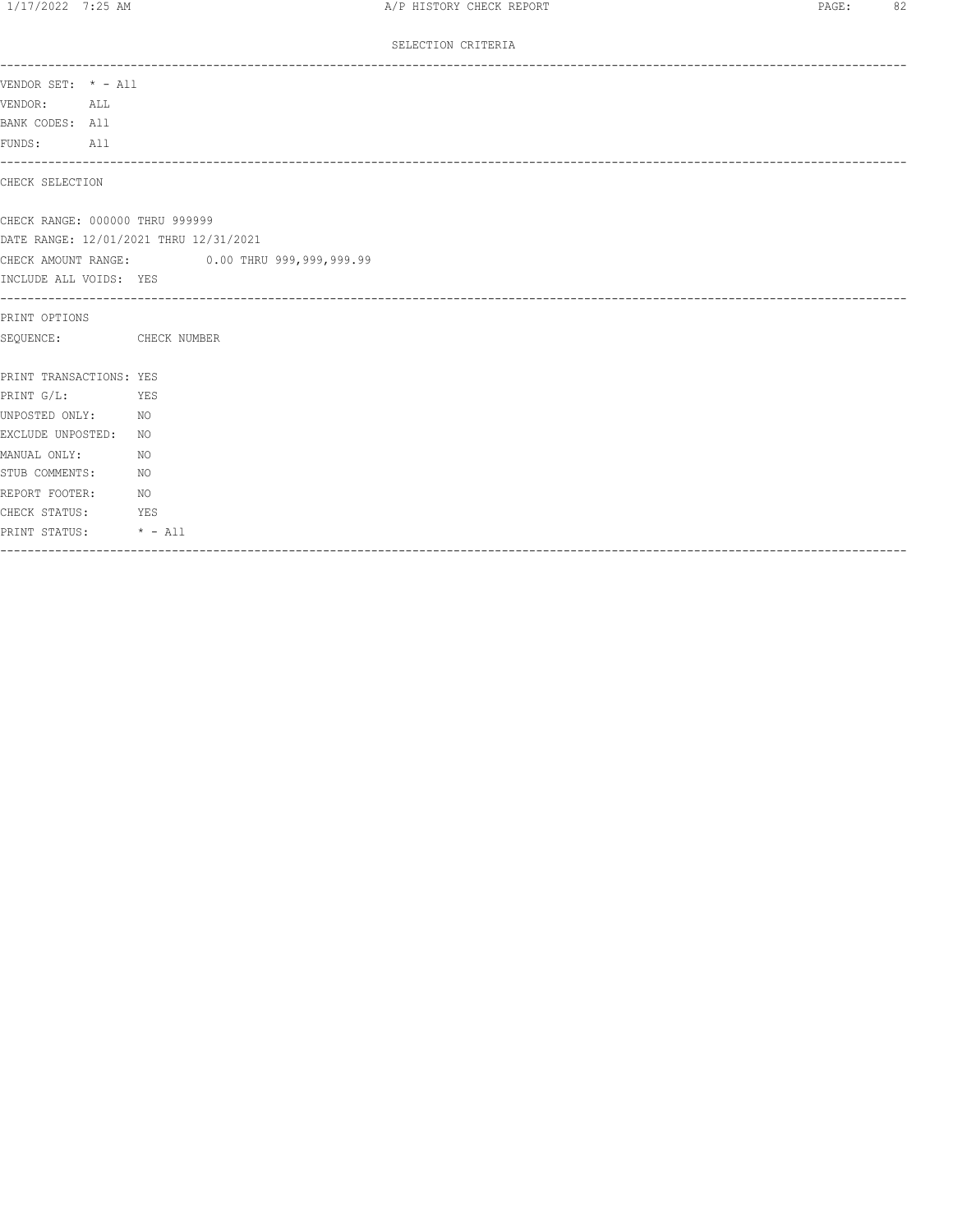### SELECTION CRITERIA

| VENDOR SET: * - All               |                                              |
|-----------------------------------|----------------------------------------------|
| VENDOR: ALL                       |                                              |
| BANK CODES: All                   |                                              |
| FUNDS: All                        |                                              |
| CHECK SELECTION                   |                                              |
| CHECK RANGE: 000000 THRU 999999   |                                              |
|                                   | DATE RANGE: 12/01/2021 THRU 12/31/2021       |
|                                   | CHECK AMOUNT RANGE: 0.00 THRU 999,999,999.99 |
| INCLUDE ALL VOIDS: YES            |                                              |
| PRINT OPTIONS                     |                                              |
| SEQUENCE: CHECK NUMBER            |                                              |
| PRINT TRANSACTIONS: YES           |                                              |
| PRINT G/L:<br><b>EXERCITE YES</b> |                                              |
| UNPOSTED ONLY:<br>NO <sub>N</sub> |                                              |
| EXCLUDE UNPOSTED: NO              |                                              |
| MANUAL ONLY:                      | NO                                           |
| STUB COMMENTS:                    | NO                                           |
| REPORT FOOTER:                    | N                                            |
| CHECK STATUS:                     | YES                                          |
| PRINT STATUS: * - All             |                                              |
|                                   |                                              |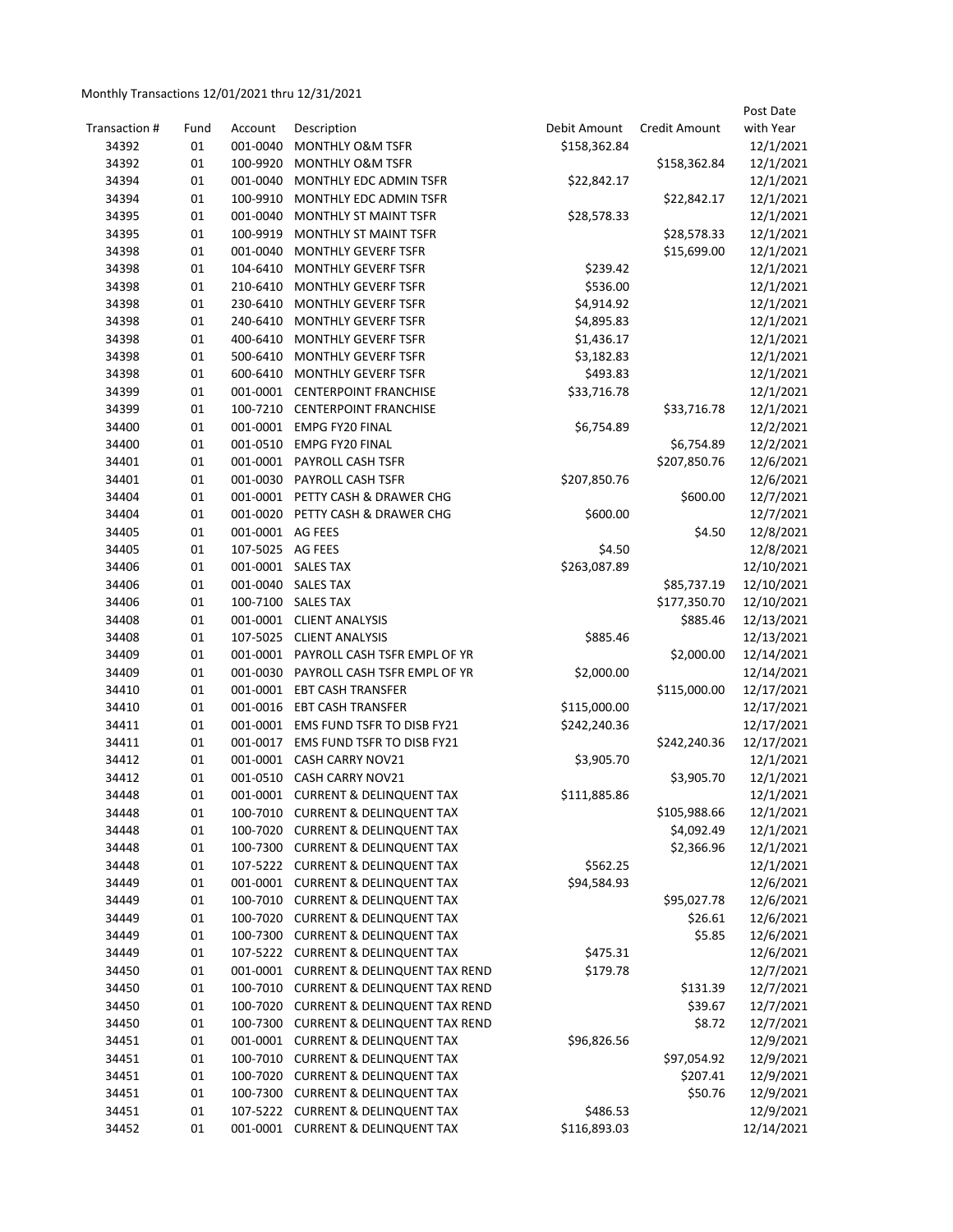# Monthly Transactions 12/01/2021 thru 12/31/2021

| Transaction # | Fund | Account          | Description                              | Debit Amount | <b>Credit Amount</b> | Post Date<br>with Year |
|---------------|------|------------------|------------------------------------------|--------------|----------------------|------------------------|
| 34392         | 01   | 001-0040         | <b>MONTHLY O&amp;M TSFR</b>              | \$158,362.84 |                      | 12/1/2021              |
| 34392         | 01   | 100-9920         | MONTHLY O&M TSFR                         |              | \$158,362.84         | 12/1/2021              |
| 34394         | 01   |                  | 001-0040 MONTHLY EDC ADMIN TSFR          | \$22,842.17  |                      | 12/1/2021              |
| 34394         | 01   | 100-9910         | MONTHLY EDC ADMIN TSFR                   |              | \$22,842.17          | 12/1/2021              |
| 34395         | 01   | 001-0040         | MONTHLY ST MAINT TSFR                    | \$28,578.33  |                      | 12/1/2021              |
| 34395         | 01   | 100-9919         | MONTHLY ST MAINT TSFR                    |              | \$28,578.33          | 12/1/2021              |
| 34398         | 01   | 001-0040         | <b>MONTHLY GEVERF TSFR</b>               |              | \$15,699.00          | 12/1/2021              |
| 34398         | 01   | 104-6410         | <b>MONTHLY GEVERF TSFR</b>               | \$239.42     |                      | 12/1/2021              |
| 34398         | 01   | 210-6410         | <b>MONTHLY GEVERF TSFR</b>               | \$536.00     |                      | 12/1/2021              |
| 34398         | 01   | 230-6410         | <b>MONTHLY GEVERF TSFR</b>               | \$4,914.92   |                      | 12/1/2021              |
| 34398         | 01   |                  | 240-6410 MONTHLY GEVERF TSFR             | \$4,895.83   |                      | 12/1/2021              |
| 34398         | 01   |                  | 400-6410 MONTHLY GEVERF TSFR             | \$1,436.17   |                      | 12/1/2021              |
| 34398         | 01   |                  | 500-6410 MONTHLY GEVERF TSFR             | \$3,182.83   |                      | 12/1/2021              |
| 34398         | 01   |                  | 600-6410 MONTHLY GEVERF TSFR             | \$493.83     |                      | 12/1/2021              |
| 34399         | 01   |                  | 001-0001 CENTERPOINT FRANCHISE           | \$33,716.78  |                      | 12/1/2021              |
| 34399         | 01   |                  | 100-7210 CENTERPOINT FRANCHISE           |              | \$33,716.78          | 12/1/2021              |
| 34400         | 01   |                  | 001-0001 EMPG FY20 FINAL                 | \$6,754.89   |                      | 12/2/2021              |
| 34400         | 01   |                  | 001-0510 EMPG FY20 FINAL                 |              | \$6,754.89           | 12/2/2021              |
| 34401         | 01   |                  | 001-0001 PAYROLL CASH TSFR               |              | \$207,850.76         | 12/6/2021              |
| 34401         | 01   |                  | 001-0030 PAYROLL CASH TSFR               | \$207,850.76 |                      | 12/6/2021              |
| 34404         | 01   |                  | 001-0001 PETTY CASH & DRAWER CHG         |              | \$600.00             | 12/7/2021              |
| 34404         | 01   |                  | 001-0020 PETTY CASH & DRAWER CHG         | \$600.00     |                      | 12/7/2021              |
| 34405         | 01   | 001-0001 AG FEES |                                          |              | \$4.50               | 12/8/2021              |
| 34405         | 01   | 107-5025 AG FEES |                                          | \$4.50       |                      | 12/8/2021              |
| 34406         | 01   |                  | 001-0001 SALES TAX                       | \$263,087.89 |                      | 12/10/2021             |
| 34406         | 01   |                  | 001-0040 SALES TAX                       |              | \$85,737.19          | 12/10/2021             |
| 34406         | 01   |                  | 100-7100 SALES TAX                       |              | \$177,350.70         | 12/10/2021             |
| 34408         | 01   |                  | 001-0001 CLIENT ANALYSIS                 |              | \$885.46             | 12/13/2021             |
| 34408         | 01   |                  | 107-5025 CLIENT ANALYSIS                 | \$885.46     |                      | 12/13/2021             |
| 34409         | 01   |                  | 001-0001 PAYROLL CASH TSFR EMPL OF YR    |              | \$2,000.00           | 12/14/2021             |
| 34409         | 01   |                  | 001-0030 PAYROLL CASH TSFR EMPL OF YR    | \$2,000.00   |                      | 12/14/2021             |
| 34410         | 01   |                  | 001-0001 EBT CASH TRANSFER               |              | \$115,000.00         | 12/17/2021             |
| 34410         | 01   |                  | 001-0016 EBT CASH TRANSFER               | \$115,000.00 |                      | 12/17/2021             |
| 34411         | 01   |                  | 001-0001 EMS FUND TSFR TO DISB FY21      | \$242,240.36 |                      | 12/17/2021             |
| 34411         | 01   |                  | 001-0017 EMS FUND TSFR TO DISB FY21      |              | \$242,240.36         | 12/17/2021             |
| 34412         | 01   |                  | 001-0001 CASH CARRY NOV21                | \$3,905.70   |                      | 12/1/2021              |
| 34412         | 01   |                  | 001-0510 CASH CARRY NOV21                |              | \$3,905.70           | 12/1/2021              |
| 34448         | 01   |                  | 001-0001 CURRENT & DELINQUENT TAX        | \$111,885.86 |                      | 12/1/2021              |
| 34448         | 01   |                  | 100-7010 CURRENT & DELINQUENT TAX        |              | \$105,988.66         | 12/1/2021              |
| 34448         | 01   |                  | 100-7020 CURRENT & DELINQUENT TAX        |              | \$4,092.49           | 12/1/2021              |
| 34448         | 01   |                  | 100-7300 CURRENT & DELINQUENT TAX        |              | \$2,366.96           | 12/1/2021              |
| 34448         | 01   |                  | 107-5222 CURRENT & DELINQUENT TAX        | \$562.25     |                      | 12/1/2021              |
| 34449         | 01   |                  | 001-0001 CURRENT & DELINQUENT TAX        | \$94,584.93  |                      | 12/6/2021              |
| 34449         | 01   |                  | 100-7010 CURRENT & DELINQUENT TAX        |              | \$95,027.78          | 12/6/2021              |
| 34449         | 01   |                  | 100-7020 CURRENT & DELINQUENT TAX        |              | \$26.61              | 12/6/2021              |
| 34449         | 01   | 100-7300         | <b>CURRENT &amp; DELINQUENT TAX</b>      |              | \$5.85               | 12/6/2021              |
| 34449         | 01   |                  | 107-5222 CURRENT & DELINQUENT TAX        | \$475.31     |                      | 12/6/2021              |
| 34450         | 01   |                  | 001-0001 CURRENT & DELINQUENT TAX REND   | \$179.78     |                      | 12/7/2021              |
| 34450         | 01   |                  | 100-7010 CURRENT & DELINQUENT TAX REND   |              | \$131.39             | 12/7/2021              |
| 34450         | 01   |                  | 100-7020 CURRENT & DELINQUENT TAX REND   |              | \$39.67              | 12/7/2021              |
| 34450         | 01   | 100-7300         | <b>CURRENT &amp; DELINQUENT TAX REND</b> |              | \$8.72               | 12/7/2021              |
| 34451         | 01   |                  | 001-0001 CURRENT & DELINQUENT TAX        | \$96,826.56  |                      | 12/9/2021              |
| 34451         | 01   |                  | 100-7010 CURRENT & DELINQUENT TAX        |              | \$97,054.92          | 12/9/2021              |
| 34451         | 01   |                  | 100-7020 CURRENT & DELINQUENT TAX        |              | \$207.41             | 12/9/2021              |
| 34451         | 01   |                  | 100-7300 CURRENT & DELINQUENT TAX        |              | \$50.76              | 12/9/2021              |
| 34451         | 01   |                  | 107-5222 CURRENT & DELINQUENT TAX        | \$486.53     |                      | 12/9/2021              |
| 34452         | 01   |                  | 001-0001 CURRENT & DELINQUENT TAX        | \$116,893.03 |                      | 12/14/2021             |
|               |      |                  |                                          |              |                      |                        |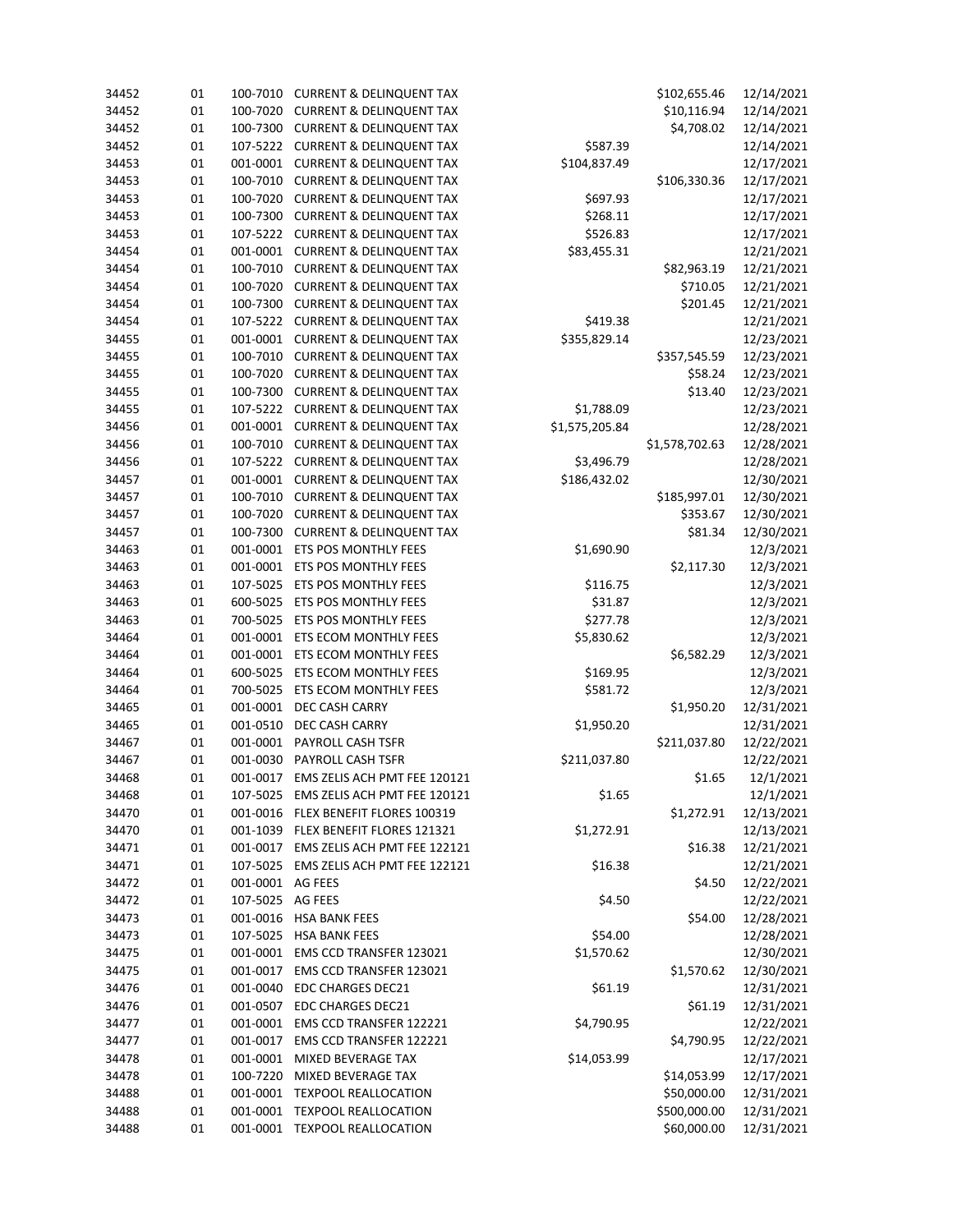| 34452 | 01 | 100-7010         | <b>CURRENT &amp; DELINQUENT TAX</b>                | \$102,655.46<br>12/14/2021 |                |            |
|-------|----|------------------|----------------------------------------------------|----------------------------|----------------|------------|
| 34452 | 01 | 100-7020         | \$10,116.94<br><b>CURRENT &amp; DELINQUENT TAX</b> |                            |                | 12/14/2021 |
| 34452 | 01 | 100-7300         | \$4,708.02<br><b>CURRENT &amp; DELINQUENT TAX</b>  |                            |                |            |
| 34452 | 01 | 107-5222         | \$587.39<br><b>CURRENT &amp; DELINQUENT TAX</b>    |                            |                |            |
| 34453 | 01 | 001-0001         | <b>CURRENT &amp; DELINQUENT TAX</b>                | \$104,837.49               |                | 12/17/2021 |
| 34453 | 01 | 100-7010         | <b>CURRENT &amp; DELINQUENT TAX</b>                |                            | \$106,330.36   | 12/17/2021 |
| 34453 | 01 | 100-7020         | <b>CURRENT &amp; DELINQUENT TAX</b>                | \$697.93                   |                | 12/17/2021 |
| 34453 | 01 | 100-7300         | <b>CURRENT &amp; DELINQUENT TAX</b>                | \$268.11                   |                | 12/17/2021 |
| 34453 | 01 | 107-5222         | <b>CURRENT &amp; DELINQUENT TAX</b>                | \$526.83                   |                | 12/17/2021 |
| 34454 | 01 | 001-0001         | <b>CURRENT &amp; DELINQUENT TAX</b><br>\$83,455.31 |                            | 12/21/2021     |            |
| 34454 | 01 | 100-7010         | <b>CURRENT &amp; DELINQUENT TAX</b>                |                            | \$82,963.19    | 12/21/2021 |
| 34454 | 01 | 100-7020         | <b>CURRENT &amp; DELINQUENT TAX</b>                |                            | \$710.05       | 12/21/2021 |
| 34454 | 01 | 100-7300         | <b>CURRENT &amp; DELINQUENT TAX</b>                |                            | \$201.45       | 12/21/2021 |
| 34454 | 01 |                  | 107-5222 CURRENT & DELINQUENT TAX                  | \$419.38                   |                | 12/21/2021 |
| 34455 | 01 |                  | 001-0001 CURRENT & DELINQUENT TAX                  | \$355,829.14               |                | 12/23/2021 |
| 34455 | 01 | 100-7010         | <b>CURRENT &amp; DELINQUENT TAX</b>                |                            | \$357,545.59   | 12/23/2021 |
| 34455 | 01 | 100-7020         | <b>CURRENT &amp; DELINQUENT TAX</b>                |                            | \$58.24        | 12/23/2021 |
| 34455 | 01 | 100-7300         | <b>CURRENT &amp; DELINQUENT TAX</b>                |                            | \$13.40        | 12/23/2021 |
| 34455 | 01 | 107-5222         | <b>CURRENT &amp; DELINQUENT TAX</b>                | \$1,788.09                 |                | 12/23/2021 |
| 34456 | 01 | 001-0001         | <b>CURRENT &amp; DELINQUENT TAX</b>                | \$1,575,205.84             |                | 12/28/2021 |
| 34456 | 01 | 100-7010         | <b>CURRENT &amp; DELINQUENT TAX</b>                |                            | \$1,578,702.63 | 12/28/2021 |
| 34456 | 01 |                  | 107-5222 CURRENT & DELINQUENT TAX                  | \$3,496.79                 |                | 12/28/2021 |
| 34457 | 01 |                  | 001-0001 CURRENT & DELINQUENT TAX                  | \$186,432.02               |                | 12/30/2021 |
| 34457 | 01 | 100-7010         | <b>CURRENT &amp; DELINQUENT TAX</b>                |                            | \$185,997.01   | 12/30/2021 |
| 34457 | 01 | 100-7020         | <b>CURRENT &amp; DELINQUENT TAX</b>                |                            | \$353.67       | 12/30/2021 |
| 34457 | 01 | 100-7300         | <b>CURRENT &amp; DELINQUENT TAX</b>                |                            | \$81.34        | 12/30/2021 |
| 34463 | 01 | 001-0001         | ETS POS MONTHLY FEES                               | \$1,690.90                 |                | 12/3/2021  |
| 34463 | 01 | 001-0001         | ETS POS MONTHLY FEES                               |                            | \$2,117.30     | 12/3/2021  |
| 34463 | 01 | 107-5025         | ETS POS MONTHLY FEES                               | \$116.75                   |                | 12/3/2021  |
| 34463 | 01 | 600-5025         | ETS POS MONTHLY FEES                               | \$31.87                    |                | 12/3/2021  |
| 34463 | 01 | 700-5025         | ETS POS MONTHLY FEES                               | \$277.78                   |                | 12/3/2021  |
| 34464 | 01 | 001-0001         | ETS ECOM MONTHLY FEES                              | \$5,830.62                 |                | 12/3/2021  |
| 34464 | 01 | 001-0001         | ETS ECOM MONTHLY FEES                              |                            | \$6,582.29     | 12/3/2021  |
| 34464 | 01 | 600-5025         | ETS ECOM MONTHLY FEES                              | \$169.95                   |                | 12/3/2021  |
| 34464 | 01 | 700-5025         | ETS ECOM MONTHLY FEES                              | \$581.72                   |                | 12/3/2021  |
| 34465 | 01 | 001-0001         | DEC CASH CARRY                                     |                            | \$1,950.20     | 12/31/2021 |
| 34465 | 01 | 001-0510         | DEC CASH CARRY                                     | \$1,950.20                 |                | 12/31/2021 |
| 34467 | 01 | 001-0001         | PAYROLL CASH TSFR                                  |                            | \$211,037.80   | 12/22/2021 |
| 34467 | 01 | 001-0030         | PAYROLL CASH TSFR                                  | \$211,037.80               |                | 12/22/2021 |
| 34468 | 01 | 001-0017         | EMS ZELIS ACH PMT FEE 120121                       |                            | \$1.65         | 12/1/2021  |
| 34468 | 01 | 107-5025         | EMS ZELIS ACH PMT FEE 120121                       | \$1.65                     |                | 12/1/2021  |
| 34470 | 01 | 001-0016         | FLEX BENEFIT FLORES 100319                         |                            | \$1,272.91     | 12/13/2021 |
| 34470 | 01 |                  | 001-1039 FLEX BENEFIT FLORES 121321                | \$1,272.91                 |                | 12/13/2021 |
| 34471 | 01 |                  | 001-0017 EMS ZELIS ACH PMT FEE 122121              |                            | \$16.38        | 12/21/2021 |
| 34471 | 01 | 107-5025         | EMS ZELIS ACH PMT FEE 122121                       | \$16.38                    |                | 12/21/2021 |
| 34472 | 01 | 001-0001 AG FEES |                                                    |                            | \$4.50         | 12/22/2021 |
| 34472 | 01 | 107-5025 AG FEES |                                                    | \$4.50                     |                | 12/22/2021 |
| 34473 | 01 | 001-0016         | <b>HSA BANK FEES</b>                               |                            | \$54.00        | 12/28/2021 |
| 34473 | 01 | 107-5025         | <b>HSA BANK FEES</b>                               | \$54.00                    |                | 12/28/2021 |
| 34475 | 01 | 001-0001         | EMS CCD TRANSFER 123021                            | \$1,570.62                 |                | 12/30/2021 |
| 34475 | 01 | 001-0017         | EMS CCD TRANSFER 123021                            |                            | \$1,570.62     | 12/30/2021 |
| 34476 | 01 | 001-0040         | EDC CHARGES DEC21                                  | \$61.19                    |                | 12/31/2021 |
| 34476 | 01 | 001-0507         | EDC CHARGES DEC21                                  |                            | \$61.19        | 12/31/2021 |
| 34477 | 01 | 001-0001         | EMS CCD TRANSFER 122221                            | \$4,790.95                 |                | 12/22/2021 |
| 34477 | 01 | 001-0017         | EMS CCD TRANSFER 122221                            |                            | \$4,790.95     | 12/22/2021 |
| 34478 | 01 | 001-0001         | MIXED BEVERAGE TAX                                 | \$14,053.99                |                | 12/17/2021 |
| 34478 | 01 | 100-7220         | MIXED BEVERAGE TAX                                 |                            | \$14,053.99    | 12/17/2021 |
| 34488 | 01 |                  | 001-0001 TEXPOOL REALLOCATION                      |                            | \$50,000.00    | 12/31/2021 |
| 34488 | 01 | 001-0001         | TEXPOOL REALLOCATION                               |                            | \$500,000.00   | 12/31/2021 |
| 34488 | 01 |                  | 001-0001 TEXPOOL REALLOCATION                      |                            | \$60,000.00    | 12/31/2021 |
|       |    |                  |                                                    |                            |                |            |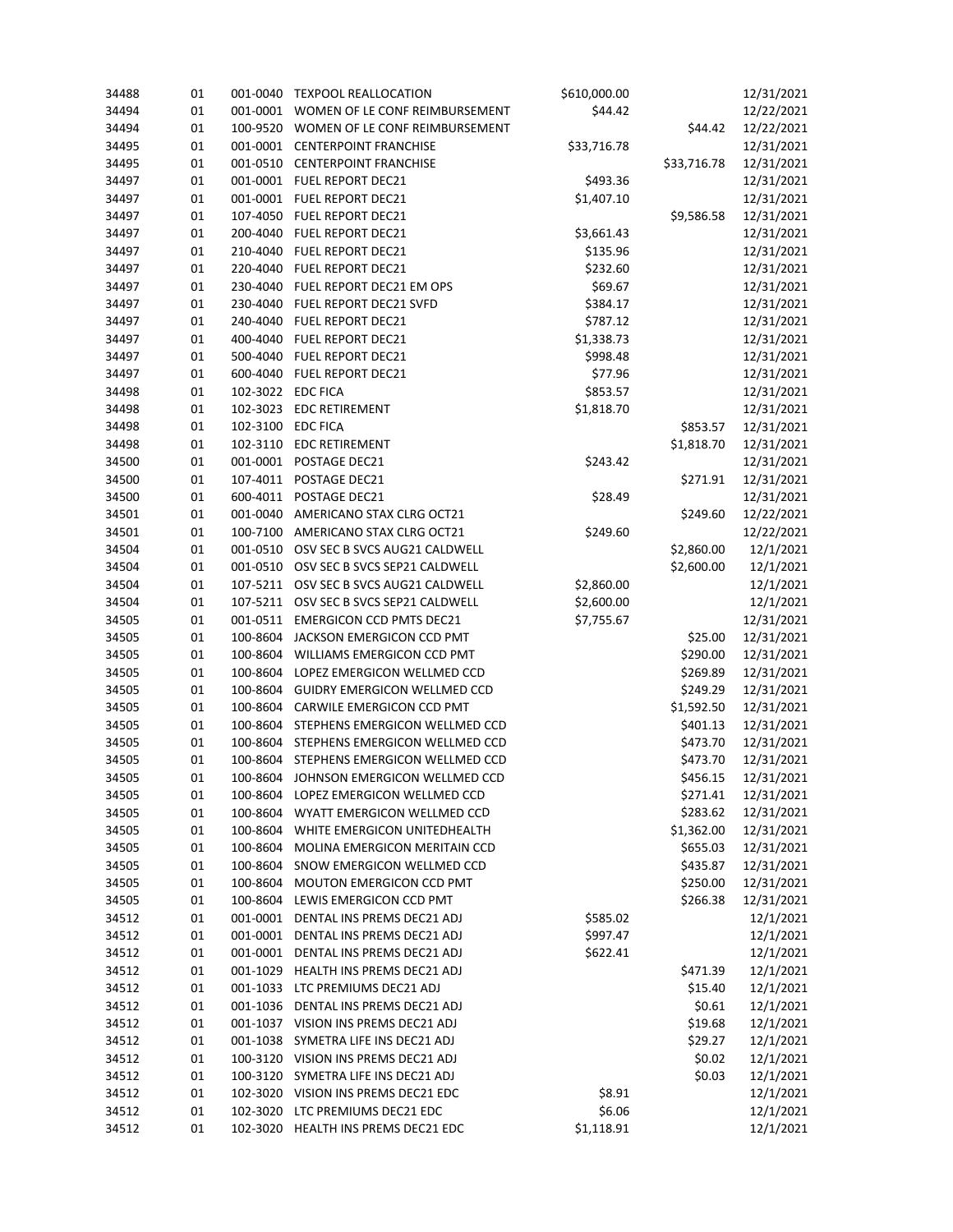| 34488 | 01 | 001-0040          | \$610,000.00<br><b>TEXPOOL REALLOCATION</b> |                                        | 12/31/2021  |            |
|-------|----|-------------------|---------------------------------------------|----------------------------------------|-------------|------------|
| 34494 | 01 | 001-0001          | \$44.42<br>WOMEN OF LE CONF REIMBURSEMENT   |                                        | 12/22/2021  |            |
| 34494 | 01 | 100-9520          | WOMEN OF LE CONF REIMBURSEMENT<br>\$44.42   |                                        | 12/22/2021  |            |
| 34495 | 01 | 001-0001          | <b>CENTERPOINT FRANCHISE</b>                | \$33,716.78                            |             | 12/31/2021 |
| 34495 | 01 | 001-0510          | <b>CENTERPOINT FRANCHISE</b>                |                                        | \$33,716.78 | 12/31/2021 |
| 34497 | 01 |                   | 001-0001 FUEL REPORT DEC21                  | \$493.36                               |             | 12/31/2021 |
| 34497 | 01 |                   | 001-0001 FUEL REPORT DEC21                  | \$1,407.10                             |             | 12/31/2021 |
| 34497 | 01 | 107-4050          | <b>FUEL REPORT DEC21</b>                    |                                        | \$9,586.58  | 12/31/2021 |
| 34497 | 01 | 200-4040          | FUEL REPORT DEC21                           | \$3,661.43                             |             | 12/31/2021 |
| 34497 | 01 | 210-4040          | FUEL REPORT DEC21                           | \$135.96                               |             | 12/31/2021 |
| 34497 | 01 | 220-4040          | FUEL REPORT DEC21                           | \$232.60                               |             | 12/31/2021 |
| 34497 | 01 | 230-4040          | FUEL REPORT DEC21 EM OPS                    | \$69.67                                |             | 12/31/2021 |
| 34497 | 01 | 230-4040          | <b>FUEL REPORT DEC21 SVFD</b>               | \$384.17                               |             | 12/31/2021 |
| 34497 | 01 | 240-4040          | FUEL REPORT DEC21                           | \$787.12                               |             | 12/31/2021 |
| 34497 | 01 | 400-4040          | <b>FUEL REPORT DEC21</b>                    | \$1,338.73                             |             | 12/31/2021 |
| 34497 | 01 | 500-4040          | <b>FUEL REPORT DEC21</b>                    | \$998.48                               |             | 12/31/2021 |
| 34497 | 01 | 600-4040          | <b>FUEL REPORT DEC21</b>                    | \$77.96                                |             | 12/31/2021 |
| 34498 | 01 | 102-3022 EDC FICA |                                             | \$853.57                               |             | 12/31/2021 |
| 34498 | 01 | 102-3023          | <b>EDC RETIREMENT</b>                       | \$1,818.70                             |             | 12/31/2021 |
| 34498 | 01 | 102-3100          | <b>EDC FICA</b>                             |                                        | \$853.57    | 12/31/2021 |
| 34498 | 01 | 102-3110          | <b>EDC RETIREMENT</b>                       |                                        | \$1,818.70  | 12/31/2021 |
| 34500 | 01 | 001-0001          | POSTAGE DEC21                               | \$243.42                               |             | 12/31/2021 |
| 34500 | 01 | 107-4011          | POSTAGE DEC21                               |                                        | \$271.91    | 12/31/2021 |
|       |    |                   |                                             | \$28.49                                |             |            |
| 34500 | 01 | 600-4011          | POSTAGE DEC21                               |                                        |             | 12/31/2021 |
| 34501 | 01 | 001-0040          | AMERICANO STAX CLRG OCT21                   |                                        | \$249.60    | 12/22/2021 |
| 34501 | 01 | 100-7100          | AMERICANO STAX CLRG OCT21                   | \$249.60                               |             | 12/22/2021 |
| 34504 | 01 | 001-0510          | OSV SEC B SVCS AUG21 CALDWELL               |                                        | \$2,860.00  | 12/1/2021  |
| 34504 | 01 | 001-0510          | OSV SEC B SVCS SEP21 CALDWELL               |                                        | \$2,600.00  | 12/1/2021  |
| 34504 | 01 | 107-5211          | OSV SEC B SVCS AUG21 CALDWELL<br>\$2,860.00 |                                        |             | 12/1/2021  |
| 34504 | 01 | 107-5211          | OSV SEC B SVCS SEP21 CALDWELL<br>\$2,600.00 |                                        |             | 12/1/2021  |
| 34505 | 01 | 001-0511          | <b>EMERGICON CCD PMTS DEC21</b>             | \$7,755.67                             |             | 12/31/2021 |
| 34505 | 01 | 100-8604          | JACKSON EMERGICON CCD PMT                   |                                        | \$25.00     | 12/31/2021 |
| 34505 | 01 | 100-8604          |                                             | WILLIAMS EMERGICON CCD PMT<br>\$290.00 |             | 12/31/2021 |
| 34505 | 01 | 100-8604          | LOPEZ EMERGICON WELLMED CCD                 |                                        | \$269.89    | 12/31/2021 |
| 34505 | 01 | 100-8604          | GUIDRY EMERGICON WELLMED CCD                |                                        | \$249.29    | 12/31/2021 |
| 34505 | 01 | 100-8604          | CARWILE EMERGICON CCD PMT                   |                                        | \$1,592.50  | 12/31/2021 |
| 34505 | 01 | 100-8604          | STEPHENS EMERGICON WELLMED CCD              |                                        | \$401.13    | 12/31/2021 |
| 34505 | 01 | 100-8604          | STEPHENS EMERGICON WELLMED CCD              |                                        | \$473.70    | 12/31/2021 |
| 34505 | 01 | 100-8604          | STEPHENS EMERGICON WELLMED CCD              |                                        | \$473.70    | 12/31/2021 |
| 34505 | 01 | 100-8604          | JOHNSON EMERGICON WELLMED CCD               |                                        | \$456.15    | 12/31/2021 |
| 34505 | 01 | 100-8604          | LOPEZ EMERGICON WELLMED CCD                 |                                        | \$271.41    | 12/31/2021 |
| 34505 | 01 | 100-8604          | WYATT EMERGICON WELLMED CCD                 |                                        | \$283.62    | 12/31/2021 |
| 34505 | 01 | 100-8604          | WHITE EMERGICON UNITEDHEALTH                |                                        | \$1,362.00  | 12/31/2021 |
| 34505 | 01 | 100-8604          | MOLINA EMERGICON MERITAIN CCD               |                                        | \$655.03    | 12/31/2021 |
| 34505 | 01 | 100-8604          | SNOW EMERGICON WELLMED CCD                  |                                        | \$435.87    | 12/31/2021 |
| 34505 | 01 | 100-8604          | MOUTON EMERGICON CCD PMT                    |                                        | \$250.00    | 12/31/2021 |
| 34505 | 01 | 100-8604          | LEWIS EMERGICON CCD PMT                     |                                        | \$266.38    | 12/31/2021 |
| 34512 | 01 |                   | 001-0001 DENTAL INS PREMS DEC21 ADJ         | \$585.02                               |             | 12/1/2021  |
| 34512 | 01 |                   | 001-0001 DENTAL INS PREMS DEC21 ADJ         | \$997.47                               |             | 12/1/2021  |
| 34512 | 01 | 001-0001          | DENTAL INS PREMS DEC21 ADJ                  | \$622.41                               |             | 12/1/2021  |
| 34512 | 01 | 001-1029          | HEALTH INS PREMS DEC21 ADJ                  |                                        | \$471.39    | 12/1/2021  |
| 34512 | 01 | 001-1033          | LTC PREMIUMS DEC21 ADJ                      |                                        | \$15.40     | 12/1/2021  |
| 34512 | 01 | 001-1036          | DENTAL INS PREMS DEC21 ADJ                  |                                        | \$0.61      | 12/1/2021  |
| 34512 | 01 |                   | 001-1037 VISION INS PREMS DEC21 ADJ         |                                        | \$19.68     | 12/1/2021  |
| 34512 | 01 | 001-1038          | SYMETRA LIFE INS DEC21 ADJ                  |                                        | \$29.27     | 12/1/2021  |
| 34512 | 01 |                   | 100-3120 VISION INS PREMS DEC21 ADJ         |                                        | \$0.02      | 12/1/2021  |
| 34512 | 01 | 100-3120          | SYMETRA LIFE INS DEC21 ADJ                  |                                        | \$0.03      | 12/1/2021  |
| 34512 | 01 |                   | 102-3020 VISION INS PREMS DEC21 EDC         | \$8.91                                 |             | 12/1/2021  |
| 34512 | 01 | 102-3020          | LTC PREMIUMS DEC21 EDC                      | \$6.06                                 |             | 12/1/2021  |
| 34512 | 01 |                   | 102-3020 HEALTH INS PREMS DEC21 EDC         | \$1,118.91                             |             | 12/1/2021  |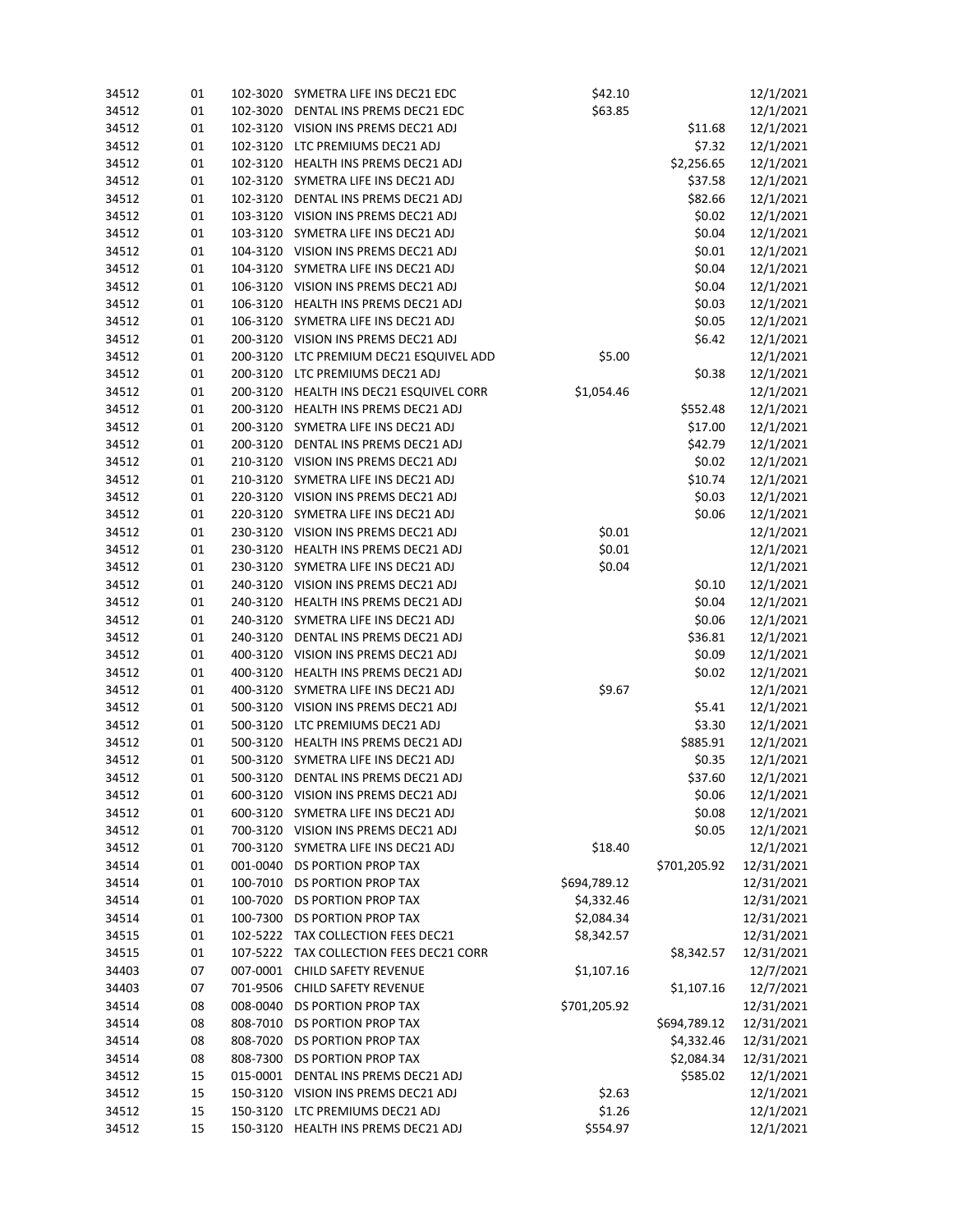| 34512          | 01       | 102-3020 | SYMETRA LIFE INS DEC21 EDC<br>\$42.10                              |              | 12/1/2021         |                        |
|----------------|----------|----------|--------------------------------------------------------------------|--------------|-------------------|------------------------|
| 34512          | 01       |          | 102-3020 DENTAL INS PREMS DEC21 EDC<br>\$63.85                     |              | 12/1/2021         |                        |
| 34512          | 01       |          | 102-3120 VISION INS PREMS DEC21 ADJ<br>\$11.68                     |              |                   |                        |
| 34512          | 01       |          | 102-3120 LTC PREMIUMS DEC21 ADJ                                    |              | \$7.32            | 12/1/2021              |
| 34512          | 01       | 102-3120 | HEALTH INS PREMS DEC21 ADJ                                         |              | \$2,256.65        | 12/1/2021              |
| 34512          | 01       |          | 102-3120 SYMETRA LIFE INS DEC21 ADJ                                |              | \$37.58           | 12/1/2021              |
| 34512          | 01       |          | 102-3120 DENTAL INS PREMS DEC21 ADJ                                |              | \$82.66           | 12/1/2021              |
| 34512          | 01       |          | 103-3120 VISION INS PREMS DEC21 ADJ                                |              | \$0.02            | 12/1/2021              |
| 34512          | 01       | 103-3120 | SYMETRA LIFE INS DEC21 ADJ                                         |              | \$0.04            | 12/1/2021              |
| 34512          | 01       |          | 104-3120 VISION INS PREMS DEC21 ADJ<br>\$0.01                      |              | 12/1/2021         |                        |
| 34512          | 01       |          | 104-3120 SYMETRA LIFE INS DEC21 ADJ                                |              | \$0.04            | 12/1/2021              |
| 34512          | 01       |          | 106-3120 VISION INS PREMS DEC21 ADJ                                |              | \$0.04            | 12/1/2021              |
| 34512          | 01       | 106-3120 | HEALTH INS PREMS DEC21 ADJ                                         |              | \$0.03            | 12/1/2021              |
| 34512          | 01       |          | 106-3120 SYMETRA LIFE INS DEC21 ADJ                                |              | \$0.05            | 12/1/2021              |
| 34512          | 01       |          | 200-3120 VISION INS PREMS DEC21 ADJ                                |              | \$6.42            | 12/1/2021              |
| 34512          | 01       |          | 200-3120 LTC PREMIUM DEC21 ESQUIVEL ADD                            | \$5.00       |                   | 12/1/2021              |
| 34512          | 01       |          | 200-3120 LTC PREMIUMS DEC21 ADJ                                    |              | \$0.38            | 12/1/2021              |
| 34512          | 01       |          | 200-3120 HEALTH INS DEC21 ESQUIVEL CORR                            | \$1,054.46   |                   | 12/1/2021              |
| 34512          | 01       |          | 200-3120 HEALTH INS PREMS DEC21 ADJ                                |              | \$552.48          | 12/1/2021              |
| 34512          | 01       |          | 200-3120 SYMETRA LIFE INS DEC21 ADJ                                |              | \$17.00           | 12/1/2021              |
| 34512          | 01       | 200-3120 | DENTAL INS PREMS DEC21 ADJ                                         |              | \$42.79           | 12/1/2021              |
| 34512          | 01       |          | 210-3120 VISION INS PREMS DEC21 ADJ                                |              | \$0.02            | 12/1/2021              |
| 34512          | 01       |          | 210-3120 SYMETRA LIFE INS DEC21 ADJ                                |              | \$10.74           | 12/1/2021              |
| 34512          | 01       |          | 220-3120 VISION INS PREMS DEC21 ADJ                                |              | \$0.03            | 12/1/2021              |
| 34512          | 01       | 220-3120 | SYMETRA LIFE INS DEC21 ADJ                                         |              | \$0.06            | 12/1/2021              |
| 34512          | 01       |          | 230-3120 VISION INS PREMS DEC21 ADJ                                | \$0.01       |                   | 12/1/2021              |
| 34512          | 01       |          | 230-3120 HEALTH INS PREMS DEC21 ADJ                                | \$0.01       |                   | 12/1/2021              |
| 34512          | 01       |          | 230-3120 SYMETRA LIFE INS DEC21 ADJ                                | \$0.04       |                   | 12/1/2021              |
| 34512          | 01       |          | 240-3120 VISION INS PREMS DEC21 ADJ                                |              | \$0.10            | 12/1/2021              |
| 34512          | 01       | 240-3120 | HEALTH INS PREMS DEC21 ADJ                                         |              | \$0.04            | 12/1/2021              |
| 34512          | 01       | 240-3120 | SYMETRA LIFE INS DEC21 ADJ                                         |              | \$0.06            | 12/1/2021              |
| 34512          | 01       | 240-3120 | DENTAL INS PREMS DEC21 ADJ                                         |              | \$36.81           | 12/1/2021              |
| 34512          | 01       |          | 400-3120 VISION INS PREMS DEC21 ADJ                                |              | \$0.09            | 12/1/2021              |
| 34512          | 01       | 400-3120 | HEALTH INS PREMS DEC21 ADJ                                         |              | \$0.02            | 12/1/2021              |
| 34512          | 01       |          | 400-3120 SYMETRA LIFE INS DEC21 ADJ                                | \$9.67       |                   | 12/1/2021              |
| 34512          | 01       |          | 500-3120 VISION INS PREMS DEC21 ADJ                                |              | \$5.41            | 12/1/2021              |
|                |          |          | 500-3120 LTC PREMIUMS DEC21 ADJ                                    |              |                   |                        |
| 34512          | 01       |          | 500-3120 HEALTH INS PREMS DEC21 ADJ                                |              | \$3.30            | 12/1/2021              |
| 34512          | 01       |          | 500-3120 SYMETRA LIFE INS DEC21 ADJ                                |              | \$885.91          | 12/1/2021              |
| 34512<br>34512 | 01       |          | 500-3120 DENTAL INS PREMS DEC21 ADJ                                |              | \$0.35<br>\$37.60 | 12/1/2021              |
|                | 01<br>01 |          | 600-3120 VISION INS PREMS DEC21 ADJ                                |              |                   | 12/1/2021              |
| 34512          | 01       | 600-3120 | SYMETRA LIFE INS DEC21 ADJ                                         |              | \$0.06<br>\$0.08  | 12/1/2021<br>12/1/2021 |
| 34512          |          |          | 700-3120 VISION INS PREMS DEC21 ADJ                                |              | \$0.05            | 12/1/2021              |
| 34512          | 01       |          | 700-3120 SYMETRA LIFE INS DEC21 ADJ                                | \$18.40      |                   | 12/1/2021              |
| 34512          | 01       | 001-0040 | DS PORTION PROP TAX                                                |              |                   |                        |
| 34514          | 01       |          | 100-7010 DS PORTION PROP TAX                                       |              | \$701,205.92      | 12/31/2021             |
| 34514          | 01       | 100-7020 | DS PORTION PROP TAX                                                | \$694,789.12 |                   | 12/31/2021             |
| 34514          | 01       |          |                                                                    | \$4,332.46   |                   | 12/31/2021             |
| 34514          | 01       |          | 100-7300 DS PORTION PROP TAX<br>102-5222 TAX COLLECTION FEES DEC21 | \$2,084.34   |                   | 12/31/2021             |
| 34515          | 01       |          | 107-5222 TAX COLLECTION FEES DEC21 CORR                            | \$8,342.57   |                   | 12/31/2021             |
| 34515          | 01       |          |                                                                    |              | \$8,342.57        | 12/31/2021             |
| 34403          | 07       |          | 007-0001 CHILD SAFETY REVENUE<br><b>CHILD SAFETY REVENUE</b>       | \$1,107.16   |                   | 12/7/2021              |
| 34403          | 07       | 701-9506 |                                                                    |              | \$1,107.16        | 12/7/2021              |
| 34514          | 08       |          | 008-0040 DS PORTION PROP TAX                                       | \$701,205.92 |                   | 12/31/2021             |
| 34514          | 08       | 808-7010 | DS PORTION PROP TAX                                                |              | \$694,789.12      | 12/31/2021             |
| 34514          | 08       | 808-7020 | DS PORTION PROP TAX                                                |              | \$4,332.46        | 12/31/2021             |
| 34514          | 08       | 808-7300 | DS PORTION PROP TAX                                                |              | \$2,084.34        | 12/31/2021             |
| 34512          | 15       |          | 015-0001 DENTAL INS PREMS DEC21 ADJ                                |              | \$585.02          | 12/1/2021              |
| 34512          | 15       |          | 150-3120 VISION INS PREMS DEC21 ADJ                                | \$2.63       |                   | 12/1/2021              |
| 34512          | 15       | 150-3120 | LTC PREMIUMS DEC21 ADJ                                             | \$1.26       |                   | 12/1/2021              |
| 34512          | 15       |          | 150-3120 HEALTH INS PREMS DEC21 ADJ                                | \$554.97     |                   | 12/1/2021              |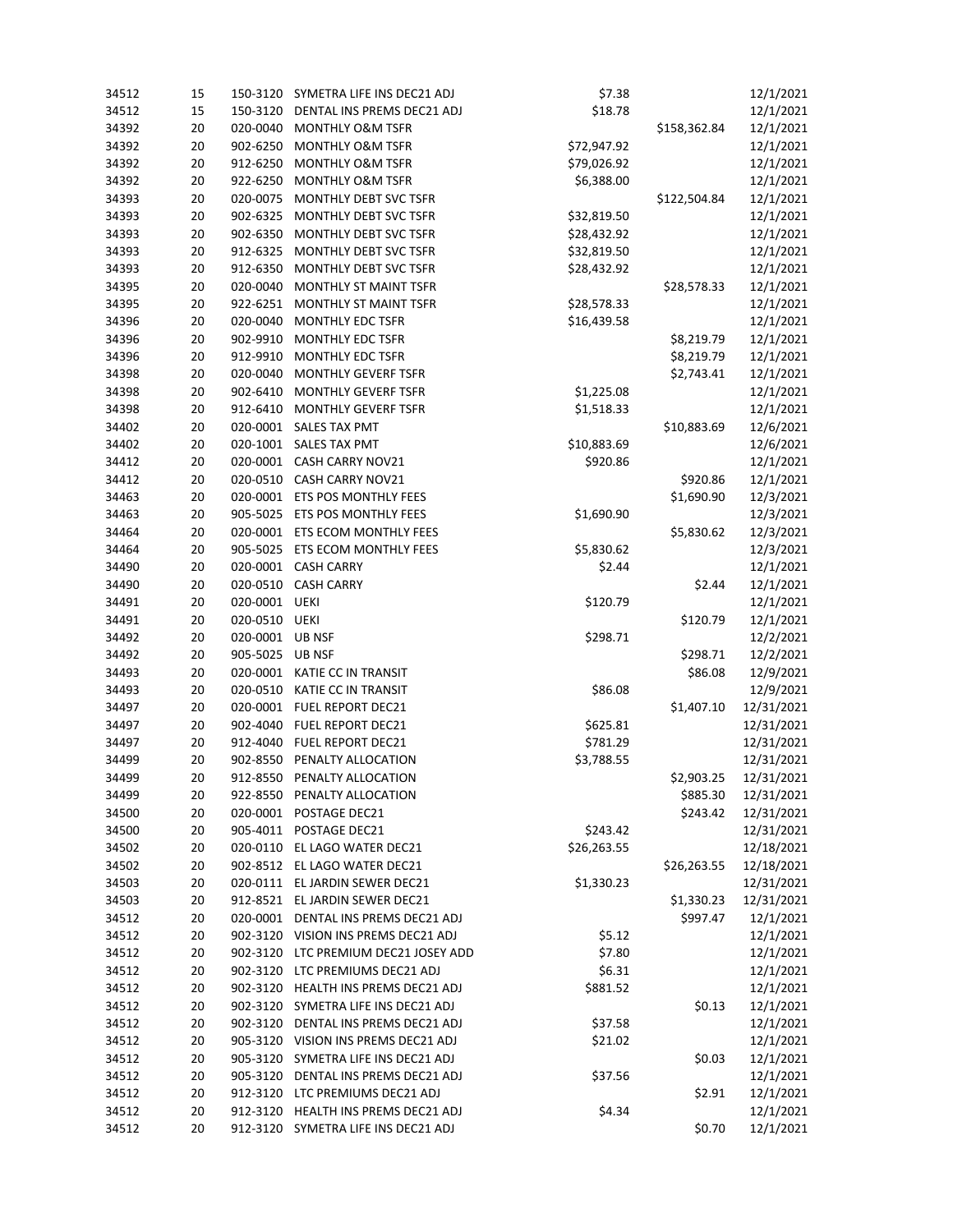| 34512 | 15 | 150-3120 | SYMETRA LIFE INS DEC21 ADJ                    | \$7.38      |              | 12/1/2021  |
|-------|----|----------|-----------------------------------------------|-------------|--------------|------------|
| 34512 | 15 | 150-3120 | \$18.78<br>DENTAL INS PREMS DEC21 ADJ         |             | 12/1/2021    |            |
| 34392 | 20 | 020-0040 | <b>MONTHLY O&amp;M TSFR</b>                   |             | \$158,362.84 | 12/1/2021  |
| 34392 | 20 | 902-6250 | <b>MONTHLY O&amp;M TSFR</b>                   | \$72,947.92 |              | 12/1/2021  |
| 34392 | 20 | 912-6250 | <b>MONTHLY O&amp;M TSFR</b>                   | \$79,026.92 |              | 12/1/2021  |
| 34392 | 20 | 922-6250 | <b>MONTHLY O&amp;M TSFR</b>                   | \$6,388.00  |              | 12/1/2021  |
| 34393 | 20 | 020-0075 | MONTHLY DEBT SVC TSFR                         |             | \$122,504.84 | 12/1/2021  |
| 34393 | 20 | 902-6325 | MONTHLY DEBT SVC TSFR                         | \$32,819.50 |              | 12/1/2021  |
| 34393 | 20 | 902-6350 | MONTHLY DEBT SVC TSFR                         | \$28,432.92 |              | 12/1/2021  |
| 34393 | 20 | 912-6325 | MONTHLY DEBT SVC TSFR                         | \$32,819.50 |              | 12/1/2021  |
| 34393 | 20 | 912-6350 | MONTHLY DEBT SVC TSFR                         | \$28,432.92 |              | 12/1/2021  |
| 34395 | 20 | 020-0040 | <b>MONTHLY ST MAINT TSFR</b>                  |             | \$28,578.33  | 12/1/2021  |
| 34395 | 20 | 922-6251 | MONTHLY ST MAINT TSFR<br>\$28,578.33          |             |              | 12/1/2021  |
| 34396 | 20 | 020-0040 | MONTHLY EDC TSFR                              | \$16,439.58 |              | 12/1/2021  |
| 34396 | 20 | 902-9910 | MONTHLY EDC TSFR                              |             | \$8,219.79   | 12/1/2021  |
| 34396 | 20 | 912-9910 | <b>MONTHLY EDC TSFR</b>                       |             | \$8,219.79   | 12/1/2021  |
| 34398 | 20 | 020-0040 | MONTHLY GEVERF TSFR                           |             | \$2,743.41   | 12/1/2021  |
| 34398 | 20 | 902-6410 | MONTHLY GEVERF TSFR                           | \$1,225.08  |              | 12/1/2021  |
| 34398 | 20 | 912-6410 | MONTHLY GEVERF TSFR                           | \$1,518.33  |              | 12/1/2021  |
| 34402 | 20 | 020-0001 | <b>SALES TAX PMT</b>                          |             | \$10,883.69  | 12/6/2021  |
| 34402 | 20 | 020-1001 | <b>SALES TAX PMT</b>                          | \$10,883.69 |              | 12/6/2021  |
| 34412 | 20 | 020-0001 | CASH CARRY NOV21                              | \$920.86    |              | 12/1/2021  |
| 34412 | 20 | 020-0510 | CASH CARRY NOV21                              |             | \$920.86     | 12/1/2021  |
| 34463 | 20 | 020-0001 | ETS POS MONTHLY FEES                          |             | \$1,690.90   | 12/3/2021  |
|       |    |          |                                               |             |              |            |
| 34463 | 20 | 905-5025 | ETS POS MONTHLY FEES<br>ETS ECOM MONTHLY FEES | \$1,690.90  |              | 12/3/2021  |
| 34464 | 20 | 020-0001 |                                               |             | \$5,830.62   | 12/3/2021  |
| 34464 | 20 | 905-5025 | ETS ECOM MONTHLY FEES                         | \$5,830.62  |              | 12/3/2021  |
| 34490 | 20 | 020-0001 | <b>CASH CARRY</b>                             | \$2.44      |              | 12/1/2021  |
| 34490 | 20 | 020-0510 | <b>CASH CARRY</b>                             |             | \$2.44       | 12/1/2021  |
| 34491 | 20 | 020-0001 | UEKI                                          | \$120.79    |              | 12/1/2021  |
| 34491 | 20 | 020-0510 | UEKI                                          |             | \$120.79     | 12/1/2021  |
| 34492 | 20 | 020-0001 | <b>UB NSF</b>                                 | \$298.71    |              | 12/2/2021  |
| 34492 | 20 | 905-5025 | <b>UB NSF</b>                                 |             | \$298.71     | 12/2/2021  |
| 34493 | 20 | 020-0001 | KATIE CC IN TRANSIT                           |             | \$86.08      | 12/9/2021  |
| 34493 | 20 | 020-0510 | KATIE CC IN TRANSIT                           | \$86.08     |              | 12/9/2021  |
| 34497 | 20 | 020-0001 | FUEL REPORT DEC21                             |             | \$1,407.10   | 12/31/2021 |
| 34497 | 20 | 902-4040 | FUEL REPORT DEC21                             | \$625.81    |              | 12/31/2021 |
| 34497 | 20 | 912-4040 | FUEL REPORT DEC21                             | \$781.29    |              | 12/31/2021 |
| 34499 | 20 | 902-8550 | PENALTY ALLOCATION                            | \$3,788.55  |              | 12/31/2021 |
| 34499 | 20 | 912-8550 | PENALTY ALLOCATION                            |             | \$2,903.25   | 12/31/2021 |
| 34499 | 20 |          | 922-8550 PENALTY ALLOCATION                   |             | \$885.30     | 12/31/2021 |
| 34500 | 20 | 020-0001 | POSTAGE DEC21                                 |             | \$243.42     | 12/31/2021 |
| 34500 | 20 |          | 905-4011 POSTAGE DEC21                        | \$243.42    |              | 12/31/2021 |
| 34502 | 20 |          | 020-0110 EL LAGO WATER DEC21                  | \$26,263.55 |              | 12/18/2021 |
| 34502 | 20 |          | 902-8512 EL LAGO WATER DEC21                  |             | \$26,263.55  | 12/18/2021 |
| 34503 | 20 |          | 020-0111 EL JARDIN SEWER DEC21                | \$1,330.23  |              | 12/31/2021 |
| 34503 | 20 |          | 912-8521 EL JARDIN SEWER DEC21                |             | \$1,330.23   | 12/31/2021 |
| 34512 | 20 |          | 020-0001 DENTAL INS PREMS DEC21 ADJ           |             | \$997.47     | 12/1/2021  |
| 34512 | 20 |          | 902-3120 VISION INS PREMS DEC21 ADJ           | \$5.12      |              | 12/1/2021  |
| 34512 | 20 |          | 902-3120 LTC PREMIUM DEC21 JOSEY ADD          | \$7.80      |              | 12/1/2021  |
| 34512 | 20 |          | 902-3120 LTC PREMIUMS DEC21 ADJ               | \$6.31      |              | 12/1/2021  |
| 34512 | 20 |          | 902-3120 HEALTH INS PREMS DEC21 ADJ           | \$881.52    |              | 12/1/2021  |
| 34512 | 20 |          | 902-3120 SYMETRA LIFE INS DEC21 ADJ           |             | \$0.13       | 12/1/2021  |
| 34512 | 20 | 902-3120 | DENTAL INS PREMS DEC21 ADJ                    | \$37.58     |              | 12/1/2021  |
| 34512 | 20 |          | 905-3120 VISION INS PREMS DEC21 ADJ           | \$21.02     |              | 12/1/2021  |
| 34512 | 20 |          | 905-3120 SYMETRA LIFE INS DEC21 ADJ           |             | \$0.03       | 12/1/2021  |
| 34512 | 20 |          | 905-3120 DENTAL INS PREMS DEC21 ADJ           | \$37.56     |              | 12/1/2021  |
| 34512 | 20 |          | 912-3120 LTC PREMIUMS DEC21 ADJ               |             | \$2.91       | 12/1/2021  |
| 34512 | 20 |          | 912-3120 HEALTH INS PREMS DEC21 ADJ           | \$4.34      |              | 12/1/2021  |
| 34512 | 20 |          | 912-3120 SYMETRA LIFE INS DEC21 ADJ           |             | \$0.70       | 12/1/2021  |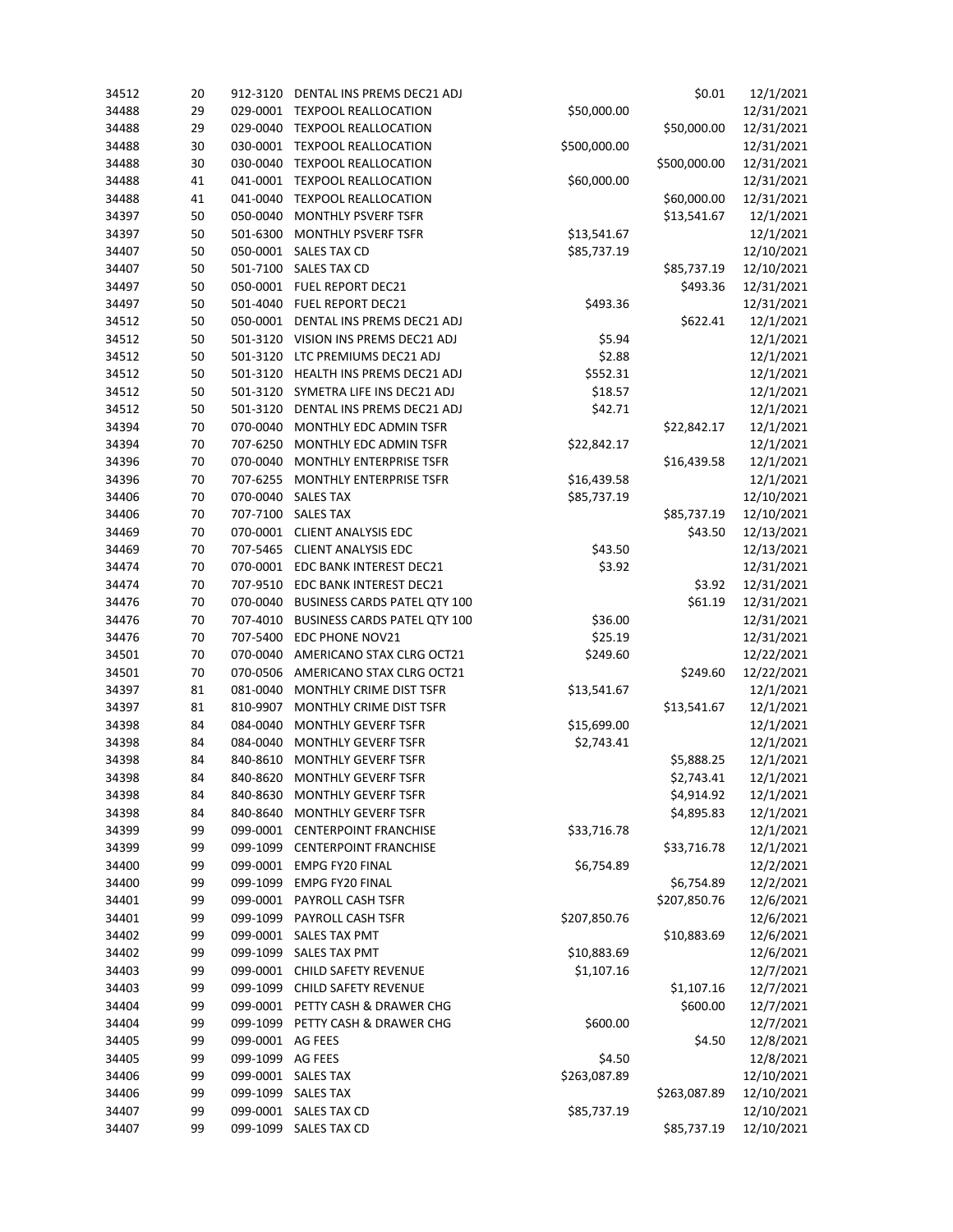|    |          | \$0.01<br>DENTAL INS PREMS DEC21 ADJ           |                                                                                                                                                                             | 12/1/2021               |                                                     |
|----|----------|------------------------------------------------|-----------------------------------------------------------------------------------------------------------------------------------------------------------------------------|-------------------------|-----------------------------------------------------|
| 29 | 029-0001 | <b>TEXPOOL REALLOCATION</b><br>\$50,000.00     |                                                                                                                                                                             | 12/31/2021              |                                                     |
| 29 | 029-0040 |                                                |                                                                                                                                                                             | 12/31/2021              |                                                     |
| 30 | 030-0001 | <b>TEXPOOL REALLOCATION</b>                    | \$500,000.00                                                                                                                                                                |                         | 12/31/2021                                          |
| 30 | 030-0040 | <b>TEXPOOL REALLOCATION</b>                    |                                                                                                                                                                             | \$500,000.00            | 12/31/2021                                          |
| 41 | 041-0001 | <b>TEXPOOL REALLOCATION</b>                    | \$60,000.00                                                                                                                                                                 |                         | 12/31/2021                                          |
| 41 | 041-0040 |                                                |                                                                                                                                                                             |                         | 12/31/2021                                          |
| 50 | 050-0040 | MONTHLY PSVERF TSFR                            |                                                                                                                                                                             |                         | 12/1/2021                                           |
| 50 | 501-6300 | MONTHLY PSVERF TSFR                            |                                                                                                                                                                             |                         | 12/1/2021                                           |
| 50 |          | <b>SALES TAX CD</b>                            | \$85,737.19                                                                                                                                                                 |                         | 12/10/2021                                          |
| 50 | 501-7100 | <b>SALES TAX CD</b><br>\$85,737.19             |                                                                                                                                                                             | 12/10/2021              |                                                     |
| 50 | 050-0001 | <b>FUEL REPORT DEC21</b>                       |                                                                                                                                                                             | \$493.36                | 12/31/2021                                          |
| 50 | 501-4040 | FUEL REPORT DEC21                              | \$493.36                                                                                                                                                                    |                         | 12/31/2021                                          |
| 50 | 050-0001 | DENTAL INS PREMS DEC21 ADJ                     |                                                                                                                                                                             | \$622.41                | 12/1/2021                                           |
| 50 | 501-3120 | VISION INS PREMS DEC21 ADJ                     | \$5.94                                                                                                                                                                      |                         | 12/1/2021                                           |
| 50 | 501-3120 | LTC PREMIUMS DEC21 ADJ                         | \$2.88                                                                                                                                                                      |                         | 12/1/2021                                           |
| 50 | 501-3120 | HEALTH INS PREMS DEC21 ADJ                     |                                                                                                                                                                             |                         | 12/1/2021                                           |
| 50 | 501-3120 | SYMETRA LIFE INS DEC21 ADJ                     | \$18.57                                                                                                                                                                     |                         | 12/1/2021                                           |
| 50 | 501-3120 | DENTAL INS PREMS DEC21 ADJ                     | \$42.71                                                                                                                                                                     |                         | 12/1/2021                                           |
| 70 | 070-0040 | MONTHLY EDC ADMIN TSFR                         |                                                                                                                                                                             | \$22,842.17             | 12/1/2021                                           |
| 70 | 707-6250 | MONTHLY EDC ADMIN TSFR                         | \$22,842.17                                                                                                                                                                 |                         | 12/1/2021                                           |
| 70 | 070-0040 | MONTHLY ENTERPRISE TSFR                        |                                                                                                                                                                             | \$16,439.58             | 12/1/2021                                           |
| 70 | 707-6255 | MONTHLY ENTERPRISE TSFR                        | \$16,439.58                                                                                                                                                                 |                         | 12/1/2021                                           |
| 70 | 070-0040 | <b>SALES TAX</b>                               | \$85,737.19                                                                                                                                                                 |                         | 12/10/2021                                          |
| 70 |          | <b>SALES TAX</b>                               |                                                                                                                                                                             | \$85,737.19             | 12/10/2021                                          |
| 70 | 070-0001 | <b>CLIENT ANALYSIS EDC</b>                     |                                                                                                                                                                             | \$43.50                 | 12/13/2021                                          |
| 70 | 707-5465 | <b>CLIENT ANALYSIS EDC</b>                     | \$43.50                                                                                                                                                                     |                         | 12/13/2021                                          |
| 70 | 070-0001 | \$3.92<br>EDC BANK INTEREST DEC21              |                                                                                                                                                                             |                         | 12/31/2021                                          |
| 70 | 707-9510 | EDC BANK INTEREST DEC21                        |                                                                                                                                                                             |                         | 12/31/2021                                          |
| 70 | 070-0040 | BUSINESS CARDS PATEL QTY 100                   |                                                                                                                                                                             | \$61.19                 | 12/31/2021                                          |
| 70 | 707-4010 | <b>BUSINESS CARDS PATEL QTY 100</b><br>\$36.00 |                                                                                                                                                                             |                         | 12/31/2021                                          |
| 70 | 707-5400 | EDC PHONE NOV21                                | \$25.19                                                                                                                                                                     |                         | 12/31/2021                                          |
| 70 |          | AMERICANO STAX CLRG OCT21                      | \$249.60                                                                                                                                                                    |                         | 12/22/2021                                          |
| 70 | 070-0506 | AMERICANO STAX CLRG OCT21                      |                                                                                                                                                                             | \$249.60                | 12/22/2021                                          |
| 81 | 081-0040 | MONTHLY CRIME DIST TSFR                        | \$13,541.67                                                                                                                                                                 |                         | 12/1/2021                                           |
| 81 | 810-9907 | MONTHLY CRIME DIST TSFR                        |                                                                                                                                                                             | \$13,541.67             | 12/1/2021                                           |
| 84 | 084-0040 | <b>MONTHLY GEVERF TSFR</b>                     | \$15,699.00                                                                                                                                                                 |                         | 12/1/2021                                           |
| 84 | 084-0040 | <b>MONTHLY GEVERF TSFR</b>                     | \$2,743.41                                                                                                                                                                  |                         | 12/1/2021                                           |
| 84 | 840-8610 | <b>MONTHLY GEVERF TSFR</b>                     |                                                                                                                                                                             | \$5,888.25              | 12/1/2021                                           |
| 84 | 840-8620 | <b>MONTHLY GEVERF TSFR</b>                     |                                                                                                                                                                             | \$2,743.41              | 12/1/2021                                           |
| 84 | 840-8630 | <b>MONTHLY GEVERF TSFR</b>                     |                                                                                                                                                                             | \$4,914.92              | 12/1/2021                                           |
| 84 | 840-8640 | MONTHLY GEVERF TSFR                            |                                                                                                                                                                             | \$4,895.83              | 12/1/2021                                           |
| 99 | 099-0001 |                                                | \$33,716.78                                                                                                                                                                 |                         | 12/1/2021                                           |
| 99 | 099-1099 | <b>CENTERPOINT FRANCHISE</b>                   |                                                                                                                                                                             | \$33,716.78             | 12/1/2021                                           |
| 99 |          | <b>EMPG FY20 FINAL</b>                         | \$6,754.89                                                                                                                                                                  |                         | 12/2/2021                                           |
| 99 | 099-1099 | <b>EMPG FY20 FINAL</b>                         |                                                                                                                                                                             | \$6,754.89              | 12/2/2021                                           |
| 99 | 099-0001 | <b>PAYROLL CASH TSFR</b>                       |                                                                                                                                                                             | \$207,850.76            | 12/6/2021                                           |
| 99 | 099-1099 | PAYROLL CASH TSFR                              | \$207,850.76                                                                                                                                                                |                         | 12/6/2021                                           |
| 99 |          | SALES TAX PMT                                  |                                                                                                                                                                             | \$10,883.69             | 12/6/2021                                           |
| 99 | 099-1099 | SALES TAX PMT                                  | \$10,883.69                                                                                                                                                                 |                         | 12/6/2021                                           |
| 99 | 099-0001 | <b>CHILD SAFETY REVENUE</b>                    | \$1,107.16                                                                                                                                                                  |                         | 12/7/2021                                           |
| 99 | 099-1099 | <b>CHILD SAFETY REVENUE</b>                    |                                                                                                                                                                             | \$1,107.16              | 12/7/2021                                           |
| 99 |          | PETTY CASH & DRAWER CHG                        |                                                                                                                                                                             | \$600.00                | 12/7/2021                                           |
| 99 | 099-1099 | PETTY CASH & DRAWER CHG                        | \$600.00                                                                                                                                                                    |                         | 12/7/2021                                           |
| 99 | 099-0001 |                                                |                                                                                                                                                                             | \$4.50                  | 12/8/2021                                           |
| 99 | 099-1099 | AG FEES                                        | \$4.50                                                                                                                                                                      |                         | 12/8/2021                                           |
| 99 |          |                                                | \$263,087.89                                                                                                                                                                |                         | 12/10/2021                                          |
| 99 | 099-1099 | <b>SALES TAX</b>                               |                                                                                                                                                                             | \$263,087.89            | 12/10/2021                                          |
| 99 | 099-0001 | <b>SALES TAX CD</b>                            | \$85,737.19                                                                                                                                                                 |                         | 12/10/2021                                          |
| 99 |          | SALES TAX CD                                   |                                                                                                                                                                             | \$85,737.19             | 12/10/2021                                          |
|    | 20       | 912-3120<br>050-0001<br>707-7100<br>070-0040   | <b>TEXPOOL REALLOCATION</b><br><b>TEXPOOL REALLOCATION</b><br><b>CENTERPOINT FRANCHISE</b><br>099-0001<br>099-0001<br>099-0001<br>AG FEES<br>099-0001 SALES TAX<br>099-1099 | \$13,541.67<br>\$552.31 | \$50,000.00<br>\$60,000.00<br>\$13,541.67<br>\$3.92 |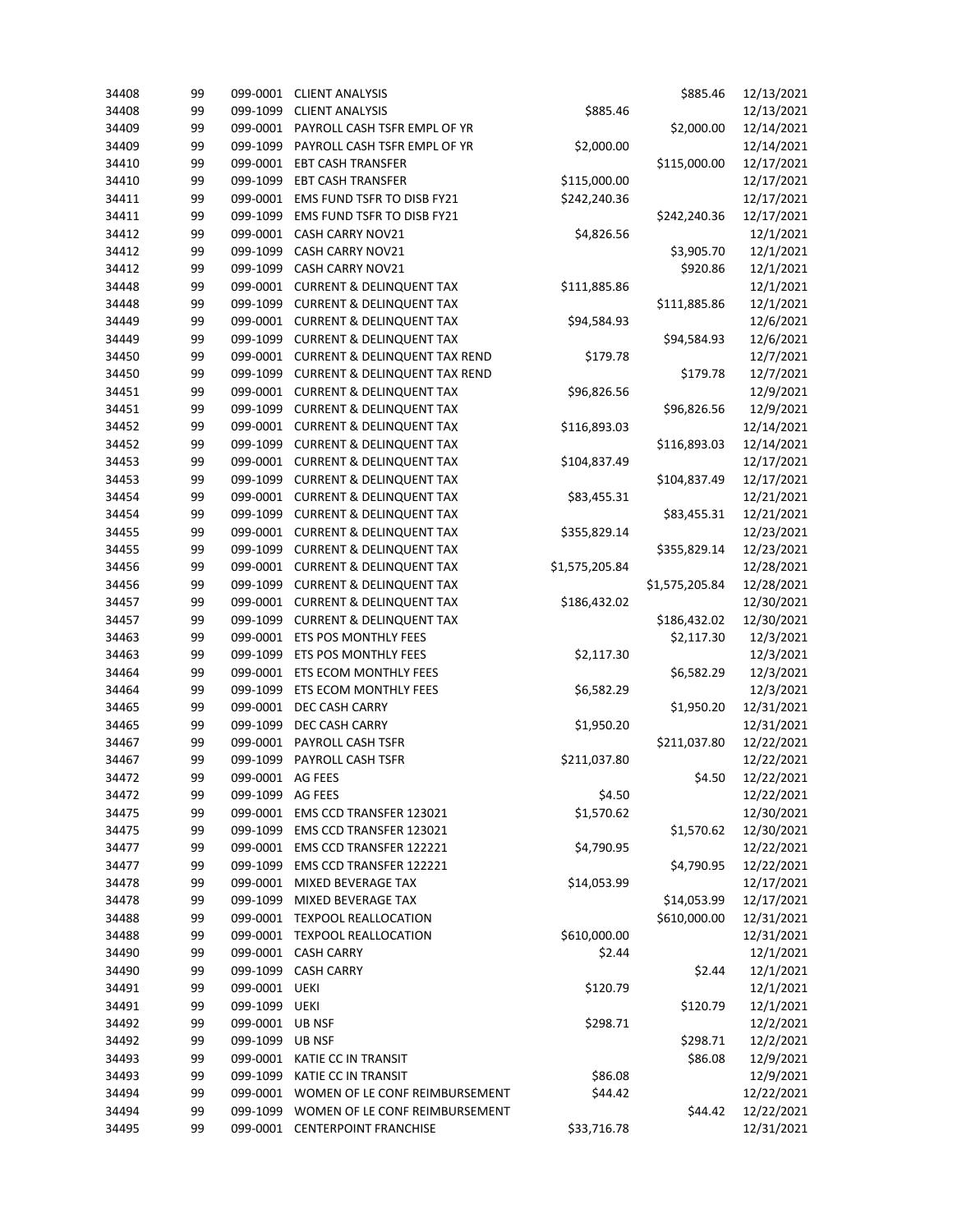| 34408 | 99 | 099-0001         | <b>CLIENT ANALYSIS</b><br>\$885.46                  |                | 12/13/2021     |            |
|-------|----|------------------|-----------------------------------------------------|----------------|----------------|------------|
| 34408 | 99 | 099-1099         | <b>CLIENT ANALYSIS</b><br>\$885.46                  |                |                | 12/13/2021 |
| 34409 | 99 | 099-0001         | PAYROLL CASH TSFR EMPL OF YR                        |                | \$2,000.00     | 12/14/2021 |
| 34409 | 99 | 099-1099         | PAYROLL CASH TSFR EMPL OF YR                        | \$2,000.00     |                | 12/14/2021 |
| 34410 | 99 | 099-0001         | <b>EBT CASH TRANSFER</b>                            |                | \$115,000.00   | 12/17/2021 |
| 34410 | 99 | 099-1099         | <b>EBT CASH TRANSFER</b>                            | \$115,000.00   |                | 12/17/2021 |
| 34411 | 99 | 099-0001         | EMS FUND TSFR TO DISB FY21                          | \$242,240.36   |                | 12/17/2021 |
| 34411 | 99 | 099-1099         | EMS FUND TSFR TO DISB FY21                          |                | \$242,240.36   | 12/17/2021 |
| 34412 | 99 | 099-0001         | CASH CARRY NOV21                                    | \$4,826.56     |                | 12/1/2021  |
| 34412 | 99 | 099-1099         | CASH CARRY NOV21                                    |                | \$3,905.70     | 12/1/2021  |
| 34412 | 99 | 099-1099         | CASH CARRY NOV21                                    |                | \$920.86       | 12/1/2021  |
| 34448 | 99 | 099-0001         | <b>CURRENT &amp; DELINQUENT TAX</b><br>\$111,885.86 |                |                | 12/1/2021  |
| 34448 | 99 | 099-1099         | <b>CURRENT &amp; DELINQUENT TAX</b>                 |                | \$111,885.86   | 12/1/2021  |
| 34449 | 99 | 099-0001         | <b>CURRENT &amp; DELINQUENT TAX</b>                 | \$94,584.93    |                | 12/6/2021  |
| 34449 | 99 | 099-1099         | <b>CURRENT &amp; DELINQUENT TAX</b>                 |                | \$94,584.93    | 12/6/2021  |
| 34450 | 99 |                  | 099-0001 CURRENT & DELINQUENT TAX REND              | \$179.78       |                | 12/7/2021  |
| 34450 | 99 | 099-1099         | <b>CURRENT &amp; DELINQUENT TAX REND</b>            |                | \$179.78       | 12/7/2021  |
| 34451 | 99 | 099-0001         | <b>CURRENT &amp; DELINQUENT TAX</b>                 | \$96,826.56    |                | 12/9/2021  |
| 34451 | 99 | 099-1099         | <b>CURRENT &amp; DELINQUENT TAX</b>                 |                | \$96,826.56    | 12/9/2021  |
| 34452 | 99 | 099-0001         | <b>CURRENT &amp; DELINQUENT TAX</b>                 | \$116,893.03   |                |            |
|       |    |                  | <b>CURRENT &amp; DELINQUENT TAX</b>                 |                |                | 12/14/2021 |
| 34452 | 99 | 099-1099         |                                                     |                | \$116,893.03   | 12/14/2021 |
| 34453 | 99 | 099-0001         | <b>CURRENT &amp; DELINQUENT TAX</b>                 | \$104,837.49   |                | 12/17/2021 |
| 34453 | 99 | 099-1099         | <b>CURRENT &amp; DELINQUENT TAX</b>                 |                | \$104,837.49   | 12/17/2021 |
| 34454 | 99 |                  | 099-0001 CURRENT & DELINQUENT TAX                   | \$83,455.31    |                | 12/21/2021 |
| 34454 | 99 | 099-1099         | <b>CURRENT &amp; DELINQUENT TAX</b>                 |                | \$83,455.31    | 12/21/2021 |
| 34455 | 99 | 099-0001         | <b>CURRENT &amp; DELINQUENT TAX</b>                 | \$355,829.14   |                | 12/23/2021 |
| 34455 | 99 | 099-1099         | <b>CURRENT &amp; DELINQUENT TAX</b>                 |                | \$355,829.14   | 12/23/2021 |
| 34456 | 99 | 099-0001         | <b>CURRENT &amp; DELINQUENT TAX</b>                 | \$1,575,205.84 |                | 12/28/2021 |
| 34456 | 99 | 099-1099         | <b>CURRENT &amp; DELINQUENT TAX</b>                 |                | \$1,575,205.84 | 12/28/2021 |
| 34457 | 99 | 099-0001         | <b>CURRENT &amp; DELINQUENT TAX</b><br>\$186,432.02 |                |                | 12/30/2021 |
| 34457 | 99 | 099-1099         | <b>CURRENT &amp; DELINQUENT TAX</b>                 |                | \$186,432.02   | 12/30/2021 |
| 34463 | 99 | 099-0001         | ETS POS MONTHLY FEES                                |                | \$2,117.30     | 12/3/2021  |
| 34463 | 99 | 099-1099         | ETS POS MONTHLY FEES<br>\$2,117.30                  |                |                | 12/3/2021  |
| 34464 | 99 | 099-0001         | ETS ECOM MONTHLY FEES                               |                | \$6,582.29     | 12/3/2021  |
| 34464 | 99 | 099-1099         | ETS ECOM MONTHLY FEES                               | \$6,582.29     |                | 12/3/2021  |
| 34465 | 99 | 099-0001         | DEC CASH CARRY                                      |                | \$1,950.20     | 12/31/2021 |
| 34465 | 99 | 099-1099         | DEC CASH CARRY                                      | \$1,950.20     |                | 12/31/2021 |
| 34467 | 99 | 099-0001         | PAYROLL CASH TSFR                                   |                | \$211,037.80   | 12/22/2021 |
| 34467 | 99 | 099-1099         | PAYROLL CASH TSFR                                   | \$211,037.80   |                | 12/22/2021 |
| 34472 | 99 | 099-0001         | AG FEES                                             |                | \$4.50         | 12/22/2021 |
| 34472 | 99 | 099-1099 AG FEES |                                                     | \$4.50         |                | 12/22/2021 |
| 34475 | 99 | 099-0001         | EMS CCD TRANSFER 123021                             | \$1,570.62     |                | 12/30/2021 |
| 34475 | 99 | 099-1099         | EMS CCD TRANSFER 123021                             |                | \$1,570.62     | 12/30/2021 |
| 34477 | 99 | 099-0001         | EMS CCD TRANSFER 122221                             | \$4,790.95     |                | 12/22/2021 |
| 34477 | 99 | 099-1099         | EMS CCD TRANSFER 122221                             |                | \$4,790.95     | 12/22/2021 |
| 34478 | 99 | 099-0001         | MIXED BEVERAGE TAX                                  | \$14,053.99    |                | 12/17/2021 |
| 34478 | 99 | 099-1099         | MIXED BEVERAGE TAX                                  |                | \$14,053.99    | 12/17/2021 |
| 34488 | 99 |                  | 099-0001 TEXPOOL REALLOCATION                       |                | \$610,000.00   | 12/31/2021 |
| 34488 | 99 |                  | 099-0001 TEXPOOL REALLOCATION                       | \$610,000.00   |                | 12/31/2021 |
| 34490 | 99 |                  | 099-0001 CASH CARRY                                 | \$2.44         |                | 12/1/2021  |
| 34490 | 99 | 099-1099         | <b>CASH CARRY</b>                                   |                | \$2.44         | 12/1/2021  |
| 34491 | 99 | 099-0001         | UEKI                                                | \$120.79       |                | 12/1/2021  |
|       |    |                  |                                                     |                |                |            |
| 34491 | 99 | 099-1099         | UEKI                                                |                | \$120.79       | 12/1/2021  |
| 34492 | 99 | 099-0001         | UB NSF                                              | \$298.71       |                | 12/2/2021  |
| 34492 | 99 | 099-1099         | <b>UB NSF</b>                                       |                | \$298.71       | 12/2/2021  |
| 34493 | 99 | 099-0001         | KATIE CC IN TRANSIT                                 |                | \$86.08        | 12/9/2021  |
| 34493 | 99 | 099-1099         | KATIE CC IN TRANSIT                                 | \$86.08        |                | 12/9/2021  |
| 34494 | 99 |                  | 099-0001 WOMEN OF LE CONF REIMBURSEMENT             | \$44.42        |                | 12/22/2021 |
| 34494 | 99 | 099-1099         | WOMEN OF LE CONF REIMBURSEMENT                      |                | \$44.42        | 12/22/2021 |
| 34495 | 99 |                  | 099-0001 CENTERPOINT FRANCHISE                      | \$33,716.78    |                | 12/31/2021 |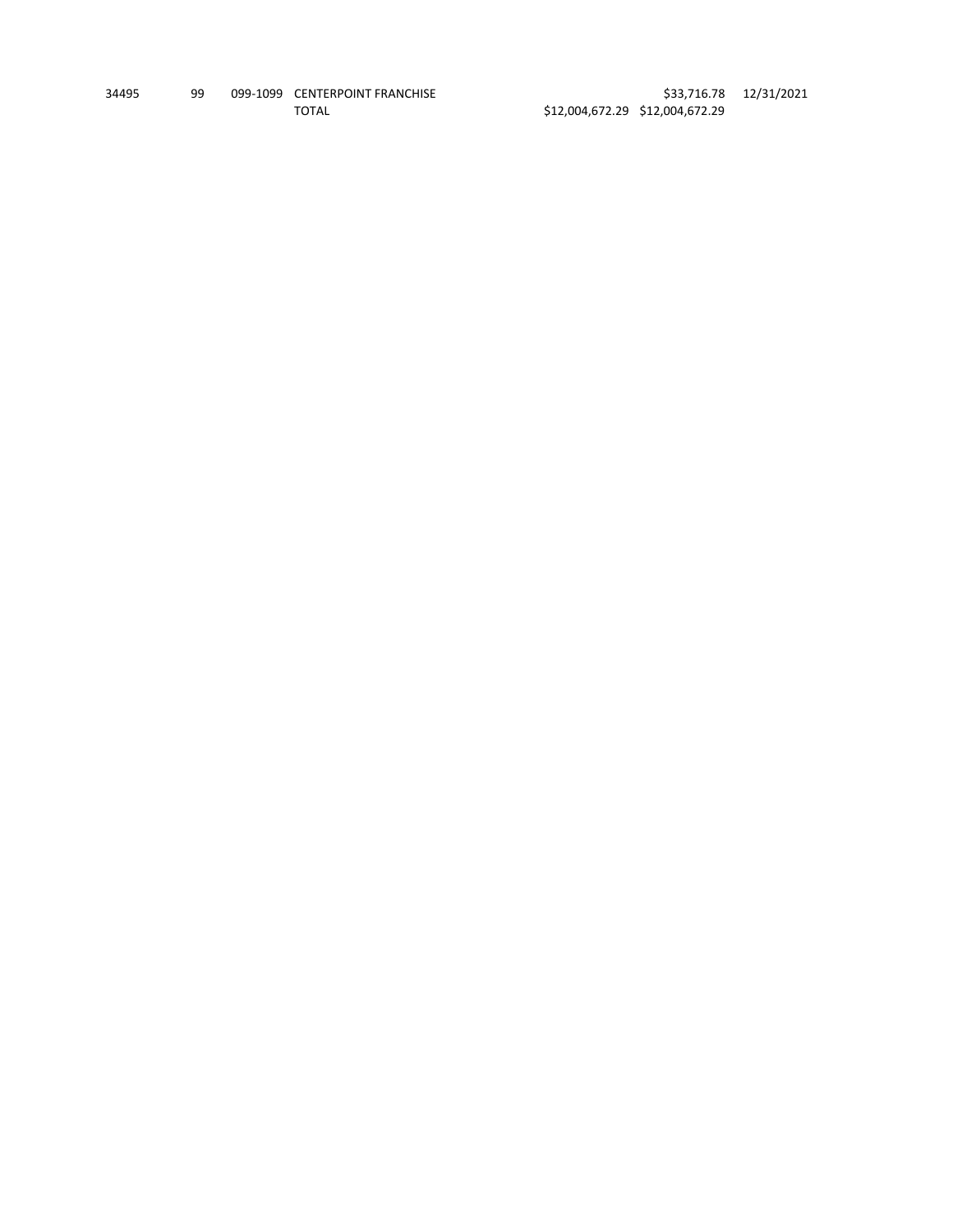| 34495 | 99 | 099-1099 CENTERPOINT FRANCHISE |
|-------|----|--------------------------------|
|       |    | TOTAL                          |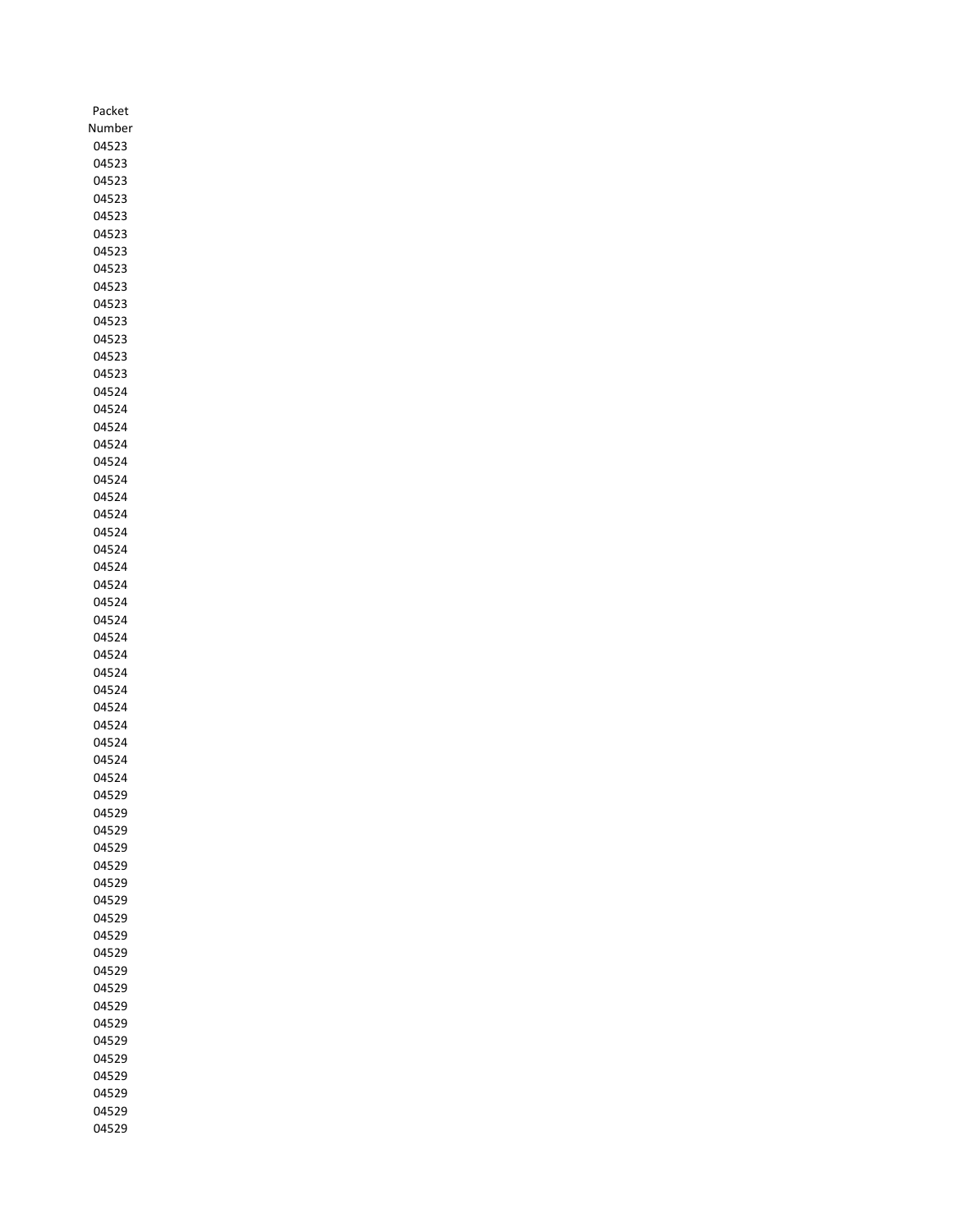| Packet        |
|---------------|
| Number        |
| 04523         |
| 04523         |
| 04523         |
| 04523         |
| 04523         |
| 04523         |
| 04523         |
| 04523         |
| 04523         |
| 04523         |
| 04523         |
| 04523         |
| 04523         |
| 04523         |
| 04524         |
| 04524         |
| 04524         |
| 04524         |
| 04524         |
| 04524         |
| 04524         |
| 04524         |
| 04524         |
| 04524         |
| 04524         |
| 04524         |
| 04524         |
| 04524         |
| 04524         |
| 04524         |
| 04524         |
| 04524         |
| 04524         |
| 04524         |
| 04524         |
| 04524         |
| 04524         |
| 145<br>α<br>ſ |
| 04529         |
| 04529         |
| 04529         |
| 04529         |
| 04529         |
| 04529         |
| 04529         |
| 04529         |
| 04529         |
| 04529         |
| 04529         |
| 04529         |
| 04529         |
| 04529         |
| 04529         |
| 04529         |
| 04529         |
| 04529         |
| 04529         |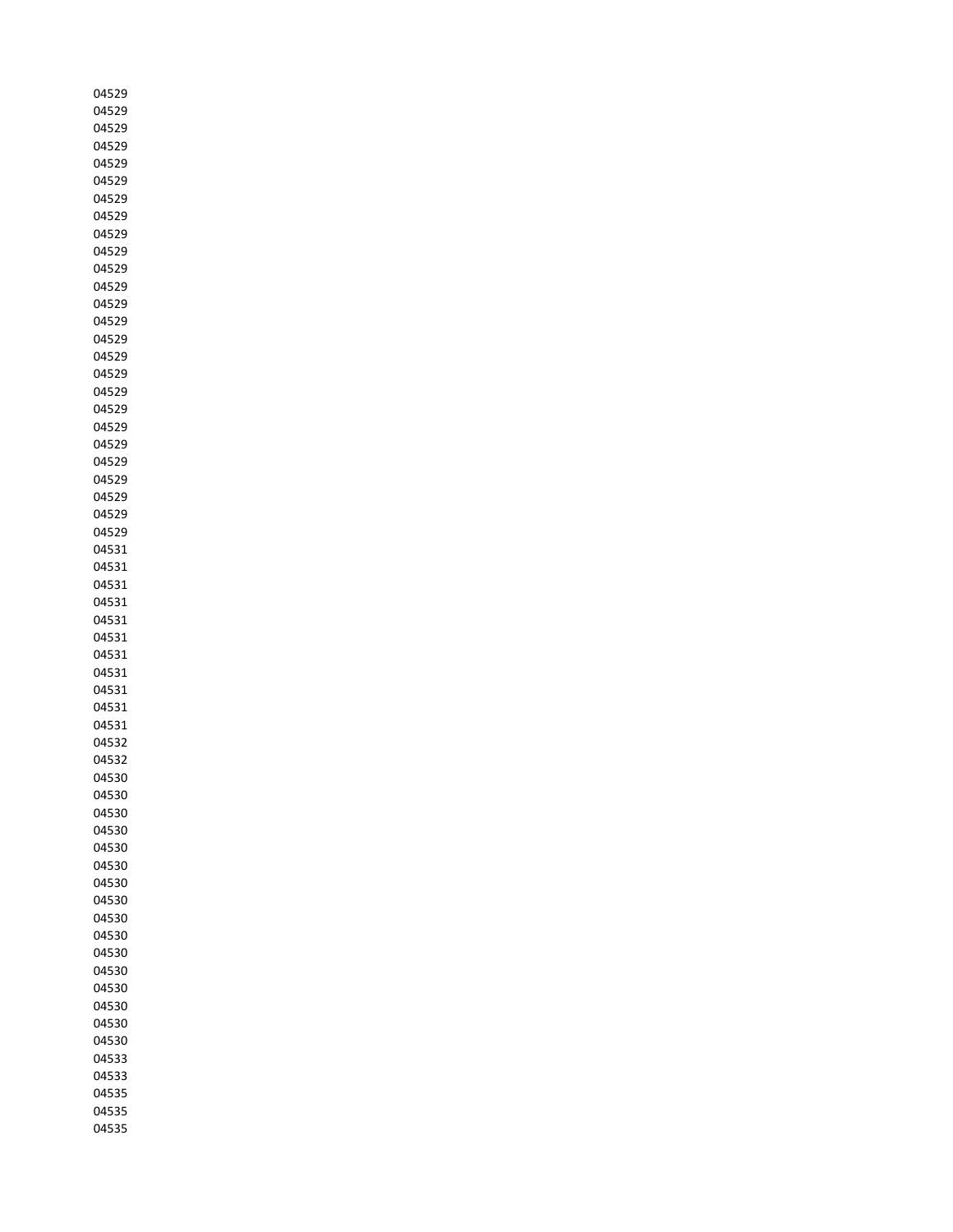| 04529 |
|-------|
| 04529 |
| 04529 |
| 04529 |
| 04529 |
| 04529 |
| 04529 |
| 04529 |
| 04529 |
| 04529 |
| 04529 |
| 04529 |
| 04529 |
| 04529 |
| 04529 |
| 04529 |
| 04529 |
| 04529 |
| 04529 |
|       |
| 04529 |
| 04529 |
| 04529 |
| 04529 |
| 04529 |
| 04529 |
| 04529 |
| 04531 |
| 04531 |
| 04531 |
| 04531 |
| 04531 |
| 04531 |
| 04531 |
| 04531 |
| 04531 |
| 04531 |
| 04531 |
| 04532 |
| 04532 |
| 04530 |
| 04530 |
| 04530 |
| 04530 |
| 04530 |
| 04530 |
| 04530 |
| 04530 |
| 04530 |
| 04530 |
| 04530 |
| 04530 |
| 04530 |
| 04530 |
|       |
| 04530 |
| 04530 |
| 04533 |
| 04533 |
| 04535 |
| 04535 |
| 04535 |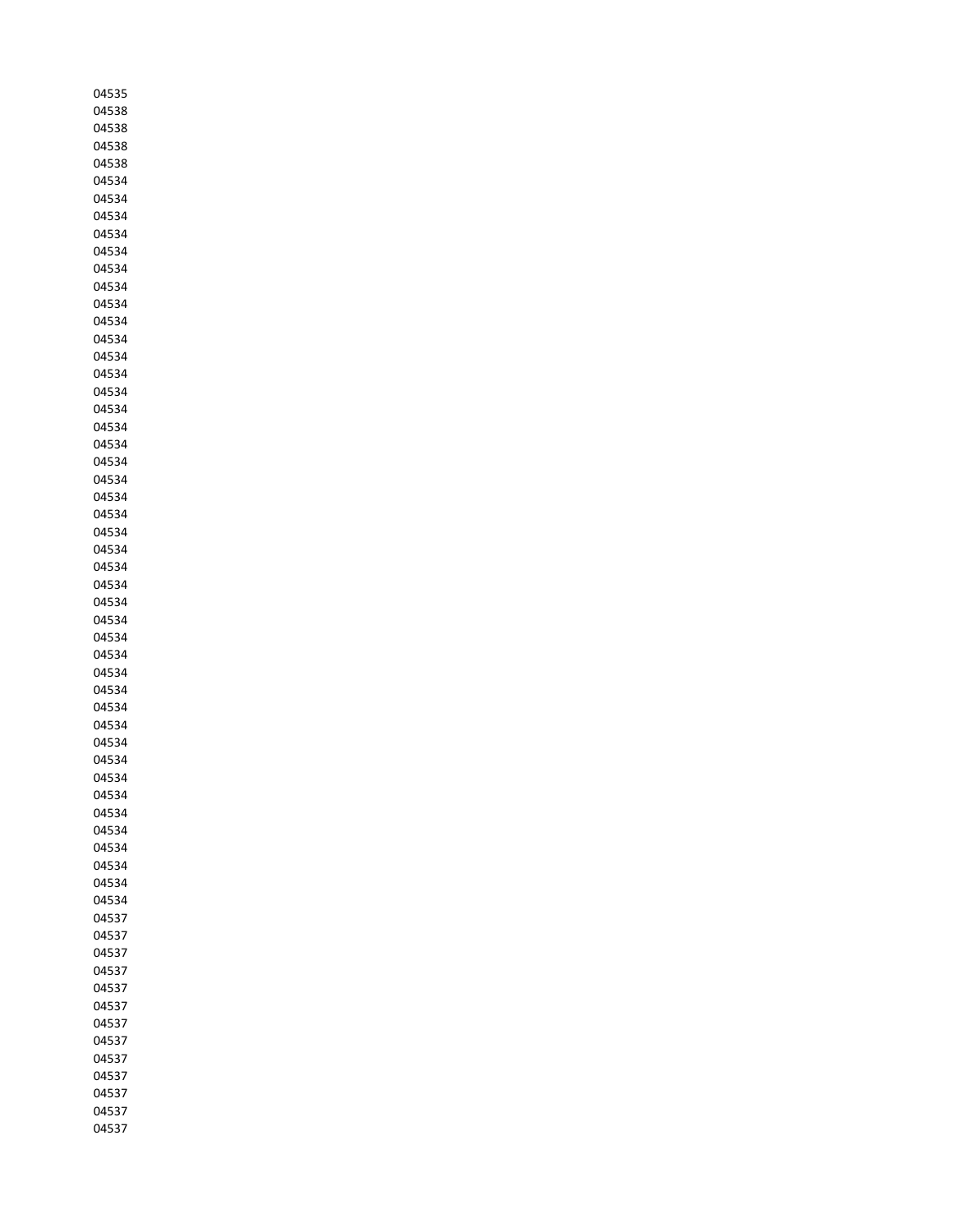| 04535 |
|-------|
| 04538 |
| 04538 |
| 04538 |
| 04538 |
| 04534 |
| 04534 |
| 04534 |
| 04534 |
| 04534 |
| 04534 |
| 04534 |
|       |
| 04534 |
| 04534 |
| 04534 |
| 04534 |
| 04534 |
| 04534 |
| 04534 |
| 04534 |
| 04534 |
| 04534 |
| 04534 |
| 04534 |
| 04534 |
| 04534 |
| 04534 |
| 04534 |
| 04534 |
| 04534 |
| 04534 |
| 04534 |
| 04534 |
|       |
| 04534 |
| 04534 |
| 04534 |
| 04534 |
| 04534 |
| 04534 |
| 04534 |
| 04534 |
| 04534 |
| 04534 |
| 04534 |
| 04534 |
| 04534 |
| 04534 |
| 04537 |
| 04537 |
| 04537 |
| 04537 |
| 04537 |
| 04537 |
|       |
| 04537 |
| 04537 |
| 04537 |
| 04537 |
| 04537 |
| 04537 |
| 04537 |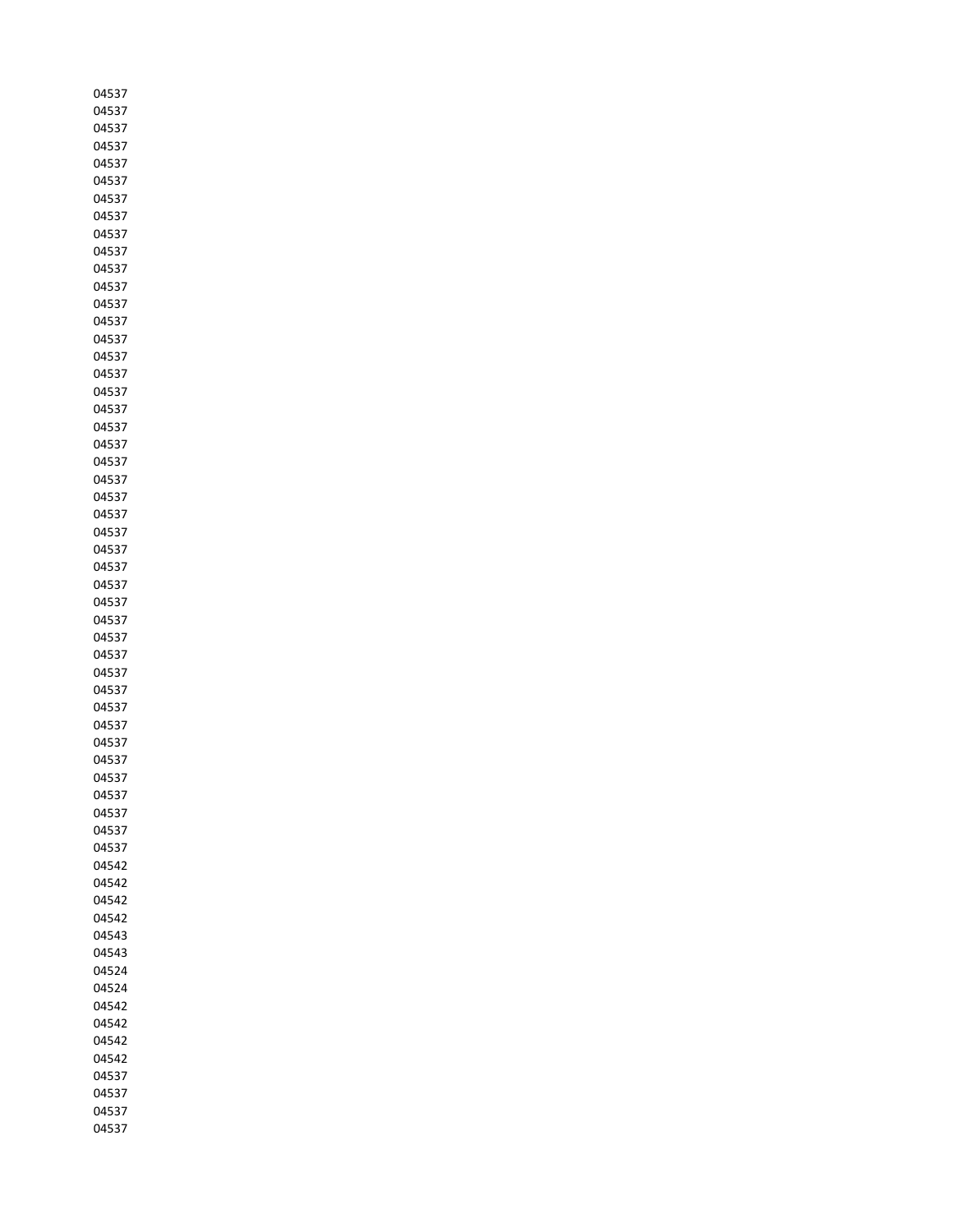| 04537 |
|-------|
| 04537 |
| 04537 |
| 04537 |
| 04537 |
| 04537 |
| 04537 |
| 04537 |
| 04537 |
| 04537 |
| 04537 |
| 04537 |
| 04537 |
|       |
| 04537 |
| 04537 |
| 04537 |
| 04537 |
| 04537 |
| 04537 |
| 04537 |
| 04537 |
| 04537 |
| 04537 |
| 04537 |
| 04537 |
| 04537 |
| 04537 |
| 04537 |
| 04537 |
| 04537 |
| 04537 |
| 04537 |
| 04537 |
| 04537 |
|       |
| 04537 |
| 04537 |
| 04537 |
| 04537 |
| 04537 |
| 04537 |
| 04537 |
| 04537 |
| 04537 |
| 04537 |
| 04542 |
| 04542 |
| 04542 |
| 04542 |
| 04543 |
| 04543 |
| 04524 |
| 04524 |
| 04542 |
| 04542 |
| 04542 |
|       |
| 04542 |
| 04537 |
| 04537 |
| 04537 |
| 04537 |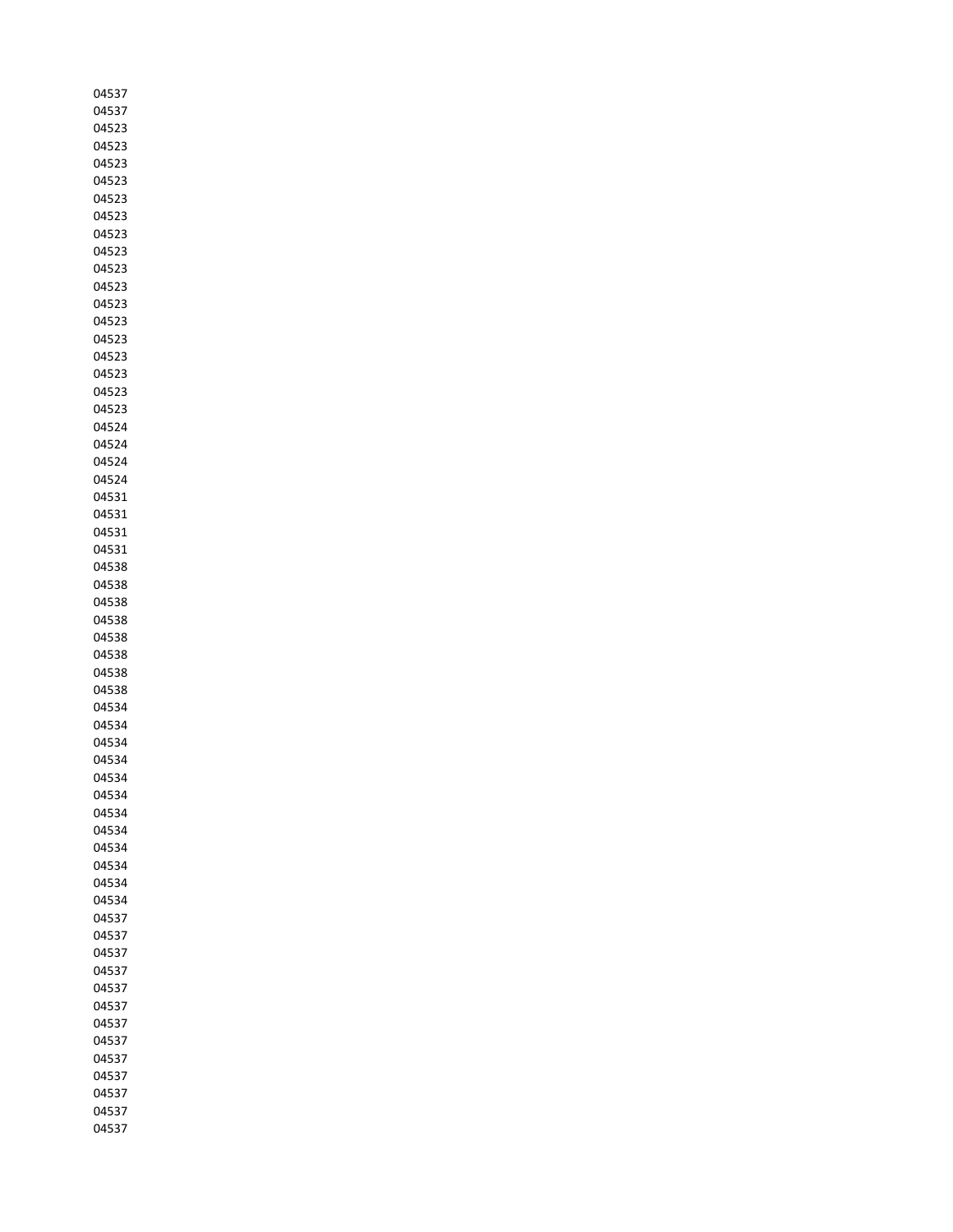| 04537 |
|-------|
| 04537 |
| 04523 |
| 04523 |
| 04523 |
| 04523 |
| 04523 |
| 04523 |
|       |
| 04523 |
| 04523 |
| 04523 |
| 04523 |
| 04523 |
| 04523 |
| 04523 |
| 04523 |
| 04523 |
| 04523 |
| 04523 |
| 04524 |
| 04524 |
| 04524 |
| 04524 |
|       |
| 04531 |
| 04531 |
| 04531 |
| 04531 |
| 04538 |
| 04538 |
| 04538 |
| 04538 |
| 04538 |
| 04538 |
| 04538 |
| 04538 |
| 04534 |
| 04534 |
| 04534 |
| 04534 |
| 04534 |
| 04534 |
|       |
| 04534 |
| 04534 |
| 04534 |
| 04534 |
| 04534 |
| 04534 |
| 04537 |
| 04537 |
| 04537 |
| 04537 |
| 04537 |
| 04537 |
| 04537 |
| 04537 |
| 04537 |
| 04537 |
| 04537 |
| 04537 |
|       |
| 04537 |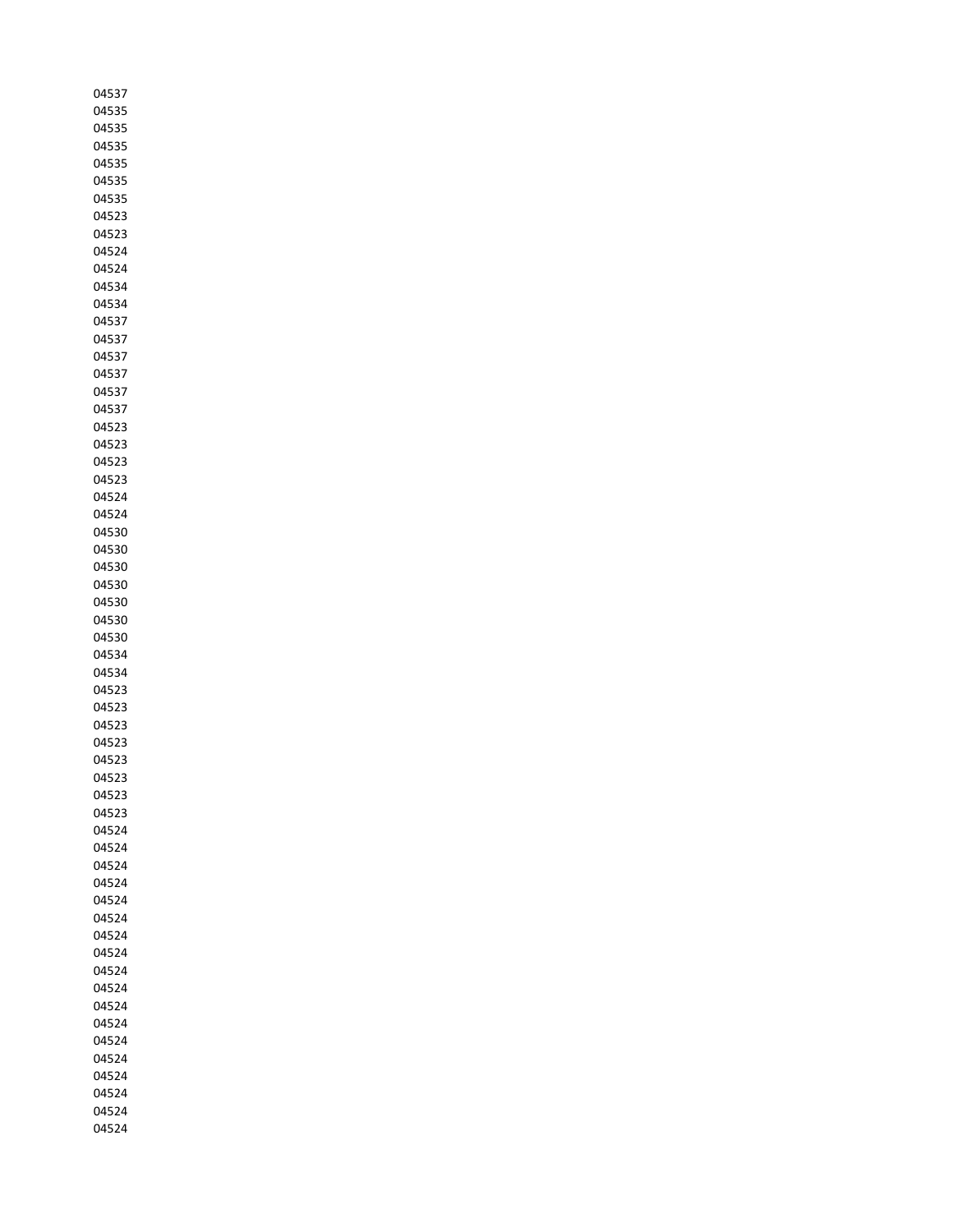| 04537 |
|-------|
| 04535 |
| 04535 |
| 04535 |
| 04535 |
| 04535 |
| 04535 |
| 04523 |
| 04523 |
| 04524 |
| 04524 |
| 04534 |
|       |
| 04534 |
| 04537 |
| 04537 |
| 04537 |
| 04537 |
| 04537 |
| 04537 |
| 04523 |
| 04523 |
| 04523 |
| 04523 |
| 04524 |
| 04524 |
| 04530 |
| 04530 |
| 04530 |
| 04530 |
| 04530 |
| 04530 |
| 04530 |
| 04534 |
| 04534 |
|       |
| 04523 |
| 04523 |
| 04523 |
| 04523 |
| 04523 |
| 04523 |
| 04523 |
| 04523 |
| 04524 |
| 04524 |
| 04524 |
| 04524 |
| 04524 |
| 04524 |
| 04524 |
| 04524 |
| 04524 |
| 04524 |
| 04524 |
| 04524 |
| 04524 |
| 04524 |
| 04524 |
|       |
| 04524 |
| 04524 |
| 04524 |